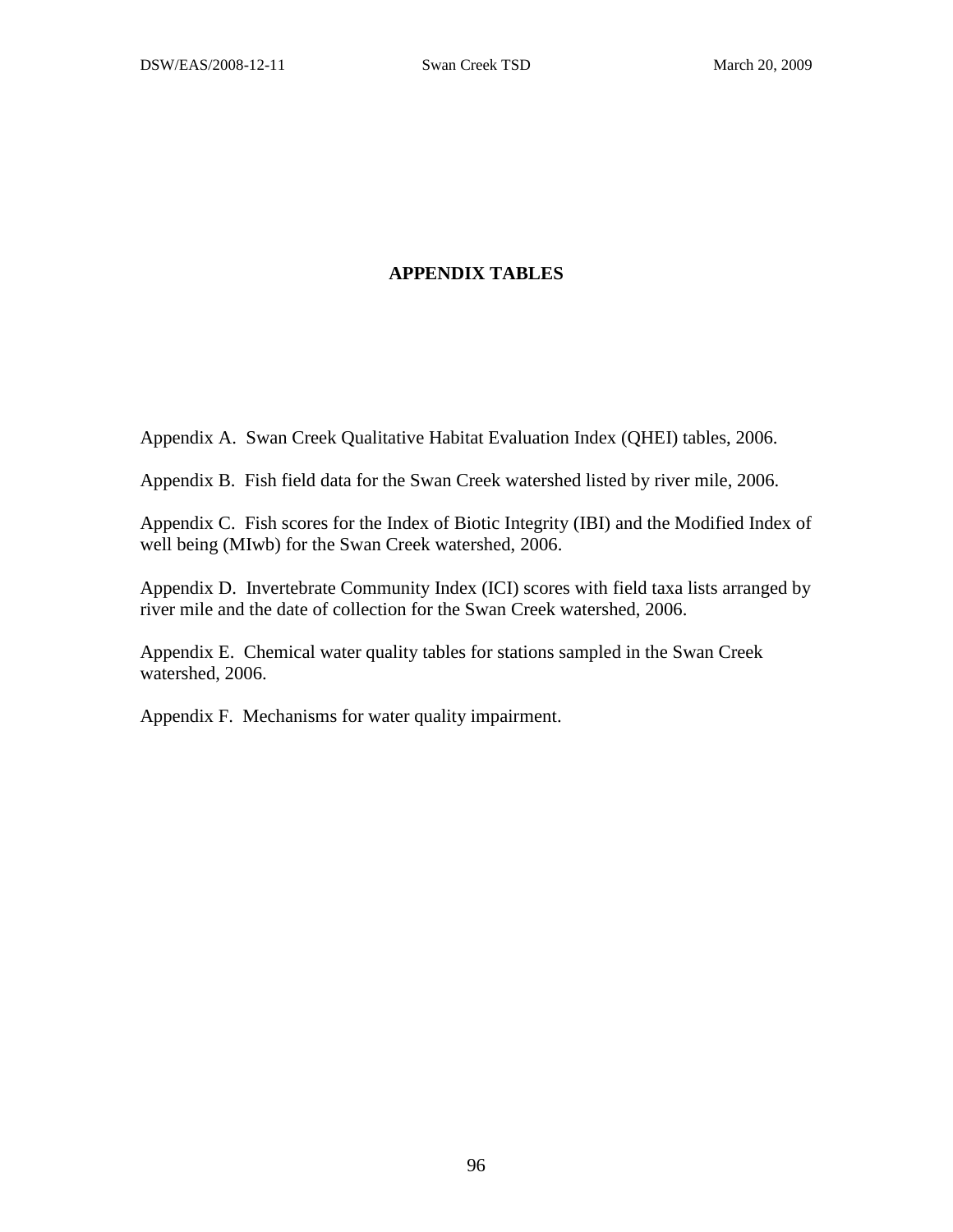## **APPENDIX TABLES**

Appendix A. Swan Creek Qualitative Habitat Evaluation Index (QHEI) tables, 2006.

Appendix B. Fish field data for the Swan Creek watershed listed by river mile, 2006.

Appendix C. Fish scores for the Index of Biotic Integrity (IBI) and the Modified Index of well being (MIwb) for the Swan Creek watershed, 2006.

Appendix D. Invertebrate Community Index (ICI) scores with field taxa lists arranged by river mile and the date of collection for the Swan Creek watershed, 2006.

Appendix E. Chemical water quality tables for stations sampled in the Swan Creek watershed, 2006.

Appendix F. Mechanisms for water quality impairment.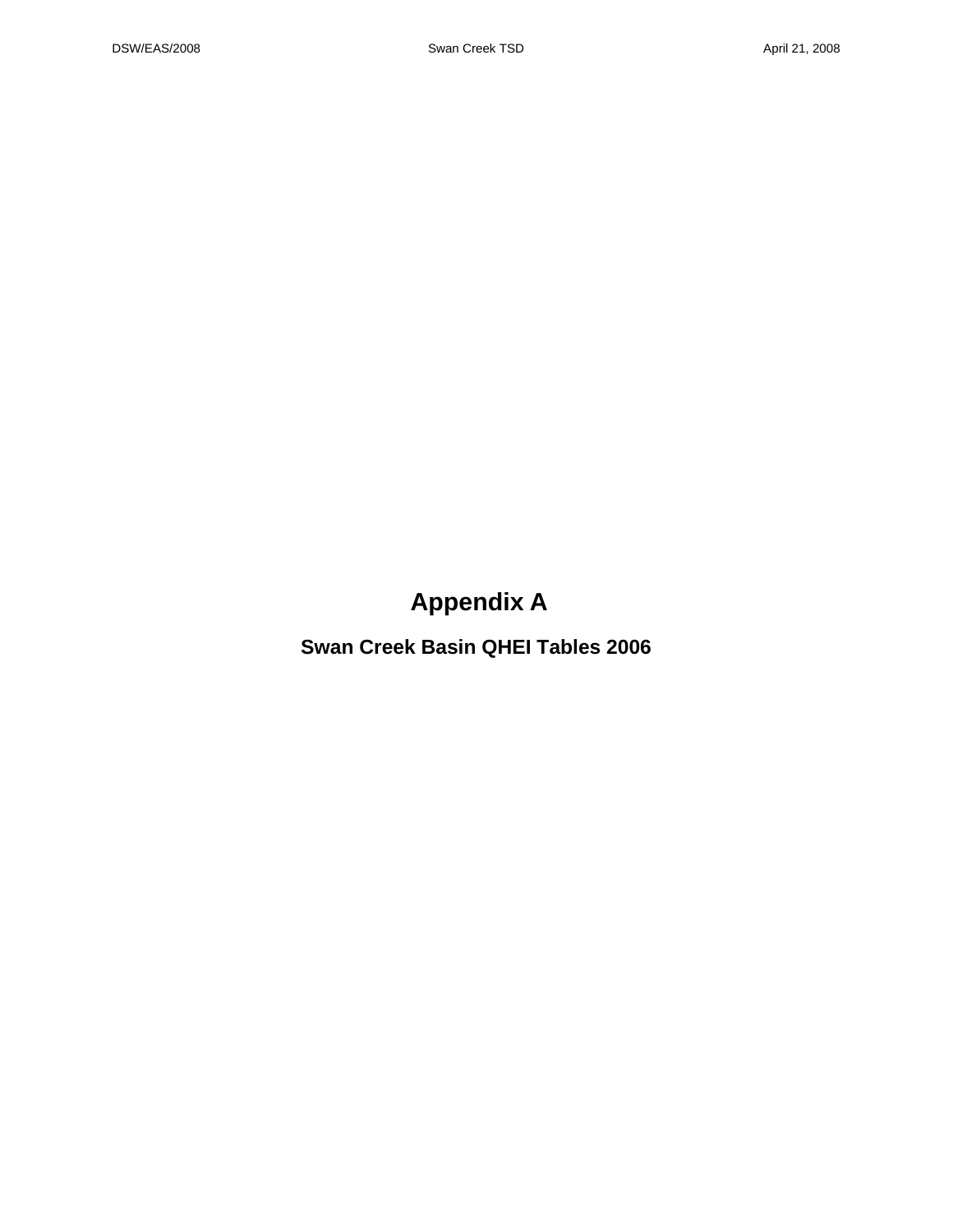## **Appendix A**

**Swan Creek Basin QHEI Tables 2006**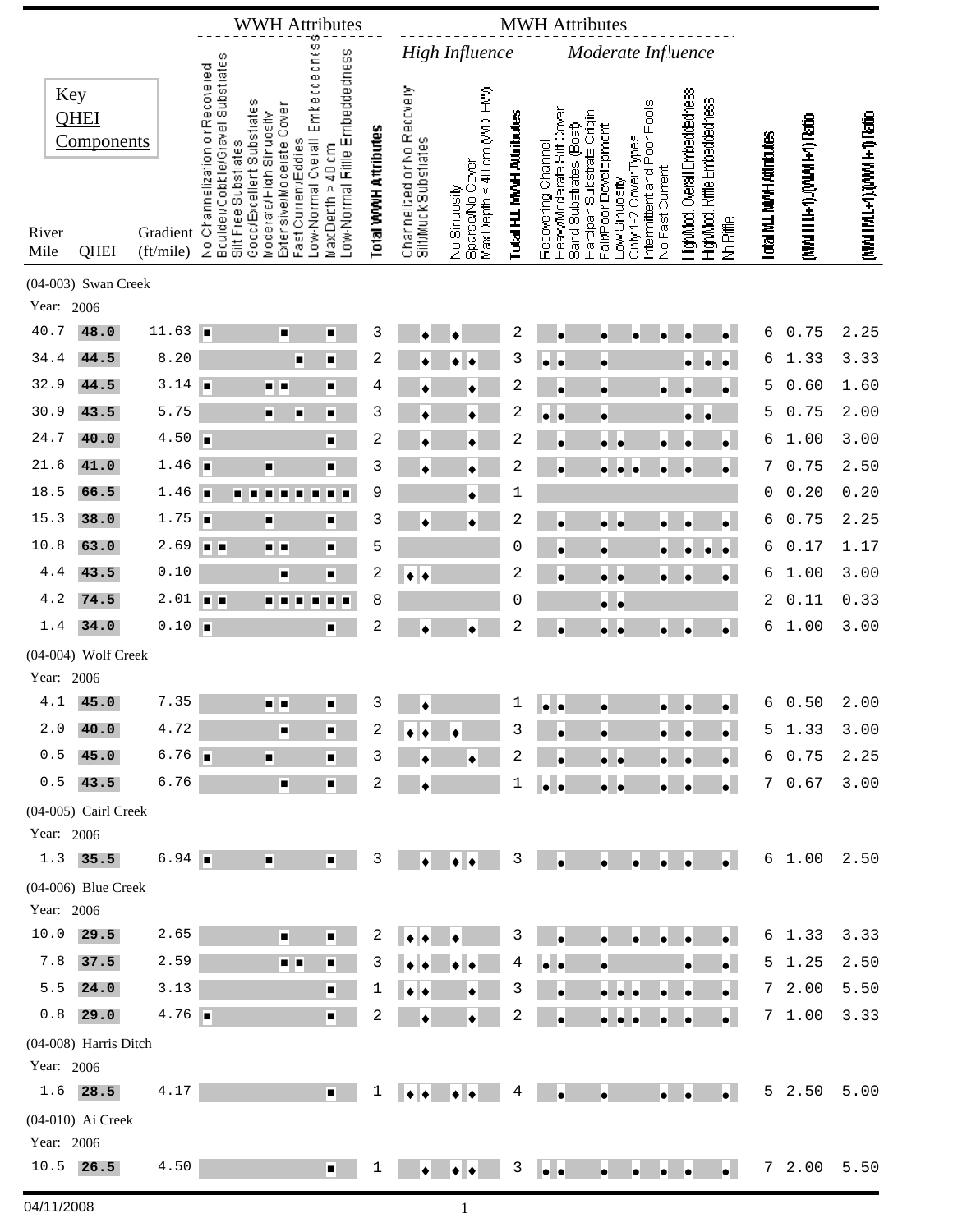|               |                           |                       |                                                                                                                       | <b>WWH Attributes</b>                               |                                                                   |                               | <b>MWH</b> Attributes      |                                 |                           |                                                    |                                                  |                             |                                                               |                          |                        |                        |
|---------------|---------------------------|-----------------------|-----------------------------------------------------------------------------------------------------------------------|-----------------------------------------------------|-------------------------------------------------------------------|-------------------------------|----------------------------|---------------------------------|---------------------------|----------------------------------------------------|--------------------------------------------------|-----------------------------|---------------------------------------------------------------|--------------------------|------------------------|------------------------|
|               |                           |                       |                                                                                                                       |                                                     |                                                                   |                               |                            | High Influence                  |                           |                                                    | Moderate Influence                               |                             |                                                               |                          |                        |                        |
| <b>Key</b>    | <b>QHEI</b><br>Components |                       | No Channelization orRecovered<br>Bculde⊯Cobble/Gravel Substrates<br>Silt Free Substrates<br>Good/Excellent Substiates | Extensive/Moderate Cover<br>Moderate/High Sinuosity | Low-Normal Overall Embeccechess<br>Low-Normal Rifile Embeddedness | <b>Total VVVVH Attributes</b> | Channelized or No Recovery | Max Depth < 40 cm (V/D, HV)     | Total H.L. MWH Attributes | HeavyModerate Sitt Cover<br>Sand Substrates (Boat) | Hardpan Substrate Origin<br>FairPoor Development | Intermittent and Poor Pools | HighMod. Overall Embeddedness<br>HighMod, Riffle Embeddedness |                          | MMHH1+1) (MWH+1) Ratio | (MWHMI+1)(WWH+1) Ratio |
| River<br>Mile | QHEI                      | Gradient<br>(ft/mile) |                                                                                                                       | Fast Current/Eddies                                 | MaxDepth > 40 cm                                                  |                               | SittMuckSubstrates         | Sparse/No Cover<br>No Sinuosity |                           | Recovering Channel                                 | Only 1-2 Cover Types<br>Low Sinuosity            | No Fast Current             | No Riffle                                                     | Total MJ. MWH Attributes |                        |                        |
| Year: 2006    | (04-003) Swan Creek       |                       |                                                                                                                       |                                                     |                                                                   |                               |                            |                                 |                           |                                                    |                                                  |                             |                                                               |                          |                        |                        |
| 40.7          | 48.0                      | 11.63                 | I.                                                                                                                    | ш                                                   | □                                                                 | 3                             |                            | ٠                               | 2                         | $\bullet$                                          | $\bullet$                                        | $\bullet$                   | $\bullet$<br>ò                                                | 6                        | 0.75                   | 2.25                   |
| 34.4          | 44.5                      | 8.20                  |                                                                                                                       | п                                                   | п                                                                 | 2                             |                            |                                 | 3                         | le<br>$\bullet$                                    | $\bullet$                                        |                             | $\bullet$<br>$\bullet$<br>$\bullet$                           | 6                        | 1.33                   | 3.33                   |
| 32.9          | 44.5                      | 3.14                  | ×                                                                                                                     | . .                                                 | π                                                                 | 4                             |                            |                                 | 2                         |                                                    | $\bullet$                                        | $\bullet$                   | $\bullet$                                                     | 5                        | 0.60                   | 1.60                   |
| 30.9          | 43.5                      | 5.75                  |                                                                                                                       | Ξ<br>п                                              | ▫                                                                 | 3                             |                            |                                 | $\overline{c}$            | lo                                                 | $\bullet$                                        |                             |                                                               | 5                        | 0.75                   | 2.00                   |
| 24.7          | 40.0                      | 4.50                  | ш                                                                                                                     |                                                     | П                                                                 | 2                             |                            |                                 | 2                         |                                                    | $\bullet$                                        |                             | $\bullet$                                                     | 6                        | 1.00                   | 3.00                   |
| 21.6          | 41.0                      | 1.46                  | п                                                                                                                     | $\blacksquare$                                      | п                                                                 | 3                             |                            |                                 | 2                         | $\bullet$                                          | $\bullet$<br><b>le</b><br><b>le</b>              | $\bullet$                   | $\bullet$<br>٠                                                | 7                        | 0.75                   | 2.50                   |
| 18.5          | 66.5                      | 1.46                  | п<br>п                                                                                                                | ٠                                                   | п<br>п                                                            | 9                             |                            |                                 | 1                         |                                                    |                                                  |                             |                                                               | 0                        | 0.20                   | 0.20                   |
| 15.3          | 38.0                      | 1.75                  | П                                                                                                                     | п                                                   | п                                                                 | 3                             |                            |                                 | $\overline{c}$            |                                                    | $\bullet\;\bullet$                               |                             | $\bullet$                                                     | 6                        | 0.75                   | 2.25                   |
| 10.8          | 63.0                      | 2.69                  | п<br>E                                                                                                                | ه او                                                | ■                                                                 | 5                             |                            |                                 | 0                         | ò                                                  | $\bullet$                                        |                             | $\bullet$<br>٠                                                | 6                        | 0.17                   | 1.17                   |
| 4.4           | 43.5                      | 0.10                  |                                                                                                                       | π                                                   | $\blacksquare$                                                    | $\overline{c}$                | ٠<br>٠                     |                                 | 2                         | ò                                                  | $\bullet$ $\bullet$                              | $\bullet$                   | $\bullet$                                                     | 6                        | 1.00                   | 3.00                   |
| 4.2           | 74.5                      | 2.01                  | п<br>×                                                                                                                | ٠<br>H                                              |                                                                   | 8                             |                            |                                 | 0                         |                                                    | $\bullet\;\bullet$                               |                             |                                                               | 2                        | 0.11                   | 0.33                   |
| 1.4           | 34.0                      | 0.10                  | E                                                                                                                     |                                                     | п                                                                 | $\sqrt{2}$                    | ٠                          | ٠                               | $\overline{c}$            | ò                                                  | $\bullet$ $\bullet$                              | $\bullet$                   | $\bullet$<br>o                                                | 6                        | 1.00                   | 3.00                   |
|               | (04-004) Wolf Creek       |                       |                                                                                                                       |                                                     |                                                                   |                               |                            |                                 |                           |                                                    |                                                  |                             |                                                               |                          |                        |                        |
| Year: 2006    |                           |                       |                                                                                                                       |                                                     |                                                                   |                               |                            |                                 |                           |                                                    |                                                  |                             |                                                               |                          |                        |                        |
| 4.1           | 45.0                      | 7.35                  |                                                                                                                       | . .                                                 | п                                                                 | 3                             | ٠                          |                                 | 1                         | $\bullet$<br>∙                                     | $\bullet$                                        | $\bullet$                   | $\bullet$                                                     | 6                        | 0.50                   | 2.00                   |
| 2.0           | 40.0                      | 4.72                  |                                                                                                                       | п                                                   | п                                                                 | 2                             |                            |                                 | 3                         |                                                    |                                                  |                             | $\bullet$                                                     | 5                        | 1.33                   | 3.00                   |
| 0.5           | 45.0                      | 6.76                  |                                                                                                                       | п                                                   | п                                                                 | 3                             |                            |                                 | 2                         |                                                    | $\bullet\quadbullet$                             |                             | $\bullet$                                                     |                          | 6 0.75                 | 2.25                   |
| 0.5           | 43.5                      | 6.76                  |                                                                                                                       | п                                                   | п                                                                 | 2                             |                            |                                 | 1                         | $\bullet$ $\bullet$                                | $\bullet$ $\bullet$                              |                             | $\bullet$                                                     |                          | 70.67                  | 3.00                   |
|               | (04-005) Cairl Creek      |                       |                                                                                                                       |                                                     |                                                                   |                               |                            |                                 |                           |                                                    |                                                  |                             |                                                               |                          |                        |                        |
| Year: 2006    |                           |                       |                                                                                                                       |                                                     |                                                                   |                               |                            |                                 |                           |                                                    |                                                  |                             |                                                               |                          |                        |                        |
|               | $1.3$ 35.5                | 6.94                  |                                                                                                                       | ш                                                   | п                                                                 | 3                             |                            |                                 | 3                         |                                                    | $\bullet$                                        |                             | $\bullet$                                                     |                          | 6 1.00                 | 2.50                   |
| Year: 2006    | (04-006) Blue Creek       |                       |                                                                                                                       |                                                     |                                                                   |                               |                            |                                 |                           |                                                    |                                                  |                             |                                                               |                          |                        |                        |
| 10.0          | 29.5                      | 2.65                  |                                                                                                                       | Ξ                                                   | п                                                                 | 2                             |                            |                                 | 3                         |                                                    |                                                  |                             |                                                               |                          | 6 1.33                 | 3.33                   |
| 7.8           | 37.5                      | 2.59                  |                                                                                                                       | . .                                                 | п                                                                 | 3                             |                            |                                 | 4                         |                                                    |                                                  |                             | $\bullet$                                                     |                          | $5 \t1.25$             | 2.50                   |
| 5.5           | 24.0                      | 3.13                  |                                                                                                                       |                                                     | п                                                                 | 1                             |                            |                                 | 3                         |                                                    |                                                  |                             | $\bullet$<br>$\bullet$                                        |                          | 72.00                  | 5.50                   |
| 0.8           | 29.0                      | 4.76                  |                                                                                                                       |                                                     | П                                                                 | 2                             |                            |                                 | 2                         |                                                    | $\bullet$ $\bullet$                              |                             | $\bullet$                                                     |                          | 71.00                  | 3.33                   |
|               | (04-008) Harris Ditch     |                       |                                                                                                                       |                                                     |                                                                   |                               |                            |                                 |                           |                                                    |                                                  |                             |                                                               |                          |                        |                        |
| Year: 2006    |                           |                       |                                                                                                                       |                                                     |                                                                   |                               |                            |                                 |                           |                                                    |                                                  |                             |                                                               |                          |                        |                        |
|               | $1.6$ 28.5                | 4.17                  |                                                                                                                       |                                                     | п                                                                 | 1                             |                            |                                 | 4                         |                                                    |                                                  |                             |                                                               | 5                        | 2.50                   | 5.00                   |
|               | (04-010) Ai Creek         |                       |                                                                                                                       |                                                     |                                                                   |                               |                            |                                 |                           |                                                    |                                                  |                             |                                                               |                          |                        |                        |
| Year: 2006    |                           |                       |                                                                                                                       |                                                     |                                                                   |                               |                            |                                 |                           |                                                    |                                                  |                             |                                                               |                          |                        |                        |
| 10.5          | 26.5                      | 4.50                  |                                                                                                                       |                                                     | п                                                                 | 1                             |                            |                                 | 3                         | $\bullet$ $\bullet$                                | $\bullet$                                        |                             | $\bullet$                                                     | $7\degree$               | 2.00                   | 5.50                   |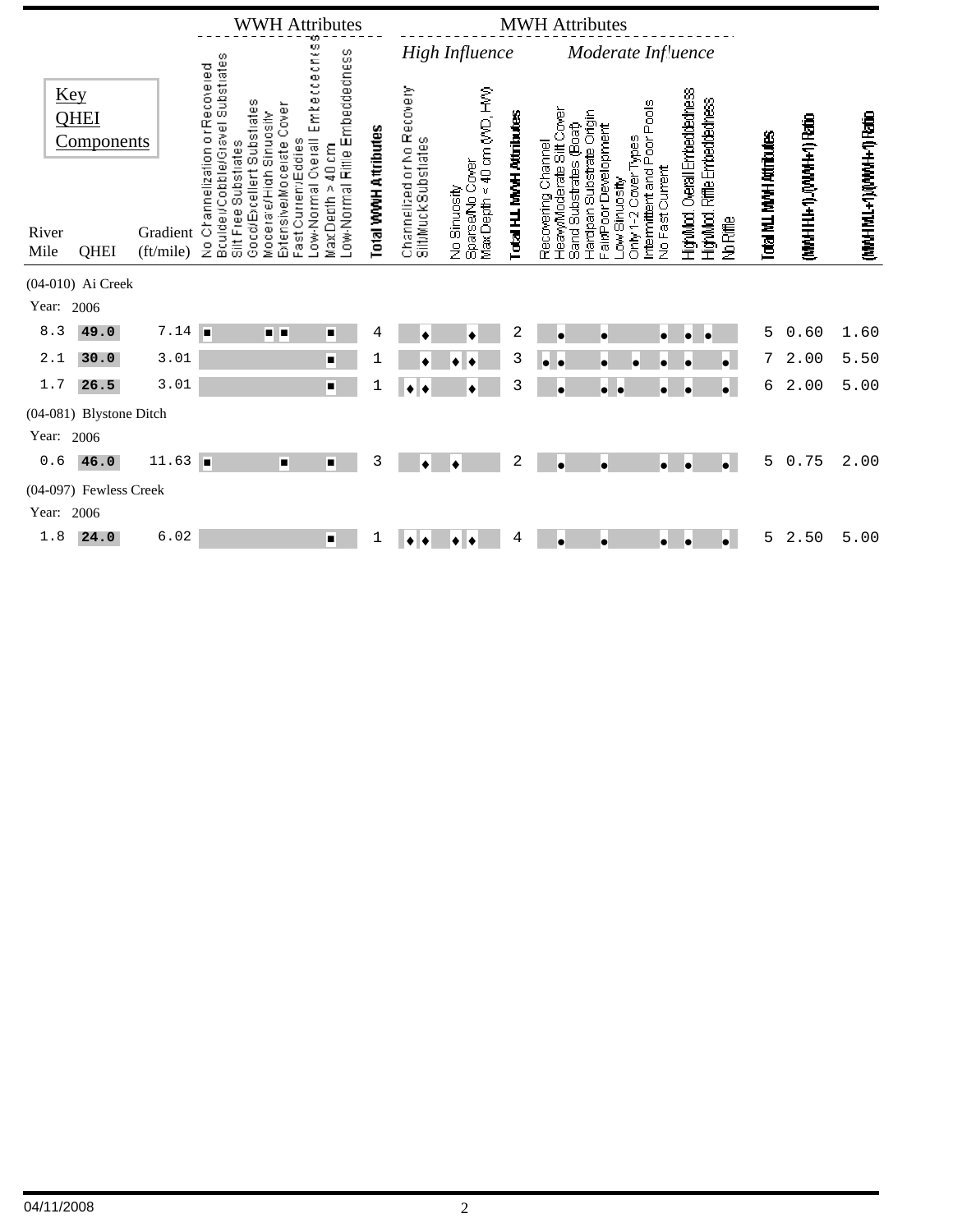|               |                                         |                       |                                                                                                                     |                                                                            | <b>WWH Attributes</b>                                                                   |                      | <b>MWH</b> Attributes                             |                                                 |                          |                                                                          |                                                                                        |                                                |                                                      |           |                           |                        |                     |
|---------------|-----------------------------------------|-----------------------|---------------------------------------------------------------------------------------------------------------------|----------------------------------------------------------------------------|-----------------------------------------------------------------------------------------|----------------------|---------------------------------------------------|-------------------------------------------------|--------------------------|--------------------------------------------------------------------------|----------------------------------------------------------------------------------------|------------------------------------------------|------------------------------------------------------|-----------|---------------------------|------------------------|---------------------|
|               |                                         |                       |                                                                                                                     |                                                                            |                                                                                         |                      | <b>High Influence</b><br>Moderate Influence       |                                                 |                          |                                                                          |                                                                                        |                                                |                                                      |           |                           |                        |                     |
|               | Key<br><b>QHEI</b><br><b>Components</b> |                       | Bculde#Cobble/Gravel Substrates<br>Silt Free Substrates<br>Channelization or Recovered<br>Good/Excellent Substrates | Extensive/Modelate Cover<br>Moderate/High Sinuosity<br>Fast Current/Eddies | Emtecceches<br>Low-Normal Rittle Embeddedness<br>Low-Normal Overall<br>MaxDepth > 40 cm | Total WWH Attributes | Channelized or No Recovery<br>Silt/MuckSubstrates | Max Depth < 40 cm (V/D, H/V)<br>Sparse/No Cover | Total HJ. MWH Attributes | HeavyModerate Silt Cover<br>Sand Substrates (Boat)<br>Recovering Channel | Hardpan Substrate Origin<br>airPoorDevelopment<br>Only 1-2 Cover Types<br>ow Sinuosity | Intermittent and Poor Pools<br>No Fast Current | HighMod. Overall Embeddedness<br>Riffle Embeddechess |           | Total M.L. MWH Attributes | MMHH1+1) (MWH+1) Ratio | MWHMI+1)(WWH1) Rato |
| River<br>Mile | QHEI                                    | Gradient<br>(ft/mile) | $\frac{9}{2}$                                                                                                       |                                                                            |                                                                                         |                      |                                                   | No Sinuosity                                    |                          |                                                                          |                                                                                        |                                                | HighMod.1                                            | No Riffle |                           |                        |                     |
|               | (04-010) Ai Creek                       |                       |                                                                                                                     |                                                                            |                                                                                         |                      |                                                   |                                                 |                          |                                                                          |                                                                                        |                                                |                                                      |           |                           |                        |                     |
| Year:         | 2006                                    |                       |                                                                                                                     |                                                                            |                                                                                         |                      |                                                   |                                                 |                          |                                                                          |                                                                                        |                                                |                                                      |           |                           |                        |                     |
| 8.3           | 49.0                                    | 7.14                  | ш                                                                                                                   | . .                                                                        | ٠                                                                                       | 4                    |                                                   | $\bullet$                                       | 2                        | $\bullet$                                                                | ۰                                                                                      | $\bullet$                                      | ۱<br>$\bullet$                                       |           | 5                         | 0.60                   | 1.60                |
| 2.1           | 30.0                                    | 3.01                  |                                                                                                                     |                                                                            | $\blacksquare$                                                                          | 1                    |                                                   |                                                 | 3                        | $\bullet$<br>I۰                                                          | o<br>$\bullet$                                                                         | $\bullet$                                      |                                                      | $\bullet$ | 7                         | 2.00                   | 5.50                |
| $1.7\,$       | 26.5                                    | 3.01                  |                                                                                                                     |                                                                            | $\blacksquare$                                                                          |                      | ٠<br>∙                                            | ٠                                               | 3                        | $\bullet$                                                                | o.<br>le                                                                               | $\bullet$                                      | ۰                                                    | $\bullet$ | 6                         | 2.00                   | 5.00                |
|               | (04-081) Blystone Ditch                 |                       |                                                                                                                     |                                                                            |                                                                                         |                      |                                                   |                                                 |                          |                                                                          |                                                                                        |                                                |                                                      |           |                           |                        |                     |
| Year: 2006    |                                         |                       |                                                                                                                     |                                                                            |                                                                                         |                      |                                                   |                                                 |                          |                                                                          |                                                                                        |                                                |                                                      |           |                           |                        |                     |
| 0.6           | 46.0                                    | 11.63                 | п                                                                                                                   | П                                                                          | $\blacksquare$                                                                          | 3                    | $\bullet$                                         | $\bullet$                                       | 2                        | $\bullet$                                                                | ۱                                                                                      | $\bullet$                                      | ۱o                                                   | '.        | 5                         | 0.75                   | 2.00                |
|               | (04-097) Fewless Creek                  |                       |                                                                                                                     |                                                                            |                                                                                         |                      |                                                   |                                                 |                          |                                                                          |                                                                                        |                                                |                                                      |           |                           |                        |                     |
| Year:         | 2006                                    |                       |                                                                                                                     |                                                                            |                                                                                         |                      |                                                   |                                                 |                          |                                                                          |                                                                                        |                                                |                                                      |           |                           |                        |                     |
| 1.8           | 24.0                                    | 6.02                  |                                                                                                                     |                                                                            | п                                                                                       | 1                    |                                                   |                                                 | 4                        |                                                                          | ۱e                                                                                     | ۰                                              | ۰                                                    | $\bullet$ | 5                         | 2.50                   | 5.00                |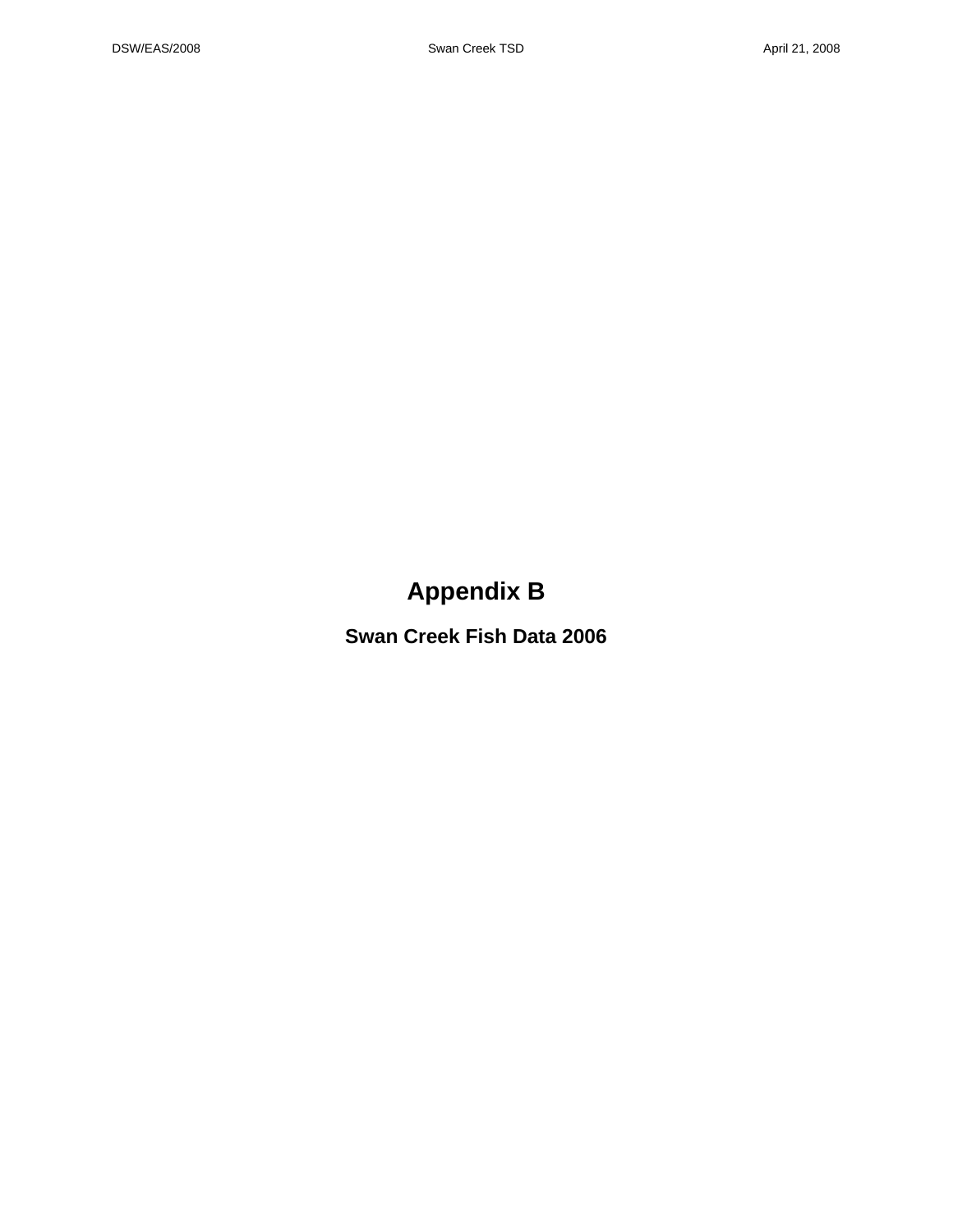## **Appendix B**

**Swan Creek Fish Data 2006**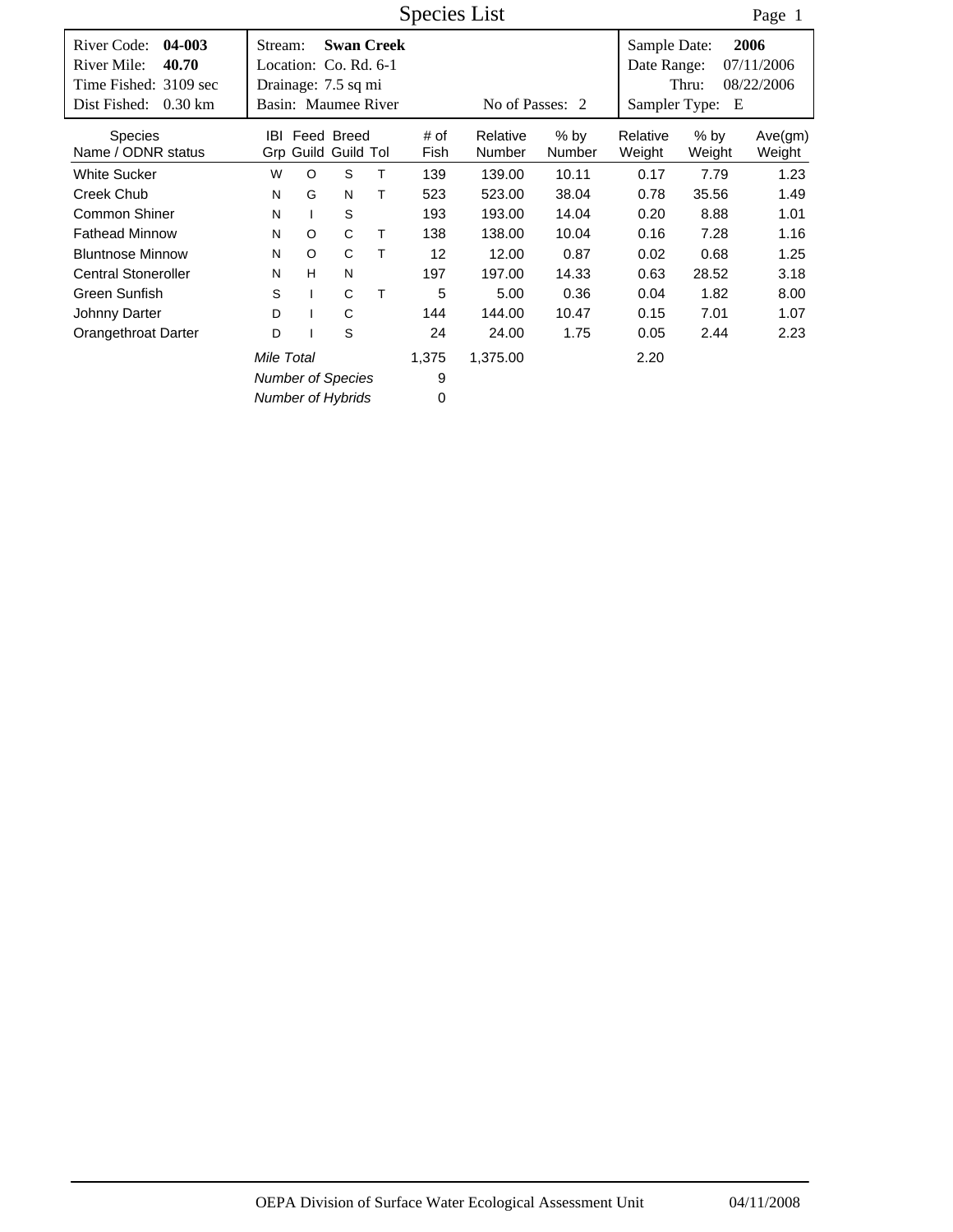|                                                                                                              |                                        |              |                                                                                          |   | Species List |                    |                         |                                              |                  | Page 1                           |
|--------------------------------------------------------------------------------------------------------------|----------------------------------------|--------------|------------------------------------------------------------------------------------------|---|--------------|--------------------|-------------------------|----------------------------------------------|------------------|----------------------------------|
| River Code:<br>04-003<br>River Mile:<br>40.70<br>Time Fished: 3109 sec<br>Dist Fished:<br>$0.30 \mathrm{km}$ | Stream:                                |              | <b>Swan Creek</b><br>Location: Co. Rd. 6-1<br>Drainage: 7.5 sq mi<br>Basin: Maumee River |   |              | No of Passes: 2    |                         | Sample Date:<br>Date Range:<br>Sampler Type: | Thru:<br>E       | 2006<br>07/11/2006<br>08/22/2006 |
| <b>Species</b><br>Name / ODNR status                                                                         | IBI                                    |              | Feed Breed<br>Grp Guild Guild Tol                                                        |   | # of<br>Fish | Relative<br>Number | $%$ by<br><b>Number</b> | Relative<br>Weight                           | $%$ by<br>Weight | Ave(gm)<br>Weight                |
| <b>White Sucker</b>                                                                                          | W                                      | $\circ$      | S                                                                                        | T | 139          | 139.00             | 10.11                   | 0.17                                         | 7.79             | 1.23                             |
| Creek Chub                                                                                                   | N                                      | G            | N                                                                                        | т | 523          | 523.00             | 38.04                   | 0.78                                         | 35.56            | 1.49                             |
| Common Shiner                                                                                                | N                                      | $\mathbf{I}$ | S                                                                                        |   | 193          | 193.00             | 14.04                   | 0.20                                         | 8.88             | 1.01                             |
| <b>Fathead Minnow</b>                                                                                        | N                                      | $\circ$      | C                                                                                        | т | 138          | 138.00             | 10.04                   | 0.16                                         | 7.28             | 1.16                             |
| <b>Bluntnose Minnow</b>                                                                                      | N                                      | $\circ$      | C                                                                                        | Τ | 12           | 12.00              | 0.87                    | 0.02                                         | 0.68             | 1.25                             |
| <b>Central Stoneroller</b>                                                                                   | N                                      | H            | N                                                                                        |   | 197          | 197.00             | 14.33                   | 0.63                                         | 28.52            | 3.18                             |
| Green Sunfish                                                                                                | S                                      |              | C                                                                                        | Τ | 5            | 5.00               | 0.36                    | 0.04                                         | 1.82             | 8.00                             |
| Johnny Darter                                                                                                | D                                      |              | C                                                                                        |   | 144          | 144.00             | 10.47                   | 0.15                                         | 7.01             | 1.07                             |
| Orangethroat Darter                                                                                          | D                                      |              | S                                                                                        |   | 24           | 24.00              | 1.75                    | 0.05                                         | 2.44             | 2.23                             |
|                                                                                                              | Mile Total<br><b>Number of Species</b> |              |                                                                                          |   | 1,375<br>9   | 1,375.00           |                         | 2.20                                         |                  |                                  |
|                                                                                                              |                                        |              | <b>Number of Hybrids</b>                                                                 |   | 0            |                    |                         |                                              |                  |                                  |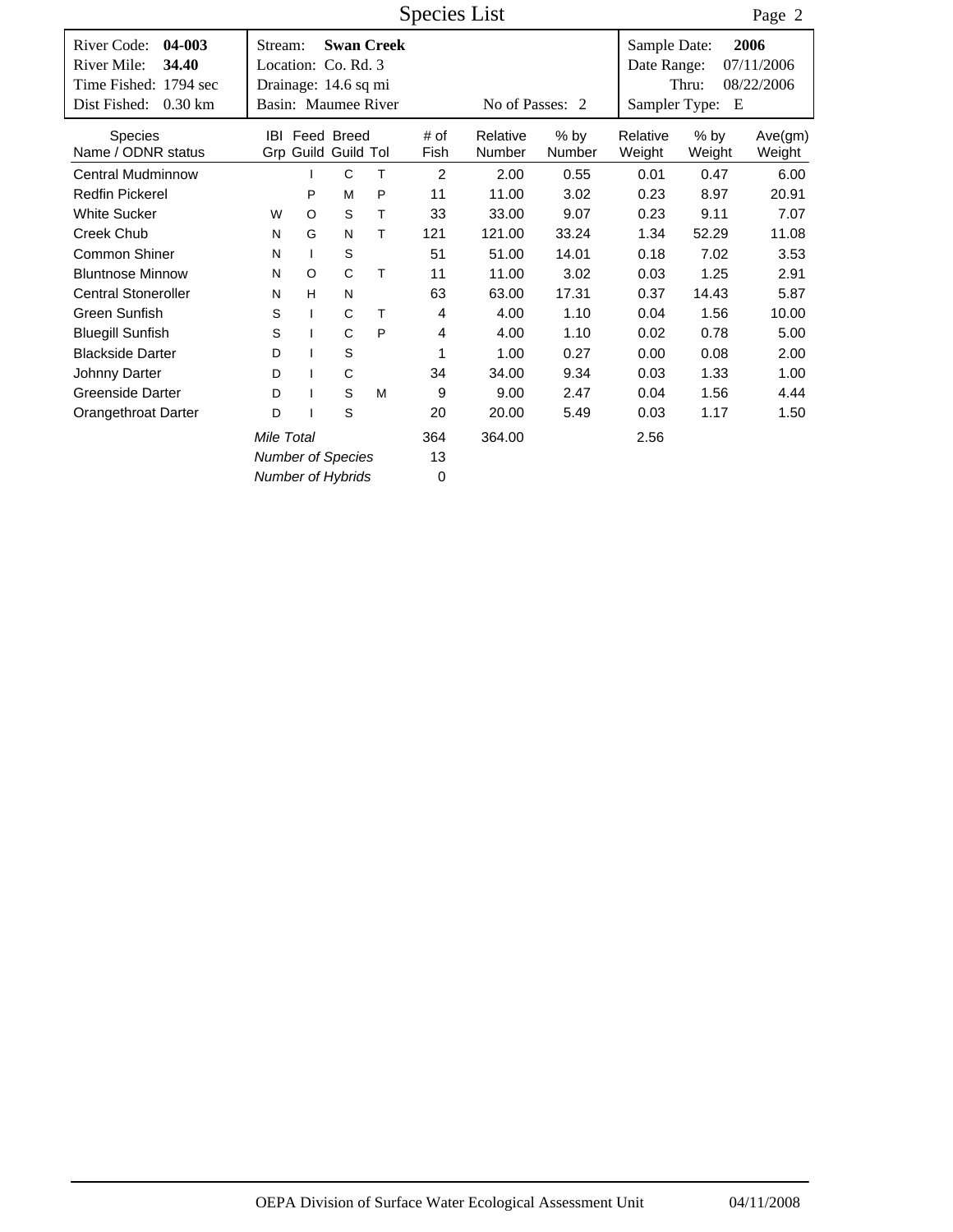|                                                             |                                             |              |                                              |                   | <b>Species List</b> |                    |                |                             |                  | Page 2             |
|-------------------------------------------------------------|---------------------------------------------|--------------|----------------------------------------------|-------------------|---------------------|--------------------|----------------|-----------------------------|------------------|--------------------|
| 04-003<br>River Code:<br>River Mile:<br>34.40               | Stream:<br>Location: Co. Rd. 3              |              |                                              | <b>Swan Creek</b> |                     |                    |                | Sample Date:<br>Date Range: |                  | 2006<br>07/11/2006 |
| Time Fished: 1794 sec<br>Dist Fished:<br>$0.30 \mathrm{km}$ | Drainage: 14.6 sq mi<br>Basin: Maumee River |              |                                              |                   |                     | No of Passes: 2    |                | Sampler Type:               | Thru:<br>E       | 08/22/2006         |
|                                                             |                                             |              |                                              |                   |                     |                    |                |                             |                  |                    |
| <b>Species</b><br>Name / ODNR status                        |                                             |              | <b>IBI</b> Feed Breed<br>Grp Guild Guild Tol |                   | # of<br>Fish        | Relative<br>Number | % by<br>Number | Relative<br>Weight          | $%$ bv<br>Weight | Ave(gm)<br>Weight  |
| <b>Central Mudminnow</b>                                    |                                             |              | C                                            | T                 | $\overline{2}$      | 2.00               | 0.55           | 0.01                        | 0.47             | 6.00               |
| <b>Redfin Pickerel</b>                                      |                                             | P            | M                                            | P                 | 11                  | 11.00              | 3.02           | 0.23                        | 8.97             | 20.91              |
| <b>White Sucker</b>                                         | W                                           | $\circ$      | S                                            | T                 | 33                  | 33.00              | 9.07           | 0.23                        | 9.11             | 7.07               |
| <b>Creek Chub</b>                                           | N                                           | G            | N                                            | т                 | 121                 | 121.00             | 33.24          | 1.34                        | 52.29            | 11.08              |
| <b>Common Shiner</b>                                        | N                                           | $\mathbf{I}$ | $\mathsf S$                                  |                   | 51                  | 51.00              | 14.01          | 0.18                        | 7.02             | 3.53               |
| <b>Bluntnose Minnow</b>                                     | N                                           | $\circ$      | C                                            | T                 | 11                  | 11.00              | 3.02           | 0.03                        | 1.25             | 2.91               |
| <b>Central Stoneroller</b>                                  | N                                           | H            | N                                            |                   | 63                  | 63.00              | 17.31          | 0.37                        | 14.43            | 5.87               |
| Green Sunfish                                               | S                                           | $\mathbf{I}$ | C                                            | T                 | $\overline{4}$      | 4.00               | 1.10           | 0.04                        | 1.56             | 10.00              |
| <b>Bluegill Sunfish</b>                                     | S                                           | $\mathbf{I}$ | C                                            | P                 | 4                   | 4.00               | 1.10           | 0.02                        | 0.78             | 5.00               |
| <b>Blackside Darter</b>                                     | D                                           |              | $\mathsf S$                                  |                   | 1                   | 1.00               | 0.27           | 0.00                        | 0.08             | 2.00               |
| Johnny Darter                                               | D                                           |              | C                                            |                   | 34                  | 34.00              | 9.34           | 0.03                        | 1.33             | 1.00               |
| <b>Greenside Darter</b>                                     | D                                           |              | $\mathsf S$                                  | M                 | 9                   | 9.00               | 2.47           | 0.04                        | 1.56             | 4.44               |
| Orangethroat Darter                                         | D                                           |              | $\mathsf S$                                  |                   | 20                  | 20.00              | 5.49           | 0.03                        | 1.17             | 1.50               |
|                                                             |                                             | 364          | 364.00                                       |                   | 2.56                |                    |                |                             |                  |                    |
|                                                             | <b>Number of Species</b>                    | 13           |                                              |                   |                     |                    |                |                             |                  |                    |
|                                                             | <b>Number of Hybrids</b>                    |              |                                              |                   | $\mathbf 0$         |                    |                |                             |                  |                    |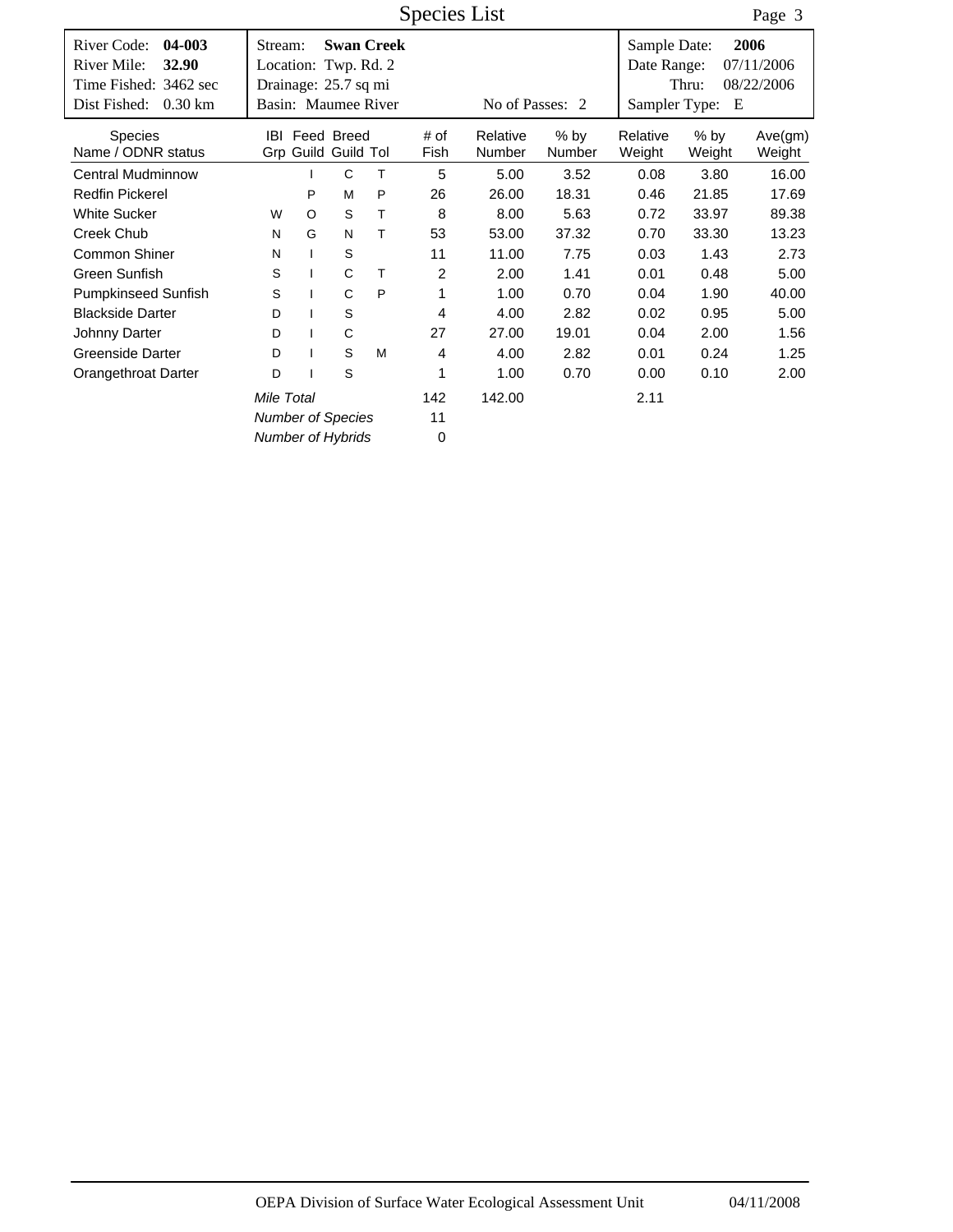|                                                                                                                     |                                                                                |              |                                   |                   | <b>Species List</b> |                    |                  |                                              |                  | Page 3                           |
|---------------------------------------------------------------------------------------------------------------------|--------------------------------------------------------------------------------|--------------|-----------------------------------|-------------------|---------------------|--------------------|------------------|----------------------------------------------|------------------|----------------------------------|
| River Code:<br>04-003<br><b>River Mile:</b><br>32.90<br>Time Fished: 3462 sec<br>Dist Fished:<br>$0.30 \mathrm{km}$ | Stream:<br>Location: Twp. Rd. 2<br>Drainage: 25.7 sq mi<br>Basin: Maumee River |              |                                   | <b>Swan Creek</b> |                     | No of Passes: 2    |                  | Sample Date:<br>Date Range:<br>Sampler Type: | Thru:<br>E       | 2006<br>07/11/2006<br>08/22/2006 |
| <b>Species</b><br>Name / ODNR status                                                                                | IBI.                                                                           |              | Feed Breed<br>Grp Guild Guild Tol |                   | # of<br>Fish        | Relative<br>Number | $%$ by<br>Number | Relative<br>Weight                           | $%$ by<br>Weight | Ave(gm)<br>Weight                |
| <b>Central Mudminnow</b>                                                                                            |                                                                                |              | C                                 | Т                 | 5                   | 5.00               | 3.52             | 0.08                                         | 3.80             | 16.00                            |
| <b>Redfin Pickerel</b>                                                                                              |                                                                                | P            | M                                 | P                 | 26                  | 26.00              | 18.31            | 0.46                                         | 21.85            | 17.69                            |
| <b>White Sucker</b>                                                                                                 | W                                                                              | $\circ$      | S                                 | T                 | 8                   | 8.00               | 5.63             | 0.72                                         | 33.97            | 89.38                            |
| Creek Chub                                                                                                          | N                                                                              | G            | N                                 | Τ                 | 53                  | 53.00              | 37.32            | 0.70                                         | 33.30            | 13.23                            |
| <b>Common Shiner</b>                                                                                                | N                                                                              | $\mathbf{I}$ | S                                 |                   | 11                  | 11.00              | 7.75             | 0.03                                         | 1.43             | 2.73                             |
| Green Sunfish                                                                                                       | S                                                                              | L            | C                                 | T                 | $\overline{2}$      | 2.00               | 1.41             | 0.01                                         | 0.48             | 5.00                             |
| Pumpkinseed Sunfish                                                                                                 | S                                                                              |              | C                                 | P                 | 1                   | 1.00               | 0.70             | 0.04                                         | 1.90             | 40.00                            |
| <b>Blackside Darter</b>                                                                                             | D                                                                              | ı            | S                                 |                   | 4                   | 4.00               | 2.82             | 0.02                                         | 0.95             | 5.00                             |
| Johnny Darter                                                                                                       | D                                                                              |              | C                                 |                   | 27                  | 27.00              | 19.01            | 0.04                                         | 2.00             | 1.56                             |
| Greenside Darter                                                                                                    | D                                                                              |              | S                                 | M                 | 4                   | 4.00               | 2.82             | 0.01                                         | 0.24             | 1.25                             |
| Orangethroat Darter                                                                                                 | D                                                                              |              | S                                 |                   | 1                   | 1.00               | 0.70             | 0.00                                         | 0.10             | 2.00                             |
|                                                                                                                     |                                                                                | 142          | 142.00                            |                   | 2.11                |                    |                  |                                              |                  |                                  |
|                                                                                                                     | <b>Number of Species</b>                                                       | 11           |                                   |                   |                     |                    |                  |                                              |                  |                                  |
|                                                                                                                     | <b>Number of Hybrids</b>                                                       |              |                                   |                   | 0                   |                    |                  |                                              |                  |                                  |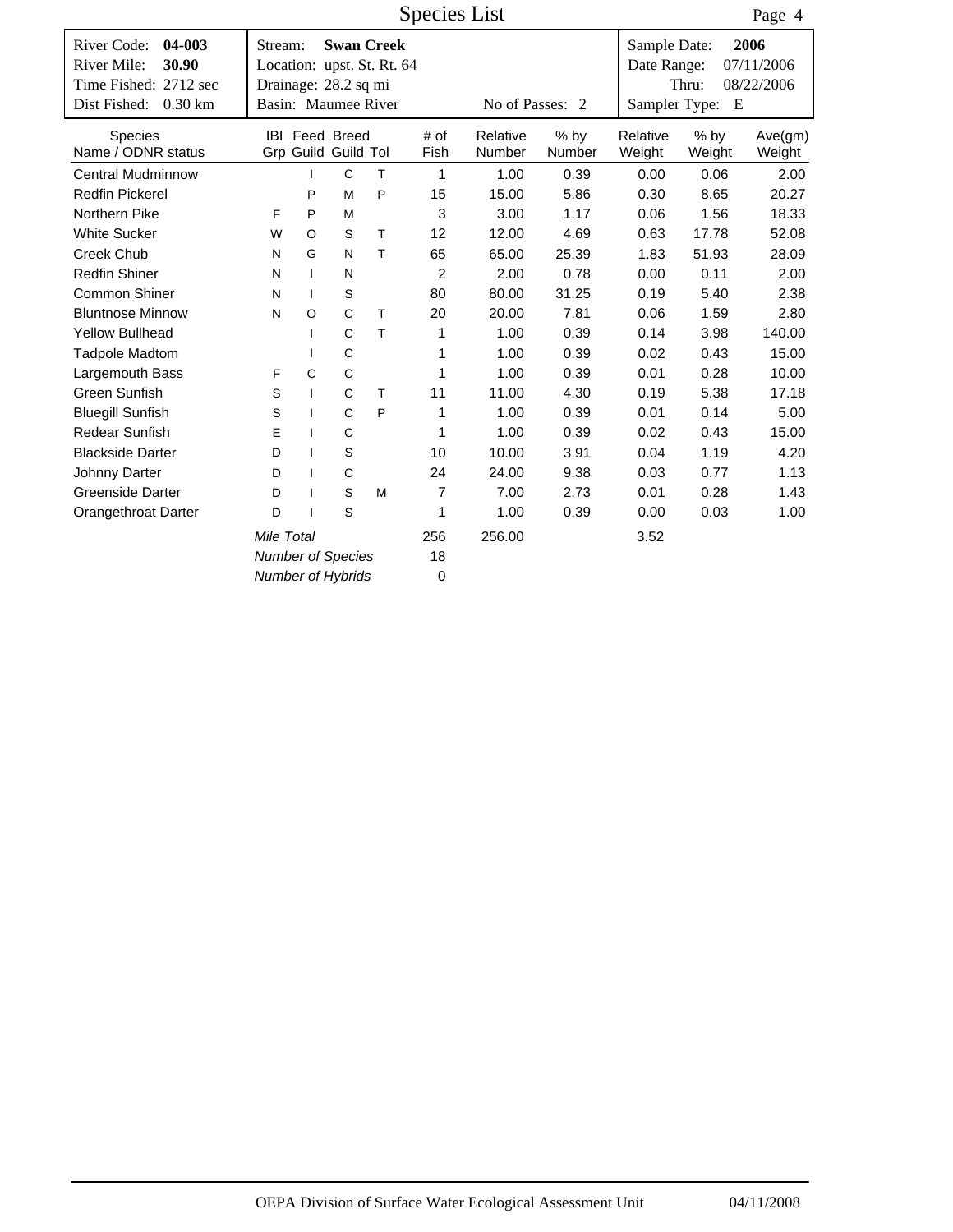|                                   |                            |              |                       |   | <b>Species List</b> |                 |        |               |        | Page 4     |
|-----------------------------------|----------------------------|--------------|-----------------------|---|---------------------|-----------------|--------|---------------|--------|------------|
| 04-003<br>River Code:             | Stream:                    |              | <b>Swan Creek</b>     |   |                     |                 |        | Sample Date:  |        | 2006       |
| River Mile:<br>30.90              | Location: upst. St. Rt. 64 |              |                       |   |                     |                 |        | Date Range:   |        | 07/11/2006 |
| Time Fished: 2712 sec             | Drainage: 28.2 sq mi       |              |                       |   |                     |                 |        |               | Thru:  | 08/22/2006 |
| Dist Fished:<br>$0.30 \text{ km}$ | Basin: Maumee River        |              |                       |   |                     | No of Passes: 2 |        | Sampler Type: | E      |            |
| <b>Species</b>                    |                            |              | <b>IBI</b> Feed Breed |   | # of                | Relative        | $%$ by | Relative      | $%$ by | Ave(gm)    |
| Name / ODNR status                |                            |              | Grp Guild Guild Tol   |   | Fish                | Number          | Number | Weight        | Weight | Weight     |
| <b>Central Mudminnow</b>          |                            |              | $\mathsf{C}$          | T | 1                   | 1.00            | 0.39   | 0.00          | 0.06   | 2.00       |
| <b>Redfin Pickerel</b>            |                            | P            | M                     | P | 15                  | 15.00           | 5.86   | 0.30          | 8.65   | 20.27      |
| Northern Pike                     | F                          | P            | M                     |   | 3                   | 3.00            | 1.17   | 0.06          | 1.56   | 18.33      |
| <b>White Sucker</b>               | W                          | O            | S                     | T | 12                  | 12.00           | 4.69   | 0.63          | 17.78  | 52.08      |
| <b>Creek Chub</b>                 | N                          | G            | N                     | T | 65                  | 65.00           | 25.39  | 1.83          | 51.93  | 28.09      |
| <b>Redfin Shiner</b>              | N                          | $\mathbf{I}$ | N                     |   | 2                   | 2.00            | 0.78   | 0.00          | 0.11   | 2.00       |
| Common Shiner                     | N                          | $\mathbf{I}$ | S                     |   | 80                  | 80.00           | 31.25  | 0.19          | 5.40   | 2.38       |
| <b>Bluntnose Minnow</b>           | N                          | O            | C                     | T | 20                  | 20.00           | 7.81   | 0.06          | 1.59   | 2.80       |
| <b>Yellow Bullhead</b>            |                            |              | C                     | T | 1                   | 1.00            | 0.39   | 0.14          | 3.98   | 140.00     |
| <b>Tadpole Madtom</b>             |                            | ı            | C                     |   | 1                   | 1.00            | 0.39   | 0.02          | 0.43   | 15.00      |
| Largemouth Bass                   | F                          | $\mathsf{C}$ | $\mathsf{C}$          |   | 1                   | 1.00            | 0.39   | 0.01          | 0.28   | 10.00      |
| Green Sunfish                     | S                          | $\mathbf{I}$ | C                     | T | 11                  | 11.00           | 4.30   | 0.19          | 5.38   | 17.18      |
| <b>Bluegill Sunfish</b>           | S                          | $\mathbf{I}$ | $\mathsf{C}$          | P | 1                   | 1.00            | 0.39   | 0.01          | 0.14   | 5.00       |
| <b>Redear Sunfish</b>             | E                          | I            | C                     |   | 1                   | 1.00            | 0.39   | 0.02          | 0.43   | 15.00      |
| <b>Blackside Darter</b>           | D                          | ı            | S                     |   | 10                  | 10.00           | 3.91   | 0.04          | 1.19   | 4.20       |
| Johnny Darter                     | D                          | ı            | C                     |   | 24                  | 24.00           | 9.38   | 0.03          | 0.77   | 1.13       |
| Greenside Darter                  | D                          | I            | S                     | M | 7                   | 7.00            | 2.73   | 0.01          | 0.28   | 1.43       |
| <b>Orangethroat Darter</b>        | D                          | I            | S                     |   | 1                   | 1.00            | 0.39   | 0.00          | 0.03   | 1.00       |
|                                   |                            | 256          | 256.00                |   | 3.52                |                 |        |               |        |            |
|                                   | <b>Number of Species</b>   |              |                       |   | 18                  |                 |        |               |        |            |
|                                   | <b>Number of Hybrids</b>   |              |                       |   | $\mathbf 0$         |                 |        |               |        |            |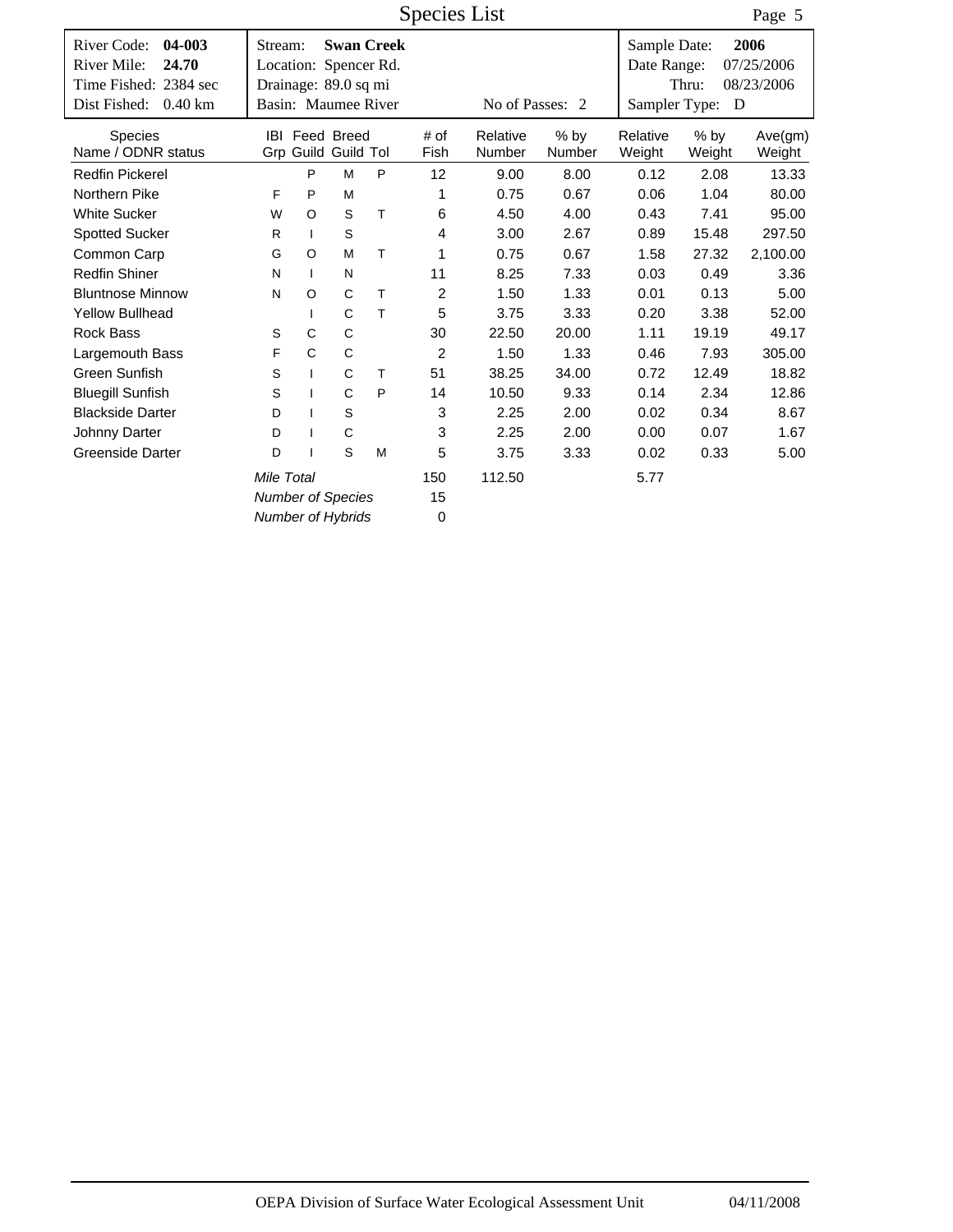|                                                                                                              |         |                          |                                                                      |                   | Species List   |                    |                  |                                              |                  | Page 5                           |
|--------------------------------------------------------------------------------------------------------------|---------|--------------------------|----------------------------------------------------------------------|-------------------|----------------|--------------------|------------------|----------------------------------------------|------------------|----------------------------------|
| River Code:<br>04-003<br>River Mile:<br>24.70<br>Time Fished: 2384 sec<br>Dist Fished:<br>$0.40 \mathrm{km}$ | Stream: |                          | Location: Spencer Rd.<br>Drainage: 89.0 sq mi<br>Basin: Maumee River | <b>Swan Creek</b> |                | No of Passes: 2    |                  | Sample Date:<br>Date Range:<br>Sampler Type: | Thru:<br>D       | 2006<br>07/25/2006<br>08/23/2006 |
| <b>Species</b><br>Name / ODNR status                                                                         |         |                          | <b>IBI</b> Feed Breed<br>Grp Guild Guild Tol                         |                   | # of<br>Fish   | Relative<br>Number | $%$ by<br>Number | Relative<br>Weight                           | $%$ by<br>Weight | Ave(gm)<br>Weight                |
| <b>Redfin Pickerel</b>                                                                                       |         | P                        | M                                                                    | P                 | 12             | 9.00               | 8.00             | 0.12                                         | 2.08             | 13.33                            |
| Northern Pike                                                                                                | F       | P                        | M                                                                    |                   | 1              | 0.75               | 0.67             | 0.06                                         | 1.04             | 80.00                            |
| <b>White Sucker</b>                                                                                          | W       | O                        | S                                                                    | T                 | 6              | 4.50               | 4.00             | 0.43                                         | 7.41             | 95.00                            |
| <b>Spotted Sucker</b>                                                                                        | R       | $\mathbf{I}$             | $\mathsf S$                                                          |                   | 4              | 3.00               | 2.67             | 0.89                                         | 15.48            | 297.50                           |
| Common Carp                                                                                                  | G       | O                        | M                                                                    | T                 | 1              | 0.75               | 0.67             | 1.58                                         | 27.32            | 2,100.00                         |
| <b>Redfin Shiner</b>                                                                                         | N       | $\mathbf{I}$             | N                                                                    |                   | 11             | 8.25               | 7.33             | 0.03                                         | 0.49             | 3.36                             |
| <b>Bluntnose Minnow</b>                                                                                      | N       | $\circ$                  | C                                                                    | T                 | $\overline{2}$ | 1.50               | 1.33             | 0.01                                         | 0.13             | 5.00                             |
| <b>Yellow Bullhead</b>                                                                                       |         | $\mathbf{I}$             | $\mathsf{C}$                                                         | T                 | 5              | 3.75               | 3.33             | 0.20                                         | 3.38             | 52.00                            |
| <b>Rock Bass</b>                                                                                             | S       | C                        | $\mathsf C$                                                          |                   | 30             | 22.50              | 20.00            | 1.11                                         | 19.19            | 49.17                            |
| Largemouth Bass                                                                                              | F       | C                        | C                                                                    |                   | $\overline{2}$ | 1.50               | 1.33             | 0.46                                         | 7.93             | 305.00                           |
| Green Sunfish                                                                                                | S       | $\mathbf{I}$             | $\mathsf{C}$                                                         | T                 | 51             | 38.25              | 34.00            | 0.72                                         | 12.49            | 18.82                            |
| <b>Bluegill Sunfish</b>                                                                                      | S       |                          | $\mathbf C$                                                          | P                 | 14             | 10.50              | 9.33             | 0.14                                         | 2.34             | 12.86                            |
| <b>Blackside Darter</b>                                                                                      | D       | I                        | $\mathsf S$                                                          |                   | 3              | 2.25               | 2.00             | 0.02                                         | 0.34             | 8.67                             |
| Johnny Darter                                                                                                | D       |                          | C                                                                    |                   | 3              | 2.25               | 2.00             | 0.00                                         | 0.07             | 1.67                             |
| <b>Greenside Darter</b>                                                                                      | D       |                          | S                                                                    | M                 | 5              | 3.75               | 3.33             | 0.02                                         | 0.33             | 5.00                             |
| Mile Total                                                                                                   |         |                          |                                                                      |                   | 150            | 112.50             |                  | 5.77                                         |                  |                                  |
|                                                                                                              |         | <b>Number of Species</b> |                                                                      | 15                |                |                    |                  |                                              |                  |                                  |
|                                                                                                              |         |                          | <b>Number of Hybrids</b>                                             |                   | 0              |                    |                  |                                              |                  |                                  |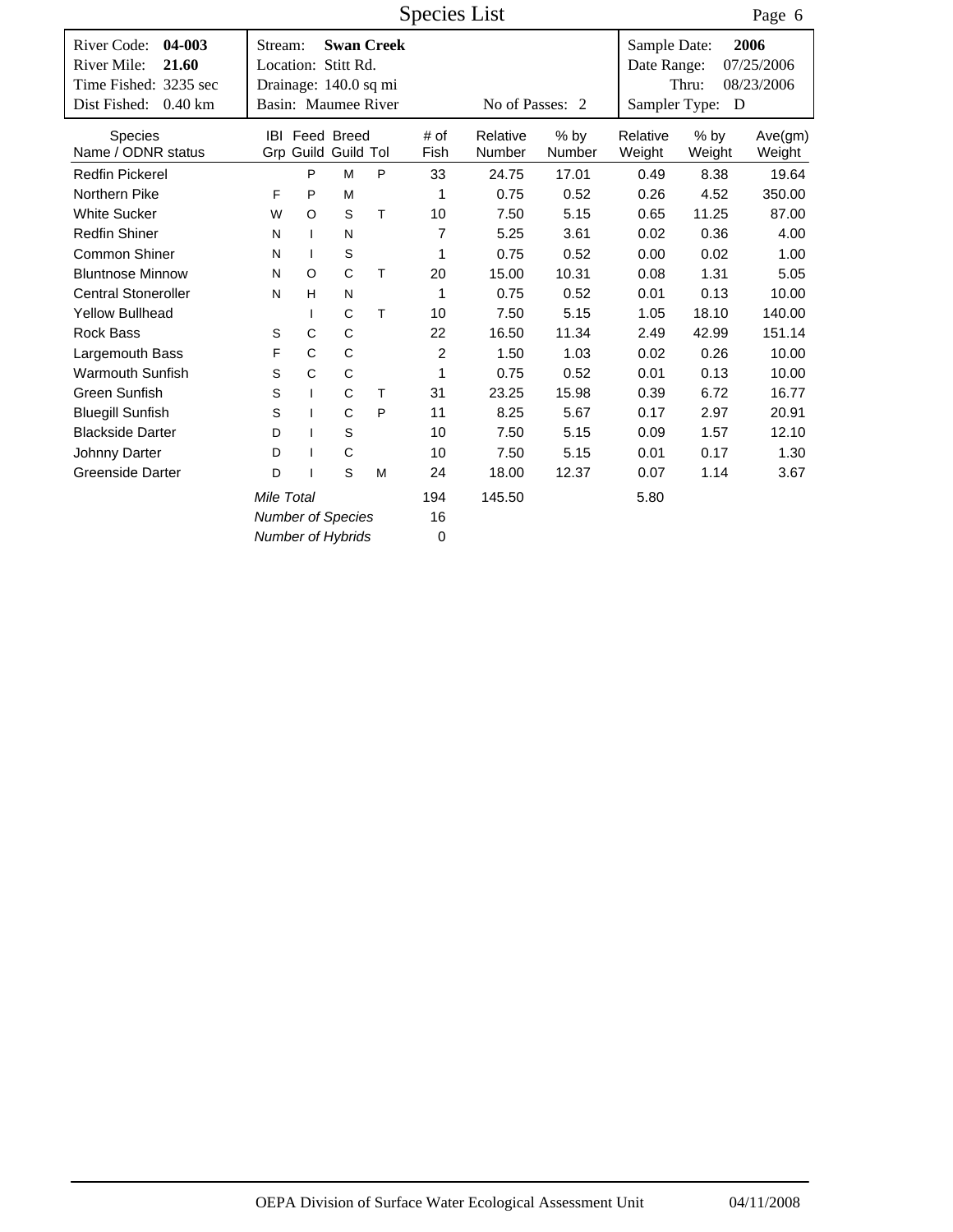|                                               |                                |              |                       |                   | Species List   |                 |        |                             |        | Page 6             |
|-----------------------------------------------|--------------------------------|--------------|-----------------------|-------------------|----------------|-----------------|--------|-----------------------------|--------|--------------------|
| River Code:<br>04-003<br>River Mile:<br>21.60 | Stream:<br>Location: Stitt Rd. |              |                       | <b>Swan Creek</b> |                |                 |        | Sample Date:<br>Date Range: |        | 2006<br>07/25/2006 |
| Time Fished: 3235 sec                         | Drainage: 140.0 sq mi          |              |                       |                   |                |                 |        |                             | Thru:  | 08/23/2006         |
| Dist Fished:<br>$0.40$ km                     | Basin: Maumee River            |              |                       |                   |                | No of Passes: 2 |        | Sampler Type:               | D      |                    |
|                                               |                                |              |                       |                   |                |                 |        |                             |        |                    |
| <b>Species</b>                                |                                |              | <b>IBI</b> Feed Breed |                   | # of           | Relative        | $%$ by | Relative                    | $%$ by | Ave(gm)            |
| Name / ODNR status                            |                                |              | Grp Guild Guild Tol   |                   | Fish           | Number          | Number | Weight                      | Weight | Weight             |
| <b>Redfin Pickerel</b>                        |                                | P            | M                     | P                 | 33             | 24.75           | 17.01  | 0.49                        | 8.38   | 19.64              |
| Northern Pike                                 | F                              | P            | M                     |                   | 1              | 0.75            | 0.52   | 0.26                        | 4.52   | 350.00             |
| <b>White Sucker</b>                           | W                              | O            | S                     | Τ                 | 10             | 7.50            | 5.15   | 0.65                        | 11.25  | 87.00              |
| <b>Redfin Shiner</b>                          | N                              | $\mathbf{I}$ | N                     |                   | $\overline{7}$ | 5.25            | 3.61   | 0.02                        | 0.36   | 4.00               |
| Common Shiner                                 | N                              | $\mathbf{I}$ | $\mathbb S$           |                   | 1              | 0.75            | 0.52   | 0.00                        | 0.02   | 1.00               |
| <b>Bluntnose Minnow</b>                       | N                              | $\circ$      | C                     | T                 | 20             | 15.00           | 10.31  | 0.08                        | 1.31   | 5.05               |
| <b>Central Stoneroller</b>                    | N                              | H            | N                     |                   | 1              | 0.75            | 0.52   | 0.01                        | 0.13   | 10.00              |
| <b>Yellow Bullhead</b>                        |                                | $\mathbf{I}$ | C                     | T                 | 10             | 7.50            | 5.15   | 1.05                        | 18.10  | 140.00             |
| <b>Rock Bass</b>                              | S                              | C            | C                     |                   | 22             | 16.50           | 11.34  | 2.49                        | 42.99  | 151.14             |
| Largemouth Bass                               | F                              | C            | C                     |                   | 2              | 1.50            | 1.03   | 0.02                        | 0.26   | 10.00              |
| <b>Warmouth Sunfish</b>                       | S                              | C            | C                     |                   | 1              | 0.75            | 0.52   | 0.01                        | 0.13   | 10.00              |
| Green Sunfish                                 | S                              | $\mathbf{I}$ | C                     | T                 | 31             | 23.25           | 15.98  | 0.39                        | 6.72   | 16.77              |
| <b>Bluegill Sunfish</b>                       | S                              | $\mathbf{I}$ | C                     | P                 | 11             | 8.25            | 5.67   | 0.17                        | 2.97   | 20.91              |
| <b>Blackside Darter</b>                       | D                              |              | S                     |                   | 10             | 7.50            | 5.15   | 0.09                        | 1.57   | 12.10              |
| Johnny Darter                                 | D                              | I            | $\mathsf C$           |                   | 10             | 7.50            | 5.15   | 0.01                        | 0.17   | 1.30               |
| <b>Greenside Darter</b>                       | D                              |              | S                     | M                 | 24             | 18.00           | 12.37  | 0.07                        | 1.14   | 3.67               |
|                                               | Mile Total                     |              |                       |                   | 194            | 145.50          |        | 5.80                        |        |                    |
|                                               | <b>Number of Species</b>       |              | 16                    |                   |                |                 |        |                             |        |                    |
|                                               | <b>Number of Hybrids</b>       |              |                       |                   | $\mathbf 0$    |                 |        |                             |        |                    |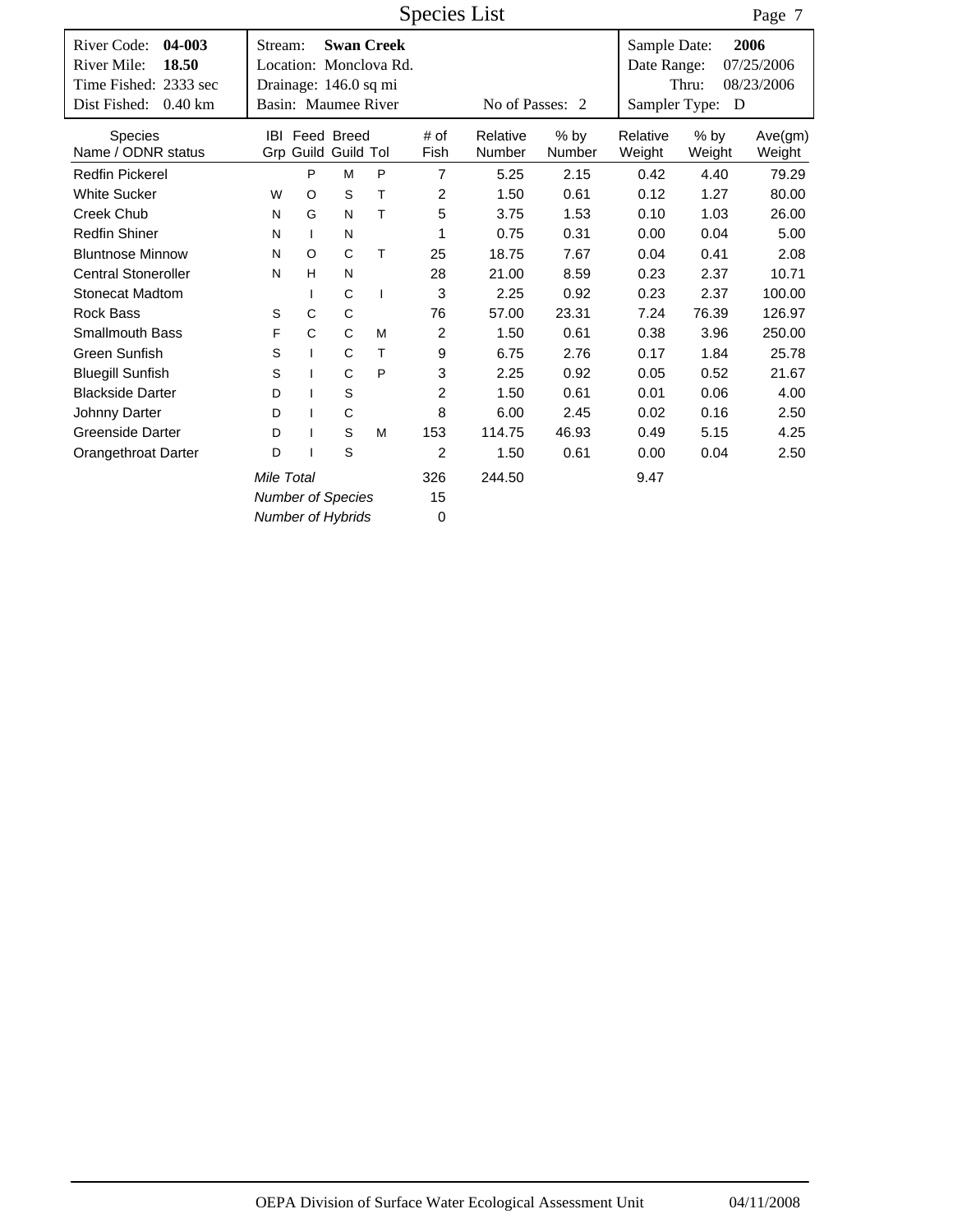|                                                                                                              |         |              |                                              |                                             | Species List   |                    |                         |                                              |                  | Page 7                           |
|--------------------------------------------------------------------------------------------------------------|---------|--------------|----------------------------------------------|---------------------------------------------|----------------|--------------------|-------------------------|----------------------------------------------|------------------|----------------------------------|
| River Code:<br>04-003<br>River Mile:<br>18.50<br>Time Fished: 2333 sec<br>Dist Fished:<br>$0.40 \mathrm{km}$ | Stream: |              | Drainage: 146.0 sq mi<br>Basin: Maumee River | <b>Swan Creek</b><br>Location: Monclova Rd. |                | No of Passes: 2    |                         | Sample Date:<br>Date Range:<br>Sampler Type: | Thru:<br>D       | 2006<br>07/25/2006<br>08/23/2006 |
| <b>Species</b><br>Name / ODNR status                                                                         |         |              | <b>IBI</b> Feed Breed<br>Grp Guild Guild Tol |                                             | # of<br>Fish   | Relative<br>Number | $%$ by<br><b>Number</b> | Relative<br>Weight                           | $%$ by<br>Weight | Ave(gm)<br>Weight                |
| <b>Redfin Pickerel</b>                                                                                       |         | P            | M                                            | P                                           | $\overline{7}$ | 5.25               | 2.15                    | 0.42                                         | 4.40             | 79.29                            |
| <b>White Sucker</b>                                                                                          | W       | $\circ$      | S                                            | T                                           | 2              | 1.50               | 0.61                    | 0.12                                         | 1.27             | 80.00                            |
| <b>Creek Chub</b>                                                                                            | N       | G            | N                                            | T                                           | 5              | 3.75               | 1.53                    | 0.10                                         | 1.03             | 26.00                            |
| <b>Redfin Shiner</b>                                                                                         | N       | $\mathbf{I}$ | N                                            |                                             | 1              | 0.75               | 0.31                    | 0.00                                         | 0.04             | 5.00                             |
| <b>Bluntnose Minnow</b>                                                                                      | N       | $\circ$      | C                                            | T                                           | 25             | 18.75              | 7.67                    | 0.04                                         | 0.41             | 2.08                             |
| <b>Central Stoneroller</b>                                                                                   | N       | H            | N                                            |                                             | 28             | 21.00              | 8.59                    | 0.23                                         | 2.37             | 10.71                            |
| <b>Stonecat Madtom</b>                                                                                       |         | $\mathbf{I}$ | C                                            | $\mathbf{I}$                                | 3              | 2.25               | 0.92                    | 0.23                                         | 2.37             | 100.00                           |
| <b>Rock Bass</b>                                                                                             | S       | C            | $\mathbf C$                                  |                                             | 76             | 57.00              | 23.31                   | 7.24                                         | 76.39            | 126.97                           |
| <b>Smallmouth Bass</b>                                                                                       | F       | C            | C                                            | M                                           | 2              | 1.50               | 0.61                    | 0.38                                         | 3.96             | 250.00                           |
| <b>Green Sunfish</b>                                                                                         | S       | $\mathbf{I}$ | C                                            | T                                           | 9              | 6.75               | 2.76                    | 0.17                                         | 1.84             | 25.78                            |
| <b>Bluegill Sunfish</b>                                                                                      | S       | $\mathbf{I}$ | C                                            | P                                           | 3              | 2.25               | 0.92                    | 0.05                                         | 0.52             | 21.67                            |
| <b>Blackside Darter</b>                                                                                      | D       | $\mathbf{I}$ | $\mathbb S$                                  |                                             | $\overline{c}$ | 1.50               | 0.61                    | 0.01                                         | 0.06             | 4.00                             |
| Johnny Darter                                                                                                | D       | $\mathbf{I}$ | C                                            |                                             | 8              | 6.00               | 2.45                    | 0.02                                         | 0.16             | 2.50                             |
| <b>Greenside Darter</b>                                                                                      | D       | $\mathbf{I}$ | S                                            | M                                           | 153            | 114.75             | 46.93                   | 0.49                                         | 5.15             | 4.25                             |
| Orangethroat Darter                                                                                          | D       |              | S                                            |                                             | $\overline{2}$ | 1.50               | 0.61                    | 0.00                                         | 0.04             | 2.50                             |
|                                                                                                              |         | 326          | 244.50                                       |                                             | 9.47           |                    |                         |                                              |                  |                                  |
|                                                                                                              |         |              | <b>Number of Species</b>                     |                                             | 15             |                    |                         |                                              |                  |                                  |
|                                                                                                              |         |              | <b>Number of Hybrids</b>                     |                                             | 0              |                    |                         |                                              |                  |                                  |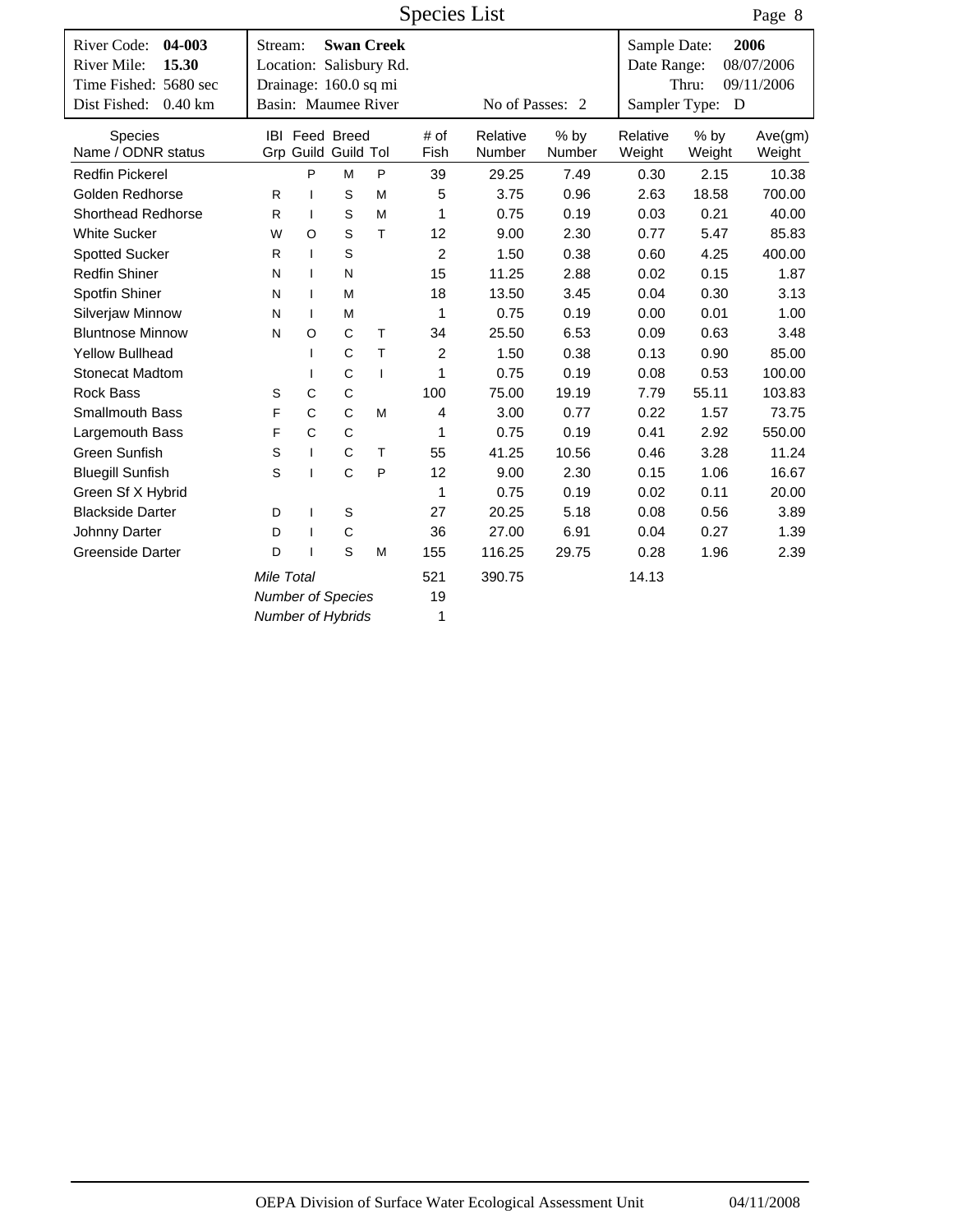|                                                                        |                                  |              |                                              |                                              | <b>Species List</b> |                    |                  |                             |                  | Page 8                           |
|------------------------------------------------------------------------|----------------------------------|--------------|----------------------------------------------|----------------------------------------------|---------------------|--------------------|------------------|-----------------------------|------------------|----------------------------------|
| River Code:<br>04-003<br>River Mile:<br>15.30<br>Time Fished: 5680 sec | Stream:<br>Drainage: 160.0 sq mi |              |                                              | <b>Swan Creek</b><br>Location: Salisbury Rd. |                     |                    |                  | Sample Date:<br>Date Range: | Thru:            | 2006<br>08/07/2006<br>09/11/2006 |
| Dist Fished:<br>$0.40$ km                                              | Basin: Maumee River              |              |                                              |                                              |                     | No of Passes: 2    |                  | Sampler Type:               | D                |                                  |
| <b>Species</b><br>Name / ODNR status                                   |                                  |              | <b>IBI</b> Feed Breed<br>Grp Guild Guild Tol |                                              | # of<br>Fish        | Relative<br>Number | $%$ by<br>Number | Relative<br>Weight          | $%$ by<br>Weight | Ave(gm)<br>Weight                |
| <b>Redfin Pickerel</b>                                                 |                                  | P            | M                                            | P                                            | 39                  | 29.25              | 7.49             | 0.30                        | 2.15             | 10.38                            |
| Golden Redhorse                                                        | R                                | $\mathbf{I}$ | S                                            | M                                            | 5                   | 3.75               | 0.96             | 2.63                        | 18.58            | 700.00                           |
| <b>Shorthead Redhorse</b>                                              | R                                | $\mathbf{I}$ | S                                            | M                                            | 1                   | 0.75               | 0.19             | 0.03                        | 0.21             | 40.00                            |
| <b>White Sucker</b>                                                    | W                                | $\circ$      | S                                            | Τ                                            | 12                  | 9.00               | 2.30             | 0.77                        | 5.47             | 85.83                            |
| <b>Spotted Sucker</b>                                                  | R                                | $\mathbf{I}$ | $\mathsf S$                                  |                                              | $\overline{2}$      | 1.50               | 0.38             | 0.60                        | 4.25             | 400.00                           |
| <b>Redfin Shiner</b>                                                   | N                                | $\mathbf{I}$ | N                                            |                                              | 15                  | 11.25              | 2.88             | 0.02                        | 0.15             | 1.87                             |
| Spotfin Shiner                                                         | N                                | $\mathbf{I}$ | M                                            |                                              | 18                  | 13.50              | 3.45             | 0.04                        | 0.30             | 3.13                             |
| Silverjaw Minnow                                                       | N                                | $\mathbf{I}$ | M                                            |                                              | 1                   | 0.75               | 0.19             | 0.00                        | 0.01             | 1.00                             |
| <b>Bluntnose Minnow</b>                                                | N                                | $\circ$      | C                                            | T                                            | 34                  | 25.50              | 6.53             | 0.09                        | 0.63             | 3.48                             |
| <b>Yellow Bullhead</b>                                                 |                                  | $\mathsf{I}$ | C                                            | T                                            | $\overline{2}$      | 1.50               | 0.38             | 0.13                        | 0.90             | 85.00                            |
| <b>Stonecat Madtom</b>                                                 |                                  | $\mathbf{I}$ | C                                            | $\mathbf{I}$                                 | 1                   | 0.75               | 0.19             | 0.08                        | 0.53             | 100.00                           |
| <b>Rock Bass</b>                                                       | S                                | C            | $\mathsf C$                                  |                                              | 100                 | 75.00              | 19.19            | 7.79                        | 55.11            | 103.83                           |
| Smallmouth Bass                                                        | F                                | C            | C                                            | M                                            | 4                   | 3.00               | 0.77             | 0.22                        | 1.57             | 73.75                            |
| Largemouth Bass                                                        | F                                | $\mathsf{C}$ | $\mathsf{C}$                                 |                                              | 1                   | 0.75               | 0.19             | 0.41                        | 2.92             | 550.00                           |
| Green Sunfish                                                          | S                                | $\mathbf{I}$ | C                                            | $\top$                                       | 55                  | 41.25              | 10.56            | 0.46                        | 3.28             | 11.24                            |
| <b>Bluegill Sunfish</b>                                                | S                                | $\mathsf{I}$ | $\mathsf{C}$                                 | P                                            | 12                  | 9.00               | 2.30             | 0.15                        | 1.06             | 16.67                            |
| Green Sf X Hybrid                                                      |                                  |              |                                              |                                              | 1                   | 0.75               | 0.19             | 0.02                        | 0.11             | 20.00                            |
| <b>Blackside Darter</b>                                                | D                                | $\mathbf{I}$ | S                                            |                                              | 27                  | 20.25              | 5.18             | 0.08                        | 0.56             | 3.89                             |
| Johnny Darter                                                          | D                                | $\mathbf{I}$ | C                                            |                                              | 36                  | 27.00              | 6.91             | 0.04                        | 0.27             | 1.39                             |
| <b>Greenside Darter</b>                                                | D                                | I            | S                                            | M                                            | 155                 | 116.25             | 29.75            | 0.28                        | 1.96             | 2.39                             |
|                                                                        | Mile Total                       |              |                                              |                                              |                     | 390.75             |                  | 14.13                       |                  |                                  |
|                                                                        | <b>Number of Species</b>         |              |                                              |                                              | 19                  |                    |                  |                             |                  |                                  |
|                                                                        | Number of Hybrids                |              |                                              |                                              | 1                   |                    |                  |                             |                  |                                  |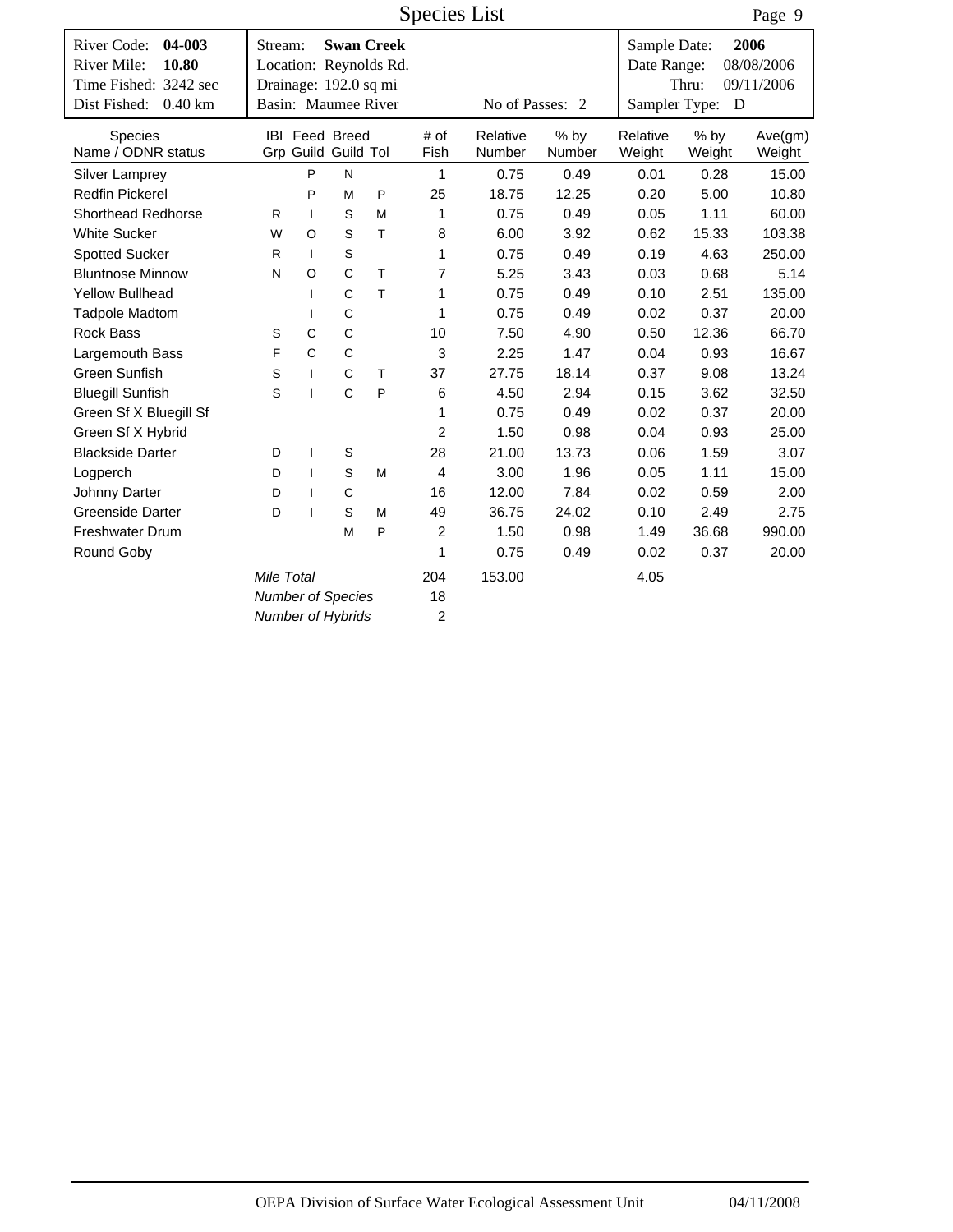|                                               |                          |                          |                                              |                                             | <b>Species List</b> |                    |                       |                             |                  | Page 9             |
|-----------------------------------------------|--------------------------|--------------------------|----------------------------------------------|---------------------------------------------|---------------------|--------------------|-----------------------|-----------------------------|------------------|--------------------|
| River Code:<br>04-003<br>River Mile:<br>10.80 | Stream:                  |                          |                                              | <b>Swan Creek</b><br>Location: Reynolds Rd. |                     |                    |                       | Sample Date:<br>Date Range: |                  | 2006<br>08/08/2006 |
| Time Fished: 3242 sec                         | Drainage: 192.0 sq mi    |                          |                                              |                                             |                     |                    |                       |                             | Thru:            | 09/11/2006         |
| Dist Fished:<br>$0.40$ km                     | Basin: Maumee River      |                          |                                              |                                             |                     | No of Passes: 2    |                       | Sampler Type:               | D                |                    |
| Species<br>Name / ODNR status                 |                          |                          | <b>IBI</b> Feed Breed<br>Grp Guild Guild Tol |                                             | # of<br>Fish        | Relative<br>Number | % by<br><b>Number</b> | Relative<br>Weight          | $%$ by<br>Weight | Ave(gm)<br>Weight  |
| <b>Silver Lamprey</b>                         |                          | P                        | N                                            |                                             | 1                   | 0.75               | 0.49                  | 0.01                        | 0.28             | 15.00              |
| <b>Redfin Pickerel</b>                        |                          | P                        | M                                            | P                                           | 25                  | 18.75              | 12.25                 | 0.20                        | 5.00             | 10.80              |
| <b>Shorthead Redhorse</b>                     | R.                       | $\mathbf{I}$             | S                                            | M                                           | 1                   | 0.75               | 0.49                  | 0.05                        | 1.11             | 60.00              |
| <b>White Sucker</b>                           | W                        | $\Omega$                 | S                                            | T                                           | 8                   | 6.00               | 3.92                  | 0.62                        | 15.33            | 103.38             |
| <b>Spotted Sucker</b>                         | R.                       | $\mathbf{I}$             | $\mathsf S$                                  |                                             | 1                   | 0.75               | 0.49                  | 0.19                        | 4.63             | 250.00             |
| <b>Bluntnose Minnow</b>                       | N                        | $\circ$                  | $\mathsf{C}$                                 | T.                                          | $\overline{7}$      | 5.25               | 3.43                  | 0.03                        | 0.68             | 5.14               |
| <b>Yellow Bullhead</b>                        |                          | $\mathbf{I}$             | C                                            | T                                           | 1                   | 0.75               | 0.49                  | 0.10                        | 2.51             | 135.00             |
| <b>Tadpole Madtom</b>                         |                          | $\mathbf{I}$             | $\mathsf C$                                  |                                             | 1                   | 0.75               | 0.49                  | 0.02                        | 0.37             | 20.00              |
| <b>Rock Bass</b>                              | S                        | C                        | C                                            |                                             | 10                  | 7.50               | 4.90                  | 0.50                        | 12.36            | 66.70              |
| Largemouth Bass                               | F                        | $\mathsf{C}$             | C                                            |                                             | 3                   | 2.25               | 1.47                  | 0.04                        | 0.93             | 16.67              |
| Green Sunfish                                 | S                        | $\mathbf{I}$             | $\mathsf{C}$                                 | T                                           | 37                  | 27.75              | 18.14                 | 0.37                        | 9.08             | 13.24              |
| <b>Bluegill Sunfish</b>                       | S                        | $\mathbf{I}$             | $\mathsf{C}$                                 | P                                           | 6                   | 4.50               | 2.94                  | 0.15                        | 3.62             | 32.50              |
| Green Sf X Bluegill Sf                        |                          |                          |                                              |                                             | 1                   | 0.75               | 0.49                  | 0.02                        | 0.37             | 20.00              |
| Green Sf X Hybrid                             |                          |                          |                                              |                                             | $\overline{2}$      | 1.50               | 0.98                  | 0.04                        | 0.93             | 25.00              |
| <b>Blackside Darter</b>                       | D                        | $\mathbf{I}$             | S                                            |                                             | 28                  | 21.00              | 13.73                 | 0.06                        | 1.59             | 3.07               |
| Logperch                                      | D                        | $\mathbf{I}$             | S                                            | M                                           | $\overline{4}$      | 3.00               | 1.96                  | 0.05                        | 1.11             | 15.00              |
| Johnny Darter                                 | D                        | $\mathbf{I}$             | $\mathsf C$                                  |                                             | 16                  | 12.00              | 7.84                  | 0.02                        | 0.59             | 2.00               |
| <b>Greenside Darter</b>                       | D                        | $\overline{\phantom{a}}$ | S                                            | м                                           | 49                  | 36.75              | 24.02                 | 0.10                        | 2.49             | 2.75               |
| <b>Freshwater Drum</b>                        |                          |                          | M                                            | P                                           | $\overline{c}$      | 1.50               | 0.98                  | 1.49                        | 36.68            | 990.00             |
| Round Goby                                    |                          |                          |                                              |                                             | 1                   | 0.75               | 0.49                  | 0.02                        | 0.37             | 20.00              |
|                                               |                          | 204                      | 153.00                                       |                                             | 4.05                |                    |                       |                             |                  |                    |
|                                               | <b>Number of Species</b> |                          |                                              |                                             | 18                  |                    |                       |                             |                  |                    |
|                                               | <b>Number of Hybrids</b> |                          |                                              |                                             | $\overline{c}$      |                    |                       |                             |                  |                    |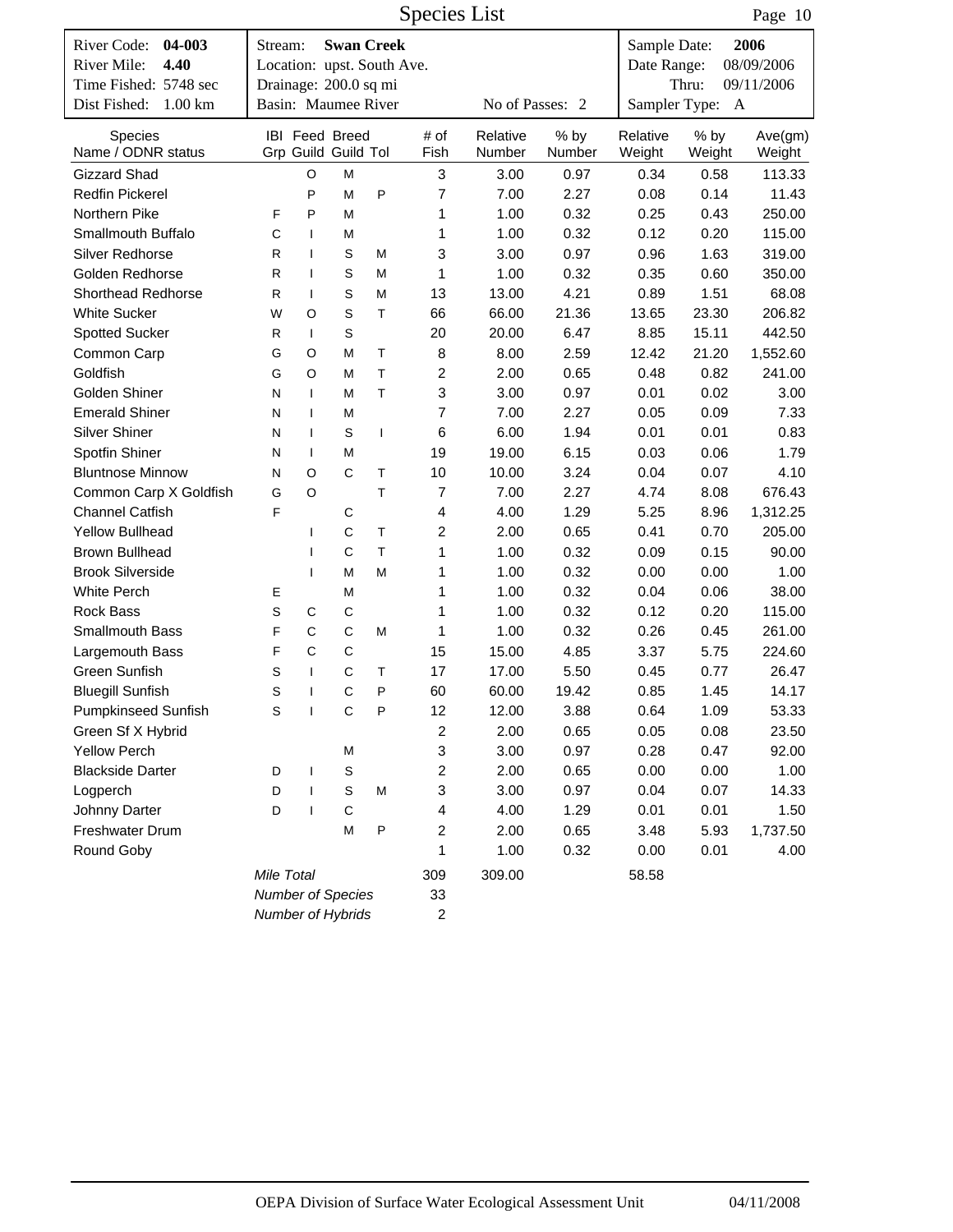|                                                                       |                   |              |                                                                          |                          | <b>Species List</b> |                    |                |                             |                  | Page 10                          |
|-----------------------------------------------------------------------|-------------------|--------------|--------------------------------------------------------------------------|--------------------------|---------------------|--------------------|----------------|-----------------------------|------------------|----------------------------------|
| River Code:<br>04-003<br>River Mile:<br>4.40<br>Time Fished: 5748 sec | Stream:           |              | <b>Swan Creek</b><br>Location: upst. South Ave.<br>Drainage: 200.0 sq mi |                          |                     |                    |                | Sample Date:<br>Date Range: | Thru:            | 2006<br>08/09/2006<br>09/11/2006 |
| Dist Fished:<br>$1.00 \mathrm{km}$                                    |                   |              | Basin: Maumee River                                                      |                          |                     | No of Passes: 2    |                | Sampler Type:               | A                |                                  |
| Species<br>Name / ODNR status                                         |                   |              | <b>IBI Feed Breed</b><br>Grp Guild Guild Tol                             |                          | # of<br>Fish        | Relative<br>Number | % by<br>Number | Relative<br>Weight          | $%$ by<br>Weight | Ave(gm)<br>Weight                |
| <b>Gizzard Shad</b>                                                   |                   | O            | М                                                                        |                          | 3                   | 3.00               | 0.97           | 0.34                        | 0.58             | 113.33                           |
| <b>Redfin Pickerel</b>                                                |                   | P            | M                                                                        | P                        | 7                   | 7.00               | 2.27           | 0.08                        | 0.14             | 11.43                            |
| Northern Pike                                                         | F                 | P            | M                                                                        |                          | 1                   | 1.00               | 0.32           | 0.25                        | 0.43             | 250.00                           |
| Smallmouth Buffalo                                                    | C                 | $\mathbf{I}$ | М                                                                        |                          | 1                   | 1.00               | 0.32           | 0.12                        | 0.20             | 115.00                           |
| <b>Silver Redhorse</b>                                                | R                 | $\mathbf{I}$ | S                                                                        | M                        | 3                   | 3.00               | 0.97           | 0.96                        | 1.63             | 319.00                           |
| Golden Redhorse                                                       | R                 | $\mathbf{I}$ | $\mathbb S$                                                              | М                        | 1                   | 1.00               | 0.32           | 0.35                        | 0.60             | 350.00                           |
| <b>Shorthead Redhorse</b>                                             | R                 | $\mathbf{I}$ | S                                                                        | Μ                        | 13                  | 13.00              | 4.21           | 0.89                        | 1.51             | 68.08                            |
| <b>White Sucker</b>                                                   | W                 | O            | $\mathsf S$                                                              | T                        | 66                  | 66.00              | 21.36          | 13.65                       | 23.30            | 206.82                           |
| <b>Spotted Sucker</b>                                                 | R                 | $\mathbf{I}$ | S                                                                        |                          | 20                  | 20.00              | 6.47           | 8.85                        | 15.11            | 442.50                           |
| Common Carp                                                           | G                 | O            | M                                                                        | T                        | 8                   | 8.00               | 2.59           | 12.42                       | 21.20            | 1,552.60                         |
| Goldfish                                                              | G                 | O            | M                                                                        | T                        | 2                   | 2.00               | 0.65           | 0.48                        | 0.82             | 241.00                           |
| Golden Shiner                                                         | N                 | $\mathbf{I}$ | М                                                                        | T                        | 3                   | 3.00               | 0.97           | 0.01                        | 0.02             | 3.00                             |
| <b>Emerald Shiner</b>                                                 | N                 | $\mathbf{I}$ | М                                                                        |                          | 7                   | 7.00               | 2.27           | 0.05                        | 0.09             | 7.33                             |
| <b>Silver Shiner</b>                                                  | N                 | $\mathbf{I}$ | S                                                                        | $\overline{\phantom{a}}$ | 6                   | 6.00               | 1.94           | 0.01                        | 0.01             | 0.83                             |
| Spotfin Shiner                                                        | N                 | $\mathbf{I}$ | М                                                                        |                          | 19                  | 19.00              | 6.15           | 0.03                        | 0.06             | 1.79                             |
| <b>Bluntnose Minnow</b>                                               | N                 | $\circ$      | $\mathsf{C}$                                                             | T                        | 10                  | 10.00              | 3.24           | 0.04                        | 0.07             | 4.10                             |
| Common Carp X Goldfish                                                | G                 | O            |                                                                          | T                        | 7                   | 7.00               | 2.27           | 4.74                        | 8.08             | 676.43                           |
| <b>Channel Catfish</b>                                                | F                 |              | C                                                                        |                          | 4                   | 4.00               | 1.29           | 5.25                        | 8.96             | 1,312.25                         |
| <b>Yellow Bullhead</b>                                                |                   | I            | $\mathsf{C}$                                                             | T                        | 2                   | 2.00               | 0.65           | 0.41                        | 0.70             | 205.00                           |
| <b>Brown Bullhead</b>                                                 |                   | $\mathsf{I}$ | $\mathsf{C}$                                                             | T                        | 1                   | 1.00               | 0.32           | 0.09                        | 0.15             | 90.00                            |
| <b>Brook Silverside</b>                                               |                   | $\mathbf{I}$ | M                                                                        | М                        | 1                   | 1.00               | 0.32           | 0.00                        | 0.00             | 1.00                             |
| White Perch                                                           | Е                 |              | М                                                                        |                          | 1                   | 1.00               | 0.32           | 0.04                        | 0.06             | 38.00                            |
| <b>Rock Bass</b>                                                      | S                 | C            | C                                                                        |                          | 1                   | 1.00               | 0.32           | 0.12                        | 0.20             | 115.00                           |
| Smallmouth Bass                                                       | F                 | $\mathsf C$  | $\mathsf{C}$                                                             | M                        | 1                   | 1.00               | 0.32           | 0.26                        | 0.45             | 261.00                           |
| Largemouth Bass                                                       | F                 | C            | C                                                                        |                          | 15                  | 15.00              | 4.85           | 3.37                        | 5.75             | 224.60                           |
| Green Sunfish                                                         | S                 | $\mathbf{I}$ | C                                                                        | T                        | 17                  | 17.00              | 5.50           | 0.45                        | 0.77             | 26.47                            |
| <b>Bluegill Sunfish</b>                                               | S                 | $\mathbf{I}$ | C                                                                        | P                        | 60                  | 60.00              | 19.42          | 0.85                        | 1.45             | 14.17                            |
| <b>Pumpkinseed Sunfish</b>                                            | $\mathbb S$       | $\mathbf{I}$ | $\mathsf C$                                                              | $\mathsf{P}$             | 12                  | 12.00              | 3.88           | 0.64                        | 1.09             | 53.33                            |
| Green Sf X Hybrid                                                     |                   |              |                                                                          |                          | $\overline{c}$      | 2.00               | 0.65           | 0.05                        | 0.08             | 23.50                            |
| <b>Yellow Perch</b>                                                   |                   |              | M                                                                        |                          | 3                   | 3.00               | 0.97           | 0.28                        | 0.47             | 92.00                            |
| <b>Blackside Darter</b>                                               | D                 | $\mathbf{I}$ | $\mbox{\bf S}$                                                           |                          | 2                   | 2.00               | 0.65           | 0.00                        | 0.00             | 1.00                             |
| Logperch                                                              | D                 | $\mathbf{I}$ | $\mathbb S$                                                              | M                        | 3                   | 3.00               | 0.97           | 0.04                        | 0.07             | 14.33                            |
| Johnny Darter                                                         | D                 | $\mathbf{I}$ | $\mathsf C$                                                              |                          | 4                   | 4.00               | 1.29           | 0.01                        | 0.01             | 1.50                             |
| Freshwater Drum                                                       |                   |              | M                                                                        | $\mathsf{P}$             | 2                   | 2.00               | 0.65           | 3.48                        | 5.93             | 1,737.50                         |
| Round Goby                                                            |                   |              |                                                                          |                          | 1                   | 1.00               | 0.32           | 0.00                        | 0.01             | 4.00                             |
|                                                                       |                   |              |                                                                          |                          |                     |                    |                |                             |                  |                                  |
|                                                                       | Mile Total        |              |                                                                          |                          | 309                 | 309.00             |                | 58.58                       |                  |                                  |
|                                                                       | Number of Species |              |                                                                          |                          | 33                  |                    |                |                             |                  |                                  |
|                                                                       | Number of Hybrids |              |                                                                          |                          | $\overline{c}$      |                    |                |                             |                  |                                  |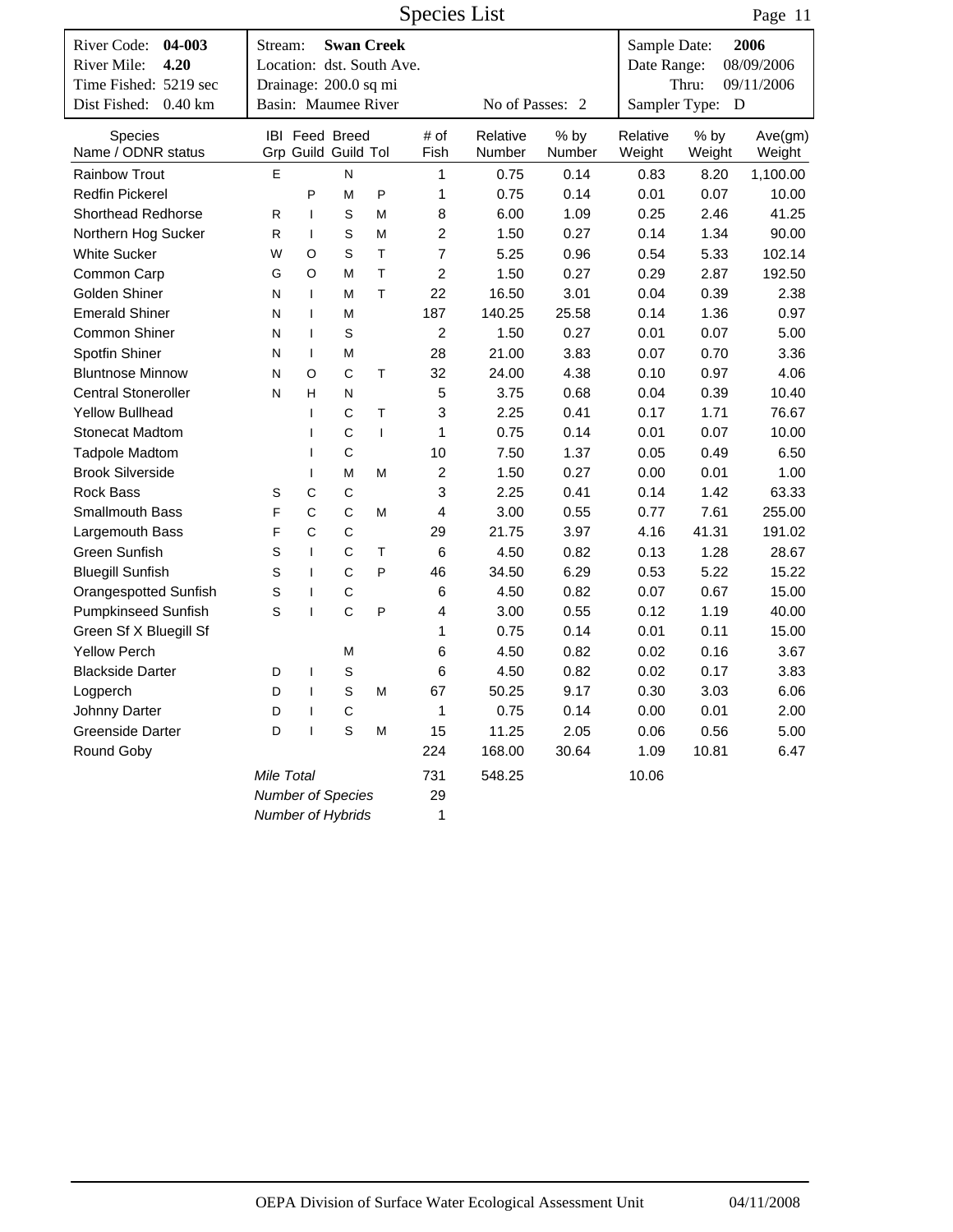|                                      |                                   |                          |                                              |                           | <b>Species List</b> |                    |                |                    |                  | Page 11           |
|--------------------------------------|-----------------------------------|--------------------------|----------------------------------------------|---------------------------|---------------------|--------------------|----------------|--------------------|------------------|-------------------|
| 04-003<br>River Code:                | Stream:                           |                          |                                              | <b>Swan Creek</b>         |                     |                    |                | Sample Date:       |                  | 2006              |
| River Mile:<br>4.20                  |                                   |                          |                                              | Location: dst. South Ave. |                     |                    | Date Range:    |                    | 08/09/2006       |                   |
| Time Fished: 5219 sec                | Drainage: 200.0 sq mi             |                          |                                              |                           |                     |                    |                |                    | Thru:            | 09/11/2006        |
| Dist Fished: 0.40 km                 | Basin: Maumee River               |                          |                                              |                           |                     | No of Passes: 2    |                | Sampler Type:      | $\mathbf{D}$     |                   |
| <b>Species</b><br>Name / ODNR status |                                   |                          | <b>IBI</b> Feed Breed<br>Grp Guild Guild Tol |                           | # of<br>Fish        | Relative<br>Number | % by<br>Number | Relative<br>Weight | $%$ by<br>Weight | Ave(gm)<br>Weight |
| <b>Rainbow Trout</b>                 | E                                 |                          | N                                            |                           | 1                   | 0.75               | 0.14           | 0.83               | 8.20             | 1,100.00          |
| <b>Redfin Pickerel</b>               |                                   | P                        | M                                            | P                         | 1                   | 0.75               | 0.14           | 0.01               | 0.07             | 10.00             |
| Shorthead Redhorse                   | R                                 | $\mathbf{I}$             | S                                            | M                         | 8                   | 6.00               | 1.09           | 0.25               | 2.46             | 41.25             |
| Northern Hog Sucker                  | R                                 | $\mathbf{I}$             | $\mathsf S$                                  | M                         | $\overline{c}$      | 1.50               | 0.27           | 0.14               | 1.34             | 90.00             |
| <b>White Sucker</b>                  | W                                 | O                        | S                                            | $\mathsf{T}$              | $\overline{7}$      | 5.25               | 0.96           | 0.54               | 5.33             | 102.14            |
| Common Carp                          | G                                 | O                        | M                                            | $\mathsf{T}$              | $\overline{2}$      | 1.50               | 0.27           | 0.29               | 2.87             | 192.50            |
| Golden Shiner                        | N                                 | $\mathbf{I}$             | М                                            | T.                        | 22                  | 16.50              | 3.01           | 0.04               | 0.39             | 2.38              |
| <b>Emerald Shiner</b>                | N                                 | $\mathbf{I}$             | М                                            |                           | 187                 | 140.25             | 25.58          | 0.14               | 1.36             | 0.97              |
| <b>Common Shiner</b>                 | N                                 | $\mathbf{I}$             | S                                            |                           | 2                   | 1.50               | 0.27           | 0.01               | 0.07             | 5.00              |
| Spotfin Shiner                       | N                                 | $\mathbf{I}$             | M                                            |                           | 28                  | 21.00              | 3.83           | 0.07               | 0.70             | 3.36              |
| <b>Bluntnose Minnow</b>              | N                                 | $\circ$                  | C                                            | T                         | 32                  | 24.00              | 4.38           | 0.10               | 0.97             | 4.06              |
| <b>Central Stoneroller</b>           | H<br>N<br>N                       |                          |                                              |                           | 5                   | 3.75               | 0.68           | 0.04               | 0.39             | 10.40             |
| <b>Yellow Bullhead</b>               | C<br>$\mathsf{T}$<br>$\mathbf{I}$ |                          |                                              |                           | 3                   | 2.25               | 0.41           | 0.17               | 1.71             | 76.67             |
| <b>Stonecat Madtom</b>               |                                   | $\mathbf{I}$             | C                                            | $\mathbf{I}$              | 1                   | 0.75               | 0.14           | 0.01               | 0.07             | 10.00             |
| <b>Tadpole Madtom</b>                |                                   | $\mathsf{I}$             | $\mathsf C$                                  |                           | 10                  | 7.50               | 1.37           | 0.05               | 0.49             | 6.50              |
| <b>Brook Silverside</b>              |                                   | $\mathbf{I}$             | M                                            | М                         | $\overline{c}$      | 1.50               | 0.27           | 0.00               | 0.01             | 1.00              |
| <b>Rock Bass</b>                     | S                                 | C                        | C                                            |                           | 3                   | 2.25               | 0.41           | 0.14               | 1.42             | 63.33             |
| Smallmouth Bass                      | F                                 | $\mathsf{C}$             | C                                            | M                         | 4                   | 3.00               | 0.55           | 0.77               | 7.61             | 255.00            |
| Largemouth Bass                      | F                                 | C                        | C                                            |                           | 29                  | 21.75              | 3.97           | 4.16               | 41.31            | 191.02            |
| Green Sunfish                        | S                                 | $\mathbf{I}$             | C                                            | T                         | 6                   | 4.50               | 0.82           | 0.13               | 1.28             | 28.67             |
| <b>Bluegill Sunfish</b>              | S                                 | $\mathbf{I}$             | C                                            | P                         | 46                  | 34.50              | 6.29           | 0.53               | 5.22             | 15.22             |
| Orangespotted Sunfish                | S                                 | $\overline{\phantom{a}}$ | $\mathsf C$                                  |                           | 6                   | 4.50               | 0.82           | 0.07               | 0.67             | 15.00             |
| <b>Pumpkinseed Sunfish</b>           | S                                 | $\overline{1}$           | $\mathsf{C}$                                 | P                         | 4                   | 3.00               | 0.55           | 0.12               | 1.19             | 40.00             |
| Green Sf X Bluegill Sf               |                                   |                          |                                              |                           | 1                   | 0.75               | 0.14           | 0.01               | 0.11             | 15.00             |
| <b>Yellow Perch</b>                  |                                   |                          | M                                            |                           | 6                   | 4.50               | 0.82           | 0.02               | 0.16             | 3.67              |
| <b>Blackside Darter</b>              | D                                 | ı                        | S                                            |                           | 6                   | 4.50               | 0.82           | 0.02               | 0.17             | 3.83              |
| Logperch                             | D                                 | $\mathsf{I}$             | S                                            | М                         | 67                  | 50.25              | 9.17           | 0.30               | 3.03             | 6.06              |
| Johnny Darter                        | D                                 | $\mathbf{I}$             | С                                            |                           | 1                   | 0.75               | 0.14           | 0.00               | 0.01             | 2.00              |
| Greenside Darter                     | D                                 | $\mathbf{I}$             | $\mathsf S$                                  | M                         | 15                  | 11.25              | 2.05           | 0.06               | 0.56             | 5.00              |
| Round Goby                           |                                   |                          |                                              |                           | 224                 | 168.00             | 30.64          | 1.09               | 10.81            | 6.47              |
|                                      | Mile Total                        |                          |                                              |                           | 731                 | 548.25             |                | 10.06              |                  |                   |
|                                      | Number of Species                 |                          |                                              |                           | 29                  |                    |                |                    |                  |                   |
|                                      | Number of Hybrids                 |                          |                                              |                           | 1                   |                    |                |                    |                  |                   |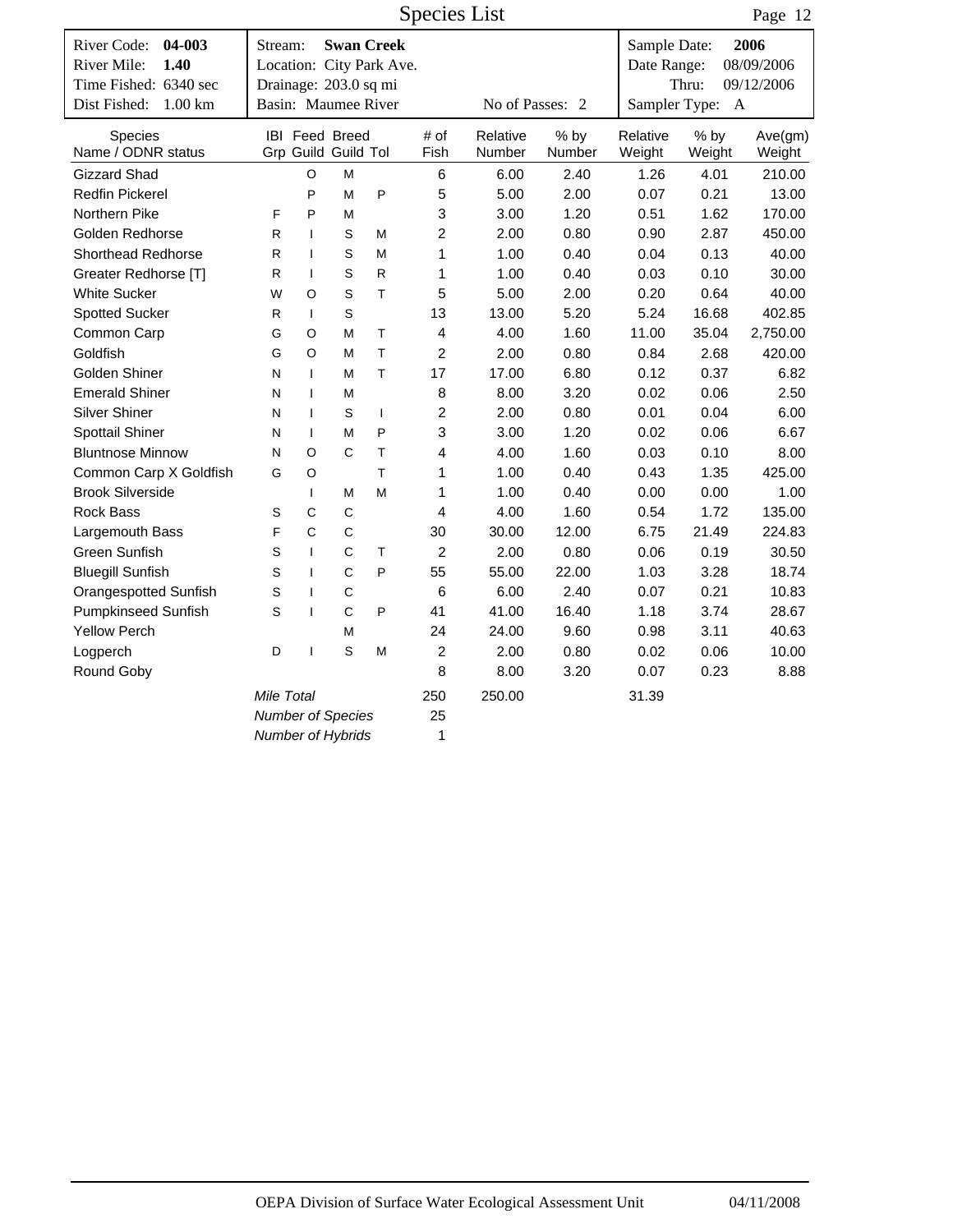|                                                                       |                             |                |                                              |                                               | <b>Species List</b>     |                    |                  |                             |                  | Page 12                          |
|-----------------------------------------------------------------------|-----------------------------|----------------|----------------------------------------------|-----------------------------------------------|-------------------------|--------------------|------------------|-----------------------------|------------------|----------------------------------|
| River Code:<br>04-003<br>River Mile:<br>1.40<br>Time Fished: 6340 sec | Stream:                     |                | Drainage: 203.0 sq mi                        | <b>Swan Creek</b><br>Location: City Park Ave. |                         |                    |                  | Sample Date:<br>Date Range: | Thru:            | 2006<br>08/09/2006<br>09/12/2006 |
| Dist Fished:<br>$1.00 \mathrm{km}$                                    |                             |                | Basin: Maumee River                          |                                               |                         | No of Passes: 2    |                  | Sampler Type:               | $\mathbf{A}$     |                                  |
| Species<br>Name / ODNR status                                         |                             |                | <b>IBI</b> Feed Breed<br>Grp Guild Guild Tol |                                               | # of<br>Fish            | Relative<br>Number | $%$ by<br>Number | Relative<br>Weight          | $%$ by<br>Weight | Ave(gm)<br>Weight                |
| <b>Gizzard Shad</b>                                                   |                             | $\circ$        | M                                            |                                               | 6                       | 6.00               | 2.40             | 1.26                        | 4.01             | 210.00                           |
| <b>Redfin Pickerel</b>                                                |                             | P              | M                                            | P                                             | 5                       | 5.00               | 2.00             | 0.07                        | 0.21             | 13.00                            |
| Northern Pike                                                         | F                           | P              | М                                            |                                               | 3                       | 3.00               | 1.20             | 0.51                        | 1.62             | 170.00                           |
| Golden Redhorse                                                       | R                           | $\mathbf{I}$   | S                                            | М                                             | $\overline{2}$          | 2.00               | 0.80             | 0.90                        | 2.87             | 450.00                           |
| <b>Shorthead Redhorse</b>                                             | R                           | $\mathbf{I}$   | S                                            | М                                             | 1                       | 1.00               | 0.40             | 0.04                        | 0.13             | 40.00                            |
| Greater Redhorse [T]                                                  | R                           | $\mathbf{I}$   | S                                            | R                                             | 1                       | 1.00               | 0.40             | 0.03                        | 0.10             | 30.00                            |
| <b>White Sucker</b>                                                   | W                           | $\circ$        | S                                            | T                                             | 5                       | 5.00               | 2.00             | 0.20                        | 0.64             | 40.00                            |
| <b>Spotted Sucker</b>                                                 | R                           | $\mathbf{I}$   | S                                            |                                               | 13                      | 13.00              | 5.20             | 5.24                        | 16.68            | 402.85                           |
| Common Carp                                                           | G                           | O              | М                                            | T.                                            | $\overline{\mathbf{4}}$ | 4.00               | 1.60             | 11.00                       | 35.04            | 2,750.00                         |
| Goldfish                                                              | T.<br>G<br>O<br>M           |                |                                              |                                               | $\overline{c}$          | 2.00               | 0.80             | 0.84                        | 2.68             | 420.00                           |
| Golden Shiner                                                         | T<br>N<br>$\mathbf{I}$<br>M |                |                                              |                                               | 17                      | 17.00              | 6.80             | 0.12                        | 0.37             | 6.82                             |
| <b>Emerald Shiner</b>                                                 | N                           | $\mathbf{I}$   | М                                            |                                               | 8                       | 8.00               | 3.20             | 0.02                        | 0.06             | 2.50                             |
| <b>Silver Shiner</b>                                                  | N                           | $\mathbf{I}$   | S                                            | $\mathbf{I}$                                  | $\overline{c}$          | 2.00               | 0.80             | 0.01                        | 0.04             | 6.00                             |
| Spottail Shiner                                                       | N                           | $\mathbf{I}$   | M                                            | P                                             | 3                       | 3.00               | 1.20             | 0.02                        | 0.06             | 6.67                             |
| <b>Bluntnose Minnow</b>                                               | N                           | O              | C                                            | T                                             | 4                       | 4.00               | 1.60             | 0.03                        | 0.10             | 8.00                             |
| Common Carp X Goldfish                                                | G                           | O              |                                              | T                                             | 1                       | 1.00               | 0.40             | 0.43                        | 1.35             | 425.00                           |
| <b>Brook Silverside</b>                                               |                             | $\mathbf{I}$   | М                                            | M                                             | 1                       | 1.00               | 0.40             | 0.00                        | 0.00             | 1.00                             |
| Rock Bass                                                             | S                           | C              | $\mathsf{C}$                                 |                                               | 4                       | 4.00               | 1.60             | 0.54                        | 1.72             | 135.00                           |
| Largemouth Bass                                                       | F                           | $\mathsf{C}$   | $\mathsf{C}$                                 |                                               | 30                      | 30.00              | 12.00            | 6.75                        | 21.49            | 224.83                           |
| <b>Green Sunfish</b>                                                  | S                           | $\mathbf{I}$   | C                                            | T                                             | $\overline{2}$          | 2.00               | 0.80             | 0.06                        | 0.19             | 30.50                            |
| <b>Bluegill Sunfish</b>                                               | S                           | $\mathbf{I}$   | C                                            | P                                             | 55                      | 55.00              | 22.00            | 1.03                        | 3.28             | 18.74                            |
| <b>Orangespotted Sunfish</b>                                          | S                           | $\mathbf{I}$   | C                                            |                                               | 6                       | 6.00               | 2.40             | 0.07                        | 0.21             | 10.83                            |
| <b>Pumpkinseed Sunfish</b>                                            | S                           | $\mathbf{I}$   | $\mathbf C$                                  | P                                             | 41                      | 41.00              | 16.40            | 1.18                        | 3.74             | 28.67                            |
| <b>Yellow Perch</b>                                                   | М                           |                |                                              |                                               |                         | 24.00              | 9.60             | 0.98                        | 3.11             | 40.63                            |
| Logperch                                                              | M                           | $\overline{c}$ | 2.00                                         | 0.80                                          | 0.02                    | 0.06               | 10.00            |                             |                  |                                  |
| Round Goby                                                            |                             |                |                                              |                                               | 8                       | 8.00               | 3.20             | 0.07                        | 0.23             | 8.88                             |
|                                                                       | Mile Total                  |                |                                              |                                               | 250                     | 250.00             |                  | 31.39                       |                  |                                  |
|                                                                       |                             |                | Number of Species                            |                                               | 25                      |                    |                  |                             |                  |                                  |
|                                                                       |                             |                | Number of Hybrids                            |                                               | $\mathbf{1}$            |                    |                  |                             |                  |                                  |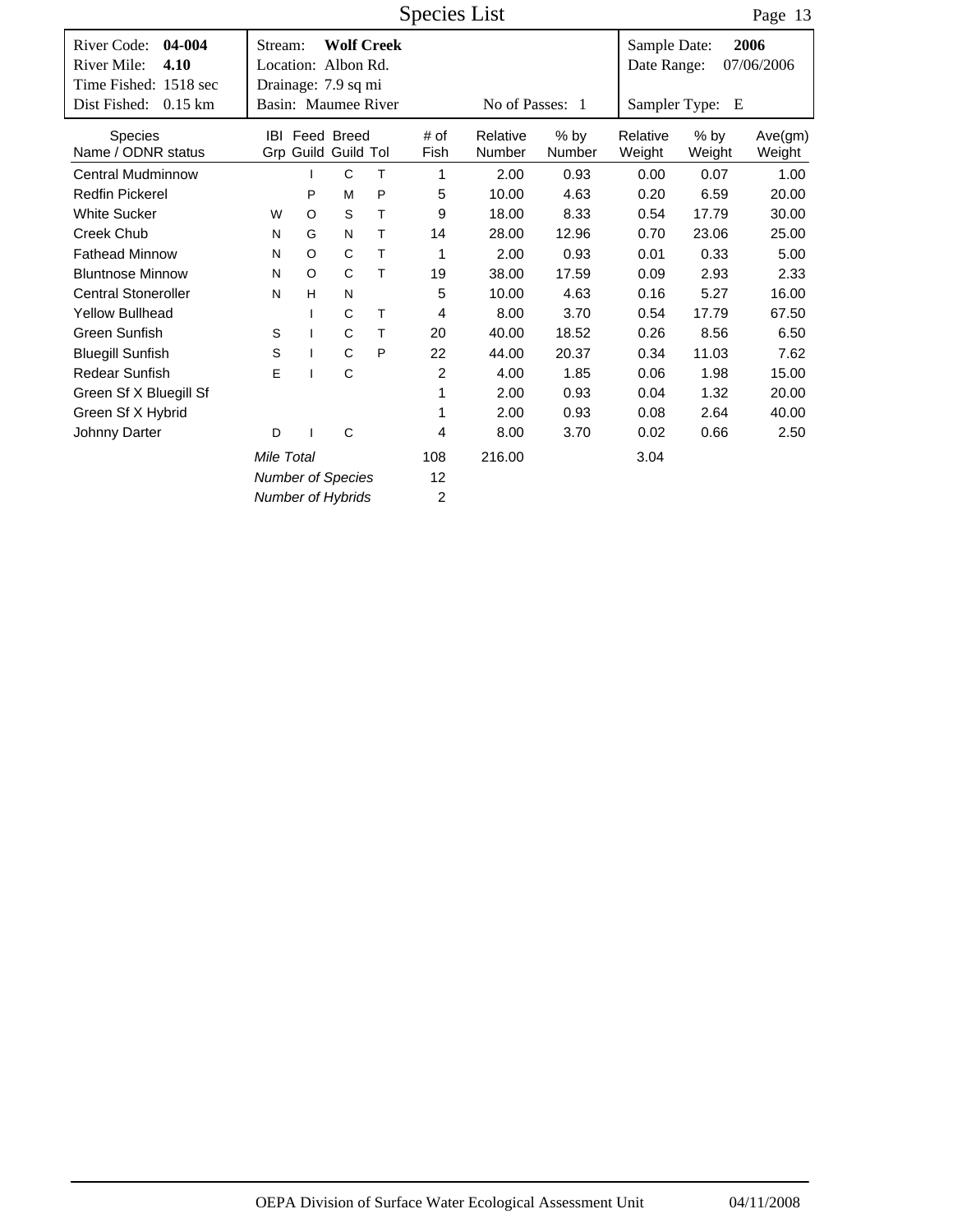Species List

Page 13

| River Code:<br>04-004<br>River Mile:<br>4.10<br>Time Fished: 1518 sec | Stream:<br>Location: Albon Rd.<br>Drainage: 7.9 sq mi |              | <b>Wolf Creek</b>                            |   |              |                    |                  | Sample Date:<br>Date Range: |                  | 2006<br>07/06/2006 |
|-----------------------------------------------------------------------|-------------------------------------------------------|--------------|----------------------------------------------|---|--------------|--------------------|------------------|-----------------------------|------------------|--------------------|
| Dist Fished:<br>$0.15$ km                                             | Basin: Maumee River                                   |              |                                              |   |              | No of Passes: 1    |                  |                             | Sampler Type: E  |                    |
| <b>Species</b><br>Name / ODNR status                                  |                                                       |              | <b>IBI Feed Breed</b><br>Grp Guild Guild Tol |   | # of<br>Fish | Relative<br>Number | $%$ by<br>Number | Relative<br>Weight          | $%$ by<br>Weight | Ave(gm)<br>Weight  |
| <b>Central Mudminnow</b>                                              |                                                       |              | C                                            | Τ | 1            | 2.00               | 0.93             | 0.00                        | 0.07             | 1.00               |
| <b>Redfin Pickerel</b>                                                |                                                       | P            | M                                            | P | 5            | 10.00              | 4.63             | 0.20                        | 6.59             | 20.00              |
| <b>White Sucker</b>                                                   | W                                                     | $\circ$      | S                                            | т | 9            | 18.00              | 8.33             | 0.54                        | 17.79            | 30.00              |
| Creek Chub                                                            | N                                                     | G            | N                                            | т | 14           | 28.00              | 12.96            | 0.70                        | 23.06            | 25.00              |
| <b>Fathead Minnow</b>                                                 | N                                                     | $\circ$      | C                                            | Τ | 1            | 2.00               | 0.93             | 0.01                        | 0.33             | 5.00               |
| <b>Bluntnose Minnow</b>                                               | N                                                     | $\circ$      | C                                            | Τ | 19           | 38.00              | 17.59            | 0.09                        | 2.93             | 2.33               |
| <b>Central Stoneroller</b>                                            | N                                                     | H            | N                                            |   | 5            | 10.00              | 4.63             | 0.16                        | 5.27             | 16.00              |
| <b>Yellow Bullhead</b>                                                |                                                       |              | C                                            | Τ | 4            | 8.00               | 3.70             | 0.54                        | 17.79            | 67.50              |
| Green Sunfish                                                         | S                                                     |              | C                                            | т | 20           | 40.00              | 18.52            | 0.26                        | 8.56             | 6.50               |
| <b>Bluegill Sunfish</b>                                               | S                                                     | $\mathbf{I}$ | C                                            | P | 22           | 44.00              | 20.37            | 0.34                        | 11.03            | 7.62               |
| <b>Redear Sunfish</b>                                                 | E                                                     |              | C                                            |   | 2            | 4.00               | 1.85             | 0.06                        | 1.98             | 15.00              |
| Green Sf X Bluegill Sf                                                |                                                       |              |                                              |   | 1            | 2.00               | 0.93             | 0.04                        | 1.32             | 20.00              |
| Green Sf X Hybrid                                                     |                                                       |              |                                              |   | 1            | 2.00               | 0.93             | 0.08                        | 2.64             | 40.00              |
| Johnny Darter                                                         | D                                                     |              | C                                            |   | 4            | 8.00               | 3.70             | 0.02                        | 0.66             | 2.50               |
|                                                                       | Mile Total                                            |              |                                              |   | 108          | 216.00             |                  | 3.04                        |                  |                    |
|                                                                       | <b>Number of Species</b>                              |              |                                              |   | 12           |                    |                  |                             |                  |                    |
|                                                                       | <b>Number of Hybrids</b>                              |              |                                              |   | 2            |                    |                  |                             |                  |                    |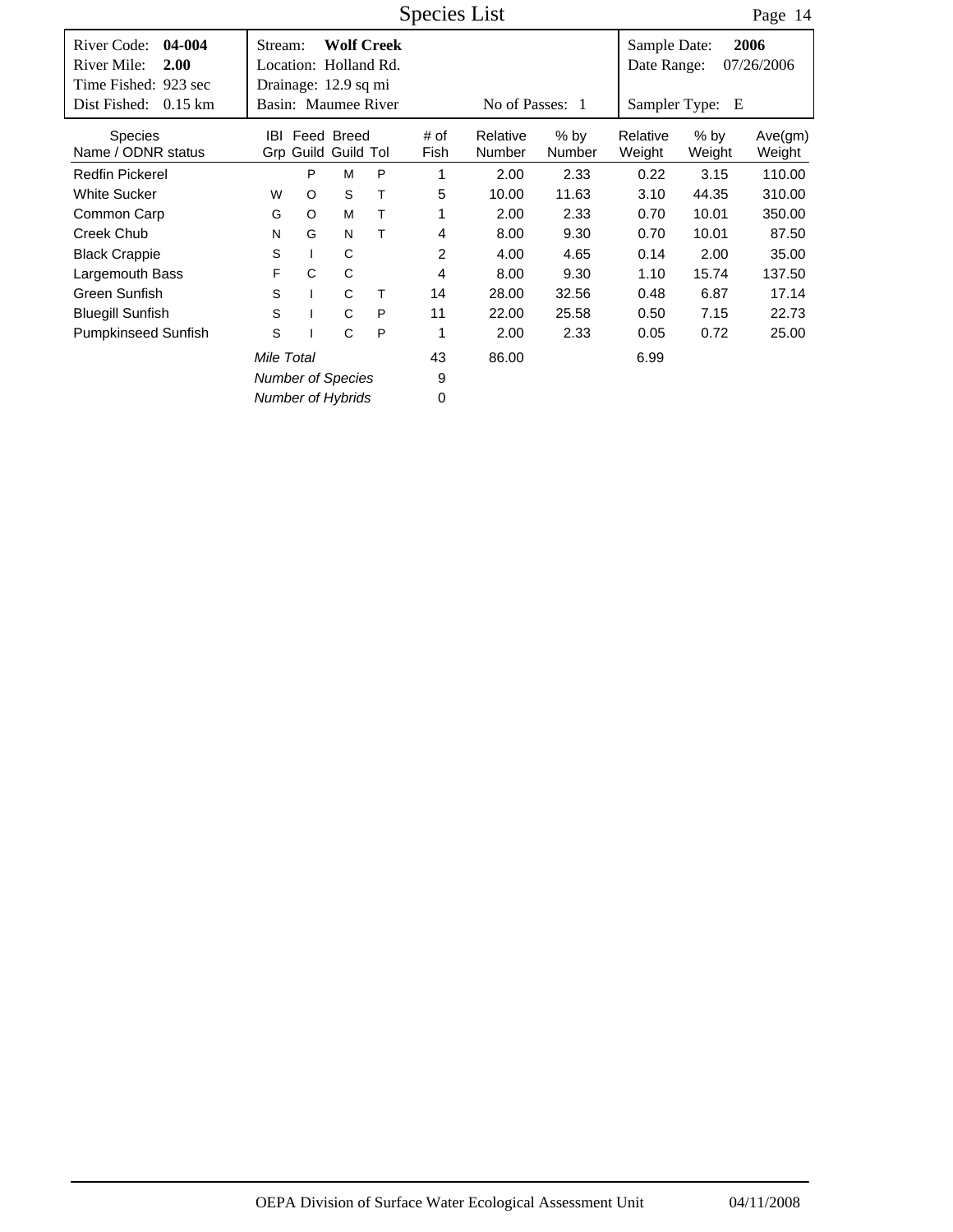Time Fished: 923 sec Dist Fished: 0.15 km | Basin: Maumee River No of Passes: 1 Date Range: 07/26/2006 Species List # of Fish River Code: 04-004 Stream: Wolf Creek Sample Date: Sampler Type: E **04-004 2.00 2006** Location: Holland Rd. **Wolf Creek** Dist Fished: 0.15 km Page 14 Number % by Number Weight % by Weight Ave(gm) Weight IBI Feed Breed # of Relative % by Relative Grp Guild Tol Guild Stream: Drainage: 12.9 sq mi River Mile: Species Name / ODNR status Redfin Pickerel **PMP** 1 2.00 2.33 0.22 3.15 110.00 White Sucker WO ST 5 10.00 11.63 3.10 44.35 310.00 Common Carp GO MT 1 2.00 2.33 0.70 10.01 350.00 Creek Chub NG NT 4 8.00 9.30 0.70 10.01 87.50 Black Crappie SI C 2 4.00 4.65 0.14 2.00 35.00 Largemouth Bass F C C 4 8.00 9.30 1.10 15.74 137.50 Green Sunfish S I C T 14 28.00 32.56 0.48 6.87 17.14 Bluegill Sunfish S I CP 11 22.00 25.58 0.50 7.15 22.73 Pumpkinseed Sunfish S I CP 1 2.00 2.33 0.05 0.72 25.00 43 *Mile Total* **43** 86.00 6.99

> 9 0

*Number of Species Number of Hybrids*

OEPA Division of Surface Water Ecological Assessment Unit 04/11/2008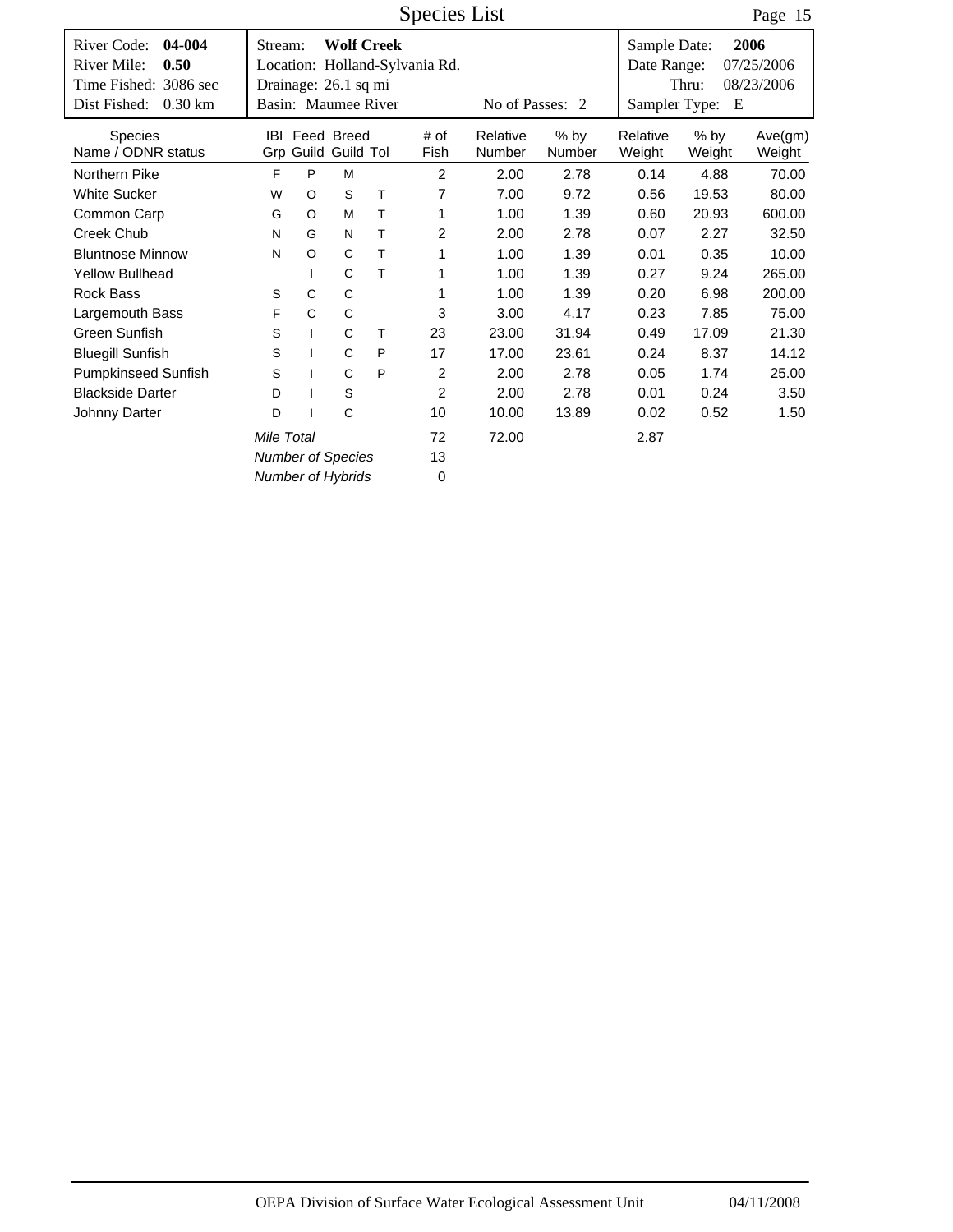|                                                                                                             |                                                        |              |                                   | <b>Species List</b> |                                |                    |                | Page 15                                      |                  |                                  |
|-------------------------------------------------------------------------------------------------------------|--------------------------------------------------------|--------------|-----------------------------------|---------------------|--------------------------------|--------------------|----------------|----------------------------------------------|------------------|----------------------------------|
| River Code:<br>04-004<br>River Mile:<br>0.50<br>Time Fished: 3086 sec<br>Dist Fished:<br>$0.30 \mathrm{km}$ | Stream:<br>Drainage: 26.1 sq mi<br>Basin: Maumee River |              | <b>Wolf Creek</b>                 |                     | Location: Holland-Sylvania Rd. | No of Passes: 2    |                | Sample Date:<br>Date Range:<br>Sampler Type: | Thru:<br>E       | 2006<br>07/25/2006<br>08/23/2006 |
| Species<br>Name / ODNR status                                                                               | IBI                                                    |              | Feed Breed<br>Grp Guild Guild Tol |                     | # of<br>Fish                   | Relative<br>Number | % by<br>Number | Relative<br>Weight                           | $%$ by<br>Weight | Ave(gm)<br>Weight                |
| Northern Pike                                                                                               | F                                                      | P            | M                                 |                     | $\overline{2}$                 | 2.00               | 2.78           | 0.14                                         | 4.88             | 70.00                            |
| <b>White Sucker</b>                                                                                         | W                                                      | O            | S                                 | Τ                   | 7                              | 7.00               | 9.72           | 0.56                                         | 19.53            | 80.00                            |
| Common Carp                                                                                                 | G                                                      | O            | M                                 | $\top$              | 1                              | 1.00               | 1.39           | 0.60                                         | 20.93            | 600.00                           |
| Creek Chub                                                                                                  | N                                                      | G            | N                                 | Τ                   | 2                              | 2.00               | 2.78           | 0.07                                         | 2.27             | 32.50                            |
| <b>Bluntnose Minnow</b>                                                                                     | N                                                      | $\circ$      | $\mathsf{C}$                      | Τ                   | 1                              | 1.00               | 1.39           | 0.01                                         | 0.35             | 10.00                            |
| <b>Yellow Bullhead</b>                                                                                      |                                                        | $\mathbf{I}$ | C                                 | T                   | 1                              | 1.00               | 1.39           | 0.27                                         | 9.24             | 265.00                           |
| <b>Rock Bass</b>                                                                                            | S                                                      | C            | C                                 |                     | 1                              | 1.00               | 1.39           | 0.20                                         | 6.98             | 200.00                           |
| Largemouth Bass                                                                                             | F                                                      | $\mathsf C$  | C                                 |                     | 3                              | 3.00               | 4.17           | 0.23                                         | 7.85             | 75.00                            |
| <b>Green Sunfish</b>                                                                                        | S                                                      | $\mathbf{I}$ | C                                 | т                   | 23                             | 23.00              | 31.94          | 0.49                                         | 17.09            | 21.30                            |
| <b>Bluegill Sunfish</b>                                                                                     | S                                                      |              | C                                 | P                   | 17                             | 17.00              | 23.61          | 0.24                                         | 8.37             | 14.12                            |
| <b>Pumpkinseed Sunfish</b>                                                                                  | S                                                      |              | C                                 | P                   | 2                              | 2.00               | 2.78           | 0.05                                         | 1.74             | 25.00                            |
| <b>Blackside Darter</b>                                                                                     | D                                                      |              | $\mathsf S$                       |                     | $\overline{2}$                 | 2.00               | 2.78           | 0.01                                         | 0.24             | 3.50                             |
| Johnny Darter                                                                                               | D                                                      |              | C                                 |                     | 10                             | 10.00              | 13.89          | 0.02                                         | 0.52             | 1.50                             |
|                                                                                                             | Mile Total                                             |              |                                   |                     | 72                             | 72.00              |                | 2.87                                         |                  |                                  |
|                                                                                                             | <b>Number of Species</b>                               |              |                                   |                     | 13                             |                    |                |                                              |                  |                                  |
|                                                                                                             | <b>Number of Hybrids</b>                               |              |                                   |                     | 0                              |                    |                |                                              |                  |                                  |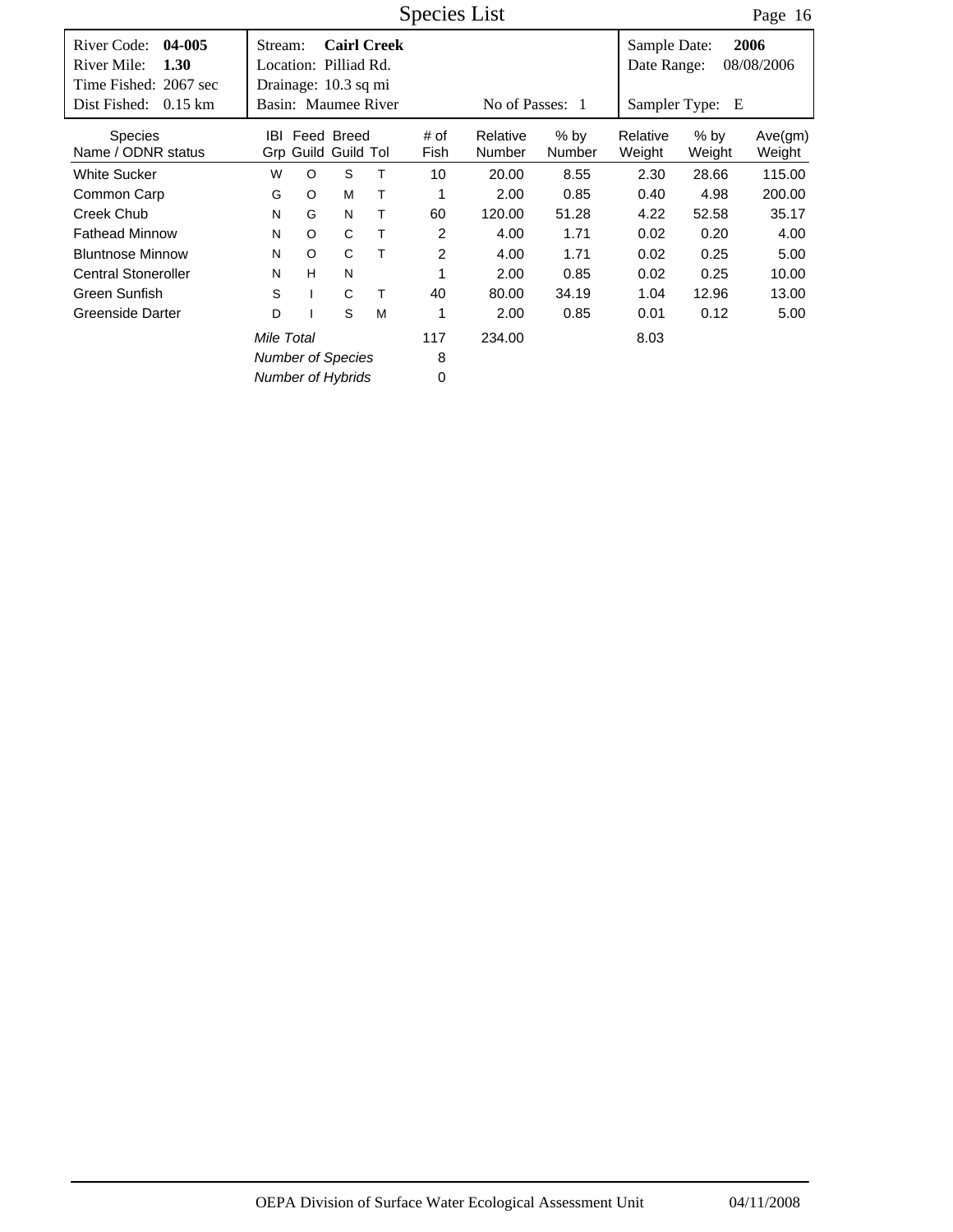Time Fished: 2067 sec Dist Fished: 0.15 km | Basin: Maumee River No of Passes: 1 Date Range: 08/08/2006 Species List # of Fish River Code: 04-005 Stream: Cairl Creek Sample Date: Sampler Type: E **04-005 1.30 2006** Location: Pilliad Rd. **Cairl Creek** Dist Fished: 0.15 km Page 16 Number % by Number Weight % by Weight Ave(gm) Weight IBI Feed Breed # of Relative % by Relative Grp Guild Tol Guild Stream: Drainage: 10.3 sq mi River Mile: Species Name / ODNR status White Sucker 10 20.00 8.55 115.00 WO ST 2.30 28.66 Common Carp GO MT 1 2.00 0.85 0.40 4.98 200.00 Creek Chub NG NT 60 120.00 51.28 4.22 52.58 35.17 Fathead Minnow NO CT 2 4.00 1.71 0.02 0.20 4.00 Bluntnose Minnow NO CT 2 4.00 1.71 0.02 0.25 5.00 Central Stoneroller NH N 1 2.00 0.85 0.02 0.25 10.00 Green Sunfish S I CT 40 80.00 34.19 1.04 12.96 13.00 Greenside Darter  $D$  I S M 1 2.00 0.85 0.01 0.12 5.00 117 *Number of Species Number of Hybrids* 8 0 *Mile Total* **234.00** 8.03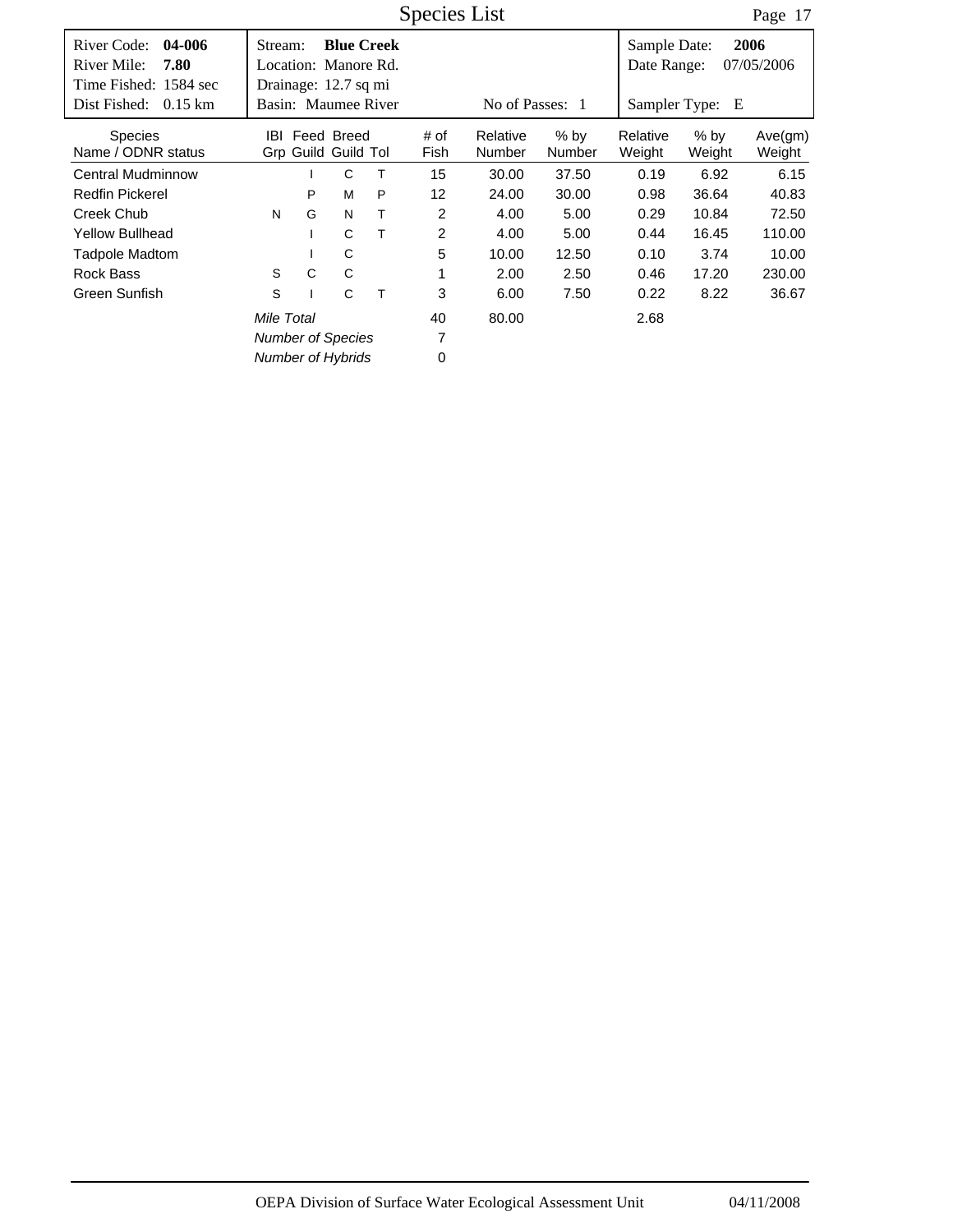Time Fished: 1584 sec Dist Fished: 0.15 km | Basin: Maumee River No of Passes: 1 Date Range: 07/05/2006 Species List # of Fish River Code: 04-006 Stream: Blue Creek Sample Date: Sampler Type: E **04-006 7.80 2006** Location: Manore Rd. **Blue Creek** Dist Fished: 0.15 km Page 17 Number % by Number Weight % by Weight Ave(gm) Weight IBI Feed Breed # of Relative % by Relative Grp Guild Tol Guild Stream: Drainage: 12.7 sq mi River Mile: Species Name / ODNR status Central Mudminnow 1 C T 15 30.00 37.50 0.19 6.92 6.15 Redfin Pickerel P MP 12 24.00 30.00 0.98 36.64 40.83 Creek Chub NG NT 2 4.00 5.00 0.29 10.84 72.50 Yellow Bullhead **I** C T 2 4.00 5.00 0.44 16.45 110.00 Tadpole Madtom I C 5 10.00 12.50 0.10 3.74 10.00 Rock Bass SC C 1 2.00 2.50 0.46 17.20 230.00 Green Sunfish S I CT 3 6.00 7.50 0.22 8.22 36.67 40 *Number of Species Number of Hybrids* 7 0 *Mile Total* 80.00 2.68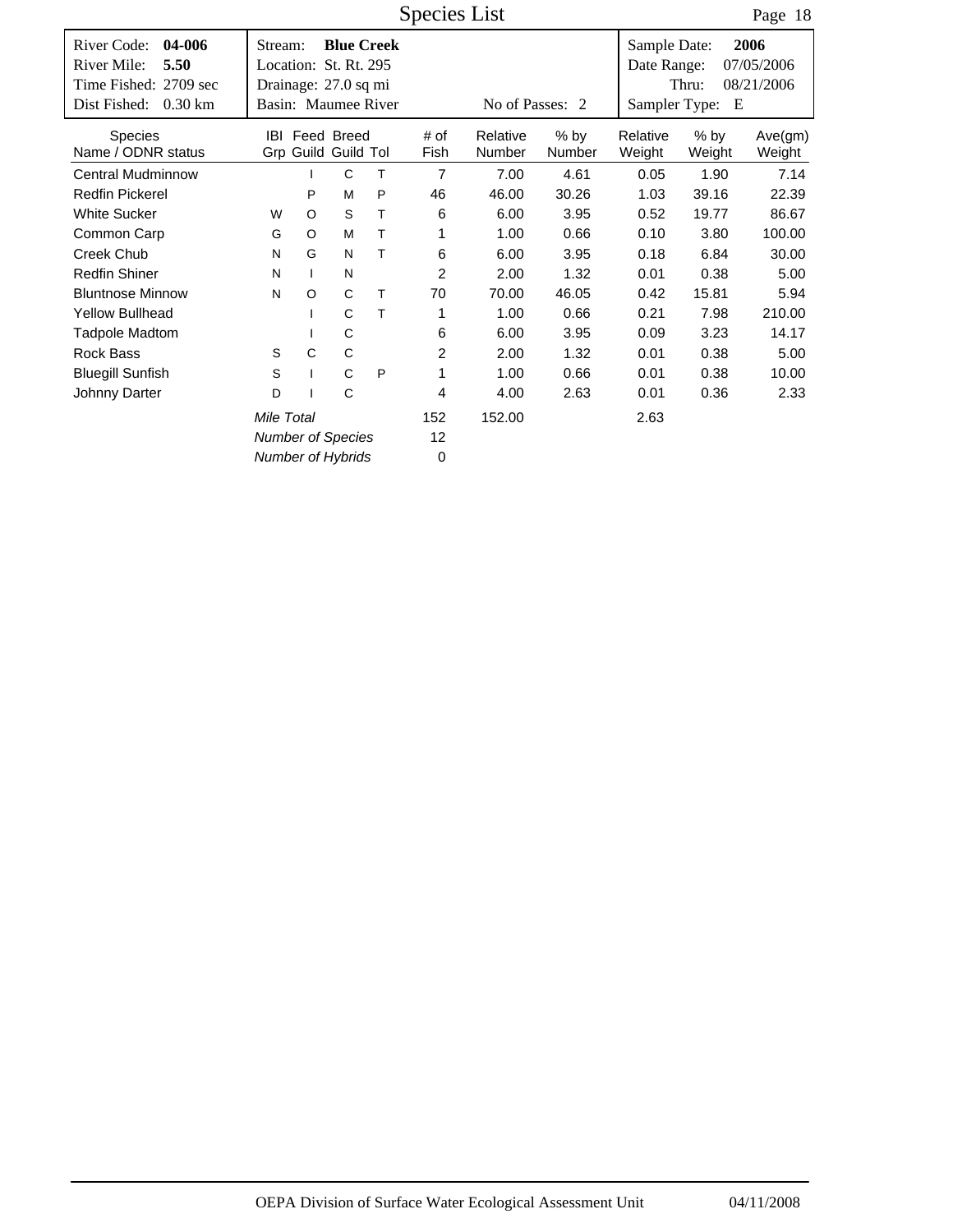|                                                                                                             |                                                          |              |                                              |   | <b>Species List</b> |                    |                       |                                              | Page 18          |                                  |
|-------------------------------------------------------------------------------------------------------------|----------------------------------------------------------|--------------|----------------------------------------------|---|---------------------|--------------------|-----------------------|----------------------------------------------|------------------|----------------------------------|
| 04-006<br>River Code:<br>River Mile:<br>5.50<br>Time Fished: 2709 sec<br>Dist Fished:<br>$0.30 \mathrm{km}$ | Stream:<br>Location: St. Rt. 295<br>Drainage: 27.0 sq mi |              | <b>Blue Creek</b><br>Basin: Maumee River     |   |                     | No of Passes: 2    |                       | Sample Date:<br>Date Range:<br>Sampler Type: | Thru:<br>Е       | 2006<br>07/05/2006<br>08/21/2006 |
| <b>Species</b><br>Name / ODNR status                                                                        |                                                          |              | <b>IBI</b> Feed Breed<br>Grp Guild Guild Tol |   | # of<br>Fish        | Relative<br>Number | % by<br><b>Number</b> | Relative<br>Weight                           | $%$ by<br>Weight | Ave(gm)<br>Weight                |
| <b>Central Mudminnow</b>                                                                                    |                                                          |              | C                                            | T | $\overline{7}$      | 7.00               | 4.61                  | 0.05                                         | 1.90             | 7.14                             |
| <b>Redfin Pickerel</b>                                                                                      |                                                          | P            | M                                            | P | 46                  | 46.00              | 30.26                 | 39.16<br>1.03                                |                  | 22.39                            |
| <b>White Sucker</b>                                                                                         | $\circ$<br>S<br>T<br>W                                   |              |                                              |   | 6                   | 6.00               | 3.95                  | 0.52<br>19.77                                |                  | 86.67                            |
| Common Carp                                                                                                 | $\circ$<br>M<br>т<br>G                                   |              |                                              |   | 1                   | 1.00               | 0.66                  | 0.10                                         | 3.80             |                                  |
| Creek Chub                                                                                                  | N                                                        | G            | N                                            | т | 6                   | 6.00               | 3.95                  | 0.18                                         | 6.84             | 30.00                            |
| <b>Redfin Shiner</b>                                                                                        | N                                                        | $\mathbf{I}$ | N                                            |   | $\overline{2}$      | 2.00               | 1.32                  | 0.01                                         | 0.38             | 5.00                             |
| <b>Bluntnose Minnow</b>                                                                                     | N                                                        | O            | C                                            | т | 70                  | 70.00              | 46.05                 | 0.42                                         | 15.81            | 5.94                             |
| <b>Yellow Bullhead</b>                                                                                      |                                                          |              | C                                            | Τ | 1                   | 1.00               | 0.66                  | 0.21                                         | 7.98             | 210.00                           |
| <b>Tadpole Madtom</b>                                                                                       |                                                          | ı            | C                                            |   | 6                   | 6.00               | 3.95                  | 0.09                                         | 3.23             | 14.17                            |
| Rock Bass                                                                                                   | S                                                        | $\mathsf C$  | C                                            |   | 2                   | 2.00               | 1.32                  | 0.01                                         | 0.38             | 5.00                             |
| <b>Bluegill Sunfish</b>                                                                                     | C<br>P<br>S<br>$\mathbf{I}$                              |              |                                              |   | 1                   | 1.00               | 0.66                  | 0.01                                         | 0.38             | 10.00                            |
| Johnny Darter                                                                                               | D                                                        |              | C                                            |   | 4                   | 4.00               | 2.63                  | 0.01                                         | 0.36             | 2.33                             |
|                                                                                                             | Mile Total                                               |              |                                              |   | 152                 | 152.00             |                       | 2.63                                         |                  |                                  |
|                                                                                                             | <b>Number of Species</b>                                 |              |                                              |   | 12                  |                    |                       |                                              |                  |                                  |
|                                                                                                             | Number of Hybrids                                        |              |                                              |   | 0                   |                    |                       |                                              |                  |                                  |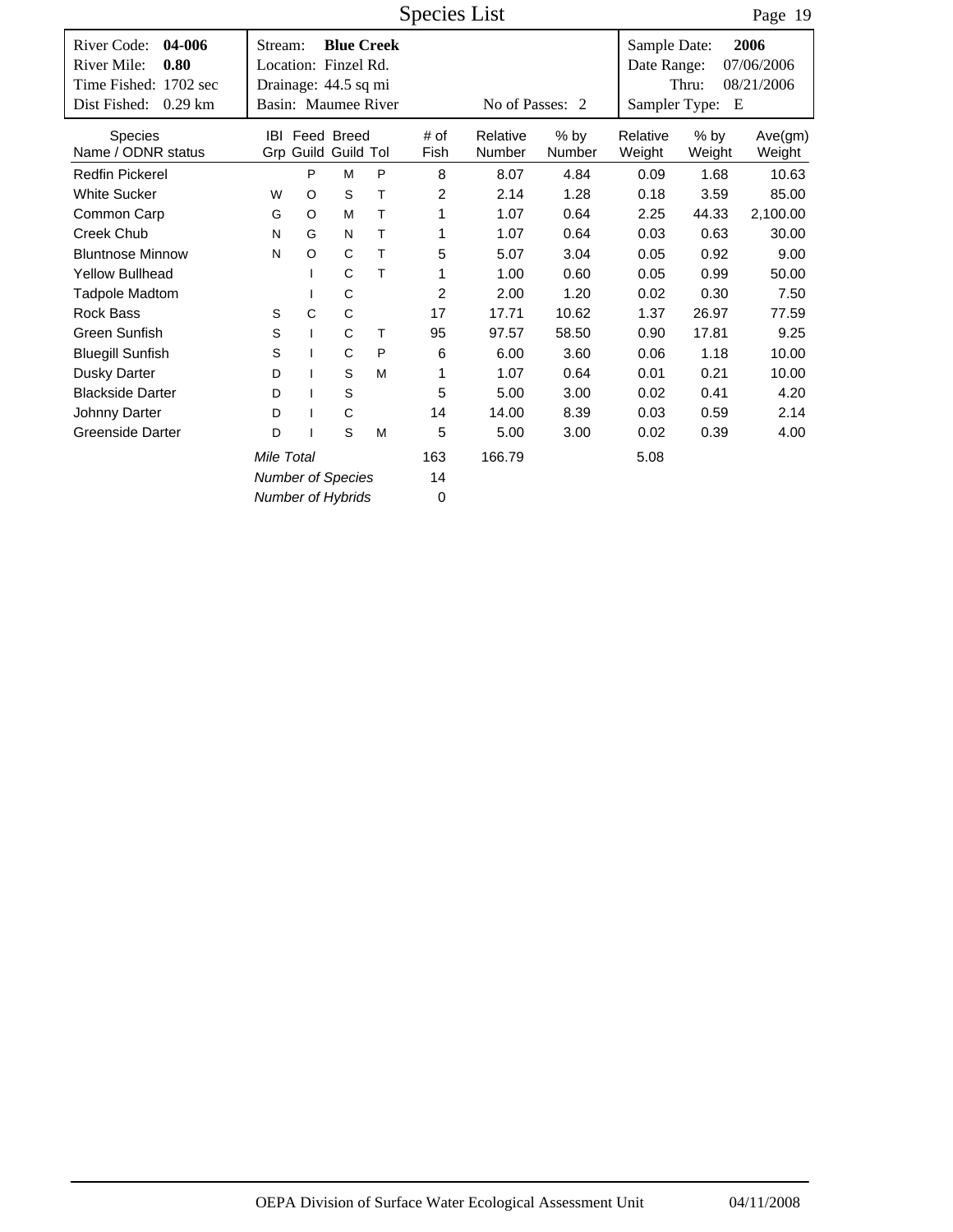Time Fished: 1702 sec Dist Fished: 0.29 km | Basin: Maumee River No of Passes: 2 08/21/2006 Date Range: Thru: 07/06/2006 Species List # of Fish River Code: 04-006 Stream: Blue Creek Sample Date: Sampler Type: E **04-006 0.80 2006** Location: Finzel Rd. **Blue Creek** Dist Fished: 0.29 km Page 19 Number % by Number Weight % by Weight Ave(gm) Weight IBI Feed Breed # of Relative % by Relative Grp Guild Tol Guild Stream: Drainage: 44.5 sq mi River Mile: Species Name / ODNR status Redfin Pickerel **PMP 8 8.07 4.84 0.09 1.68 10.63** White Sucker **WO S T** 2 2.14 1.28 0.18 3.59 85.00 Common Carp GO MT 1 1.07 0.64 2.25 44.33 2,100.00 Creek Chub NG NT 1 1.07 0.64 0.03 0.63 30.00 Bluntnose Minnow NO CT 5 5.07 3.04 0.05 0.92 9.00 Yellow Bullhead  $\qquad \qquad$  I C T  $\qquad \qquad$  1 1.00 0.60 0.05 0.99 50.00 Tadpole Madtom I C 2 2.00 1.20 0.02 0.30 7.50 Rock Bass SC C 17 17.71 10.62 1.37 26.97 77.59 Green Sunfish S I C T 95 97.57 58.50 0.90 17.81 9.25 Bluegill Sunfish S I CP 6 6.00 3.60 0.06 1.18 10.00 Dusky Darter D I SM 1 1.07 0.64 0.01 0.21 10.00 Blackside Darter **D** I S 5.00 3.00 0.02 0.41 4.20 Johnny Darter DI C 14 14.00 8.39 0.03 0.59 2.14 Greenside Darter  $D$  I S M  $5$  5.00 3.00 0.02 0.39 4.00 163 *Number of Species Number of Hybrids* 14 0 *Mile Total* 163 166.79 5.08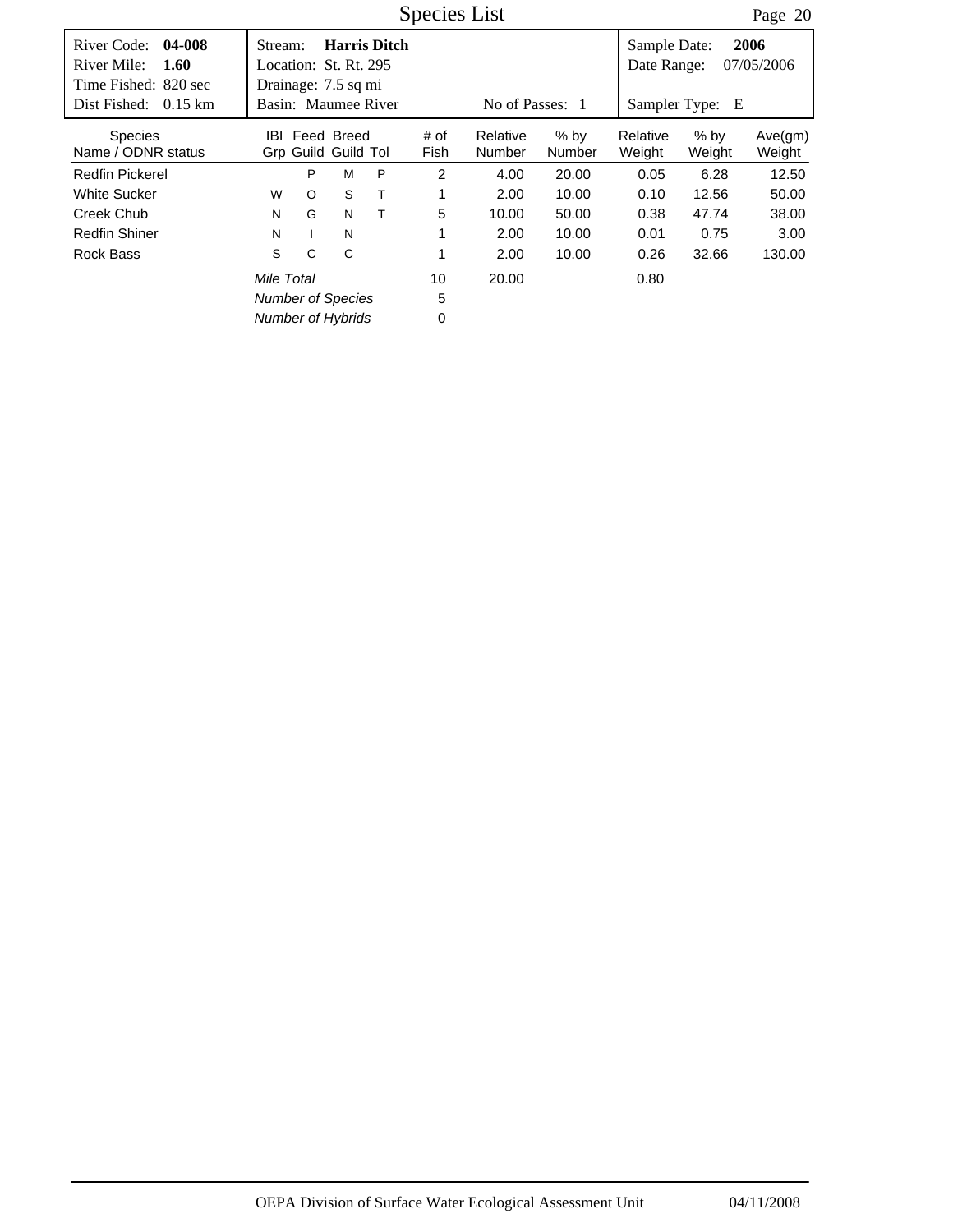|                                                                      |                                                         |            |                     | Species List |                    |                         |                             | Page 20          |                    |
|----------------------------------------------------------------------|---------------------------------------------------------|------------|---------------------|--------------|--------------------|-------------------------|-----------------------------|------------------|--------------------|
| River Code:<br>04-008<br>River Mile:<br>1.60<br>Time Fished: 820 sec | Stream:<br>Location: St. Rt. 295<br>Drainage: 7.5 sq mi |            | <b>Harris Ditch</b> |              |                    |                         | Sample Date:<br>Date Range: |                  | 2006<br>07/05/2006 |
| Dist Fished:<br>$0.15 \text{ km}$                                    | Basin: Maumee River                                     |            |                     |              | Sampler Type:<br>E |                         |                             |                  |                    |
| <b>Species</b><br>Name / ODNR status                                 | IBL<br>Grp Guild Guild Tol                              | Feed Breed |                     | # of<br>Fish | Relative<br>Number | $%$ by<br><b>Number</b> | Relative<br>Weight          | $%$ by<br>Weight | Ave(gm)<br>Weight  |
| <b>Redfin Pickerel</b>                                               | P                                                       | M          | P                   | 2            | 4.00               | 20.00                   | 0.05                        | 6.28             | 12.50              |
| <b>White Sucker</b>                                                  | $\circ$<br>W                                            | S          | Т                   | 1            | 2.00               | 10.00                   | 0.10                        | 12.56            | 50.00              |
| Creek Chub                                                           | G<br>N                                                  | N          | т                   | 5            | 10.00              | 50.00                   | 0.38                        | 47.74            | 38.00              |
| <b>Redfin Shiner</b>                                                 | N                                                       | N          |                     | 1            | 2.00               | 10.00                   | 0.01                        | 0.75             | 3.00               |
| Rock Bass                                                            | S<br>C                                                  | C          |                     | 1            | 2.00               | 10.00                   | 0.26                        | 32.66            | 130.00             |
|                                                                      | Mile Total                                              |            |                     | 10           | 20.00              |                         | 0.80                        |                  |                    |
|                                                                      | <b>Number of Species</b>                                |            |                     | 5            |                    |                         |                             |                  |                    |
|                                                                      | <b>Number of Hybrids</b>                                |            |                     | 0            |                    |                         |                             |                  |                    |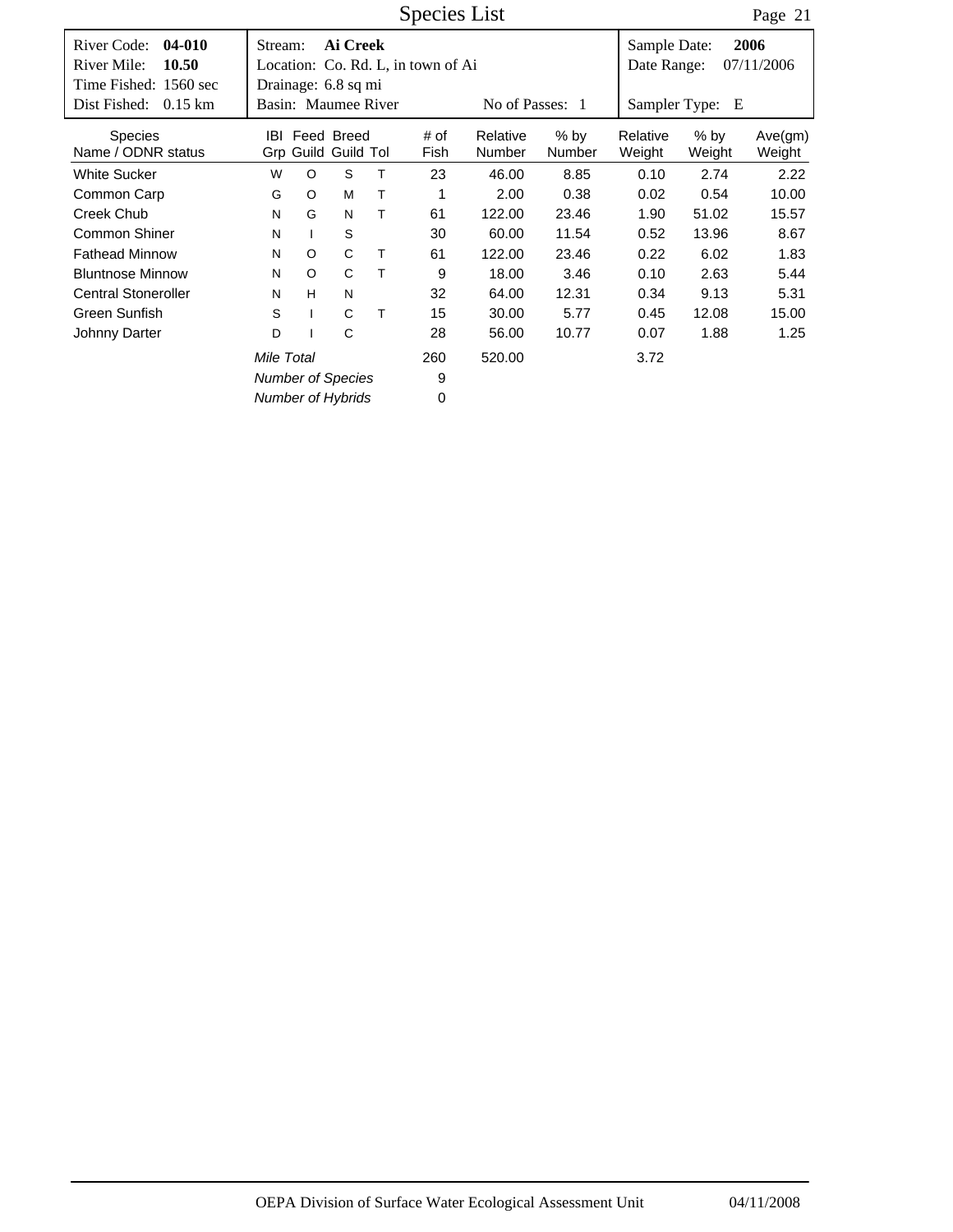|                                                                                                     |                  |                          |                                                        | Species List |                                    |                    | Page 21                 |                                              |                  |                    |
|-----------------------------------------------------------------------------------------------------|------------------|--------------------------|--------------------------------------------------------|--------------|------------------------------------|--------------------|-------------------------|----------------------------------------------|------------------|--------------------|
| River Code:<br>04-010<br>River Mile:<br>10.50<br>Time Fished: 1560 sec<br>Dist Fished:<br>$0.15$ km | Stream:          |                          | Ai Creek<br>Drainage: 6.8 sq mi<br>Basin: Maumee River |              | Location: Co. Rd. L, in town of Ai | No of Passes: 1    |                         | Sample Date:<br>Date Range:<br>Sampler Type: | E                | 2006<br>07/11/2006 |
| <b>Species</b><br>Name / ODNR status                                                                | IBL              |                          | Feed Breed<br>Grp Guild Guild Tol                      |              | # of<br>Fish                       | Relative<br>Number | $%$ by<br><b>Number</b> | Relative<br>Weight                           | $%$ by<br>Weight | Ave(gm)<br>Weight  |
| <b>White Sucker</b>                                                                                 | W                | $\circ$                  | S                                                      | т            | 23                                 | 46.00              | 8.85                    | 0.10                                         | 2.74             | 2.22               |
| Common Carp                                                                                         | M<br>Τ<br>G<br>O |                          |                                                        |              | 1                                  | 2.00               | 0.38                    | 0.02                                         | 0.54             | 10.00              |
| <b>Creek Chub</b>                                                                                   | G<br>N<br>т<br>N |                          |                                                        |              | 61                                 | 122.00             | 23.46                   | 1.90                                         | 51.02            | 15.57              |
| <b>Common Shiner</b>                                                                                | N                |                          | S                                                      |              | 30                                 | 60.00              | 11.54                   | 0.52                                         | 13.96            | 8.67               |
| <b>Fathead Minnow</b>                                                                               | N                | $\circ$                  | C                                                      | Т            | 61                                 | 122.00             | 23.46                   | 0.22                                         | 6.02             | 1.83               |
| <b>Bluntnose Minnow</b>                                                                             | N                | $\circ$                  | C                                                      | т            | 9                                  | 18.00              | 3.46                    | 0.10                                         | 2.63             | 5.44               |
| <b>Central Stoneroller</b>                                                                          | N                | H                        | N                                                      |              | 32                                 | 64.00              | 12.31                   | 0.34                                         | 9.13             | 5.31               |
| Green Sunfish                                                                                       | S                | $\mathbf{I}$             | C                                                      | т            | 15                                 | 30.00              | 5.77                    | 0.45                                         | 12.08            | 15.00              |
| Johnny Darter                                                                                       | C<br>D           |                          |                                                        |              |                                    | 56.00              | 10.77                   | 0.07                                         | 1.88             | 1.25               |
| Mile Total<br><b>Number of Species</b>                                                              |                  |                          |                                                        |              | 260<br>9                           | 520.00             |                         | 3.72                                         |                  |                    |
|                                                                                                     |                  | <b>Number of Hybrids</b> |                                                        | 0            |                                    |                    |                         |                                              |                  |                    |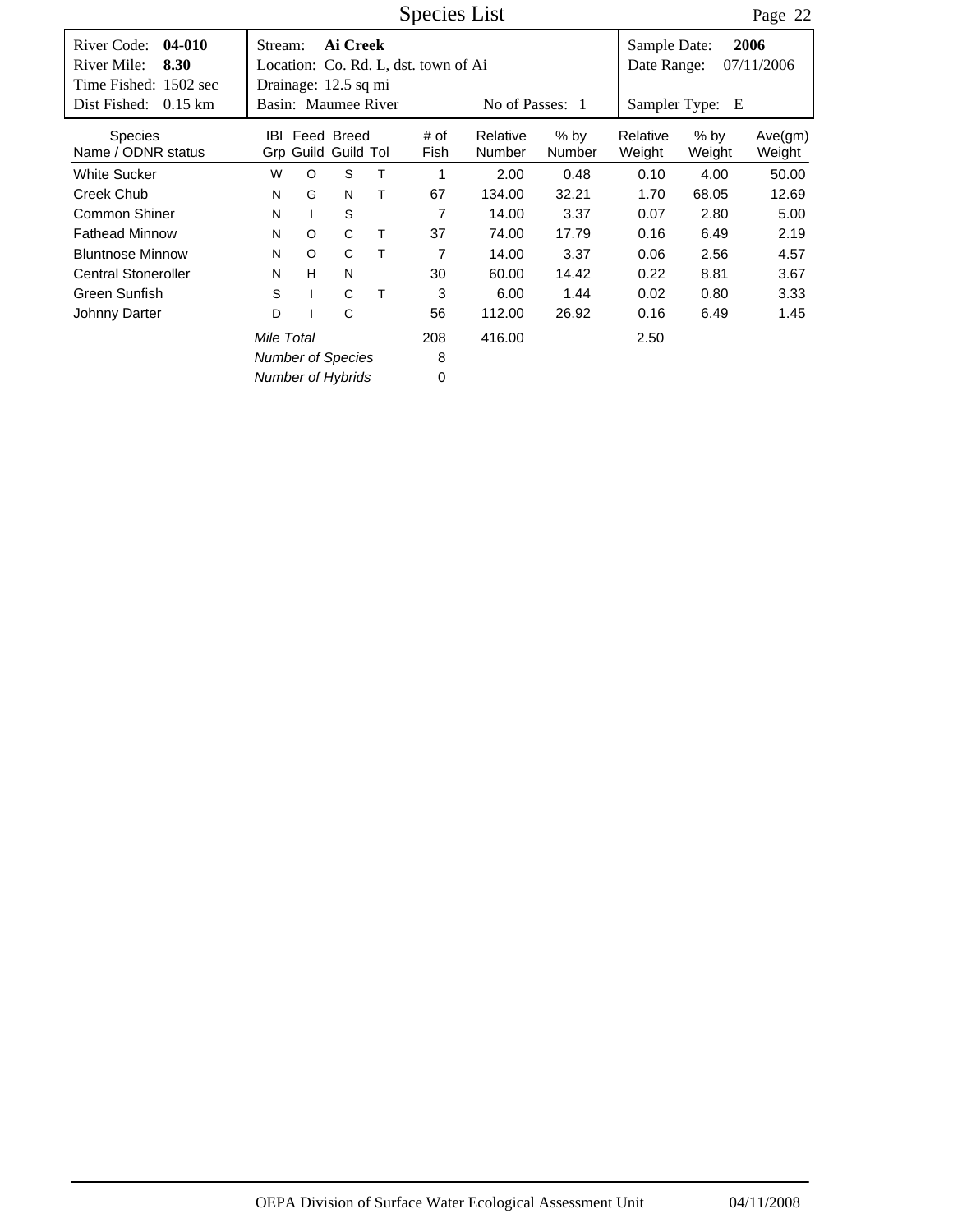|                                                                                                    |                                                                    |                   |   | Species List                         |                    |                             |                    | Page 22            |                   |
|----------------------------------------------------------------------------------------------------|--------------------------------------------------------------------|-------------------|---|--------------------------------------|--------------------|-----------------------------|--------------------|--------------------|-------------------|
| River Code:<br>04-010<br>River Mile:<br>8.30<br>Time Fished: 1502 sec<br>Dist Fished:<br>$0.15$ km | Stream:<br>Drainage: 12.5 sq mi<br>Basin: Maumee River             | Ai Creek          |   | Location: Co. Rd. L, dst. town of Ai | No of Passes: 1    | Sample Date:<br>Date Range: | Sampler Type: E    | 2006<br>07/11/2006 |                   |
| <b>Species</b><br>Name / ODNR status                                                               | IBI<br>Grp Guild Guild Tol                                         | Feed Breed        |   | # of<br>Fish                         | Relative<br>Number | $%$ by<br><b>Number</b>     | Relative<br>Weight | $%$ by<br>Weight   | Ave(gm)<br>Weight |
| <b>White Sucker</b>                                                                                | W<br>$\circ$                                                       | S                 | Т | 1                                    | 2.00               | 0.48                        | 0.10               | 4.00               | 50.00             |
| Creek Chub                                                                                         | G<br>N                                                             | N                 | Т | 67                                   | 134.00             | 32.21                       | 1.70               | 68.05              | 12.69             |
| Common Shiner                                                                                      | N                                                                  | S<br>$\mathbf{I}$ |   | 7                                    | 14.00              | 3.37                        | 0.07               | 2.80               | 5.00              |
| <b>Fathead Minnow</b>                                                                              | $\circ$<br>N                                                       | C                 | т | 37                                   | 74.00              | 17.79                       | 0.16               | 6.49               | 2.19              |
| <b>Bluntnose Minnow</b>                                                                            | $\circ$<br>N                                                       | C                 | т | 7                                    | 14.00              | 3.37                        | 0.06               | 2.56               | 4.57              |
| <b>Central Stoneroller</b>                                                                         | H<br>N                                                             | N                 |   | 30                                   | 60.00              | 14.42                       | 0.22               | 8.81               | 3.67              |
| Green Sunfish                                                                                      | S                                                                  | C<br>$\mathbf{I}$ | т | 3                                    | 6.00               | 1.44                        | 0.02               | 0.80               | 3.33              |
| Johnny Darter                                                                                      | D                                                                  | C<br>$\mathbf{I}$ |   | 56                                   | 112.00             | 26.92                       | 0.16               | 6.49               | 1.45              |
|                                                                                                    | Mile Total<br><b>Number of Species</b><br><b>Number of Hybrids</b> |                   |   | 208<br>8<br>0                        | 416.00             |                             | 2.50               |                    |                   |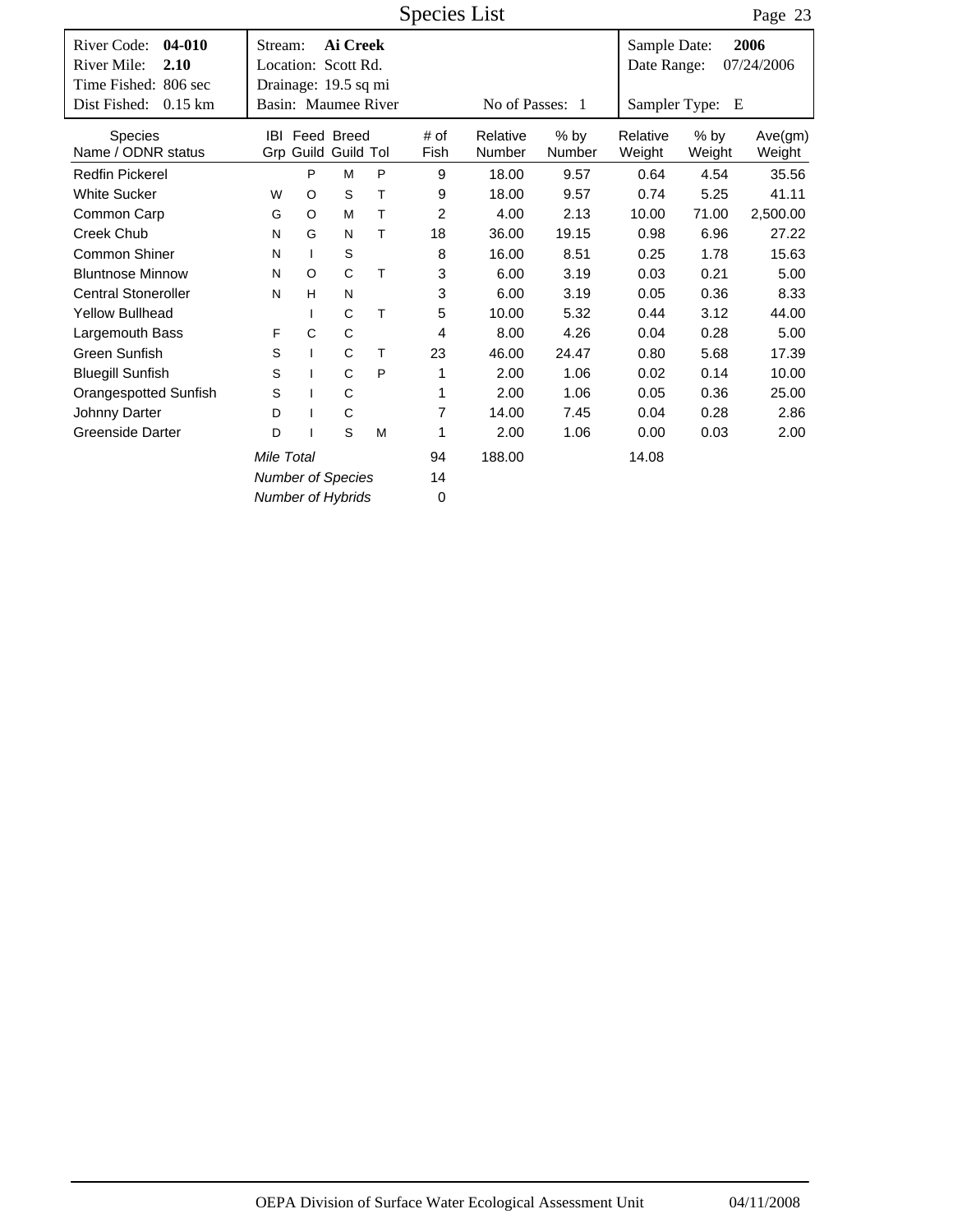Species List

Page 23

| 04-010<br>River Code:<br>River Mile:<br>2.10<br>Time Fished: 806 sec | Stream:<br>Location: Scott Rd.              |                          | Ai Creek              |      |                |                 |        | Sample Date:<br>Date Range: |        | 2006<br>07/24/2006 |
|----------------------------------------------------------------------|---------------------------------------------|--------------------------|-----------------------|------|----------------|-----------------|--------|-----------------------------|--------|--------------------|
| Dist Fished:<br>$0.15$ km                                            | Drainage: 19.5 sq mi<br>Basin: Maumee River |                          |                       |      |                | No of Passes: 1 |        | Sampler Type:               | Е      |                    |
|                                                                      |                                             |                          |                       |      |                |                 |        |                             |        |                    |
| <b>Species</b>                                                       |                                             |                          | <b>IBI</b> Feed Breed |      | # of           | Relative        | $%$ by | Relative                    | $%$ by | Ave(gm)            |
| Name / ODNR status                                                   |                                             |                          | Grp Guild Guild Tol   |      | Fish           | Number          | Number | Weight                      | Weight | Weight             |
| <b>Redfin Pickerel</b>                                               |                                             | P                        | M                     | P    | 9              | 18.00           | 9.57   | 0.64                        | 4.54   | 35.56              |
| <b>White Sucker</b>                                                  | W                                           | O                        | S                     | T    | 9              | 18.00           | 9.57   | 0.74                        | 5.25   | 41.11              |
| Common Carp                                                          | G                                           | O                        | M                     | т    | $\overline{2}$ | 4.00            | 2.13   | 10.00                       | 71.00  | 2,500.00           |
| Creek Chub                                                           | N                                           | G                        | N                     | T    | 18             | 36.00           | 19.15  | 0.98                        | 6.96   | 27.22              |
| Common Shiner                                                        | N                                           | $\mathbf{I}$             | S                     |      | 8              | 16.00           | 8.51   | 0.25                        | 1.78   | 15.63              |
| <b>Bluntnose Minnow</b>                                              | N                                           | $\circ$                  | C                     | T    | 3              | 6.00            | 3.19   | 0.03                        | 0.21   | 5.00               |
| <b>Central Stoneroller</b>                                           | N                                           | H                        | N                     |      | 3              | 6.00            | 3.19   | 0.05                        | 0.36   | 8.33               |
| <b>Yellow Bullhead</b>                                               |                                             |                          | C                     | T    | 5              | 10.00           | 5.32   | 0.44                        | 3.12   | 44.00              |
| Largemouth Bass                                                      | F                                           | $\mathsf C$              | $\mathsf C$           |      | 4              | 8.00            | 4.26   | 0.04                        | 0.28   | 5.00               |
| Green Sunfish                                                        | S                                           | $\mathbf{I}$             | C                     | т    | 23             | 46.00           | 24.47  | 0.80                        | 5.68   | 17.39              |
| <b>Bluegill Sunfish</b>                                              | S                                           |                          | C                     | P    | 1              | 2.00            | 1.06   | 0.02                        | 0.14   | 10.00              |
| Orangespotted Sunfish                                                | S                                           |                          | C                     |      | 1              | 2.00            | 1.06   | 0.05                        | 0.36   | 25.00              |
| Johnny Darter                                                        | D                                           |                          | C                     |      | 7              | 14.00           | 7.45   | 0.04                        | 0.28   | 2.86               |
| <b>Greenside Darter</b><br>S<br>D                                    |                                             | M                        | 1                     | 2.00 | 1.06           | 0.00            | 0.03   | 2.00                        |        |                    |
| Mile Total                                                           |                                             |                          |                       |      | 94             | 188.00          |        | 14.08                       |        |                    |
| <b>Number of Species</b>                                             |                                             |                          |                       |      | 14             |                 |        |                             |        |                    |
|                                                                      |                                             | <b>Number of Hybrids</b> |                       | 0    |                |                 |        |                             |        |                    |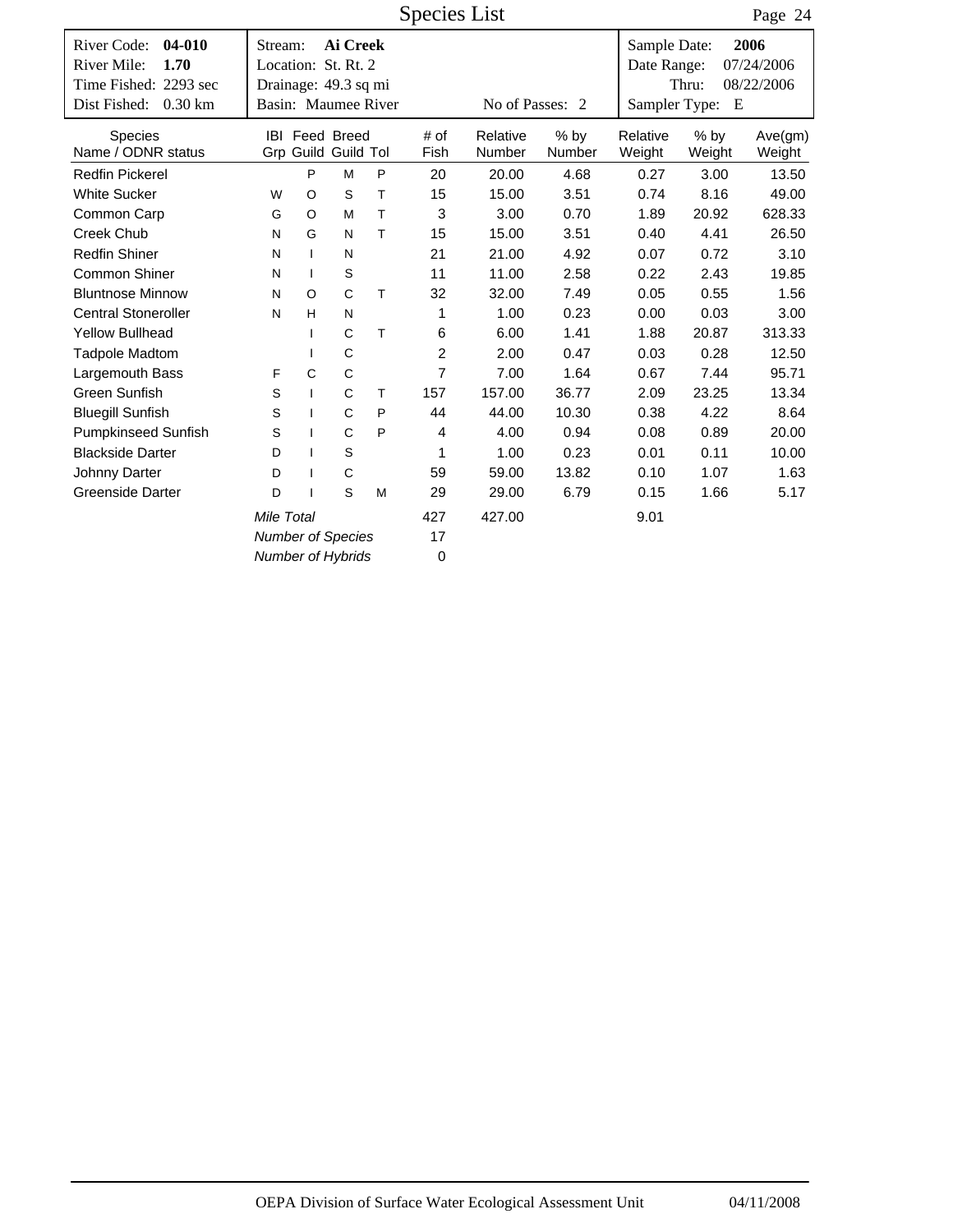|                                                  |                                    |                          |                                              |              |                | Page 24            |                  |                             |                  |                    |
|--------------------------------------------------|------------------------------------|--------------------------|----------------------------------------------|--------------|----------------|--------------------|------------------|-----------------------------|------------------|--------------------|
| $04 - 010$<br>River Code:<br>River Mile:<br>1.70 | Stream:<br>Location: St. Rt. 2     |                          | Ai Creek                                     |              |                |                    |                  | Sample Date:<br>Date Range: |                  | 2006<br>07/24/2006 |
| Time Fished: 2293 sec                            | Drainage: 49.3 sq mi               |                          |                                              |              |                |                    |                  |                             | Thru:            | 08/22/2006         |
| Dist Fished:<br>$0.30$ km                        | Basin: Maumee River                |                          |                                              |              |                | No of Passes: 2    |                  | Sampler Type:               | Ε                |                    |
| Species<br>Name / ODNR status                    |                                    |                          | <b>IBI Feed Breed</b><br>Grp Guild Guild Tol |              | # of<br>Fish   | Relative<br>Number | $%$ by<br>Number | Relative<br>Weight          | $%$ by<br>Weight | Ave(gm)<br>Weight  |
| <b>Redfin Pickerel</b>                           |                                    | P                        | M                                            | P            | 20             | 20.00              | 4.68             | 0.27                        | 3.00             | 13.50              |
| <b>White Sucker</b>                              | W                                  | $\circ$                  | S                                            | T            | 15             | 15.00              | 3.51             | 0.74                        | 8.16             | 49.00              |
| Common Carp                                      | G                                  | O                        | M                                            | Τ            | 3              | 3.00               | 0.70             | 1.89                        | 20.92            | 628.33             |
| <b>Creek Chub</b>                                | N                                  | G                        | N                                            | т            | 15             | 15.00              | 3.51             | 0.40                        | 4.41             | 26.50              |
| <b>Redfin Shiner</b>                             | N                                  | $\mathbf{I}$             | N                                            |              | 21             | 21.00              | 4.92             | 0.07                        | 0.72             | 3.10               |
| Common Shiner                                    | $\mathbb S$<br>$\mathbf{I}$<br>N   |                          |                                              |              | 11             | 11.00              | 2.58             | 0.22                        | 2.43             | 19.85              |
| <b>Bluntnose Minnow</b>                          | N                                  | $\circ$                  | $\mathsf{C}$                                 | Τ            | 32             | 32.00              | 7.49             | 0.05                        | 0.55             | 1.56               |
| <b>Central Stoneroller</b>                       | N                                  | H                        | N                                            |              | 1              | 1.00               | 0.23             | 0.00                        | 0.03             | 3.00               |
| <b>Yellow Bullhead</b>                           |                                    | $\mathbf{I}$             | C                                            | т            | 6              | 6.00               | 1.41             | 1.88                        | 20.87            | 313.33             |
| <b>Tadpole Madtom</b>                            |                                    | $\mathbf{I}$             | $\mathsf C$                                  |              | $\overline{2}$ | 2.00               | 0.47             | 0.03                        | 0.28             | 12.50              |
| Largemouth Bass                                  | F                                  | C                        | C                                            |              | $\overline{7}$ | 7.00               | 1.64             | 0.67                        | 7.44             | 95.71              |
| Green Sunfish                                    | S                                  | $\mathbf{I}$             | C                                            | Τ            | 157            | 157.00             | 36.77            | 2.09                        | 23.25            | 13.34              |
| <b>Bluegill Sunfish</b>                          | S                                  | $\mathbf{I}$             | $\mathsf C$                                  | $\mathsf{P}$ | 44             | 44.00              | 10.30            | 0.38                        | 4.22             | 8.64               |
| <b>Pumpkinseed Sunfish</b>                       | S                                  | $\overline{\phantom{a}}$ | C                                            | P            | 4              | 4.00               | 0.94             | 0.08                        | 0.89             | 20.00              |
| <b>Blackside Darter</b>                          | D                                  | $\overline{\phantom{a}}$ | S                                            |              | 1              | 1.00               | 0.23             | 0.01                        | 0.11             | 10.00              |
| Johnny Darter                                    | C<br>D<br>$\overline{\phantom{a}}$ |                          |                                              |              | 59             | 59.00              | 13.82            | 0.10                        | 1.07             | 1.63               |
| <b>Greenside Darter</b>                          | D                                  |                          | S                                            | M            | 29             | 29.00              | 6.79             | 0.15                        | 1.66             | 5.17               |
| Mile Total                                       |                                    |                          |                                              |              | 427            | 427.00             |                  | 9.01                        |                  |                    |
|                                                  | <b>Number of Species</b>           |                          |                                              |              |                |                    |                  |                             |                  |                    |
|                                                  | <b>Number of Hybrids</b>           |                          |                                              |              | $\mathbf 0$    |                    |                  |                             |                  |                    |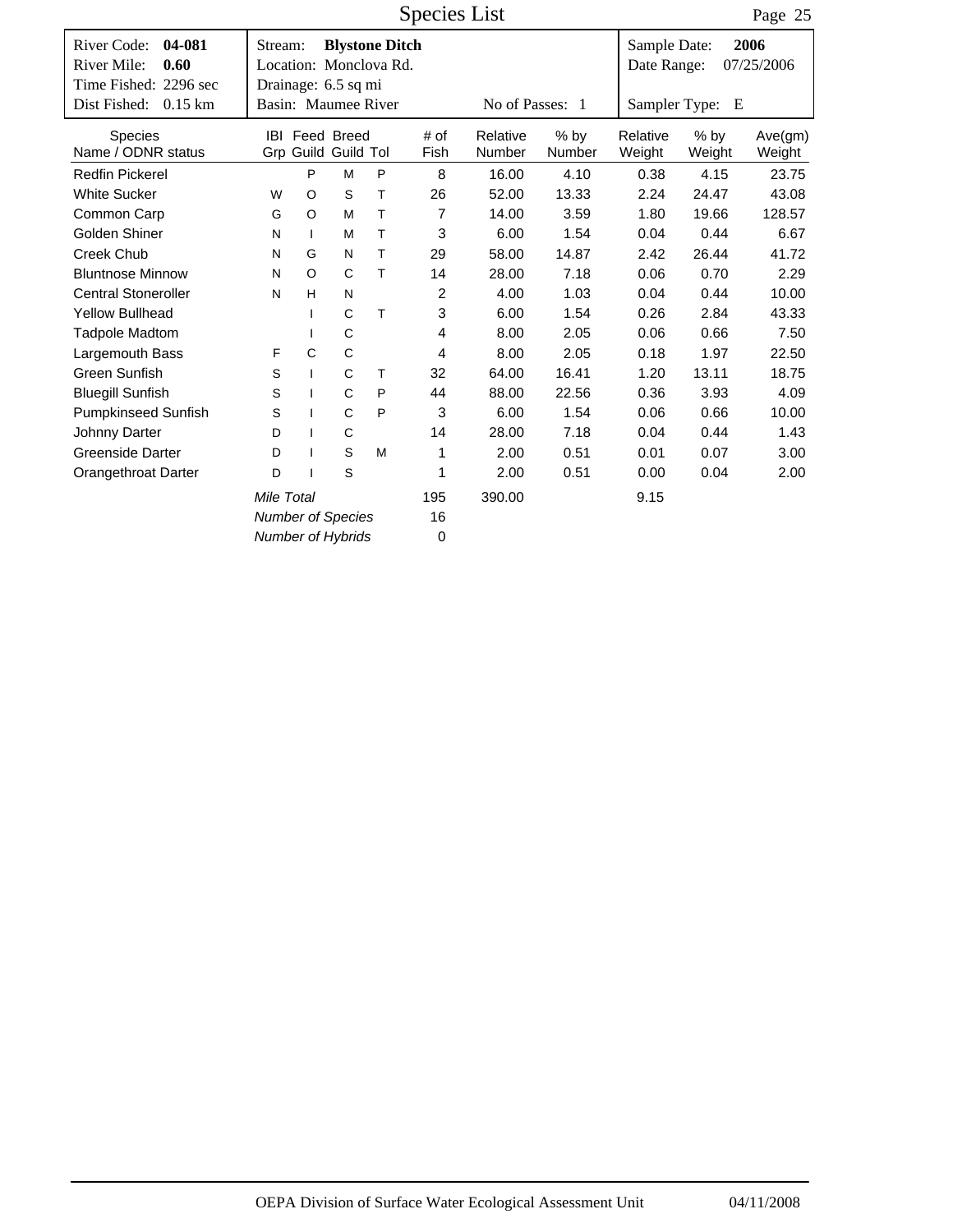Species List

Page 25

|                                                                       |                        |              |                                                                        |    | $\sim$ pools and |                    |                  |                             |                  | $1 \, \mu_{\rm D}$ $\sim$ |
|-----------------------------------------------------------------------|------------------------|--------------|------------------------------------------------------------------------|----|------------------|--------------------|------------------|-----------------------------|------------------|---------------------------|
| 04-081<br>River Code:<br>River Mile:<br>0.60<br>Time Fished: 2296 sec | Stream:                |              | <b>Blystone Ditch</b><br>Location: Monclova Rd.<br>Drainage: 6.5 sq mi |    |                  |                    |                  | Sample Date:<br>Date Range: |                  | 2006<br>07/25/2006        |
| Dist Fished:<br>$0.15$ km                                             |                        |              | Basin: Maumee River                                                    |    |                  | No of Passes: 1    |                  |                             | Sampler Type: E  |                           |
| <b>Species</b><br>Name / ODNR status                                  |                        |              | <b>IBI Feed Breed</b><br>Grp Guild Guild Tol                           |    | # of<br>Fish     | Relative<br>Number | $%$ by<br>Number | Relative<br>Weight          | $%$ by<br>Weight | Ave(gm)<br>Weight         |
| <b>Redfin Pickerel</b>                                                |                        | P            | M                                                                      | P  | 8                | 16.00              | 4.10             | 0.38                        | 4.15             | 23.75                     |
| <b>White Sucker</b>                                                   | W                      | O            | S                                                                      | Τ  | 26               | 52.00              | 13.33            | 2.24                        | 24.47            | 43.08                     |
| Common Carp                                                           | G                      | $\circ$      | M                                                                      | Τ  | $\overline{7}$   | 14.00              | 3.59             | 1.80                        | 19.66            | 128.57                    |
| Golden Shiner                                                         | N                      | $\mathbf{I}$ | M                                                                      | Τ  | 3                | 6.00               | 1.54             | 0.04                        | 0.44             | 6.67                      |
| Creek Chub                                                            | G<br>T.<br>N<br>N      |              |                                                                        |    | 29               | 58.00              | 14.87            | 2.42                        | 26.44            | 41.72                     |
| <b>Bluntnose Minnow</b>                                               | C<br>Τ<br>$\circ$<br>N |              |                                                                        |    | 14               | 28.00              | 7.18             | 0.06                        | 0.70             | 2.29                      |
| <b>Central Stoneroller</b>                                            | N                      | H            | N                                                                      |    | 2                | 4.00               | 1.03             | 0.04                        | 0.44             | 10.00                     |
| <b>Yellow Bullhead</b>                                                |                        | $\mathbf{I}$ | C                                                                      | T  | 3                | 6.00               | 1.54             | 0.26                        | 2.84             | 43.33                     |
| <b>Tadpole Madtom</b>                                                 |                        | $\mathbf{I}$ | C                                                                      |    | 4                | 8.00               | 2.05             | 0.06                        | 0.66             | 7.50                      |
| Largemouth Bass                                                       | F                      | C            | C                                                                      |    | 4                | 8.00               | 2.05             | 0.18                        | 1.97             | 22.50                     |
| Green Sunfish                                                         | S                      | $\mathbf{I}$ | C                                                                      | T. | 32               | 64.00              | 16.41            | 1.20                        | 13.11            | 18.75                     |
| <b>Bluegill Sunfish</b>                                               | S                      | $\mathbf{I}$ | $\mathsf{C}$                                                           | P  | 44               | 88.00              | 22.56            | 0.36                        | 3.93             | 4.09                      |
| <b>Pumpkinseed Sunfish</b>                                            | S                      | $\mathbf{I}$ | $\mathsf{C}$                                                           | P  | 3                | 6.00               | 1.54             | 0.06                        | 0.66             | 10.00                     |
| Johnny Darter                                                         | D                      | $\mathbf{I}$ | $\mathsf C$                                                            |    | 14               | 28.00              | 7.18             | 0.04                        | 0.44             | 1.43                      |
| <b>Greenside Darter</b>                                               | D                      | $\mathbf{I}$ | S                                                                      | M  | 1                | 2.00               | 0.51             | 0.01                        | 0.07             | 3.00                      |
| Orangethroat Darter                                                   | D                      |              | S                                                                      |    | 1                | 2.00               | 0.51             | 0.00                        | 0.04             | 2.00                      |
|                                                                       | Mile Total             |              |                                                                        |    | 195              | 390.00             |                  | 9.15                        |                  |                           |
|                                                                       |                        |              | <b>Number of Species</b>                                               |    | 16               |                    |                  |                             |                  |                           |
|                                                                       |                        |              | <b>Number of Hybrids</b>                                               |    | 0                |                    |                  |                             |                  |                           |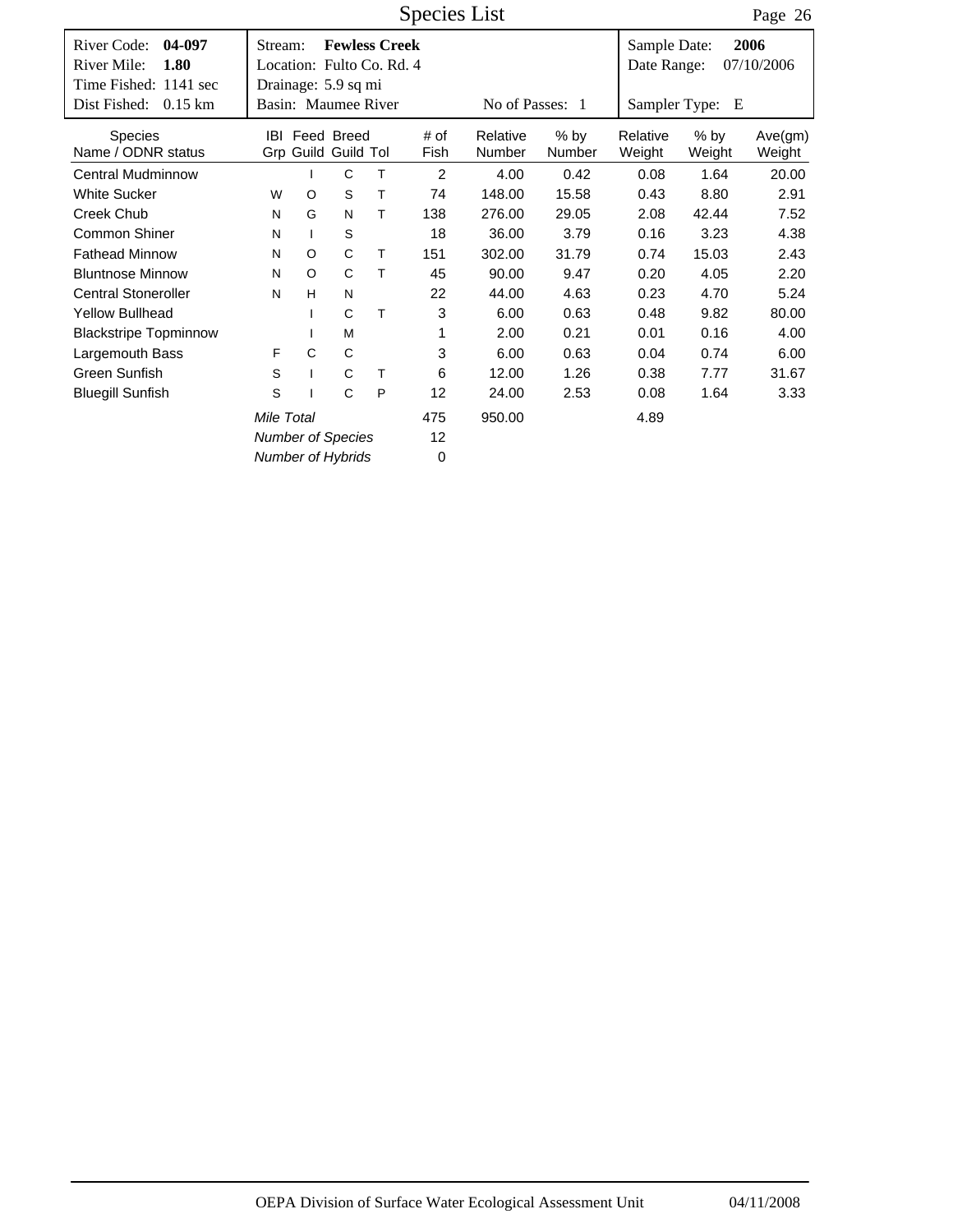Time Fished: 1141 sec Dist Fished: 0.15 km | Basin: Maumee River No of Passes: 1 Date Range: 07/10/2006 Species List # of Fish River Code: 04-097 | Stream: **Fewless Creek** | Sample Date: Sampler Type: E **04-097 1.80 2006** Location: Fulto Co. Rd. 4 Dist Fished: 0.15 km Page 26 Number % by Number Weight % by Weight Ave(gm) Weight IBI Feed Breed # of Relative % by Relative Grp Guild Tol Guild Stream: Drainage: 5.9 sq mi River Mile: Species Name / ODNR status Central Mudminnow 1 C T 2 4.00 0.42 0.08 1.64 20.00 White Sucker **WO ST 74 148.00 15.58 0.43 8.80 2.91** Creek Chub NG NT 138 276.00 29.05 2.08 42.44 7.52 Common Shiner NI S 18 36.00 3.79 0.16 3.23 4.38 Fathead Minnow NO CT 151 302.00 31.79 0.74 15.03 2.43 Bluntnose Minnow NO CT 45 90.00 9.47 0.20 4.05 2.20 Central Stoneroller NH N 22 44.00 4.63 0.23 4.70 5.24 Yellow Bullhead I CT 3 6.00 0.63 0.48 9.82 80.00 Blackstripe Topminnow I M 1 2.00 0.21 0.01 0.16 4.00 Largemouth Bass FCC 3 6.00 0.63 0.04 0.74 6.00 Green Sunfish  $S$  I C T 6 12.00 1.26 0.38 7.77 31.67 Bluegill Sunfish S I CP 12 24.00 2.53 0.08 1.64 3.33 475 *Number of Species Number of Hybrids* 12 0 *Mile Total* **475** 950.00 **4.89**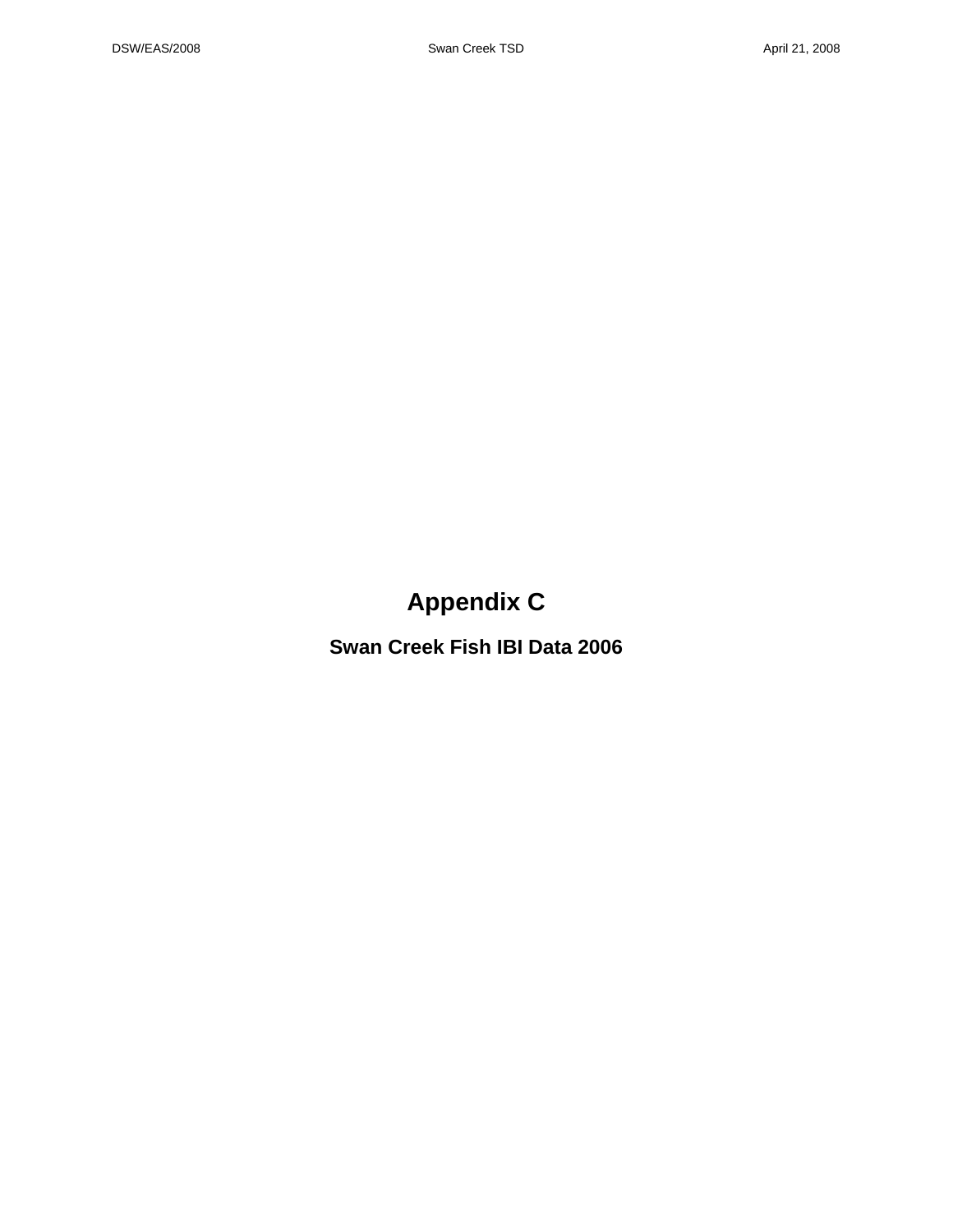## **Appendix C**

**Swan Creek Fish IBI Data 2006**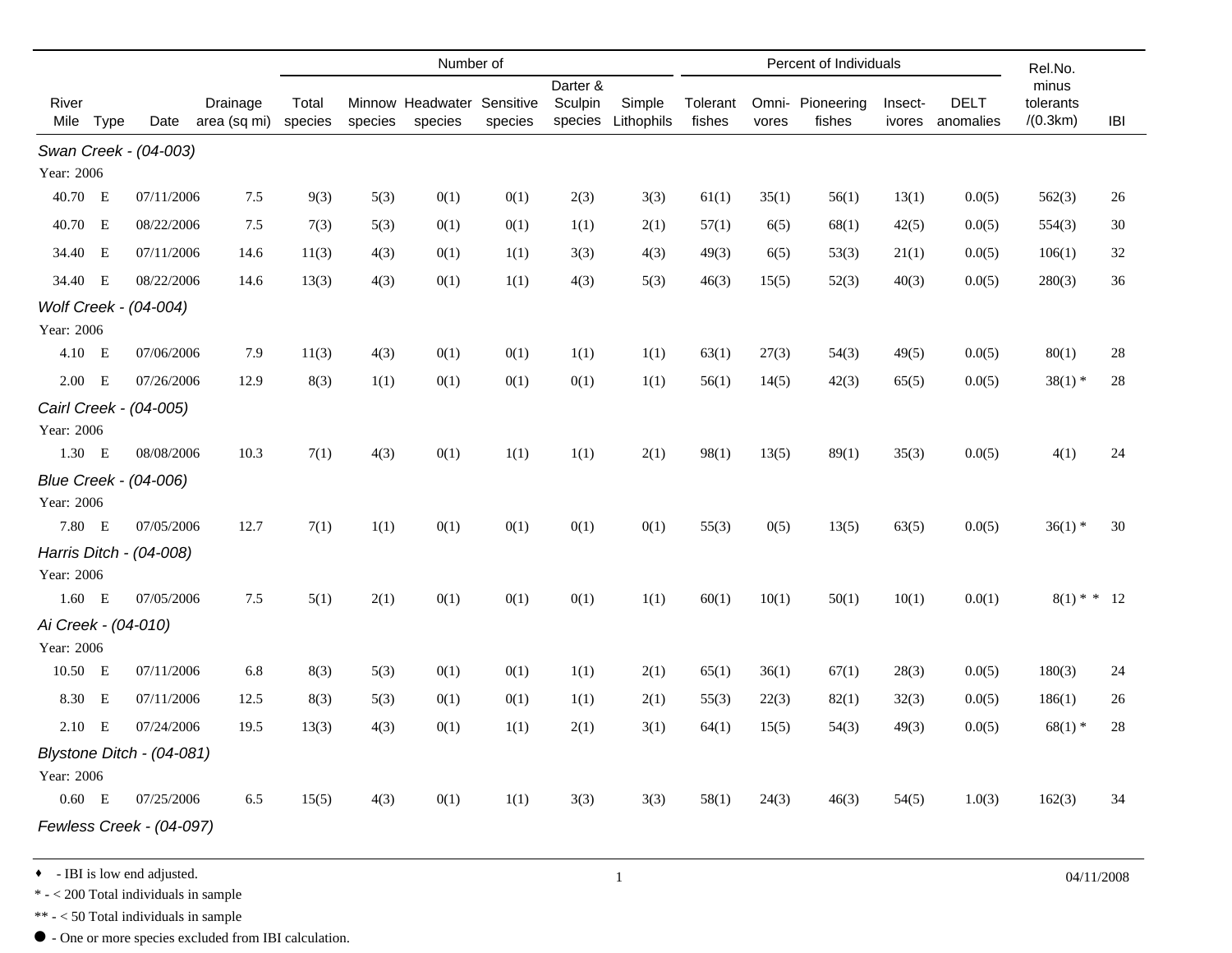|                      |      |                           |                          | Number of        |         |                                       |         |                    |                      | Percent of Individuals |       |                            |                   |                          | Rel.No.               |     |
|----------------------|------|---------------------------|--------------------------|------------------|---------|---------------------------------------|---------|--------------------|----------------------|------------------------|-------|----------------------------|-------------------|--------------------------|-----------------------|-----|
|                      |      |                           |                          |                  |         |                                       |         | Darter &           |                      |                        |       |                            |                   |                          | minus                 |     |
| River<br>Mile        | Type | Date                      | Drainage<br>area (sq mi) | Total<br>species | species | Minnow Headwater Sensitive<br>species | species | Sculpin<br>species | Simple<br>Lithophils | Tolerant<br>fishes     | vores | Omni- Pioneering<br>fishes | Insect-<br>ivores | <b>DELT</b><br>anomalies | tolerants<br>/(0.3km) | IBI |
|                      |      | Swan Creek - (04-003)     |                          |                  |         |                                       |         |                    |                      |                        |       |                            |                   |                          |                       |     |
| Year: 2006           |      |                           |                          |                  |         |                                       |         |                    |                      |                        |       |                            |                   |                          |                       |     |
| 40.70 E              |      | 07/11/2006                | 7.5                      | 9(3)             | 5(3)    | 0(1)                                  | 0(1)    | 2(3)               | 3(3)                 | 61(1)                  | 35(1) | 56(1)                      | 13(1)             | 0.0(5)                   | 562(3)                | 26  |
| 40.70 E              |      | 08/22/2006                | 7.5                      | 7(3)             | 5(3)    | 0(1)                                  | 0(1)    | 1(1)               | 2(1)                 | 57(1)                  | 6(5)  | 68(1)                      | 42(5)             | 0.0(5)                   | 554(3)                | 30  |
| 34.40 E              |      | 07/11/2006                | 14.6                     | 11(3)            | 4(3)    | 0(1)                                  | 1(1)    | 3(3)               | 4(3)                 | 49(3)                  | 6(5)  | 53(3)                      | 21(1)             | 0.0(5)                   | 106(1)                | 32  |
| 34.40 E              |      | 08/22/2006                | 14.6                     | 13(3)            | 4(3)    | 0(1)                                  | 1(1)    | 4(3)               | 5(3)                 | 46(3)                  | 15(5) | 52(3)                      | 40(3)             | 0.0(5)                   | 280(3)                | 36  |
|                      |      | Wolf Creek - (04-004)     |                          |                  |         |                                       |         |                    |                      |                        |       |                            |                   |                          |                       |     |
| Year: 2006           |      |                           |                          |                  |         |                                       |         |                    |                      |                        |       |                            |                   |                          |                       |     |
| 4.10 E               |      | 07/06/2006                | 7.9                      | 11(3)            | 4(3)    | 0(1)                                  | 0(1)    | 1(1)               | 1(1)                 | 63(1)                  | 27(3) | 54(3)                      | 49(5)             | 0.0(5)                   | 80(1)                 | 28  |
| $2.00$ E             |      | 07/26/2006                | 12.9                     | 8(3)             | 1(1)    | 0(1)                                  | 0(1)    | 0(1)               | 1(1)                 | 56(1)                  | 14(5) | 42(3)                      | 65(5)             | 0.0(5)                   | $38(1)$ *             | 28  |
|                      |      | Cairl Creek - (04-005)    |                          |                  |         |                                       |         |                    |                      |                        |       |                            |                   |                          |                       |     |
| Year: 2006           |      |                           |                          |                  |         |                                       |         |                    |                      |                        |       |                            |                   |                          |                       |     |
| 1.30 E               |      | 08/08/2006                | 10.3                     | 7(1)             | 4(3)    | 0(1)                                  | 1(1)    | 1(1)               | 2(1)                 | 98(1)                  | 13(5) | 89(1)                      | 35(3)             | 0.0(5)                   | 4(1)                  | 24  |
|                      |      | Blue Creek - (04-006)     |                          |                  |         |                                       |         |                    |                      |                        |       |                            |                   |                          |                       |     |
| Year: 2006<br>7.80 E |      |                           |                          |                  |         |                                       |         |                    |                      |                        |       |                            |                   |                          |                       |     |
|                      |      | 07/05/2006                | 12.7                     | 7(1)             | 1(1)    | 0(1)                                  | 0(1)    | 0(1)               | 0(1)                 | 55(3)                  | 0(5)  | 13(5)                      | 63(5)             | 0.0(5)                   | $36(1)$ *             | 30  |
| Year: 2006           |      | Harris Ditch - (04-008)   |                          |                  |         |                                       |         |                    |                      |                        |       |                            |                   |                          |                       |     |
| $1.60$ E             |      | 07/05/2006                | 7.5                      | 5(1)             | 2(1)    | 0(1)                                  | 0(1)    | 0(1)               | 1(1)                 | 60(1)                  | 10(1) | 50(1)                      | 10(1)             | 0.0(1)                   | $8(1)$ * * 12         |     |
| Ai Creek - (04-010)  |      |                           |                          |                  |         |                                       |         |                    |                      |                        |       |                            |                   |                          |                       |     |
| Year: 2006           |      |                           |                          |                  |         |                                       |         |                    |                      |                        |       |                            |                   |                          |                       |     |
| 10.50 E              |      | 07/11/2006                | 6.8                      | 8(3)             | 5(3)    | 0(1)                                  | 0(1)    | 1(1)               | 2(1)                 | 65(1)                  | 36(1) | 67(1)                      | 28(3)             | 0.0(5)                   | 180(3)                | 24  |
| 8.30 E               |      | 07/11/2006                | 12.5                     | 8(3)             | 5(3)    | 0(1)                                  | 0(1)    | 1(1)               | 2(1)                 | 55(3)                  | 22(3) | 82(1)                      | 32(3)             | 0.0(5)                   | 186(1)                | 26  |
| $2.10$ E             |      | 07/24/2006                | 19.5                     | 13(3)            | 4(3)    | 0(1)                                  | 1(1)    | 2(1)               | 3(1)                 | 64(1)                  | 15(5) | 54(3)                      | 49(3)             | 0.0(5)                   | $68(1)$ *             | 28  |
|                      |      | Blystone Ditch - (04-081) |                          |                  |         |                                       |         |                    |                      |                        |       |                            |                   |                          |                       |     |
| Year: 2006           |      |                           |                          |                  |         |                                       |         |                    |                      |                        |       |                            |                   |                          |                       |     |
| $0.60$ E             |      | 07/25/2006                | 6.5                      | 15(5)            | 4(3)    | 0(1)                                  | 1(1)    | 3(3)               | 3(3)                 | 58(1)                  | 24(3) | 46(3)                      | 54(5)             | 1.0(3)                   | 162(3)                | 34  |
|                      |      | Fewless Creek - (04-097)  |                          |                  |         |                                       |         |                    |                      |                        |       |                            |                   |                          |                       |     |
|                      |      |                           |                          |                  |         |                                       |         |                    |                      |                        |       |                            |                   |                          |                       |     |

• IBI is low end adjusted.  $0.4/11/2008$ 

 $\text{*}$  -  $<$  200 Total individuals in sample

\*\* - < 50 Total individuals in sample

 $\bullet$  - One or more species excluded from IBI calculation.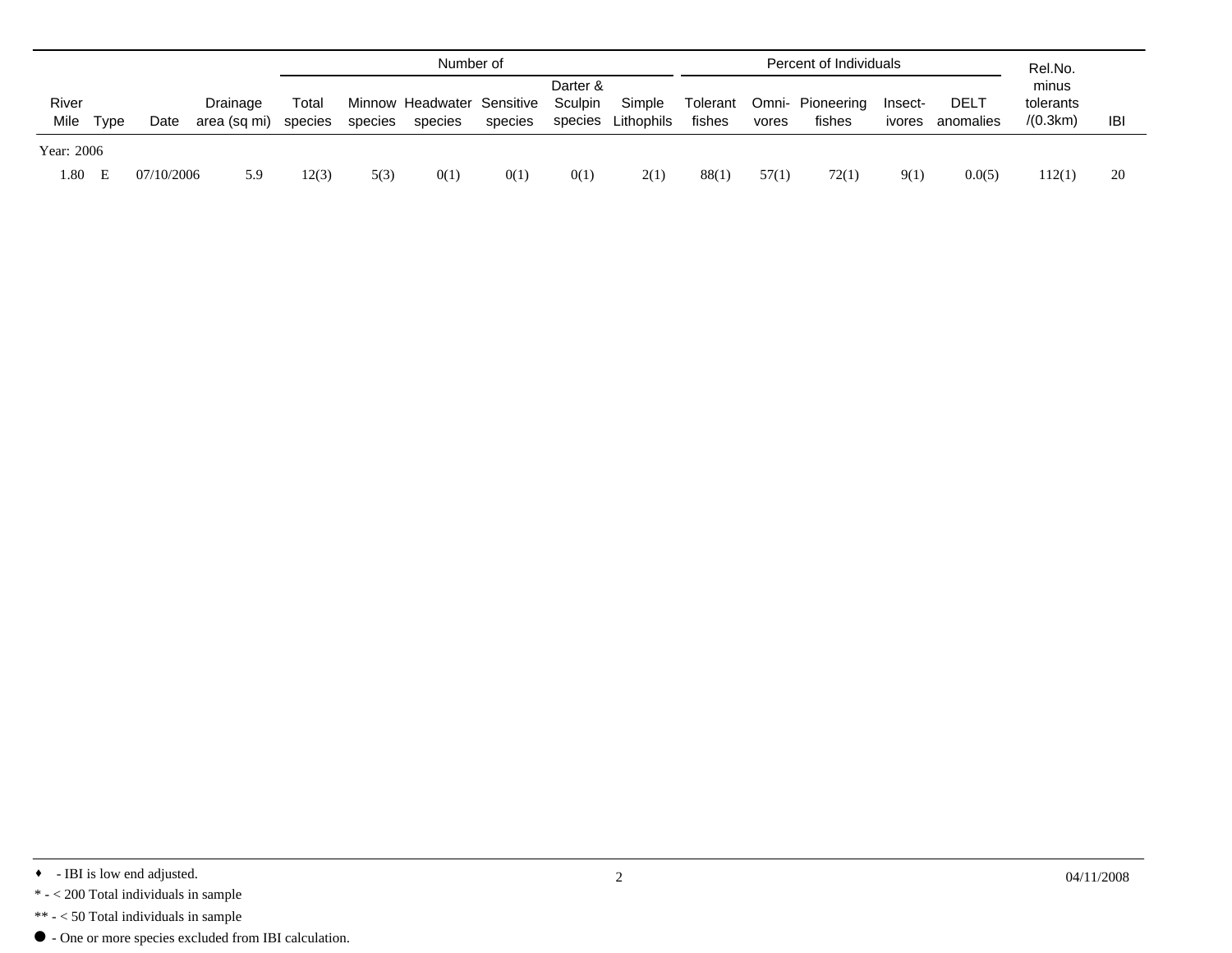|            |          |            |              |                            |         | Number of |                               |         |                   |        | Percent of Individuals | Rel.No.         |        |                    |          |     |
|------------|----------|------------|--------------|----------------------------|---------|-----------|-------------------------------|---------|-------------------|--------|------------------------|-----------------|--------|--------------------|----------|-----|
| River      | Drainage |            | $\sf{Total}$ | Minnow Headwater Sensitive |         |           | Darter &<br>Sculpin<br>Simple |         | Omni-<br>Tolerant |        | Pioneering             | DEL1<br>Insect- |        | minus<br>tolerants |          |     |
| Mile       | Tvpe     | Date       | area (sq mi) | species                    | species | species   | species                       | species | Lithophils        | fishes | vores                  | fishes          | ivores | anomalies          | /(0.3km) | IBI |
| Year: 2006 |          |            |              |                            |         |           |                               |         |                   |        |                        |                 |        |                    |          |     |
| 1.80       | - E      | 07/10/2006 | 5.9          | 12(3)                      | 5(3)    | 0(1)      | 0(1)                          | 0(1)    | 2(1)              | 88(1)  | 57(1)                  | 72(1)           | 9(1)   | 0.0(5)             | 112(1)   | 20  |

- \*\* < 50 Total individuals in sample
- $\bullet$  One or more species excluded from IBI calculation.

<sup>•</sup> IBI is low end adjusted.  $0.4/11/2008$ 

 $\ast$  -  $<$  200 Total individuals in sample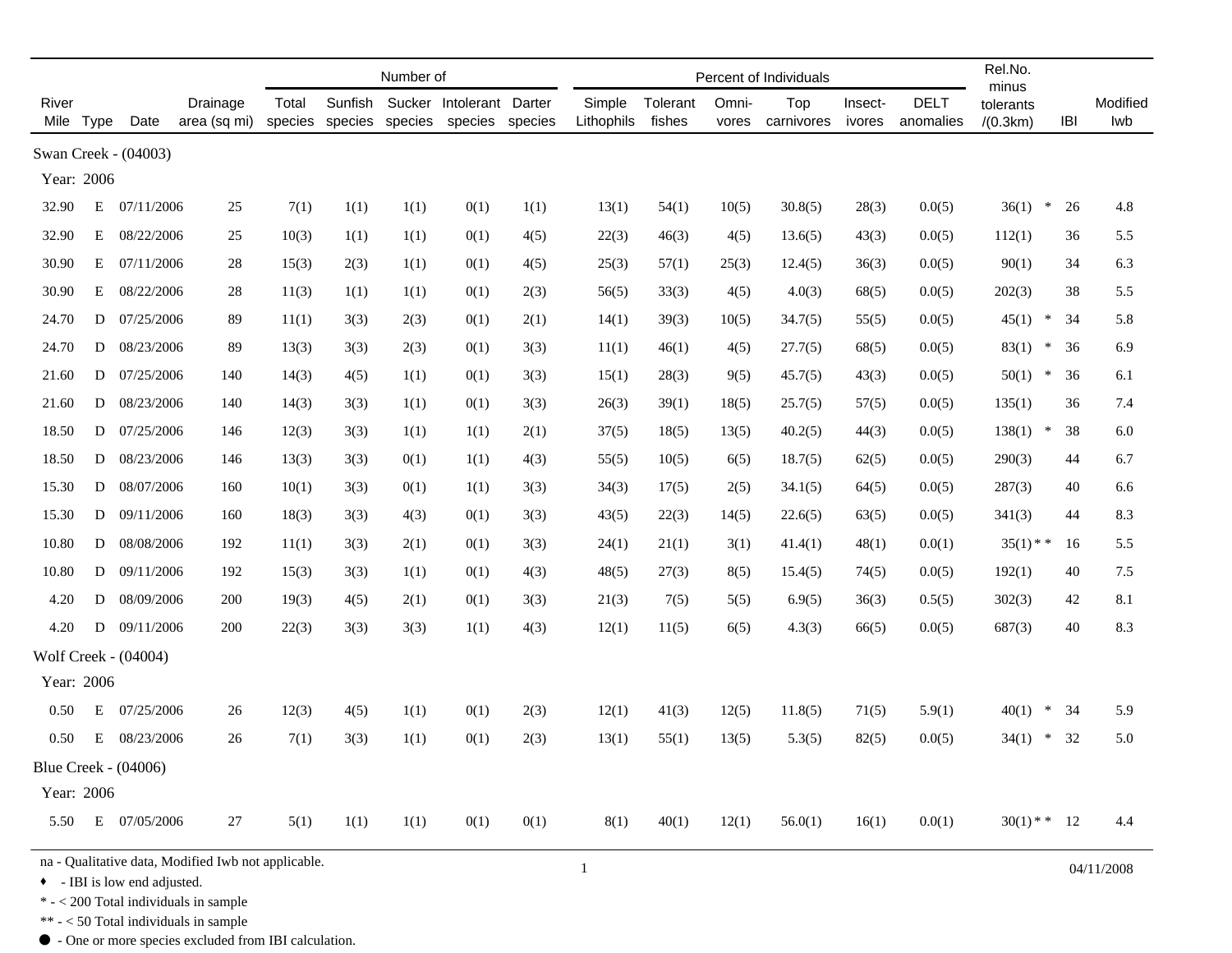|                                                                                                     |      |                             |                          |       |         | Number of |                                                                     |      |                      | Rel.No.<br>minus   |                |                   |                   |                          |                       |            |                 |
|-----------------------------------------------------------------------------------------------------|------|-----------------------------|--------------------------|-------|---------|-----------|---------------------------------------------------------------------|------|----------------------|--------------------|----------------|-------------------|-------------------|--------------------------|-----------------------|------------|-----------------|
| River<br>Mile                                                                                       | Type | Date                        | Drainage<br>area (sq mi) | Total | Sunfish |           | Sucker Intolerant Darter<br>species species species species species |      | Simple<br>Lithophils | Tolerant<br>fishes | Omni-<br>vores | Top<br>carnivores | Insect-<br>ivores | <b>DELT</b><br>anomalies | tolerants<br>/(0.3km) | <b>IBI</b> | Modified<br>lwb |
| Swan Creek - (04003)                                                                                |      |                             |                          |       |         |           |                                                                     |      |                      |                    |                |                   |                   |                          |                       |            |                 |
| Year: 2006                                                                                          |      |                             |                          |       |         |           |                                                                     |      |                      |                    |                |                   |                   |                          |                       |            |                 |
| 32.90                                                                                               | Ε    | 07/11/2006                  | 25                       | 7(1)  | 1(1)    | 1(1)      | 0(1)                                                                | 1(1) | 13(1)                | 54(1)              | 10(5)          | 30.8(5)           | 28(3)             | 0.0(5)                   | 36(1)<br>$\ast$       | 26         | 4.8             |
| 32.90                                                                                               | Е    | 08/22/2006                  | 25                       | 10(3) | 1(1)    | 1(1)      | 0(1)                                                                | 4(5) | 22(3)                | 46(3)              | 4(5)           | 13.6(5)           | 43(3)             | 0.0(5)                   | 112(1)                | 36         | 5.5             |
| 30.90                                                                                               | Е    | 07/11/2006                  | 28                       | 15(3) | 2(3)    | 1(1)      | 0(1)                                                                | 4(5) | 25(3)                | 57(1)              | 25(3)          | 12.4(5)           | 36(3)             | 0.0(5)                   | 90(1)                 | 34         | 6.3             |
| 30.90                                                                                               | Е    | 08/22/2006                  | 28                       | 11(3) | 1(1)    | 1(1)      | 0(1)                                                                | 2(3) | 56(5)                | 33(3)              | 4(5)           | 4.0(3)            | 68(5)             | 0.0(5)                   | 202(3)                | 38         | 5.5             |
| 24.70                                                                                               | D    | 07/25/2006                  | 89                       | 11(1) | 3(3)    | 2(3)      | 0(1)                                                                | 2(1) | 14(1)                | 39(3)              | 10(5)          | 34.7(5)           | 55(5)             | 0.0(5)                   | 45(1)<br>$\ast$       | 34         | 5.8             |
| 24.70                                                                                               | D    | 08/23/2006                  | 89                       | 13(3) | 3(3)    | 2(3)      | 0(1)                                                                | 3(3) | 11(1)                | 46(1)              | 4(5)           | 27.7(5)           | 68(5)             | 0.0(5)                   | 83(1)<br>$\ast$       | 36         | 6.9             |
| 21.60                                                                                               | D    | 07/25/2006                  | 140                      | 14(3) | 4(5)    | 1(1)      | 0(1)                                                                | 3(3) | 15(1)                | 28(3)              | 9(5)           | 45.7(5)           | 43(3)             | 0.0(5)                   | 50(1)<br>$\ast$       | 36         | 6.1             |
| 21.60                                                                                               | D    | 08/23/2006                  | 140                      | 14(3) | 3(3)    | 1(1)      | 0(1)                                                                | 3(3) | 26(3)                | 39(1)              | 18(5)          | 25.7(5)           | 57(5)             | 0.0(5)                   | 135(1)                | 36         | 7.4             |
| 18.50                                                                                               | D    | 07/25/2006                  | 146                      | 12(3) | 3(3)    | 1(1)      | 1(1)                                                                | 2(1) | 37(5)                | 18(5)              | 13(5)          | 40.2(5)           | 44(3)             | 0.0(5)                   | 138(1)<br>$\ast$      | 38         | 6.0             |
| 18.50                                                                                               | D    | 08/23/2006                  | 146                      | 13(3) | 3(3)    | 0(1)      | 1(1)                                                                | 4(3) | 55(5)                | 10(5)              | 6(5)           | 18.7(5)           | 62(5)             | 0.0(5)                   | 290(3)                | 44         | 6.7             |
| 15.30                                                                                               | D    | 08/07/2006                  | 160                      | 10(1) | 3(3)    | 0(1)      | 1(1)                                                                | 3(3) | 34(3)                | 17(5)              | 2(5)           | 34.1(5)           | 64(5)             | 0.0(5)                   | 287(3)                | 40         | 6.6             |
| 15.30                                                                                               | D    | 09/11/2006                  | 160                      | 18(3) | 3(3)    | 4(3)      | 0(1)                                                                | 3(3) | 43(5)                | 22(3)              | 14(5)          | 22.6(5)           | 63(5)             | 0.0(5)                   | 341(3)                | 44         | 8.3             |
| 10.80                                                                                               | D    | 08/08/2006                  | 192                      | 11(1) | 3(3)    | 2(1)      | 0(1)                                                                | 3(3) | 24(1)                | 21(1)              | 3(1)           | 41.4(1)           | 48(1)             | 0.0(1)                   | $35(1)$ * *           | 16         | 5.5             |
| 10.80                                                                                               | D    | 09/11/2006                  | 192                      | 15(3) | 3(3)    | 1(1)      | 0(1)                                                                | 4(3) | 48(5)                | 27(3)              | 8(5)           | 15.4(5)           | 74(5)             | 0.0(5)                   | 192(1)                | 40         | 7.5             |
| 4.20                                                                                                | D    | 08/09/2006                  | 200                      | 19(3) | 4(5)    | 2(1)      | 0(1)                                                                | 3(3) | 21(3)                | 7(5)               | 5(5)           | 6.9(5)            | 36(3)             | 0.5(5)                   | 302(3)                | 42         | 8.1             |
| 4.20                                                                                                | D    | 09/11/2006                  | 200                      | 22(3) | 3(3)    | 3(3)      | 1(1)                                                                | 4(3) | 12(1)                | 11(5)              | 6(5)           | 4.3(3)            | 66(5)             | 0.0(5)                   | 687(3)                | 40         | 8.3             |
|                                                                                                     |      | Wolf Creek - (04004)        |                          |       |         |           |                                                                     |      |                      |                    |                |                   |                   |                          |                       |            |                 |
| Year: 2006                                                                                          |      |                             |                          |       |         |           |                                                                     |      |                      |                    |                |                   |                   |                          |                       |            |                 |
| 0.50                                                                                                | Ε    | 07/25/2006                  | 26                       | 12(3) | 4(5)    | 1(1)      | 0(1)                                                                | 2(3) | 12(1)                | 41(3)              | 12(5)          | 11.8(5)           | 71(5)             | 5.9(1)                   | $\ast$<br>40(1)       | 34         | 5.9             |
| 0.50                                                                                                | Ε    | 08/23/2006                  | 26                       | 7(1)  | 3(3)    | 1(1)      | 0(1)                                                                | 2(3) | 13(1)                | 55(1)              | 13(5)          | 5.3(5)            | 82(5)             | 0.0(5)                   | $\ast$<br>34(1)       | 32         | 5.0             |
|                                                                                                     |      | <b>Blue Creek - (04006)</b> |                          |       |         |           |                                                                     |      |                      |                    |                |                   |                   |                          |                       |            |                 |
| Year: 2006                                                                                          |      |                             |                          |       |         |           |                                                                     |      |                      |                    |                |                   |                   |                          |                       |            |                 |
| 5.50                                                                                                |      | E 07/05/2006                | 27                       | 5(1)  | 1(1)    | 1(1)      | 0(1)                                                                | 0(1) | 8(1)                 | 40(1)              | 12(1)          | 56.0(1)           | 16(1)             | 0.0(1)                   | $30(1)$ * * 12        |            | 4.4             |
| na - Qualitative data, Modified Iwb not applicable.<br>$\mathbf{1}$<br>• - IBI is low end adjusted. |      |                             |                          |       |         |           |                                                                     |      |                      |                    |                | 04/11/2008        |                   |                          |                       |            |                 |

 $\ast$  -  $<$  200 Total individuals in sample

\*\* - < 50 Total individuals in sample

 $\bullet$  - One or more species excluded from IBI calculation.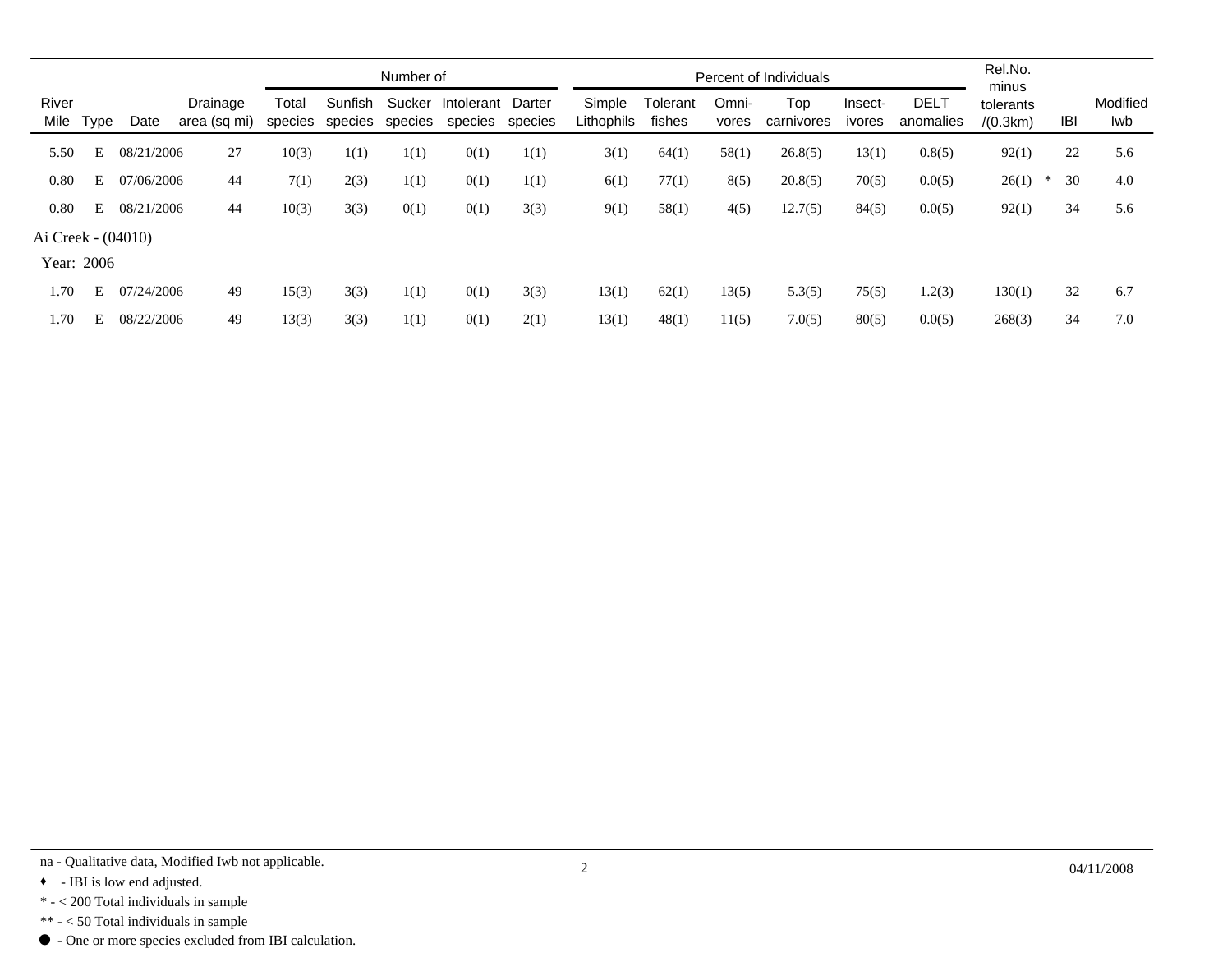|                    |   |            |                          |       |                                    | Number of |                              |         |                      | Percent of Individuals | Rel.No.<br>minus |                   |                   |                          |                       |              |                 |
|--------------------|---|------------|--------------------------|-------|------------------------------------|-----------|------------------------------|---------|----------------------|------------------------|------------------|-------------------|-------------------|--------------------------|-----------------------|--------------|-----------------|
| River<br>Mile Type |   | Date       | Drainage<br>area (sq mi) | Total | Sunfish<br>species species species | Sucker    | Intolerant Darter<br>species | species | Simple<br>Lithophils | Tolerant<br>fishes     | Omni-<br>vores   | Top<br>carnivores | Insect-<br>ivores | <b>DELT</b><br>anomalies | tolerants<br>/(0.3km) | IBI          | Modified<br>Iwb |
| 5.50               | E | 08/21/2006 | 27                       | 10(3) | 1(1)                               | 1(1)      | 0(1)                         | 1(1)    | 3(1)                 | 64(1)                  | 58(1)            | 26.8(5)           | 13(1)             | 0.8(5)                   | 92(1)                 | 22           | 5.6             |
| 0.80               | E | 07/06/2006 | 44                       | 7(1)  | 2(3)                               | 1(1)      | 0(1)                         | 1(1)    | 6(1)                 | 77(1)                  | 8(5)             | 20.8(5)           | 70(5)             | 0.0(5)                   | 26(1)                 | 30<br>$\ast$ | 4.0             |
| 0.80               | E | 08/21/2006 | 44                       | 10(3) | 3(3)                               | 0(1)      | 0(1)                         | 3(3)    | 9(1)                 | 58(1)                  | 4(5)             | 12.7(5)           | 84(5)             | 0.0(5)                   | 92(1)                 | 34           | 5.6             |
| Ai Creek - (04010) |   |            |                          |       |                                    |           |                              |         |                      |                        |                  |                   |                   |                          |                       |              |                 |
| Year: 2006         |   |            |                          |       |                                    |           |                              |         |                      |                        |                  |                   |                   |                          |                       |              |                 |
| 1.70               | E | 07/24/2006 | 49                       | 15(3) | 3(3)                               | 1(1)      | 0(1)                         | 3(3)    | 13(1)                | 62(1)                  | 13(5)            | 5.3(5)            | 75(5)             | 1.2(3)                   | 130(1)                | 32           | 6.7             |
| 1.70               | E | 08/22/2006 | 49                       | 13(3) | 3(3)                               | 1(1)      | 0(1)                         | 2(1)    | 13(1)                | 48(1)                  | 11(5)            | 7.0(5)            | 80(5)             | 0.0(5)                   | 268(3)                | 34           | 7.0             |

na - Qualitative data, Modified Iwb not applicable. 2

<sup>• -</sup> IBI is low end adjusted.

 $\,^*$  -  $<$  200 Total individuals in sample

<sup>\*\* - &</sup>lt; 50 Total individuals in sample

 $\bullet$  - One or more species excluded from IBI calculation.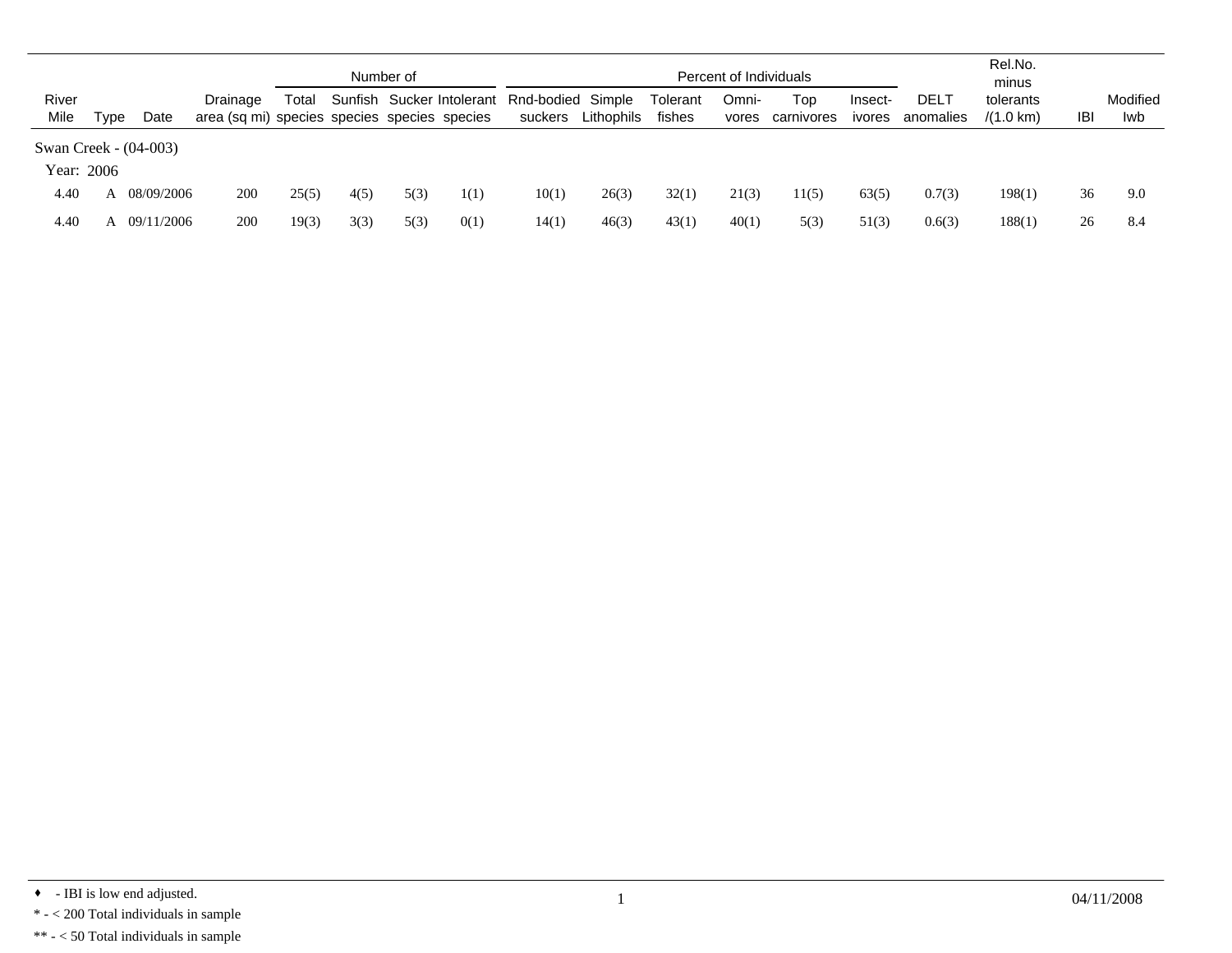|               |      |                       |                                                          |       |      | Number of |      | Percent of Individuals                                 |            |                    |                |                   | Rel.No.<br>minus  |                   |                                  |            |                 |
|---------------|------|-----------------------|----------------------------------------------------------|-------|------|-----------|------|--------------------------------------------------------|------------|--------------------|----------------|-------------------|-------------------|-------------------|----------------------------------|------------|-----------------|
| River<br>Mile | Tvpe | Date                  | Drainage<br>area (sq mi) species species species species | Total |      |           |      | Sunfish Sucker Intolerant Rnd-bodied Simple<br>suckers | Lithophils | Tolerant<br>fishes | Omni-<br>vores | Top<br>carnivores | Insect-<br>ivores | DELT<br>anomalies | tolerants<br>$/(1.0 \text{ km})$ | <b>IBI</b> | Modified<br>Iwb |
| Year: 2006    |      | Swan Creek - (04-003) |                                                          |       |      |           |      |                                                        |            |                    |                |                   |                   |                   |                                  |            |                 |
| 4.40          |      | 08/09/2006            | 200                                                      | 25(5) | 4(5) | 5(3)      | 1(1) | 10(1)                                                  | 26(3)      | 32(1)              | 21(3)          | 1(5)              | 63(5)             | 0.7(3)            | 198(1)                           | 36         | 9.0             |
| 4.40          |      | 09/11/2006            | 200                                                      | 19(3) | 3(3) | 5(3)      | 0(1) | 14(1)                                                  | 46(3)      | 43(1)              | 40(1)          | 5(3)              | 51(3)             | 0.6(3)            | 188(1)                           | 26         | 8.4             |

 $\bullet$  - IBI is low end adjusted.  $04/11/2008$ 

 $\mathrm{*}$  -  $<$  200 Total individuals in sample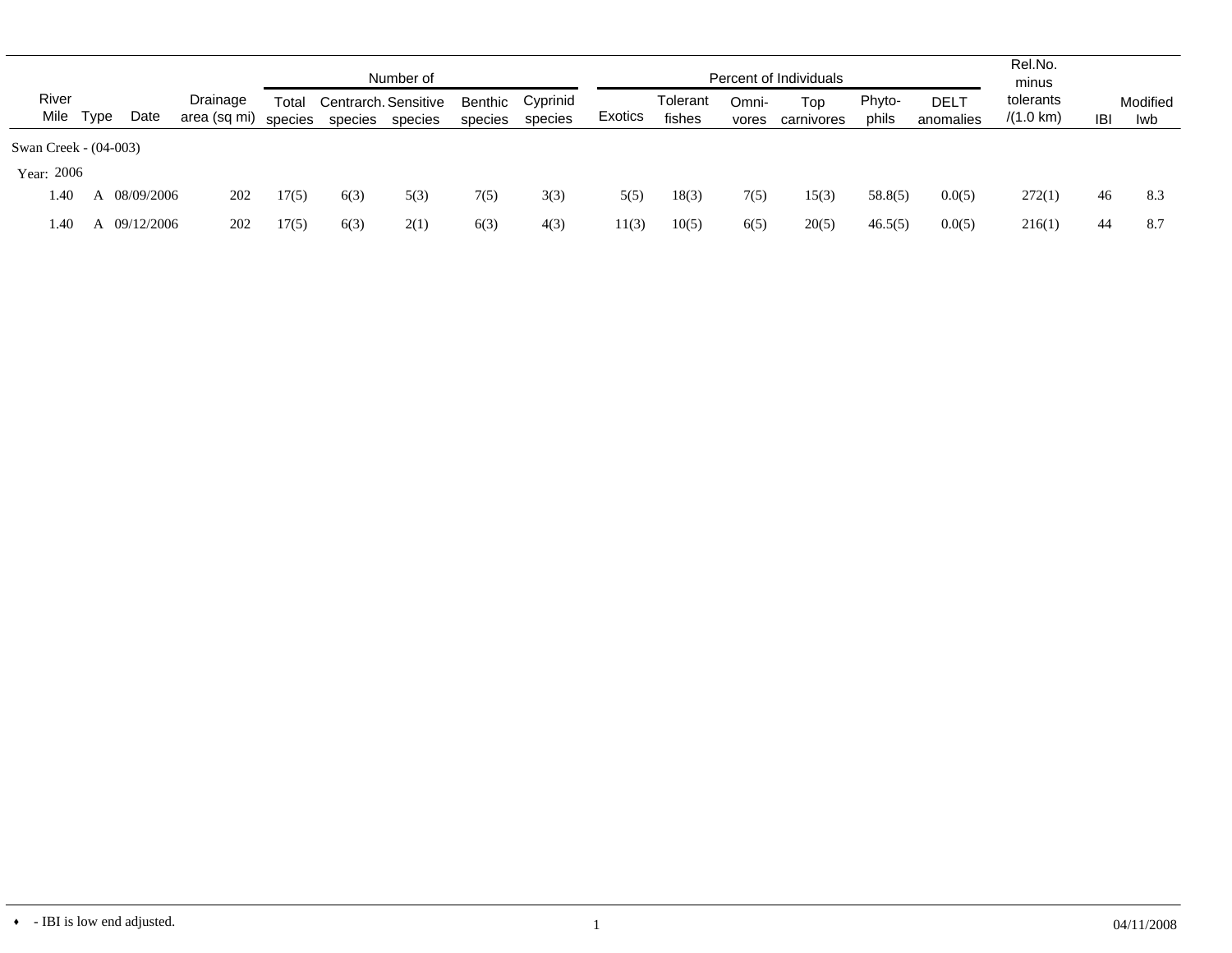|                    |                       |              |                          | Number of        |         |                                 |                    |                     | Percent of Individuals |                    |                |                   |                 | Rel.No.<br>minus         |                                  |            |                 |
|--------------------|-----------------------|--------------|--------------------------|------------------|---------|---------------------------------|--------------------|---------------------|------------------------|--------------------|----------------|-------------------|-----------------|--------------------------|----------------------------------|------------|-----------------|
| River<br>Mile Type |                       | Date         | Drainage<br>area (sq mi) | Total<br>species | species | Centrarch, Sensitive<br>species | Benthic<br>species | Cyprinid<br>species | Exotics                | Tolerant<br>fishes | Omni-<br>vores | Top<br>carnivores | Phyto-<br>phils | <b>DELT</b><br>anomalies | tolerants<br>$/(1.0 \text{ km})$ | <b>IBI</b> | Modified<br>lwb |
|                    | Swan Creek - (04-003) |              |                          |                  |         |                                 |                    |                     |                        |                    |                |                   |                 |                          |                                  |            |                 |
| Year: 2006         |                       |              |                          |                  |         |                                 |                    |                     |                        |                    |                |                   |                 |                          |                                  |            |                 |
| 1.40               | $\mathsf{A}$          | 08/09/2006   | 202                      | 17(5)            | 6(3)    | 5(3)                            | 7(5)               | 3(3)                | 5(5)                   | 18(3)              | 7(5)           | 15(3)             | 58.8(5)         | 0.0(5)                   | 272(1)                           | 46         | 8.3             |
| 1.40               |                       | A 09/12/2006 | 202                      | 17(5)            | 6(3)    | 2(1)                            | 6(3)               | 4(3)                | 11(3)                  | 10(5)              | 6(5)           | 20(5)             | 46.5(5)         | 0.0(5)                   | 216(1)                           | 44         | 8.7             |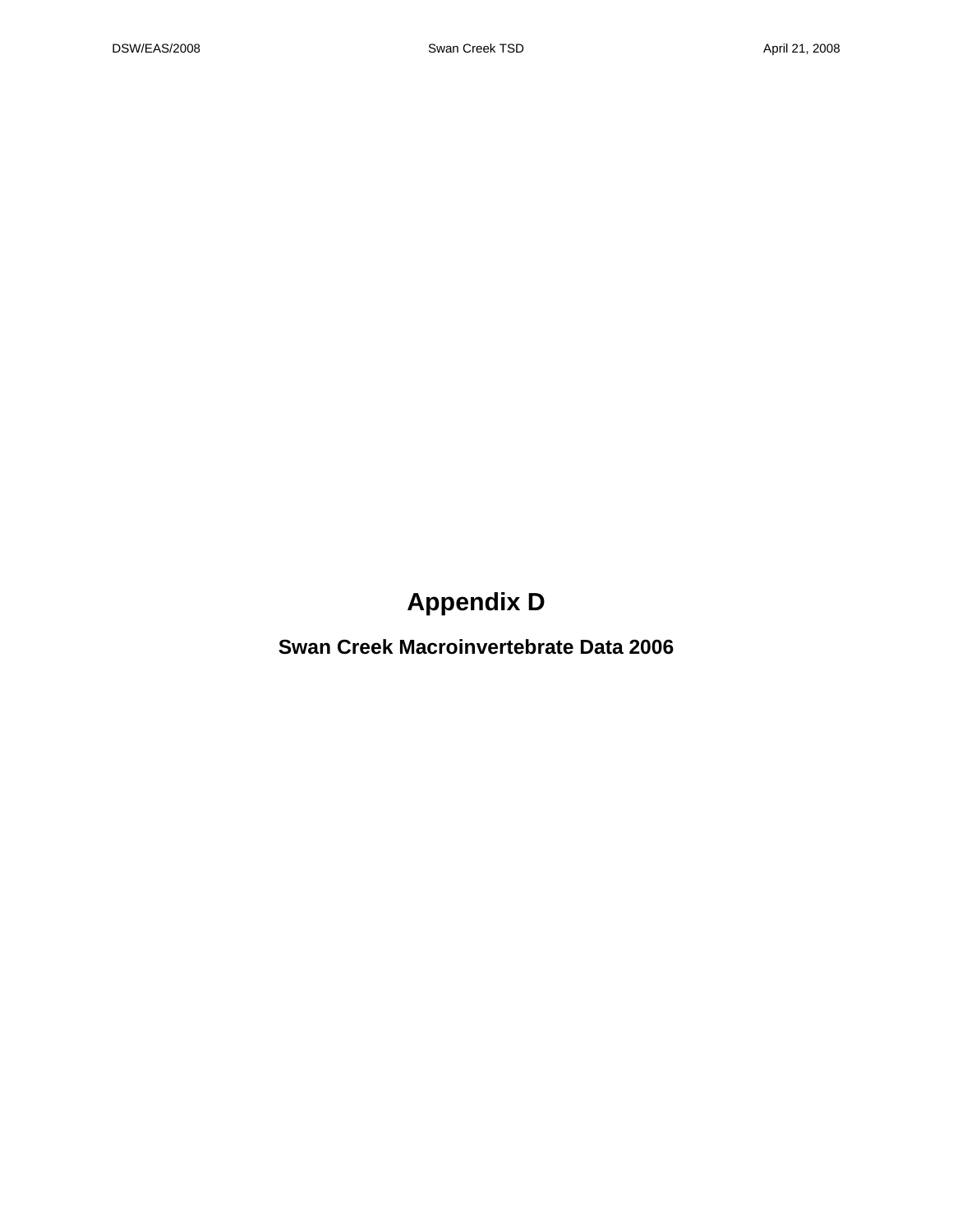# **Appendix D**

**Swan Creek Macroinvertebrate Data 2006**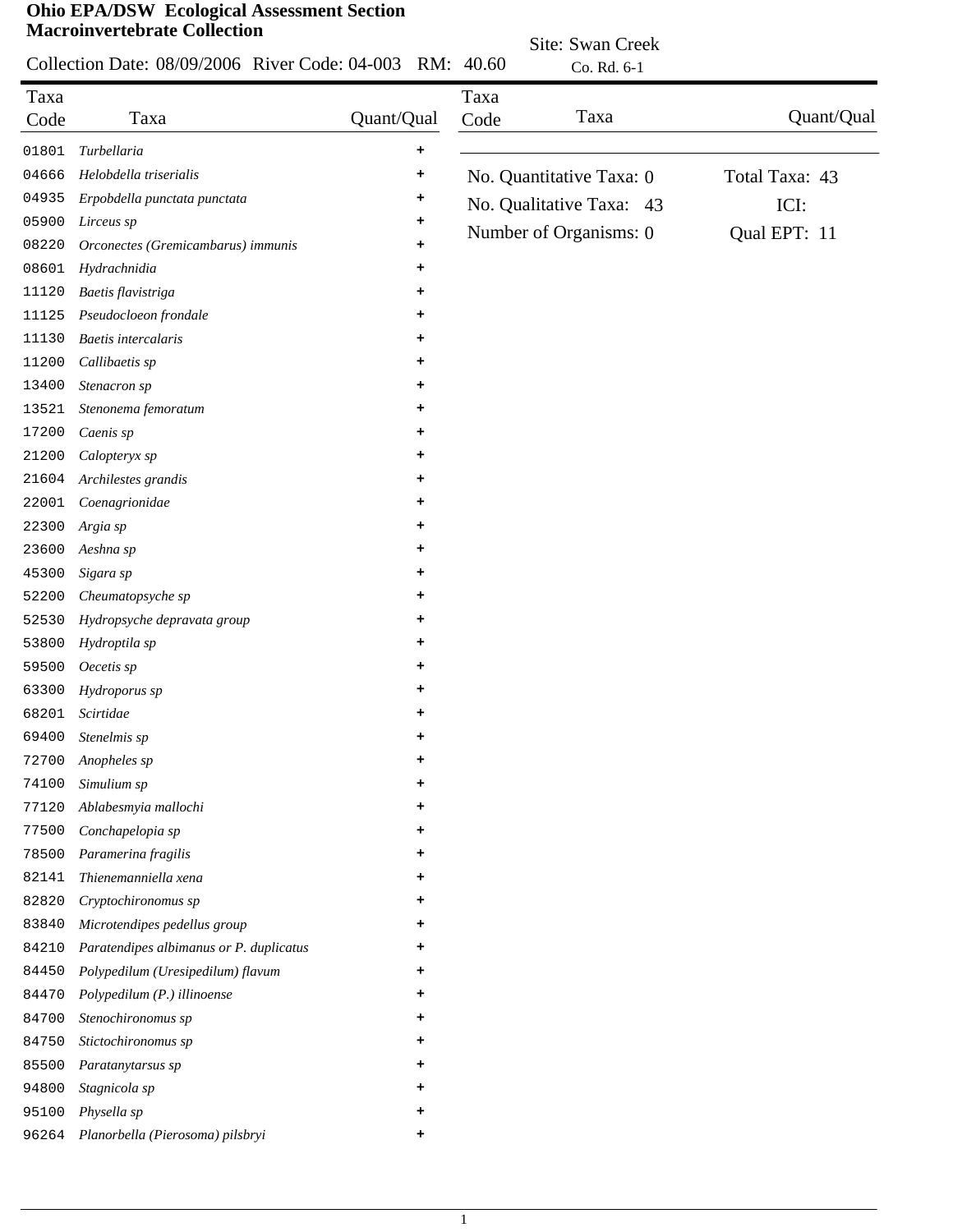|              | Collection Date: 08/09/2006 River Code: 04-003 RM: 40.60 |            |              | Site: Swan Creek<br>Co. Rd. 6-1 |                |
|--------------|----------------------------------------------------------|------------|--------------|---------------------------------|----------------|
|              |                                                          |            |              |                                 |                |
| Taxa<br>Code | Taxa                                                     | Quant/Qual | Taxa<br>Code | Taxa                            | Quant/Qual     |
| 01801        | Turbellaria                                              | ٠          |              |                                 |                |
| 04666        | Helobdella triserialis                                   | ٠          |              | No. Quantitative Taxa: 0        | Total Taxa: 43 |
| 04935        | Erpobdella punctata punctata                             | +          |              | No. Qualitative Taxa: 43        | ICI:           |
| 05900        | Lirceus sp                                               | ٠          |              |                                 |                |
| 08220        | Orconectes (Gremicambarus) immunis                       |            |              | Number of Organisms: 0          | Qual EPT: 11   |
| 08601        | Hydrachnidia                                             |            |              |                                 |                |
| 11120        | Baetis flavistriga                                       |            |              |                                 |                |
| 11125        | Pseudocloeon frondale                                    |            |              |                                 |                |
| 11130        | Baetis intercalaris                                      |            |              |                                 |                |
| 11200        | Callibaetis sp                                           | +          |              |                                 |                |
| 13400        | Stenacron sp                                             | ٠          |              |                                 |                |
| 13521        | Stenonema femoratum                                      | ٠          |              |                                 |                |
| 17200        | Caenis sp                                                | ٠          |              |                                 |                |
| 21200        | Calopteryx sp                                            | +          |              |                                 |                |
| 21604        | Archilestes grandis                                      | ٠          |              |                                 |                |
| 22001        | Coenagrionidae                                           | ٠          |              |                                 |                |
| 22300        | Argia sp                                                 | ٠          |              |                                 |                |
| 23600        | Aeshna sp                                                |            |              |                                 |                |
| 45300        | Sigara sp                                                |            |              |                                 |                |
| 52200        | Cheumatopsyche sp                                        |            |              |                                 |                |
| 52530        | Hydropsyche depravata group                              | ٠          |              |                                 |                |
| 53800        | Hydroptila sp                                            |            |              |                                 |                |
| 59500        | Oecetis sp                                               |            |              |                                 |                |
| 63300        | Hydroporus sp                                            |            |              |                                 |                |
| 68201        | Scirtidae                                                | +          |              |                                 |                |
| 69400        | Stenelmis sp                                             |            |              |                                 |                |
| 72700        | Anopheles sp                                             | ٠          |              |                                 |                |
| 74100        | Simulium sp                                              |            |              |                                 |                |
| 77120        | Ablabesmyia mallochi                                     |            |              |                                 |                |
| 77500        | Conchapelopia sp                                         |            |              |                                 |                |
| 78500        | Paramerina fragilis                                      |            |              |                                 |                |
| 82141        | Thienemanniella xena                                     |            |              |                                 |                |
| 82820        | Cryptochironomus sp                                      |            |              |                                 |                |
| 83840        | Microtendipes pedellus group                             |            |              |                                 |                |
| 84210        | Paratendipes albimanus or P. duplicatus                  | ٠          |              |                                 |                |
| 84450        | Polypedilum (Uresipedilum) flavum                        | ٠          |              |                                 |                |
| 84470        | Polypedilum (P.) illinoense                              | ٠          |              |                                 |                |
| 84700        | Stenochironomus sp                                       | ۰          |              |                                 |                |
| 84750        | Stictochironomus sp                                      | ٠          |              |                                 |                |
| 85500        | Paratanytarsus sp                                        | ٠          |              |                                 |                |
| 94800        | Stagnicola sp                                            | ٠          |              |                                 |                |
| 95100        | Physella sp                                              |            |              |                                 |                |
| 96264        | Planorbella (Pierosoma) pilsbryi                         |            |              |                                 |                |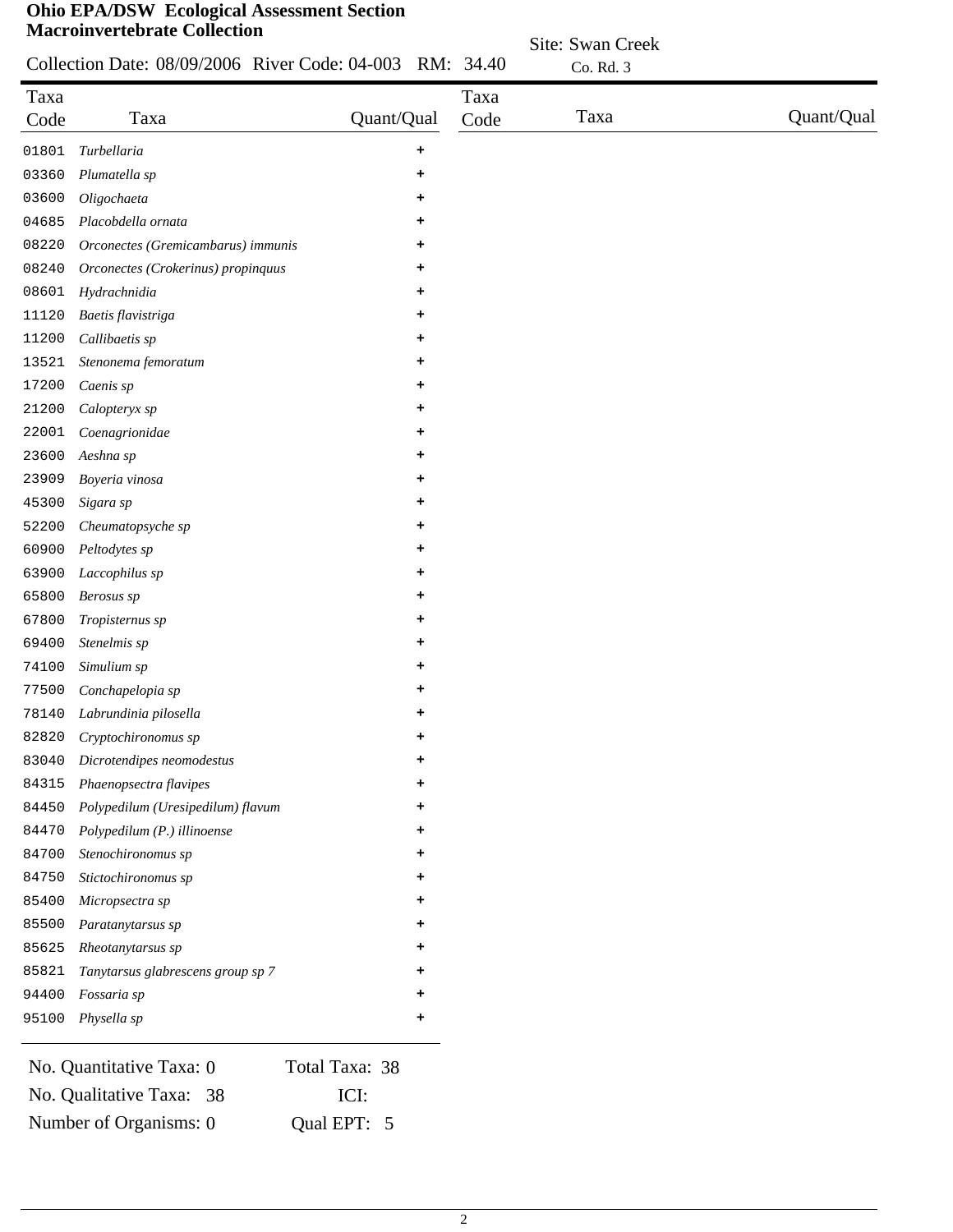# **Ohio EPA/DSW Ecological Assessment Section Macro**

|  | Collection Date: 08/09/2006 River Code: 04-003 RM: 34.40 |  |
|--|----------------------------------------------------------|--|

|       | <b>Macroinvertebrate Collection</b>                      |            |      | Site: Swan Creek |            |
|-------|----------------------------------------------------------|------------|------|------------------|------------|
|       | Collection Date: 08/09/2006 River Code: 04-003 RM: 34.40 |            |      | Co. Rd. 3        |            |
| Taxa  |                                                          |            | Taxa |                  |            |
| Code  | Taxa                                                     | Quant/Qual | Code | Taxa             | Quant/Qual |
| 01801 | Turbellaria                                              | $\ddot{}$  |      |                  |            |
| 03360 | Plumatella sp                                            | ٠          |      |                  |            |
| 03600 | Oligochaeta                                              | ٠          |      |                  |            |
| 04685 | Placobdella ornata                                       | ٠          |      |                  |            |
| 08220 | Orconectes (Gremicambarus) immunis                       | +          |      |                  |            |
| 08240 | Orconectes (Crokerinus) propinquus                       | ٠          |      |                  |            |
| 08601 | Hydrachnidia                                             | $\ddot{}$  |      |                  |            |
| 11120 | Baetis flavistriga                                       | ٠          |      |                  |            |
| 11200 | Callibaetis sp                                           | ٠          |      |                  |            |
| 13521 | Stenonema femoratum                                      | $\ddot{}$  |      |                  |            |
| 17200 | Caenis sp                                                | ٠          |      |                  |            |
| 21200 | Calopteryx sp                                            | +          |      |                  |            |
| 22001 | Coenagrionidae                                           | ٠          |      |                  |            |
| 23600 | Aeshna sp                                                | ٠          |      |                  |            |
| 23909 | Boyeria vinosa                                           | ٠          |      |                  |            |
| 45300 | Sigara sp                                                | ٠          |      |                  |            |
| 52200 | Cheumatopsyche sp                                        | ٠          |      |                  |            |

| Laccophilus sp                    | ۰ |
|-----------------------------------|---|
| Berosus sp                        |   |
| <i>Tropisternus sp</i>            | ٠ |
| Stenelmis sp                      | ٠ |
| Simulium sp                       | ٠ |
| Conchapelopia sp                  |   |
| Labrundinia pilosella             |   |
| Cryptochironomus sp               |   |
| Dicrotendipes neomodestus         | ٠ |
| Phaenopsectra flavipes            |   |
| Polypedilum (Uresipedilum) flavum | ٠ |
| Polypedilum (P.) illinoense       | ٠ |
| Stenochironomus sp                | ٠ |
| Stictochironomus sp               | ٠ |
| Micropsectra sp                   | ٠ |
| Paratanytarsus sp                 | ٠ |
| Rheotanytarsus sp                 | ٠ |
| Tanytarsus glabrescens group sp 7 | ٠ |
| <i>Fossaria sp</i>                |   |
| Physella sp                       |   |
|                                   |   |

*Peltodytes sp* **+**

| No. Quantitative Taxa: 0 | Total Taxa: 38 |
|--------------------------|----------------|
| No. Qualitative Taxa: 38 | - ICI:         |
| Number of Organisms: 0   | Qual EPT: 5    |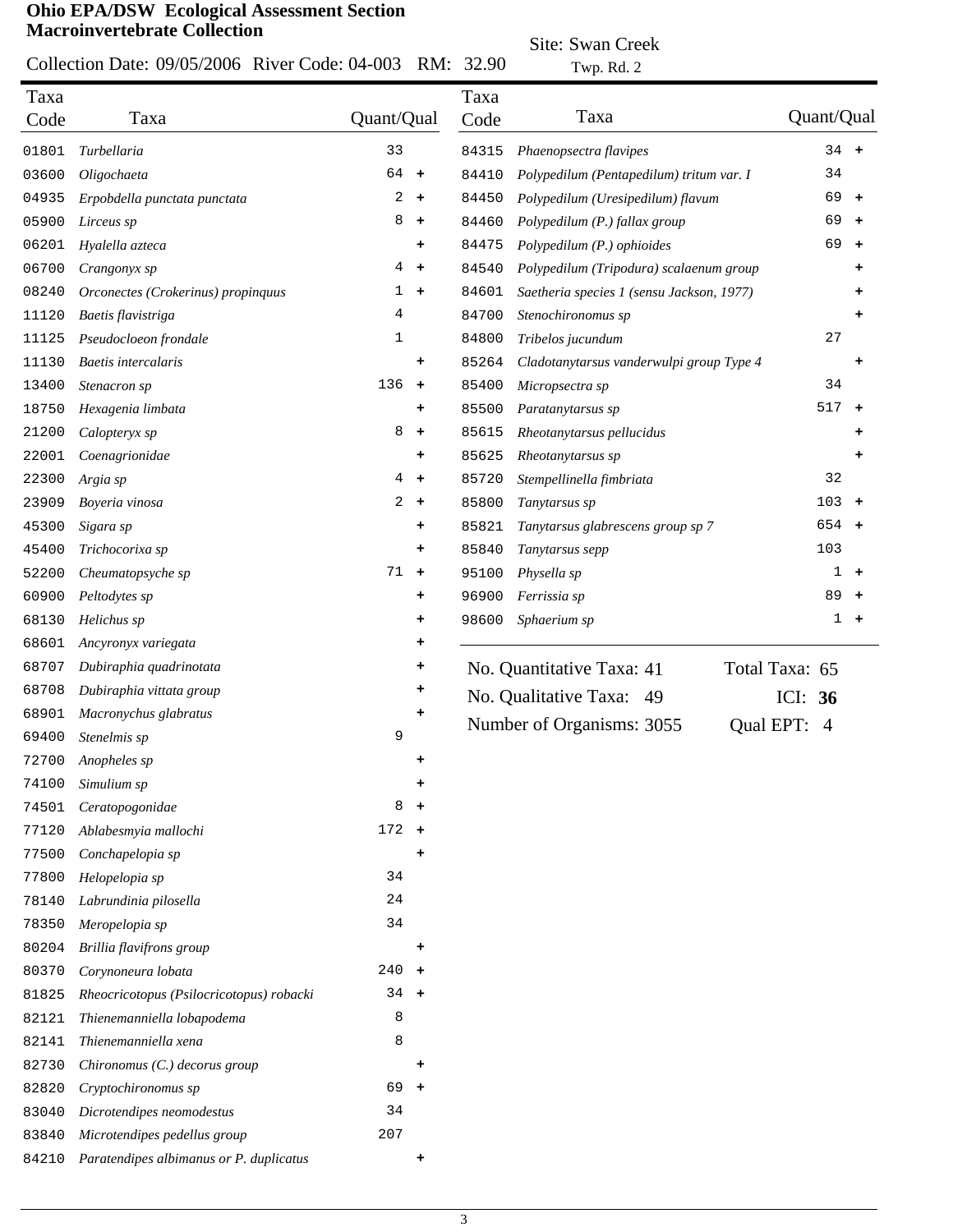Collection Date: 09/05/2006 River Code: 04-003 RM: 32.90

Site: Swan Creek

Taxa Code Twp. Rd. 2

| Taxa  |                                          |                |           | Taxa  |                                           |                |            |           |
|-------|------------------------------------------|----------------|-----------|-------|-------------------------------------------|----------------|------------|-----------|
| Code  | Taxa                                     | Quant/Qual     |           | Code  | Taxa                                      |                | Quant/Qual |           |
| 01801 | Turbellaria                              | 33             |           | 84315 | Phaenopsectra flavipes                    |                | $34 +$     |           |
| 03600 | Oligochaeta                              | 64 +           |           | 84410 | Polypedilum (Pentapedilum) tritum var. I  |                | 34         |           |
| 04935 | Erpobdella punctata punctata             | 2              | $\ddot{}$ | 84450 | Polypedilum (Uresipedilum) flavum         |                | 69         | $\ddot{}$ |
| 05900 | Lirceus sp                               | 8              | $\pm$     | 84460 | Polypedilum (P.) fallax group             |                | 69         | $\ddot{}$ |
| 06201 | Hyalella azteca                          |                | $\ddot{}$ | 84475 | Polypedilum (P.) ophioides                |                | 69         | $\ddot{}$ |
| 06700 | Crangonyx sp                             | 4              | $\ddot{}$ | 84540 | Polypedilum (Tripodura) scalaenum group   |                |            | ۰         |
| 08240 | Orconectes (Crokerinus) propinquus       | 1              | $\ddot{}$ | 84601 | Saetheria species 1 (sensu Jackson, 1977) |                |            | ۰         |
| 11120 | Baetis flavistriga                       | 4              |           | 84700 | Stenochironomus sp                        |                |            | +         |
| 11125 | Pseudocloeon frondale                    | 1              |           | 84800 | Tribelos jucundum                         |                | 27         |           |
| 11130 | <b>Baetis</b> intercalaris               |                | $\ddot{}$ | 85264 | Cladotanytarsus vanderwulpi group Type 4  |                |            | ٠         |
| 13400 | Stenacron sp                             | 136            | $\ddot{}$ | 85400 | Micropsectra sp                           |                | 34         |           |
| 18750 | Hexagenia limbata                        |                | $\ddot{}$ | 85500 | Paratanytarsus sp                         |                | 517        | $\ddot{}$ |
| 21200 | Calopteryx sp                            | 8              | $\ddot{}$ | 85615 | Rheotanytarsus pellucidus                 |                |            |           |
| 22001 | Coenagrionidae                           |                | $\ddot{}$ | 85625 | Rheotanytarsus sp                         |                |            |           |
| 22300 | Argia sp                                 | 4              | $\ddot{}$ | 85720 | Stempellinella fimbriata                  |                | 32         |           |
| 23909 | Boyeria vinosa                           | $\overline{a}$ | $\ddot{}$ | 85800 | Tanytarsus sp                             |                | 103        | $+$       |
| 45300 | Sigara sp                                |                | $\ddot{}$ | 85821 | Tanytarsus glabrescens group sp 7         |                | 654        | $+$       |
| 45400 | Trichocorixa sp                          |                | $\ddot{}$ | 85840 | Tanytarsus sepp                           |                | 103        |           |
| 52200 | Cheumatopsyche sp                        | 71             | $\ddot{}$ | 95100 | Physella sp                               |                | 1          | ٠         |
| 60900 | Peltodytes sp                            |                | ٠         | 96900 | Ferrissia sp                              |                | 89         | $\ddot{}$ |
| 68130 | Helichus sp                              |                | $\ddot{}$ | 98600 | Sphaerium sp                              |                | 1          | $\ddot{}$ |
| 68601 | Ancyronyx variegata                      |                | $\ddot{}$ |       |                                           |                |            |           |
| 68707 | Dubiraphia quadrinotata                  |                | ٠         |       | No. Quantitative Taxa: 41                 | Total Taxa: 65 |            |           |
| 68708 | Dubiraphia vittata group                 |                | ٠         |       | No. Qualitative Taxa: 49                  |                | ICI: $36$  |           |
| 68901 | Macronychus glabratus                    |                |           |       |                                           |                |            |           |
| 69400 | Stenelmis sp                             | 9              |           |       | Number of Organisms: 3055                 | Qual EPT: 4    |            |           |
| 72700 | Anopheles sp                             |                | ٠         |       |                                           |                |            |           |
| 74100 | Simulium sp                              |                | ٠         |       |                                           |                |            |           |
| 74501 | Ceratopogonidae                          | 8              | $\ddot{}$ |       |                                           |                |            |           |
| 77120 | Ablabesmyia mallochi                     | $172 +$        |           |       |                                           |                |            |           |
| 77500 | Conchapelopia sp                         |                | $\ddot{}$ |       |                                           |                |            |           |
| 77800 | Helopelopia sp                           | 34             |           |       |                                           |                |            |           |
| 78140 | Labrundinia pilosella                    | 24             |           |       |                                           |                |            |           |
| 78350 | Meropelopia sp                           | 34             |           |       |                                           |                |            |           |
| 80204 | Brillia flavifrons group                 |                | ÷         |       |                                           |                |            |           |
| 80370 | Corynoneura lobata                       | 240            | $\ddot{}$ |       |                                           |                |            |           |
| 81825 | Rheocricotopus (Psilocricotopus) robacki | 34             | $\ddot{}$ |       |                                           |                |            |           |
| 82121 | Thienemanniella lobapodema               | 8              |           |       |                                           |                |            |           |
| 82141 | Thienemanniella xena                     | 8              |           |       |                                           |                |            |           |
| 82730 | Chironomus (C.) decorus group            |                | ÷         |       |                                           |                |            |           |
| 82820 | Cryptochironomus sp                      | 69             | $\pm$     |       |                                           |                |            |           |
| 83040 | Dicrotendipes neomodestus                | 34             |           |       |                                           |                |            |           |
| 83840 | Microtendipes pedellus group             | 207            |           |       |                                           |                |            |           |
| 84210 | Paratendipes albimanus or P. duplicatus  |                | $\ddot{}$ |       |                                           |                |            |           |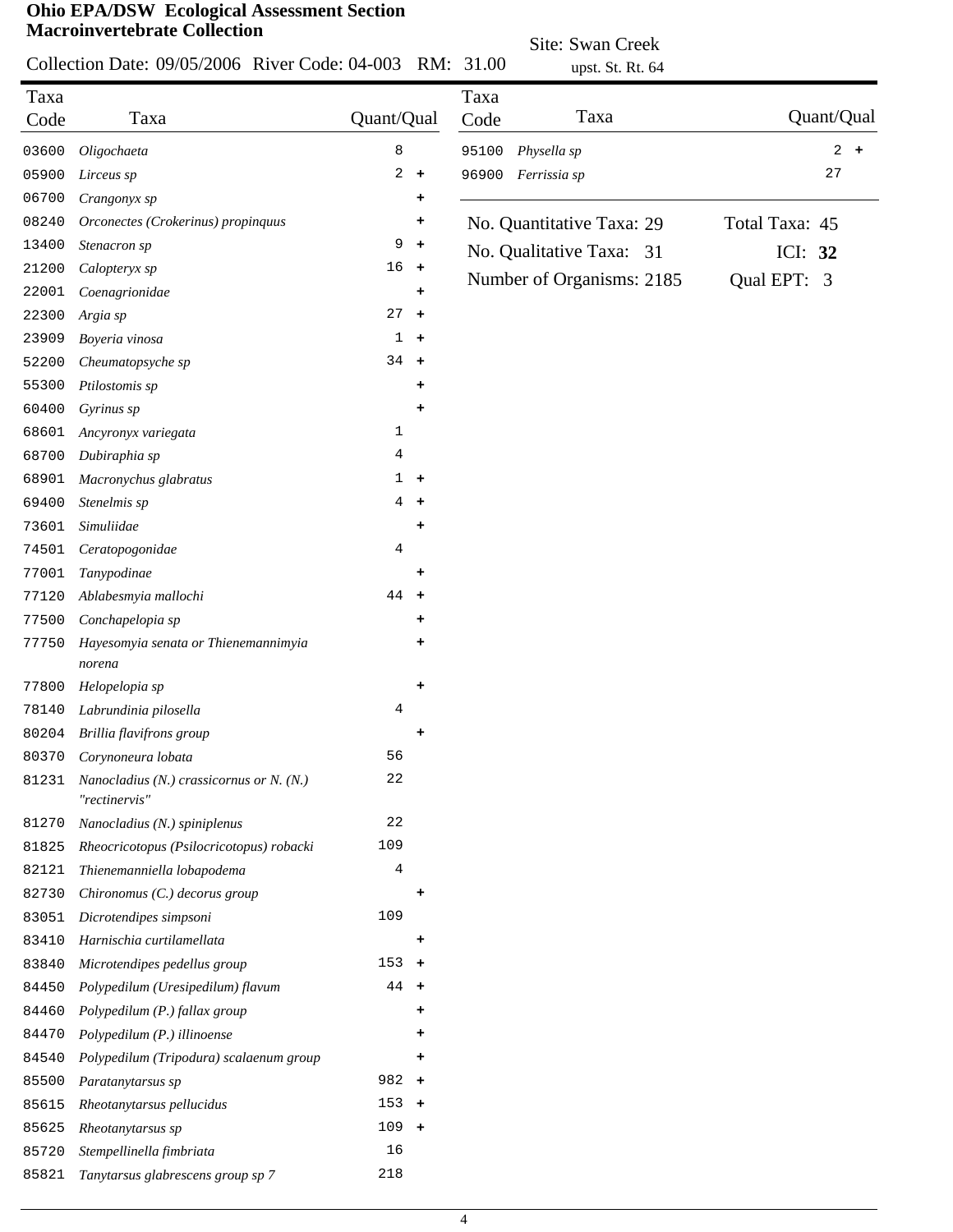*Tanytarsus glabrescens group sp 7* 218

|       |                                                             |            |                      | Site: Swan Creek |                           |                |     |
|-------|-------------------------------------------------------------|------------|----------------------|------------------|---------------------------|----------------|-----|
|       | Collection Date: 09/05/2006 River Code: 04-003 RM: 31.00    |            |                      |                  | upst. St. Rt. 64          |                |     |
| Taxa  |                                                             |            |                      | Taxa             |                           |                |     |
| Code  | Taxa                                                        | Quant/Qual |                      | Code             | Taxa                      | Quant/Qual     |     |
| 03600 | Oligochaeta                                                 | 8          |                      | 95100            | Physella sp               | 2              | $+$ |
| 05900 | Lirceus sp                                                  | 2          | $\ddag$              | 96900            | Ferrissia sp              | 27             |     |
| 06700 | Crangonyx sp                                                |            | ٠                    |                  |                           |                |     |
| 08240 | Orconectes (Crokerinus) propinquus                          |            | +                    |                  | No. Quantitative Taxa: 29 | Total Taxa: 45 |     |
| 13400 | Stenacron sp                                                | 9          | $\ddot{\phantom{1}}$ |                  | No. Qualitative Taxa: 31  | ICI: 32        |     |
| 21200 | Calopteryx sp                                               | 16         | $+$                  |                  |                           |                |     |
| 22001 | Coenagrionidae                                              |            | ٠                    |                  | Number of Organisms: 2185 | Qual EPT: 3    |     |
| 22300 | Argia sp                                                    | 27         | $\ddot{}$            |                  |                           |                |     |
| 23909 | Boyeria vinosa                                              | 1          | $\ddot{}$            |                  |                           |                |     |
| 52200 | Cheumatopsyche sp                                           | $34 +$     |                      |                  |                           |                |     |
| 55300 | Ptilostomis sp                                              |            | ٠                    |                  |                           |                |     |
| 60400 | Gyrinus sp                                                  |            | ٠                    |                  |                           |                |     |
| 68601 | Ancyronyx variegata                                         | 1          |                      |                  |                           |                |     |
| 68700 | Dubiraphia sp                                               | 4          |                      |                  |                           |                |     |
| 68901 | Macronychus glabratus                                       |            | $1 +$                |                  |                           |                |     |
| 69400 | Stenelmis sp                                                | 4          | $\ddot{\phantom{1}}$ |                  |                           |                |     |
| 73601 | Simuliidae                                                  |            | ٠                    |                  |                           |                |     |
| 74501 | Ceratopogonidae                                             | 4          |                      |                  |                           |                |     |
| 77001 | Tanypodinae                                                 |            | ٠                    |                  |                           |                |     |
| 77120 | Ablabesmyia mallochi                                        | 44         | $+$                  |                  |                           |                |     |
| 77500 | Conchapelopia sp                                            |            | ٠                    |                  |                           |                |     |
| 77750 | Hayesomyia senata or Thienemannimyia                        |            | +                    |                  |                           |                |     |
|       | norena                                                      |            |                      |                  |                           |                |     |
| 77800 | Helopelopia sp                                              |            | ٠                    |                  |                           |                |     |
| 78140 | Labrundinia pilosella                                       | 4          |                      |                  |                           |                |     |
| 80204 | Brillia flavifrons group                                    |            |                      |                  |                           |                |     |
| 80370 | Corynoneura lobata                                          | 56         |                      |                  |                           |                |     |
| 81231 | Nanocladius (N.) crassicornus or N. $(N.)$<br>"rectinervis" | 22         |                      |                  |                           |                |     |
| 81270 | Nanocladius (N.) spiniplenus                                | 22         |                      |                  |                           |                |     |
| 81825 | Rheocricotopus (Psilocricotopus) robacki                    | 109        |                      |                  |                           |                |     |
| 82121 | Thienemanniella lobapodema                                  | 4          |                      |                  |                           |                |     |
| 82730 | Chironomus (C.) decorus group                               |            | +                    |                  |                           |                |     |
| 83051 | Dicrotendipes simpsoni                                      | 109        |                      |                  |                           |                |     |
| 83410 | Harnischia curtilamellata                                   |            | ٠                    |                  |                           |                |     |
| 83840 | Microtendipes pedellus group                                | $153 +$    |                      |                  |                           |                |     |
| 84450 | Polypedilum (Uresipedilum) flavum                           | 44         | $\ddot{}$            |                  |                           |                |     |
| 84460 | Polypedilum (P.) fallax group                               |            | +                    |                  |                           |                |     |
| 84470 | Polypedilum (P.) illinoense                                 |            | ٠                    |                  |                           |                |     |
| 84540 | Polypedilum (Tripodura) scalaenum group                     |            | ٠                    |                  |                           |                |     |
| 85500 | Paratanytarsus sp                                           | 982        | $\ddot{}$            |                  |                           |                |     |
| 85615 | Rheotanytarsus pellucidus                                   | $153 +$    |                      |                  |                           |                |     |
| 85625 | Rheotanytarsus sp                                           | $109 +$    |                      |                  |                           |                |     |
| 85720 | Stempellinella fimbriata                                    | 16         |                      |                  |                           |                |     |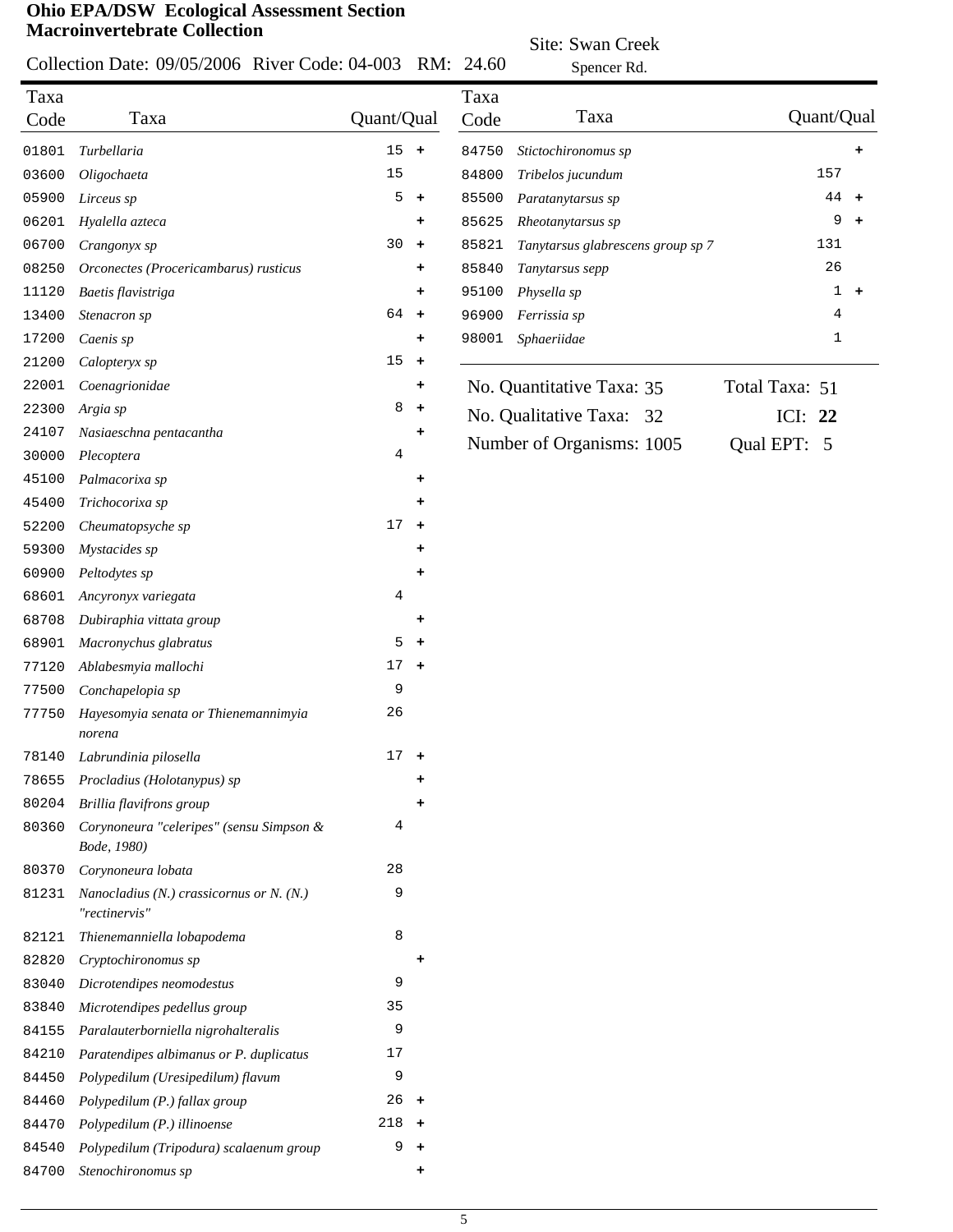#### Collection Date: 09/05/2006 River Code: 04-003 RM: 24.60

Site: Swan Creek

|       | Collection Date: 09/05/2006 River Code: 04-003              |                |                      | RM: 24.60 | Spencer Rd.                       |                    |
|-------|-------------------------------------------------------------|----------------|----------------------|-----------|-----------------------------------|--------------------|
| Taxa  |                                                             |                |                      | Taxa      |                                   |                    |
| Code  | Taxa                                                        | Quant/Qual     |                      | Code      | Taxa                              | Quant/Qual         |
| 01801 | Turbellaria                                                 | 15             | $+$                  | 84750     | Stictochironomus sp               | +                  |
| 03600 | Oligochaeta                                                 | 15             |                      | 84800     | Tribelos jucundum                 | 157                |
| 05900 | Lirceus sp                                                  | 5              | $\ddot{}$            | 85500     | Paratanytarsus sp                 | 44<br>$\div$       |
| 06201 | Hyalella azteca                                             |                | ٠                    | 85625     | Rheotanytarsus sp                 | 9<br>$\ddot{}$     |
| 06700 | Crangonyx sp                                                | 30             | $+$                  | 85821     | Tanytarsus glabrescens group sp 7 | 131                |
| 08250 | Orconectes (Procericambarus) rusticus                       |                | ٠                    | 85840     | Tanytarsus sepp                   | 26                 |
| 11120 | Baetis flavistriga                                          |                | ٠                    | 95100     | Physella sp                       | $\mathbf 1$<br>$+$ |
| 13400 | Stenacron sp                                                | $64 +$         |                      | 96900     | Ferrissia sp                      | 4                  |
| 17200 | Caenis sp                                                   |                | ٠                    | 98001     | Sphaeriidae                       | 1                  |
| 21200 | Calopteryx sp                                               | 15             | $\ddot{}$            |           |                                   |                    |
| 22001 | Coenagrionidae                                              |                | ٠                    |           | No. Quantitative Taxa: 35         | Total Taxa: 51     |
| 22300 | Argia sp                                                    | 8              | $+$                  |           |                                   |                    |
| 24107 | Nasiaeschna pentacantha                                     |                | ٠                    |           | No. Qualitative Taxa:<br>32       | ICI: 22            |
| 30000 | Plecoptera                                                  | $\overline{4}$ |                      |           | Number of Organisms: 1005         | Qual EPT: 5        |
| 45100 | Palmacorixa sp                                              |                | ٠                    |           |                                   |                    |
| 45400 | Trichocorixa sp                                             |                | ٠                    |           |                                   |                    |
| 52200 | Cheumatopsyche sp                                           | 17             | $\ddot{\phantom{1}}$ |           |                                   |                    |
| 59300 | Mystacides sp                                               |                | +                    |           |                                   |                    |
| 60900 | Peltodytes sp                                               |                | ٠                    |           |                                   |                    |
| 68601 | Ancyronyx variegata                                         | 4              |                      |           |                                   |                    |
| 68708 | Dubiraphia vittata group                                    |                | ÷                    |           |                                   |                    |
| 68901 | Macronychus glabratus                                       | 5              | $\ddot{}$            |           |                                   |                    |
| 77120 | Ablabesmyia mallochi                                        | 17             | $\overline{+}$       |           |                                   |                    |
| 77500 | Conchapelopia sp                                            | 9              |                      |           |                                   |                    |
| 77750 | Hayesomyia senata or Thienemannimyia                        | 26             |                      |           |                                   |                    |
|       | norena                                                      |                |                      |           |                                   |                    |
| 78140 | Labrundinia pilosella                                       | 17             | $\ddot{}$            |           |                                   |                    |
| 78655 | Procladius (Holotanypus) sp                                 |                | +                    |           |                                   |                    |
| 80204 | Brillia flavifrons group                                    |                |                      |           |                                   |                    |
| 80360 | Corynoneura "celeripes" (sensu Simpson &<br>Bode, 1980)     | 4              |                      |           |                                   |                    |
| 80370 | Corynoneura lobata                                          | 28             |                      |           |                                   |                    |
| 81231 | Nanocladius (N.) crassicornus or N. $(N.)$<br>"rectinervis" | 9              |                      |           |                                   |                    |
| 82121 | Thienemanniella lobapodema                                  | 8              |                      |           |                                   |                    |
| 82820 | Cryptochironomus sp                                         |                | ٠                    |           |                                   |                    |
| 83040 | Dicrotendipes neomodestus                                   | 9              |                      |           |                                   |                    |
| 83840 | Microtendipes pedellus group                                | 35             |                      |           |                                   |                    |
| 84155 | Paralauterborniella nigrohalteralis                         | 9              |                      |           |                                   |                    |
| 84210 | Paratendipes albimanus or P. duplicatus                     | 17             |                      |           |                                   |                    |
| 84450 | Polypedilum (Uresipedilum) flavum                           | 9              |                      |           |                                   |                    |
| 84460 | Polypedilum (P.) fallax group                               | 26             | $\ddot{}$            |           |                                   |                    |
| 84470 | Polypedilum (P.) illinoense                                 | 218            | $\ddot{}$            |           |                                   |                    |
| 84540 | Polypedilum (Tripodura) scalaenum group                     | 9              | $\ddot{}$            |           |                                   |                    |
| 84700 | Stenochironomus sp                                          |                | ٠                    |           |                                   |                    |
|       |                                                             |                |                      |           |                                   |                    |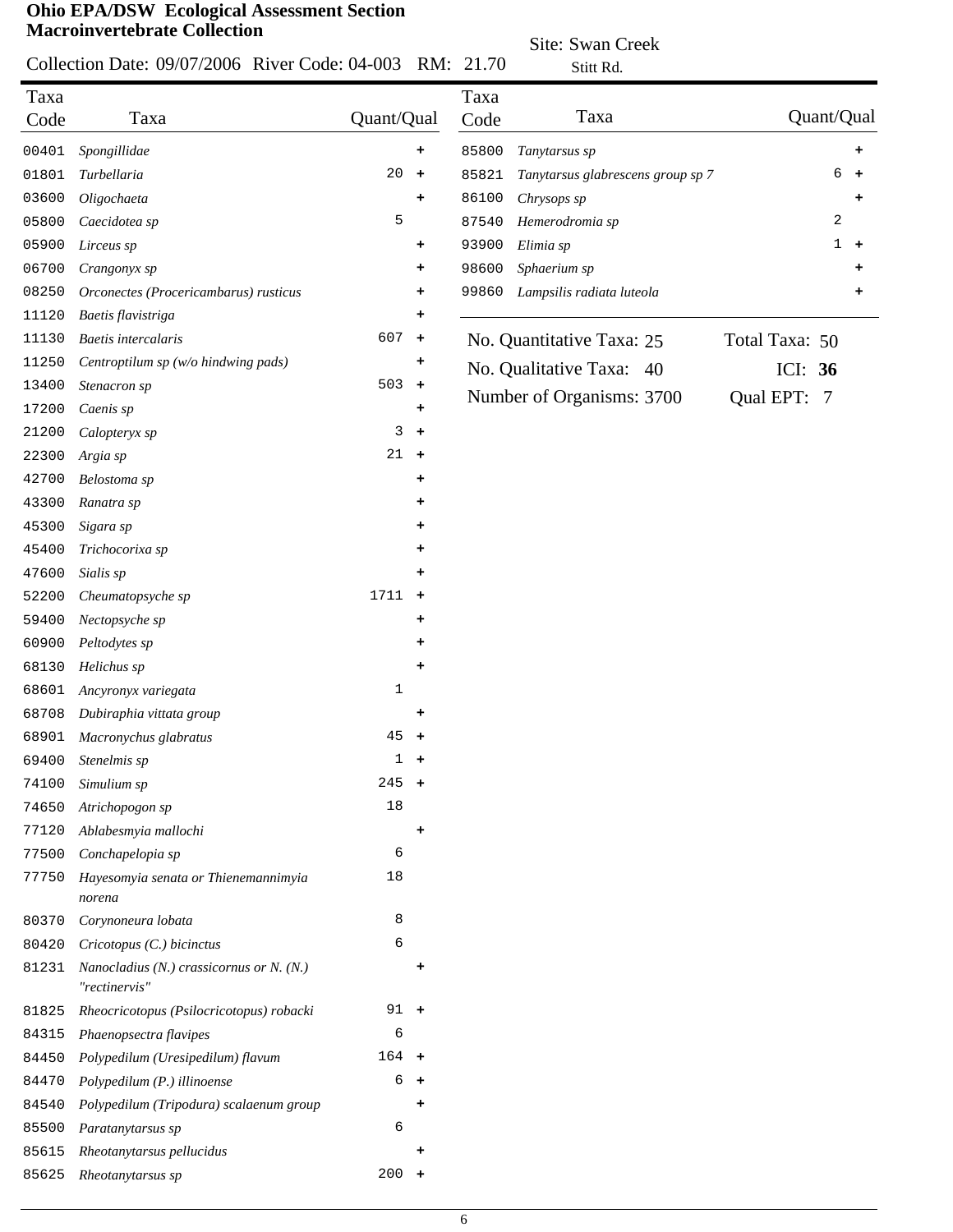# Collection Date: 09/07/2006 River Code: 04-003 RM: 21.70

Site: Swan Creek

|              | Collection Date: 09/07/2006 River Code: 04-003 RM: 21.70  |            |                      |              | Stitt Rd.                         |                          |
|--------------|-----------------------------------------------------------|------------|----------------------|--------------|-----------------------------------|--------------------------|
| Taxa<br>Code | Taxa                                                      | Quant/Qual |                      | Taxa<br>Code | Taxa                              | Quant/Qual               |
| 00401        | Spongillidae                                              |            | ٠                    | 85800        | Tanytarsus sp                     | ۰                        |
| 01801        | Turbellaria                                               | 20         | $\ddot{\phantom{1}}$ | 85821        | Tanytarsus glabrescens group sp 7 | 6<br>$\ddot{}$           |
| 03600        | Oligochaeta                                               |            | +                    | 86100        | Chrysops sp                       |                          |
| 05800        | Caecidotea sp                                             | 5          |                      | 87540        | Hemerodromia sp                   | 2                        |
| 05900        | Lirceus sp                                                |            | ٠                    | 93900        | Elimia sp                         | $\mathbf 1$<br>$\ddot{}$ |
| 06700        | Crangonyx sp                                              |            | ٠                    | 98600        | Sphaerium sp                      | +                        |
| 08250        | Orconectes (Procericambarus) rusticus                     |            | ٠                    | 99860        | Lampsilis radiata luteola         | +                        |
| 11120        | Baetis flavistriga                                        |            | +                    |              |                                   |                          |
| 11130        | <b>Baetis</b> intercalaris                                | 607        | $\pm$                |              | No. Quantitative Taxa: 25         | Total Taxa: 50           |
| 11250        | Centroptilum sp (w/o hindwing pads)                       |            | ٠                    |              |                                   |                          |
| 13400        | Stenacron sp                                              | 503        | $\ddot{}$            |              | No. Qualitative Taxa:<br>40       | ICI: $36$                |
| 17200        | Caenis sp                                                 |            | ٠                    |              | Number of Organisms: 3700         | Qual EPT: 7              |
| 21200        | Calopteryx sp                                             | 3          | $\ddot{\phantom{1}}$ |              |                                   |                          |
| 22300        | Argia sp                                                  | 21         | $+$                  |              |                                   |                          |
| 42700        | Belostoma sp                                              |            | ٠                    |              |                                   |                          |
| 43300        | Ranatra sp                                                |            | +                    |              |                                   |                          |
| 45300        | Sigara sp                                                 |            | ٠                    |              |                                   |                          |
| 45400        | Trichocorixa sp                                           |            | +                    |              |                                   |                          |
| 47600        | Sialis sp                                                 |            |                      |              |                                   |                          |
| 52200        | Cheumatopsyche sp                                         | 1711       | $\ddot{\phantom{1}}$ |              |                                   |                          |
| 59400        | Nectopsyche sp                                            |            | ٠                    |              |                                   |                          |
| 60900        | Peltodytes sp                                             |            | ٠                    |              |                                   |                          |
| 68130        | Helichus sp                                               |            | ٠                    |              |                                   |                          |
| 68601        | Ancyronyx variegata                                       | 1          |                      |              |                                   |                          |
| 68708        | Dubiraphia vittata group                                  |            | ٠                    |              |                                   |                          |
| 68901        | Macronychus glabratus                                     | 45         | $\ddot{\phantom{1}}$ |              |                                   |                          |
| 69400        | Stenelmis sp                                              | 1          | $\pm$                |              |                                   |                          |
| 74100        | Simulium sp                                               | 245        | $\ddot{}$            |              |                                   |                          |
| 74650        | Atrichopogon sp                                           | 18         |                      |              |                                   |                          |
| 77120        | Ablabesmyia mallochi                                      |            | ٠                    |              |                                   |                          |
|              | Conchapelopia sp                                          | 6          |                      |              |                                   |                          |
| 77500        |                                                           | 18         |                      |              |                                   |                          |
| 77750        | Hayesomyia senata or Thienemannimyia<br>norena            |            |                      |              |                                   |                          |
| 80370        | Corynoneura lobata                                        | 8          |                      |              |                                   |                          |
| 80420        | Cricotopus (C.) bicinctus                                 | 6          |                      |              |                                   |                          |
| 81231        | Nanocladius (N.) crassicornus or N. (N.)<br>"rectinervis" |            | ٠                    |              |                                   |                          |
| 81825        | Rheocricotopus (Psilocricotopus) robacki                  | $91 +$     |                      |              |                                   |                          |
| 84315        | Phaenopsectra flavipes                                    | 6          |                      |              |                                   |                          |
| 84450        | Polypedilum (Uresipedilum) flavum                         | $164 +$    |                      |              |                                   |                          |
| 84470        | Polypedilum (P.) illinoense                               | 6          | $+$                  |              |                                   |                          |
| 84540        | Polypedilum (Tripodura) scalaenum group                   |            |                      |              |                                   |                          |
| 85500        | Paratanytarsus sp                                         | 6          |                      |              |                                   |                          |
| 85615        | Rheotanytarsus pellucidus                                 |            | $\ddot{}$            |              |                                   |                          |
| 85625        | Rheotanytarsus sp                                         | $200 +$    |                      |              |                                   |                          |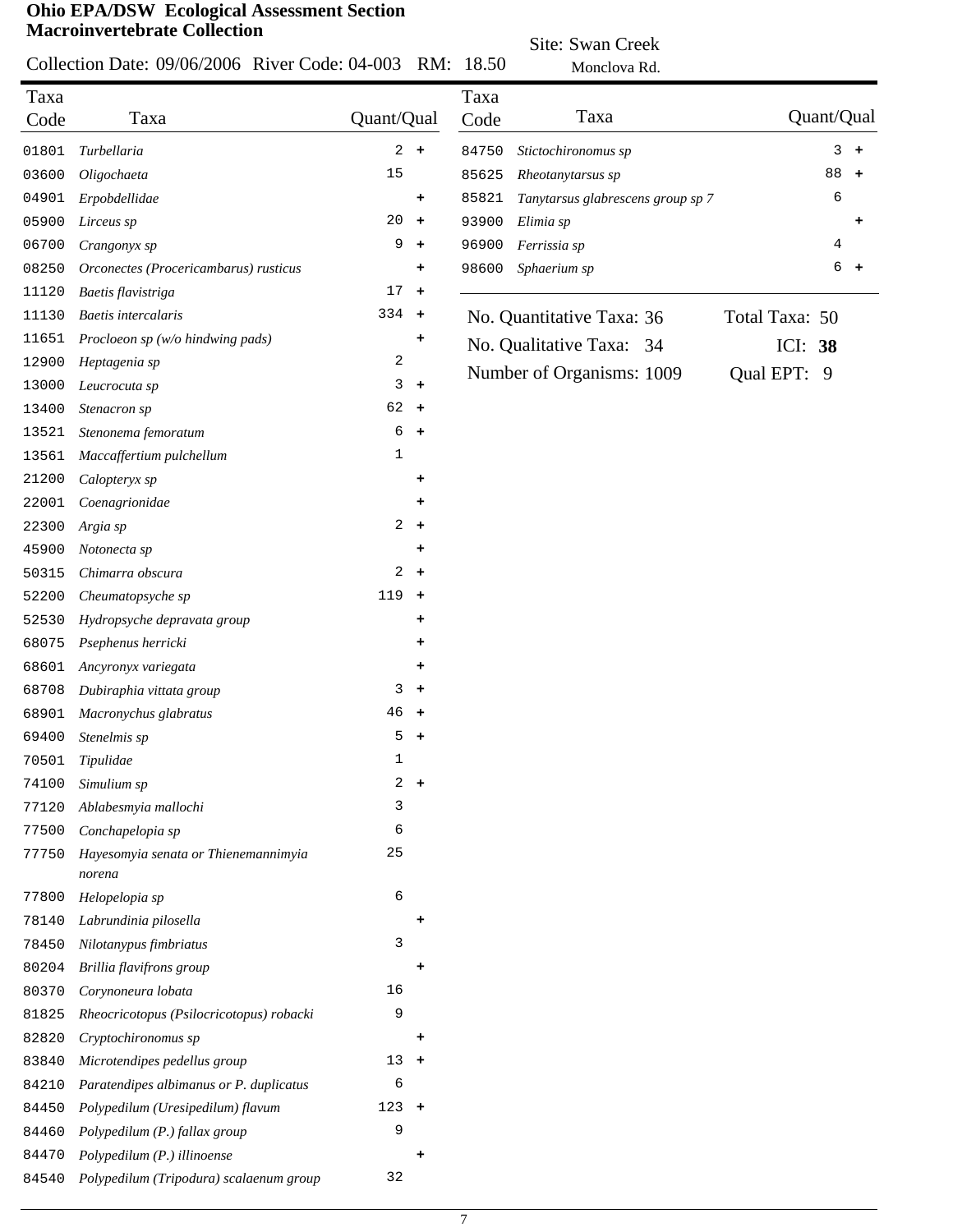#### Collection Date: 09/06/2006 River Code: 04-003  $C_{c}$ de: 04.002 DM: 18.50

Site: Swan Creek

|              | Collection Date: 09/06/2006 River Code: 04-003 |                |                      | RM: 18.50    | Monclova Rd.                      |                 |
|--------------|------------------------------------------------|----------------|----------------------|--------------|-----------------------------------|-----------------|
| Taxa<br>Code | Taxa                                           | Quant/Qual     |                      | Taxa<br>Code | Taxa                              | Quant/Qual      |
| 01801        | Turbellaria                                    |                | $2 +$                | 84750        | Stictochironomus sp               | 3<br>$+$        |
| 03600        | Oligochaeta                                    | 15             |                      | 85625        | Rheotanytarsus sp                 | 88<br>$\ddot{}$ |
| 04901        | Erpobdellidae                                  |                | +                    | 85821        | Tanytarsus glabrescens group sp 7 | 6               |
| 05900        | Lirceus sp                                     | 20             | $\ddot{\phantom{1}}$ | 93900        | Elimia sp                         | ۰               |
| 06700        | Crangonyx sp                                   | 9              | $\ddag$              | 96900        | Ferrissia sp                      | 4               |
| 08250        | Orconectes (Procericambarus) rusticus          |                | ٠                    | 98600        | Sphaerium sp                      | б<br>$\ddot{}$  |
| 11120        | Baetis flavistriga                             | 17             | $\ddot{\phantom{1}}$ |              |                                   |                 |
| 11130        | Baetis intercalaris                            | $334 +$        |                      |              | No. Quantitative Taxa: 36         | Total Taxa: 50  |
| 11651        | Procloeon sp (w/o hindwing pads)               |                | +                    |              |                                   |                 |
| 12900        | Heptagenia sp                                  | 2              |                      |              | No. Qualitative Taxa:<br>34       | ICI: 38         |
| 13000        | Leucrocuta sp                                  | 3              | $+$                  |              | Number of Organisms: 1009         | Qual EPT: 9     |
| 13400        | Stenacron sp                                   | $62 +$         |                      |              |                                   |                 |
| 13521        | Stenonema femoratum                            | 6              | $\pm$                |              |                                   |                 |
| 13561        | Maccaffertium pulchellum                       | 1              |                      |              |                                   |                 |
| 21200        | Calopteryx sp                                  |                | ٠                    |              |                                   |                 |
| 22001        | Coenagrionidae                                 |                | ٠                    |              |                                   |                 |
| 22300        | Argia sp                                       | $\overline{a}$ | $+$                  |              |                                   |                 |
| 45900        | Notonecta sp                                   |                | +                    |              |                                   |                 |
| 50315        | Chimarra obscura                               | 2              | $\ddot{\phantom{1}}$ |              |                                   |                 |
| 52200        | Cheumatopsyche sp                              | 119            | $\ddot{}$            |              |                                   |                 |
| 52530        | Hydropsyche depravata group                    |                | +                    |              |                                   |                 |
| 68075        | Psephenus herricki                             |                | +                    |              |                                   |                 |
| 68601        | Ancyronyx variegata                            |                |                      |              |                                   |                 |
| 68708        | Dubiraphia vittata group                       | 3              | ٠<br>$\ddag$         |              |                                   |                 |
| 68901        |                                                | 46             | $\ddot{}$            |              |                                   |                 |
|              | Macronychus glabratus                          | 5              |                      |              |                                   |                 |
| 69400        | Stenelmis sp                                   | 1              | $\ddot{}$            |              |                                   |                 |
| 70501        | Tipulidae                                      | $\overline{a}$ | $+$                  |              |                                   |                 |
| 74100        | Simulium sp                                    | 3              |                      |              |                                   |                 |
| 77120        | Ablabesmyia mallochi                           |                |                      |              |                                   |                 |
| 77500        | Conchapelopia sp                               | 6              |                      |              |                                   |                 |
| 77750        | Hayesomyia senata or Thienemannimyia<br>norena | 25             |                      |              |                                   |                 |
| 77800        | Helopelopia sp                                 | 6              |                      |              |                                   |                 |
| 78140        | Labrundinia pilosella                          |                | ٠                    |              |                                   |                 |
| 78450        | Nilotanypus fimbriatus                         | 3              |                      |              |                                   |                 |
| 80204        | Brillia flavifrons group                       |                | ٠                    |              |                                   |                 |
| 80370        | Corynoneura lobata                             | 16             |                      |              |                                   |                 |
| 81825        | Rheocricotopus (Psilocricotopus) robacki       | 9              |                      |              |                                   |                 |
| 82820        | Cryptochironomus sp                            |                | ٠                    |              |                                   |                 |
| 83840        | Microtendipes pedellus group                   | $13 +$         |                      |              |                                   |                 |
| 84210        | Paratendipes albimanus or P. duplicatus        | 6              |                      |              |                                   |                 |
| 84450        | Polypedilum (Uresipedilum) flavum              | $123 +$        |                      |              |                                   |                 |
| 84460        | Polypedilum (P.) fallax group                  | 9              |                      |              |                                   |                 |
| 84470        | Polypedilum (P.) illinoense                    |                | ٠                    |              |                                   |                 |
| 84540        | Polypedilum (Tripodura) scalaenum group        | 32             |                      |              |                                   |                 |
|              |                                                |                |                      |              |                                   |                 |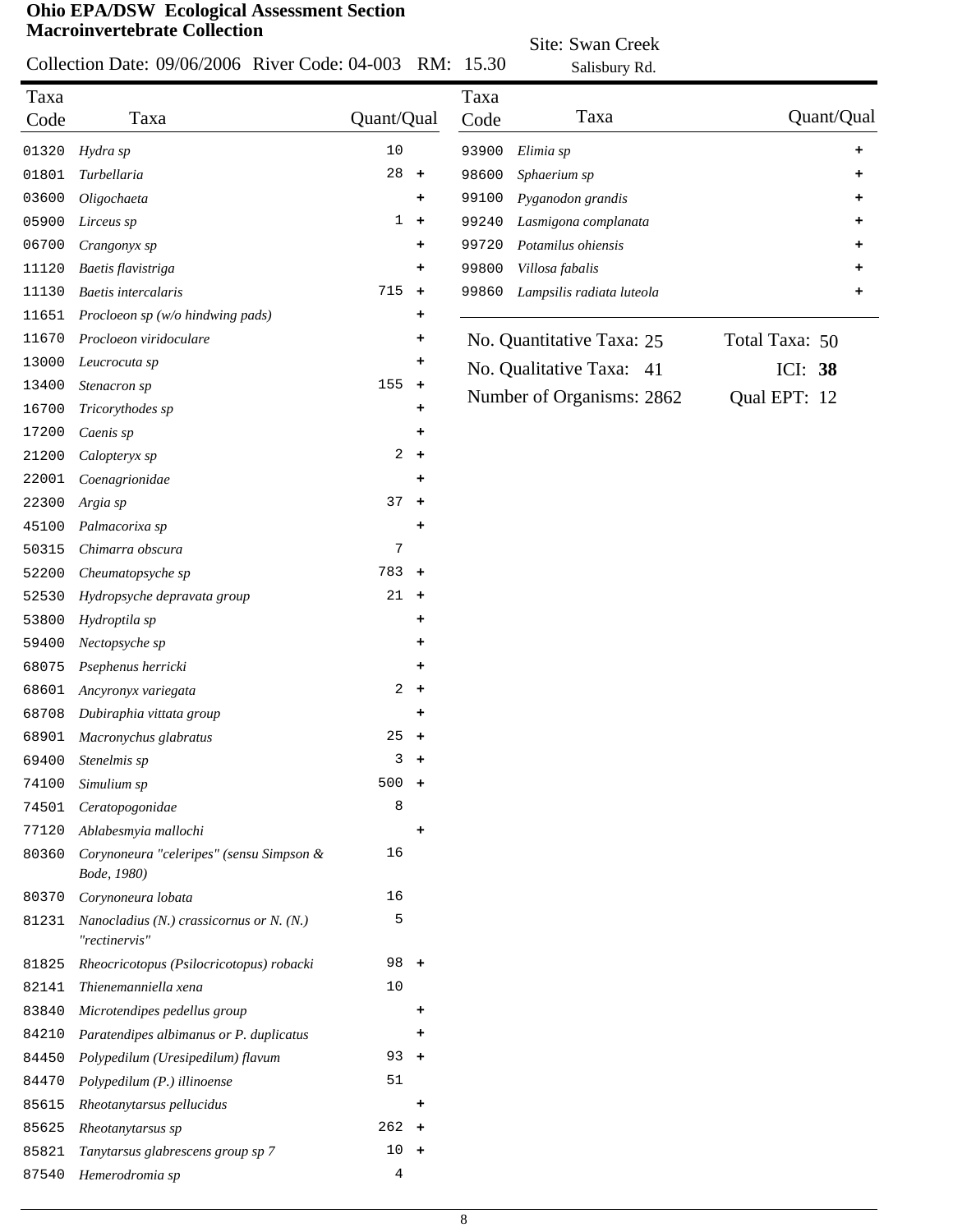#### Collection Date: 09/06/2006 River Code: 04-003 RM: 15.30

Site: Swan Creek Salisbury Rd.

|              | CONCENTRI Date: 02/00/2000 RIVER COUC. 04-003             | IVIAT.                      | 19.90        | Salisbury Rd.             |                |
|--------------|-----------------------------------------------------------|-----------------------------|--------------|---------------------------|----------------|
| Taxa<br>Code | Taxa                                                      | Quant/Qual                  | Taxa<br>Code | Taxa                      | Quant/Qual     |
| 01320        | Hydra sp                                                  | $10$                        | 93900        | Elimia sp                 | ۰              |
| 01801        | Turbellaria                                               | 28<br>$\ddag$               | 98600        | Sphaerium sp              |                |
| 03600        | Oligochaeta                                               | ٠                           | 99100        | Pyganodon grandis         |                |
| 05900        | Lirceus sp                                                | $\mathbf{1}$<br>$\ddot{}$   | 99240        | Lasmigona complanata      |                |
| 06700        | Crangonyx sp                                              | +                           | 99720        | Potamilus ohiensis        |                |
| 11120        | Baetis flavistriga                                        | +                           | 99800        | Villosa fabalis           |                |
| 11130        | Baetis intercalaris                                       | 715<br>$\ddag$              | 99860        | Lampsilis radiata luteola |                |
| 11651        | Procloeon sp (w/o hindwing pads)                          | ٠                           |              |                           |                |
| 11670        | Procloeon viridoculare                                    | +                           |              | No. Quantitative Taxa: 25 | Total Taxa: 50 |
| 13000        | Leucrocuta sp                                             | ۰                           |              |                           |                |
| 13400        | Stenacron sp                                              | 155<br>$\ddot{\phantom{1}}$ |              | No. Qualitative Taxa: 41  | ICI: 38        |
| 16700        | Tricorythodes sp                                          | ٠                           |              | Number of Organisms: 2862 | Qual EPT: 12   |
| 17200        | Caenis sp                                                 | +                           |              |                           |                |
| 21200        | Calopteryx sp                                             | 2<br>$\pm$                  |              |                           |                |
| 22001        | Coenagrionidae                                            | ٠                           |              |                           |                |
| 22300        | Argia sp                                                  | 37<br>$\ddag$               |              |                           |                |
| 45100        | Palmacorixa sp                                            | +                           |              |                           |                |
| 50315        | Chimarra obscura                                          | 7                           |              |                           |                |
| 52200        | Cheumatopsyche sp                                         | 783<br>$\ddot{\phantom{1}}$ |              |                           |                |
|              |                                                           | 21                          |              |                           |                |
| 52530        | Hydropsyche depravata group                               | $\ddot{\phantom{1}}$        |              |                           |                |
| 53800        | Hydroptila sp                                             | ٠                           |              |                           |                |
| 59400        | Nectopsyche sp                                            | ٠                           |              |                           |                |
| 68075        | Psephenus herricki                                        | ٠                           |              |                           |                |
| 68601        | Ancyronyx variegata                                       | 2<br>$\pm$                  |              |                           |                |
| 68708        | Dubiraphia vittata group                                  | ٠                           |              |                           |                |
| 68901        | Macronychus glabratus                                     | 25<br>$\ddot{\phantom{1}}$  |              |                           |                |
| 69400        | Stenelmis sp                                              | 3<br>٠                      |              |                           |                |
| 74100        | Simulium sp                                               | $500 +$                     |              |                           |                |
| 74501        | Ceratopogonidae                                           | 8                           |              |                           |                |
| 77120        | Ablabesmyia mallochi                                      | +                           |              |                           |                |
| 80360        | Corynoneura "celeripes" (sensu Simpson &<br>Bode, 1980)   | 16                          |              |                           |                |
| 80370        | Corynoneura lobata                                        | 16                          |              |                           |                |
| 81231        | Nanocladius (N.) crassicornus or N. (N.)<br>"rectinervis" | 5                           |              |                           |                |
| 81825        | Rheocricotopus (Psilocricotopus) robacki                  | 98<br>$\ddot{\phantom{1}}$  |              |                           |                |
| 82141        | Thienemanniella xena                                      | 10                          |              |                           |                |
| 83840        | Microtendipes pedellus group                              | +                           |              |                           |                |
| 84210        | Paratendipes albimanus or P. duplicatus                   | ٠                           |              |                           |                |
| 84450        | Polypedilum (Uresipedilum) flavum                         | 93<br>$\pm$                 |              |                           |                |
| 84470        | Polypedilum (P.) illinoense                               | 51                          |              |                           |                |
| 85615        | Rheotanytarsus pellucidus                                 | +                           |              |                           |                |
| 85625        | Rheotanytarsus sp                                         | $262 +$                     |              |                           |                |
| 85821        | Tanytarsus glabrescens group sp 7                         | 10<br>$+$                   |              |                           |                |
| 87540        | Hemerodromia sp                                           | $\overline{4}$              |              |                           |                |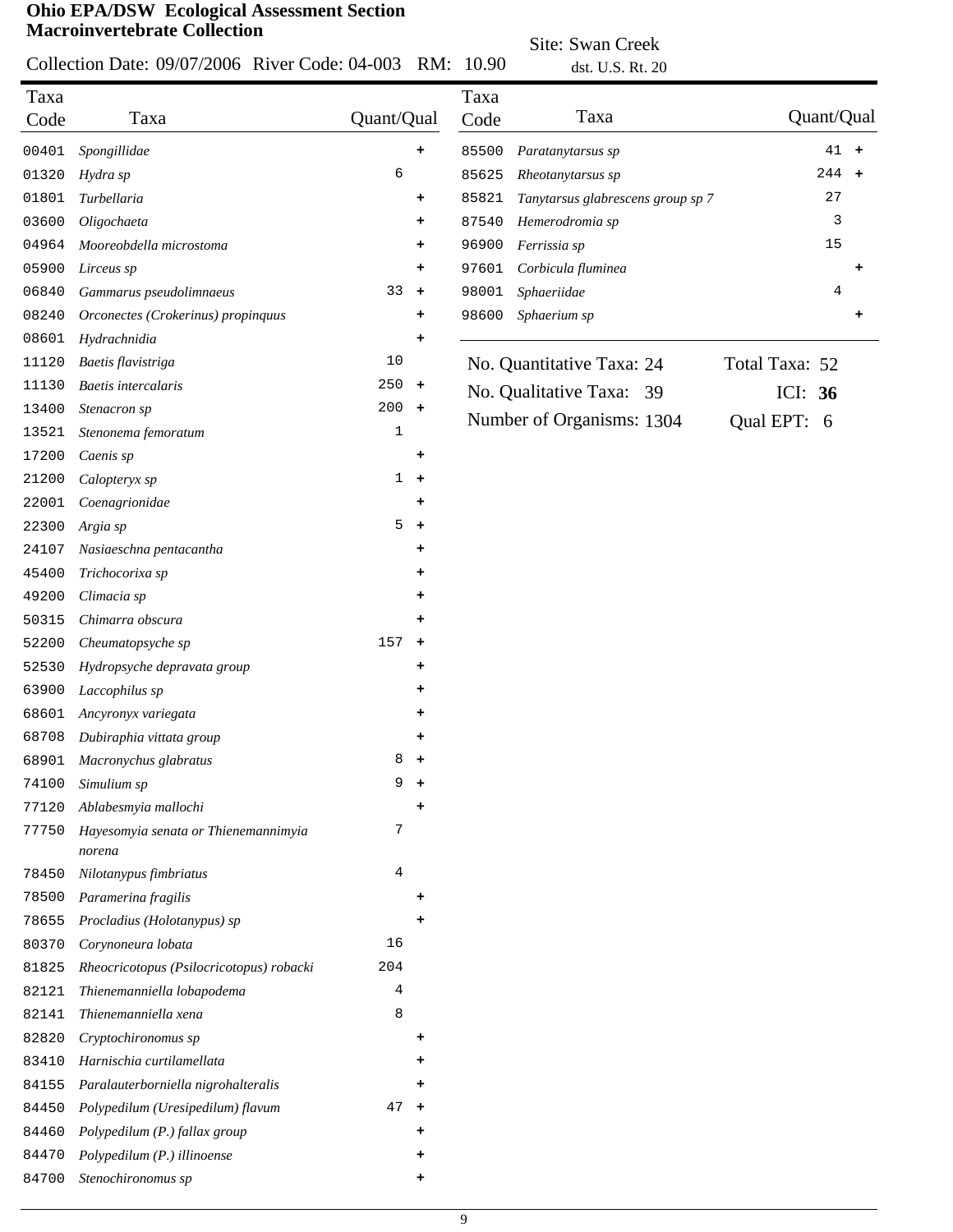Collection Date: 09/07/2006 River Code: 04-003 RM: 10.90

Site: Swan Creek dst.  $U.S.Pt. 20$ 

|       |                                                |                     |       | USL U.D. KL ZU                    |                |
|-------|------------------------------------------------|---------------------|-------|-----------------------------------|----------------|
| Taxa  |                                                |                     | Taxa  |                                   |                |
| Code  | Taxa                                           | Quant/Qual          | Code  | Taxa                              | Quant/Qual     |
| 00401 | Spongillidae                                   | $\ddot{}$           | 85500 | Paratanytarsus sp                 | $41 +$         |
| 01320 | Hydra sp                                       | 6                   | 85625 | Rheotanytarsus sp                 | 244 +          |
| 01801 | Turbellaria                                    | ۰                   | 85821 | Tanytarsus glabrescens group sp 7 | 27             |
| 03600 | Oligochaeta                                    | $\ddot{}$           | 87540 | Hemerodromia sp                   | 3              |
| 04964 | Mooreobdella microstoma                        | ٠                   | 96900 | Ferrissia sp                      | 15             |
| 05900 | Lirceus sp                                     | ٠                   | 97601 | Corbicula fluminea                |                |
| 06840 | Gammarus pseudolimnaeus                        | 33<br>$+$           | 98001 | Sphaeriidae                       | 4              |
| 08240 | Orconectes (Crokerinus) propinquus             | ٠                   | 98600 | Sphaerium sp                      | +              |
| 08601 | Hydrachnidia                                   | ٠                   |       |                                   |                |
| 11120 | Baetis flavistriga                             | 10                  |       | No. Quantitative Taxa: 24         | Total Taxa: 52 |
| 11130 | <b>Baetis</b> intercalaris                     | 250<br>$\ddot{}$    |       | No. Qualitative Taxa: 39          | ICI: $36$      |
| 13400 | Stenacron sp                                   | $200 +$             |       | Number of Organisms: 1304         |                |
| 13521 | Stenonema femoratum                            | 1                   |       |                                   | Qual EPT: 6    |
| 17200 | Caenis sp                                      | $\ddot{}$           |       |                                   |                |
| 21200 | Calopteryx sp                                  | $\mathbf{1}$<br>$+$ |       |                                   |                |
| 22001 | Coenagrionidae                                 | $\ddot{}$           |       |                                   |                |
| 22300 | Argia sp                                       | 5<br>$\ddot{}$      |       |                                   |                |
| 24107 | Nasiaeschna pentacantha                        | ٠                   |       |                                   |                |
| 45400 | Trichocorixa sp                                | ٠                   |       |                                   |                |
| 49200 | Climacia sp                                    | ٠                   |       |                                   |                |
| 50315 | Chimarra obscura                               | ٠                   |       |                                   |                |
| 52200 | Cheumatopsyche sp                              | 157<br>$\ddot{}$    |       |                                   |                |
| 52530 | Hydropsyche depravata group                    | ٠                   |       |                                   |                |
| 63900 | Laccophilus sp                                 | ۰                   |       |                                   |                |
| 68601 | Ancyronyx variegata                            | ٠                   |       |                                   |                |
| 68708 | Dubiraphia vittata group                       | ٠                   |       |                                   |                |
| 68901 | Macronychus glabratus                          | 8<br>$\ddot{}$      |       |                                   |                |
| 74100 | Simulium sp                                    | 9<br>$\ddot{}$      |       |                                   |                |
| 77120 | Ablabesmyia mallochi                           |                     |       |                                   |                |
| 77750 | Hayesomyia senata or Thienemannimyia<br>norena | 7                   |       |                                   |                |
| 78450 | Nilotanypus fimbriatus                         | 4                   |       |                                   |                |
| 78500 | Paramerina fragilis                            |                     |       |                                   |                |
| 78655 | Procladius (Holotanypus) sp                    |                     |       |                                   |                |
| 80370 | Corynoneura lobata                             | 16                  |       |                                   |                |
| 81825 | Rheocricotopus (Psilocricotopus) robacki       | 204                 |       |                                   |                |
| 82121 | Thienemanniella lobapodema                     | 4                   |       |                                   |                |
| 82141 | Thienemanniella xena                           | 8                   |       |                                   |                |
| 82820 | Cryptochironomus sp                            | ٠                   |       |                                   |                |
| 83410 | Harnischia curtilamellata                      |                     |       |                                   |                |
| 84155 | Paralauterborniella nigrohalteralis            | ٠                   |       |                                   |                |
| 84450 | Polypedilum (Uresipedilum) flavum              | 47<br>$\ddot{}$     |       |                                   |                |
| 84460 | Polypedilum (P.) fallax group                  |                     |       |                                   |                |
| 84470 | Polypedilum (P.) illinoense                    |                     |       |                                   |                |
|       | Stenochironomus sp                             |                     |       |                                   |                |
| 84700 |                                                |                     |       |                                   |                |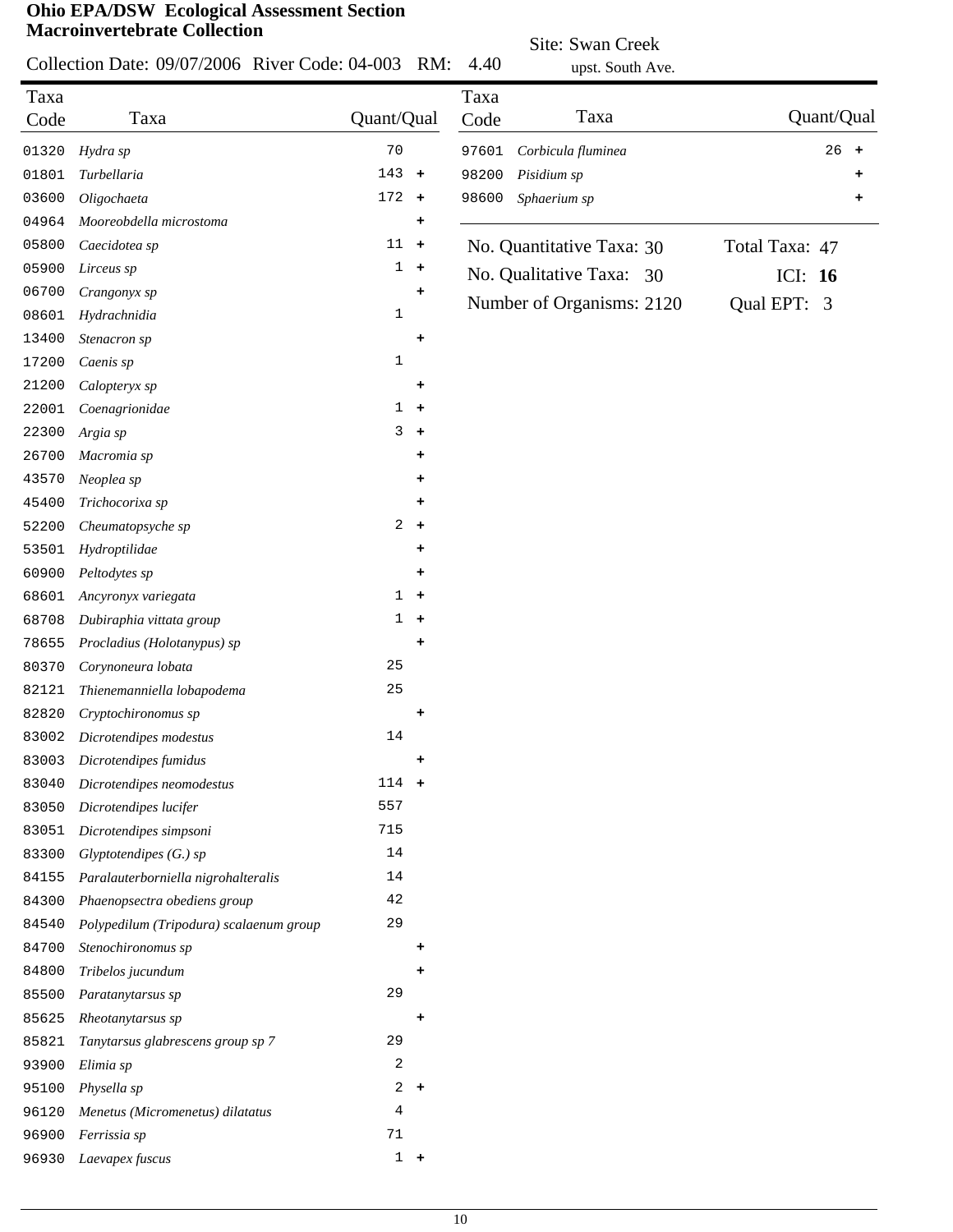*Menetus (Micromenetus) dilatatus* 4 *Ferrissia sp* 71 *Laevapex fuscus* 1 **+**

|       | <b>Ohio EPA/DSW</b> Ecological Assessment Section<br><b>Macroinvertebrate Collection</b> |                |                      |       | Site: Swan Creek          |                |            |           |
|-------|------------------------------------------------------------------------------------------|----------------|----------------------|-------|---------------------------|----------------|------------|-----------|
|       | Collection Date: 09/07/2006 River Code: 04-003                                           |                | RM:                  | 4.40  | upst. South Ave.          |                |            |           |
| Taxa  |                                                                                          |                |                      | Taxa  |                           |                |            |           |
| Code  | Taxa                                                                                     | Quant/Qual     |                      | Code  | Taxa                      |                | Quant/Qual |           |
| 01320 | Hydra sp                                                                                 | $70$           |                      | 97601 | Corbicula fluminea        |                | 26         | $\ddot{}$ |
| 01801 | Turbellaria                                                                              | 143            | $+$                  | 98200 | Pisidium sp               |                |            |           |
| 03600 | Oligochaeta                                                                              | $172 +$        |                      | 98600 | Sphaerium sp              |                |            | +         |
| 04964 | Mooreobdella microstoma                                                                  |                | ٠                    |       |                           |                |            |           |
| 05800 | Caecidotea sp                                                                            | $11 +$         |                      |       | No. Quantitative Taxa: 30 | Total Taxa: 47 |            |           |
| 05900 | Lirceus sp                                                                               |                | $1 +$                |       | No. Qualitative Taxa: 30  | ICI: $16$      |            |           |
| 06700 | Crangonyx sp                                                                             |                | ۰                    |       | Number of Organisms: 2120 | Qual EPT: 3    |            |           |
| 08601 | Hydrachnidia                                                                             | $\mathbf{1}$   |                      |       |                           |                |            |           |
| 13400 | Stenacron sp                                                                             |                | ٠                    |       |                           |                |            |           |
| 17200 | Caenis sp                                                                                | $\mathbf 1$    |                      |       |                           |                |            |           |
| 21200 | Calopteryx sp                                                                            |                | ٠                    |       |                           |                |            |           |
| 22001 | Coenagrionidae                                                                           | 1              | $\ddot{}$            |       |                           |                |            |           |
| 22300 | Argia sp                                                                                 | 3              | $\ddot{\phantom{1}}$ |       |                           |                |            |           |
| 26700 | Macromia sp                                                                              |                | ٠                    |       |                           |                |            |           |
| 43570 | Neoplea sp                                                                               |                | ٠                    |       |                           |                |            |           |
| 45400 | Trichocorixa sp                                                                          |                | ۰                    |       |                           |                |            |           |
| 52200 | Cheumatopsyche sp                                                                        | $\overline{a}$ | $+$                  |       |                           |                |            |           |
| 53501 | Hydroptilidae                                                                            |                | ٠                    |       |                           |                |            |           |
| 60900 | Peltodytes sp                                                                            |                | ٠                    |       |                           |                |            |           |
| 68601 | Ancyronyx variegata                                                                      | 1              | $\ddot{}$            |       |                           |                |            |           |
| 68708 | Dubiraphia vittata group                                                                 | 1              | $\ddot{\phantom{1}}$ |       |                           |                |            |           |
| 78655 | Procladius (Holotanypus) sp                                                              |                | $\ddot{}$            |       |                           |                |            |           |
| 80370 | Corynoneura lobata                                                                       | 25             |                      |       |                           |                |            |           |
| 82121 | Thienemanniella lobapodema                                                               | 25             |                      |       |                           |                |            |           |
| 82820 | Cryptochironomus sp                                                                      |                | $\ddot{}$            |       |                           |                |            |           |
| 83002 | Dicrotendipes modestus                                                                   | 14             |                      |       |                           |                |            |           |
| 83003 | Dicrotendipes fumidus                                                                    |                | ٠                    |       |                           |                |            |           |
| 83040 | Dicrotendipes neomodestus                                                                | $114 +$        |                      |       |                           |                |            |           |
| 83050 | Dicrotendipes lucifer                                                                    | 557            |                      |       |                           |                |            |           |
| 83051 | Dicrotendipes simpsoni                                                                   | 715            |                      |       |                           |                |            |           |
| 83300 | $Glyptotendipes(G.)$ sp                                                                  | 14             |                      |       |                           |                |            |           |
| 84155 | Paralauterborniella nigrohalteralis                                                      | 14             |                      |       |                           |                |            |           |
| 84300 | Phaenopsectra obediens group                                                             | 42             |                      |       |                           |                |            |           |
| 84540 | Polypedilum (Tripodura) scalaenum group                                                  | 29             |                      |       |                           |                |            |           |
| 84700 | Stenochironomus sp                                                                       |                | ٠                    |       |                           |                |            |           |
| 84800 | Tribelos jucundum                                                                        |                | ۰                    |       |                           |                |            |           |
| 85500 | Paratanytarsus sp                                                                        | 29             |                      |       |                           |                |            |           |
| 85625 | Rheotanytarsus sp                                                                        |                |                      |       |                           |                |            |           |
| 85821 | Tanytarsus glabrescens group sp 7                                                        | 29             |                      |       |                           |                |            |           |
| 93900 | Elimia sp                                                                                | 2              |                      |       |                           |                |            |           |
| 95100 | Physella sp                                                                              |                | $2 +$                |       |                           |                |            |           |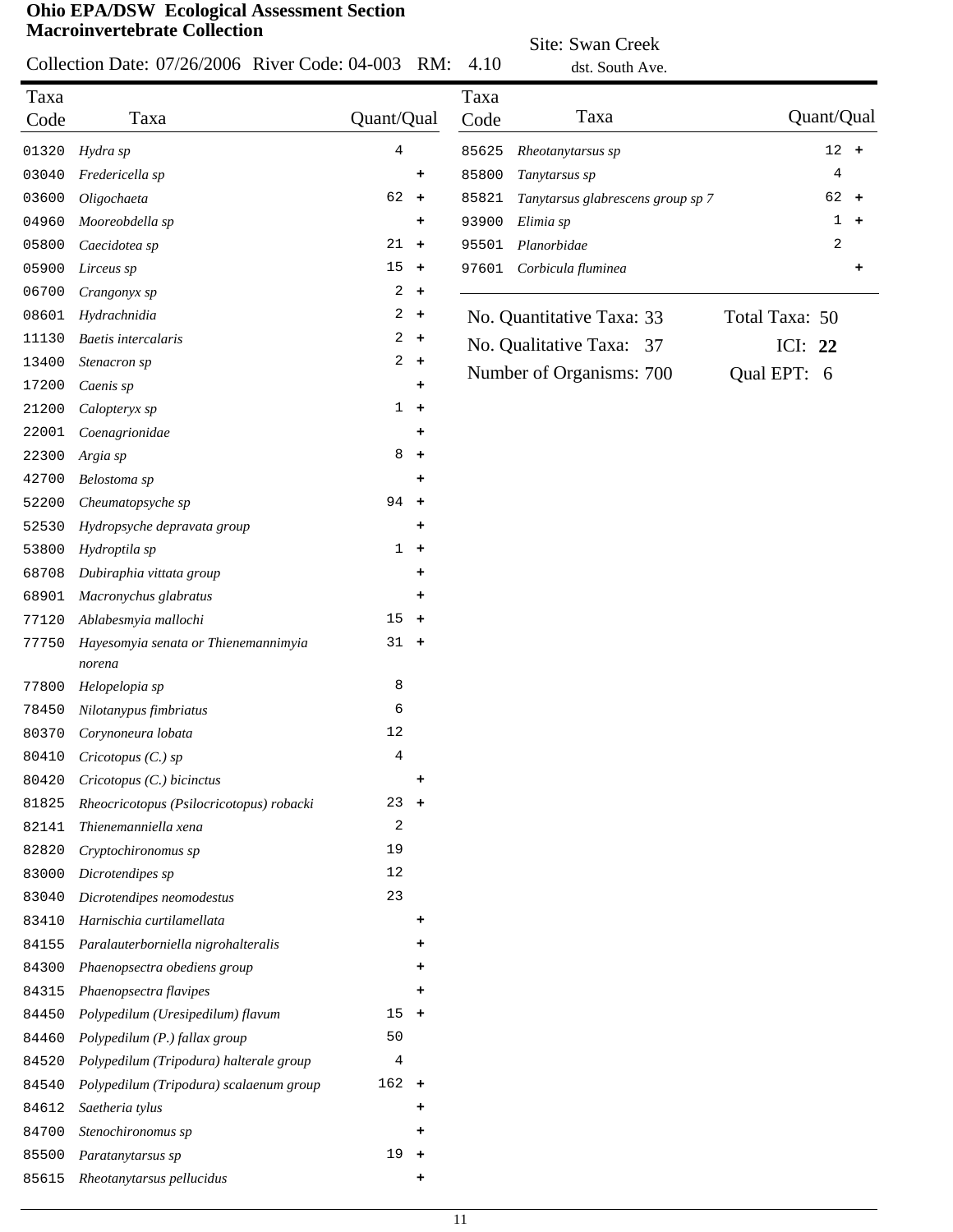Collection Date: 07/26/2006 River Code: 04-003 RM: 4.10

Site: Swan Creek dst. South Ave.

|       |                                          |                |                      |       | ust. South Ave.                   |                |           |           |
|-------|------------------------------------------|----------------|----------------------|-------|-----------------------------------|----------------|-----------|-----------|
| Taxa  |                                          |                |                      | Taxa  |                                   |                |           |           |
| Code  | Taxa                                     | Quant/Qual     |                      | Code  | Taxa                              | Quant/Qual     |           |           |
| 01320 | Hydra sp                                 | 4              |                      | 85625 | Rheotanytarsus sp                 |                | 12<br>$+$ |           |
| 03040 | Fredericella sp                          |                | ٠                    | 85800 | Tanytarsus sp                     |                | 4         |           |
| 03600 | Oligochaeta                              | 62             | $+$                  | 85821 | Tanytarsus glabrescens group sp 7 |                | $62 +$    |           |
| 04960 | Mooreobdella sp                          |                | ٠                    | 93900 | Elimia sp                         |                | 1         | $\ddot{}$ |
| 05800 | Caecidotea sp                            | 21             | $\ddot{\phantom{1}}$ | 95501 | Planorbidae                       |                | 2         |           |
| 05900 | Lirceus sp                               | 15             | $\ddot{}$            | 97601 | Corbicula fluminea                |                |           | +         |
| 06700 | Crangonyx sp                             | 2              | $\ddot{}$            |       |                                   |                |           |           |
| 08601 | Hydrachnidia                             | 2              | $\ddag$              |       | No. Quantitative Taxa: 33         | Total Taxa: 50 |           |           |
| 11130 | <b>Baetis</b> intercalaris               | 2              | $\ddot{\phantom{1}}$ |       | No. Qualitative Taxa: 37          | ICI: 22        |           |           |
| 13400 | Stenacron sp                             | $\overline{a}$ | $+$                  |       | Number of Organisms: 700          | Qual EPT: 6    |           |           |
| 17200 | Caenis sp                                |                | ٠                    |       |                                   |                |           |           |
| 21200 | Calopteryx sp                            | $\mathbf{1}$   | $\ddot{\phantom{1}}$ |       |                                   |                |           |           |
| 22001 | Coenagrionidae                           |                | ٠                    |       |                                   |                |           |           |
| 22300 | Argia sp                                 | 8              | $\ddot{}$            |       |                                   |                |           |           |
| 42700 | Belostoma sp                             |                | $\ddot{}$            |       |                                   |                |           |           |
| 52200 | Cheumatopsyche sp                        | 94             | $\ddot{\phantom{1}}$ |       |                                   |                |           |           |
| 52530 | Hydropsyche depravata group              |                | ٠                    |       |                                   |                |           |           |
| 53800 | Hydroptila sp                            | $\mathbf{1}$   | $\ddot{\phantom{1}}$ |       |                                   |                |           |           |
| 68708 | Dubiraphia vittata group                 |                | ٠                    |       |                                   |                |           |           |
| 68901 | Macronychus glabratus                    |                | ٠                    |       |                                   |                |           |           |
| 77120 | Ablabesmyia mallochi                     | 15             | $\ddot{\phantom{1}}$ |       |                                   |                |           |           |
| 77750 | Hayesomyia senata or Thienemannimyia     | 31             | $+$                  |       |                                   |                |           |           |
|       | norena                                   |                |                      |       |                                   |                |           |           |
| 77800 | Helopelopia sp                           | 8              |                      |       |                                   |                |           |           |
| 78450 | Nilotanypus fimbriatus                   | 6              |                      |       |                                   |                |           |           |
| 80370 | Corynoneura lobata                       | 12             |                      |       |                                   |                |           |           |
| 80410 | Cricotopus (C.) sp                       | 4              |                      |       |                                   |                |           |           |
| 80420 | Cricotopus (C.) bicinctus                |                | ٠                    |       |                                   |                |           |           |
| 81825 | Rheocricotopus (Psilocricotopus) robacki | 23             | $+$                  |       |                                   |                |           |           |
| 82141 | Thienemanniella xena                     | 2              |                      |       |                                   |                |           |           |
| 82820 | Cryptochironomus sp                      | 19             |                      |       |                                   |                |           |           |
| 83000 | Dicrotendipes sp                         | 12             |                      |       |                                   |                |           |           |
| 83040 | Dicrotendipes neomodestus                | 23             |                      |       |                                   |                |           |           |
| 83410 | Harnischia curtilamellata                |                | ٠                    |       |                                   |                |           |           |
| 84155 | Paralauterborniella nigrohalteralis      |                |                      |       |                                   |                |           |           |
| 84300 | Phaenopsectra obediens group             |                |                      |       |                                   |                |           |           |
| 84315 | Phaenopsectra flavipes                   |                | ٠                    |       |                                   |                |           |           |
| 84450 | Polypedilum (Uresipedilum) flavum        | 15             | $+$                  |       |                                   |                |           |           |
| 84460 | Polypedilum (P.) fallax group            | 50             |                      |       |                                   |                |           |           |
| 84520 | Polypedilum (Tripodura) halterale group  | 4              |                      |       |                                   |                |           |           |
| 84540 | Polypedilum (Tripodura) scalaenum group  | $162 +$        |                      |       |                                   |                |           |           |
| 84612 | Saetheria tylus                          |                | ٠                    |       |                                   |                |           |           |
| 84700 | Stenochironomus sp                       |                |                      |       |                                   |                |           |           |
| 85500 | Paratanytarsus sp                        | $19 +$         |                      |       |                                   |                |           |           |

*Rheotanytarsus pellucidus* **+**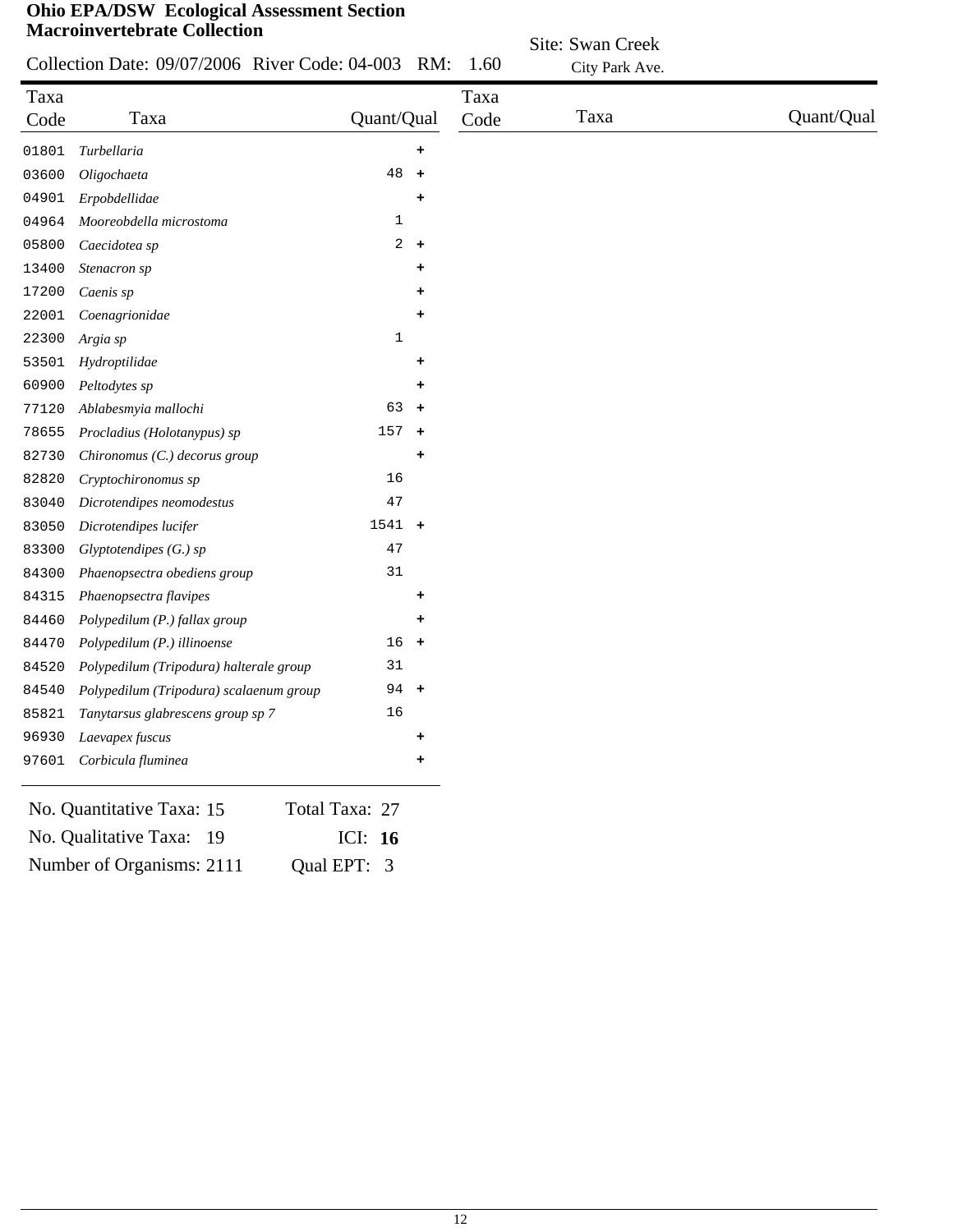| Collection Date: 09/07/2006 River Code: 04-003 RM: 1.60 |  |  |  |
|---------------------------------------------------------|--|--|--|
|                                                         |  |  |  |

| Site: Swan Creek |
|------------------|
| City Park Ave.   |

| Taxa<br>Code | Taxa                                    | Quant/Qual     |                      | Taxa<br>Code | Taxa | Quant/Qual |
|--------------|-----------------------------------------|----------------|----------------------|--------------|------|------------|
| 01801        | Turbellaria                             |                | ٠                    |              |      |            |
| 03600        | Oligochaeta                             | 48             | $\ddot{\phantom{1}}$ |              |      |            |
| 04901        | Erpobdellidae                           |                | ٠                    |              |      |            |
| 04964        | Mooreobdella microstoma                 | 1              |                      |              |      |            |
| 05800        | Caecidotea sp                           | $\overline{a}$ | $\ddot{}$            |              |      |            |
| 13400        | Stenacron sp                            |                | ٠                    |              |      |            |
| 17200        | Caenis sp                               |                |                      |              |      |            |
| 22001        | Coenagrionidae                          |                |                      |              |      |            |
| 22300        | Argia sp                                | $1\,$          |                      |              |      |            |
| 53501        | Hydroptilidae                           |                | +                    |              |      |            |
| 60900        | Peltodytes sp                           |                | ÷                    |              |      |            |
| 77120        | Ablabesmyia mallochi                    | 63             | $\ddot{\phantom{1}}$ |              |      |            |
| 78655        | Procladius (Holotanypus) sp             | 157            | $\ddot{\phantom{1}}$ |              |      |            |
| 82730        | Chironomus (C.) decorus group           |                | +                    |              |      |            |
| 82820        | Cryptochironomus sp                     | 16             |                      |              |      |            |
| 83040        | Dicrotendipes neomodestus               | 47             |                      |              |      |            |
| 83050        | Dicrotendipes lucifer                   | 1541           | $\ddot{\phantom{1}}$ |              |      |            |
| 83300        | Glyptotendipes (G.) sp                  | 47             |                      |              |      |            |
| 84300        | Phaenopsectra obediens group            | 31             |                      |              |      |            |
| 84315        | Phaenopsectra flavipes                  |                | ٠                    |              |      |            |
| 84460        | Polypedilum (P.) fallax group           |                | ٠                    |              |      |            |
| 84470        | Polypedilum (P.) illinoense             | 16             | $\ddot{\phantom{1}}$ |              |      |            |
| 84520        | Polypedilum (Tripodura) halterale group | 31             |                      |              |      |            |
| 84540        | Polypedilum (Tripodura) scalaenum group | 94             | $\pm$                |              |      |            |
| 85821        | Tanytarsus glabrescens group sp 7       | 16             |                      |              |      |            |
| 96930        | Laevapex fuscus                         |                | ٠                    |              |      |            |
| 97601        | Corbicula fluminea                      |                | +                    |              |      |            |
|              | No. Quantitative Taxa: 15               | Total Taxa: 27 |                      |              |      |            |
|              | No. Qualitative Taxa: 19                | ICI: 16        |                      |              |      |            |

Number of Organisms: 2111 Qual EPT: 3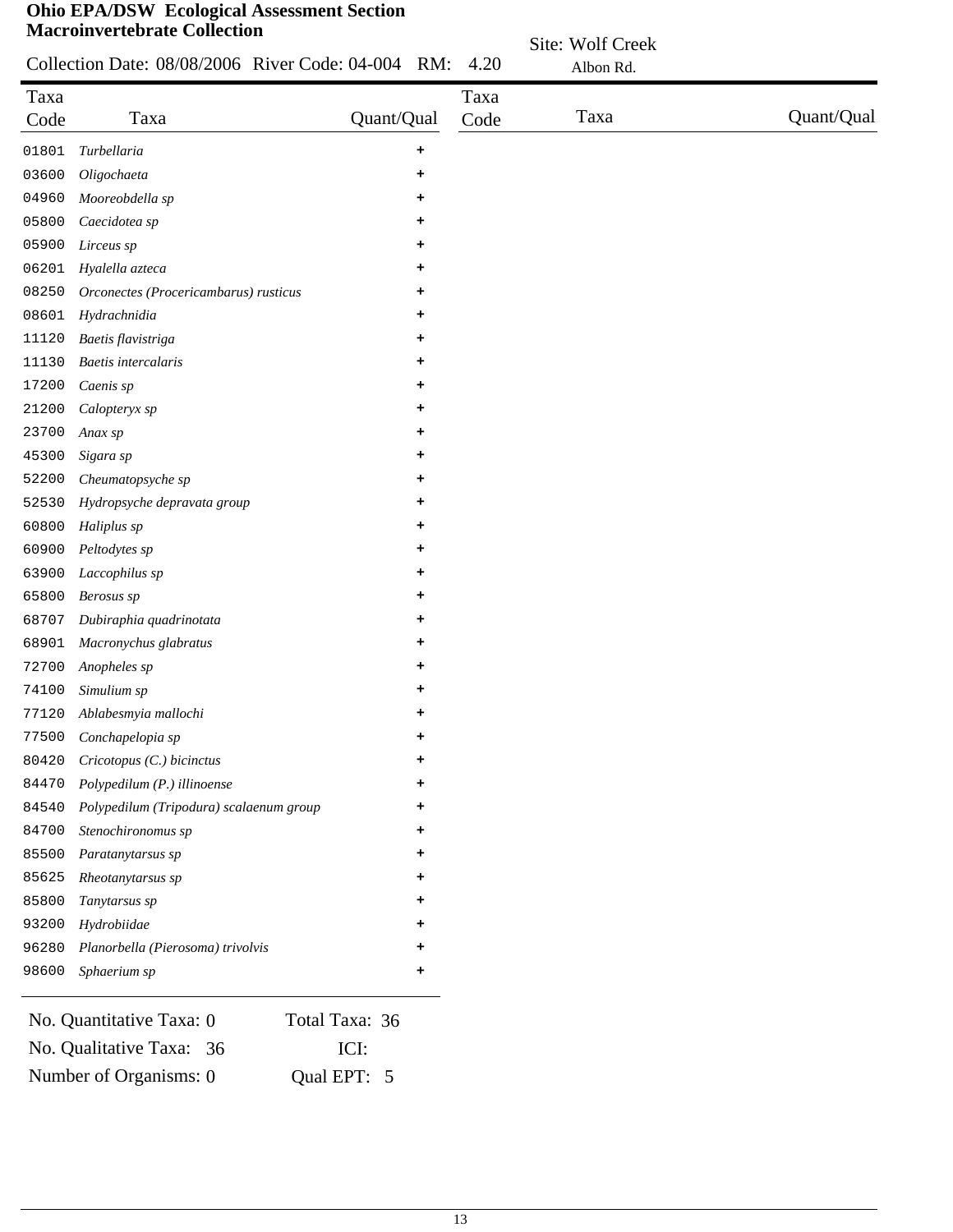|              | <b>Macroinvertebrate Collection</b>                |            |           |              | Site: Wolf Creek |            |
|--------------|----------------------------------------------------|------------|-----------|--------------|------------------|------------|
|              | Collection Date: 08/08/2006 River Code: 04-004 RM: |            |           | 4.20         | Albon Rd.        |            |
| Taxa<br>Code | Taxa                                               | Quant/Qual |           | Taxa<br>Code | Taxa             | Quant/Qual |
| 01801        | Turbellaria                                        |            | $\ddot{}$ |              |                  |            |
| 03600        | Oligochaeta                                        |            | ٠         |              |                  |            |
| 04960        | Mooreobdella sp                                    |            | ٠         |              |                  |            |
| 05800        | Caecidotea sp                                      |            | ٠         |              |                  |            |
| 05900        | Lirceus sp                                         |            | ٠         |              |                  |            |
| 06201        | Hyalella azteca                                    |            | ٠         |              |                  |            |
| 08250        | Orconectes (Procericambarus) rusticus              |            | ÷         |              |                  |            |
| 08601        | Hydrachnidia                                       |            | ٠         |              |                  |            |
| 11120        | Baetis flavistriga                                 |            | ٠         |              |                  |            |
| 11130        | <b>Baetis</b> intercalaris                         |            | ٠         |              |                  |            |
| 17200        | Caenis sp                                          |            | ٠         |              |                  |            |
| 21200        | Calopteryx sp                                      |            | ٠         |              |                  |            |
| 23700        | Anax sp                                            |            | ٠         |              |                  |            |
| 45300        | Sigara sp                                          |            | ٠         |              |                  |            |
| 52200        | Cheumatopsyche sp                                  |            | ٠         |              |                  |            |
| 52530        | Hydropsyche depravata group                        |            | ٠         |              |                  |            |
| 60800        | Haliplus sp                                        |            | ٠         |              |                  |            |
| 60900        | Peltodytes sp                                      |            |           |              |                  |            |
| 63900        | Laccophilus sp                                     |            |           |              |                  |            |
| 65800        | Berosus sp                                         |            |           |              |                  |            |
| 68707        | Dubiraphia quadrinotata                            |            | ٠         |              |                  |            |
| 68901        | Macronychus glabratus                              |            |           |              |                  |            |
| 72700        | Anopheles sp                                       |            | ٠         |              |                  |            |
| 74100        | Simulium sp                                        |            | ٠         |              |                  |            |
| 77120        | Ablabesmyia mallochi                               |            | ٠         |              |                  |            |
| 77500        | Conchapelopia sp                                   |            | ٠         |              |                  |            |
| 80420        | Cricotopus (C.) bicinctus                          |            | ٠         |              |                  |            |
| 84470        | Polypedilum (P.) illinoense                        |            |           |              |                  |            |
| 84540        | Polypedilum (Tripodura) scalaenum group            |            |           |              |                  |            |
| 84700        | Stenochironomus sp                                 |            |           |              |                  |            |
| 85500        | Paratanytarsus sp                                  |            |           |              |                  |            |
| 85625        | Rheotanytarsus sp                                  |            |           |              |                  |            |
| 85800        | Tanytarsus sp                                      |            |           |              |                  |            |
| 93200        | Hydrobiidae                                        |            |           |              |                  |            |
| 96280        | Planorbella (Pierosoma) trivolvis                  |            |           |              |                  |            |

| No. Quantitative Taxa: 0 | Total Taxa: 36 |
|--------------------------|----------------|
| No. Qualitative Taxa: 36 | <b>ICI:</b>    |
| Number of Organisms: 0   | Qual EPT: 5    |

*Sphaerium sp* **+**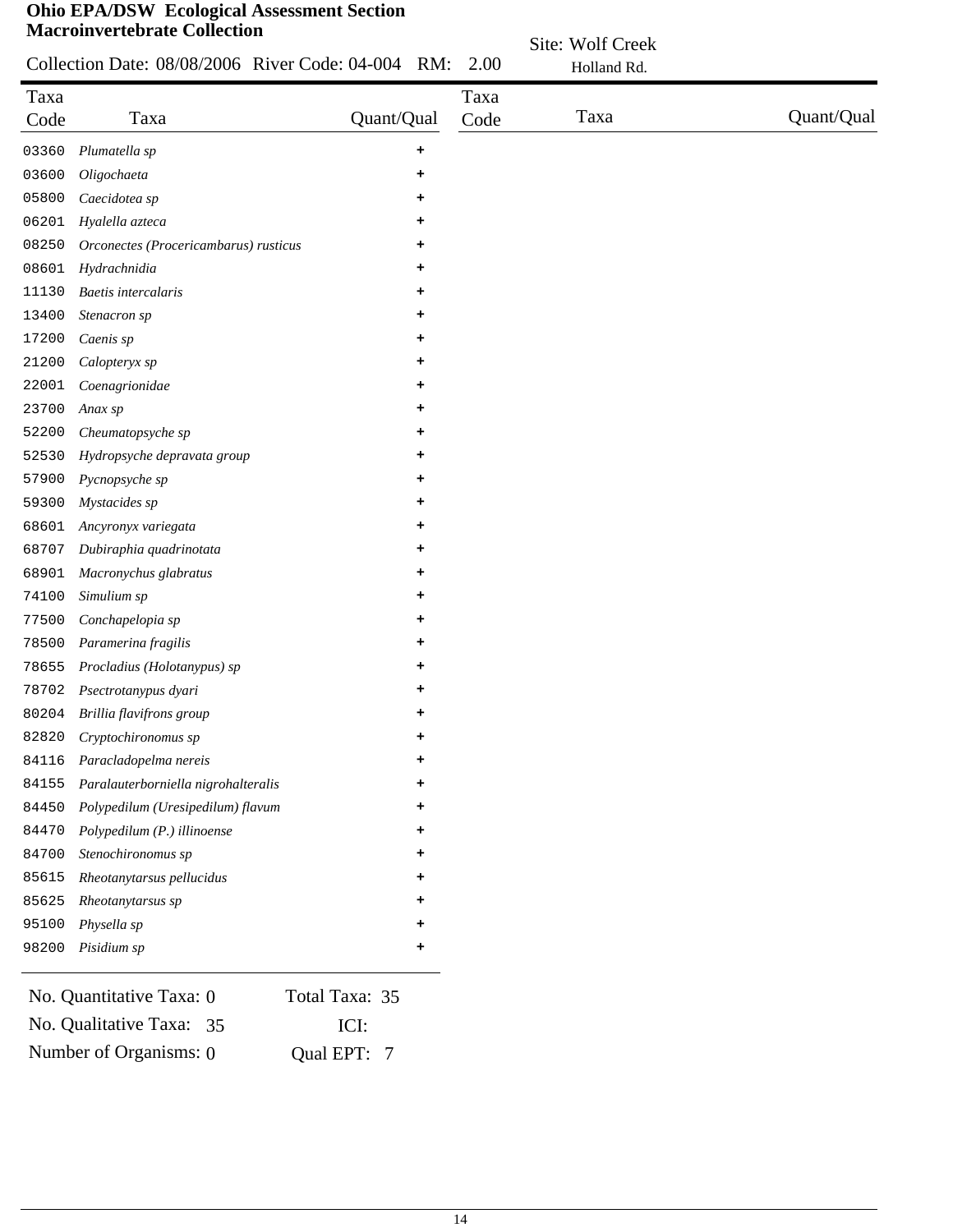|  | Collection Date: 08/08/2006 River Code: 04-004 RM: 2.00 |  |
|--|---------------------------------------------------------|--|

| Site: Wolf Creek |
|------------------|
| Holland Rd       |

| Taxa  | Taxa                                  | Quant/Qual | Taxa<br>Code | Taxa | Quant/Qual |
|-------|---------------------------------------|------------|--------------|------|------------|
| Code  |                                       |            |              |      |            |
| 03360 | Plumatella sp                         | +          |              |      |            |
| 03600 | Oligochaeta                           | ٠          |              |      |            |
| 05800 | Caecidotea sp                         | +          |              |      |            |
| 06201 | Hyalella azteca                       | ٠          |              |      |            |
| 08250 | Orconectes (Procericambarus) rusticus | +          |              |      |            |
| 08601 | Hydrachnidia                          | ٠          |              |      |            |
| 11130 | Baetis intercalaris                   | +          |              |      |            |
| 13400 | Stenacron sp                          | ٠          |              |      |            |
| 17200 | Caenis sp                             | +          |              |      |            |
| 21200 | Calopteryx sp                         | ٠          |              |      |            |
| 22001 | Coenagrionidae                        | +          |              |      |            |
| 23700 | Anax sp                               | ٠          |              |      |            |
| 52200 | Cheumatopsyche sp                     | +          |              |      |            |
| 52530 | Hydropsyche depravata group           | ٠          |              |      |            |
| 57900 | Pycnopsyche sp                        | +          |              |      |            |
| 59300 | Mystacides sp                         | ٠          |              |      |            |
| 68601 | Ancyronyx variegata                   | +          |              |      |            |
| 68707 | Dubiraphia quadrinotata               | +          |              |      |            |
| 68901 | Macronychus glabratus                 | +          |              |      |            |
| 74100 | Simulium sp                           | ٠          |              |      |            |
| 77500 | Conchapelopia sp                      | +          |              |      |            |
| 78500 | Paramerina fragilis                   | ٠          |              |      |            |
| 78655 | Procladius (Holotanypus) sp           | ٠          |              |      |            |
| 78702 | Psectrotanypus dyari                  | ٠          |              |      |            |
| 80204 | Brillia flavifrons group              | ٠          |              |      |            |
| 82820 | Cryptochironomus sp                   | ٠          |              |      |            |
|       | 84116 Paracladopelma nereis           |            |              |      |            |
| 84155 | Paralauterborniella nigrohalteralis   | ٠          |              |      |            |
| 84450 | Polypedilum (Uresipedilum) flavum     | ٠          |              |      |            |
| 84470 | Polypedilum (P.) illinoense           | ٠          |              |      |            |
| 84700 | Stenochironomus sp                    | ٠          |              |      |            |
| 85615 | Rheotanytarsus pellucidus             | ٠          |              |      |            |
| 85625 | Rheotanytarsus sp                     | ٠          |              |      |            |
| 95100 | Physella sp                           | ٠          |              |      |            |
| 98200 | Pisidium sp                           | ٠          |              |      |            |

| No. Quantitative Taxa: 0 | Total Taxa: 35 |  |
|--------------------------|----------------|--|
| No. Qualitative Taxa: 35 | ICI:           |  |
| Number of Organisms: 0   | Qual EPT: 7    |  |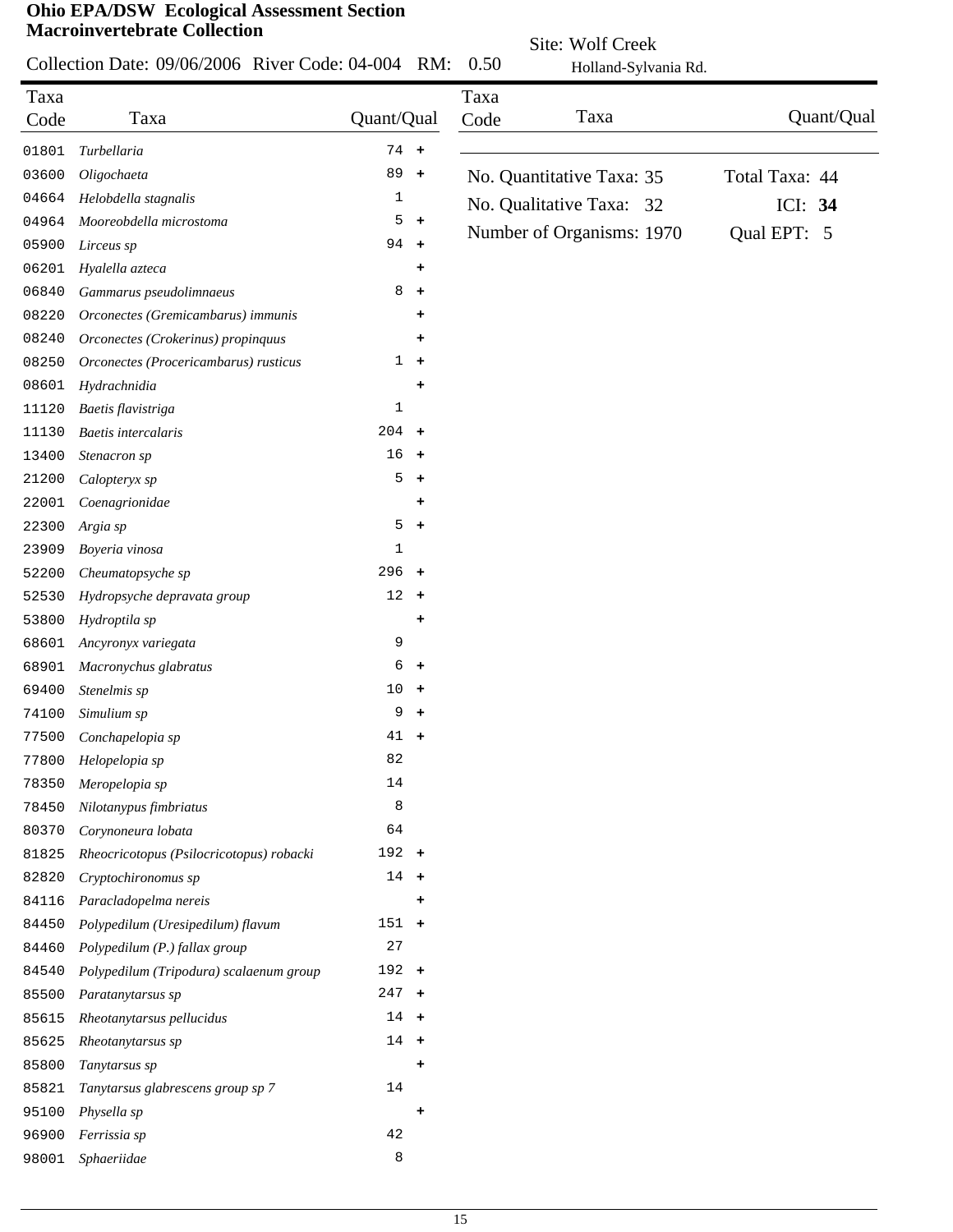|       |                                                    |               |                      | Site: Wolf Creek |                           |                |            |
|-------|----------------------------------------------------|---------------|----------------------|------------------|---------------------------|----------------|------------|
|       | Collection Date: 09/06/2006 River Code: 04-004 RM: |               |                      | 0.50             | Holland-Sylvania Rd.      |                |            |
| Taxa  |                                                    |               |                      | Taxa             |                           |                |            |
| Code  | Taxa                                               | Quant/Qual    |                      | Code             | Taxa                      |                | Quant/Qual |
| 01801 | Turbellaria                                        | $74 +$        |                      |                  |                           |                |            |
| 03600 | Oligochaeta                                        | 89            | $+$                  |                  | No. Quantitative Taxa: 35 | Total Taxa: 44 |            |
| 04664 | Helobdella stagnalis                               | 1             |                      |                  | No. Qualitative Taxa: 32  | ICI: 34        |            |
| 04964 | Mooreobdella microstoma                            | 5             | $\ddot{}$            |                  |                           |                |            |
| 05900 | Lirceus sp                                         | $94 +$        |                      |                  | Number of Organisms: 1970 | Qual EPT: 5    |            |
| 06201 | Hyalella azteca                                    |               | ٠                    |                  |                           |                |            |
| 06840 | Gammarus pseudolimnaeus                            | 8             | $\ddot{}$            |                  |                           |                |            |
| 08220 | Orconectes (Gremicambarus) immunis                 |               |                      |                  |                           |                |            |
| 08240 | Orconectes (Crokerinus) propinquus                 |               | ٠                    |                  |                           |                |            |
| 08250 | Orconectes (Procericambarus) rusticus              | $\mathbf{1}$  | $\ddot{\phantom{1}}$ |                  |                           |                |            |
| 08601 | Hydrachnidia                                       |               |                      |                  |                           |                |            |
| 11120 | Baetis flavistriga                                 | 1             |                      |                  |                           |                |            |
| 11130 | Baetis intercalaris                                | $204 +$       |                      |                  |                           |                |            |
| 13400 | Stenacron sp                                       | 16            | $\ddot{}$            |                  |                           |                |            |
| 21200 | Calopteryx sp                                      | 5             | $\ddot{}$            |                  |                           |                |            |
| 22001 | Coenagrionidae                                     |               | +                    |                  |                           |                |            |
| 22300 | Argia sp                                           | 5             | $\pm$                |                  |                           |                |            |
| 23909 | Boyeria vinosa                                     | 1             |                      |                  |                           |                |            |
| 52200 | Cheumatopsyche sp                                  | $296 +$       |                      |                  |                           |                |            |
| 52530 | Hydropsyche depravata group                        | 12            | $\ddot{\phantom{1}}$ |                  |                           |                |            |
| 53800 | Hydroptila sp                                      |               | ÷                    |                  |                           |                |            |
| 68601 | Ancyronyx variegata                                | 9             |                      |                  |                           |                |            |
| 68901 | Macronychus glabratus                              | 6             | $\ddot{}$            |                  |                           |                |            |
| 69400 | Stenelmis sp                                       | 10            | $\ddot{}$            |                  |                           |                |            |
| 74100 | Simulium sp                                        | 9             | ÷                    |                  |                           |                |            |
| 77500 | Conchapelopia sp                                   | 41            |                      |                  |                           |                |            |
| 77800 | Helopelopia sp                                     | 82            |                      |                  |                           |                |            |
| 78350 | Meropelopia sp                                     | 14            |                      |                  |                           |                |            |
|       | Nilotanypus fimbriatus                             | 8             |                      |                  |                           |                |            |
| 78450 | Corynoneura lobata                                 | 64            |                      |                  |                           |                |            |
| 80370 |                                                    | $192 +$       |                      |                  |                           |                |            |
| 81825 | Rheocricotopus (Psilocricotopus) robacki           | $14 +$        |                      |                  |                           |                |            |
| 82820 | Cryptochironomus sp                                |               |                      |                  |                           |                |            |
| 84116 | Paracladopelma nereis                              |               |                      |                  |                           |                |            |
| 84450 | Polypedilum (Uresipedilum) flavum                  | $151 +$<br>27 |                      |                  |                           |                |            |
| 84460 | Polypedilum (P.) fallax group                      |               |                      |                  |                           |                |            |
| 84540 | Polypedilum (Tripodura) scalaenum group            | $192 +$       |                      |                  |                           |                |            |
| 85500 | Paratanytarsus sp                                  | $247 +$       |                      |                  |                           |                |            |
| 85615 | Rheotanytarsus pellucidus                          | $14 +$        |                      |                  |                           |                |            |
| 85625 | Rheotanytarsus sp                                  | $14 +$        |                      |                  |                           |                |            |
| 85800 | Tanytarsus sp                                      |               | ٠                    |                  |                           |                |            |
| 85821 | Tanytarsus glabrescens group sp 7                  | 14            |                      |                  |                           |                |            |
| 95100 | Physella sp                                        |               | ÷                    |                  |                           |                |            |
| 96900 | Ferrissia sp                                       | 42            |                      |                  |                           |                |            |
| 98001 | Sphaeriidae                                        | 8             |                      |                  |                           |                |            |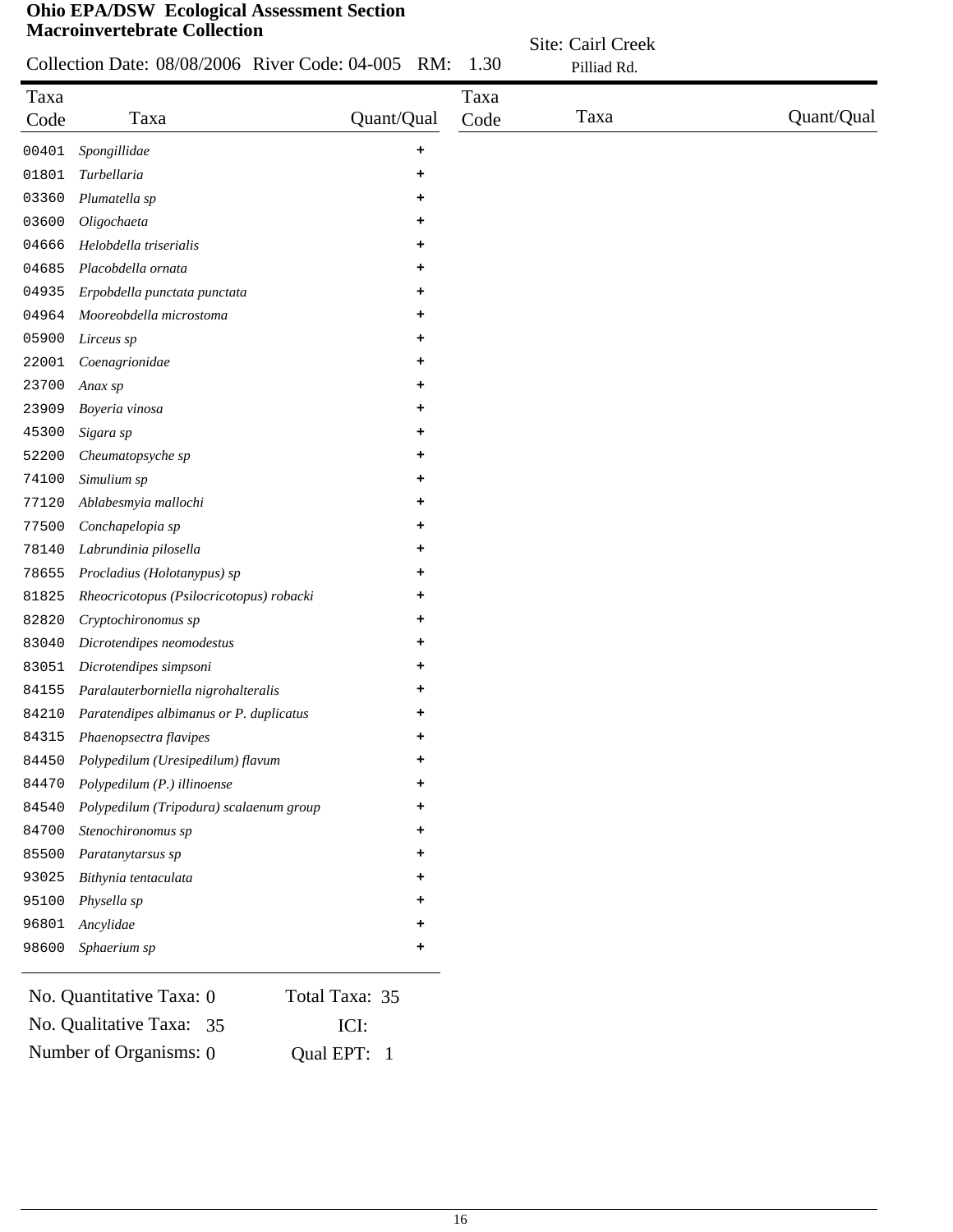|              | Collection Date: 08/08/2006 River Code: 04-005 RM: |            | 1.30         | Site: Cairl Creek<br>Pilliad Rd. |            |
|--------------|----------------------------------------------------|------------|--------------|----------------------------------|------------|
| Taxa<br>Code | Taxa                                               | Quant/Qual | Taxa<br>Code | Taxa                             | Quant/Qual |
| 00401        | Spongillidae                                       | ٠          |              |                                  |            |
| 01801        | Turbellaria                                        |            |              |                                  |            |
| 03360        | Plumatella sp                                      |            |              |                                  |            |
| 03600        | Oligochaeta                                        | ٠          |              |                                  |            |
| 04666        | Helobdella triserialis                             | ٠          |              |                                  |            |
| 04685        | Placobdella ornata                                 |            |              |                                  |            |
| 04935        | Erpobdella punctata punctata                       |            |              |                                  |            |
| 04964        | Mooreobdella microstoma                            | ٠          |              |                                  |            |
| 05900        | Lirceus sp                                         | ٠          |              |                                  |            |
| 22001        | Coenagrionidae                                     | +          |              |                                  |            |
| 23700        | Anax sp                                            | +          |              |                                  |            |
| 23909        | Boyeria vinosa                                     | +          |              |                                  |            |
| 45300        | Sigara sp                                          | +          |              |                                  |            |
| 52200        | Cheumatopsyche sp                                  | ٠          |              |                                  |            |
| 74100        | Simulium sp                                        | +          |              |                                  |            |
| 77120        | Ablabesmyia mallochi                               | +          |              |                                  |            |
| 77500        | Conchapelopia sp                                   | +          |              |                                  |            |
| 78140        | Labrundinia pilosella                              |            |              |                                  |            |
| 78655        | Procladius (Holotanypus) sp                        |            |              |                                  |            |
| 81825        | Rheocricotopus (Psilocricotopus) robacki           |            |              |                                  |            |
| 82820        | Cryptochironomus sp                                |            |              |                                  |            |
| 83040        | Dicrotendipes neomodestus                          |            |              |                                  |            |
| 83051        | Dicrotendipes simpsoni                             |            |              |                                  |            |
| 84155        | Paralauterborniella nigrohalteralis                |            |              |                                  |            |
| 84210        | Paratendipes albimanus or P. duplicatus            | +          |              |                                  |            |
| 84315        | Phaenopsectra flavipes                             |            |              |                                  |            |
| 84450        | Polypedilum (Uresipedilum) flavum                  |            |              |                                  |            |
| 84470        | Polypedilum (P.) illinoense                        |            |              |                                  |            |
| 84540        | Polypedilum (Tripodura) scalaenum group            |            |              |                                  |            |
| 84700        | Stenochironomus sp                                 |            |              |                                  |            |
| 85500        | Paratanytarsus sp                                  |            |              |                                  |            |
| 93025        | Bithynia tentaculata                               |            |              |                                  |            |
| 95100        | Physella sp                                        |            |              |                                  |            |
| 96801        | Ancylidae                                          |            |              |                                  |            |
| 98600        | Sphaerium sp                                       | +          |              |                                  |            |

| No. Quantitative Taxa: 0 | Total Taxa: 35 |
|--------------------------|----------------|
| No. Qualitative Taxa: 35 | ICI:           |
| Number of Organisms: 0   | Qual EPT: 1    |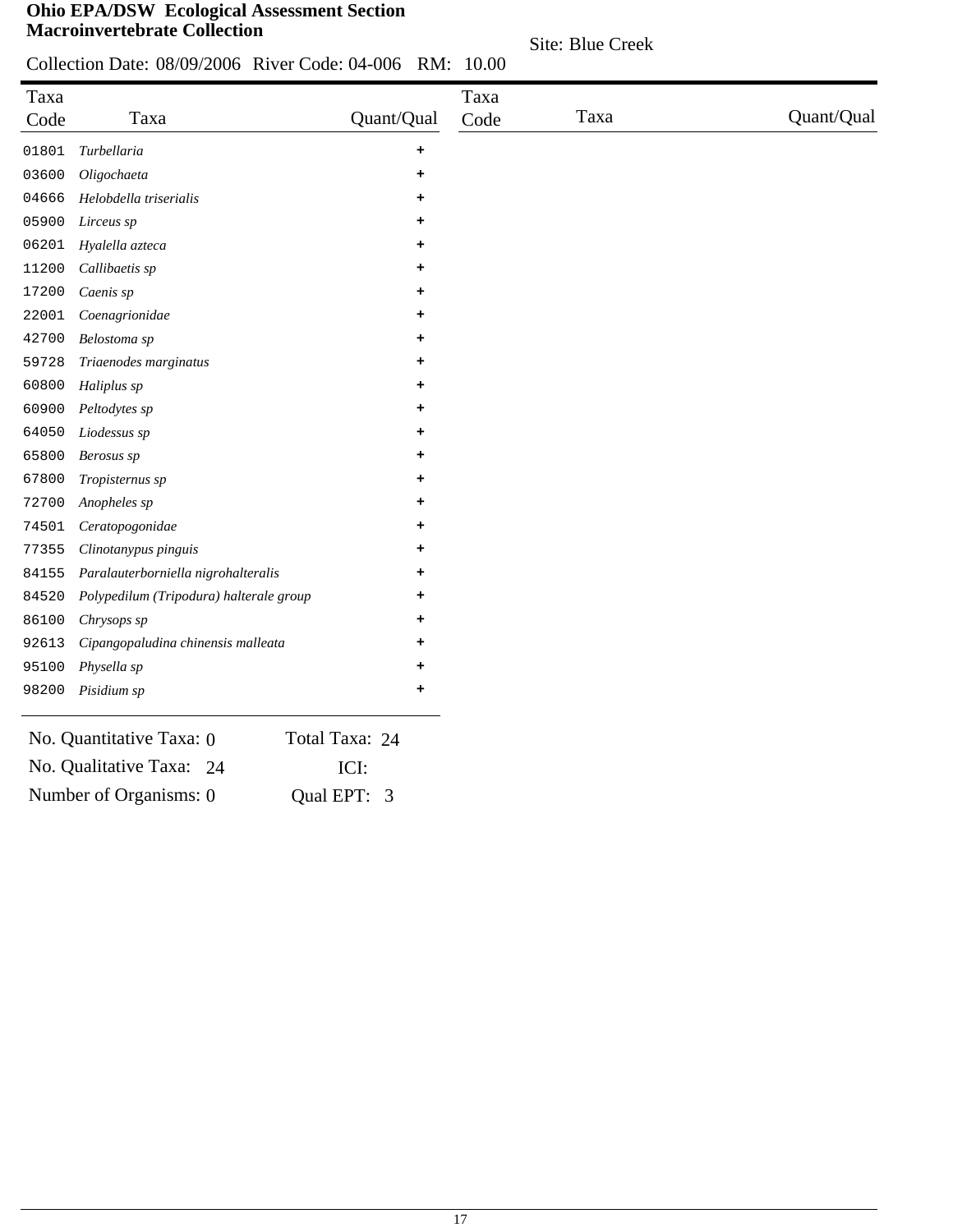Site: Blue Creek

Collection Date: 08/09/2006 River Code: 04-006 RM: 10.00

| Taxa<br>Code | Taxa                                    | Quant/Qual     | Taxa<br>Code | Taxa | Quant/Qual |
|--------------|-----------------------------------------|----------------|--------------|------|------------|
| 01801        | Turbellaria                             | ٠              |              |      |            |
| 03600        | Oligochaeta                             | ٠              |              |      |            |
| 04666        | Helobdella triserialis                  | ٠              |              |      |            |
| 05900        | Lirceus sp                              |                |              |      |            |
| 06201        | Hyalella azteca                         | ٠              |              |      |            |
| 11200        | Callibaetis sp                          | ٠              |              |      |            |
| 17200        | Caenis sp                               | ٠              |              |      |            |
| 22001        | Coenagrionidae                          | ٠              |              |      |            |
| 42700        | Belostoma sp                            |                |              |      |            |
| 59728        | Triaenodes marginatus                   | ٠              |              |      |            |
| 60800        | Haliplus sp                             | ٠              |              |      |            |
| 60900        | Peltodytes sp                           | ٠              |              |      |            |
| 64050        | Liodessus sp                            | ٠              |              |      |            |
| 65800        | Berosus sp                              |                |              |      |            |
| 67800        | Tropisternus sp                         | ٠              |              |      |            |
| 72700        | Anopheles sp                            | ٠              |              |      |            |
| 74501        | Ceratopogonidae                         | ٠              |              |      |            |
| 77355        | Clinotanypus pinguis                    | ٠              |              |      |            |
| 84155        | Paralauterborniella nigrohalteralis     |                |              |      |            |
| 84520        | Polypedilum (Tripodura) halterale group |                |              |      |            |
| 86100        | Chrysops sp                             | ٠              |              |      |            |
| 92613        | Cipangopaludina chinensis malleata      | ٠              |              |      |            |
| 95100        | Physella sp                             | ٠              |              |      |            |
| 98200        | Pisidium sp                             | +              |              |      |            |
|              | No. Quantitative Taxa: 0                | Total Taxa: 24 |              |      |            |
|              | No. Qualitative Taxa: 24                | ICI:           |              |      |            |
|              | Number of Organisms: 0<br>Qual EPT:     | 3              |              |      |            |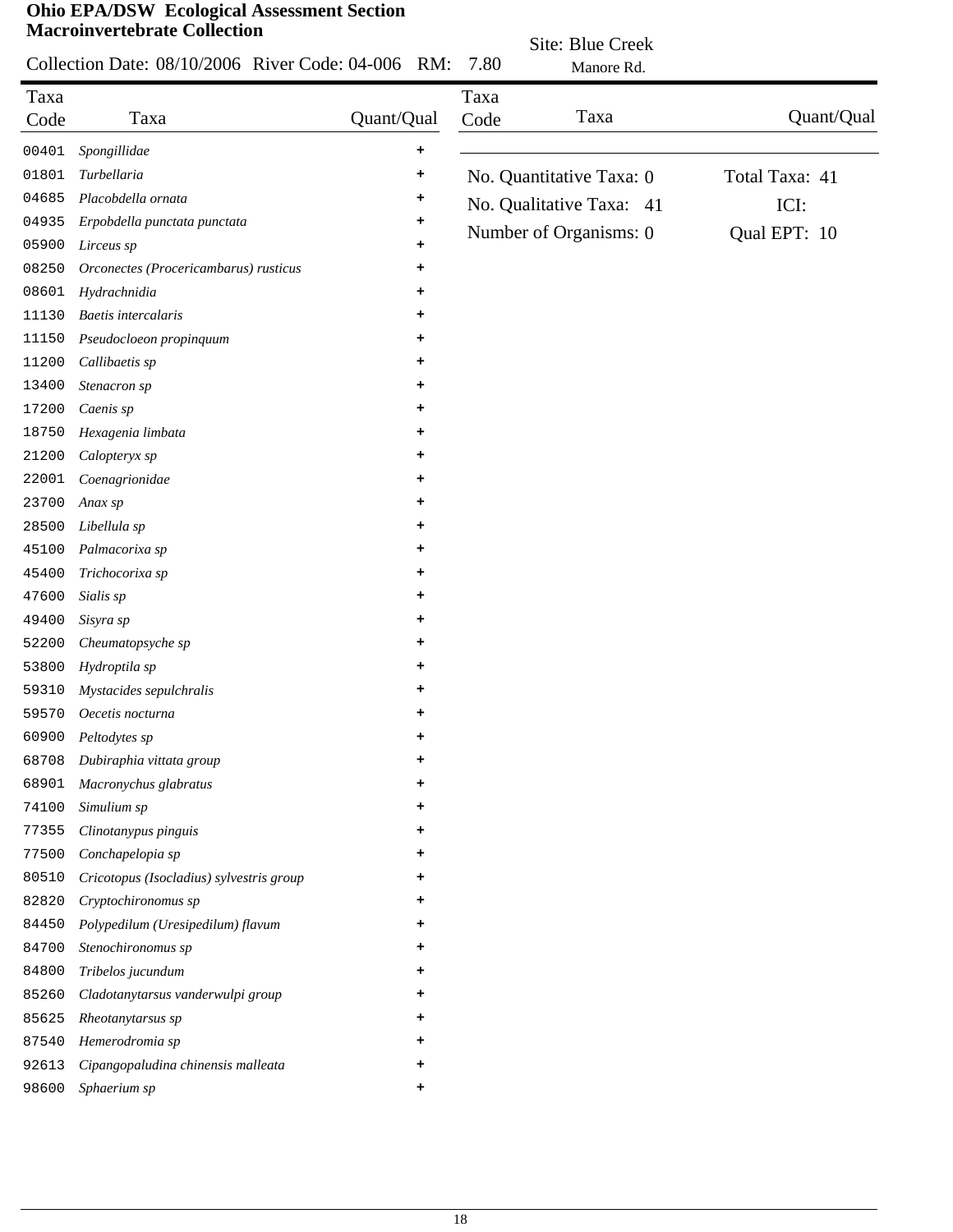|       | Collection Date: 08/10/2006 River Code: 04-006 RM: |            | 7.80 | Site: Blue Creek         |                |
|-------|----------------------------------------------------|------------|------|--------------------------|----------------|
|       |                                                    |            |      | Manore Rd.               |                |
| Taxa  | Taxa                                               | Quant/Qual | Taxa | Taxa                     | Quant/Qual     |
| Code  |                                                    |            | Code |                          |                |
| 00401 | Spongillidae                                       | ٠          |      |                          |                |
| 01801 | Turbellaria                                        | +          |      | No. Quantitative Taxa: 0 | Total Taxa: 41 |
| 04685 | Placobdella ornata                                 | +          |      | No. Qualitative Taxa: 41 | ICI:           |
| 04935 | Erpobdella punctata punctata                       | +          |      | Number of Organisms: 0   | Qual EPT: 10   |
| 05900 | Lirceus sp                                         | ٠          |      |                          |                |
| 08250 | Orconectes (Procericambarus) rusticus              | +          |      |                          |                |
| 08601 | Hydrachnidia                                       | ٠          |      |                          |                |
| 11130 | <b>Baetis</b> intercalaris                         | +          |      |                          |                |
| 11150 | Pseudocloeon propinquum                            | +          |      |                          |                |
| 11200 | Callibaetis sp                                     | +          |      |                          |                |
| 13400 | Stenacron sp                                       | +          |      |                          |                |
| 17200 | Caenis sp                                          | ٠          |      |                          |                |
| 18750 | Hexagenia limbata                                  | +          |      |                          |                |
| 21200 | Calopteryx sp                                      | +          |      |                          |                |
| 22001 | Coenagrionidae                                     | +          |      |                          |                |
| 23700 | Anax sp                                            | ٠          |      |                          |                |
| 28500 | Libellula sp                                       | ٠          |      |                          |                |
| 45100 | Palmacorixa sp                                     | ٠          |      |                          |                |
| 45400 | Trichocorixa sp                                    | ٠          |      |                          |                |
| 47600 | Sialis sp                                          | ٠          |      |                          |                |
| 49400 | Sisyra sp                                          | +          |      |                          |                |
| 52200 | Cheumatopsyche sp                                  | ٠          |      |                          |                |
| 53800 | Hydroptila sp                                      | ٠          |      |                          |                |
| 59310 | Mystacides sepulchralis                            | +          |      |                          |                |
| 59570 | Oecetis nocturna                                   | $\ddot{}$  |      |                          |                |
| 60900 | Peltodytes sp                                      |            |      |                          |                |
| 68708 | Dubiraphia vittata group                           | ٠          |      |                          |                |
| 68901 | Macronychus glabratus                              | ۰.         |      |                          |                |
| 74100 | Simulium sp                                        | +          |      |                          |                |
| 77355 | Clinotanypus pinguis                               | +          |      |                          |                |
| 77500 | Conchapelopia sp                                   | +          |      |                          |                |
| 80510 | Cricotopus (Isocladius) sylvestris group           | ٠          |      |                          |                |
| 82820 | Cryptochironomus sp                                | ٠          |      |                          |                |
| 84450 | Polypedilum (Uresipedilum) flavum                  | +          |      |                          |                |
| 84700 | Stenochironomus sp                                 | +          |      |                          |                |
| 84800 | Tribelos jucundum                                  | +          |      |                          |                |
| 85260 | Cladotanytarsus vanderwulpi group                  | +          |      |                          |                |
| 85625 | Rheotanytarsus sp                                  | +          |      |                          |                |
| 87540 | Hemerodromia sp                                    | +          |      |                          |                |
| 92613 | Cipangopaludina chinensis malleata                 | +          |      |                          |                |
| 98600 | Sphaerium sp                                       | +          |      |                          |                |
|       |                                                    |            |      |                          |                |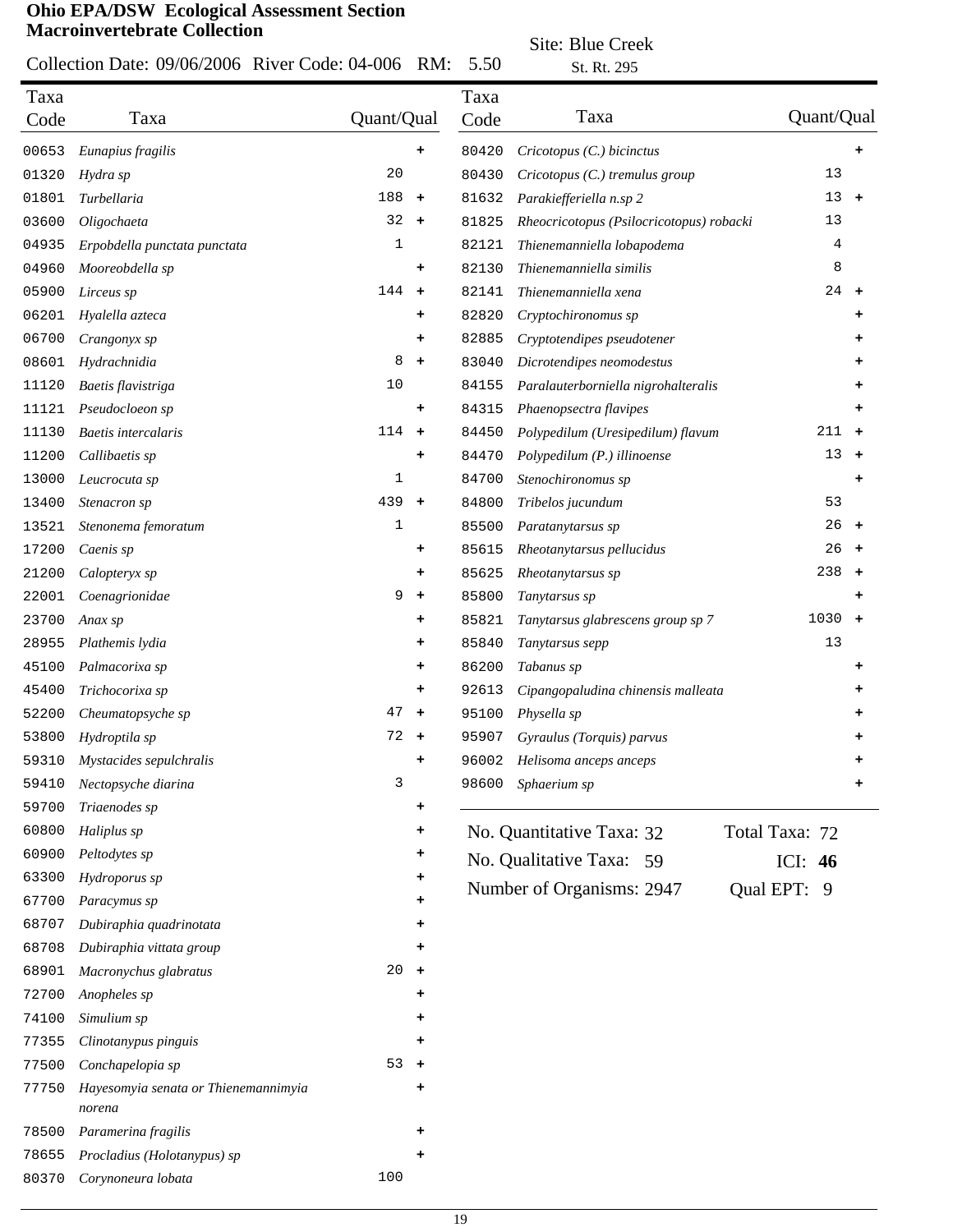#### Collection Date: 09/06/2006 River Code: 04-006 RM: 5.50

Site: Blue Creek

|              | Collection Date: 09/06/2006 River Code: 04-006 RM: |            |                      | 5.50         | St. Rt. 295                              |                |           |
|--------------|----------------------------------------------------|------------|----------------------|--------------|------------------------------------------|----------------|-----------|
| Taxa<br>Code | Taxa                                               | Quant/Qual |                      | Taxa<br>Code | Taxa                                     | Quant/Qual     |           |
| 00653        | Eunapius fragilis                                  |            | +                    | 80420        | Cricotopus (C.) bicinctus                |                |           |
| 01320        | Hydra sp                                           | 20         |                      | 80430        | Cricotopus (C.) tremulus group           | 13             |           |
| 01801        | Turbellaria                                        | 188        | $\ddot{}$            | 81632        | Parakiefferiella n.sp 2                  | 13             | $+$       |
| 03600        | Oligochaeta                                        | 32         | $\ddot{\phantom{1}}$ | 81825        | Rheocricotopus (Psilocricotopus) robacki | 13             |           |
| 04935        | Erpobdella punctata punctata                       | 1          |                      | 82121        | Thienemanniella lobapodema               | 4              |           |
| 04960        | Mooreobdella sp                                    |            | ÷                    | 82130        | Thienemanniella similis                  | 8              |           |
| 05900        | Lirceus sp                                         | 144        | $\ddot{\phantom{1}}$ | 82141        | Thienemanniella xena                     | $24 +$         |           |
| 06201        | Hyalella azteca                                    |            | ٠                    | 82820        | Cryptochironomus sp                      |                |           |
| 06700        | Crangonyx sp                                       |            | +                    | 82885        | Cryptotendipes pseudotener               |                |           |
| 08601        | Hydrachnidia                                       | 8          | $\ddot{\phantom{1}}$ | 83040        | Dicrotendipes neomodestus                |                |           |
| 11120        | Baetis flavistriga                                 | 10         |                      | 84155        | Paralauterborniella nigrohalteralis      |                |           |
| 11121        | Pseudocloeon sp                                    |            | ٠                    | 84315        | Phaenopsectra flavipes                   |                |           |
| 11130        | <b>Baetis</b> intercalaris                         | 114        | $\ddot{}$            | 84450        | Polypedilum (Uresipedilum) flavum        | 211            | $\ddot{}$ |
| 11200        | Callibaetis sp                                     |            | ٠                    | 84470        | Polypedilum (P.) illinoense              | 13             | $\ddot{}$ |
| 13000        | Leucrocuta sp                                      | 1          |                      | 84700        | Stenochironomus sp                       |                |           |
| 13400        | Stenacron sp                                       | 439        | $\ddot{}$            | 84800        | Tribelos jucundum                        | 53             |           |
| 13521        | Stenonema femoratum                                | 1          |                      | 85500        | Paratanytarsus sp                        | 26             | $+$       |
| 17200        | Caenis sp                                          |            | ٠                    | 85615        | Rheotanytarsus pellucidus                | 26             | $\ddot{}$ |
| 21200        | Calopteryx sp                                      |            | ٠                    | 85625        | Rheotanytarsus sp                        | 238            | $+$       |
| 22001        | Coenagrionidae                                     | 9          | $\ddot{\phantom{1}}$ | 85800        | Tanytarsus sp                            |                | +         |
| 23700        | Anax sp                                            |            | ٠                    | 85821        | Tanytarsus glabrescens group sp 7        | 1030           | $+$       |
| 28955        | Plathemis lydia                                    |            | ٠                    | 85840        | Tanytarsus sepp                          | 13             |           |
| 45100        | Palmacorixa sp                                     |            | ٠                    | 86200        | Tabanus sp                               |                |           |
| 45400        | Trichocorixa sp                                    |            | ٠                    | 92613        | Cipangopaludina chinensis malleata       |                |           |
| 52200        | Cheumatopsyche sp                                  | 47         | $\ddot{}$            | 95100        | Physella sp                              |                |           |
| 53800        | Hydroptila sp                                      | 72         | $\ddot{}$            | 95907        | Gyraulus (Torquis) parvus                |                |           |
| 59310        | Mystacides sepulchralis                            |            | $\ddot{}$            | 96002        | Helisoma anceps anceps                   |                |           |
| 59410        | Nectopsyche diarina                                | 3          |                      | 98600        | Sphaerium sp                             |                |           |
| 59700        | Triaenodes sp                                      |            | +                    |              |                                          |                |           |
| 60800        | Haliplus sp                                        |            | +                    |              | No. Quantitative Taxa: 32                | Total Taxa: 72 |           |
| 60900        | Peltodytes sp                                      |            | ۰                    |              | No. Qualitative Taxa: 59                 | ICI: $46$      |           |
| 63300        | Hydroporus sp                                      |            | ٠                    |              | Number of Organisms: 2947                | Qual EPT: 9    |           |
| 67700        | Paracymus sp                                       |            | ٠                    |              |                                          |                |           |
| 68707        | Dubiraphia quadrinotata                            |            | +                    |              |                                          |                |           |
| 68708        | Dubiraphia vittata group                           |            | +                    |              |                                          |                |           |
| 68901        | Macronychus glabratus                              | 20         | $+$                  |              |                                          |                |           |
| 72700        | Anopheles sp                                       |            |                      |              |                                          |                |           |
| 74100        | Simulium sp                                        |            |                      |              |                                          |                |           |
| 77355        | Clinotanypus pinguis                               |            |                      |              |                                          |                |           |
| 77500        | Conchapelopia sp                                   | 53         | $\ddot{}$            |              |                                          |                |           |
| 77750        | Hayesomyia senata or Thienemannimyia<br>norena     |            |                      |              |                                          |                |           |
| 78500        | Paramerina fragilis                                |            | ٠                    |              |                                          |                |           |
| 78655        | Procladius (Holotanypus) sp                        |            | ٠                    |              |                                          |                |           |
| 80370        | Corynoneura lobata                                 | 100        |                      |              |                                          |                |           |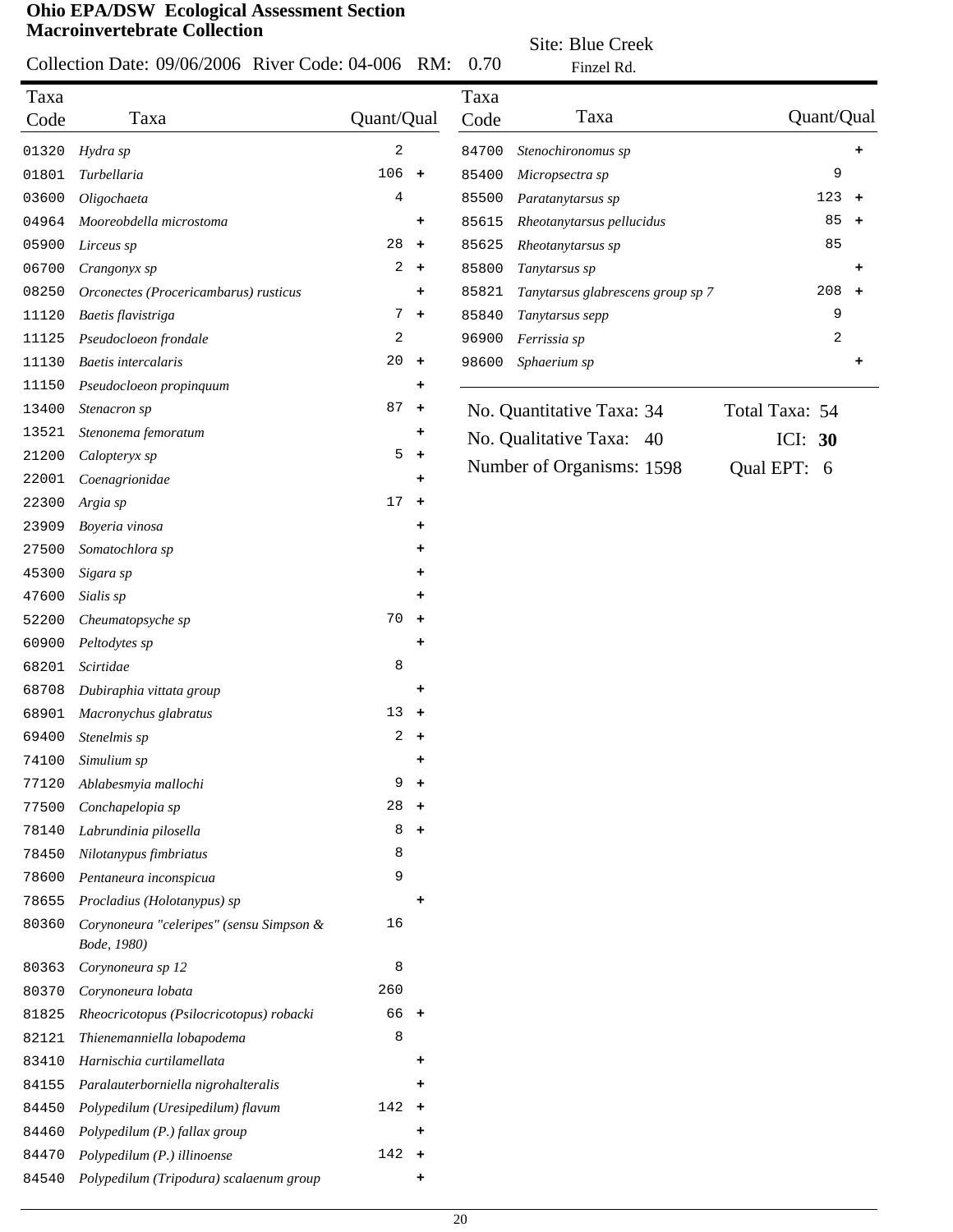#### Collection Date: 09/06/2006 River Code: 04-006  $C_{\text{edo}}$ : 0.4.006  $\overline{DM}$ : 0.70

Site: Blue Creek

|              | Collection Date: 09/06/2006 River Code: 04-006 RM:      |                 |                      | 0.70         | Finzel Rd.                        |                             |
|--------------|---------------------------------------------------------|-----------------|----------------------|--------------|-----------------------------------|-----------------------------|
| Taxa<br>Code | Taxa                                                    | Quant/Qual      |                      | Taxa<br>Code | Taxa                              | Quant/Qual                  |
| 01320        | Hydra sp                                                | 2               |                      | 84700        | Stenochironomus sp                | ٠                           |
| 01801        | Turbellaria                                             | $106 +$         |                      | 85400        | Micropsectra sp                   | 9                           |
| 03600        | Oligochaeta                                             | 4               |                      | 85500        | Paratanytarsus sp                 | 123<br>$+$                  |
| 04964        | Mooreobdella microstoma                                 |                 | ٠                    | 85615        | Rheotanytarsus pellucidus         | 85<br>$\ddot{}$             |
| 05900        | Lirceus sp                                              | 28              | $\ddot{}$            | 85625        | Rheotanytarsus sp                 | 85                          |
| 06700        | Crangonyx sp                                            | $\overline{a}$  | $\ddot{\phantom{1}}$ | 85800        | Tanytarsus sp                     | +                           |
| 08250        | Orconectes (Procericambarus) rusticus                   |                 | ٠                    | 85821        | Tanytarsus glabrescens group sp 7 | 208<br>$\ddot{\phantom{1}}$ |
| 11120        | Baetis flavistriga                                      | 7               | $\pm$                | 85840        | Tanytarsus sepp                   | 9                           |
| 11125        | Pseudocloeon frondale                                   | 2               |                      | 96900        | Ferrissia sp                      | 2                           |
| 11130        | <b>Baetis</b> intercalaris                              | $20 +$          |                      | 98600        | Sphaerium sp                      | +                           |
| 11150        | Pseudocloeon propinquum                                 |                 | ٠                    |              |                                   |                             |
| 13400        | Stenacron sp                                            | 87              | $\ddot{}$            |              | No. Quantitative Taxa: 34         | Total Taxa: 54              |
| 13521        | Stenonema femoratum                                     |                 | ٠                    |              | No. Qualitative Taxa: 40          | ICI: $30$                   |
| 21200        | Calopteryx sp                                           | 5               | $\ddot{\phantom{1}}$ |              |                                   |                             |
| 22001        | Coenagrionidae                                          |                 | ٠                    |              | Number of Organisms: 1598         | Qual EPT: 6                 |
| 22300        | Argia sp                                                | 17 <sub>2</sub> | $\ddot{\phantom{1}}$ |              |                                   |                             |
| 23909        | Boyeria vinosa                                          |                 | +                    |              |                                   |                             |
| 27500        | Somatochlora sp                                         |                 | +                    |              |                                   |                             |
| 45300        | Sigara sp                                               |                 | +                    |              |                                   |                             |
| 47600        | Sialis sp                                               |                 | +                    |              |                                   |                             |
| 52200        | Cheumatopsyche sp                                       | 70              | $\ddot{\phantom{1}}$ |              |                                   |                             |
| 60900        | Peltodytes sp                                           |                 | ٠                    |              |                                   |                             |
| 68201        | Scirtidae                                               | 8               |                      |              |                                   |                             |
| 68708        | Dubiraphia vittata group                                |                 | ٠                    |              |                                   |                             |
| 68901        | Macronychus glabratus                                   | $13 +$          |                      |              |                                   |                             |
| 69400        | Stenelmis sp                                            |                 | $2 +$                |              |                                   |                             |
| 74100        | Simulium sp                                             |                 |                      |              |                                   |                             |
| 77120        | Ablabesmyia mallochi                                    | 9               | $\ddot{}$            |              |                                   |                             |
| 77500        | Conchapelopia sp                                        | 28              | $\ddot{}$            |              |                                   |                             |
| 78140        | Labrundinia pilosella                                   | 8               | $\ddot{}$            |              |                                   |                             |
| 78450        | Nilotanypus fimbriatus                                  | 8               |                      |              |                                   |                             |
| 78600        | Pentaneura inconspicua                                  | 9               |                      |              |                                   |                             |
| 78655        | Procladius (Holotanypus) sp                             |                 | ٠                    |              |                                   |                             |
| 80360        | Corynoneura "celeripes" (sensu Simpson &<br>Bode, 1980) | 16              |                      |              |                                   |                             |
| 80363        | Corynoneura sp 12                                       | 8               |                      |              |                                   |                             |
| 80370        | Corynoneura lobata                                      | 260             |                      |              |                                   |                             |
| 81825        | Rheocricotopus (Psilocricotopus) robacki                | 66 +            |                      |              |                                   |                             |
| 82121        | Thienemanniella lobapodema                              | 8               |                      |              |                                   |                             |
| 83410        | Harnischia curtilamellata                               |                 | ٠                    |              |                                   |                             |
| 84155        | Paralauterborniella nigrohalteralis                     |                 | +                    |              |                                   |                             |
| 84450        | Polypedilum (Uresipedilum) flavum                       | 142             | $\ddot{}$            |              |                                   |                             |
| 84460        | Polypedilum (P.) fallax group                           |                 | ٠                    |              |                                   |                             |
| 84470        | Polypedilum (P.) illinoense                             | 142             | $\pm$                |              |                                   |                             |
| 84540        | Polypedilum (Tripodura) scalaenum group                 |                 | $\ddot{}$            |              |                                   |                             |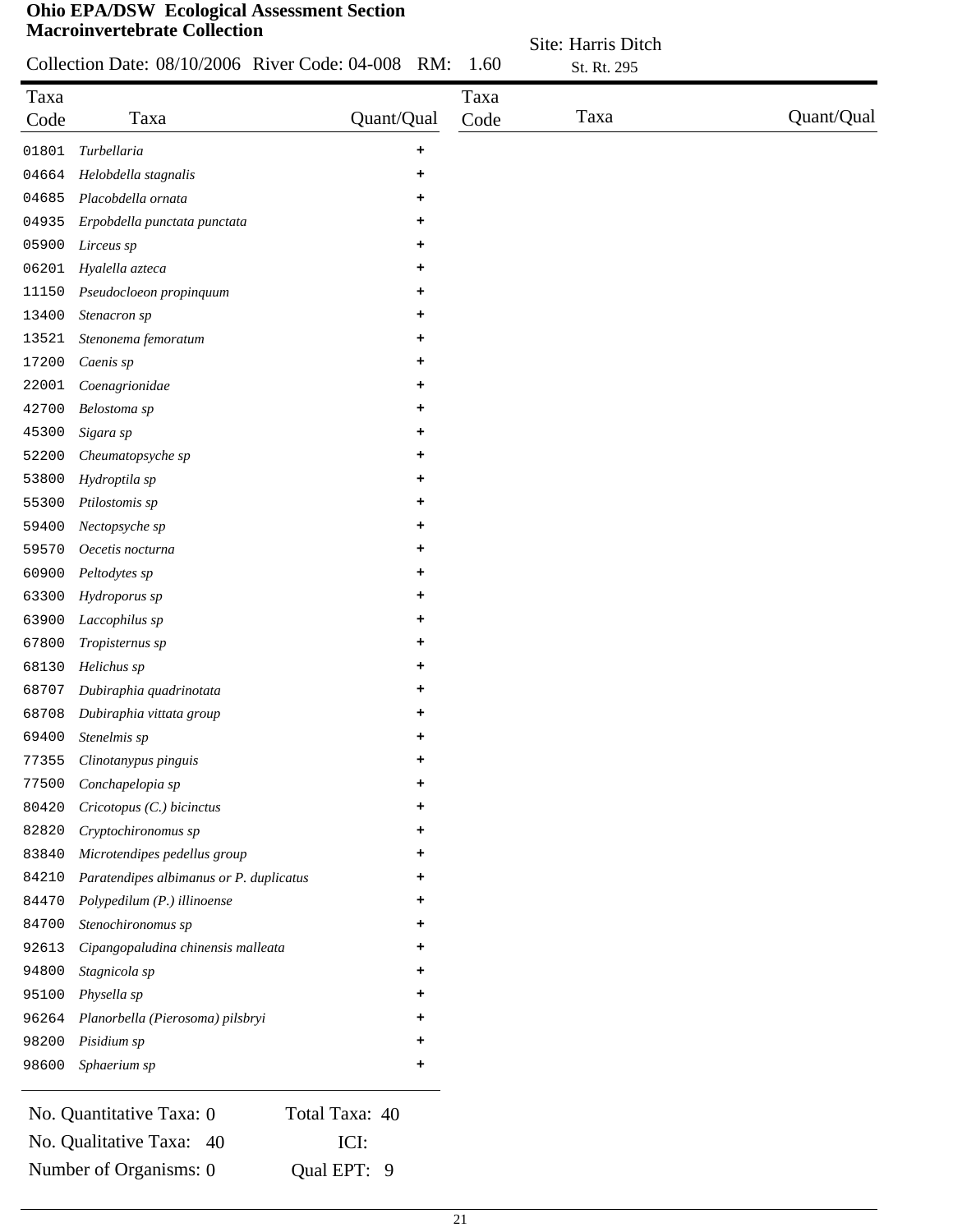|       | Collection Date: 08/10/2006 River Code: 04-008 RM: |                | 1.60 | Site: Harris Ditch<br>St. Rt. 295 |            |
|-------|----------------------------------------------------|----------------|------|-----------------------------------|------------|
| Taxa  |                                                    |                | Taxa |                                   |            |
| Code  | Taxa                                               | Quant/Qual     | Code | Taxa                              | Quant/Qual |
| 01801 | Turbellaria                                        | +              |      |                                   |            |
| 04664 | Helobdella stagnalis                               | +              |      |                                   |            |
| 04685 | Placobdella ornata                                 | ٠              |      |                                   |            |
| 04935 | Erpobdella punctata punctata                       | ٠              |      |                                   |            |
| 05900 | Lirceus sp                                         | +              |      |                                   |            |
| 06201 | Hyalella azteca                                    | ٠              |      |                                   |            |
| 11150 | Pseudocloeon propinquum                            | ٠              |      |                                   |            |
| 13400 | Stenacron sp                                       | ٠              |      |                                   |            |
| 13521 | Stenonema femoratum                                | +              |      |                                   |            |
| 17200 | Caenis sp                                          | +              |      |                                   |            |
| 22001 | Coenagrionidae                                     | ٠              |      |                                   |            |
| 42700 | Belostoma sp                                       | +              |      |                                   |            |
| 45300 | Sigara sp                                          | +              |      |                                   |            |
| 52200 | Cheumatopsyche sp                                  | +              |      |                                   |            |
| 53800 | Hydroptila sp                                      | +              |      |                                   |            |
| 55300 | Ptilostomis sp                                     | +              |      |                                   |            |
| 59400 | Nectopsyche sp                                     | ٠              |      |                                   |            |
| 59570 | Oecetis nocturna                                   |                |      |                                   |            |
| 60900 | Peltodytes sp                                      | ٠              |      |                                   |            |
| 63300 | Hydroporus sp                                      | ٠              |      |                                   |            |
| 63900 | Laccophilus sp                                     | ٠              |      |                                   |            |
| 67800 | Tropisternus sp                                    |                |      |                                   |            |
| 68130 | Helichus sp                                        | ٠              |      |                                   |            |
| 68707 | Dubiraphia quadrinotata                            | +              |      |                                   |            |
| 68708 | Dubiraphia vittata group                           | ٠              |      |                                   |            |
| 69400 | Stenelmis sp                                       | ٠              |      |                                   |            |
| 77355 | Clinotanypus pinguis                               | ÷              |      |                                   |            |
| 77500 | Conchapelopia sp                                   |                |      |                                   |            |
| 80420 | Cricotopus (C.) bicinctus                          | ٠              |      |                                   |            |
| 82820 | Cryptochironomus sp                                | ٠              |      |                                   |            |
| 83840 | Microtendipes pedellus group                       | ٠              |      |                                   |            |
| 84210 | Paratendipes albimanus or P. duplicatus            |                |      |                                   |            |
| 84470 | Polypedilum (P.) illinoense                        |                |      |                                   |            |
| 84700 | Stenochironomus sp                                 | ٠              |      |                                   |            |
| 92613 | Cipangopaludina chinensis malleata                 | ٠              |      |                                   |            |
| 94800 | Stagnicola sp                                      | ٠              |      |                                   |            |
| 95100 | Physella sp                                        | ٠              |      |                                   |            |
| 96264 | Planorbella (Pierosoma) pilsbryi                   | +              |      |                                   |            |
| 98200 | Pisidium sp                                        | ٠              |      |                                   |            |
| 98600 | Sphaerium sp                                       | +              |      |                                   |            |
|       | No. Quantitative Taxa: 0                           | Total Taxa: 40 |      |                                   |            |

No. Qualitative Taxa: 40 ICI: Number of Organisms: 0 Qual EPT: 9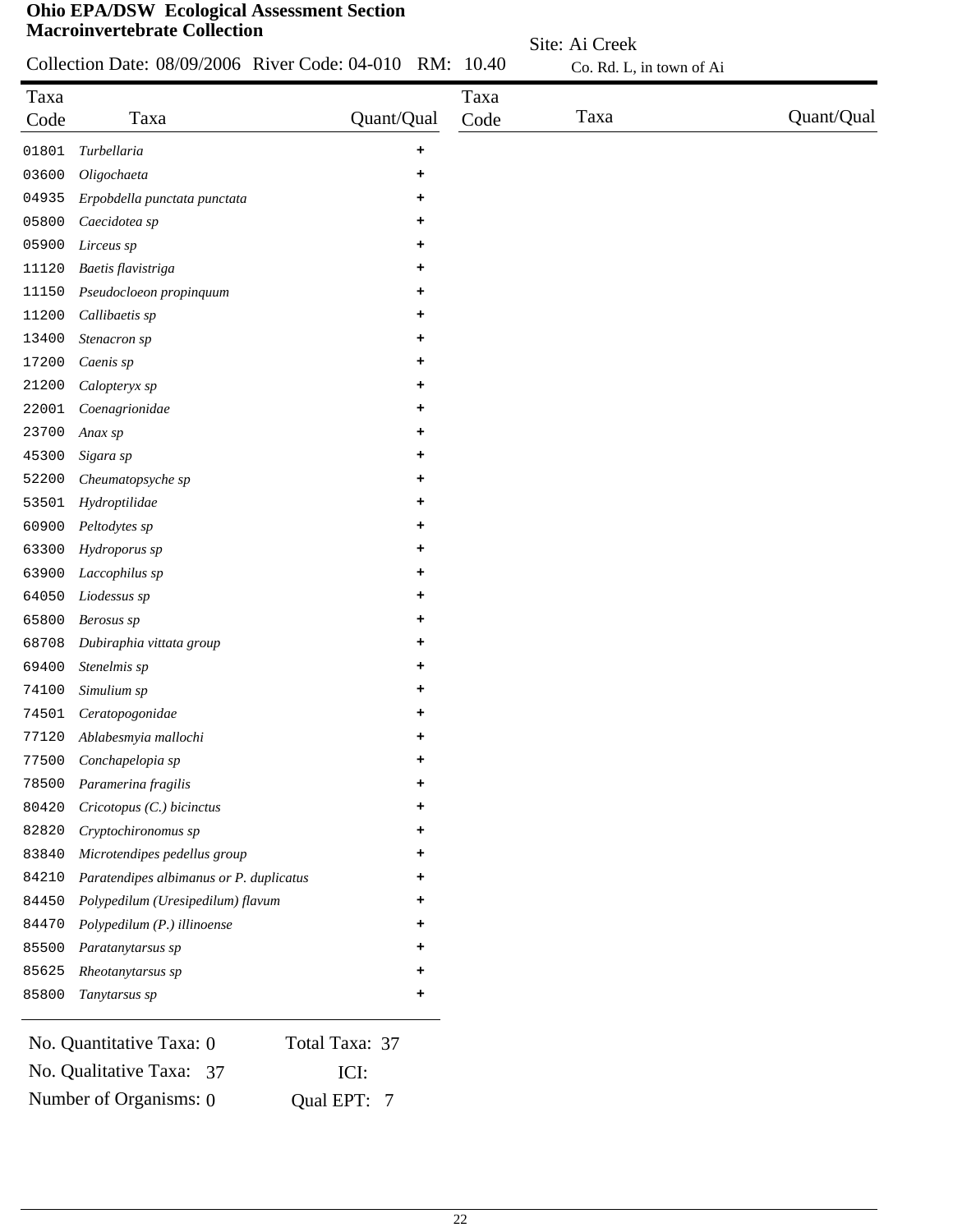Collection Date: 08/09/2006 River Code: 04-010 RM: 10.40

Site: Ai Creek Co. Rd. L, in town of Ai

| Code<br>01801<br>03600<br>04935<br>05800<br>05900<br>11120<br>11150<br>11200<br>13400<br>17200<br>21200<br>22001<br>23700<br>45300<br>52200 | Taxa<br>Turbellaria<br>Oligochaeta<br>Erpobdella punctata punctata<br>Caecidotea sp<br>Lirceus sp<br>Baetis flavistriga<br>Pseudocloeon propinquum<br>Callibaetis sp<br>Stenacron sp<br>Caenis sp<br>Calopteryx sp<br>Coenagrionidae<br>Anax sp | Quant/Qual<br>٠<br>٠<br>٠<br>٠<br>+<br>٠<br>+<br>٠<br>+<br>٠<br>+<br>٠ | Code | Taxa | Quant/Qual |
|---------------------------------------------------------------------------------------------------------------------------------------------|-------------------------------------------------------------------------------------------------------------------------------------------------------------------------------------------------------------------------------------------------|------------------------------------------------------------------------|------|------|------------|
|                                                                                                                                             |                                                                                                                                                                                                                                                 |                                                                        |      |      |            |
|                                                                                                                                             |                                                                                                                                                                                                                                                 |                                                                        |      |      |            |
|                                                                                                                                             |                                                                                                                                                                                                                                                 |                                                                        |      |      |            |
|                                                                                                                                             |                                                                                                                                                                                                                                                 |                                                                        |      |      |            |
|                                                                                                                                             |                                                                                                                                                                                                                                                 |                                                                        |      |      |            |
|                                                                                                                                             |                                                                                                                                                                                                                                                 |                                                                        |      |      |            |
|                                                                                                                                             |                                                                                                                                                                                                                                                 |                                                                        |      |      |            |
|                                                                                                                                             |                                                                                                                                                                                                                                                 |                                                                        |      |      |            |
|                                                                                                                                             |                                                                                                                                                                                                                                                 |                                                                        |      |      |            |
|                                                                                                                                             |                                                                                                                                                                                                                                                 |                                                                        |      |      |            |
|                                                                                                                                             |                                                                                                                                                                                                                                                 |                                                                        |      |      |            |
|                                                                                                                                             |                                                                                                                                                                                                                                                 |                                                                        |      |      |            |
|                                                                                                                                             |                                                                                                                                                                                                                                                 | ٠                                                                      |      |      |            |
|                                                                                                                                             |                                                                                                                                                                                                                                                 |                                                                        |      |      |            |
|                                                                                                                                             | Sigara sp<br>Cheumatopsyche sp                                                                                                                                                                                                                  | ٠<br>+                                                                 |      |      |            |
| 53501                                                                                                                                       |                                                                                                                                                                                                                                                 |                                                                        |      |      |            |
|                                                                                                                                             | Hydroptilidae                                                                                                                                                                                                                                   | ٠                                                                      |      |      |            |
| 60900                                                                                                                                       | Peltodytes sp                                                                                                                                                                                                                                   | ٠                                                                      |      |      |            |
| 63300                                                                                                                                       | Hydroporus sp                                                                                                                                                                                                                                   | ٠                                                                      |      |      |            |
| 63900                                                                                                                                       | Laccophilus sp                                                                                                                                                                                                                                  | ٠                                                                      |      |      |            |
| 64050                                                                                                                                       | Liodessus sp                                                                                                                                                                                                                                    | ٠                                                                      |      |      |            |
| 65800                                                                                                                                       | Berosus sp                                                                                                                                                                                                                                      | ٠                                                                      |      |      |            |
| 68708                                                                                                                                       | Dubiraphia vittata group                                                                                                                                                                                                                        | ٠                                                                      |      |      |            |
| 69400                                                                                                                                       | Stenelmis sp                                                                                                                                                                                                                                    | ٠                                                                      |      |      |            |
| 74100                                                                                                                                       | Simulium sp                                                                                                                                                                                                                                     | ٠                                                                      |      |      |            |
| 74501                                                                                                                                       | Ceratopogonidae                                                                                                                                                                                                                                 | +                                                                      |      |      |            |
| 77120                                                                                                                                       | Ablabesmyia mallochi                                                                                                                                                                                                                            | ٠                                                                      |      |      |            |
| 77500                                                                                                                                       | Conchapelopia sp                                                                                                                                                                                                                                | ٠                                                                      |      |      |            |
| 78500                                                                                                                                       | Paramerina fragilis                                                                                                                                                                                                                             | ٠                                                                      |      |      |            |
| 80420                                                                                                                                       | Cricotopus (C.) bicinctus                                                                                                                                                                                                                       | +                                                                      |      |      |            |
| 82820                                                                                                                                       | Cryptochironomus sp                                                                                                                                                                                                                             | ٠                                                                      |      |      |            |
| 83840                                                                                                                                       | Microtendipes pedellus group                                                                                                                                                                                                                    |                                                                        |      |      |            |
| 84210                                                                                                                                       | Paratendipes albimanus or P. duplicatus                                                                                                                                                                                                         |                                                                        |      |      |            |
| 84450                                                                                                                                       | Polypedilum (Uresipedilum) flavum                                                                                                                                                                                                               | ٠                                                                      |      |      |            |
| 84470                                                                                                                                       | Polypedilum (P.) illinoense                                                                                                                                                                                                                     | ٠                                                                      |      |      |            |
| 85500                                                                                                                                       | Paratanytarsus sp                                                                                                                                                                                                                               |                                                                        |      |      |            |
| 85625                                                                                                                                       | Rheotanytarsus sp                                                                                                                                                                                                                               |                                                                        |      |      |            |
| 85800                                                                                                                                       | Tanytarsus sp                                                                                                                                                                                                                                   | ٠                                                                      |      |      |            |

| No. Quantitative Taxa: 0 | Total Taxa: 37 |
|--------------------------|----------------|
| No. Qualitative Taxa: 37 | ICI:           |
| Number of Organisms: 0   | Qual EPT: 7    |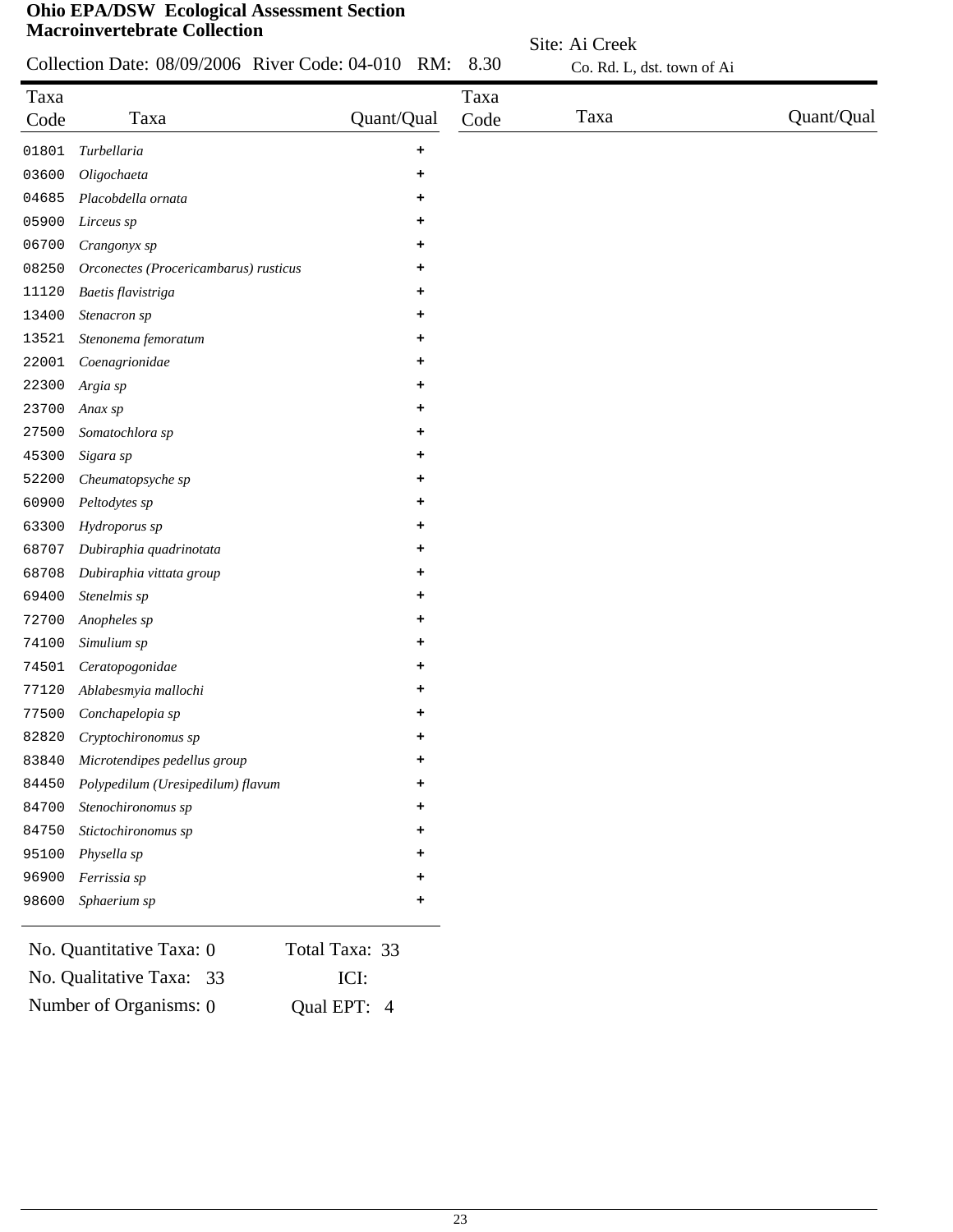|              | Collection Date: 08/09/2006 River Code: 04-010 RM:   |                        | 8.30         | Co. Rd. L, dst. town of Ai |            |
|--------------|------------------------------------------------------|------------------------|--------------|----------------------------|------------|
| Taxa<br>Code | Taxa                                                 | Quant/Qual             | Taxa<br>Code | Taxa                       | Quant/Qual |
| 01801        | Turbellaria                                          | +                      |              |                            |            |
| 03600        | Oligochaeta                                          | ٠                      |              |                            |            |
| 04685        | Placobdella ornata                                   | +                      |              |                            |            |
| 05900        | Lirceus sp                                           | ٠                      |              |                            |            |
| 06700        | Crangonyx sp                                         | +                      |              |                            |            |
| 08250        | Orconectes (Procericambarus) rusticus                | +                      |              |                            |            |
| 11120        | Baetis flavistriga                                   | ٠                      |              |                            |            |
| 13400        | Stenacron sp                                         | ٠                      |              |                            |            |
| 13521        | Stenonema femoratum                                  | ٠                      |              |                            |            |
| 22001        | Coenagrionidae                                       | +                      |              |                            |            |
| 22300        | Argia sp                                             | ٠                      |              |                            |            |
| 23700        | Anax sp                                              | +                      |              |                            |            |
| 27500        | Somatochlora sp                                      | +                      |              |                            |            |
| 45300        | Sigara sp                                            | +                      |              |                            |            |
| 52200        | Cheumatopsyche sp                                    | ٠                      |              |                            |            |
| 60900        | Peltodytes sp                                        | +                      |              |                            |            |
| 63300        | Hydroporus sp                                        | +                      |              |                            |            |
| 68707        | Dubiraphia quadrinotata                              | +                      |              |                            |            |
| 68708        | Dubiraphia vittata group                             | +                      |              |                            |            |
| 69400        | Stenelmis sp                                         | +                      |              |                            |            |
| 72700        | Anopheles sp                                         | +                      |              |                            |            |
| 74100        | Simulium sp                                          | +                      |              |                            |            |
| 74501        | Ceratopogonidae                                      | +                      |              |                            |            |
| 77120        | Ablabesmyia mallochi                                 | ٠                      |              |                            |            |
| 77500        | Conchapelopia sp                                     | ٠                      |              |                            |            |
| 82820        | Cryptochironomus sp                                  | +                      |              |                            |            |
| 83840        | Microtendipes pedellus group                         | ٠                      |              |                            |            |
| 84450        | Polypedilum (Uresipedilum) flavum                    | +                      |              |                            |            |
| 84700        | Stenochironomus sp                                   | ٠                      |              |                            |            |
| 84750        | Stictochironomus sp                                  | ٠                      |              |                            |            |
| 95100        | Physella sp                                          | ٠                      |              |                            |            |
| 96900        | Ferrissia sp                                         | ٠                      |              |                            |            |
| 98600        | Sphaerium sp                                         | ٠                      |              |                            |            |
|              | No. Quantitative Taxa: 0<br>No. Qualitative Taxa: 33 | Total Taxa: 33<br>ICI: |              |                            |            |

Site: Ai Creek

Number of Organisms: 0 Qual EPT: 4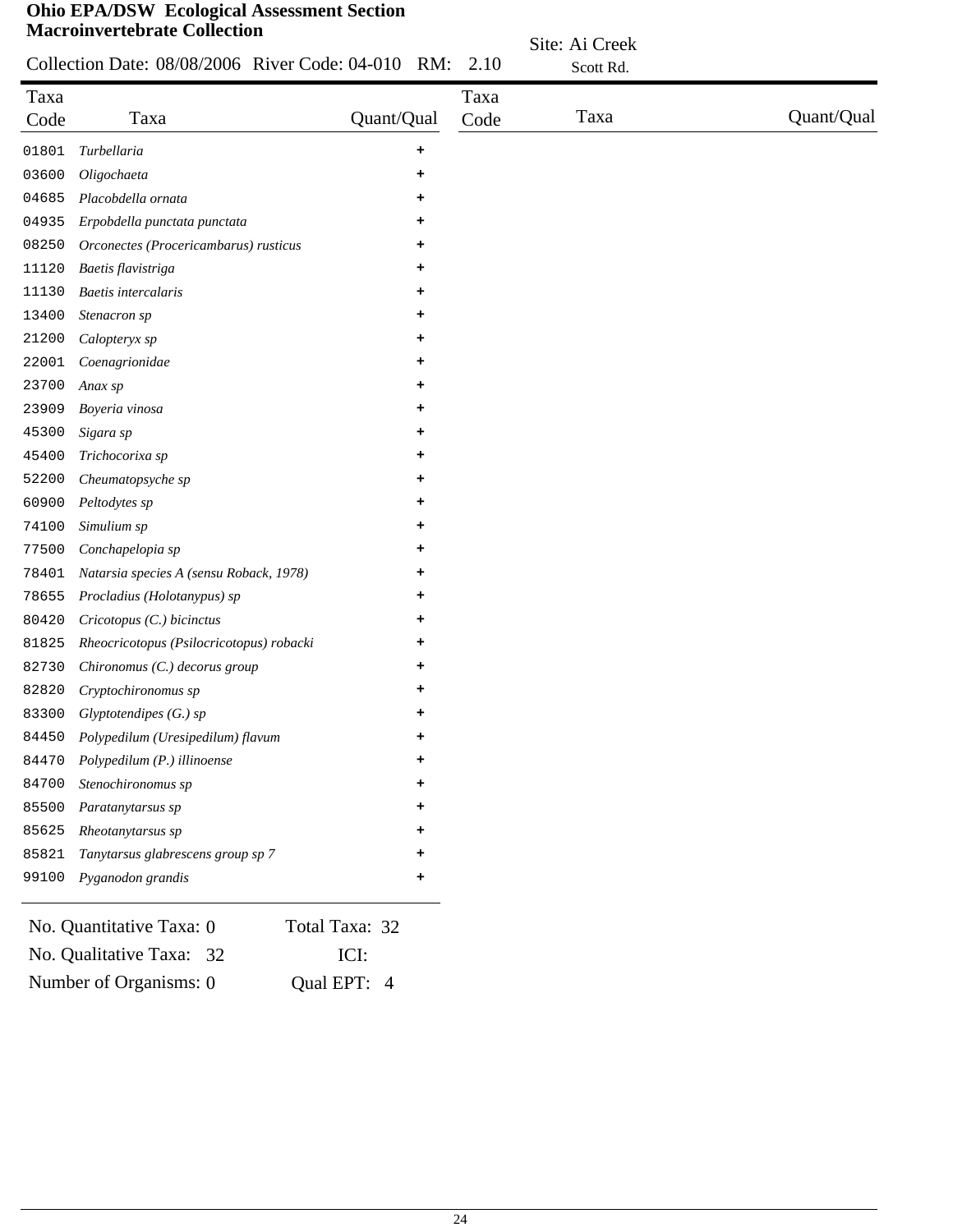| Taxa<br>Taxa<br>Taxa<br>Quant/Qual<br>Taxa<br>Code<br>Code<br>01801<br>Turbellaria<br>$\ddot{}$<br>03600<br>Oligochaeta<br>٠<br>Placobdella ornata<br>04685<br>٠<br>Erpobdella punctata punctata<br>04935<br>+<br>Orconectes (Procericambarus) rusticus<br>08250<br>+<br>11120<br>Baetis flavistriga<br>٠<br>Baetis intercalaris<br>11130<br>٠ | Quant/Qual |
|------------------------------------------------------------------------------------------------------------------------------------------------------------------------------------------------------------------------------------------------------------------------------------------------------------------------------------------------|------------|
|                                                                                                                                                                                                                                                                                                                                                |            |
|                                                                                                                                                                                                                                                                                                                                                |            |
|                                                                                                                                                                                                                                                                                                                                                |            |
|                                                                                                                                                                                                                                                                                                                                                |            |
|                                                                                                                                                                                                                                                                                                                                                |            |
|                                                                                                                                                                                                                                                                                                                                                |            |
|                                                                                                                                                                                                                                                                                                                                                |            |
|                                                                                                                                                                                                                                                                                                                                                |            |
| 13400<br>Stenacron sp<br>٠                                                                                                                                                                                                                                                                                                                     |            |
| 21200<br>Calopteryx sp<br>٠                                                                                                                                                                                                                                                                                                                    |            |
| 22001<br>Coenagrionidae<br>٠                                                                                                                                                                                                                                                                                                                   |            |
| 23700<br>Anax sp<br>٠                                                                                                                                                                                                                                                                                                                          |            |
| Boyeria vinosa<br>23909<br>+                                                                                                                                                                                                                                                                                                                   |            |
| Sigara sp<br>45300<br>+                                                                                                                                                                                                                                                                                                                        |            |
| 45400<br>Trichocorixa sp<br>٠                                                                                                                                                                                                                                                                                                                  |            |
| 52200<br>Cheumatopsyche sp<br>٠                                                                                                                                                                                                                                                                                                                |            |
| 60900<br>Peltodytes sp<br>٠                                                                                                                                                                                                                                                                                                                    |            |
| Simulium sp<br>74100<br>٠                                                                                                                                                                                                                                                                                                                      |            |
| Conchapelopia sp<br>77500                                                                                                                                                                                                                                                                                                                      |            |
| Natarsia species A (sensu Roback, 1978)<br>78401<br>٠                                                                                                                                                                                                                                                                                          |            |
| 78655<br>Procladius (Holotanypus) sp<br>٠                                                                                                                                                                                                                                                                                                      |            |
| Cricotopus (C.) bicinctus<br>80420<br>٠                                                                                                                                                                                                                                                                                                        |            |
| 81825<br>Rheocricotopus (Psilocricotopus) robacki                                                                                                                                                                                                                                                                                              |            |
| Chironomus (C.) decorus group<br>82730<br>٠                                                                                                                                                                                                                                                                                                    |            |
| Cryptochironomus sp<br>82820<br>+                                                                                                                                                                                                                                                                                                              |            |
| Glyptotendipes (G.) sp<br>83300<br>٠                                                                                                                                                                                                                                                                                                           |            |
| 84450<br>Polypedilum (Uresipedilum) flavum                                                                                                                                                                                                                                                                                                     |            |
| 84470<br>Polypedilum (P.) illinoense                                                                                                                                                                                                                                                                                                           |            |
| 84700<br>Stenochironomus sp                                                                                                                                                                                                                                                                                                                    |            |
| Paratanytarsus sp<br>85500                                                                                                                                                                                                                                                                                                                     |            |
| 85625<br>Rheotanytarsus sp                                                                                                                                                                                                                                                                                                                     |            |
| Tanytarsus glabrescens group sp 7<br>85821                                                                                                                                                                                                                                                                                                     |            |
| Pyganodon grandis<br>99100                                                                                                                                                                                                                                                                                                                     |            |

| No. Quantitative Taxa: 0 | Total Taxa: 32 |
|--------------------------|----------------|
| No. Qualitative Taxa: 32 | ICI:           |
| Number of Organisms: 0   | Qual EPT: 4    |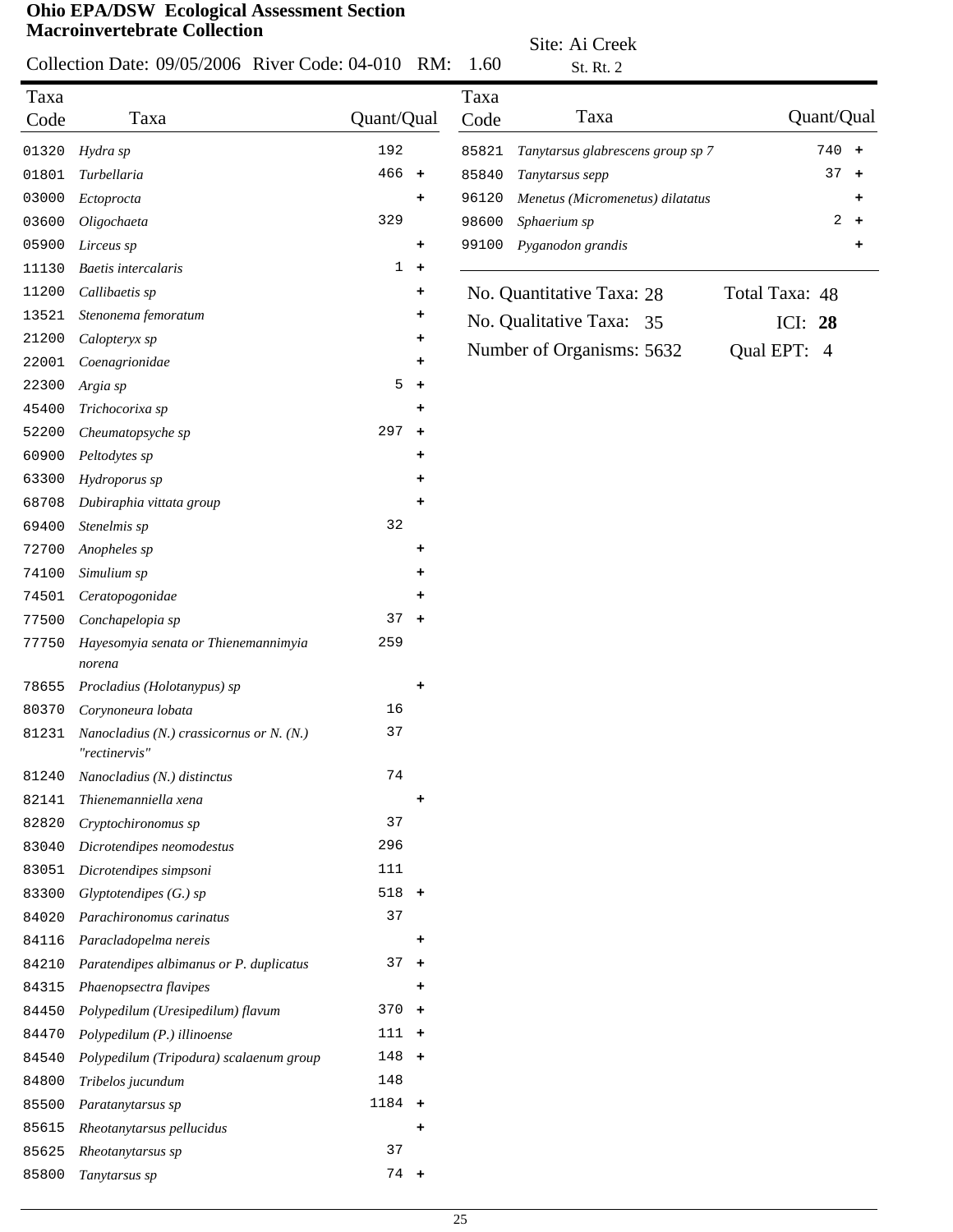#### Collection Date: 09/05/2006 River Code: 04-010  $C_{\text{ed}} \approx 0.1010 \text{ P} \cdot \text{R} \cdot 1.60$

Site: Ai Creek

|       | Collection Date: 09/05/2006 River Code: 04-010                |                 | KM:       | 1.60  | St. Rt. 2                         |                |            |           |
|-------|---------------------------------------------------------------|-----------------|-----------|-------|-----------------------------------|----------------|------------|-----------|
| Taxa  |                                                               |                 |           | Taxa  | Taxa                              |                | Quant/Qual |           |
| Code  | Taxa                                                          | Quant/Qual      |           | Code  |                                   |                |            |           |
| 01320 | Hydra sp                                                      | 192             |           | 85821 | Tanytarsus glabrescens group sp 7 |                | $740 +$    |           |
| 01801 | Turbellaria                                                   | 466             | $+$       | 85840 | Tanytarsus sepp                   |                | 37         | $\ddot{}$ |
| 03000 | Ectoprocta                                                    |                 | ٠         | 96120 | Menetus (Micromenetus) dilatatus  |                |            | ٠         |
| 03600 | Oligochaeta                                                   | 329             |           | 98600 | Sphaerium sp                      |                | 2          | $\ddot{}$ |
| 05900 | Lirceus sp                                                    |                 | ٠         | 99100 | Pyganodon grandis                 |                |            | +         |
| 11130 | <b>Baetis</b> intercalaris                                    | $\mathbf{1}$    | $\ddot{}$ |       |                                   |                |            |           |
| 11200 | Callibaetis sp                                                |                 | +         |       | No. Quantitative Taxa: 28         | Total Taxa: 48 |            |           |
| 13521 | Stenonema femoratum                                           |                 | ٠         |       | No. Qualitative Taxa: 35          | ICI: 28        |            |           |
| 21200 | Calopteryx sp                                                 |                 | +         |       |                                   |                |            |           |
| 22001 | Coenagrionidae                                                |                 | ٠         |       | Number of Organisms: 5632         | Qual EPT: 4    |            |           |
| 22300 | Argia sp                                                      | $5\phantom{.0}$ | $\pm$     |       |                                   |                |            |           |
| 45400 | Trichocorixa sp                                               |                 |           |       |                                   |                |            |           |
| 52200 | Cheumatopsyche sp                                             | 297             | $\pm$     |       |                                   |                |            |           |
| 60900 | Peltodytes sp                                                 |                 | ٠         |       |                                   |                |            |           |
| 63300 | Hydroporus sp                                                 |                 | ٠         |       |                                   |                |            |           |
| 68708 | Dubiraphia vittata group                                      |                 |           |       |                                   |                |            |           |
| 69400 | Stenelmis sp                                                  | 32              |           |       |                                   |                |            |           |
| 72700 | Anopheles sp                                                  |                 | +         |       |                                   |                |            |           |
| 74100 | Simulium sp                                                   |                 | ٠         |       |                                   |                |            |           |
| 74501 | Ceratopogonidae                                               |                 | ٠         |       |                                   |                |            |           |
| 77500 | Conchapelopia sp                                              | 37              | $+$       |       |                                   |                |            |           |
| 77750 | Hayesomyia senata or Thienemannimyia<br>norena                | 259             |           |       |                                   |                |            |           |
| 78655 | Procladius (Holotanypus) sp                                   |                 | +         |       |                                   |                |            |           |
| 80370 | Corynoneura lobata                                            | 16              |           |       |                                   |                |            |           |
| 81231 | Nanocladius $(N.)$ crassicornus or $N. (N.)$<br>"rectinervis" | 37              |           |       |                                   |                |            |           |
| 81240 | Nanocladius (N.) distinctus                                   | 74              |           |       |                                   |                |            |           |
| 82141 | Thienemanniella xena                                          |                 | ٠         |       |                                   |                |            |           |
| 82820 | Cryptochironomus sp                                           | 37              |           |       |                                   |                |            |           |
| 83040 | Dicrotendipes neomodestus                                     | 296             |           |       |                                   |                |            |           |
| 83051 | Dicrotendipes simpsoni                                        | 111             |           |       |                                   |                |            |           |
| 83300 | $Glyptotendipes(G.)$ sp                                       | $518 +$         |           |       |                                   |                |            |           |
| 84020 | Parachironomus carinatus                                      | 37              |           |       |                                   |                |            |           |
| 84116 | Paracladopelma nereis                                         |                 | ٠         |       |                                   |                |            |           |
| 84210 | Paratendipes albimanus or P. duplicatus                       | 37              | $+$       |       |                                   |                |            |           |
| 84315 | Phaenopsectra flavipes                                        |                 | ٠         |       |                                   |                |            |           |
| 84450 | Polypedilum (Uresipedilum) flavum                             | $370 +$         |           |       |                                   |                |            |           |
| 84470 | Polypedilum (P.) illinoense                                   | $111 +$         |           |       |                                   |                |            |           |
| 84540 | Polypedilum (Tripodura) scalaenum group                       | $148 +$         |           |       |                                   |                |            |           |
| 84800 | Tribelos jucundum                                             | 148             |           |       |                                   |                |            |           |
| 85500 | Paratanytarsus sp                                             | $1184 +$        |           |       |                                   |                |            |           |
| 85615 | Rheotanytarsus pellucidus                                     |                 | ٠         |       |                                   |                |            |           |
| 85625 | Rheotanytarsus sp                                             | 37              |           |       |                                   |                |            |           |
| 85800 | Tanytarsus sp                                                 | $74 +$          |           |       |                                   |                |            |           |
|       |                                                               |                 |           |       |                                   |                |            |           |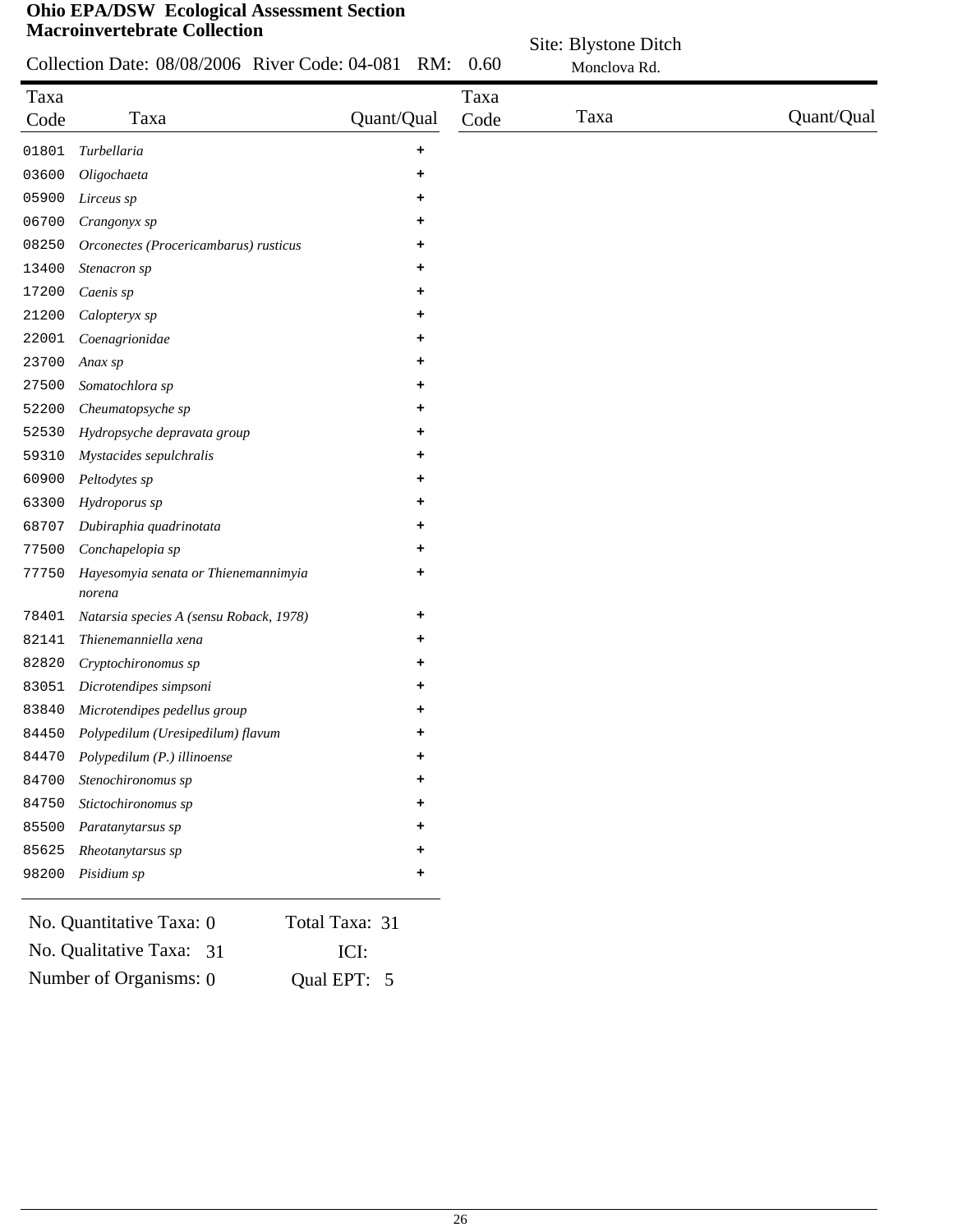|              | $\sigma$ of $A/D\sigma$ $\sigma$ -decording Assessment bection<br><b>Macroinvertebrate Collection</b> |            |              |                                      |            |
|--------------|-------------------------------------------------------------------------------------------------------|------------|--------------|--------------------------------------|------------|
|              | Collection Date: 08/08/2006 River Code: 04-081                                                        | RM:        | 0.60         | Site: Blystone Ditch<br>Monclova Rd. |            |
| Taxa<br>Code | Taxa                                                                                                  | Quant/Qual | Taxa<br>Code | Taxa                                 | Quant/Qual |
| 01801        | Turbellaria                                                                                           | ÷          |              |                                      |            |
| 03600        | Oligochaeta                                                                                           |            |              |                                      |            |
| 05900        | Lirceus sp                                                                                            |            |              |                                      |            |
| 06700        | Crangonyx sp                                                                                          |            |              |                                      |            |
| 08250        | Orconectes (Procericambarus) rusticus                                                                 | ÷          |              |                                      |            |
| 13400        | Stenacron sp                                                                                          | ٠          |              |                                      |            |
| 17200        | Caenis sp                                                                                             |            |              |                                      |            |
| 21200        | Calopteryx sp                                                                                         | ٠          |              |                                      |            |
| 22001        | Coenagrionidae                                                                                        | ٠          |              |                                      |            |
| 23700        | Anax sp                                                                                               | ٠          |              |                                      |            |
| 27500        | Somatochlora sp                                                                                       |            |              |                                      |            |
| 52200        | Cheumatopsyche sp                                                                                     |            |              |                                      |            |
| 52530        | Hydropsyche depravata group                                                                           |            |              |                                      |            |
| 59310        | Mystacides sepulchralis                                                                               | ٠          |              |                                      |            |
| 60900        | Peltodytes sp                                                                                         | +          |              |                                      |            |
| 63300        | Hydroporus sp                                                                                         |            |              |                                      |            |
| 68707        | Dubiraphia quadrinotata                                                                               |            |              |                                      |            |
| 77500        | Conchapelopia sp                                                                                      | +          |              |                                      |            |
| 77750        | Hayesomyia senata or Thienemannimyia<br>norena                                                        | $\ddot{}$  |              |                                      |            |
| 78401        | Natarsia species A (sensu Roback, 1978)                                                               | $\ddot{}$  |              |                                      |            |
| 82141        | Thienemanniella xena                                                                                  | +          |              |                                      |            |
| 82820        | Cryptochironomus sp                                                                                   |            |              |                                      |            |
| 83051        | Dicrotendipes simpsoni                                                                                |            |              |                                      |            |
| 83840        | Microtendipes pedellus group                                                                          |            |              |                                      |            |
| 84450        | Polypedilum (Uresipedilum) flavum                                                                     |            |              |                                      |            |
| 84470        | Polypedilum (P.) illinoense                                                                           | ٠          |              |                                      |            |
| 84700        | Stenochironomus sp                                                                                    |            |              |                                      |            |
| 84750        | Stictochironomus sp                                                                                   | ÷          |              |                                      |            |

| 85625 Rheotanytarsus sp                                                  |                |  |
|--------------------------------------------------------------------------|----------------|--|
| 98200 Pisidium sp                                                        |                |  |
| No. Quantitative Taxa: 0                                                 | Total Taxa: 31 |  |
| $\mathbf{M}$ . $\mathbf{Q}$ , $\mathbf{L}$ , $\mathbf{L}$ , $\mathbf{Q}$ | ▾⌒▾            |  |

*Paratanytarsus sp* **+**

| No. Qualitative Taxa: 31 | ICI:        |  |
|--------------------------|-------------|--|
| Number of Organisms: 0   | Qual EPT: 5 |  |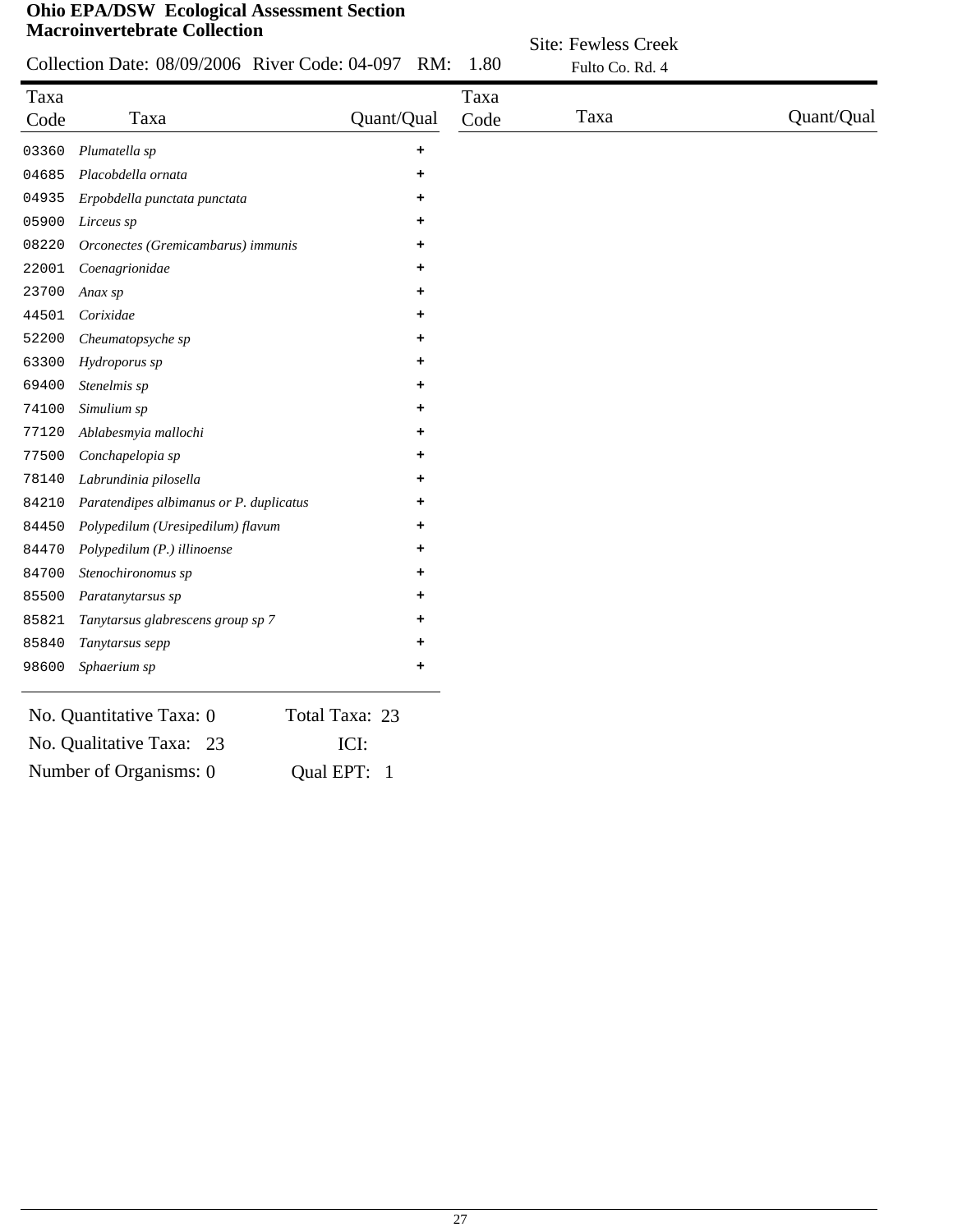|              | <b>Macroinvertebrate Collection</b>                |            |              | <b>Site: Fewless Creek</b> |            |
|--------------|----------------------------------------------------|------------|--------------|----------------------------|------------|
|              | Collection Date: 08/09/2006 River Code: 04-097 RM: |            | 1.80         | Fulto Co. Rd. 4            |            |
| Taxa<br>Code | Taxa                                               | Quant/Qual | Taxa<br>Code | Taxa                       | Quant/Qual |
| 03360        | Plumatella sp                                      | ٠          |              |                            |            |
| 04685        | Placobdella ornata                                 | ٠          |              |                            |            |
| 04935        | Erpobdella punctata punctata                       | ٠          |              |                            |            |
| 05900        | Lirceus sp                                         | ٠          |              |                            |            |
| 08220        | Orconectes (Gremicambarus) immunis                 | ٠          |              |                            |            |
| 22001        | Coenagrionidae                                     | ٠          |              |                            |            |
| 23700        | Anax sp                                            |            |              |                            |            |
| 44501        | Corixidae                                          |            |              |                            |            |
| 52200        | Cheumatopsyche sp                                  | ٠          |              |                            |            |
| 63300        | Hydroporus sp                                      | ٠          |              |                            |            |
| 69400        | Stenelmis sp                                       |            |              |                            |            |
| 74100        | Simulium sp                                        | ٠          |              |                            |            |
| 77120        | Ablabesmyia mallochi                               | ٠          |              |                            |            |
| 77500        | Conchapelopia sp                                   |            |              |                            |            |
| 78140        | Labrundinia pilosella                              |            |              |                            |            |
| 84210        | Paratendipes albimanus or P. duplicatus            | ٠          |              |                            |            |
| 84450        | Polypedilum (Uresipedilum) flavum                  | ٠          |              |                            |            |
| 84470        | Polypedilum (P.) illinoense                        |            |              |                            |            |
| 84700        | Stenochironomus sp                                 | ٠          |              |                            |            |
| 85500        | Paratanytarsus sp                                  | ٠          |              |                            |            |
| 85821        | Tanytarsus glabrescens group sp 7                  |            |              |                            |            |
| 85840        | Tanytarsus sepp                                    |            |              |                            |            |
| 98600        | Sphaerium sp                                       | ٠          |              |                            |            |
|              | $\sim$<br>$\mathbf{r}$<br>$\cdot$ 1 m              |            |              |                            |            |

| No. Quantitative Taxa: 0 | Total Taxa: 23 |
|--------------------------|----------------|
| No. Qualitative Taxa: 23 | ICI:           |
| Number of Organisms: 0   | Qual EPT: 1    |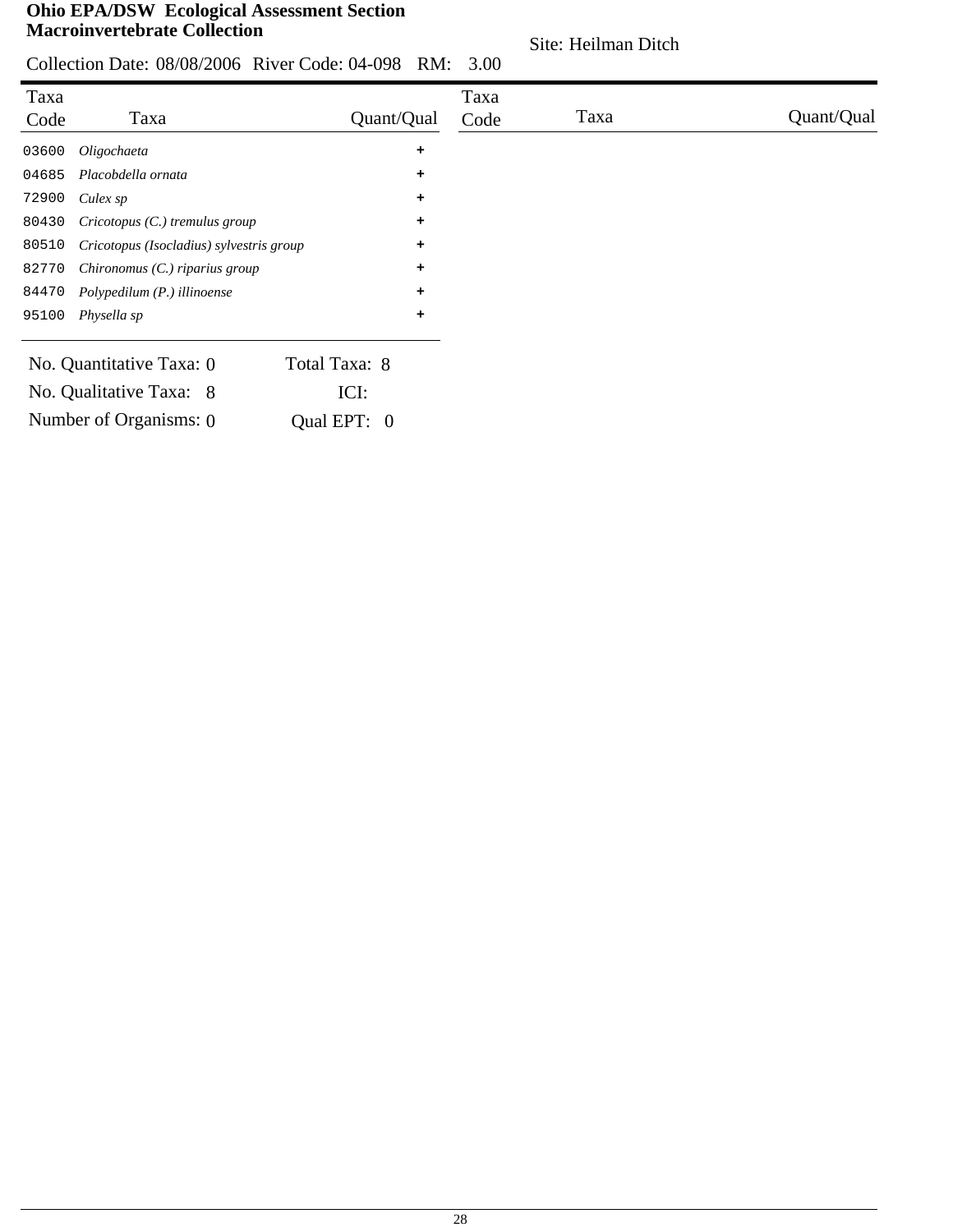Site: Heilman Ditch

|  | Collection Date: 08/08/2006 River Code: 04-098 RM: 3.00 |  |
|--|---------------------------------------------------------|--|

| Taxa  |                                          |               |            | Taxa |      |            |
|-------|------------------------------------------|---------------|------------|------|------|------------|
| Code  | Taxa                                     |               | Quant/Qual | Code | Taxa | Quant/Qual |
| 03600 | Oligochaeta                              |               | $\ddot{}$  |      |      |            |
| 04685 | Placobdella ornata                       |               | ٠          |      |      |            |
| 72900 | Culex sp                                 |               | $\ddot{}$  |      |      |            |
| 80430 | $Cricotopus$ (C.) tremulus group         |               | ٠          |      |      |            |
| 80510 | Cricotopus (Isocladius) sylvestris group |               | ٠          |      |      |            |
| 82770 | Chironomus $(C.)$ riparius group         |               | ٠          |      |      |            |
| 84470 | Polypedilum (P.) illinoense              |               | ٠          |      |      |            |
| 95100 | Physella sp                              |               | ٠          |      |      |            |
|       | No. Quantitative Taxa: 0                 | Total Taxa: 8 |            |      |      |            |
|       | No. Qualitative Taxa: 8                  | ICI:          |            |      |      |            |
|       | Number of Organisms: 0                   | Qual EPT: 0   |            |      |      |            |
|       |                                          |               |            |      |      |            |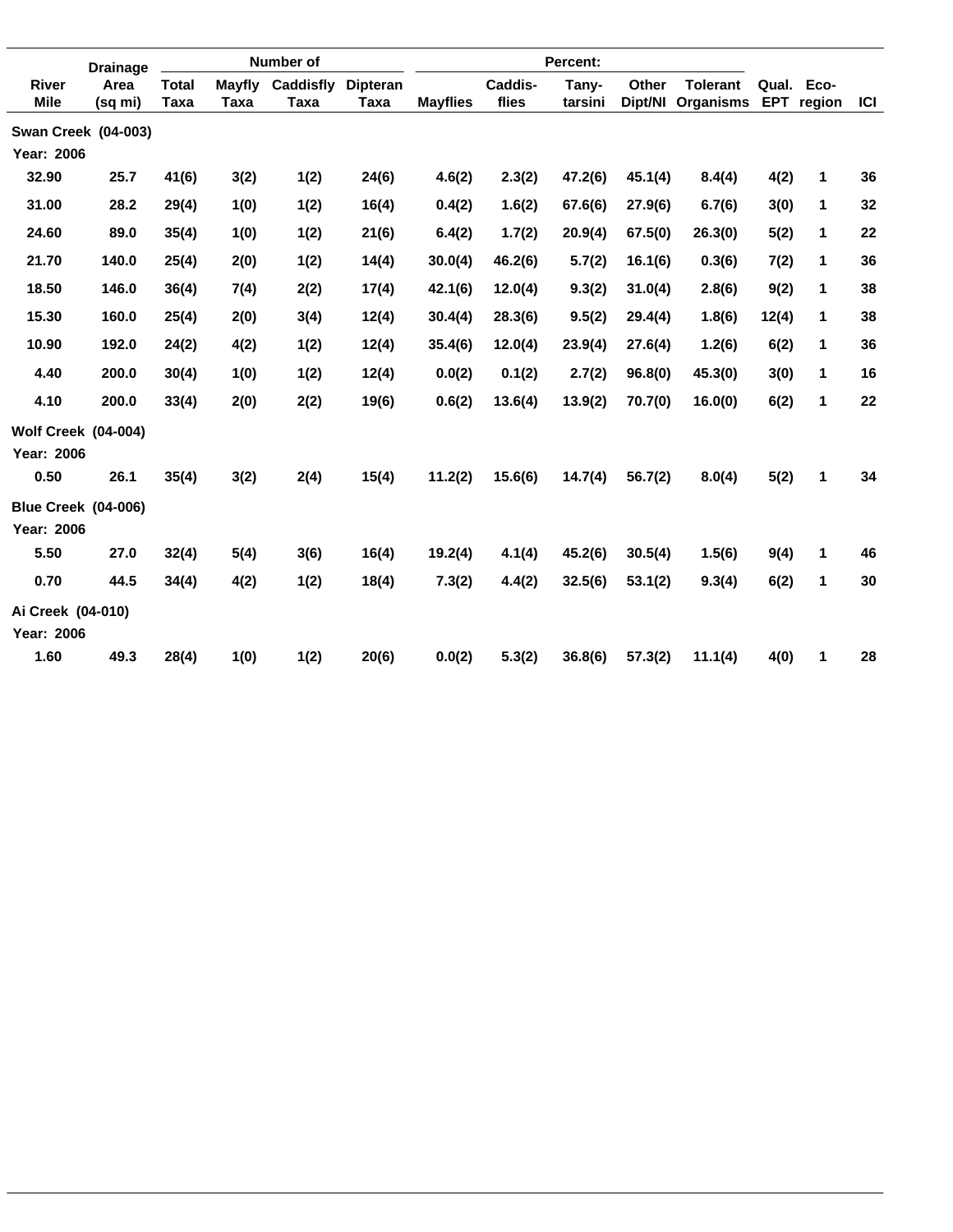|                             | <b>Drainage</b>                    |                      |                       | Number of         |                         |                 | Percent:         |                  |                  |                              |            |                      |            |
|-----------------------------|------------------------------------|----------------------|-----------------------|-------------------|-------------------------|-----------------|------------------|------------------|------------------|------------------------------|------------|----------------------|------------|
| <b>River</b><br><b>Mile</b> | Area<br>(sq mi)                    | <b>Total</b><br>Taxa | <b>Mayfly</b><br>Taxa | Caddisfly<br>Taxa | <b>Dipteran</b><br>Taxa | <b>Mayflies</b> | Caddis-<br>flies | Tany-<br>tarsini | Other<br>Dipt/NI | <b>Tolerant</b><br>Organisms | <b>EPT</b> | Qual. Eco-<br>region | <b>ICI</b> |
|                             | <b>Swan Creek (04-003)</b>         |                      |                       |                   |                         |                 |                  |                  |                  |                              |            |                      |            |
| Year: 2006                  |                                    |                      |                       |                   |                         |                 |                  |                  |                  |                              |            |                      |            |
| 32.90                       | 25.7                               | 41(6)                | 3(2)                  | 1(2)              | 24(6)                   | 4.6(2)          | 2.3(2)           | 47.2(6)          | 45.1(4)          | 8.4(4)                       | 4(2)       | 1                    | 36         |
| 31.00                       | 28.2                               | 29(4)                | 1(0)                  | 1(2)              | 16(4)                   | 0.4(2)          | 1.6(2)           | 67.6(6)          | 27.9(6)          | 6.7(6)                       | 3(0)       | 1                    | 32         |
| 24.60                       | 89.0                               | 35(4)                | 1(0)                  | 1(2)              | 21(6)                   | 6.4(2)          | 1.7(2)           | 20.9(4)          | 67.5(0)          | 26.3(0)                      | 5(2)       | 1                    | 22         |
| 21.70                       | 140.0                              | 25(4)                | 2(0)                  | 1(2)              | 14(4)                   | 30.0(4)         | 46.2(6)          | 5.7(2)           | 16.1(6)          | 0.3(6)                       | 7(2)       | 1                    | 36         |
| 18.50                       | 146.0                              | 36(4)                | 7(4)                  | 2(2)              | 17(4)                   | 42.1(6)         | 12.0(4)          | 9.3(2)           | 31.0(4)          | 2.8(6)                       | 9(2)       | 1                    | 38         |
| 15.30                       | 160.0                              | 25(4)                | 2(0)                  | 3(4)              | 12(4)                   | 30.4(4)         | 28.3(6)          | 9.5(2)           | 29.4(4)          | 1.8(6)                       | 12(4)      | 1                    | 38         |
| 10.90                       | 192.0                              | 24(2)                | 4(2)                  | 1(2)              | 12(4)                   | 35.4(6)         | 12.0(4)          | 23.9(4)          | 27.6(4)          | 1.2(6)                       | 6(2)       | 1                    | 36         |
| 4.40                        | 200.0                              | 30(4)                | 1(0)                  | 1(2)              | 12(4)                   | 0.0(2)          | 0.1(2)           | 2.7(2)           | 96.8(0)          | 45.3(0)                      | 3(0)       | 1                    | 16         |
| 4.10                        | 200.0                              | 33(4)                | 2(0)                  | 2(2)              | 19(6)                   | 0.6(2)          | 13.6(4)          | 13.9(2)          | 70.7(0)          | 16.0(0)                      | 6(2)       | 1                    | 22         |
| Year: 2006<br>0.50          | <b>Wolf Creek (04-004)</b><br>26.1 |                      |                       |                   |                         |                 |                  |                  |                  |                              |            | $\mathbf{1}$         | 34         |
|                             |                                    | 35(4)                | 3(2)                  | 2(4)              | 15(4)                   | 11.2(2)         | 15.6(6)          | 14.7(4)          | 56.7(2)          | 8.0(4)                       | 5(2)       |                      |            |
| Year: 2006                  | <b>Blue Creek (04-006)</b>         |                      |                       |                   |                         |                 |                  |                  |                  |                              |            |                      |            |
| 5.50                        | 27.0                               | 32(4)                | 5(4)                  | 3(6)              | 16(4)                   | 19.2(4)         | 4.1(4)           | 45.2(6)          | 30.5(4)          | 1.5(6)                       | 9(4)       | 1                    | 46         |
| 0.70                        | 44.5                               | 34(4)                | 4(2)                  | 1(2)              | 18(4)                   | 7.3(2)          | 4.4(2)           | 32.5(6)          | 53.1(2)          | 9.3(4)                       | 6(2)       | 1                    | 30         |
| Ai Creek (04-010)           |                                    |                      |                       |                   |                         |                 |                  |                  |                  |                              |            |                      |            |
| <b>Year: 2006</b>           |                                    |                      |                       |                   |                         |                 |                  |                  |                  |                              |            |                      |            |
| 1.60                        | 49.3                               | 28(4)                | 1(0)                  | 1(2)              | 20(6)                   | 0.0(2)          | 5.3(2)           | 36.8(6)          | 57.3(2)          | 11.1(4)                      | 4(0)       | 1                    | 28         |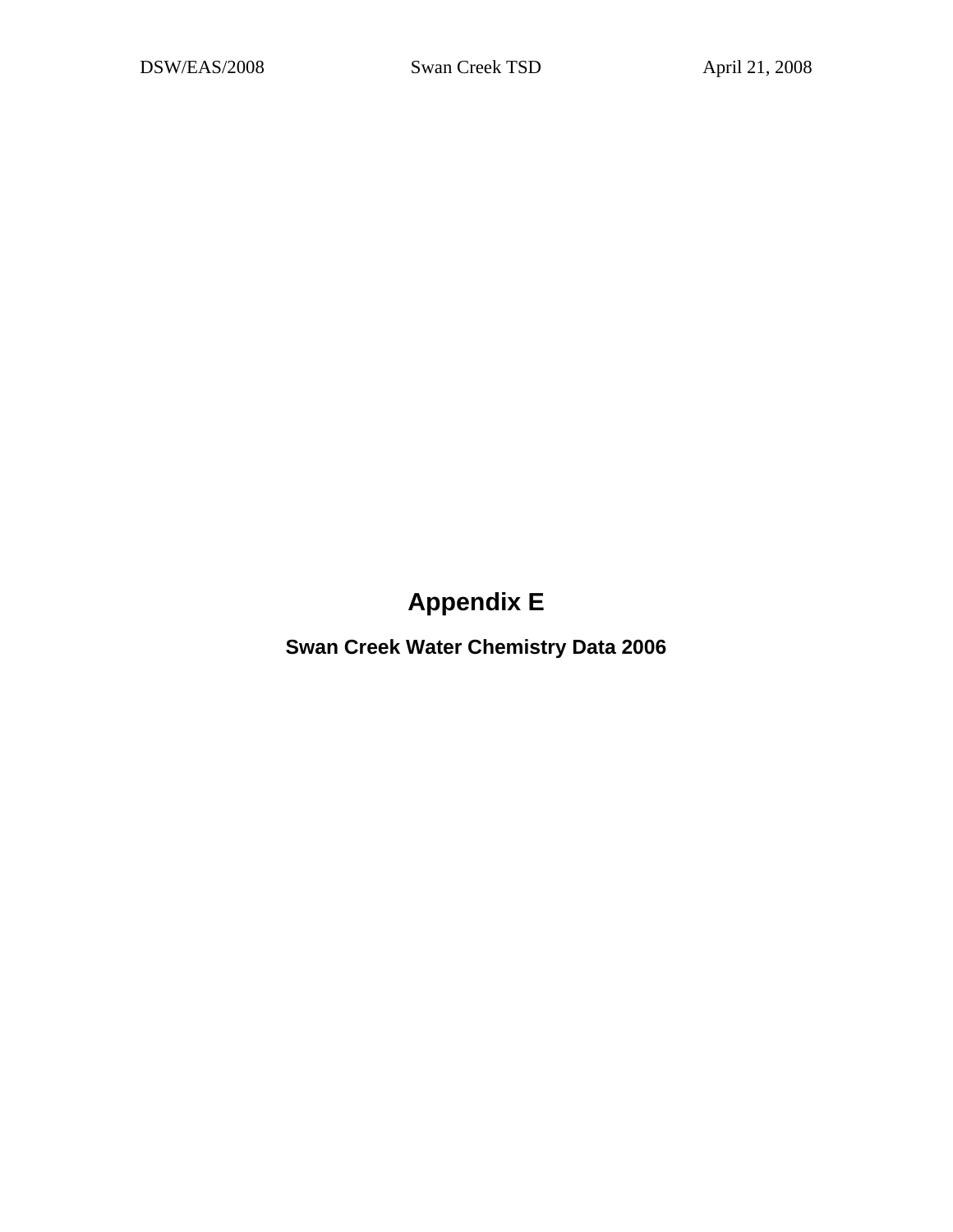# **Appendix E**

**Swan Creek Water Chemistry Data 2006**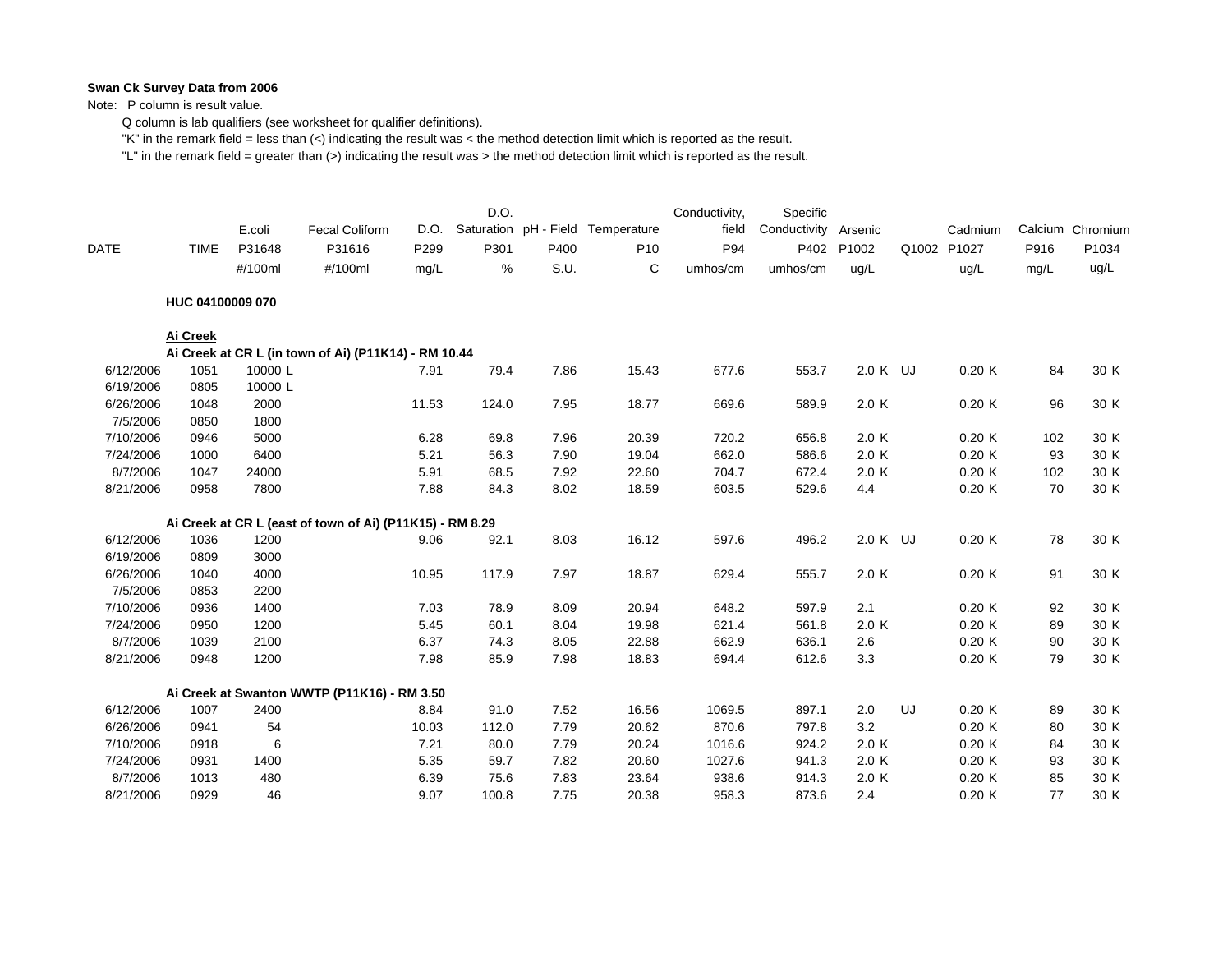#### **Swan Ck Survey Data from 2006**

Note: P column is result value.

Q column is lab qualifiers (see worksheet for qualifier definitions).

"K" in the remark field = less than (<) indicating the result was < the method detection limit which is reported as the result.

"L" in the remark field = greater than (>) indicating the result was > the method detection limit which is reported as the result.

|             |                  | E.coli  | <b>Fecal Coliform</b>                                    | D.O.  | D.O.  |      | Saturation pH - Field Temperature | Conductivity,<br>field | Specific<br>Conductivity Arsenic |          |    | Cadmium     |      | Calcium Chromium |
|-------------|------------------|---------|----------------------------------------------------------|-------|-------|------|-----------------------------------|------------------------|----------------------------------|----------|----|-------------|------|------------------|
| <b>DATE</b> | <b>TIME</b>      | P31648  | P31616                                                   | P299  | P301  | P400 | P <sub>10</sub>                   | P94                    | P402                             | P1002    |    | Q1002 P1027 | P916 | P1034            |
|             |                  | #/100ml | #/100ml                                                  | mg/L  | ℅     | S.U. | C                                 | umhos/cm               | umhos/cm                         | ug/L     |    | ug/L        | mg/L | ug/L             |
|             | HUC 04100009 070 |         |                                                          |       |       |      |                                   |                        |                                  |          |    |             |      |                  |
|             | Ai Creek         |         |                                                          |       |       |      |                                   |                        |                                  |          |    |             |      |                  |
|             |                  |         | Ai Creek at CR L (in town of Ai) (P11K14) - RM 10.44     |       |       |      |                                   |                        |                                  |          |    |             |      |                  |
| 6/12/2006   | 1051             | 10000L  |                                                          | 7.91  | 79.4  | 7.86 | 15.43                             | 677.6                  | 553.7                            | 2.0 K UJ |    | 0.20K       | 84   | 30 K             |
| 6/19/2006   | 0805             | 10000L  |                                                          |       |       |      |                                   |                        |                                  |          |    |             |      |                  |
| 6/26/2006   | 1048             | 2000    |                                                          | 11.53 | 124.0 | 7.95 | 18.77                             | 669.6                  | 589.9                            | 2.0 K    |    | 0.20K       | 96   | 30 K             |
| 7/5/2006    | 0850             | 1800    |                                                          |       |       |      |                                   |                        |                                  |          |    |             |      |                  |
| 7/10/2006   | 0946             | 5000    |                                                          | 6.28  | 69.8  | 7.96 | 20.39                             | 720.2                  | 656.8                            | 2.0 K    |    | 0.20K       | 102  | 30 K             |
| 7/24/2006   | 1000             | 6400    |                                                          | 5.21  | 56.3  | 7.90 | 19.04                             | 662.0                  | 586.6                            | 2.0 K    |    | 0.20K       | 93   | 30 K             |
| 8/7/2006    | 1047             | 24000   |                                                          | 5.91  | 68.5  | 7.92 | 22.60                             | 704.7                  | 672.4                            | 2.0 K    |    | 0.20K       | 102  | 30 K             |
| 8/21/2006   | 0958             | 7800    |                                                          | 7.88  | 84.3  | 8.02 | 18.59                             | 603.5                  | 529.6                            | 4.4      |    | 0.20K       | 70   | 30 K             |
|             |                  |         | Ai Creek at CR L (east of town of Ai) (P11K15) - RM 8.29 |       |       |      |                                   |                        |                                  |          |    |             |      |                  |
| 6/12/2006   | 1036             | 1200    |                                                          | 9.06  | 92.1  | 8.03 | 16.12                             | 597.6                  | 496.2                            | 2.0 K UJ |    | 0.20K       | 78   | 30 K             |
| 6/19/2006   | 0809             | 3000    |                                                          |       |       |      |                                   |                        |                                  |          |    |             |      |                  |
| 6/26/2006   | 1040             | 4000    |                                                          | 10.95 | 117.9 | 7.97 | 18.87                             | 629.4                  | 555.7                            | 2.0 K    |    | 0.20K       | 91   | 30 K             |
| 7/5/2006    | 0853             | 2200    |                                                          |       |       |      |                                   |                        |                                  |          |    |             |      |                  |
| 7/10/2006   | 0936             | 1400    |                                                          | 7.03  | 78.9  | 8.09 | 20.94                             | 648.2                  | 597.9                            | 2.1      |    | 0.20K       | 92   | 30 K             |
| 7/24/2006   | 0950             | 1200    |                                                          | 5.45  | 60.1  | 8.04 | 19.98                             | 621.4                  | 561.8                            | 2.0K     |    | 0.20K       | 89   | 30 K             |
| 8/7/2006    | 1039             | 2100    |                                                          | 6.37  | 74.3  | 8.05 | 22.88                             | 662.9                  | 636.1                            | 2.6      |    | 0.20K       | 90   | 30 K             |
| 8/21/2006   | 0948             | 1200    |                                                          | 7.98  | 85.9  | 7.98 | 18.83                             | 694.4                  | 612.6                            | 3.3      |    | 0.20K       | 79   | 30 K             |
|             |                  |         | Ai Creek at Swanton WWTP (P11K16) - RM 3.50              |       |       |      |                                   |                        |                                  |          |    |             |      |                  |
| 6/12/2006   | 1007             | 2400    |                                                          | 8.84  | 91.0  | 7.52 | 16.56                             | 1069.5                 | 897.1                            | 2.0      | UJ | 0.20K       | 89   | 30 K             |
| 6/26/2006   | 0941             | 54      |                                                          | 10.03 | 112.0 | 7.79 | 20.62                             | 870.6                  | 797.8                            | 3.2      |    | 0.20K       | 80   | 30 K             |
| 7/10/2006   | 0918             | 6       |                                                          | 7.21  | 80.0  | 7.79 | 20.24                             | 1016.6                 | 924.2                            | 2.0 K    |    | 0.20K       | 84   | 30 K             |
| 7/24/2006   | 0931             | 1400    |                                                          | 5.35  | 59.7  | 7.82 | 20.60                             | 1027.6                 | 941.3                            | 2.0 K    |    | 0.20K       | 93   | 30 K             |
| 8/7/2006    | 1013             | 480     |                                                          | 6.39  | 75.6  | 7.83 | 23.64                             | 938.6                  | 914.3                            | 2.0 K    |    | 0.20K       | 85   | 30 K             |
| 8/21/2006   | 0929             | 46      |                                                          | 9.07  | 100.8 | 7.75 | 20.38                             | 958.3                  | 873.6                            | 2.4      |    | 0.20K       | 77   | 30 K             |
|             |                  |         |                                                          |       |       |      |                                   |                        |                                  |          |    |             |      |                  |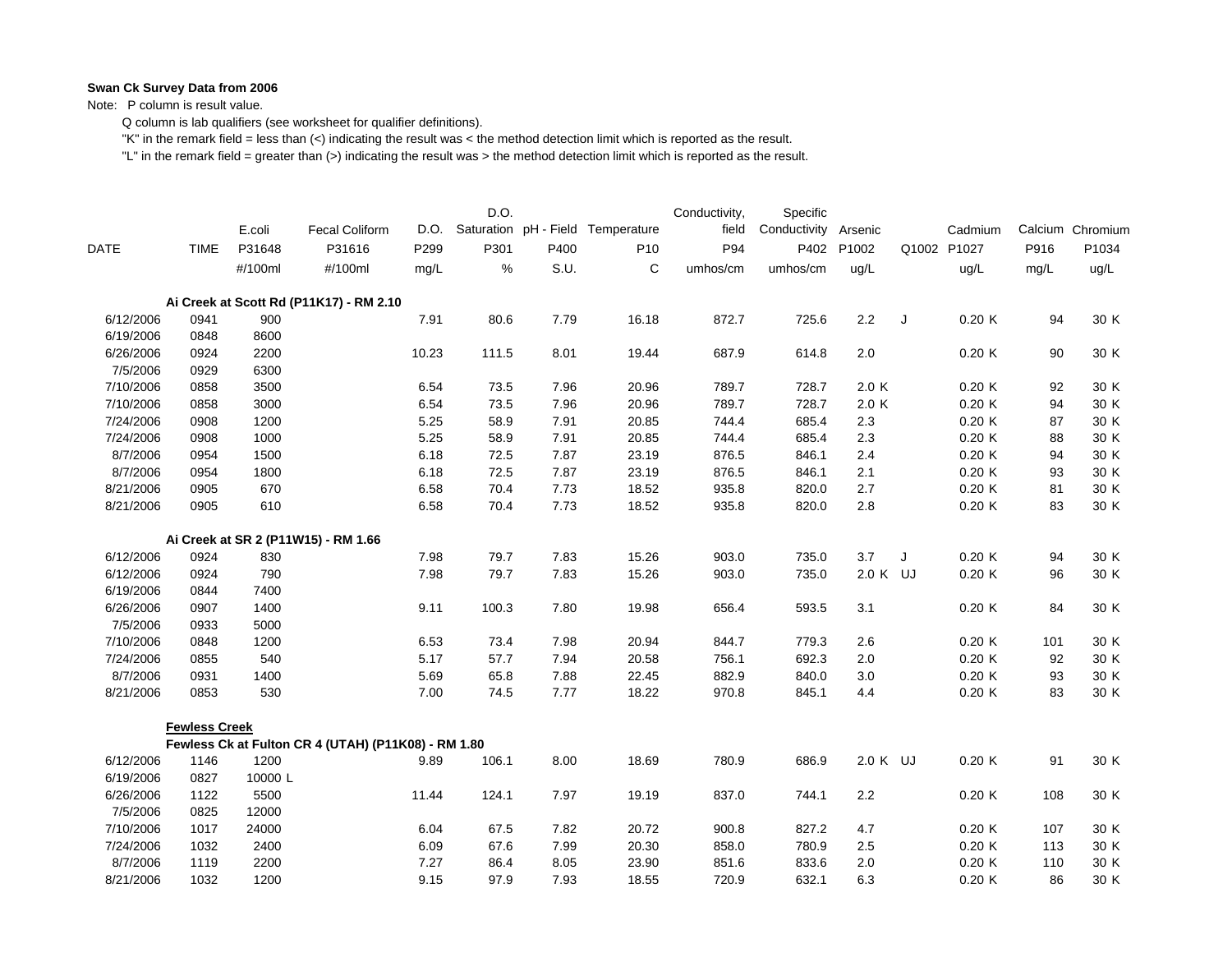#### **Swan Ck Survey Data from 2006**

Note: P column is result value.

Q column is lab qualifiers (see worksheet for qualifier definitions).

"K" in the remark field = less than (<) indicating the result was < the method detection limit which is reported as the result.

"L" in the remark field = greater than (>) indicating the result was > the method detection limit which is reported as the result.

|             |                      | E.coli  | <b>Fecal Coliform</b>                               | D.O.  | D.O.  |      | Saturation pH - Field Temperature | Conductivity,<br>field | Specific<br>Conductivity | Arsenic  |             | Cadmium |      | Calcium Chromium |
|-------------|----------------------|---------|-----------------------------------------------------|-------|-------|------|-----------------------------------|------------------------|--------------------------|----------|-------------|---------|------|------------------|
| <b>DATE</b> | <b>TIME</b>          | P31648  | P31616                                              | P299  | P301  | P400 | P <sub>10</sub>                   | P94                    | P402                     | P1002    | Q1002 P1027 |         | P916 | P1034            |
|             |                      | #/100ml | #/100ml                                             | mg/L  | %     | S.U. | C                                 | umhos/cm               | umhos/cm                 | ug/L     |             | ug/L    | mg/L | ug/L             |
|             |                      |         | Ai Creek at Scott Rd (P11K17) - RM 2.10             |       |       |      |                                   |                        |                          |          |             |         |      |                  |
| 6/12/2006   | 0941                 | 900     |                                                     | 7.91  | 80.6  | 7.79 | 16.18                             | 872.7                  | 725.6                    | 2.2      | J           | 0.20K   | 94   | 30 K             |
| 6/19/2006   | 0848                 | 8600    |                                                     |       |       |      |                                   |                        |                          |          |             |         |      |                  |
| 6/26/2006   | 0924                 | 2200    |                                                     | 10.23 | 111.5 | 8.01 | 19.44                             | 687.9                  | 614.8                    | 2.0      |             | 0.20K   | 90   | 30 K             |
| 7/5/2006    | 0929                 | 6300    |                                                     |       |       |      |                                   |                        |                          |          |             |         |      |                  |
| 7/10/2006   | 0858                 | 3500    |                                                     | 6.54  | 73.5  | 7.96 | 20.96                             | 789.7                  | 728.7                    | 2.0 K    |             | 0.20K   | 92   | 30 K             |
| 7/10/2006   | 0858                 | 3000    |                                                     | 6.54  | 73.5  | 7.96 | 20.96                             | 789.7                  | 728.7                    | 2.0 K    |             | 0.20K   | 94   | 30 K             |
| 7/24/2006   | 0908                 | 1200    |                                                     | 5.25  | 58.9  | 7.91 | 20.85                             | 744.4                  | 685.4                    | $2.3\,$  |             | 0.20K   | 87   | 30 K             |
| 7/24/2006   | 0908                 | 1000    |                                                     | 5.25  | 58.9  | 7.91 | 20.85                             | 744.4                  | 685.4                    | 2.3      |             | 0.20K   | 88   | 30 K             |
| 8/7/2006    | 0954                 | 1500    |                                                     | 6.18  | 72.5  | 7.87 | 23.19                             | 876.5                  | 846.1                    | 2.4      |             | 0.20K   | 94   | 30 K             |
| 8/7/2006    | 0954                 | 1800    |                                                     | 6.18  | 72.5  | 7.87 | 23.19                             | 876.5                  | 846.1                    | 2.1      |             | 0.20K   | 93   | 30 K             |
| 8/21/2006   | 0905                 | 670     |                                                     | 6.58  | 70.4  | 7.73 | 18.52                             | 935.8                  | 820.0                    | 2.7      |             | 0.20K   | 81   | 30 K             |
| 8/21/2006   | 0905                 | 610     |                                                     | 6.58  | 70.4  | 7.73 | 18.52                             | 935.8                  | 820.0                    | 2.8      |             | 0.20K   | 83   | 30 K             |
|             |                      |         | Ai Creek at SR 2 (P11W15) - RM 1.66                 |       |       |      |                                   |                        |                          |          |             |         |      |                  |
| 6/12/2006   | 0924                 | 830     |                                                     | 7.98  | 79.7  | 7.83 | 15.26                             | 903.0                  | 735.0                    | 3.7      | J           | 0.20K   | 94   | 30 K             |
| 6/12/2006   | 0924                 | 790     |                                                     | 7.98  | 79.7  | 7.83 | 15.26                             | 903.0                  | 735.0                    | 2.0 K UJ |             | 0.20K   | 96   | 30 K             |
| 6/19/2006   | 0844                 | 7400    |                                                     |       |       |      |                                   |                        |                          |          |             |         |      |                  |
| 6/26/2006   | 0907                 | 1400    |                                                     | 9.11  | 100.3 | 7.80 | 19.98                             | 656.4                  | 593.5                    | 3.1      |             | 0.20K   | 84   | 30 K             |
| 7/5/2006    | 0933                 | 5000    |                                                     |       |       |      |                                   |                        |                          |          |             |         |      |                  |
| 7/10/2006   | 0848                 | 1200    |                                                     | 6.53  | 73.4  | 7.98 | 20.94                             | 844.7                  | 779.3                    | 2.6      |             | 0.20K   | 101  | 30 K             |
| 7/24/2006   | 0855                 | 540     |                                                     | 5.17  | 57.7  | 7.94 | 20.58                             | 756.1                  | 692.3                    | 2.0      |             | 0.20K   | 92   | 30 K             |
| 8/7/2006    | 0931                 | 1400    |                                                     | 5.69  | 65.8  | 7.88 | 22.45                             | 882.9                  | 840.0                    | 3.0      |             | 0.20K   | 93   | 30 K             |
| 8/21/2006   | 0853                 | 530     |                                                     | 7.00  | 74.5  | 7.77 | 18.22                             | 970.8                  | 845.1                    | 4.4      |             | 0.20K   | 83   | 30 K             |
|             | <b>Fewless Creek</b> |         |                                                     |       |       |      |                                   |                        |                          |          |             |         |      |                  |
|             |                      |         | Fewless Ck at Fulton CR 4 (UTAH) (P11K08) - RM 1.80 |       |       |      |                                   |                        |                          |          |             |         |      |                  |
| 6/12/2006   | 1146                 | 1200    |                                                     | 9.89  | 106.1 | 8.00 | 18.69                             | 780.9                  | 686.9                    | 2.0 K UJ |             | 0.20K   | 91   | 30 K             |
| 6/19/2006   | 0827                 | 10000L  |                                                     |       |       |      |                                   |                        |                          |          |             |         |      |                  |
| 6/26/2006   | 1122                 | 5500    |                                                     | 11.44 | 124.1 | 7.97 | 19.19                             | 837.0                  | 744.1                    | 2.2      |             | 0.20K   | 108  | 30 K             |
| 7/5/2006    | 0825                 | 12000   |                                                     |       |       |      |                                   |                        |                          |          |             |         |      |                  |
| 7/10/2006   | 1017                 | 24000   |                                                     | 6.04  | 67.5  | 7.82 | 20.72                             | 900.8                  | 827.2                    | 4.7      |             | 0.20K   | 107  | 30 K             |
| 7/24/2006   | 1032                 | 2400    |                                                     | 6.09  | 67.6  | 7.99 | 20.30                             | 858.0                  | 780.9                    | 2.5      |             | 0.20K   | 113  | 30 K             |
| 8/7/2006    | 1119                 | 2200    |                                                     | 7.27  | 86.4  | 8.05 | 23.90                             | 851.6                  | 833.6                    | 2.0      |             | 0.20K   | 110  | 30 K             |
| 8/21/2006   | 1032                 | 1200    |                                                     | 9.15  | 97.9  | 7.93 | 18.55                             | 720.9                  | 632.1                    | 6.3      |             | 0.20K   | 86   | 30 K             |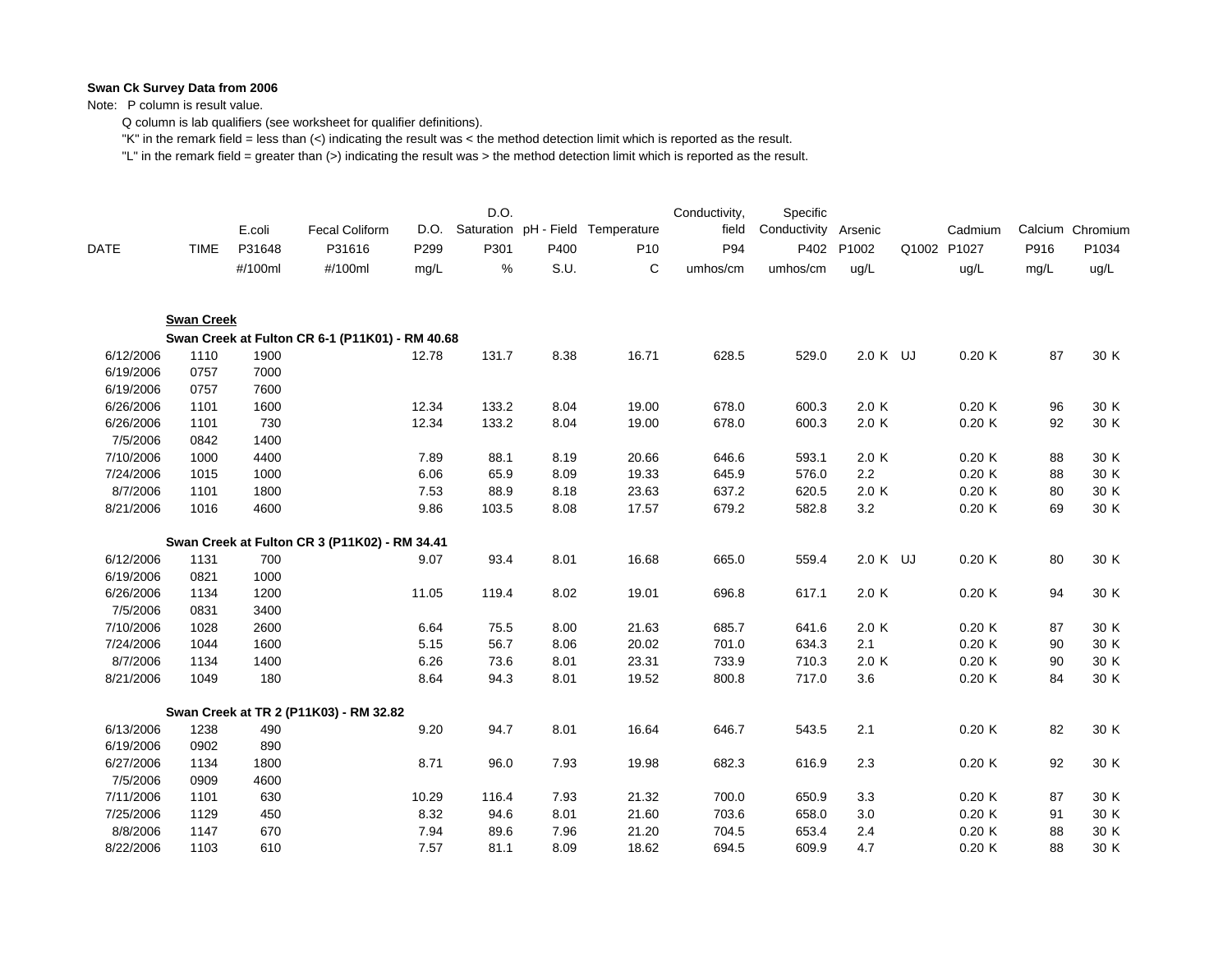#### **Swan Ck Survey Data from 2006**

Note: P column is result value.

Q column is lab qualifiers (see worksheet for qualifier definitions).

"K" in the remark field = less than (<) indicating the result was < the method detection limit which is reported as the result.

"L" in the remark field = greater than (>) indicating the result was > the method detection limit which is reported as the result.

|             |                   | E.coli  | <b>Fecal Coliform</b>                           | D.O.  | D.O.  |      | Saturation pH - Field Temperature | Conductivity,<br>field | Specific<br>Conductivity | Arsenic  | Cadmium     |      | Calcium Chromium |
|-------------|-------------------|---------|-------------------------------------------------|-------|-------|------|-----------------------------------|------------------------|--------------------------|----------|-------------|------|------------------|
| <b>DATE</b> | <b>TIME</b>       | P31648  | P31616                                          | P299  | P301  | P400 | P <sub>10</sub>                   | P94                    | P402                     | P1002    | Q1002 P1027 | P916 | P1034            |
|             |                   | #/100ml | #/100ml                                         | mg/L  | %     | S.U. | C                                 | umhos/cm               | umhos/cm                 | ug/L     | ug/L        | mg/L | ug/L             |
|             | <b>Swan Creek</b> |         |                                                 |       |       |      |                                   |                        |                          |          |             |      |                  |
|             |                   |         | Swan Creek at Fulton CR 6-1 (P11K01) - RM 40.68 |       |       |      |                                   |                        |                          |          |             |      |                  |
| 6/12/2006   | 1110              | 1900    |                                                 | 12.78 | 131.7 | 8.38 | 16.71                             | 628.5                  | 529.0                    | 2.0 K UJ | 0.20K       | 87   | 30 K             |
| 6/19/2006   | 0757              | 7000    |                                                 |       |       |      |                                   |                        |                          |          |             |      |                  |
| 6/19/2006   | 0757              | 7600    |                                                 |       |       |      |                                   |                        |                          |          |             |      |                  |
| 6/26/2006   | 1101              | 1600    |                                                 | 12.34 | 133.2 | 8.04 | 19.00                             | 678.0                  | 600.3                    | 2.0 K    | 0.20K       | 96   | 30 K             |
| 6/26/2006   | 1101              | 730     |                                                 | 12.34 | 133.2 | 8.04 | 19.00                             | 678.0                  | 600.3                    | 2.0 K    | 0.20K       | 92   | 30 K             |
| 7/5/2006    | 0842              | 1400    |                                                 |       |       |      |                                   |                        |                          |          |             |      |                  |
| 7/10/2006   | 1000              | 4400    |                                                 | 7.89  | 88.1  | 8.19 | 20.66                             | 646.6                  | 593.1                    | 2.0 K    | 0.20K       | 88   | 30 K             |
| 7/24/2006   | 1015              | 1000    |                                                 | 6.06  | 65.9  | 8.09 | 19.33                             | 645.9                  | 576.0                    | 2.2      | 0.20K       | 88   | 30 K             |
| 8/7/2006    | 1101              | 1800    |                                                 | 7.53  | 88.9  | 8.18 | 23.63                             | 637.2                  | 620.5                    | 2.0 K    | 0.20K       | 80   | 30 K             |
| 8/21/2006   | 1016              | 4600    |                                                 | 9.86  | 103.5 | 8.08 | 17.57                             | 679.2                  | 582.8                    | 3.2      | 0.20K       | 69   | 30 K             |
|             |                   |         | Swan Creek at Fulton CR 3 (P11K02) - RM 34.41   |       |       |      |                                   |                        |                          |          |             |      |                  |
| 6/12/2006   | 1131              | 700     |                                                 | 9.07  | 93.4  | 8.01 | 16.68                             | 665.0                  | 559.4                    | 2.0 K UJ | 0.20K       | 80   | 30 K             |
| 6/19/2006   | 0821              | 1000    |                                                 |       |       |      |                                   |                        |                          |          |             |      |                  |
| 6/26/2006   | 1134              | 1200    |                                                 | 11.05 | 119.4 | 8.02 | 19.01                             | 696.8                  | 617.1                    | 2.0K     | 0.20K       | 94   | 30 K             |
| 7/5/2006    | 0831              | 3400    |                                                 |       |       |      |                                   |                        |                          |          |             |      |                  |
| 7/10/2006   | 1028              | 2600    |                                                 | 6.64  | 75.5  | 8.00 | 21.63                             | 685.7                  | 641.6                    | 2.0 K    | 0.20K       | 87   | 30 K             |
| 7/24/2006   | 1044              | 1600    |                                                 | 5.15  | 56.7  | 8.06 | 20.02                             | 701.0                  | 634.3                    | 2.1      | 0.20K       | 90   | 30 K             |
| 8/7/2006    | 1134              | 1400    |                                                 | 6.26  | 73.6  | 8.01 | 23.31                             | 733.9                  | 710.3                    | 2.0 K    | 0.20K       | 90   | 30 K             |
| 8/21/2006   | 1049              | 180     |                                                 | 8.64  | 94.3  | 8.01 | 19.52                             | 800.8                  | 717.0                    | 3.6      | 0.20K       | 84   | 30 K             |
|             |                   |         | Swan Creek at TR 2 (P11K03) - RM 32.82          |       |       |      |                                   |                        |                          |          |             |      |                  |
| 6/13/2006   | 1238              | 490     |                                                 | 9.20  | 94.7  | 8.01 | 16.64                             | 646.7                  | 543.5                    | 2.1      | 0.20K       | 82   | 30 K             |
| 6/19/2006   | 0902              | 890     |                                                 |       |       |      |                                   |                        |                          |          |             |      |                  |
| 6/27/2006   | 1134              | 1800    |                                                 | 8.71  | 96.0  | 7.93 | 19.98                             | 682.3                  | 616.9                    | 2.3      | 0.20K       | 92   | 30 K             |
| 7/5/2006    | 0909              | 4600    |                                                 |       |       |      |                                   |                        |                          |          |             |      |                  |
| 7/11/2006   | 1101              | 630     |                                                 | 10.29 | 116.4 | 7.93 | 21.32                             | 700.0                  | 650.9                    | 3.3      | 0.20K       | 87   | 30 K             |
| 7/25/2006   | 1129              | 450     |                                                 | 8.32  | 94.6  | 8.01 | 21.60                             | 703.6                  | 658.0                    | 3.0      | 0.20K       | 91   | 30 K             |
| 8/8/2006    | 1147              | 670     |                                                 | 7.94  | 89.6  | 7.96 | 21.20                             | 704.5                  | 653.4                    | 2.4      | 0.20K       | 88   | 30 K             |
| 8/22/2006   | 1103              | 610     |                                                 | 7.57  | 81.1  | 8.09 | 18.62                             | 694.5                  | 609.9                    | 4.7      | 0.20K       | 88   | 30 K             |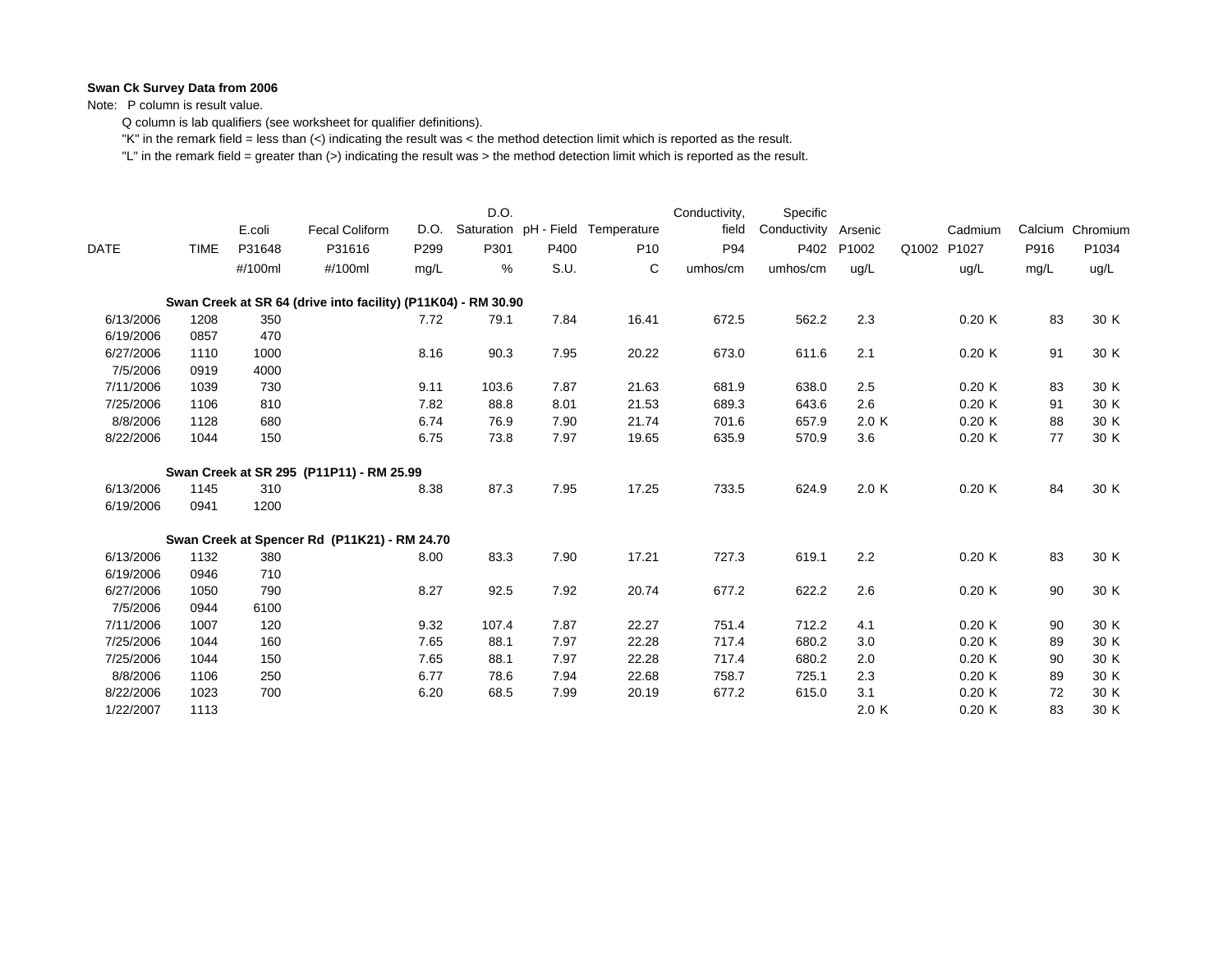Note: P column is result value.

Q column is lab qualifiers (see worksheet for qualifier definitions).

"K" in the remark field = less than (<) indicating the result was < the method detection limit which is reported as the result.

|             |             | E.coli  | Fecal Coliform                                                | D.O. | D.O.  |      | Saturation pH - Field Temperature | Conductivity,<br>field | Specific<br>Conductivity | Arsenic | Cadmium        |      | Calcium Chromium |
|-------------|-------------|---------|---------------------------------------------------------------|------|-------|------|-----------------------------------|------------------------|--------------------------|---------|----------------|------|------------------|
| <b>DATE</b> | <b>TIME</b> | P31648  | P31616                                                        | P299 | P301  | P400 | P <sub>10</sub>                   | P94                    | P402                     | P1002   | P1027<br>Q1002 | P916 | P1034            |
|             |             | #/100ml | #/100ml                                                       | mg/L | %     | S.U. | C                                 | umhos/cm               | umhos/cm                 | ug/L    | ug/L           | mg/L | ug/L             |
|             |             |         | Swan Creek at SR 64 (drive into facility) (P11K04) - RM 30.90 |      |       |      |                                   |                        |                          |         |                |      |                  |
| 6/13/2006   | 1208        | 350     |                                                               | 7.72 | 79.1  | 7.84 | 16.41                             | 672.5                  | 562.2                    | 2.3     | 0.20K          | 83   | 30 K             |
| 6/19/2006   | 0857        | 470     |                                                               |      |       |      |                                   |                        |                          |         |                |      |                  |
| 6/27/2006   | 1110        | 1000    |                                                               | 8.16 | 90.3  | 7.95 | 20.22                             | 673.0                  | 611.6                    | 2.1     | 0.20K          | 91   | 30 K             |
| 7/5/2006    | 0919        | 4000    |                                                               |      |       |      |                                   |                        |                          |         |                |      |                  |
| 7/11/2006   | 1039        | 730     |                                                               | 9.11 | 103.6 | 7.87 | 21.63                             | 681.9                  | 638.0                    | 2.5     | 0.20K          | 83   | 30 K             |
| 7/25/2006   | 1106        | 810     |                                                               | 7.82 | 88.8  | 8.01 | 21.53                             | 689.3                  | 643.6                    | 2.6     | 0.20K          | 91   | 30 K             |
| 8/8/2006    | 1128        | 680     |                                                               | 6.74 | 76.9  | 7.90 | 21.74                             | 701.6                  | 657.9                    | 2.0 K   | 0.20K          | 88   | 30 K             |
| 8/22/2006   | 1044        | 150     |                                                               | 6.75 | 73.8  | 7.97 | 19.65                             | 635.9                  | 570.9                    | 3.6     | 0.20K          | 77   | 30 K             |
|             |             |         | Swan Creek at SR 295 (P11P11) - RM 25.99                      |      |       |      |                                   |                        |                          |         |                |      |                  |
| 6/13/2006   | 1145        | 310     |                                                               | 8.38 | 87.3  | 7.95 | 17.25                             | 733.5                  | 624.9                    | 2.0 K   | 0.20K          | 84   | 30 K             |
| 6/19/2006   | 0941        | 1200    |                                                               |      |       |      |                                   |                        |                          |         |                |      |                  |
|             |             |         | Swan Creek at Spencer Rd (P11K21) - RM 24.70                  |      |       |      |                                   |                        |                          |         |                |      |                  |
| 6/13/2006   | 1132        | 380     |                                                               | 8.00 | 83.3  | 7.90 | 17.21                             | 727.3                  | 619.1                    | 2.2     | 0.20K          | 83   | 30 K             |
| 6/19/2006   | 0946        | 710     |                                                               |      |       |      |                                   |                        |                          |         |                |      |                  |
| 6/27/2006   | 1050        | 790     |                                                               | 8.27 | 92.5  | 7.92 | 20.74                             | 677.2                  | 622.2                    | 2.6     | 0.20K          | 90   | 30 K             |
| 7/5/2006    | 0944        | 6100    |                                                               |      |       |      |                                   |                        |                          |         |                |      |                  |
| 7/11/2006   | 1007        | 120     |                                                               | 9.32 | 107.4 | 7.87 | 22.27                             | 751.4                  | 712.2                    | 4.1     | 0.20K          | 90   | 30 K             |
| 7/25/2006   | 1044        | 160     |                                                               | 7.65 | 88.1  | 7.97 | 22.28                             | 717.4                  | 680.2                    | 3.0     | 0.20K          | 89   | 30 K             |
| 7/25/2006   | 1044        | 150     |                                                               | 7.65 | 88.1  | 7.97 | 22.28                             | 717.4                  | 680.2                    | 2.0     | 0.20K          | 90   | 30 K             |
| 8/8/2006    | 1106        | 250     |                                                               | 6.77 | 78.6  | 7.94 | 22.68                             | 758.7                  | 725.1                    | 2.3     | 0.20K          | 89   | 30 K             |
| 8/22/2006   | 1023        | 700     |                                                               | 6.20 | 68.5  | 7.99 | 20.19                             | 677.2                  | 615.0                    | 3.1     | 0.20K          | 72   | 30 K             |
| 1/22/2007   | 1113        |         |                                                               |      |       |      |                                   |                        |                          | 2.0K    | 0.20K          | 83   | 30 K             |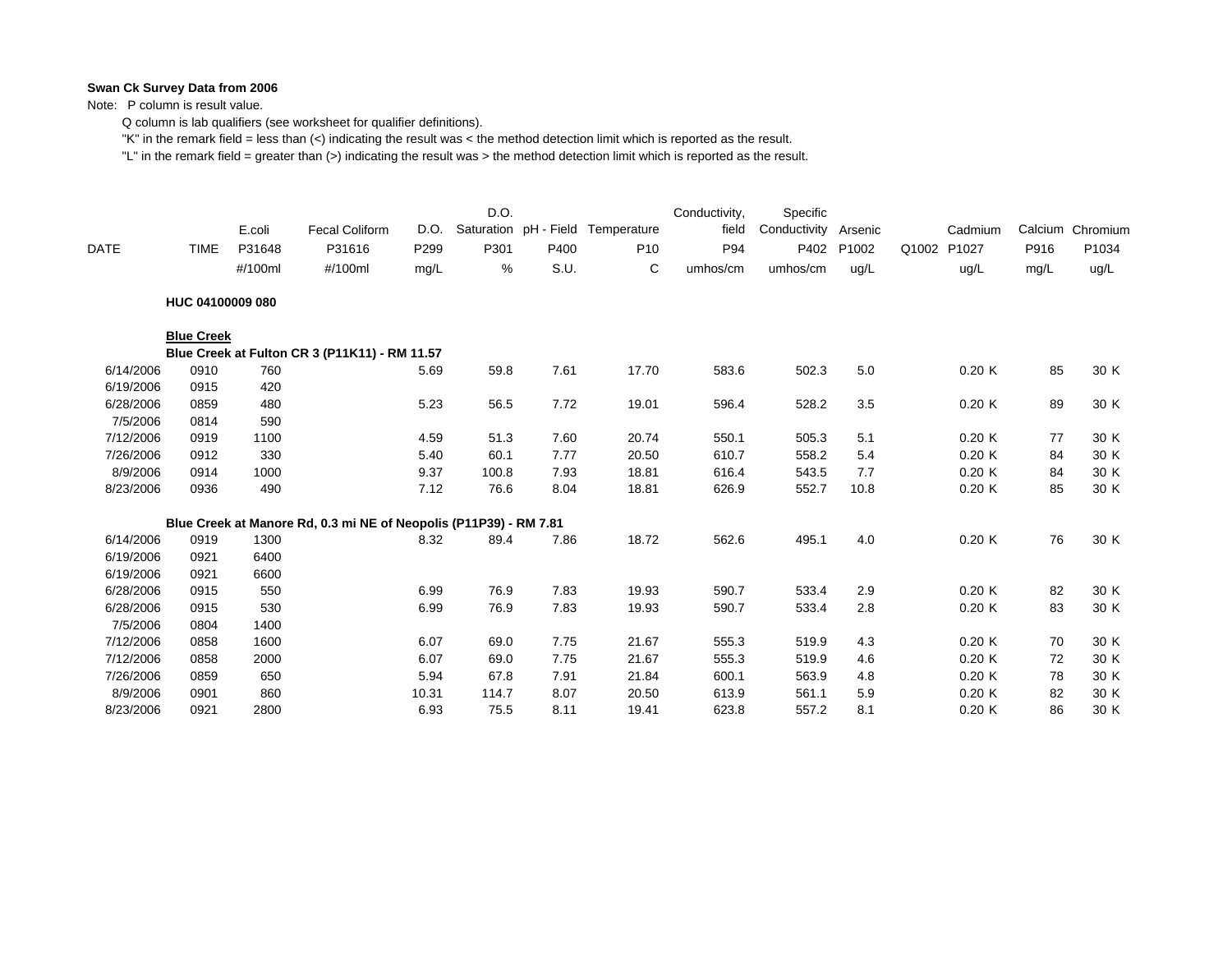Note: P column is result value.

Q column is lab qualifiers (see worksheet for qualifier definitions).

"K" in the remark field = less than (<) indicating the result was < the method detection limit which is reported as the result.

| <b>DATE</b> | <b>TIME</b>       | E.coli<br>P31648<br>#/100ml | <b>Fecal Coliform</b><br>P31616<br>#/100ml                        | D.O.<br>P299<br>mg/L | D.O.<br>P301<br>% | P400<br>S.U. | Saturation pH - Field Temperature<br>P <sub>10</sub><br>C | Conductivity,<br>field<br>P94<br>umhos/cm | Specific<br>Conductivity<br>P402<br>umhos/cm | Arsenic<br>P1002<br>ug/L | Q1002 | Cadmium<br>P1027<br>ug/L | Calcium<br>P916<br>mg/L | Chromium<br>P1034<br>ug/L |
|-------------|-------------------|-----------------------------|-------------------------------------------------------------------|----------------------|-------------------|--------------|-----------------------------------------------------------|-------------------------------------------|----------------------------------------------|--------------------------|-------|--------------------------|-------------------------|---------------------------|
|             | HUC 04100009 080  |                             |                                                                   |                      |                   |              |                                                           |                                           |                                              |                          |       |                          |                         |                           |
|             | <b>Blue Creek</b> |                             |                                                                   |                      |                   |              |                                                           |                                           |                                              |                          |       |                          |                         |                           |
|             |                   |                             | Blue Creek at Fulton CR 3 (P11K11) - RM 11.57                     |                      |                   |              |                                                           |                                           |                                              |                          |       |                          |                         |                           |
| 6/14/2006   | 0910              | 760                         |                                                                   | 5.69                 | 59.8              | 7.61         | 17.70                                                     | 583.6                                     | 502.3                                        | $5.0\,$                  |       | 0.20K                    | 85                      | 30 K                      |
| 6/19/2006   | 0915              | 420                         |                                                                   |                      |                   |              |                                                           |                                           |                                              |                          |       |                          |                         |                           |
| 6/28/2006   | 0859              | 480                         |                                                                   | 5.23                 | 56.5              | 7.72         | 19.01                                                     | 596.4                                     | 528.2                                        | 3.5                      |       | 0.20K                    | 89                      | 30 K                      |
| 7/5/2006    | 0814              | 590                         |                                                                   |                      |                   |              |                                                           |                                           |                                              |                          |       |                          |                         |                           |
| 7/12/2006   | 0919              | 1100                        |                                                                   | 4.59                 | 51.3              | 7.60         | 20.74                                                     | 550.1                                     | 505.3                                        | 5.1                      |       | 0.20K                    | 77                      | 30 K                      |
| 7/26/2006   | 0912              | 330                         |                                                                   | 5.40                 | 60.1              | 7.77         | 20.50                                                     | 610.7                                     | 558.2                                        | 5.4                      |       | 0.20K                    | 84                      | 30 K                      |
| 8/9/2006    | 0914              | 1000                        |                                                                   | 9.37                 | 100.8             | 7.93         | 18.81                                                     | 616.4                                     | 543.5                                        | 7.7                      |       | 0.20K                    | 84                      | 30 K                      |
| 8/23/2006   | 0936              | 490                         |                                                                   | 7.12                 | 76.6              | 8.04         | 18.81                                                     | 626.9                                     | 552.7                                        | 10.8                     |       | 0.20K                    | 85                      | 30 K                      |
|             |                   |                             | Blue Creek at Manore Rd, 0.3 mi NE of Neopolis (P11P39) - RM 7.81 |                      |                   |              |                                                           |                                           |                                              |                          |       |                          |                         |                           |
| 6/14/2006   | 0919              | 1300                        |                                                                   | 8.32                 | 89.4              | 7.86         | 18.72                                                     | 562.6                                     | 495.1                                        | 4.0                      |       | 0.20K                    | 76                      | 30 K                      |
| 6/19/2006   | 0921              | 6400                        |                                                                   |                      |                   |              |                                                           |                                           |                                              |                          |       |                          |                         |                           |
| 6/19/2006   | 0921              | 6600                        |                                                                   |                      |                   |              |                                                           |                                           |                                              |                          |       |                          |                         |                           |
| 6/28/2006   | 0915              | 550                         |                                                                   | 6.99                 | 76.9              | 7.83         | 19.93                                                     | 590.7                                     | 533.4                                        | 2.9                      |       | 0.20K                    | 82                      | 30 K                      |
| 6/28/2006   | 0915              | 530                         |                                                                   | 6.99                 | 76.9              | 7.83         | 19.93                                                     | 590.7                                     | 533.4                                        | 2.8                      |       | 0.20K                    | 83                      | 30 K                      |
| 7/5/2006    | 0804              | 1400                        |                                                                   |                      |                   |              |                                                           |                                           |                                              |                          |       |                          |                         |                           |
| 7/12/2006   | 0858              | 1600                        |                                                                   | 6.07                 | 69.0              | 7.75         | 21.67                                                     | 555.3                                     | 519.9                                        | 4.3                      |       | 0.20K                    | 70                      | 30 K                      |
| 7/12/2006   | 0858              | 2000                        |                                                                   | 6.07                 | 69.0              | 7.75         | 21.67                                                     | 555.3                                     | 519.9                                        | 4.6                      |       | 0.20K                    | 72                      | 30 K                      |
| 7/26/2006   | 0859              | 650                         |                                                                   | 5.94                 | 67.8              | 7.91         | 21.84                                                     | 600.1                                     | 563.9                                        | 4.8                      |       | 0.20K                    | 78                      | 30 K                      |
| 8/9/2006    | 0901              | 860                         |                                                                   | 10.31                | 114.7             | 8.07         | 20.50                                                     | 613.9                                     | 561.1                                        | 5.9                      |       | 0.20K                    | 82                      | 30 K                      |
| 8/23/2006   | 0921              | 2800                        |                                                                   | 6.93                 | 75.5              | 8.11         | 19.41                                                     | 623.8                                     | 557.2                                        | 8.1                      |       | 0.20K                    | 86                      | 30 K                      |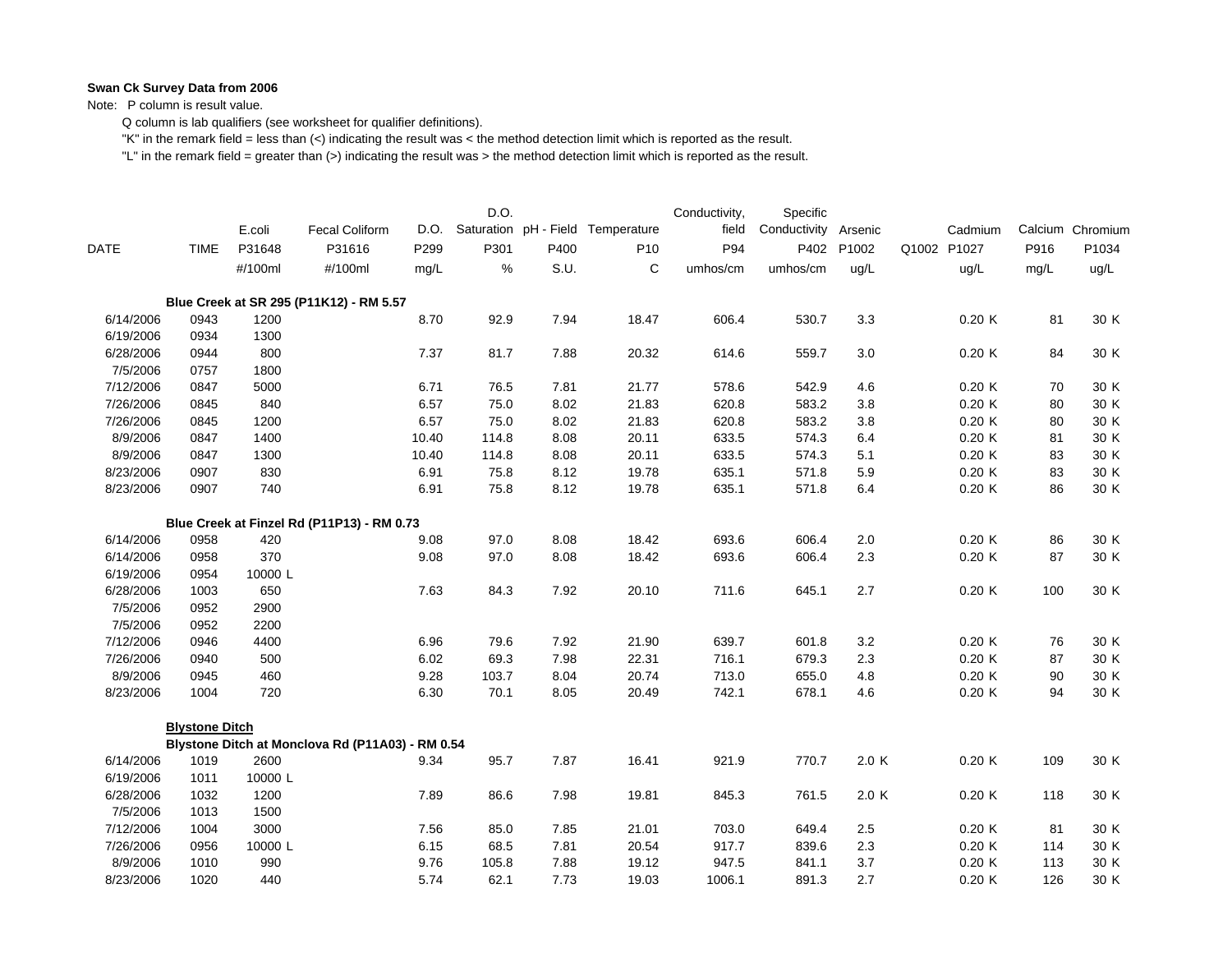Note: P column is result value.

Q column is lab qualifiers (see worksheet for qualifier definitions).

"K" in the remark field = less than (<) indicating the result was < the method detection limit which is reported as the result.

|           |                       | E.coli  | <b>Fecal Coliform</b>                            | D.O.  | D.O.  |      | Saturation pH - Field Temperature | Conductivity,<br>field | Specific<br>Conductivity | Arsenic    | Cadmium     |      | Calcium Chromium |
|-----------|-----------------------|---------|--------------------------------------------------|-------|-------|------|-----------------------------------|------------------------|--------------------------|------------|-------------|------|------------------|
| DATE      | <b>TIME</b>           | P31648  | P31616                                           | P299  | P301  | P400 | P <sub>10</sub>                   | P94                    |                          | P402 P1002 | Q1002 P1027 | P916 | P1034            |
|           |                       | #/100ml | #/100ml                                          | mg/L  | $\%$  | S.U. | C                                 | umhos/cm               | umhos/cm                 | ug/L       | ug/L        | mg/L | ug/L             |
|           |                       |         | Blue Creek at SR 295 (P11K12) - RM 5.57          |       |       |      |                                   |                        |                          |            |             |      |                  |
| 6/14/2006 | 0943                  | 1200    |                                                  | 8.70  | 92.9  | 7.94 | 18.47                             | 606.4                  | 530.7                    | 3.3        | 0.20K       | 81   | 30 K             |
| 6/19/2006 | 0934                  | 1300    |                                                  |       |       |      |                                   |                        |                          |            |             |      |                  |
| 6/28/2006 | 0944                  | 800     |                                                  | 7.37  | 81.7  | 7.88 | 20.32                             | 614.6                  | 559.7                    | 3.0        | 0.20K       | 84   | 30 K             |
| 7/5/2006  | 0757                  | 1800    |                                                  |       |       |      |                                   |                        |                          |            |             |      |                  |
| 7/12/2006 | 0847                  | 5000    |                                                  | 6.71  | 76.5  | 7.81 | 21.77                             | 578.6                  | 542.9                    | 4.6        | 0.20K       | 70   | 30 K             |
| 7/26/2006 | 0845                  | 840     |                                                  | 6.57  | 75.0  | 8.02 | 21.83                             | 620.8                  | 583.2                    | 3.8        | 0.20K       | 80   | 30 K             |
| 7/26/2006 | 0845                  | 1200    |                                                  | 6.57  | 75.0  | 8.02 | 21.83                             | 620.8                  | 583.2                    | 3.8        | 0.20K       | 80   | 30 K             |
| 8/9/2006  | 0847                  | 1400    |                                                  | 10.40 | 114.8 | 8.08 | 20.11                             | 633.5                  | 574.3                    | 6.4        | 0.20K       | 81   | 30 K             |
| 8/9/2006  | 0847                  | 1300    |                                                  | 10.40 | 114.8 | 8.08 | 20.11                             | 633.5                  | 574.3                    | 5.1        | 0.20K       | 83   | 30 K             |
| 8/23/2006 | 0907                  | 830     |                                                  | 6.91  | 75.8  | 8.12 | 19.78                             | 635.1                  | 571.8                    | 5.9        | 0.20K       | 83   | 30 K             |
| 8/23/2006 | 0907                  | 740     |                                                  | 6.91  | 75.8  | 8.12 | 19.78                             | 635.1                  | 571.8                    | 6.4        | 0.20K       | 86   | 30 K             |
|           |                       |         | Blue Creek at Finzel Rd (P11P13) - RM 0.73       |       |       |      |                                   |                        |                          |            |             |      |                  |
| 6/14/2006 | 0958                  | 420     |                                                  | 9.08  | 97.0  | 8.08 | 18.42                             | 693.6                  | 606.4                    | $2.0\,$    | 0.20K       | 86   | 30 K             |
| 6/14/2006 | 0958                  | 370     |                                                  | 9.08  | 97.0  | 8.08 | 18.42                             | 693.6                  | 606.4                    | 2.3        | 0.20K       | 87   | 30 K             |
| 6/19/2006 | 0954                  | 10000 L |                                                  |       |       |      |                                   |                        |                          |            |             |      |                  |
| 6/28/2006 | 1003                  | 650     |                                                  | 7.63  | 84.3  | 7.92 | 20.10                             | 711.6                  | 645.1                    | 2.7        | 0.20K       | 100  | 30 K             |
| 7/5/2006  | 0952                  | 2900    |                                                  |       |       |      |                                   |                        |                          |            |             |      |                  |
| 7/5/2006  | 0952                  | 2200    |                                                  |       |       |      |                                   |                        |                          |            |             |      |                  |
| 7/12/2006 | 0946                  | 4400    |                                                  | 6.96  | 79.6  | 7.92 | 21.90                             | 639.7                  | 601.8                    | 3.2        | 0.20K       | 76   | 30 K             |
| 7/26/2006 | 0940                  | 500     |                                                  | 6.02  | 69.3  | 7.98 | 22.31                             | 716.1                  | 679.3                    | 2.3        | 0.20K       | 87   | 30 K             |
| 8/9/2006  | 0945                  | 460     |                                                  | 9.28  | 103.7 | 8.04 | 20.74                             | 713.0                  | 655.0                    | 4.8        | 0.20K       | 90   | 30 K             |
| 8/23/2006 | 1004                  | 720     |                                                  | 6.30  | 70.1  | 8.05 | 20.49                             | 742.1                  | 678.1                    | 4.6        | 0.20K       | 94   | 30 K             |
|           | <b>Blystone Ditch</b> |         |                                                  |       |       |      |                                   |                        |                          |            |             |      |                  |
|           |                       |         | Blystone Ditch at Monclova Rd (P11A03) - RM 0.54 |       |       |      |                                   |                        |                          |            |             |      |                  |
| 6/14/2006 | 1019                  | 2600    |                                                  | 9.34  | 95.7  | 7.87 | 16.41                             | 921.9                  | 770.7                    | 2.0 K      | 0.20K       | 109  | 30 K             |
| 6/19/2006 | 1011                  | 10000L  |                                                  |       |       |      |                                   |                        |                          |            |             |      |                  |
| 6/28/2006 | 1032                  | 1200    |                                                  | 7.89  | 86.6  | 7.98 | 19.81                             | 845.3                  | 761.5                    | 2.0 K      | 0.20K       | 118  | 30 K             |
| 7/5/2006  | 1013                  | 1500    |                                                  |       |       |      |                                   |                        |                          |            |             |      |                  |
| 7/12/2006 | 1004                  | 3000    |                                                  | 7.56  | 85.0  | 7.85 | 21.01                             | 703.0                  | 649.4                    | 2.5        | 0.20K       | 81   | 30 K             |
| 7/26/2006 | 0956                  | 10000L  |                                                  | 6.15  | 68.5  | 7.81 | 20.54                             | 917.7                  | 839.6                    | 2.3        | 0.20K       | 114  | 30 K             |
| 8/9/2006  | 1010                  | 990     |                                                  | 9.76  | 105.8 | 7.88 | 19.12                             | 947.5                  | 841.1                    | 3.7        | 0.20K       | 113  | 30 K             |
| 8/23/2006 | 1020                  | 440     |                                                  | 5.74  | 62.1  | 7.73 | 19.03                             | 1006.1                 | 891.3                    | 2.7        | 0.20K       | 126  | 30 K             |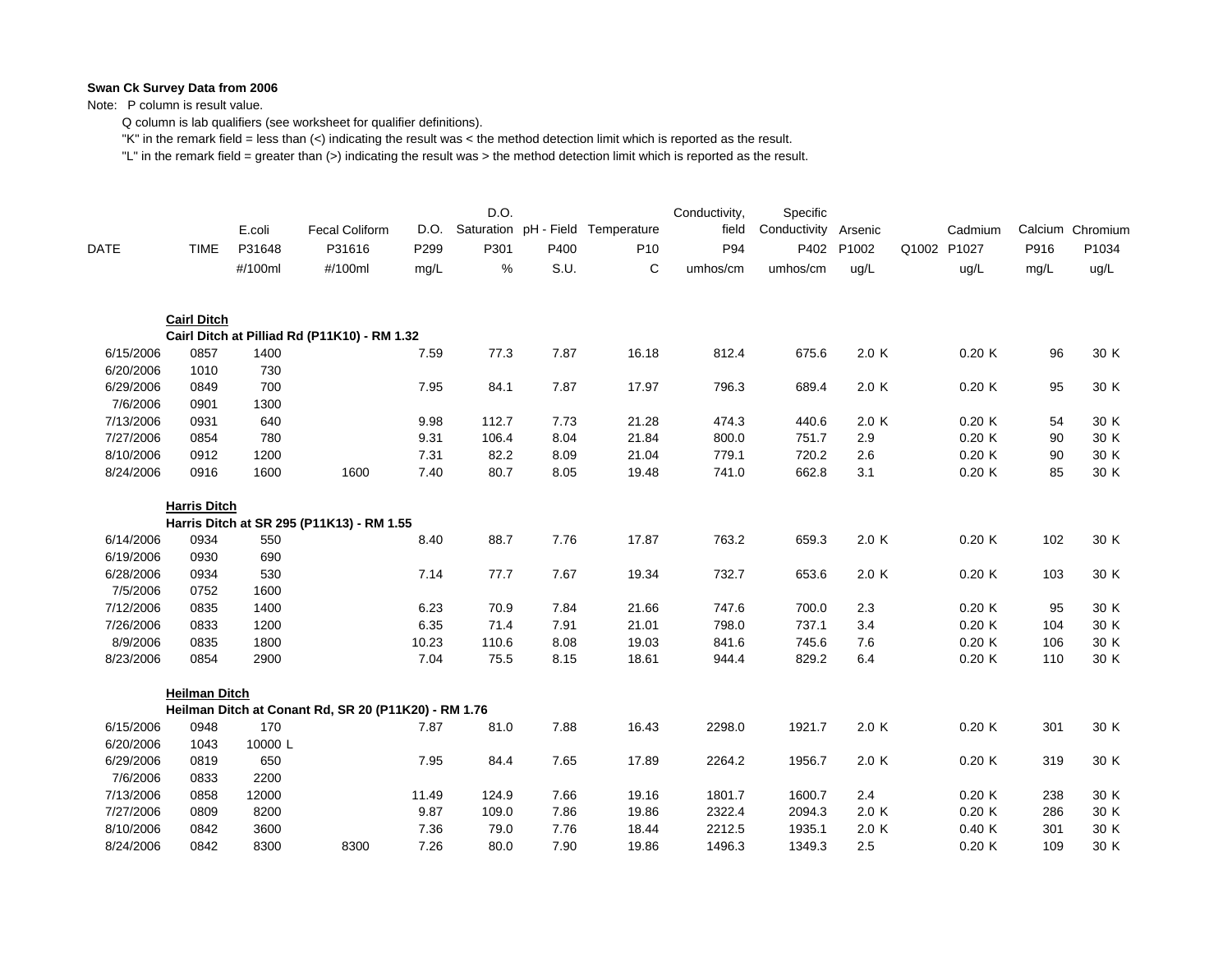Note: P column is result value.

Q column is lab qualifiers (see worksheet for qualifier definitions).

"K" in the remark field = less than (<) indicating the result was < the method detection limit which is reported as the result.

|                        |                      | E.coli      | Fecal Coliform                                       | D.O.  | D.O.  |      | Saturation pH - Field Temperature | Conductivity,<br>field | Specific<br>Conductivity | Arsenic | Cadmium     |      | Calcium Chromium |
|------------------------|----------------------|-------------|------------------------------------------------------|-------|-------|------|-----------------------------------|------------------------|--------------------------|---------|-------------|------|------------------|
| <b>DATE</b>            | <b>TIME</b>          | P31648      | P31616                                               | P299  | P301  | P400 | P <sub>10</sub>                   | P94                    | P402                     | P1002   | Q1002 P1027 | P916 | P1034            |
|                        |                      | #/100ml     | #/100ml                                              | mg/L  | %     | S.U. | C                                 | umhos/cm               | umhos/cm                 | ug/L    | uq/L        | mg/L | ug/L             |
|                        | <b>Cairl Ditch</b>   |             |                                                      |       |       |      |                                   |                        |                          |         |             |      |                  |
|                        |                      |             | Cairl Ditch at Pilliad Rd (P11K10) - RM 1.32         |       |       |      |                                   |                        |                          |         |             |      |                  |
| 6/15/2006              | 0857                 | 1400        |                                                      | 7.59  | 77.3  | 7.87 | 16.18                             | 812.4                  | 675.6                    | 2.0 K   | 0.20K       | 96   | 30 K             |
| 6/20/2006              | 1010                 | 730         |                                                      |       |       |      |                                   |                        |                          |         |             |      |                  |
| 6/29/2006<br>7/6/2006  | 0849<br>0901         | 700<br>1300 |                                                      | 7.95  | 84.1  | 7.87 | 17.97                             | 796.3                  | 689.4                    | 2.0K    | 0.20K       | 95   | 30 K             |
| 7/13/2006              | 0931                 | 640         |                                                      | 9.98  | 112.7 | 7.73 | 21.28                             | 474.3                  | 440.6                    | 2.0 K   | 0.20K       | 54   | 30 K             |
| 7/27/2006              | 0854                 | 780         |                                                      | 9.31  | 106.4 | 8.04 | 21.84                             | 800.0                  | 751.7                    | 2.9     | 0.20K       | 90   | 30 K             |
| 8/10/2006              | 0912                 | 1200        |                                                      | 7.31  | 82.2  | 8.09 | 21.04                             | 779.1                  | 720.2                    | 2.6     | 0.20K       | 90   | 30 K             |
| 8/24/2006              | 0916                 | 1600        | 1600                                                 | 7.40  | 80.7  | 8.05 | 19.48                             | 741.0                  | 662.8                    | 3.1     | 0.20K       | 85   | 30 K             |
|                        |                      |             |                                                      |       |       |      |                                   |                        |                          |         |             |      |                  |
|                        | <b>Harris Ditch</b>  |             |                                                      |       |       |      |                                   |                        |                          |         |             |      |                  |
|                        | 0934                 |             | Harris Ditch at SR 295 (P11K13) - RM 1.55            | 8.40  | 88.7  | 7.76 | 17.87                             | 763.2                  |                          | 2.0K    | 0.20K       | 102  | 30 K             |
| 6/14/2006<br>6/19/2006 | 0930                 | 550<br>690  |                                                      |       |       |      |                                   |                        | 659.3                    |         |             |      |                  |
| 6/28/2006              | 0934                 | 530         |                                                      | 7.14  | 77.7  | 7.67 | 19.34                             | 732.7                  | 653.6                    | 2.0K    | 0.20K       | 103  | 30 K             |
| 7/5/2006               | 0752                 | 1600        |                                                      |       |       |      |                                   |                        |                          |         |             |      |                  |
| 7/12/2006              | 0835                 | 1400        |                                                      | 6.23  | 70.9  | 7.84 | 21.66                             | 747.6                  | 700.0                    | 2.3     | 0.20K       | 95   | 30 K             |
| 7/26/2006              | 0833                 | 1200        |                                                      | 6.35  | 71.4  | 7.91 | 21.01                             | 798.0                  | 737.1                    | 3.4     | 0.20K       | 104  | 30 K             |
| 8/9/2006               | 0835                 | 1800        |                                                      | 10.23 | 110.6 | 8.08 | 19.03                             | 841.6                  | 745.6                    | 7.6     | 0.20K       | 106  | 30 K             |
| 8/23/2006              | 0854                 | 2900        |                                                      | 7.04  | 75.5  | 8.15 | 18.61                             | 944.4                  | 829.2                    | 6.4     | 0.20K       | 110  | 30 K             |
|                        | <b>Heilman Ditch</b> |             |                                                      |       |       |      |                                   |                        |                          |         |             |      |                  |
|                        |                      |             | Heilman Ditch at Conant Rd, SR 20 (P11K20) - RM 1.76 |       |       |      |                                   |                        |                          |         |             |      |                  |
| 6/15/2006              | 0948                 | 170         |                                                      | 7.87  | 81.0  | 7.88 | 16.43                             | 2298.0                 | 1921.7                   | 2.0 K   | 0.20K       | 301  | 30 K             |
| 6/20/2006              | 1043                 | 10000L      |                                                      |       |       |      |                                   |                        |                          |         |             |      |                  |
| 6/29/2006              | 0819                 | 650         |                                                      | 7.95  | 84.4  | 7.65 | 17.89                             | 2264.2                 | 1956.7                   | 2.0K    | 0.20K       | 319  | 30 K             |
| 7/6/2006               | 0833                 | 2200        |                                                      |       |       |      |                                   |                        |                          |         |             |      |                  |
| 7/13/2006              | 0858                 | 12000       |                                                      | 11.49 | 124.9 | 7.66 | 19.16                             | 1801.7                 | 1600.7                   | 2.4     | 0.20K       | 238  | 30 K             |
| 7/27/2006              | 0809                 | 8200        |                                                      | 9.87  | 109.0 | 7.86 | 19.86                             | 2322.4                 | 2094.3                   | 2.0 K   | 0.20K       | 286  | 30 K             |
| 8/10/2006              | 0842                 | 3600        |                                                      | 7.36  | 79.0  | 7.76 | 18.44                             | 2212.5                 | 1935.1                   | 2.0K    | 0.40K       | 301  | 30 K             |
| 8/24/2006              | 0842                 | 8300        | 8300                                                 | 7.26  | 80.0  | 7.90 | 19.86                             | 1496.3                 | 1349.3                   | 2.5     | 0.20K       | 109  | 30 K             |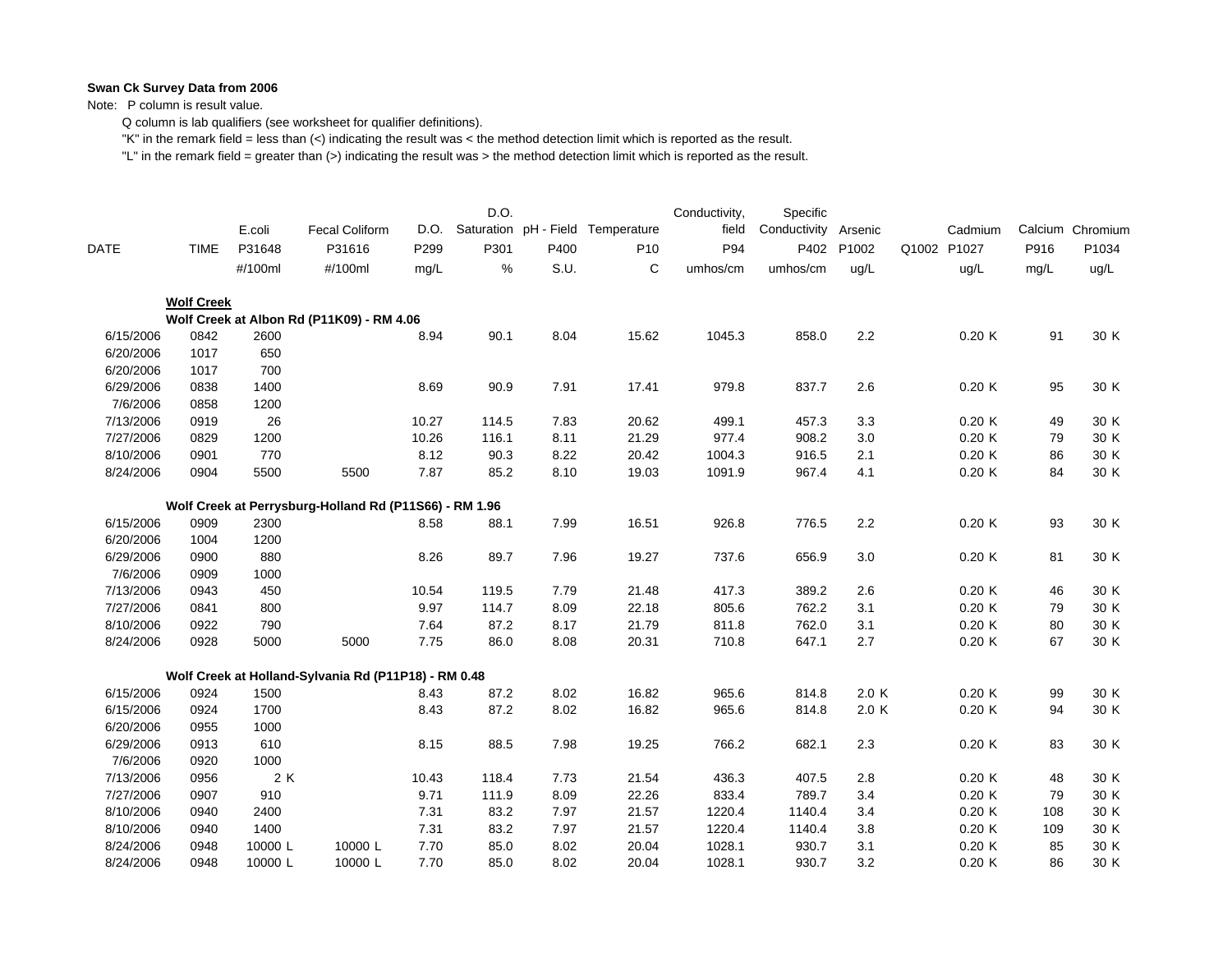Note: P column is result value.

Q column is lab qualifiers (see worksheet for qualifier definitions).

"K" in the remark field = less than (<) indicating the result was < the method detection limit which is reported as the result.

|             |                   | E.coli  | <b>Fecal Coliform</b>                                  | D.O.  | D.O.  |      | Saturation pH - Field Temperature | Conductivity,<br>field | Specific<br>Conductivity | Arsenic | Cadmium     |      | Calcium Chromium |
|-------------|-------------------|---------|--------------------------------------------------------|-------|-------|------|-----------------------------------|------------------------|--------------------------|---------|-------------|------|------------------|
| <b>DATE</b> | <b>TIME</b>       | P31648  | P31616                                                 | P299  | P301  | P400 | P <sub>10</sub>                   | P94                    | P402                     | P1002   | Q1002 P1027 | P916 | P1034            |
|             |                   | #/100ml | #/100ml                                                | mg/L  | %     | S.U. | C                                 | umhos/cm               | umhos/cm                 | ug/L    | uq/L        | mg/L | ug/L             |
|             | <b>Wolf Creek</b> |         |                                                        |       |       |      |                                   |                        |                          |         |             |      |                  |
|             |                   |         | Wolf Creek at Albon Rd (P11K09) - RM 4.06              |       |       |      |                                   |                        |                          |         |             |      |                  |
| 6/15/2006   | 0842              | 2600    |                                                        | 8.94  | 90.1  | 8.04 | 15.62                             | 1045.3                 | 858.0                    | 2.2     | 0.20K       | 91   | 30 K             |
| 6/20/2006   | 1017              | 650     |                                                        |       |       |      |                                   |                        |                          |         |             |      |                  |
| 6/20/2006   | 1017              | 700     |                                                        |       |       |      |                                   |                        |                          |         |             |      |                  |
| 6/29/2006   | 0838              | 1400    |                                                        | 8.69  | 90.9  | 7.91 | 17.41                             | 979.8                  | 837.7                    | 2.6     | 0.20K       | 95   | 30 K             |
| 7/6/2006    | 0858              | 1200    |                                                        |       |       |      |                                   |                        |                          |         |             |      |                  |
| 7/13/2006   | 0919              | 26      |                                                        | 10.27 | 114.5 | 7.83 | 20.62                             | 499.1                  | 457.3                    | 3.3     | 0.20K       | 49   | 30 K             |
| 7/27/2006   | 0829              | 1200    |                                                        | 10.26 | 116.1 | 8.11 | 21.29                             | 977.4                  | 908.2                    | 3.0     | 0.20K       | 79   | 30 K             |
| 8/10/2006   | 0901              | 770     |                                                        | 8.12  | 90.3  | 8.22 | 20.42                             | 1004.3                 | 916.5                    | 2.1     | 0.20K       | 86   | 30 K             |
| 8/24/2006   | 0904              | 5500    | 5500                                                   | 7.87  | 85.2  | 8.10 | 19.03                             | 1091.9                 | 967.4                    | 4.1     | 0.20K       | 84   | 30 K             |
|             |                   |         | Wolf Creek at Perrysburg-Holland Rd (P11S66) - RM 1.96 |       |       |      |                                   |                        |                          |         |             |      |                  |
| 6/15/2006   | 0909              | 2300    |                                                        | 8.58  | 88.1  | 7.99 | 16.51                             | 926.8                  | 776.5                    | 2.2     | 0.20K       | 93   | 30 K             |
| 6/20/2006   | 1004              | 1200    |                                                        |       |       |      |                                   |                        |                          |         |             |      |                  |
| 6/29/2006   | 0900              | 880     |                                                        | 8.26  | 89.7  | 7.96 | 19.27                             | 737.6                  | 656.9                    | 3.0     | 0.20K       | 81   | 30 K             |
| 7/6/2006    | 0909              | 1000    |                                                        |       |       |      |                                   |                        |                          |         |             |      |                  |
| 7/13/2006   | 0943              | 450     |                                                        | 10.54 | 119.5 | 7.79 | 21.48                             | 417.3                  | 389.2                    | 2.6     | 0.20K       | 46   | 30 K             |
| 7/27/2006   | 0841              | 800     |                                                        | 9.97  | 114.7 | 8.09 | 22.18                             | 805.6                  | 762.2                    | 3.1     | 0.20K       | 79   | 30 K             |
| 8/10/2006   | 0922              | 790     |                                                        | 7.64  | 87.2  | 8.17 | 21.79                             | 811.8                  | 762.0                    | 3.1     | 0.20K       | 80   | 30 K             |
| 8/24/2006   | 0928              | 5000    | 5000                                                   | 7.75  | 86.0  | 8.08 | 20.31                             | 710.8                  | 647.1                    | 2.7     | 0.20K       | 67   | 30 K             |
|             |                   |         | Wolf Creek at Holland-Sylvania Rd (P11P18) - RM 0.48   |       |       |      |                                   |                        |                          |         |             |      |                  |
| 6/15/2006   | 0924              | 1500    |                                                        | 8.43  | 87.2  | 8.02 | 16.82                             | 965.6                  | 814.8                    | 2.0K    | 0.20K       | 99   | 30 K             |
| 6/15/2006   | 0924              | 1700    |                                                        | 8.43  | 87.2  | 8.02 | 16.82                             | 965.6                  | 814.8                    | 2.0K    | 0.20K       | 94   | 30 K             |
| 6/20/2006   | 0955              | 1000    |                                                        |       |       |      |                                   |                        |                          |         |             |      |                  |
| 6/29/2006   | 0913              | 610     |                                                        | 8.15  | 88.5  | 7.98 | 19.25                             | 766.2                  | 682.1                    | 2.3     | 0.20K       | 83   | 30 K             |
| 7/6/2006    | 0920              | 1000    |                                                        |       |       |      |                                   |                        |                          |         |             |      |                  |
| 7/13/2006   | 0956              | 2 K     |                                                        | 10.43 | 118.4 | 7.73 | 21.54                             | 436.3                  | 407.5                    | 2.8     | 0.20K       | 48   | 30 K             |
| 7/27/2006   | 0907              | 910     |                                                        | 9.71  | 111.9 | 8.09 | 22.26                             | 833.4                  | 789.7                    | 3.4     | 0.20K       | 79   | 30 K             |
| 8/10/2006   | 0940              | 2400    |                                                        | 7.31  | 83.2  | 7.97 | 21.57                             | 1220.4                 | 1140.4                   | 3.4     | 0.20K       | 108  | 30 K             |
| 8/10/2006   | 0940              | 1400    |                                                        | 7.31  | 83.2  | 7.97 | 21.57                             | 1220.4                 | 1140.4                   | 3.8     | 0.20K       | 109  | 30 K             |
| 8/24/2006   | 0948              | 10000 L | 10000 L                                                | 7.70  | 85.0  | 8.02 | 20.04                             | 1028.1                 | 930.7                    | 3.1     | 0.20K       | 85   | 30 K             |
| 8/24/2006   | 0948              | 10000L  | 10000L                                                 | 7.70  | 85.0  | 8.02 | 20.04                             | 1028.1                 | 930.7                    | 3.2     | 0.20K       | 86   | 30 K             |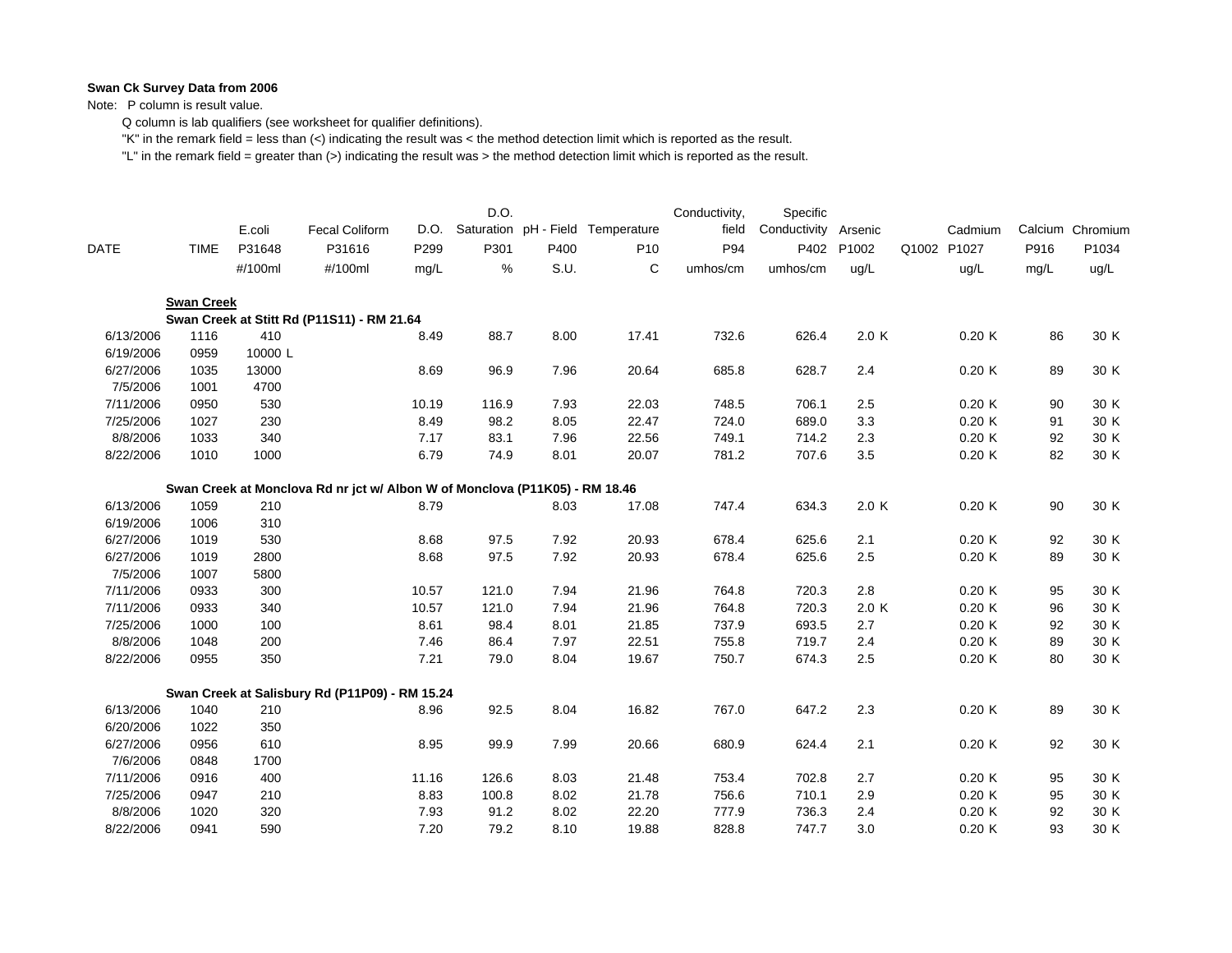Note: P column is result value.

Q column is lab qualifiers (see worksheet for qualifier definitions).

"K" in the remark field = less than (<) indicating the result was < the method detection limit which is reported as the result.

|             |                   | E.coli  | <b>Fecal Coliform</b>                                                       | D.O.  | D.O.  |      | Saturation pH - Field Temperature | Conductivity,<br>field | Specific<br>Conductivity | Arsenic | Cadmium     |      | Calcium Chromium |
|-------------|-------------------|---------|-----------------------------------------------------------------------------|-------|-------|------|-----------------------------------|------------------------|--------------------------|---------|-------------|------|------------------|
| <b>DATE</b> | <b>TIME</b>       | P31648  | P31616                                                                      | P299  | P301  | P400 | P <sub>10</sub>                   | P94                    | P402                     | P1002   | Q1002 P1027 | P916 | P1034            |
|             |                   | #/100ml | #/100ml                                                                     | mg/L  | $\%$  | S.U. | С                                 | umhos/cm               | umhos/cm                 | ug/L    | ug/L        | mg/L | ug/L             |
|             | <b>Swan Creek</b> |         |                                                                             |       |       |      |                                   |                        |                          |         |             |      |                  |
|             |                   |         | Swan Creek at Stitt Rd (P11S11) - RM 21.64                                  |       |       |      |                                   |                        |                          |         |             |      |                  |
| 6/13/2006   | 1116              | 410     |                                                                             | 8.49  | 88.7  | 8.00 | 17.41                             | 732.6                  | 626.4                    | 2.0 K   | 0.20K       | 86   | 30 K             |
| 6/19/2006   | 0959              | 10000L  |                                                                             |       |       |      |                                   |                        |                          |         |             |      |                  |
| 6/27/2006   | 1035              | 13000   |                                                                             | 8.69  | 96.9  | 7.96 | 20.64                             | 685.8                  | 628.7                    | 2.4     | 0.20K       | 89   | 30 K             |
| 7/5/2006    | 1001              | 4700    |                                                                             |       |       |      |                                   |                        |                          |         |             |      |                  |
| 7/11/2006   | 0950              | 530     |                                                                             | 10.19 | 116.9 | 7.93 | 22.03                             | 748.5                  | 706.1                    | 2.5     | 0.20K       | 90   | 30 K             |
| 7/25/2006   | 1027              | 230     |                                                                             | 8.49  | 98.2  | 8.05 | 22.47                             | 724.0                  | 689.0                    | 3.3     | 0.20K       | 91   | 30 K             |
| 8/8/2006    | 1033              | 340     |                                                                             | 7.17  | 83.1  | 7.96 | 22.56                             | 749.1                  | 714.2                    | 2.3     | 0.20K       | 92   | 30 K             |
| 8/22/2006   | 1010              | 1000    |                                                                             | 6.79  | 74.9  | 8.01 | 20.07                             | 781.2                  | 707.6                    | 3.5     | 0.20K       | 82   | 30 K             |
|             |                   |         | Swan Creek at Monclova Rd nr jct w/ Albon W of Monclova (P11K05) - RM 18.46 |       |       |      |                                   |                        |                          |         |             |      |                  |
| 6/13/2006   | 1059              | 210     |                                                                             | 8.79  |       | 8.03 | 17.08                             | 747.4                  | 634.3                    | 2.0 K   | 0.20K       | 90   | 30 K             |
| 6/19/2006   | 1006              | 310     |                                                                             |       |       |      |                                   |                        |                          |         |             |      |                  |
| 6/27/2006   | 1019              | 530     |                                                                             | 8.68  | 97.5  | 7.92 | 20.93                             | 678.4                  | 625.6                    | 2.1     | 0.20K       | 92   | 30 K             |
| 6/27/2006   | 1019              | 2800    |                                                                             | 8.68  | 97.5  | 7.92 | 20.93                             | 678.4                  | 625.6                    | 2.5     | 0.20K       | 89   | 30 K             |
| 7/5/2006    | 1007              | 5800    |                                                                             |       |       |      |                                   |                        |                          |         |             |      |                  |
| 7/11/2006   | 0933              | 300     |                                                                             | 10.57 | 121.0 | 7.94 | 21.96                             | 764.8                  | 720.3                    | 2.8     | 0.20K       | 95   | 30 K             |
| 7/11/2006   | 0933              | 340     |                                                                             | 10.57 | 121.0 | 7.94 | 21.96                             | 764.8                  | 720.3                    | 2.0 K   | 0.20K       | 96   | 30 K             |
| 7/25/2006   | 1000              | 100     |                                                                             | 8.61  | 98.4  | 8.01 | 21.85                             | 737.9                  | 693.5                    | 2.7     | 0.20K       | 92   | 30 K             |
| 8/8/2006    | 1048              | 200     |                                                                             | 7.46  | 86.4  | 7.97 | 22.51                             | 755.8                  | 719.7                    | 2.4     | 0.20K       | 89   | 30 K             |
| 8/22/2006   | 0955              | 350     |                                                                             | 7.21  | 79.0  | 8.04 | 19.67                             | 750.7                  | 674.3                    | 2.5     | 0.20K       | 80   | 30 K             |
|             |                   |         | Swan Creek at Salisbury Rd (P11P09) - RM 15.24                              |       |       |      |                                   |                        |                          |         |             |      |                  |
| 6/13/2006   | 1040              | 210     |                                                                             | 8.96  | 92.5  | 8.04 | 16.82                             | 767.0                  | 647.2                    | 2.3     | 0.20K       | 89   | 30 K             |
| 6/20/2006   | 1022              | 350     |                                                                             |       |       |      |                                   |                        |                          |         |             |      |                  |
| 6/27/2006   | 0956              | 610     |                                                                             | 8.95  | 99.9  | 7.99 | 20.66                             | 680.9                  | 624.4                    | 2.1     | 0.20K       | 92   | 30 K             |
| 7/6/2006    | 0848              | 1700    |                                                                             |       |       |      |                                   |                        |                          |         |             |      |                  |
| 7/11/2006   | 0916              | 400     |                                                                             | 11.16 | 126.6 | 8.03 | 21.48                             | 753.4                  | 702.8                    | 2.7     | 0.20K       | 95   | 30 K             |
| 7/25/2006   | 0947              | 210     |                                                                             | 8.83  | 100.8 | 8.02 | 21.78                             | 756.6                  | 710.1                    | 2.9     | 0.20K       | 95   | 30 K             |
| 8/8/2006    | 1020              | 320     |                                                                             | 7.93  | 91.2  | 8.02 | 22.20                             | 777.9                  | 736.3                    | 2.4     | 0.20K       | 92   | 30 K             |
| 8/22/2006   | 0941              | 590     |                                                                             | 7.20  | 79.2  | 8.10 | 19.88                             | 828.8                  | 747.7                    | 3.0     | 0.20K       | 93   | 30 K             |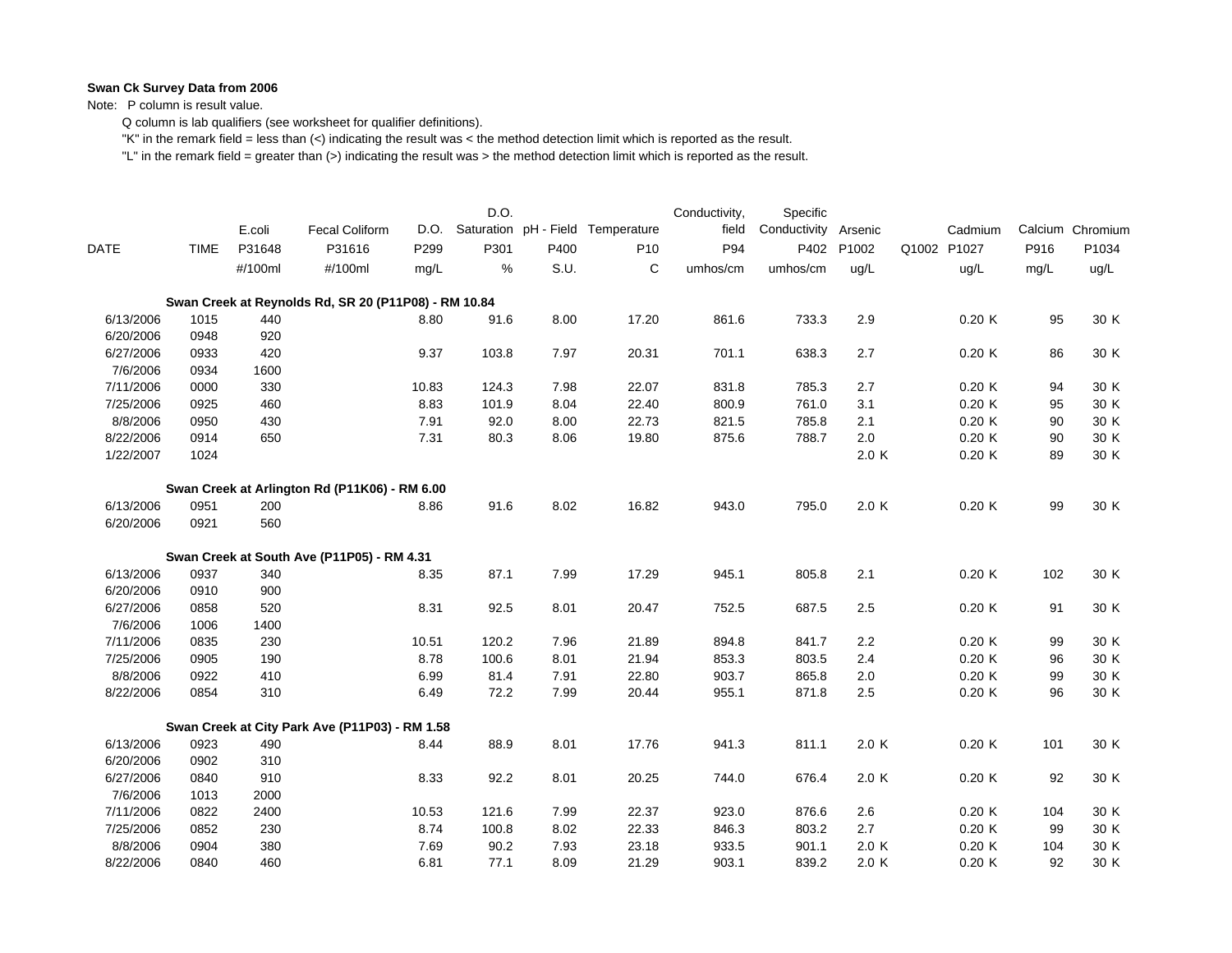Note: P column is result value.

Q column is lab qualifiers (see worksheet for qualifier definitions).

"K" in the remark field = less than (<) indicating the result was < the method detection limit which is reported as the result.

|           |             |         |                                                      |       | D.O.  |      |                                   | Conductivity, | Specific     |         |             |      |                  |
|-----------|-------------|---------|------------------------------------------------------|-------|-------|------|-----------------------------------|---------------|--------------|---------|-------------|------|------------------|
|           |             | E.coli  | <b>Fecal Coliform</b>                                | D.O.  |       |      | Saturation pH - Field Temperature | field         | Conductivity | Arsenic | Cadmium     |      | Calcium Chromium |
| DATE      | <b>TIME</b> | P31648  | P31616                                               | P299  | P301  | P400 | P <sub>10</sub>                   | P94           | P402         | P1002   | Q1002 P1027 | P916 | P1034            |
|           |             | #/100ml | #/100ml                                              | mg/L  | %     | S.U. | С                                 | umhos/cm      | umhos/cm     | ug/L    | uq/L        | mg/L | ug/L             |
|           |             |         | Swan Creek at Reynolds Rd, SR 20 (P11P08) - RM 10.84 |       |       |      |                                   |               |              |         |             |      |                  |
| 6/13/2006 | 1015        | 440     |                                                      | 8.80  | 91.6  | 8.00 | 17.20                             | 861.6         | 733.3        | 2.9     | 0.20K       | 95   | 30 K             |
| 6/20/2006 | 0948        | 920     |                                                      |       |       |      |                                   |               |              |         |             |      |                  |
| 6/27/2006 | 0933        | 420     |                                                      | 9.37  | 103.8 | 7.97 | 20.31                             | 701.1         | 638.3        | 2.7     | 0.20K       | 86   | 30 K             |
| 7/6/2006  | 0934        | 1600    |                                                      |       |       |      |                                   |               |              |         |             |      |                  |
| 7/11/2006 | 0000        | 330     |                                                      | 10.83 | 124.3 | 7.98 | 22.07                             | 831.8         | 785.3        | 2.7     | 0.20K       | 94   | 30 K             |
| 7/25/2006 | 0925        | 460     |                                                      | 8.83  | 101.9 | 8.04 | 22.40                             | 800.9         | 761.0        | 3.1     | 0.20K       | 95   | 30 K             |
| 8/8/2006  | 0950        | 430     |                                                      | 7.91  | 92.0  | 8.00 | 22.73                             | 821.5         | 785.8        | 2.1     | 0.20K       | 90   | 30 K             |
| 8/22/2006 | 0914        | 650     |                                                      | 7.31  | 80.3  | 8.06 | 19.80                             | 875.6         | 788.7        | 2.0     | 0.20K       | 90   | 30 K             |
| 1/22/2007 | 1024        |         |                                                      |       |       |      |                                   |               |              | 2.0 K   | 0.20K       | 89   | 30 K             |
|           |             |         | Swan Creek at Arlington Rd (P11K06) - RM 6.00        |       |       |      |                                   |               |              |         |             |      |                  |
| 6/13/2006 | 0951        | 200     |                                                      | 8.86  | 91.6  | 8.02 | 16.82                             | 943.0         | 795.0        | 2.0 K   | 0.20K       | 99   | 30 K             |
| 6/20/2006 | 0921        | 560     |                                                      |       |       |      |                                   |               |              |         |             |      |                  |
|           |             |         | Swan Creek at South Ave (P11P05) - RM 4.31           |       |       |      |                                   |               |              |         |             |      |                  |
| 6/13/2006 | 0937        | 340     |                                                      | 8.35  | 87.1  | 7.99 | 17.29                             | 945.1         | 805.8        | 2.1     | 0.20K       | 102  | 30 K             |
| 6/20/2006 | 0910        | 900     |                                                      |       |       |      |                                   |               |              |         |             |      |                  |
| 6/27/2006 | 0858        | 520     |                                                      | 8.31  | 92.5  | 8.01 | 20.47                             | 752.5         | 687.5        | 2.5     | 0.20K       | 91   | 30 K             |
| 7/6/2006  | 1006        | 1400    |                                                      |       |       |      |                                   |               |              |         |             |      |                  |
| 7/11/2006 | 0835        | 230     |                                                      | 10.51 | 120.2 | 7.96 | 21.89                             | 894.8         | 841.7        | 2.2     | 0.20K       | 99   | 30 K             |
| 7/25/2006 | 0905        | 190     |                                                      | 8.78  | 100.6 | 8.01 | 21.94                             | 853.3         | 803.5        | 2.4     | 0.20K       | 96   | 30 K             |
| 8/8/2006  | 0922        | 410     |                                                      | 6.99  | 81.4  | 7.91 | 22.80                             | 903.7         | 865.8        | 2.0     | 0.20K       | 99   | 30 K             |
| 8/22/2006 | 0854        | 310     |                                                      | 6.49  | 72.2  | 7.99 | 20.44                             | 955.1         | 871.8        | 2.5     | 0.20K       | 96   | 30 K             |
|           |             |         | Swan Creek at City Park Ave (P11P03) - RM 1.58       |       |       |      |                                   |               |              |         |             |      |                  |
| 6/13/2006 | 0923        | 490     |                                                      | 8.44  | 88.9  | 8.01 | 17.76                             | 941.3         | 811.1        | 2.0 K   | 0.20K       | 101  | 30 K             |
| 6/20/2006 | 0902        | 310     |                                                      |       |       |      |                                   |               |              |         |             |      |                  |
| 6/27/2006 | 0840        | 910     |                                                      | 8.33  | 92.2  | 8.01 | 20.25                             | 744.0         | 676.4        | 2.0 K   | 0.20K       | 92   | 30 K             |
| 7/6/2006  | 1013        | 2000    |                                                      |       |       |      |                                   |               |              |         |             |      |                  |
| 7/11/2006 | 0822        | 2400    |                                                      | 10.53 | 121.6 | 7.99 | 22.37                             | 923.0         | 876.6        | 2.6     | 0.20K       | 104  | 30 K             |
| 7/25/2006 | 0852        | 230     |                                                      | 8.74  | 100.8 | 8.02 | 22.33                             | 846.3         | 803.2        | 2.7     | 0.20K       | 99   | 30 K             |
| 8/8/2006  | 0904        | 380     |                                                      | 7.69  | 90.2  | 7.93 | 23.18                             | 933.5         | 901.1        | 2.0 K   | 0.20K       | 104  | 30 K             |
| 8/22/2006 | 0840        | 460     |                                                      | 6.81  | 77.1  | 8.09 | 21.29                             | 903.1         | 839.2        | 2.0 K   | 0.20K       | 92   | 30 K             |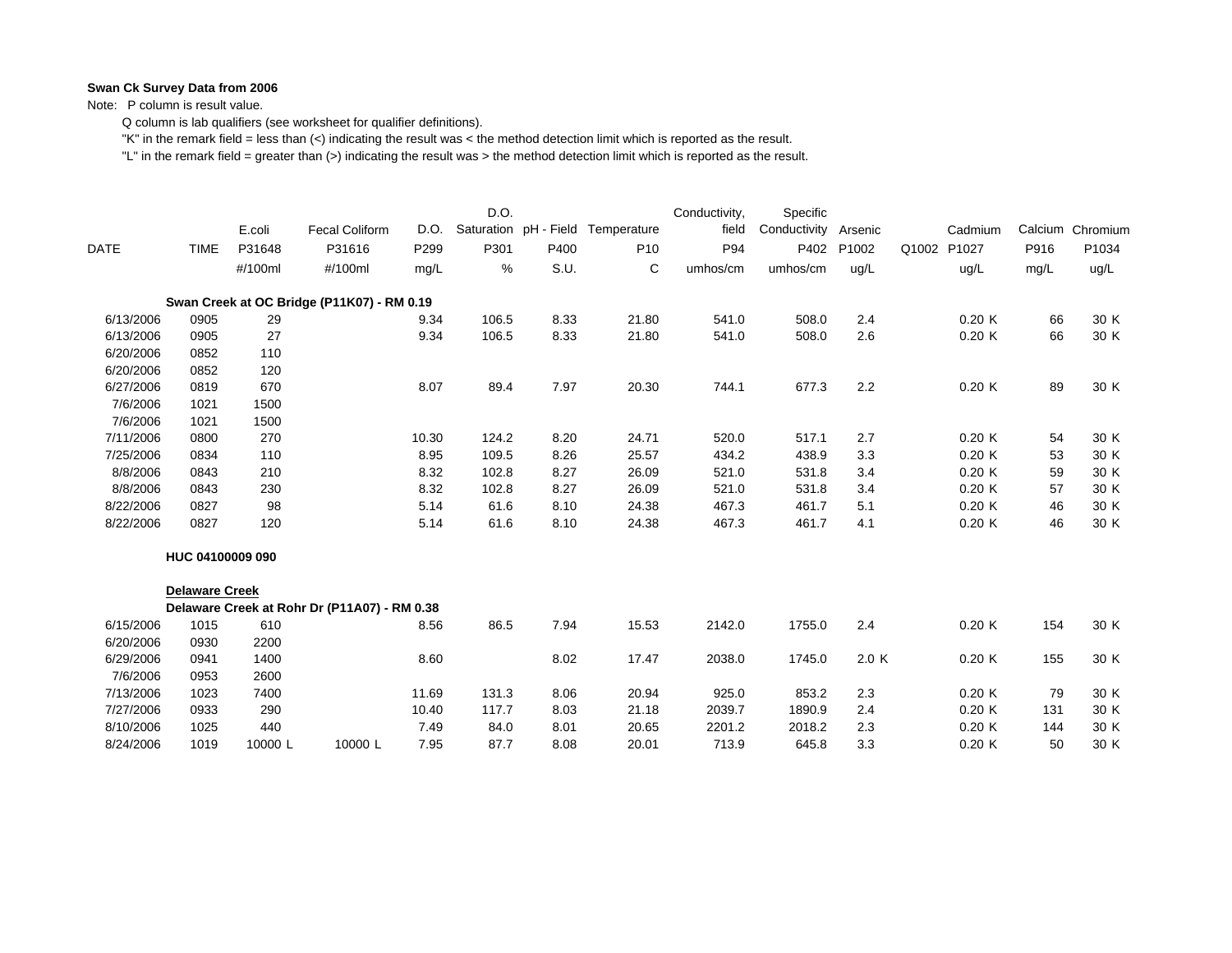Note: P column is result value.

Q column is lab qualifiers (see worksheet for qualifier definitions).

"K" in the remark field = less than (<) indicating the result was < the method detection limit which is reported as the result.

|           |                       |         |                                              |       | D.O.  |                       |                 | Conductivity, | Specific     |         |                |              |                  |
|-----------|-----------------------|---------|----------------------------------------------|-------|-------|-----------------------|-----------------|---------------|--------------|---------|----------------|--------------|------------------|
|           |                       | E.coli  | <b>Fecal Coliform</b>                        | D.O.  |       | Saturation pH - Field | Temperature     | field         | Conductivity | Arsenic |                | Cadmium      | Calcium Chromium |
| DATE      | <b>TIME</b>           | P31648  | P31616                                       | P299  | P301  | P400                  | P <sub>10</sub> | P94           | P402         | P1002   | Q1002<br>P1027 | P916         | P1034            |
|           |                       | #/100ml | #/100ml                                      | mg/L  | %     | S.U.                  | С               | umhos/cm      | umhos/cm     | ug/L    | ug/L           | mg/L         | ug/L             |
|           |                       |         | Swan Creek at OC Bridge (P11K07) - RM 0.19   |       |       |                       |                 |               |              |         |                |              |                  |
| 6/13/2006 | 0905                  | 29      |                                              | 9.34  | 106.5 | 8.33                  | 21.80           | 541.0         | 508.0        | 2.4     |                | 0.20K<br>66  | 30 K             |
| 6/13/2006 | 0905                  | 27      |                                              | 9.34  | 106.5 | 8.33                  | 21.80           | 541.0         | 508.0        | 2.6     |                | 0.20K<br>66  | 30 K             |
| 6/20/2006 | 0852                  | 110     |                                              |       |       |                       |                 |               |              |         |                |              |                  |
| 6/20/2006 | 0852                  | 120     |                                              |       |       |                       |                 |               |              |         |                |              |                  |
| 6/27/2006 | 0819                  | 670     |                                              | 8.07  | 89.4  | 7.97                  | 20.30           | 744.1         | 677.3        | 2.2     |                | 0.20K<br>89  | 30 K             |
| 7/6/2006  | 1021                  | 1500    |                                              |       |       |                       |                 |               |              |         |                |              |                  |
| 7/6/2006  | 1021                  | 1500    |                                              |       |       |                       |                 |               |              |         |                |              |                  |
| 7/11/2006 | 0800                  | 270     |                                              | 10.30 | 124.2 | 8.20                  | 24.71           | 520.0         | 517.1        | 2.7     |                | 0.20K<br>54  | 30 K             |
| 7/25/2006 | 0834                  | 110     |                                              | 8.95  | 109.5 | 8.26                  | 25.57           | 434.2         | 438.9        | 3.3     |                | 0.20K<br>53  | 30 K             |
| 8/8/2006  | 0843                  | 210     |                                              | 8.32  | 102.8 | 8.27                  | 26.09           | 521.0         | 531.8        | 3.4     |                | 0.20K<br>59  | 30 K             |
| 8/8/2006  | 0843                  | 230     |                                              | 8.32  | 102.8 | 8.27                  | 26.09           | 521.0         | 531.8        | 3.4     |                | 0.20K<br>57  | 30 K             |
| 8/22/2006 | 0827                  | 98      |                                              | 5.14  | 61.6  | 8.10                  | 24.38           | 467.3         | 461.7        | 5.1     |                | 0.20K<br>46  | 30 K             |
| 8/22/2006 | 0827                  | 120     |                                              | 5.14  | 61.6  | 8.10                  | 24.38           | 467.3         | 461.7        | 4.1     |                | 0.20K<br>46  | 30 K             |
|           | HUC 04100009 090      |         |                                              |       |       |                       |                 |               |              |         |                |              |                  |
|           | <b>Delaware Creek</b> |         |                                              |       |       |                       |                 |               |              |         |                |              |                  |
|           |                       |         | Delaware Creek at Rohr Dr (P11A07) - RM 0.38 |       |       |                       |                 |               |              |         |                |              |                  |
| 6/15/2006 | 1015                  | 610     |                                              | 8.56  | 86.5  | 7.94                  | 15.53           | 2142.0        | 1755.0       | 2.4     |                | 154<br>0.20K | 30 K             |
| 6/20/2006 | 0930                  | 2200    |                                              |       |       |                       |                 |               |              |         |                |              |                  |
| 6/29/2006 | 0941                  | 1400    |                                              | 8.60  |       | 8.02                  | 17.47           | 2038.0        | 1745.0       | 2.0 K   |                | 0.20K<br>155 | 30 K             |
| 7/6/2006  | 0953                  | 2600    |                                              |       |       |                       |                 |               |              |         |                |              |                  |
| 7/13/2006 | 1023                  | 7400    |                                              | 11.69 | 131.3 | 8.06                  | 20.94           | 925.0         | 853.2        | 2.3     |                | 0.20K<br>79  | 30 K             |
| 7/27/2006 | 0933                  | 290     |                                              | 10.40 | 117.7 | 8.03                  | 21.18           | 2039.7        | 1890.9       | 2.4     |                | 0.20K<br>131 | 30 K             |
| 8/10/2006 | 1025                  | 440     |                                              | 7.49  | 84.0  | 8.01                  | 20.65           | 2201.2        | 2018.2       | 2.3     |                | 0.20K<br>144 | 30 K             |
| 8/24/2006 | 1019                  | 10000L  | 10000 L                                      | 7.95  | 87.7  | 8.08                  | 20.01           | 713.9         | 645.8        | 3.3     |                | 0.20K<br>50  | 30 K             |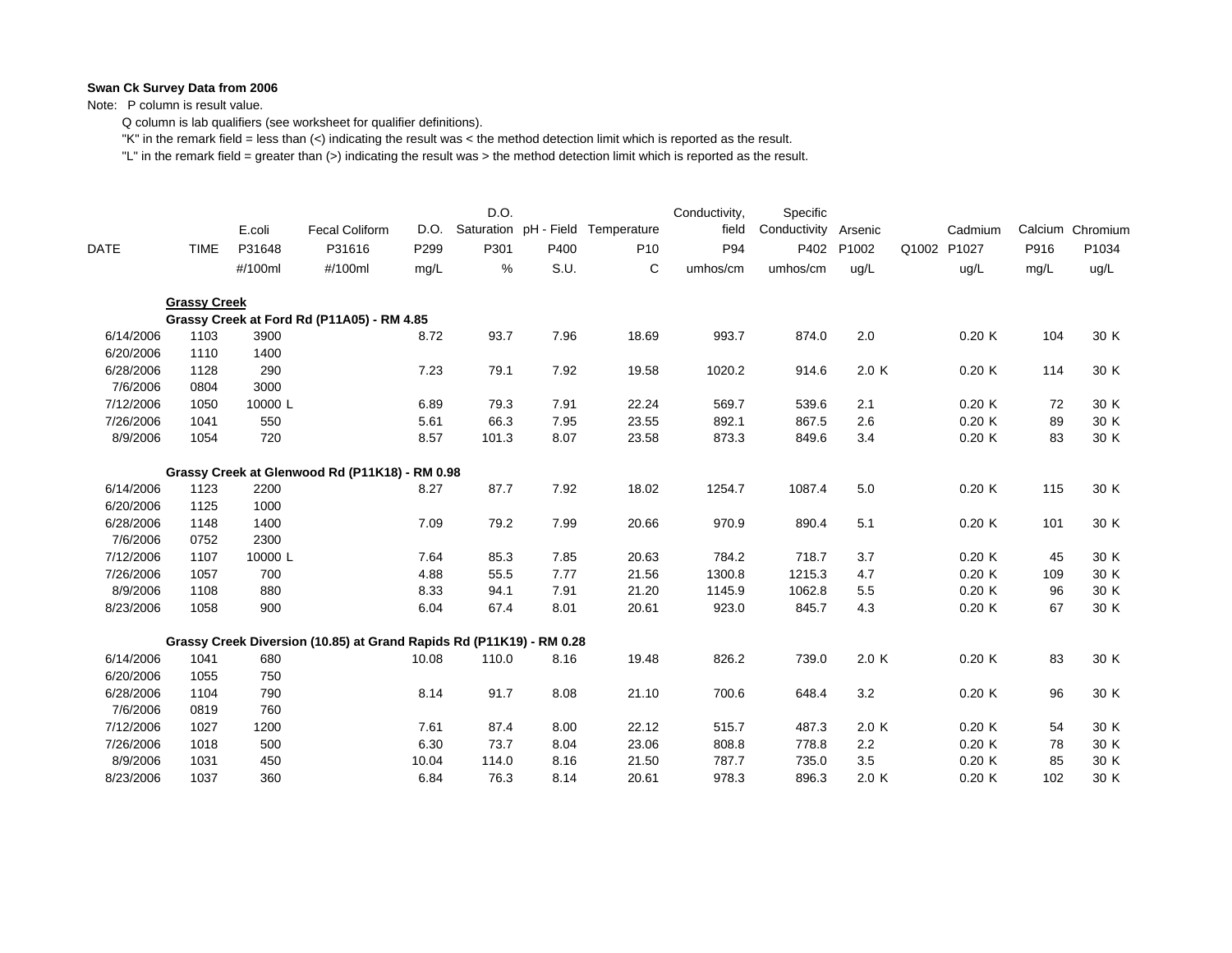Note: P column is result value.

Q column is lab qualifiers (see worksheet for qualifier definitions).

"K" in the remark field = less than (<) indicating the result was < the method detection limit which is reported as the result.

|             |                     |         |                                                                      |       | D.O.  |      |                                   | Conductivity, | Specific             |       |       |         |      |                  |
|-------------|---------------------|---------|----------------------------------------------------------------------|-------|-------|------|-----------------------------------|---------------|----------------------|-------|-------|---------|------|------------------|
|             |                     | E.coli  | <b>Fecal Coliform</b>                                                | D.O.  |       |      | Saturation pH - Field Temperature | field         | Conductivity Arsenic |       |       | Cadmium |      | Calcium Chromium |
| <b>DATE</b> | <b>TIME</b>         | P31648  | P31616                                                               | P299  | P301  | P400 | P <sub>10</sub>                   | P94           | P402                 | P1002 | Q1002 | P1027   | P916 | P1034            |
|             |                     | #/100ml | #/100ml                                                              | mg/L  | %     | S.U. | C                                 | umhos/cm      | umhos/cm             | ug/L  |       | ug/L    | mg/L | ug/L             |
|             | <b>Grassy Creek</b> |         |                                                                      |       |       |      |                                   |               |                      |       |       |         |      |                  |
|             |                     |         | Grassy Creek at Ford Rd (P11A05) - RM 4.85                           |       |       |      |                                   |               |                      |       |       |         |      |                  |
| 6/14/2006   | 1103                | 3900    |                                                                      | 8.72  | 93.7  | 7.96 | 18.69                             | 993.7         | 874.0                | 2.0   |       | 0.20K   | 104  | 30 K             |
| 6/20/2006   | 1110                | 1400    |                                                                      |       |       |      |                                   |               |                      |       |       |         |      |                  |
| 6/28/2006   | 1128                | 290     |                                                                      | 7.23  | 79.1  | 7.92 | 19.58                             | 1020.2        | 914.6                | 2.0 K |       | 0.20K   | 114  | 30 K             |
| 7/6/2006    | 0804                | 3000    |                                                                      |       |       |      |                                   |               |                      |       |       |         |      |                  |
| 7/12/2006   | 1050                | 10000 L |                                                                      | 6.89  | 79.3  | 7.91 | 22.24                             | 569.7         | 539.6                | 2.1   |       | 0.20K   | 72   | 30 K             |
| 7/26/2006   | 1041                | 550     |                                                                      | 5.61  | 66.3  | 7.95 | 23.55                             | 892.1         | 867.5                | 2.6   |       | 0.20K   | 89   | 30 K             |
| 8/9/2006    | 1054                | 720     |                                                                      | 8.57  | 101.3 | 8.07 | 23.58                             | 873.3         | 849.6                | 3.4   |       | 0.20K   | 83   | 30 K             |
|             |                     |         | Grassy Creek at Glenwood Rd (P11K18) - RM 0.98                       |       |       |      |                                   |               |                      |       |       |         |      |                  |
| 6/14/2006   | 1123                | 2200    |                                                                      | 8.27  | 87.7  | 7.92 | 18.02                             | 1254.7        | 1087.4               | $5.0$ |       | 0.20K   | 115  | 30 K             |
| 6/20/2006   | 1125                | 1000    |                                                                      |       |       |      |                                   |               |                      |       |       |         |      |                  |
| 6/28/2006   | 1148                | 1400    |                                                                      | 7.09  | 79.2  | 7.99 | 20.66                             | 970.9         | 890.4                | 5.1   |       | 0.20K   | 101  | 30 K             |
| 7/6/2006    | 0752                | 2300    |                                                                      |       |       |      |                                   |               |                      |       |       |         |      |                  |
| 7/12/2006   | 1107                | 10000L  |                                                                      | 7.64  | 85.3  | 7.85 | 20.63                             | 784.2         | 718.7                | 3.7   |       | 0.20K   | 45   | 30 K             |
| 7/26/2006   | 1057                | 700     |                                                                      | 4.88  | 55.5  | 7.77 | 21.56                             | 1300.8        | 1215.3               | 4.7   |       | 0.20K   | 109  | 30 K             |
| 8/9/2006    | 1108                | 880     |                                                                      | 8.33  | 94.1  | 7.91 | 21.20                             | 1145.9        | 1062.8               | 5.5   |       | 0.20K   | 96   | 30 K             |
| 8/23/2006   | 1058                | 900     |                                                                      | 6.04  | 67.4  | 8.01 | 20.61                             | 923.0         | 845.7                | 4.3   |       | 0.20K   | 67   | 30 K             |
|             |                     |         | Grassy Creek Diversion (10.85) at Grand Rapids Rd (P11K19) - RM 0.28 |       |       |      |                                   |               |                      |       |       |         |      |                  |
| 6/14/2006   | 1041                | 680     |                                                                      | 10.08 | 110.0 | 8.16 | 19.48                             | 826.2         | 739.0                | 2.0K  |       | 0.20K   | 83   | 30 K             |
| 6/20/2006   | 1055                | 750     |                                                                      |       |       |      |                                   |               |                      |       |       |         |      |                  |
| 6/28/2006   | 1104                | 790     |                                                                      | 8.14  | 91.7  | 8.08 | 21.10                             | 700.6         | 648.4                | 3.2   |       | 0.20K   | 96   | 30 K             |
| 7/6/2006    | 0819                | 760     |                                                                      |       |       |      |                                   |               |                      |       |       |         |      |                  |
| 7/12/2006   | 1027                | 1200    |                                                                      | 7.61  | 87.4  | 8.00 | 22.12                             | 515.7         | 487.3                | 2.0K  |       | 0.20K   | 54   | 30 K             |
| 7/26/2006   | 1018                | 500     |                                                                      | 6.30  | 73.7  | 8.04 | 23.06                             | 808.8         | 778.8                | 2.2   |       | 0.20K   | 78   | 30 K             |
| 8/9/2006    | 1031                | 450     |                                                                      | 10.04 | 114.0 | 8.16 | 21.50                             | 787.7         | 735.0                | 3.5   |       | 0.20K   | 85   | 30 K             |
| 8/23/2006   | 1037                | 360     |                                                                      | 6.84  | 76.3  | 8.14 | 20.61                             | 978.3         | 896.3                | 2.0K  |       | 0.20K   | 102  | 30 K             |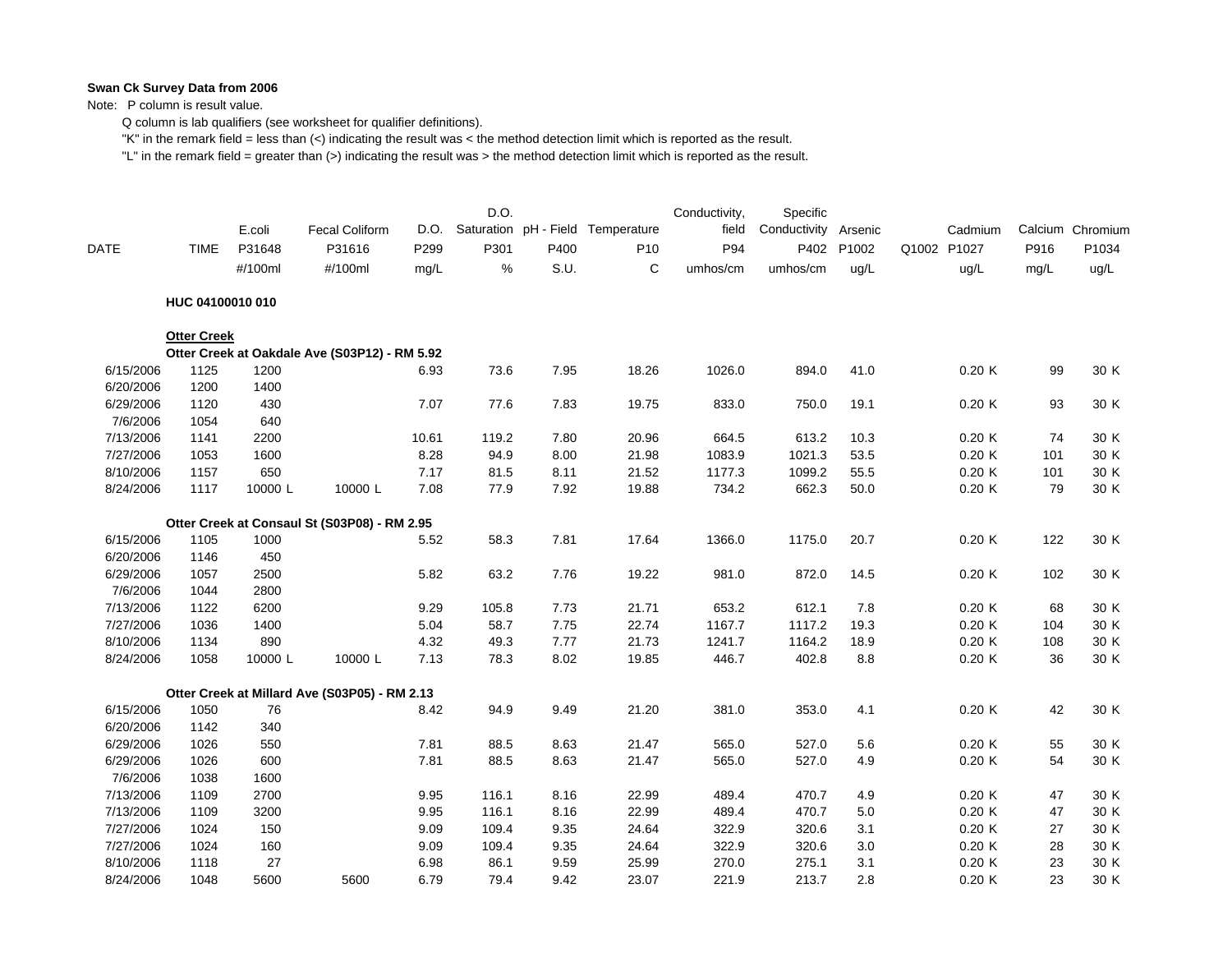Note: P column is result value.

Q column is lab qualifiers (see worksheet for qualifier definitions).

"K" in the remark field = less than (<) indicating the result was < the method detection limit which is reported as the result.

|             |                    | E.coli  | <b>Fecal Coliform</b>                         | D.O.  | D.O.         |      | Saturation pH - Field Temperature | Conductivity,<br>field | Specific<br>Conductivity | Arsenic | Cadmium     |           | Calcium Chromium |
|-------------|--------------------|---------|-----------------------------------------------|-------|--------------|------|-----------------------------------|------------------------|--------------------------|---------|-------------|-----------|------------------|
| <b>DATE</b> | <b>TIME</b>        | P31648  | P31616                                        | P299  | P301         | P400 | P <sub>10</sub>                   | P94                    | P402                     | P1002   | Q1002 P1027 | P916      | P1034            |
|             |                    | #/100ml | #/100ml                                       | mg/L  | $\%$         | S.U. | C                                 | umhos/cm               | umhos/cm                 | ug/L    | ug/L        | mg/L      | ug/L             |
|             | HUC 04100010 010   |         |                                               |       |              |      |                                   |                        |                          |         |             |           |                  |
|             | <b>Otter Creek</b> |         |                                               |       |              |      |                                   |                        |                          |         |             |           |                  |
|             |                    |         | Otter Creek at Oakdale Ave (S03P12) - RM 5.92 |       |              |      |                                   |                        |                          |         |             |           |                  |
| 6/15/2006   | 1125               | 1200    |                                               | 6.93  | 73.6         | 7.95 | 18.26                             | 1026.0                 | 894.0                    | 41.0    | 0.20K       | 99        | 30 K             |
| 6/20/2006   | 1200               | 1400    |                                               |       |              |      |                                   |                        |                          |         |             |           |                  |
| 6/29/2006   | 1120               | 430     |                                               | 7.07  | 77.6         | 7.83 | 19.75                             | 833.0                  | 750.0                    | 19.1    | 0.20K       | 93        | 30 K             |
| 7/6/2006    | 1054               | 640     |                                               |       |              |      |                                   |                        |                          |         |             |           |                  |
| 7/13/2006   | 1141               | 2200    |                                               | 10.61 | 119.2        | 7.80 | 20.96                             | 664.5                  | 613.2                    | 10.3    | 0.20K       | 74        | 30 K             |
| 7/27/2006   | 1053               | 1600    |                                               | 8.28  | 94.9         | 8.00 | 21.98                             | 1083.9                 | 1021.3                   | 53.5    | 0.20K       | 101       | 30 K             |
| 8/10/2006   | 1157               | 650     |                                               | 7.17  | 81.5<br>77.9 | 8.11 | 21.52                             | 1177.3                 | 1099.2                   | 55.5    | 0.20K       | 101<br>79 | 30 K             |
| 8/24/2006   | 1117               | 10000L  | 10000L                                        | 7.08  |              | 7.92 | 19.88                             | 734.2                  | 662.3                    | 50.0    | 0.20K       |           | 30 K             |
|             |                    |         | Otter Creek at Consaul St (S03P08) - RM 2.95  |       |              |      |                                   |                        |                          |         |             |           |                  |
| 6/15/2006   | 1105               | 1000    |                                               | 5.52  | 58.3         | 7.81 | 17.64                             | 1366.0                 | 1175.0                   | 20.7    | 0.20K       | 122       | 30 K             |
| 6/20/2006   | 1146               | 450     |                                               |       |              |      |                                   |                        |                          |         |             |           |                  |
| 6/29/2006   | 1057               | 2500    |                                               | 5.82  | 63.2         | 7.76 | 19.22                             | 981.0                  | 872.0                    | 14.5    | 0.20K       | 102       | 30 K             |
| 7/6/2006    | 1044               | 2800    |                                               |       |              |      |                                   |                        |                          |         |             |           |                  |
| 7/13/2006   | 1122               | 6200    |                                               | 9.29  | 105.8        | 7.73 | 21.71                             | 653.2                  | 612.1                    | 7.8     | 0.20K       | 68        | 30 K             |
| 7/27/2006   | 1036               | 1400    |                                               | 5.04  | 58.7         | 7.75 | 22.74                             | 1167.7                 | 1117.2                   | 19.3    | 0.20K       | 104       | 30 K             |
| 8/10/2006   | 1134               | 890     |                                               | 4.32  | 49.3         | 7.77 | 21.73                             | 1241.7                 | 1164.2                   | 18.9    | 0.20K       | 108       | 30 K             |
| 8/24/2006   | 1058               | 10000L  | 10000L                                        | 7.13  | 78.3         | 8.02 | 19.85                             | 446.7                  | 402.8                    | 8.8     | 0.20K       | 36        | 30 K             |
|             |                    |         | Otter Creek at Millard Ave (S03P05) - RM 2.13 |       |              |      |                                   |                        |                          |         |             |           |                  |
| 6/15/2006   | 1050               | 76      |                                               | 8.42  | 94.9         | 9.49 | 21.20                             | 381.0                  | 353.0                    | 4.1     | 0.20K       | 42        | 30 K             |
| 6/20/2006   | 1142               | 340     |                                               |       |              |      |                                   |                        |                          |         |             |           |                  |
| 6/29/2006   | 1026               | 550     |                                               | 7.81  | 88.5         | 8.63 | 21.47                             | 565.0                  | 527.0                    | 5.6     | 0.20K       | 55        | 30 K             |
| 6/29/2006   | 1026               | 600     |                                               | 7.81  | 88.5         | 8.63 | 21.47                             | 565.0                  | 527.0                    | 4.9     | 0.20K       | 54        | 30 K             |
| 7/6/2006    | 1038               | 1600    |                                               |       |              |      |                                   |                        |                          |         |             |           |                  |
| 7/13/2006   | 1109               | 2700    |                                               | 9.95  | 116.1        | 8.16 | 22.99                             | 489.4                  | 470.7                    | 4.9     | 0.20K       | 47        | 30 K             |
| 7/13/2006   | 1109               | 3200    |                                               | 9.95  | 116.1        | 8.16 | 22.99                             | 489.4                  | 470.7                    | 5.0     | 0.20K       | 47        | 30 K             |
| 7/27/2006   | 1024               | 150     |                                               | 9.09  | 109.4        | 9.35 | 24.64                             | 322.9                  | 320.6                    | 3.1     | 0.20K       | 27        | 30 K             |
| 7/27/2006   | 1024               | 160     |                                               | 9.09  | 109.4        | 9.35 | 24.64                             | 322.9                  | 320.6                    | 3.0     | 0.20K       | 28        | 30 K             |
| 8/10/2006   | 1118               | 27      |                                               | 6.98  | 86.1         | 9.59 | 25.99                             | 270.0                  | 275.1                    | 3.1     | 0.20K       | 23        | 30 K             |
| 8/24/2006   | 1048               | 5600    | 5600                                          | 6.79  | 79.4         | 9.42 | 23.07                             | 221.9                  | 213.7                    | 2.8     | 0.20K       | 23        | 30 K             |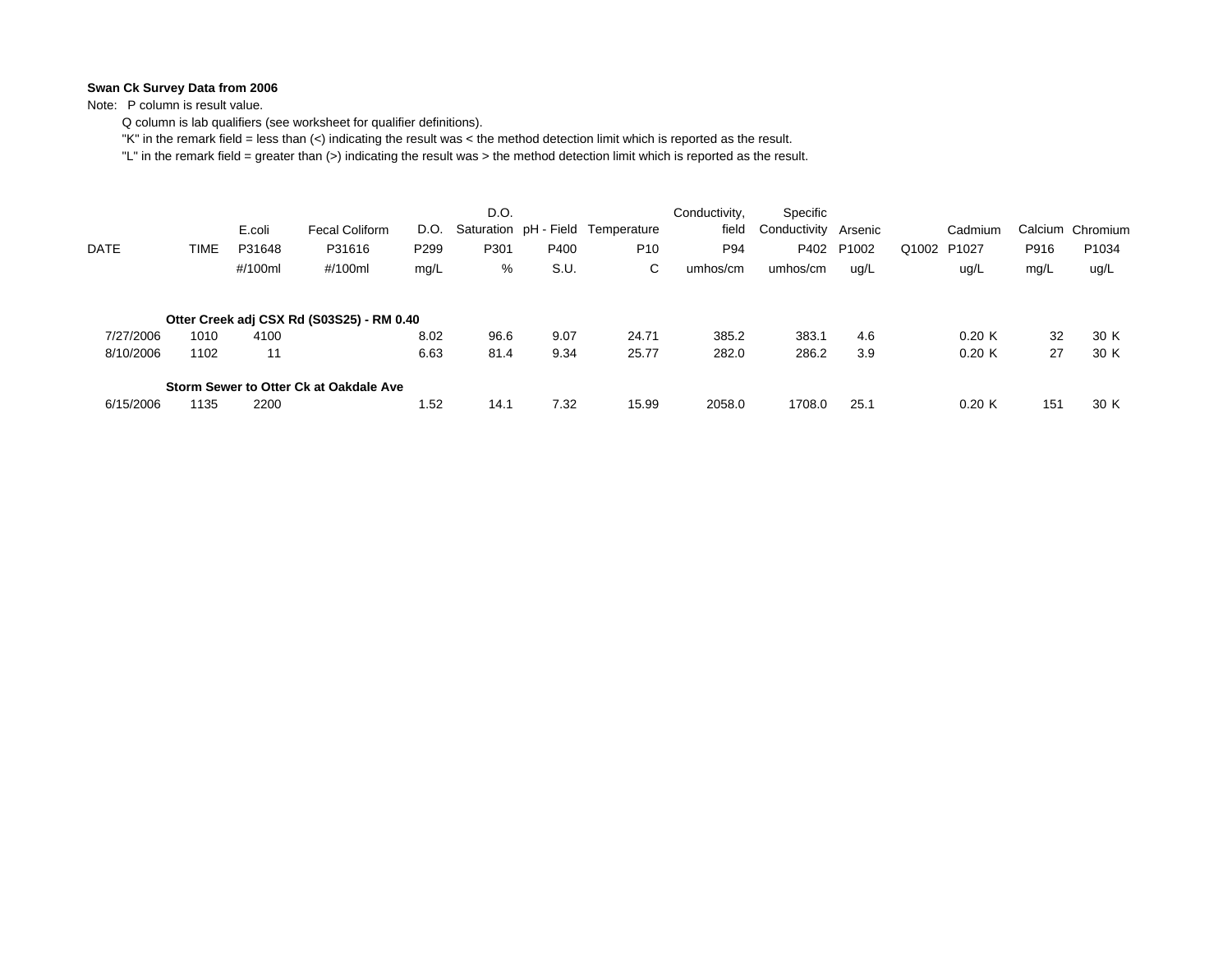Note: P column is result value.

Q column is lab qualifiers (see worksheet for qualifier definitions).

"K" in the remark field = less than (<) indicating the result was < the method detection limit which is reported as the result.

|           |      | E.coli  | Fecal Coliform                            | D.O.             | D.O. |      | Saturation pH - Field Temperature | Conductivity,<br>field | Specific<br>Conductivity Arsenic |       |             | Cadmium |      | Calcium Chromium |
|-----------|------|---------|-------------------------------------------|------------------|------|------|-----------------------------------|------------------------|----------------------------------|-------|-------------|---------|------|------------------|
| DATE      | TIME | P31648  | P31616                                    | P <sub>299</sub> | P301 | P400 | P <sub>10</sub>                   | P94                    | P402                             | P1002 | Q1002 P1027 |         | P916 | P1034            |
|           |      | #/100ml | #/100ml                                   | mg/L             | %    | S.U. | C.                                | umhos/cm               | umhos/cm                         | ug/L  |             | ug/L    | mg/L | ug/L             |
|           |      |         | Otter Creek adj CSX Rd (S03S25) - RM 0.40 |                  |      |      |                                   |                        |                                  |       |             |         |      |                  |
| 7/27/2006 | 1010 | 4100    |                                           | 8.02             | 96.6 | 9.07 | 24.71                             | 385.2                  | 383.1                            | 4.6   |             | 0.20K   | 32   | 30 K             |
| 8/10/2006 | 1102 | 11      |                                           | 6.63             | 81.4 | 9.34 | 25.77                             | 282.0                  | 286.2                            | 3.9   |             | 0.20K   | 27   | 30 K             |
|           |      |         | Storm Sewer to Otter Ck at Oakdale Ave    |                  |      |      |                                   |                        |                                  |       |             |         |      |                  |
| 6/15/2006 | 1135 | 2200    |                                           | 1.52             | 14.1 | 7.32 | 15.99                             | 2058.0                 | 1708.0                           | 25.1  |             | 0.20K   | 151  | 30 K             |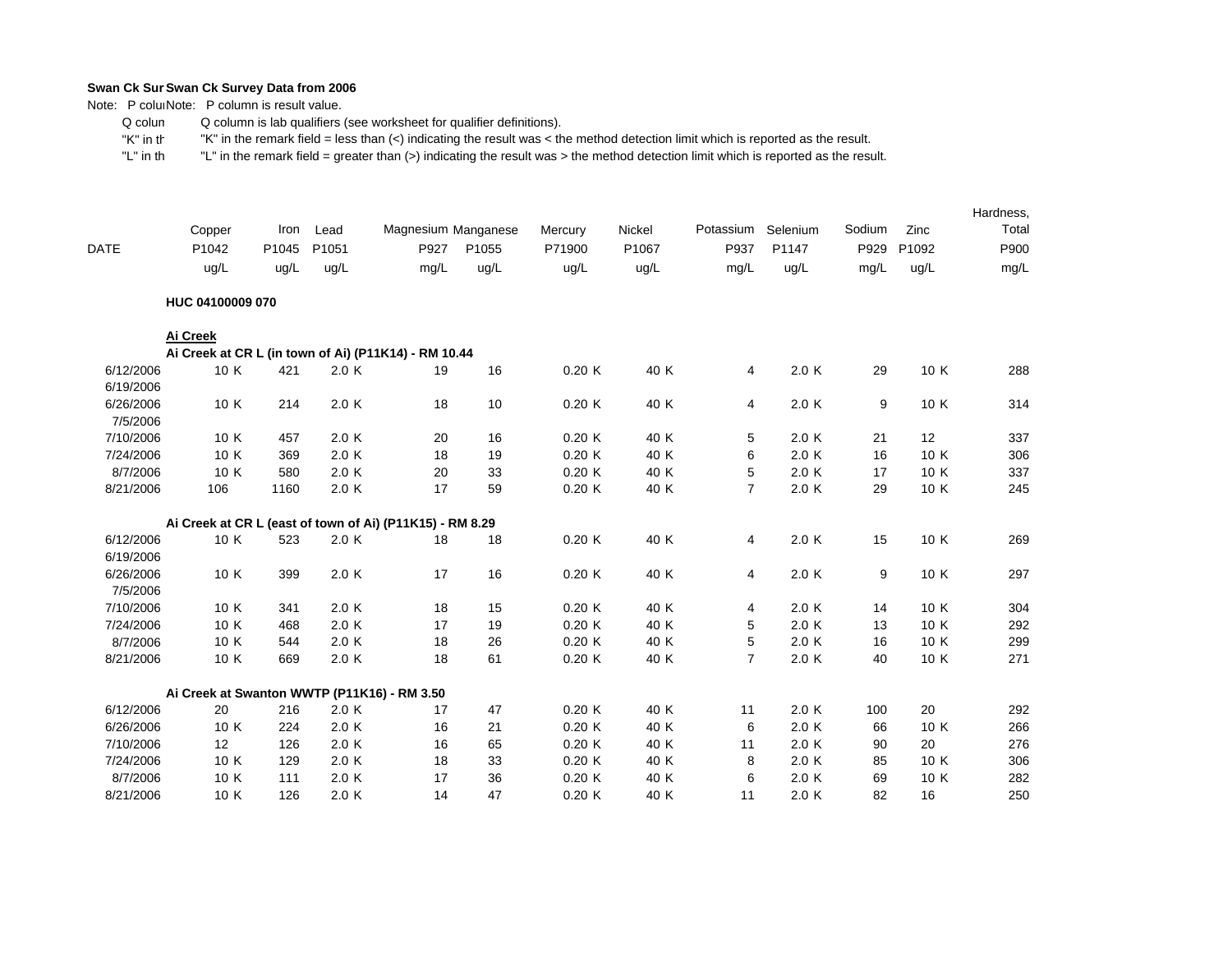Note: P coluiNote: P column is result value.

 Q colum Q column is lab qualifiers (see worksheet for qualifier definitions).

 "K" in th"K" in the remark field = less than (<) indicating the result was < the method detection limit which is reported as the result.

|             | Copper                                                   | Iron  | Lead  | Magnesium Manganese |       | Mercury | Nickel | Potassium      | Selenium | Sodium | Zinc  | Hardness,<br>Total |
|-------------|----------------------------------------------------------|-------|-------|---------------------|-------|---------|--------|----------------|----------|--------|-------|--------------------|
| <b>DATE</b> | P1042                                                    | P1045 | P1051 | P927                | P1055 | P71900  | P1067  | P937           | P1147    | P929   | P1092 | P900               |
|             | ug/L                                                     | ug/L  | ug/L  | mg/L                | ug/L  | ug/L    | ug/L   | mg/L           | uq/L     | mg/L   | ug/L  | mg/L               |
|             | HUC 04100009 070                                         |       |       |                     |       |         |        |                |          |        |       |                    |
|             | Ai Creek                                                 |       |       |                     |       |         |        |                |          |        |       |                    |
|             | Ai Creek at CR L (in town of Ai) (P11K14) - RM 10.44     |       |       |                     |       |         |        |                |          |        |       |                    |
| 6/12/2006   | 10 K                                                     | 421   | 2.0K  | 19                  | 16    | 0.20K   | 40 K   | 4              | 2.0K     | 29     | 10 K  | 288                |
| 6/19/2006   |                                                          |       |       |                     |       |         |        |                |          |        |       |                    |
| 6/26/2006   | 10 K                                                     | 214   | 2.0K  | 18                  | 10    | 0.20K   | 40 K   | 4              | 2.0K     | 9      | 10 K  | 314                |
| 7/5/2006    |                                                          |       |       |                     |       |         |        |                |          |        |       |                    |
| 7/10/2006   | 10 K                                                     | 457   | 2.0K  | 20                  | 16    | 0.20K   | 40 K   | 5              | 2.0K     | 21     | 12    | 337                |
| 7/24/2006   | 10 K                                                     | 369   | 2.0 K | 18                  | 19    | 0.20K   | 40 K   | 6              | 2.0K     | 16     | 10 K  | 306                |
| 8/7/2006    | 10 K                                                     | 580   | 2.0K  | 20                  | 33    | 0.20K   | 40 K   | 5              | 2.0K     | 17     | 10 K  | 337                |
| 8/21/2006   | 106                                                      | 1160  | 2.0K  | 17                  | 59    | 0.20K   | 40 K   | $\overline{7}$ | 2.0K     | 29     | 10 K  | 245                |
|             | Ai Creek at CR L (east of town of Ai) (P11K15) - RM 8.29 |       |       |                     |       |         |        |                |          |        |       |                    |
| 6/12/2006   | 10 K                                                     | 523   | 2.0K  | 18                  | 18    | 0.20K   | 40 K   | 4              | 2.0K     | 15     | 10 K  | 269                |
| 6/19/2006   |                                                          |       |       |                     |       |         |        |                |          |        |       |                    |
| 6/26/2006   | 10 K                                                     | 399   | 2.0K  | 17                  | 16    | 0.20K   | 40 K   | 4              | 2.0K     | 9      | 10 K  | 297                |
| 7/5/2006    |                                                          |       |       |                     |       |         |        |                |          |        |       |                    |
| 7/10/2006   | 10 K                                                     | 341   | 2.0 K | 18                  | 15    | 0.20K   | 40 K   | 4              | 2.0K     | 14     | 10 K  | 304                |
| 7/24/2006   | 10 K                                                     | 468   | 2.0K  | 17                  | 19    | 0.20K   | 40 K   | 5              | 2.0K     | 13     | 10 K  | 292                |
| 8/7/2006    | 10 K                                                     | 544   | 2.0K  | 18                  | 26    | 0.20K   | 40 K   | 5              | 2.0K     | 16     | 10 K  | 299                |
| 8/21/2006   | 10 K                                                     | 669   | 2.0 K | 18                  | 61    | 0.20K   | 40 K   | $\overline{7}$ | 2.0 K    | 40     | 10 K  | 271                |
|             | Ai Creek at Swanton WWTP (P11K16) - RM 3.50              |       |       |                     |       |         |        |                |          |        |       |                    |
| 6/12/2006   | 20                                                       | 216   | 2.0K  | 17                  | 47    | 0.20K   | 40 K   | 11             | 2.0K     | 100    | 20    | 292                |
| 6/26/2006   | 10 K                                                     | 224   | 2.0K  | 16                  | 21    | 0.20K   | 40 K   | 6              | 2.0K     | 66     | 10 K  | 266                |
| 7/10/2006   | 12                                                       | 126   | 2.0K  | 16                  | 65    | 0.20K   | 40 K   | 11             | 2.0K     | 90     | 20    | 276                |
| 7/24/2006   | 10 K                                                     | 129   | 2.0K  | 18                  | 33    | 0.20K   | 40 K   | 8              | 2.0K     | 85     | 10 K  | 306                |
| 8/7/2006    | 10 K                                                     | 111   | 2.0K  | 17                  | 36    | 0.20K   | 40 K   | 6              | 2.0K     | 69     | 10 K  | 282                |
| 8/21/2006   | 10 K                                                     | 126   | 2.0K  | 14                  | 47    | 0.20K   | 40 K   | 11             | 2.0K     | 82     | 16    | 250                |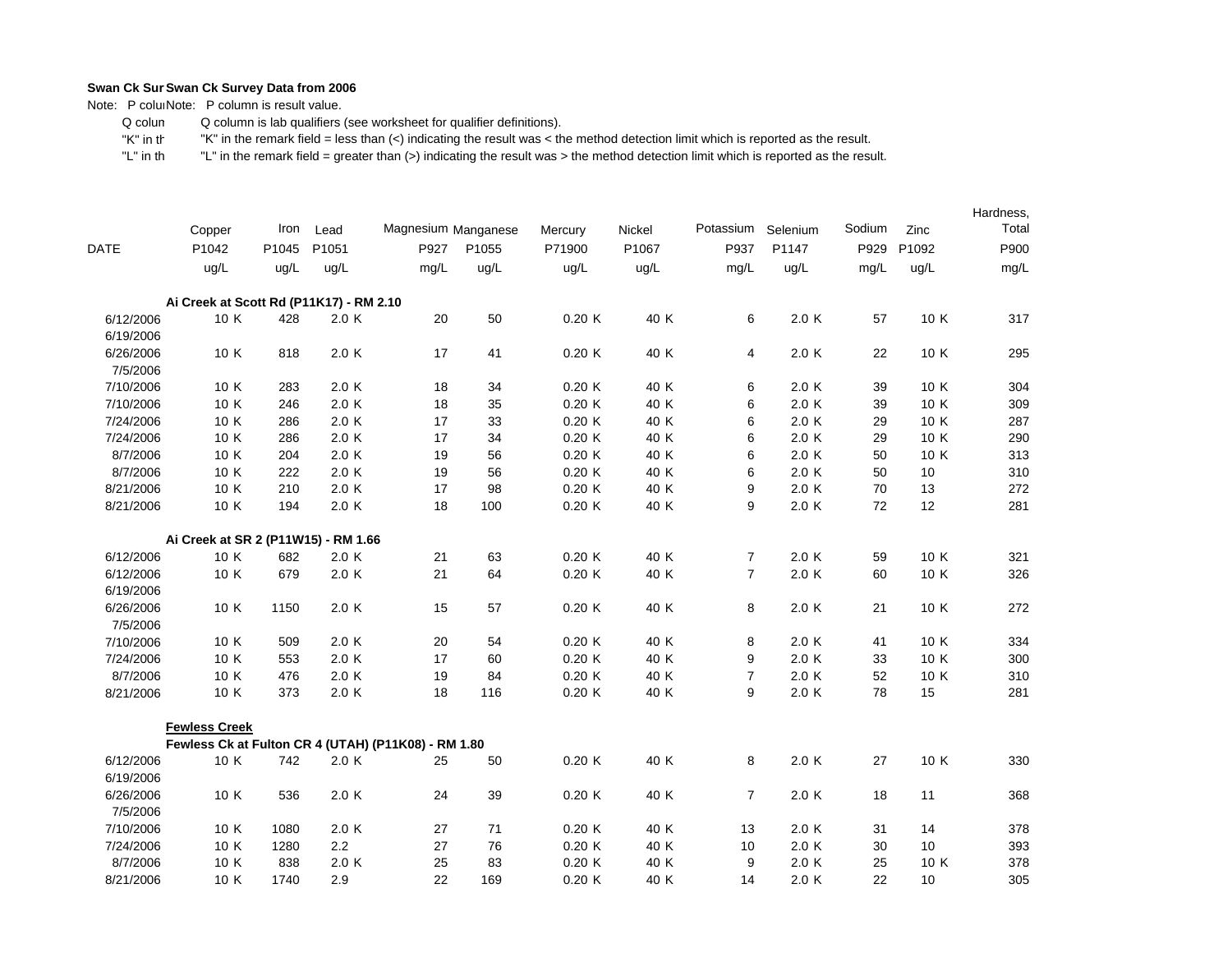Note: P coluiNote: P column is result value.

 Q colum Q column is lab qualifiers (see worksheet for qualifier definitions).

 "K" in th"K" in the remark field = less than (<) indicating the result was < the method detection limit which is reported as the result.

|             |                                                     |       |       |                     |       |         |        |                |          |        |       | Hardness, |
|-------------|-----------------------------------------------------|-------|-------|---------------------|-------|---------|--------|----------------|----------|--------|-------|-----------|
|             | Copper                                              | Iron  | Lead  | Magnesium Manganese |       | Mercury | Nickel | Potassium      | Selenium | Sodium | Zinc  | Total     |
| <b>DATE</b> | P1042                                               | P1045 | P1051 | P927                | P1055 | P71900  | P1067  | P937           | P1147    | P929   | P1092 | P900      |
|             | ug/L                                                | ug/L  | ug/L  | mg/L                | ug/L  | ug/L    | ug/L   | mg/L           | ug/L     | mg/L   | ug/L  | mg/L      |
|             | Ai Creek at Scott Rd (P11K17) - RM 2.10             |       |       |                     |       |         |        |                |          |        |       |           |
| 6/12/2006   | 10 K                                                | 428   | 2.0 K | 20                  | 50    | 0.20K   | 40 K   | 6              | 2.0 K    | 57     | 10 K  | 317       |
| 6/19/2006   |                                                     |       |       |                     |       |         |        |                |          |        |       |           |
| 6/26/2006   | 10 K                                                | 818   | 2.0K  | 17                  | 41    | 0.20K   | 40 K   | 4              | 2.0 K    | 22     | 10 K  | 295       |
| 7/5/2006    |                                                     |       |       |                     |       |         |        |                |          |        |       |           |
| 7/10/2006   | 10 K                                                | 283   | 2.0K  | 18                  | 34    | 0.20K   | 40 K   | 6              | 2.0 K    | 39     | 10 K  | 304       |
| 7/10/2006   | 10 K                                                | 246   | 2.0K  | 18                  | 35    | 0.20K   | 40 K   | 6              | 2.0 K    | 39     | 10 K  | 309       |
| 7/24/2006   | 10 K                                                | 286   | 2.0K  | 17                  | 33    | 0.20K   | 40 K   | 6              | 2.0 K    | 29     | 10 K  | 287       |
| 7/24/2006   | 10 K                                                | 286   | 2.0K  | 17                  | 34    | 0.20K   | 40 K   | 6              | 2.0 K    | 29     | 10 K  | 290       |
| 8/7/2006    | 10 K                                                | 204   | 2.0K  | 19                  | 56    | 0.20K   | 40 K   | 6              | 2.0 K    | 50     | 10 K  | 313       |
| 8/7/2006    | 10 K                                                | 222   | 2.0K  | 19                  | 56    | 0.20K   | 40 K   | 6              | 2.0K     | 50     | 10    | 310       |
| 8/21/2006   | 10 K                                                | 210   | 2.0K  | 17                  | 98    | 0.20K   | 40 K   | 9              | 2.0 K    | 70     | 13    | 272       |
| 8/21/2006   | 10 K                                                | 194   | 2.0K  | 18                  | 100   | 0.20K   | 40 K   | 9              | 2.0 K    | 72     | 12    | 281       |
|             | Ai Creek at SR 2 (P11W15) - RM 1.66                 |       |       |                     |       |         |        |                |          |        |       |           |
| 6/12/2006   | 10 K                                                | 682   | 2.0K  | 21                  | 63    | 0.20K   | 40 K   | $\overline{7}$ | 2.0 K    | 59     | 10 K  | 321       |
| 6/12/2006   | 10 K                                                | 679   | 2.0 K | 21                  | 64    | 0.20K   | 40 K   | $\overline{7}$ | 2.0 K    | 60     | 10 K  | 326       |
| 6/19/2006   |                                                     |       |       |                     |       |         |        |                |          |        |       |           |
| 6/26/2006   | 10 K                                                | 1150  | 2.0K  | 15                  | 57    | 0.20K   | 40 K   | 8              | 2.0K     | 21     | 10 K  | 272       |
| 7/5/2006    |                                                     |       |       |                     |       |         |        |                |          |        |       |           |
| 7/10/2006   | 10 K                                                | 509   | 2.0 K | 20                  | 54    | 0.20K   | 40 K   | 8              | 2.0 K    | 41     | 10 K  | 334       |
| 7/24/2006   | 10 K                                                | 553   | 2.0 K | 17                  | 60    | 0.20K   | 40 K   | 9              | 2.0 K    | 33     | 10 K  | 300       |
| 8/7/2006    | 10 K                                                | 476   | 2.0 K | 19                  | 84    | 0.20K   | 40 K   | $\overline{7}$ | 2.0 K    | 52     | 10 K  | 310       |
| 8/21/2006   | 10 K                                                | 373   | 2.0 K | 18                  | 116   | 0.20K   | 40 K   | 9              | 2.0 K    | 78     | 15    | 281       |
|             | <b>Fewless Creek</b>                                |       |       |                     |       |         |        |                |          |        |       |           |
|             | Fewless Ck at Fulton CR 4 (UTAH) (P11K08) - RM 1.80 |       |       |                     |       |         |        |                |          |        |       |           |
| 6/12/2006   | 10 K                                                | 742   | 2.0K  | 25                  | 50    | 0.20K   | 40 K   | 8              | 2.0 K    | 27     | 10 K  | 330       |
| 6/19/2006   |                                                     |       |       |                     |       |         |        |                |          |        |       |           |
| 6/26/2006   | 10 K                                                | 536   | 2.0 K | 24                  | 39    | 0.20K   | 40 K   | $\overline{7}$ | 2.0 K    | 18     | 11    | 368       |
| 7/5/2006    |                                                     |       |       |                     |       |         |        |                |          |        |       |           |
| 7/10/2006   | 10 K                                                | 1080  | 2.0 K | 27                  | 71    | 0.20K   | 40 K   | 13             | 2.0 K    | 31     | 14    | 378       |
| 7/24/2006   | 10 K                                                | 1280  | 2.2   | 27                  | 76    | 0.20K   | 40 K   | 10             | 2.0 K    | 30     | 10    | 393       |
| 8/7/2006    | 10 K                                                | 838   | 2.0K  | 25                  | 83    | 0.20K   | 40 K   | 9              | 2.0 K    | 25     | 10 K  | 378       |
| 8/21/2006   | 10 K                                                | 1740  | 2.9   | 22                  | 169   | 0.20K   | 40 K   | 14             | 2.0 K    | 22     | 10    | 305       |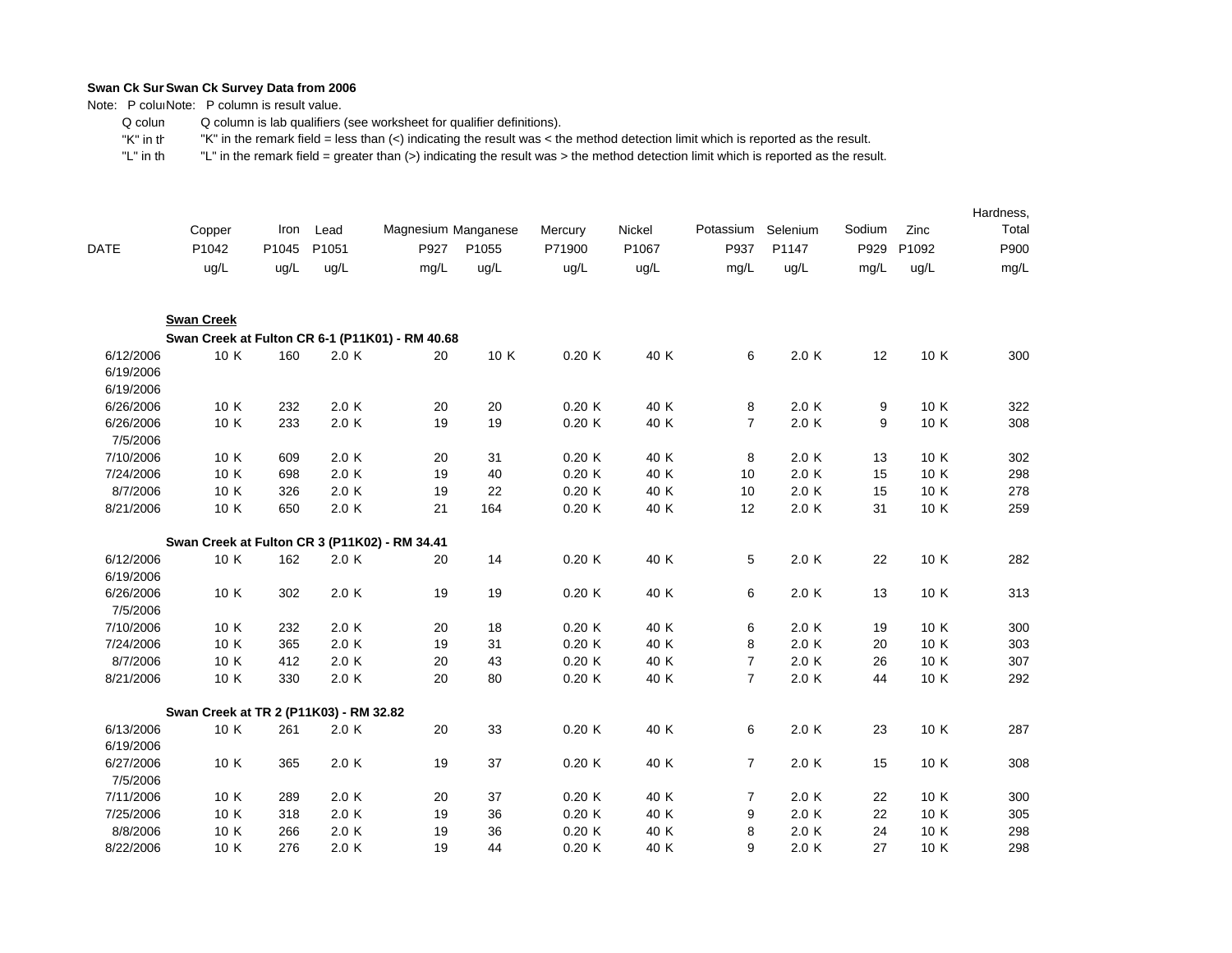Note: P coluiNote: P column is result value.

 Q colum Q column is lab qualifiers (see worksheet for qualifier definitions).

 "K" in th"K" in the remark field = less than (<) indicating the result was < the method detection limit which is reported as the result.

|                                     |                                                 |       |       |                     |       |         |        |                |          |        |       | Hardness, |
|-------------------------------------|-------------------------------------------------|-------|-------|---------------------|-------|---------|--------|----------------|----------|--------|-------|-----------|
|                                     | Copper                                          | Iron  | Lead  | Magnesium Manganese |       | Mercury | Nickel | Potassium      | Selenium | Sodium | Zinc  | Total     |
| <b>DATE</b>                         | P1042                                           | P1045 | P1051 | P927                | P1055 | P71900  | P1067  | P937           | P1147    | P929   | P1092 | P900      |
|                                     | ug/L                                            | ug/L  | ug/L  | mg/L                | ug/L  | ug/L    | ug/L   | mg/L           | ug/L     | mg/L   | ug/L  | mg/L      |
|                                     | <b>Swan Creek</b>                               |       |       |                     |       |         |        |                |          |        |       |           |
|                                     | Swan Creek at Fulton CR 6-1 (P11K01) - RM 40.68 |       |       |                     |       |         |        |                |          |        |       |           |
| 6/12/2006<br>6/19/2006<br>6/19/2006 | 10 K                                            | 160   | 2.0 K | 20                  | 10 K  | 0.20K   | 40 K   | 6              | 2.0 K    | 12     | 10 K  | 300       |
| 6/26/2006                           | 10 K                                            | 232   | 2.0 K | 20                  | 20    | 0.20K   | 40 K   | $\bf 8$        | 2.0 K    | 9      | 10 K  | 322       |
| 6/26/2006<br>7/5/2006               | 10 K                                            | 233   | 2.0 K | 19                  | 19    | 0.20K   | 40 K   | $\overline{7}$ | 2.0 K    | 9      | 10 K  | 308       |
| 7/10/2006                           | 10 K                                            | 609   | 2.0 K | 20                  | 31    | 0.20K   | 40 K   | 8              | 2.0 K    | 13     | 10 K  | 302       |
| 7/24/2006                           | 10 K                                            | 698   | 2.0 K | 19                  | 40    | 0.20K   | 40 K   | 10             | 2.0 K    | 15     | 10 K  | 298       |
| 8/7/2006                            | 10 K                                            | 326   | 2.0 K | 19                  | 22    | 0.20K   | 40 K   | 10             | 2.0 K    | 15     | 10 K  | 278       |
| 8/21/2006                           | 10 K                                            | 650   | 2.0K  | 21                  | 164   | 0.20K   | 40 K   | 12             | 2.0 K    | 31     | 10 K  | 259       |
|                                     | Swan Creek at Fulton CR 3 (P11K02) - RM 34.41   |       |       |                     |       |         |        |                |          |        |       |           |
| 6/12/2006<br>6/19/2006              | 10 K                                            | 162   | 2.0K  | 20                  | 14    | 0.20K   | 40 K   | 5              | 2.0 K    | 22     | 10 K  | 282       |
| 6/26/2006<br>7/5/2006               | 10 K                                            | 302   | 2.0 K | 19                  | 19    | 0.20K   | 40 K   | 6              | 2.0 K    | 13     | 10 K  | 313       |
| 7/10/2006                           | 10 K                                            | 232   | 2.0 K | 20                  | 18    | 0.20K   | 40 K   | 6              | 2.0 K    | 19     | 10 K  | 300       |
| 7/24/2006                           | 10 K                                            | 365   | 2.0 K | 19                  | 31    | 0.20K   | 40 K   | 8              | 2.0 K    | 20     | 10 K  | 303       |
| 8/7/2006                            | 10 K                                            | 412   | 2.0 K | 20                  | 43    | 0.20K   | 40 K   | $\overline{7}$ | 2.0 K    | 26     | 10 K  | 307       |
| 8/21/2006                           | 10 K                                            | 330   | 2.0 K | 20                  | 80    | 0.20K   | 40 K   | $\overline{7}$ | 2.0 K    | 44     | 10 K  | 292       |
|                                     | Swan Creek at TR 2 (P11K03) - RM 32.82          |       |       |                     |       |         |        |                |          |        |       |           |
| 6/13/2006                           | 10 K                                            | 261   | 2.0 K | 20                  | 33    | 0.20K   | 40 K   | 6              | 2.0 K    | 23     | 10 K  | 287       |
| 6/19/2006<br>6/27/2006<br>7/5/2006  | 10 K                                            | 365   | 2.0 K | 19                  | 37    | 0.20K   | 40 K   | $\overline{7}$ | 2.0 K    | 15     | 10 K  | 308       |
| 7/11/2006                           | 10 K                                            | 289   | 2.0 K | 20                  | 37    | 0.20K   | 40 K   | $\overline{7}$ | 2.0 K    | 22     | 10 K  | 300       |
| 7/25/2006                           | 10 K                                            | 318   | 2.0 K | 19                  | 36    | 0.20K   | 40 K   | 9              | 2.0 K    | 22     | 10 K  | 305       |
| 8/8/2006                            | 10 K                                            | 266   | 2.0 K | 19                  | 36    | 0.20K   | 40 K   | 8              | 2.0 K    | 24     | 10 K  | 298       |
| 8/22/2006                           | 10 K                                            | 276   | 2.0 K | 19                  | 44    | 0.20K   | 40 K   | 9              | 2.0 K    | 27     | 10 K  | 298       |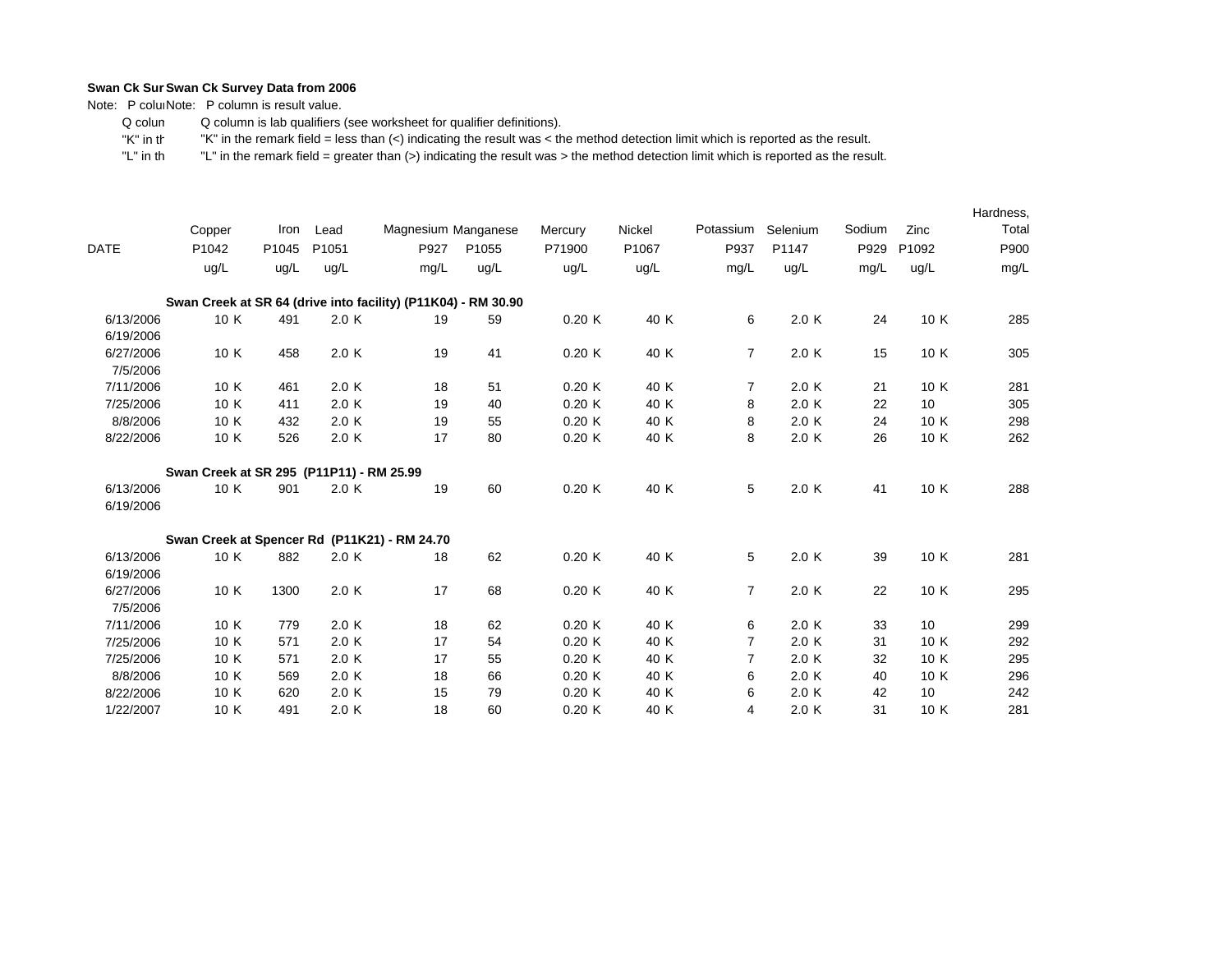Note: P coluiNote: P column is result value.

 Q colum Q column is lab qualifiers (see worksheet for qualifier definitions).

 "K" in th"K" in the remark field = less than (<) indicating the result was < the method detection limit which is reported as the result.

|                        | Copper                                                        | Iron  | Lead  | Magnesium Manganese |       | Mercury | Nickel | Potassium      | Selenium | Sodium | Zinc  | Hardness,<br>Total |
|------------------------|---------------------------------------------------------------|-------|-------|---------------------|-------|---------|--------|----------------|----------|--------|-------|--------------------|
| <b>DATE</b>            | P1042                                                         | P1045 | P1051 | P927                | P1055 | P71900  | P1067  | P937           | P1147    | P929   | P1092 | P900               |
|                        | ug/L                                                          | ug/L  | ug/L  | mg/L                | uq/L  | ug/L    | ug/L   | mg/L           | ug/L     | mg/L   | ug/L  | mg/L               |
|                        | Swan Creek at SR 64 (drive into facility) (P11K04) - RM 30.90 |       |       |                     |       |         |        |                |          |        |       |                    |
| 6/13/2006<br>6/19/2006 | 10 K                                                          | 491   | 2.0 K | 19                  | 59    | 0.20K   | 40 K   | 6              | 2.0 K    | 24     | 10 K  | 285                |
| 6/27/2006<br>7/5/2006  | 10 K                                                          | 458   | 2.0K  | 19                  | 41    | 0.20K   | 40 K   | $\overline{7}$ | 2.0 K    | 15     | 10 K  | 305                |
| 7/11/2006              | 10 K                                                          | 461   | 2.0K  | 18                  | 51    | 0.20K   | 40 K   | $\overline{7}$ | 2.0 K    | 21     | 10 K  | 281                |
| 7/25/2006              | 10 K                                                          | 411   | 2.0K  | 19                  | 40    | 0.20K   | 40 K   | 8              | 2.0K     | 22     | 10    | 305                |
| 8/8/2006               | 10 K                                                          | 432   | 2.0 K | 19                  | 55    | 0.20K   | 40 K   | 8              | 2.0K     | 24     | 10 K  | 298                |
| 8/22/2006              | 10 K                                                          | 526   | 2.0K  | 17                  | 80    | 0.20K   | 40 K   | 8              | 2.0K     | 26     | 10 K  | 262                |
|                        | Swan Creek at SR 295 (P11P11) - RM 25.99                      |       |       |                     |       |         |        |                |          |        |       |                    |
| 6/13/2006<br>6/19/2006 | 10 K                                                          | 901   | 2.0K  | 19                  | 60    | 0.20K   | 40 K   | 5              | 2.0 K    | 41     | 10 K  | 288                |
|                        | Swan Creek at Spencer Rd (P11K21) - RM 24.70                  |       |       |                     |       |         |        |                |          |        |       |                    |
| 6/13/2006<br>6/19/2006 | 10 K                                                          | 882   | 2.0K  | 18                  | 62    | 0.20K   | 40 K   | 5              | 2.0 K    | 39     | 10 K  | 281                |
| 6/27/2006<br>7/5/2006  | 10 K                                                          | 1300  | 2.0 K | 17                  | 68    | 0.20K   | 40 K   | $\overline{7}$ | 2.0 K    | 22     | 10 K  | 295                |
| 7/11/2006              | 10 K                                                          | 779   | 2.0K  | 18                  | 62    | 0.20K   | 40 K   | 6              | 2.0 K    | 33     | 10    | 299                |
| 7/25/2006              | 10 K                                                          | 571   | 2.0K  | 17                  | 54    | 0.20K   | 40 K   | $\overline{7}$ | 2.0 K    | 31     | 10 K  | 292                |
| 7/25/2006              | 10 K                                                          | 571   | 2.0K  | 17                  | 55    | 0.20K   | 40 K   | $\overline{7}$ | 2.0K     | 32     | 10 K  | 295                |
| 8/8/2006               | 10 K                                                          | 569   | 2.0K  | 18                  | 66    | 0.20K   | 40 K   | 6              | 2.0K     | 40     | 10 K  | 296                |
| 8/22/2006              | 10 K                                                          | 620   | 2.0K  | 15                  | 79    | 0.20K   | 40 K   | 6              | 2.0K     | 42     | 10    | 242                |
| 1/22/2007              | 10 K                                                          | 491   | 2.0K  | 18                  | 60    | 0.20K   | 40 K   | 4              | 2.0 K    | 31     | 10 K  | 281                |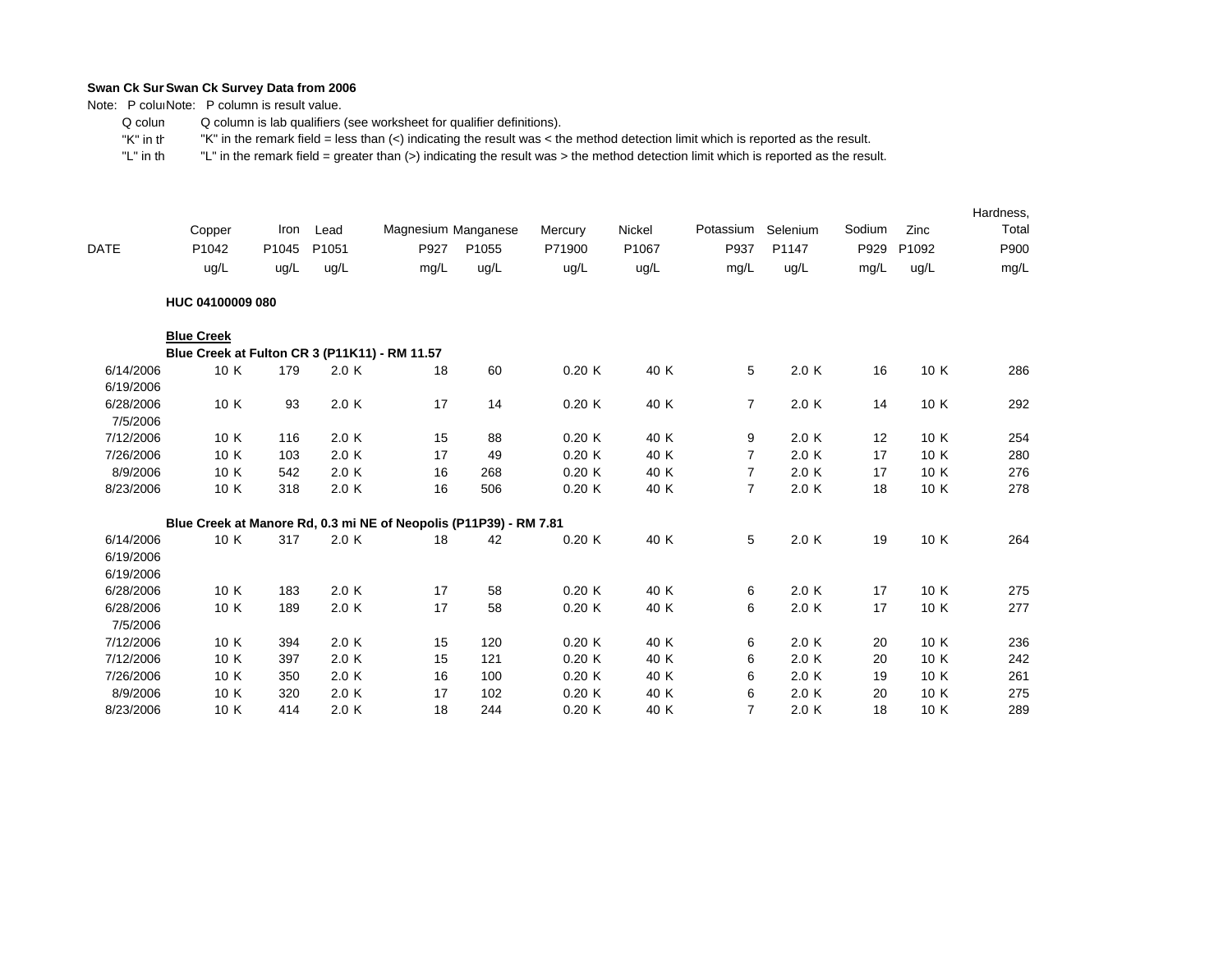Note: P coluiNote: P column is result value.

 Q colum Q column is lab qualifiers (see worksheet for qualifier definitions).

 "K" in th"K" in the remark field = less than (<) indicating the result was < the method detection limit which is reported as the result.

|             |                                                                   |       |       |                     |       |         |        |                |          |        |       | Hardness, |
|-------------|-------------------------------------------------------------------|-------|-------|---------------------|-------|---------|--------|----------------|----------|--------|-------|-----------|
|             | Copper                                                            | Iron  | Lead  | Magnesium Manganese |       | Mercury | Nickel | Potassium      | Selenium | Sodium | Zinc  | Total     |
| <b>DATE</b> | P1042                                                             | P1045 | P1051 | P927                | P1055 | P71900  | P1067  | P937           | P1147    | P929   | P1092 | P900      |
|             | ug/L                                                              | ug/L  | ug/L  | mg/L                | ug/L  | ug/L    | ug/L   | mg/L           | ug/L     | mg/L   | ug/L  | mg/L      |
|             | HUC 04100009 080                                                  |       |       |                     |       |         |        |                |          |        |       |           |
|             | <b>Blue Creek</b>                                                 |       |       |                     |       |         |        |                |          |        |       |           |
|             | Blue Creek at Fulton CR 3 (P11K11) - RM 11.57                     |       |       |                     |       |         |        |                |          |        |       |           |
| 6/14/2006   | 10 K                                                              | 179   | 2.0 K | 18                  | 60    | 0.20K   | 40 K   | 5              | 2.0 K    | 16     | 10 K  | 286       |
| 6/19/2006   |                                                                   |       |       |                     |       |         |        |                |          |        |       |           |
| 6/28/2006   | 10 K                                                              | 93    | 2.0 K | 17                  | 14    | 0.20K   | 40 K   | $\overline{7}$ | 2.0 K    | 14     | 10 K  | 292       |
| 7/5/2006    |                                                                   |       |       |                     |       |         |        |                |          |        |       |           |
| 7/12/2006   | 10 K                                                              | 116   | 2.0 K | 15                  | 88    | 0.20K   | 40 K   | 9              | 2.0K     | 12     | 10 K  | 254       |
| 7/26/2006   | 10 K                                                              | 103   | 2.0 K | 17                  | 49    | 0.20K   | 40 K   | $\overline{7}$ | 2.0K     | 17     | 10 K  | 280       |
| 8/9/2006    | 10 K                                                              | 542   | 2.0 K | 16                  | 268   | 0.20K   | 40 K   | $\overline{7}$ | 2.0 K    | 17     | 10 K  | 276       |
| 8/23/2006   | 10 K                                                              | 318   | 2.0 K | 16                  | 506   | 0.20K   | 40 K   | $\overline{7}$ | 2.0 K    | 18     | 10 K  | 278       |
|             | Blue Creek at Manore Rd, 0.3 mi NE of Neopolis (P11P39) - RM 7.81 |       |       |                     |       |         |        |                |          |        |       |           |
| 6/14/2006   | 10 K                                                              | 317   | 2.0 K | 18                  | 42    | 0.20K   | 40 K   | 5              | 2.0K     | 19     | 10 K  | 264       |
| 6/19/2006   |                                                                   |       |       |                     |       |         |        |                |          |        |       |           |
| 6/19/2006   |                                                                   |       |       |                     |       |         |        |                |          |        |       |           |
| 6/28/2006   | 10 K                                                              | 183   | 2.0 K | 17                  | 58    | 0.20K   | 40 K   | 6              | 2.0 K    | 17     | 10 K  | 275       |
| 6/28/2006   | 10 K                                                              | 189   | 2.0 K | 17                  | 58    | 0.20K   | 40 K   | 6              | 2.0 K    | 17     | 10 K  | 277       |
| 7/5/2006    |                                                                   |       |       |                     |       |         |        |                |          |        |       |           |
| 7/12/2006   | 10 K                                                              | 394   | 2.0 K | 15                  | 120   | 0.20K   | 40 K   | 6              | 2.0K     | 20     | 10 K  | 236       |
| 7/12/2006   | 10 K                                                              | 397   | 2.0K  | 15                  | 121   | 0.20K   | 40 K   | 6              | 2.0K     | 20     | 10 K  | 242       |
| 7/26/2006   | 10 K                                                              | 350   | 2.0 K | 16                  | 100   | 0.20K   | 40 K   | 6              | 2.0 K    | 19     | 10 K  | 261       |
| 8/9/2006    | 10 K                                                              | 320   | 2.0K  | 17                  | 102   | 0.20K   | 40 K   | 6              | 2.0K     | 20     | 10 K  | 275       |
| 8/23/2006   | 10 K                                                              | 414   | 2.0K  | 18                  | 244   | 0.20K   | 40 K   | $\overline{7}$ | 2.0K     | 18     | 10 K  | 289       |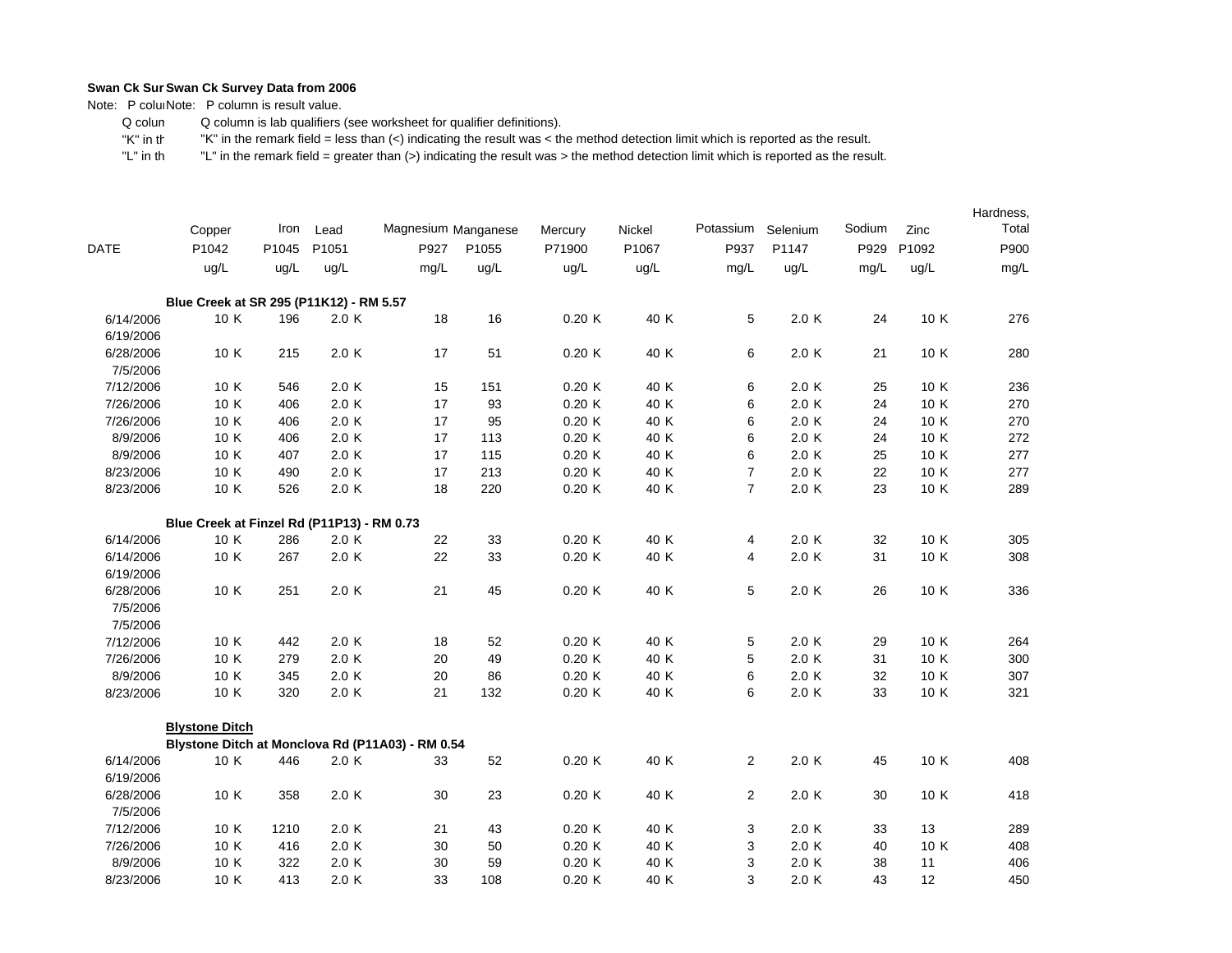Note: P coluiNote: P column is result value.

 Q colum Q column is lab qualifiers (see worksheet for qualifier definitions).

 "K" in th"K" in the remark field = less than (<) indicating the result was < the method detection limit which is reported as the result.

|             |                                                  |       |       |                     |       |         |        |                |          |        |       | Hardness, |
|-------------|--------------------------------------------------|-------|-------|---------------------|-------|---------|--------|----------------|----------|--------|-------|-----------|
|             | Copper                                           | Iron  | Lead  | Magnesium Manganese |       | Mercury | Nickel | Potassium      | Selenium | Sodium | Zinc  | Total     |
| <b>DATE</b> | P1042                                            | P1045 | P1051 | P927                | P1055 | P71900  | P1067  | P937           | P1147    | P929   | P1092 | P900      |
|             | ug/L                                             | ug/L  | ug/L  | mg/L                | ug/L  | ug/L    | ug/L   | mg/L           | ug/L     | mg/L   | ug/L  | mg/L      |
|             | Blue Creek at SR 295 (P11K12) - RM 5.57          |       |       |                     |       |         |        |                |          |        |       |           |
| 6/14/2006   | 10 K                                             | 196   | 2.0K  | 18                  | 16    | 0.20K   | 40 K   | 5              | 2.0 K    | 24     | 10 K  | 276       |
| 6/19/2006   |                                                  |       |       |                     |       |         |        |                |          |        |       |           |
| 6/28/2006   | 10 K                                             | 215   | 2.0K  | 17                  | 51    | 0.20K   | 40 K   | 6              | 2.0 K    | 21     | 10 K  | 280       |
| 7/5/2006    |                                                  |       |       |                     |       |         |        |                |          |        |       |           |
| 7/12/2006   | 10 K                                             | 546   | 2.0K  | 15                  | 151   | 0.20K   | 40 K   | 6              | 2.0 K    | 25     | 10 K  | 236       |
| 7/26/2006   | 10 K                                             | 406   | 2.0K  | 17                  | 93    | 0.20K   | 40 K   | 6              | 2.0 K    | 24     | 10 K  | 270       |
| 7/26/2006   | 10 K                                             | 406   | 2.0K  | 17                  | 95    | 0.20K   | 40 K   | 6              | 2.0 K    | 24     | 10 K  | 270       |
| 8/9/2006    | 10 K                                             | 406   | 2.0K  | 17                  | 113   | 0.20K   | 40 K   | 6              | 2.0K     | 24     | 10 K  | 272       |
| 8/9/2006    | 10 K                                             | 407   | 2.0K  | 17                  | 115   | 0.20K   | 40 K   | 6              | 2.0 K    | 25     | 10 K  | 277       |
| 8/23/2006   | 10 K                                             | 490   | 2.0K  | 17                  | 213   | 0.20K   | 40 K   | $\overline{7}$ | 2.0 K    | 22     | 10 K  | 277       |
| 8/23/2006   | 10 K                                             | 526   | 2.0 K | 18                  | 220   | 0.20K   | 40 K   | $\overline{7}$ | 2.0 K    | 23     | 10 K  | 289       |
|             | Blue Creek at Finzel Rd (P11P13) - RM 0.73       |       |       |                     |       |         |        |                |          |        |       |           |
| 6/14/2006   | 10 K                                             | 286   | 2.0K  | 22                  | 33    | 0.20K   | 40 K   | 4              | 2.0 K    | 32     | 10 K  | 305       |
| 6/14/2006   | 10 K                                             | 267   | 2.0K  | 22                  | 33    | 0.20K   | 40 K   | 4              | 2.0K     | 31     | 10 K  | 308       |
| 6/19/2006   |                                                  |       |       |                     |       |         |        |                |          |        |       |           |
| 6/28/2006   | 10 K                                             | 251   | 2.0K  | 21                  | 45    | 0.20K   | 40 K   | 5              | 2.0 K    | 26     | 10 K  | 336       |
| 7/5/2006    |                                                  |       |       |                     |       |         |        |                |          |        |       |           |
| 7/5/2006    |                                                  |       |       |                     |       |         |        |                |          |        |       |           |
| 7/12/2006   | 10 K                                             | 442   | 2.0 K | 18                  | 52    | 0.20K   | 40 K   | 5              | 2.0 K    | 29     | 10 K  | 264       |
| 7/26/2006   | 10 K                                             | 279   | 2.0K  | 20                  | 49    | 0.20K   | 40 K   | 5              | 2.0 K    | 31     | 10 K  | 300       |
| 8/9/2006    | 10 K                                             | 345   | 2.0 K | 20                  | 86    | 0.20K   | 40 K   | 6              | 2.0 K    | 32     | 10 K  | 307       |
| 8/23/2006   | 10 K                                             | 320   | 2.0 K | 21                  | 132   | 0.20K   | 40 K   | 6              | 2.0 K    | 33     | 10 K  | 321       |
|             | <b>Blystone Ditch</b>                            |       |       |                     |       |         |        |                |          |        |       |           |
|             | Blystone Ditch at Monclova Rd (P11A03) - RM 0.54 |       |       |                     |       |         |        |                |          |        |       |           |
| 6/14/2006   | 10 K                                             | 446   | 2.0K  | 33                  | 52    | 0.20K   | 40 K   | $\overline{2}$ | 2.0 K    | 45     | 10 K  | 408       |
| 6/19/2006   |                                                  |       |       |                     |       |         |        |                |          |        |       |           |
| 6/28/2006   | 10 K                                             | 358   | 2.0 K | 30                  | 23    | 0.20K   | 40 K   | $\overline{2}$ | 2.0 K    | 30     | 10 K  | 418       |
| 7/5/2006    |                                                  |       |       |                     |       |         |        |                |          |        |       |           |
| 7/12/2006   | 10 K                                             | 1210  | 2.0 K | 21                  | 43    | 0.20K   | 40 K   | 3              | 2.0 K    | 33     | 13    | 289       |
| 7/26/2006   | 10 K                                             | 416   | 2.0K  | 30                  | 50    | 0.20K   | 40 K   | 3              | 2.0 K    | 40     | 10 K  | 408       |
| 8/9/2006    | 10 K                                             | 322   | 2.0 K | 30                  | 59    | 0.20K   | 40 K   | 3              | 2.0 K    | 38     | 11    | 406       |
| 8/23/2006   | 10 K                                             | 413   | 2.0K  | 33                  | 108   | 0.20K   | 40 K   | 3              | 2.0K     | 43     | 12    | 450       |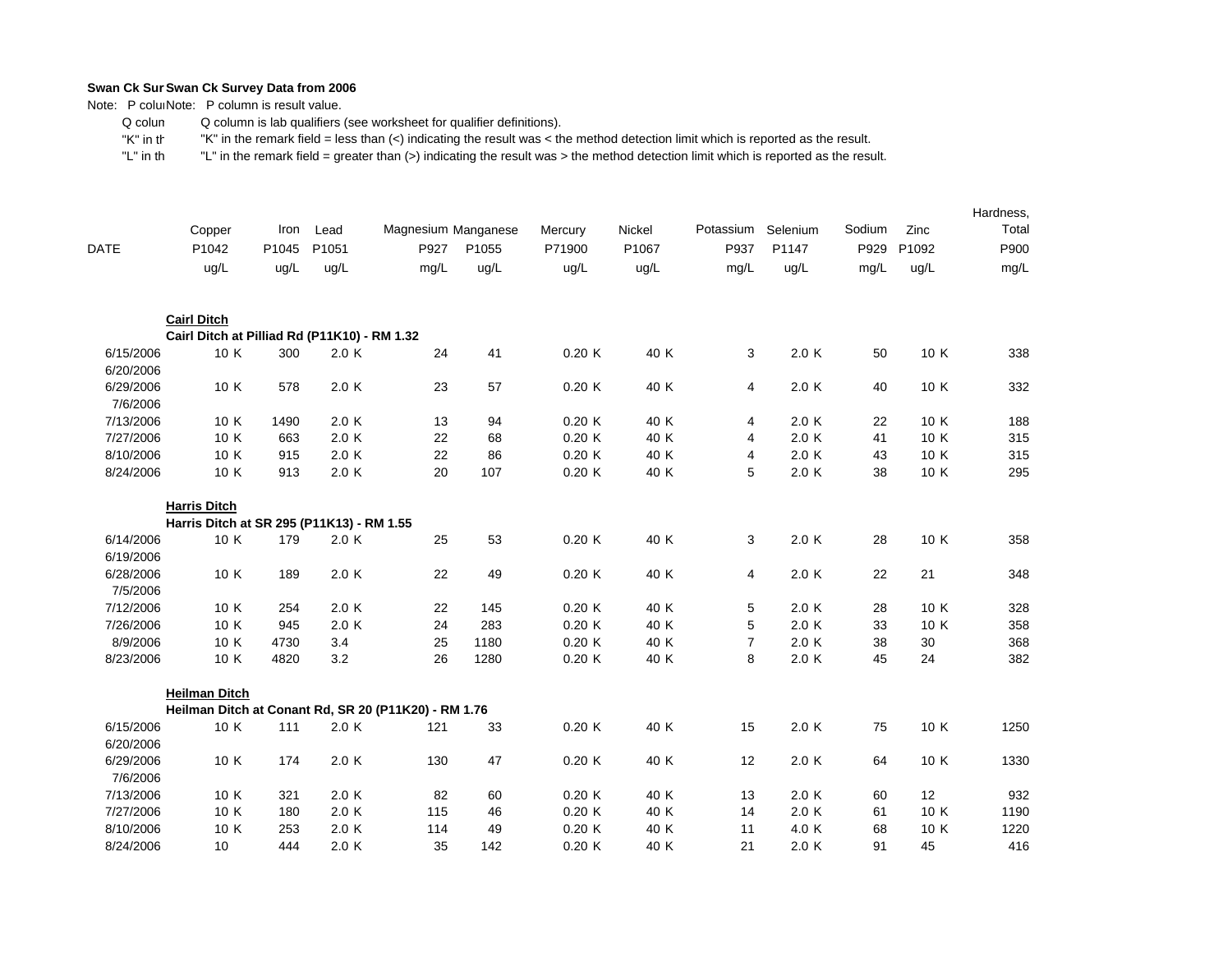Note: P coluiNote: P column is result value.

 Q colum Q column is lab qualifiers (see worksheet for qualifier definitions).

 "K" in th"K" in the remark field = less than (<) indicating the result was < the method detection limit which is reported as the result.

|                        | Copper                                       | Iron  | Lead  | Magnesium Manganese                                  |       | Mercury | Nickel | Potassium               | Selenium | Sodium | Zinc  | Hardness,<br>Total |
|------------------------|----------------------------------------------|-------|-------|------------------------------------------------------|-------|---------|--------|-------------------------|----------|--------|-------|--------------------|
| <b>DATE</b>            | P1042                                        | P1045 | P1051 | P927                                                 | P1055 | P71900  | P1067  | P937                    | P1147    | P929   | P1092 | P900               |
|                        | ug/L                                         | ug/L  | ug/L  | mg/L                                                 | ug/L  | uq/L    | ug/L   | mg/L                    | ug/L     | mq/L   | ug/L  | mg/L               |
|                        | <b>Cairl Ditch</b>                           |       |       |                                                      |       |         |        |                         |          |        |       |                    |
|                        | Cairl Ditch at Pilliad Rd (P11K10) - RM 1.32 |       |       |                                                      |       |         |        |                         |          |        |       |                    |
| 6/15/2006<br>6/20/2006 | 10 K                                         | 300   | 2.0K  | 24                                                   | 41    | 0.20K   | 40 K   | 3                       | 2.0 K    | 50     | 10 K  | 338                |
| 6/29/2006<br>7/6/2006  | 10 K                                         | 578   | 2.0K  | 23                                                   | 57    | 0.20K   | 40 K   | 4                       | 2.0 K    | 40     | 10 K  | 332                |
| 7/13/2006              | 10 K                                         | 1490  | 2.0K  | 13                                                   | 94    | 0.20K   | 40 K   | 4                       | 2.0 K    | 22     | 10 K  | 188                |
| 7/27/2006              | 10 K                                         | 663   | 2.0K  | 22                                                   | 68    | 0.20K   | 40 K   | 4                       | 2.0 K    | 41     | 10 K  | 315                |
| 8/10/2006              | 10 K                                         | 915   | 2.0K  | 22                                                   | 86    | 0.20K   | 40 K   | $\overline{\mathbf{4}}$ | 2.0 K    | 43     | 10 K  | 315                |
| 8/24/2006              | 10 K                                         | 913   | 2.0K  | 20                                                   | 107   | 0.20K   | 40 K   | 5                       | 2.0K     | 38     | 10 K  | 295                |
|                        | <b>Harris Ditch</b>                          |       |       |                                                      |       |         |        |                         |          |        |       |                    |
|                        | Harris Ditch at SR 295 (P11K13) - RM 1.55    |       |       |                                                      |       |         |        |                         |          |        |       |                    |
| 6/14/2006              | 10 K                                         | 179   | 2.0K  | 25                                                   | 53    | 0.20K   | 40 K   | 3                       | 2.0K     | 28     | 10 K  | 358                |
| 6/19/2006              |                                              |       |       |                                                      |       |         |        |                         |          |        |       |                    |
| 6/28/2006<br>7/5/2006  | 10 K                                         | 189   | 2.0K  | 22                                                   | 49    | 0.20K   | 40 K   | 4                       | 2.0 K    | 22     | 21    | 348                |
| 7/12/2006              | 10 K                                         | 254   | 2.0K  | 22                                                   | 145   | 0.20K   | 40 K   | 5                       | 2.0 K    | 28     | 10 K  | 328                |
| 7/26/2006              | 10 K                                         | 945   | 2.0K  | 24                                                   | 283   | 0.20K   | 40 K   | 5                       | 2.0 K    | 33     | 10 K  | 358                |
| 8/9/2006               | 10 K                                         | 4730  | 3.4   | 25                                                   | 1180  | 0.20K   | 40 K   | $\overline{7}$          | 2.0 K    | 38     | 30    | 368                |
| 8/23/2006              | 10 K                                         | 4820  | 3.2   | 26                                                   | 1280  | 0.20K   | 40 K   | 8                       | 2.0 K    | 45     | 24    | 382                |
|                        | <b>Heilman Ditch</b>                         |       |       |                                                      |       |         |        |                         |          |        |       |                    |
|                        |                                              |       |       | Heilman Ditch at Conant Rd, SR 20 (P11K20) - RM 1.76 |       |         |        |                         |          |        |       |                    |
| 6/15/2006<br>6/20/2006 | 10 K                                         | 111   | 2.0K  | 121                                                  | 33    | 0.20K   | 40 K   | 15                      | 2.0 K    | 75     | 10 K  | 1250               |
| 6/29/2006<br>7/6/2006  | 10 K                                         | 174   | 2.0 K | 130                                                  | 47    | 0.20K   | 40 K   | 12                      | 2.0 K    | 64     | 10 K  | 1330               |
| 7/13/2006              | 10 K                                         | 321   | 2.0 K | 82                                                   | 60    | 0.20K   | 40 K   | 13                      | 2.0 K    | 60     | 12    | 932                |
| 7/27/2006              | 10 K                                         | 180   | 2.0 K | 115                                                  | 46    | 0.20K   | 40 K   | 14                      | 2.0 K    | 61     | 10 K  | 1190               |
| 8/10/2006              | 10 K                                         | 253   | 2.0K  | 114                                                  | 49    | 0.20K   | 40 K   | 11                      | 4.0 K    | 68     | 10 K  | 1220               |
| 8/24/2006              | 10                                           | 444   | 2.0K  | 35                                                   | 142   | 0.20K   | 40 K   | 21                      | 2.0K     | 91     | 45    | 416                |
|                        |                                              |       |       |                                                      |       |         |        |                         |          |        |       |                    |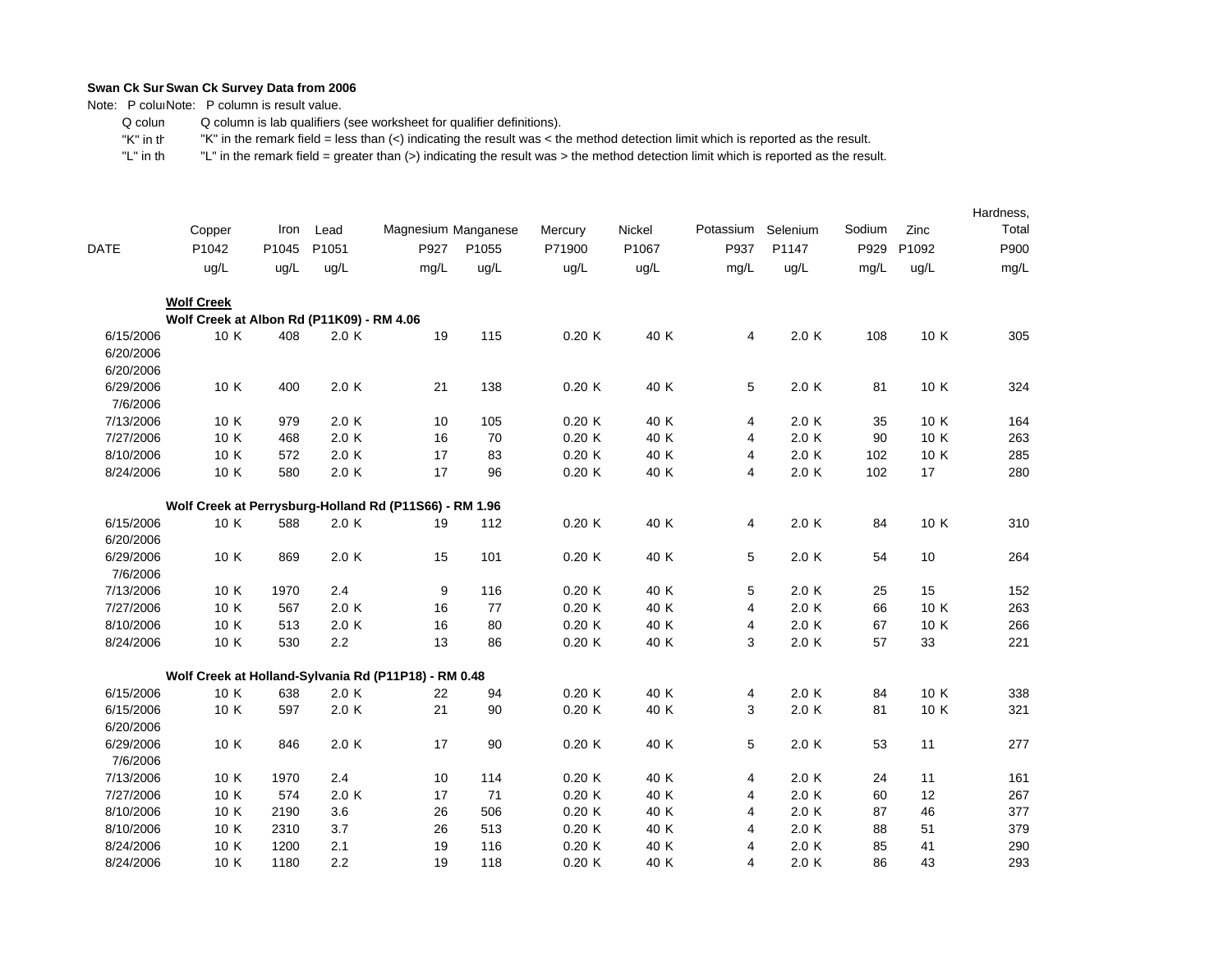Note: P coluiNote: P column is result value.

 Q colum Q column is lab qualifiers (see worksheet for qualifier definitions).

 "K" in th"K" in the remark field = less than (<) indicating the result was < the method detection limit which is reported as the result.

|             |                                           |       |       |                                                        |       |         |        |                |          |        |       | Hardness, |
|-------------|-------------------------------------------|-------|-------|--------------------------------------------------------|-------|---------|--------|----------------|----------|--------|-------|-----------|
|             | Copper                                    | Iron  | Lead  | Magnesium Manganese                                    |       | Mercury | Nickel | Potassium      | Selenium | Sodium | Zinc  | Total     |
| <b>DATE</b> | P1042                                     | P1045 | P1051 | P927                                                   | P1055 | P71900  | P1067  | P937           | P1147    | P929   | P1092 | P900      |
|             | ug/L                                      | ug/L  | ug/L  | mg/L                                                   | ug/L  | uq/L    | ug/L   | mg/L           | ug/L     | mg/L   | ug/L  | mg/L      |
|             | <b>Wolf Creek</b>                         |       |       |                                                        |       |         |        |                |          |        |       |           |
|             | Wolf Creek at Albon Rd (P11K09) - RM 4.06 |       |       |                                                        |       |         |        |                |          |        |       |           |
| 6/15/2006   | 10 K                                      | 408   | 2.0K  | 19                                                     | 115   | 0.20K   | 40 K   | 4              | 2.0 K    | 108    | 10 K  | 305       |
| 6/20/2006   |                                           |       |       |                                                        |       |         |        |                |          |        |       |           |
| 6/20/2006   |                                           |       |       |                                                        |       |         |        |                |          |        |       |           |
| 6/29/2006   | 10 K                                      | 400   | 2.0 K | 21                                                     | 138   | 0.20K   | 40 K   | 5              | 2.0 K    | 81     | 10 K  | 324       |
| 7/6/2006    |                                           |       |       |                                                        |       |         |        |                |          |        |       |           |
| 7/13/2006   | 10 K                                      | 979   | 2.0 K | 10                                                     | 105   | 0.20K   | 40 K   | 4              | 2.0 K    | 35     | 10 K  | 164       |
| 7/27/2006   | 10 K                                      | 468   | 2.0K  | 16                                                     | 70    | 0.20K   | 40 K   | 4              | 2.0 K    | 90     | 10 K  | 263       |
| 8/10/2006   | 10 K                                      | 572   | 2.0K  | 17                                                     | 83    | 0.20K   | 40 K   | 4              | 2.0 K    | 102    | 10 K  | 285       |
| 8/24/2006   | 10 K                                      | 580   | 2.0 K | 17                                                     | 96    | 0.20K   | 40 K   | $\overline{4}$ | 2.0 K    | 102    | 17    | 280       |
|             |                                           |       |       | Wolf Creek at Perrysburg-Holland Rd (P11S66) - RM 1.96 |       |         |        |                |          |        |       |           |
| 6/15/2006   | 10 K                                      | 588   | 2.0 K | 19                                                     | 112   | 0.20K   | 40 K   | 4              | 2.0 K    | 84     | 10 K  | 310       |
| 6/20/2006   |                                           |       |       |                                                        |       |         |        |                |          |        |       |           |
| 6/29/2006   | 10 K                                      | 869   | 2.0 K | 15                                                     | 101   | 0.20K   | 40 K   | 5              | 2.0 K    | 54     | 10    | 264       |
| 7/6/2006    |                                           |       |       |                                                        |       |         |        |                |          |        |       |           |
| 7/13/2006   | 10 K                                      | 1970  | 2.4   | 9                                                      | 116   | 0.20K   | 40 K   | 5              | 2.0 K    | 25     | 15    | 152       |
| 7/27/2006   | 10 K                                      | 567   | 2.0K  | 16                                                     | 77    | 0.20K   | 40 K   | 4              | 2.0 K    | 66     | 10 K  | 263       |
| 8/10/2006   | 10 K                                      | 513   | 2.0 K | 16                                                     | 80    | 0.20K   | 40 K   | 4              | 2.0 K    | 67     | 10 K  | 266       |
| 8/24/2006   | 10 K                                      | 530   | 2.2   | 13                                                     | 86    | 0.20K   | 40 K   | 3              | 2.0 K    | 57     | 33    | 221       |
|             |                                           |       |       | Wolf Creek at Holland-Sylvania Rd (P11P18) - RM 0.48   |       |         |        |                |          |        |       |           |
| 6/15/2006   | 10 K                                      | 638   | 2.0K  | 22                                                     | 94    | 0.20K   | 40 K   | 4              | 2.0 K    | 84     | 10 K  | 338       |
| 6/15/2006   | 10 K                                      | 597   | 2.0 K | 21                                                     | 90    | 0.20K   | 40 K   | 3              | 2.0 K    | 81     | 10 K  | 321       |
| 6/20/2006   |                                           |       |       |                                                        |       |         |        |                |          |        |       |           |
| 6/29/2006   | 10 K                                      | 846   | 2.0K  | 17                                                     | 90    | 0.20K   | 40 K   | 5              | 2.0 K    | 53     | 11    | 277       |
| 7/6/2006    |                                           |       |       |                                                        |       |         |        |                |          |        |       |           |
| 7/13/2006   | 10 K                                      | 1970  | 2.4   | 10                                                     | 114   | 0.20K   | 40 K   | 4              | 2.0 K    | 24     | 11    | 161       |
| 7/27/2006   | 10 K                                      | 574   | 2.0K  | 17                                                     | 71    | 0.20K   | 40 K   | 4              | 2.0 K    | 60     | 12    | 267       |
| 8/10/2006   | 10 K                                      | 2190  | 3.6   | 26                                                     | 506   | 0.20K   | 40 K   | 4              | 2.0 K    | 87     | 46    | 377       |
| 8/10/2006   | 10 K                                      | 2310  | 3.7   | 26                                                     | 513   | 0.20K   | 40 K   | 4              | 2.0 K    | 88     | 51    | 379       |
| 8/24/2006   | 10 K                                      | 1200  | 2.1   | 19                                                     | 116   | 0.20K   | 40 K   | 4              | 2.0 K    | 85     | 41    | 290       |
| 8/24/2006   | 10 K                                      | 1180  | 2.2   | 19                                                     | 118   | 0.20K   | 40 K   | 4              | 2.0 K    | 86     | 43    | 293       |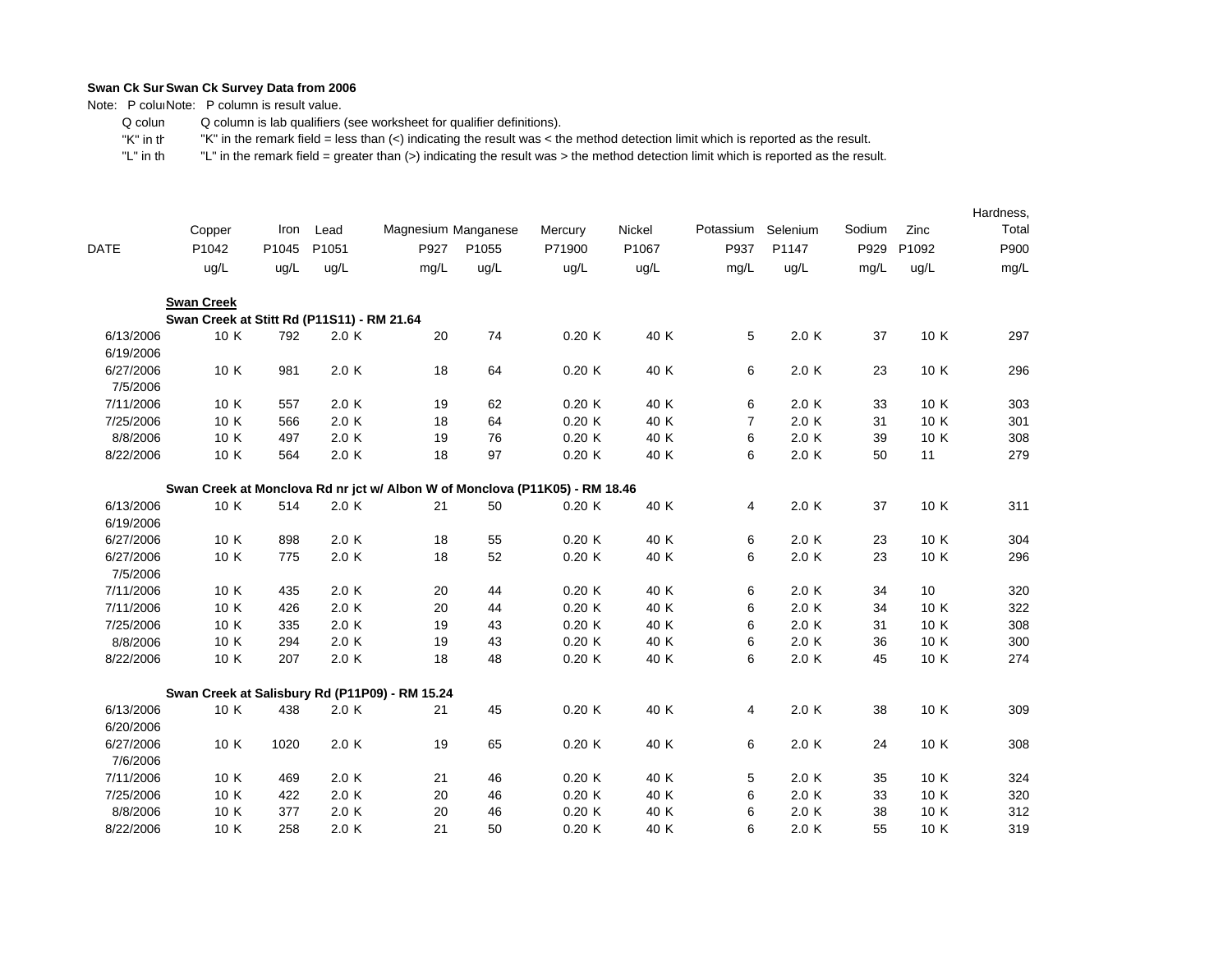Note: P coluiNote: P column is result value.

 Q colum Q column is lab qualifiers (see worksheet for qualifier definitions).

 "K" in th"K" in the remark field = less than (<) indicating the result was < the method detection limit which is reported as the result.

|                        | Copper                                                                      | Iron  | Lead  | Magnesium Manganese |       | Mercury | Nickel | Potassium      | Selenium | Sodium | Zinc  | Hardness,<br>Total |
|------------------------|-----------------------------------------------------------------------------|-------|-------|---------------------|-------|---------|--------|----------------|----------|--------|-------|--------------------|
| <b>DATE</b>            | P1042                                                                       | P1045 | P1051 | P927                | P1055 | P71900  | P1067  | P937           | P1147    | P929   | P1092 | P900               |
|                        |                                                                             |       |       |                     |       |         |        |                |          |        |       |                    |
|                        | ug/L                                                                        | ug/L  | ug/L  | mg/L                | ug/L  | ug/L    | ug/L   | mg/L           | ug/L     | mg/L   | ug/L  | mg/L               |
|                        | <b>Swan Creek</b>                                                           |       |       |                     |       |         |        |                |          |        |       |                    |
|                        | Swan Creek at Stitt Rd (P11S11) - RM 21.64                                  |       |       |                     |       |         |        |                |          |        |       |                    |
| 6/13/2006<br>6/19/2006 | 10 K                                                                        | 792   | 2.0K  | 20                  | 74    | 0.20K   | 40 K   | 5              | 2.0 K    | 37     | 10 K  | 297                |
| 6/27/2006<br>7/5/2006  | 10 K                                                                        | 981   | 2.0 K | 18                  | 64    | 0.20K   | 40 K   | 6              | 2.0 K    | 23     | 10 K  | 296                |
| 7/11/2006              | 10 K                                                                        | 557   | 2.0 K | 19                  | 62    | 0.20K   | 40 K   | 6              | 2.0 K    | 33     | 10 K  | 303                |
| 7/25/2006              | 10 K                                                                        | 566   | 2.0 K | 18                  | 64    | 0.20K   | 40 K   | $\overline{7}$ | 2.0 K    | 31     | 10 K  | 301                |
| 8/8/2006               | 10 K                                                                        | 497   | 2.0 K | 19                  | 76    | 0.20K   | 40 K   | 6              | 2.0 K    | 39     | 10 K  | 308                |
| 8/22/2006              | 10 K                                                                        | 564   | 2.0 K | 18                  | 97    | 0.20K   | 40 K   | 6              | 2.0 K    | 50     | 11    | 279                |
|                        | Swan Creek at Monclova Rd nr jct w/ Albon W of Monclova (P11K05) - RM 18.46 |       |       |                     |       |         |        |                |          |        |       |                    |
| 6/13/2006              | 10 K                                                                        | 514   | 2.0 K | 21                  | 50    | 0.20K   | 40 K   | 4              | 2.0 K    | 37     | 10 K  | 311                |
| 6/19/2006              |                                                                             |       |       |                     |       |         |        |                |          |        |       |                    |
| 6/27/2006              | 10 K                                                                        | 898   | 2.0 K | 18                  | 55    | 0.20K   | 40 K   | 6              | 2.0 K    | 23     | 10 K  | 304                |
| 6/27/2006<br>7/5/2006  | 10 K                                                                        | 775   | 2.0 K | 18                  | 52    | 0.20K   | 40 K   | 6              | 2.0 K    | 23     | 10 K  | 296                |
| 7/11/2006              | 10 K                                                                        | 435   | 2.0 K | 20                  | 44    | 0.20K   | 40 K   | 6              | 2.0 K    | 34     | 10    | 320                |
| 7/11/2006              | 10 K                                                                        | 426   | 2.0 K | 20                  | 44    | 0.20K   | 40 K   | 6              | 2.0 K    | 34     | 10 K  | 322                |
| 7/25/2006              | 10 K                                                                        | 335   | 2.0 K | 19                  | 43    | 0.20K   | 40 K   | 6              | 2.0 K    | 31     | 10 K  | 308                |
| 8/8/2006               | 10 K                                                                        | 294   | 2.0 K | 19                  | 43    | 0.20K   | 40 K   | 6              | 2.0 K    | 36     | 10 K  | 300                |
| 8/22/2006              | 10 K                                                                        | 207   | 2.0 K | 18                  | 48    | 0.20K   | 40 K   | 6              | 2.0 K    | 45     | 10 K  | 274                |
|                        | Swan Creek at Salisbury Rd (P11P09) - RM 15.24                              |       |       |                     |       |         |        |                |          |        |       |                    |
| 6/13/2006              | 10 K                                                                        | 438   | 2.0 K | 21                  | 45    | 0.20K   | 40 K   | 4              | 2.0 K    | 38     | 10 K  | 309                |
| 6/20/2006              |                                                                             |       |       |                     |       |         |        |                |          |        |       |                    |
| 6/27/2006<br>7/6/2006  | 10 K                                                                        | 1020  | 2.0 K | 19                  | 65    | 0.20K   | 40 K   | 6              | 2.0 K    | 24     | 10 K  | 308                |
| 7/11/2006              | 10 K                                                                        | 469   | 2.0 K | 21                  | 46    | 0.20K   | 40 K   | 5              | 2.0 K    | 35     | 10 K  | 324                |
| 7/25/2006              | 10 K                                                                        | 422   | 2.0 K | 20                  | 46    | 0.20K   | 40 K   | 6              | 2.0 K    | 33     | 10 K  | 320                |
| 8/8/2006               | 10 K                                                                        | 377   | 2.0K  | 20                  | 46    | 0.20K   | 40 K   | 6              | 2.0 K    | 38     | 10 K  | 312                |
| 8/22/2006              | 10 K                                                                        | 258   | 2.0K  | 21                  | 50    | 0.20K   | 40 K   | 6              | 2.0 K    | 55     | 10 K  | 319                |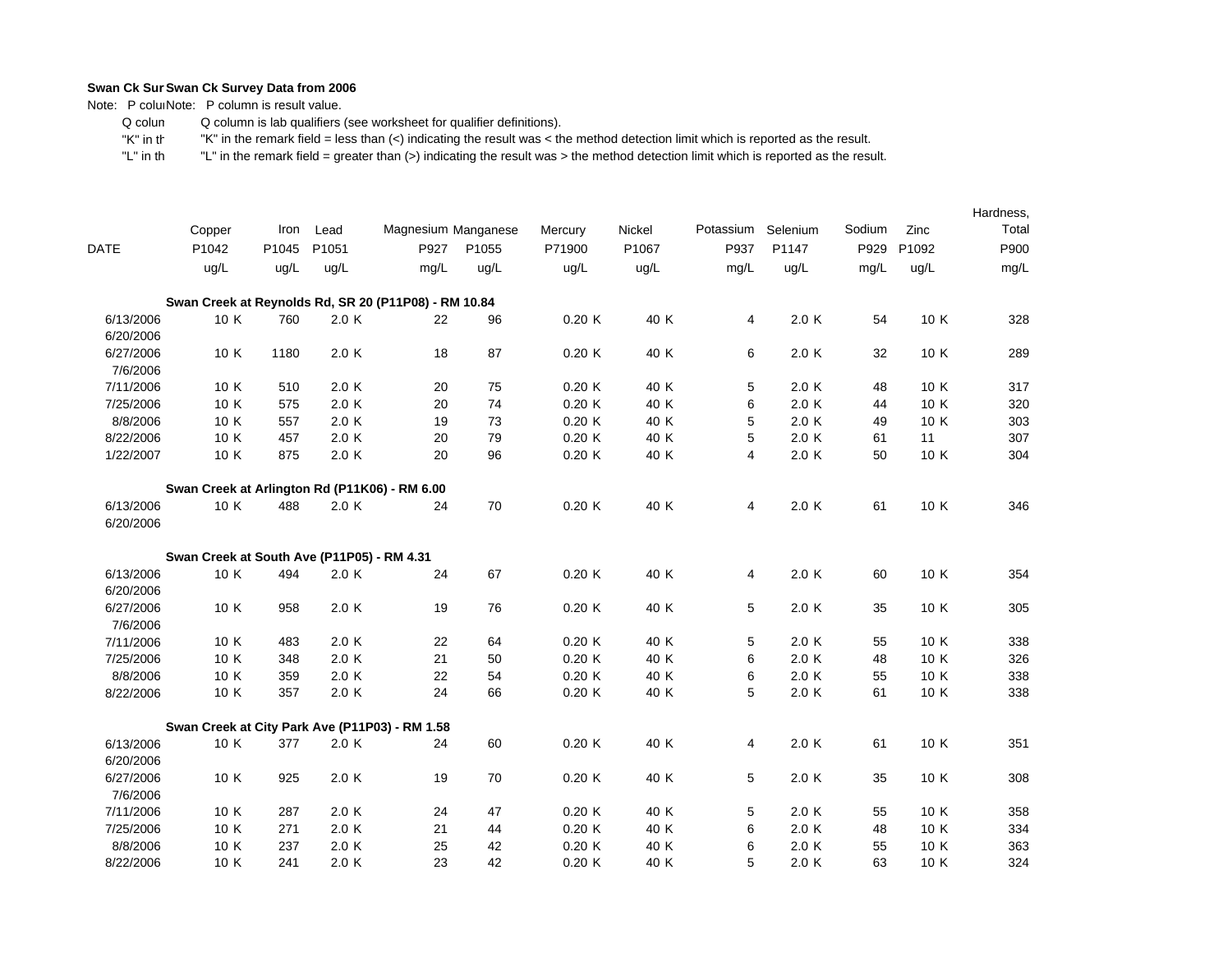Note: P coluiNote: P column is result value.

 Q colum Q column is lab qualifiers (see worksheet for qualifier definitions).

 "K" in th"K" in the remark field = less than (<) indicating the result was < the method detection limit which is reported as the result.

|             |                                                      |       |       |                     |       |         |        |           |          |        |       | Hardness, |
|-------------|------------------------------------------------------|-------|-------|---------------------|-------|---------|--------|-----------|----------|--------|-------|-----------|
|             | Copper                                               | Iron  | Lead  | Magnesium Manganese |       | Mercury | Nickel | Potassium | Selenium | Sodium | Zinc  | Total     |
| <b>DATE</b> | P1042                                                | P1045 | P1051 | P927                | P1055 | P71900  | P1067  | P937      | P1147    | P929   | P1092 | P900      |
|             | ug/L                                                 | ug/L  | ug/L  | mg/L                | ug/L  | ug/L    | ug/L   | mg/L      | ug/L     | mg/L   | ug/L  | mg/L      |
|             | Swan Creek at Reynolds Rd, SR 20 (P11P08) - RM 10.84 |       |       |                     |       |         |        |           |          |        |       |           |
| 6/13/2006   | 10 K                                                 | 760   | 2.0K  | 22                  | 96    | 0.20K   | 40 K   | 4         | 2.0 K    | 54     | 10 K  | 328       |
| 6/20/2006   |                                                      |       |       |                     |       |         |        |           |          |        |       |           |
| 6/27/2006   | 10 K                                                 | 1180  | 2.0 K | 18                  | 87    | 0.20K   | 40 K   | 6         | 2.0 K    | 32     | 10 K  | 289       |
| 7/6/2006    |                                                      |       |       |                     |       |         |        |           |          |        |       |           |
| 7/11/2006   | 10 K                                                 | 510   | 2.0K  | 20                  | 75    | 0.20K   | 40 K   | 5         | 2.0 K    | 48     | 10 K  | 317       |
| 7/25/2006   | 10 K                                                 | 575   | 2.0K  | 20                  | 74    | 0.20K   | 40 K   | 6         | 2.0 K    | 44     | 10 K  | 320       |
| 8/8/2006    | 10 K                                                 | 557   | 2.0K  | 19                  | 73    | 0.20K   | 40 K   | 5         | 2.0 K    | 49     | 10 K  | 303       |
| 8/22/2006   | 10 K                                                 | 457   | 2.0K  | 20                  | 79    | 0.20K   | 40 K   | 5         | 2.0 K    | 61     | 11    | 307       |
| 1/22/2007   | 10 K                                                 | 875   | 2.0K  | 20                  | 96    | 0.20K   | 40 K   | 4         | 2.0 K    | 50     | 10 K  | 304       |
|             | Swan Creek at Arlington Rd (P11K06) - RM 6.00        |       |       |                     |       |         |        |           |          |        |       |           |
| 6/13/2006   | 10 K                                                 | 488   | 2.0K  | 24                  | 70    | 0.20K   | 40 K   | 4         | 2.0 K    | 61     | 10 K  | 346       |
| 6/20/2006   |                                                      |       |       |                     |       |         |        |           |          |        |       |           |
|             | Swan Creek at South Ave (P11P05) - RM 4.31           |       |       |                     |       |         |        |           |          |        |       |           |
| 6/13/2006   | 10 K                                                 | 494   | 2.0K  | 24                  | 67    | 0.20K   | 40 K   | 4         | 2.0 K    | 60     | 10 K  | 354       |
| 6/20/2006   |                                                      |       |       |                     |       |         |        |           |          |        |       |           |
| 6/27/2006   | 10 K                                                 | 958   | 2.0K  | 19                  | 76    | 0.20K   | 40 K   | 5         | 2.0K     | 35     | 10 K  | 305       |
| 7/6/2006    |                                                      |       |       |                     |       |         |        |           |          |        |       |           |
| 7/11/2006   | 10 K                                                 | 483   | 2.0K  | 22                  | 64    | 0.20K   | 40 K   | 5         | 2.0K     | 55     | 10 K  | 338       |
| 7/25/2006   | 10 K                                                 | 348   | 2.0K  | 21                  | 50    | 0.20K   | 40 K   | 6         | 2.0 K    | 48     | 10 K  | 326       |
| 8/8/2006    | 10 K                                                 | 359   | 2.0K  | 22                  | 54    | 0.20K   | 40 K   | 6         | 2.0 K    | 55     | 10 K  | 338       |
| 8/22/2006   | 10 K                                                 | 357   | 2.0 K | 24                  | 66    | 0.20K   | 40 K   | 5         | 2.0 K    | 61     | 10 K  | 338       |
|             | Swan Creek at City Park Ave (P11P03) - RM 1.58       |       |       |                     |       |         |        |           |          |        |       |           |
| 6/13/2006   | 10 K                                                 | 377   | 2.0 K | 24                  | 60    | 0.20K   | 40 K   | 4         | 2.0 K    | 61     | 10 K  | 351       |
| 6/20/2006   |                                                      |       |       |                     |       |         |        |           |          |        |       |           |
| 6/27/2006   | 10 K                                                 | 925   | 2.0K  | 19                  | 70    | 0.20K   | 40 K   | 5         | 2.0 K    | 35     | 10 K  | 308       |
| 7/6/2006    |                                                      |       |       |                     |       |         |        |           |          |        |       |           |
| 7/11/2006   | 10 K                                                 | 287   | 2.0 K | 24                  | 47    | 0.20K   | 40 K   | 5         | 2.0 K    | 55     | 10 K  | 358       |
| 7/25/2006   | 10 K                                                 | 271   | 2.0K  | 21                  | 44    | 0.20K   | 40 K   | 6         | 2.0 K    | 48     | 10 K  | 334       |
| 8/8/2006    | 10 K                                                 | 237   | 2.0K  | 25                  | 42    | 0.20K   | 40 K   | 6         | 2.0 K    | 55     | 10 K  | 363       |
| 8/22/2006   | 10 K                                                 | 241   | 2.0K  | 23                  | 42    | 0.20K   | 40 K   | 5         | 2.0 K    | 63     | 10 K  | 324       |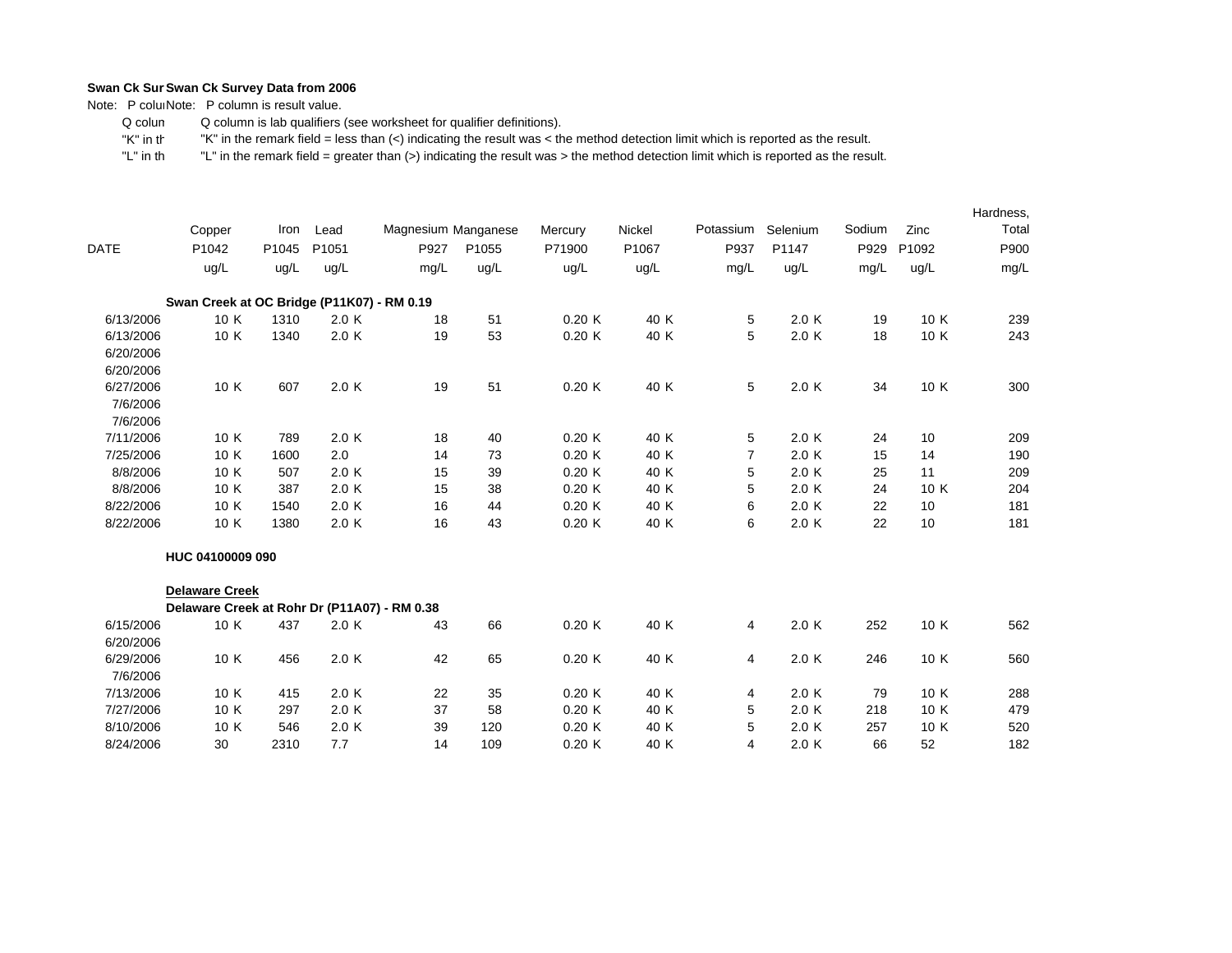Note: P colum Note: P column is result value.

 Q colum Q column is lab qualifiers (see worksheet for qualifier definitions).

 "K" in th"K" in the remark field = less than (<) indicating the result was < the method detection limit which is reported as the result.

|             |                                              |       |       |                     |       |         |        |                |          |        |       | Hardness, |
|-------------|----------------------------------------------|-------|-------|---------------------|-------|---------|--------|----------------|----------|--------|-------|-----------|
|             | Copper                                       | Iron  | Lead  | Magnesium Manganese |       | Mercury | Nickel | Potassium      | Selenium | Sodium | Zinc  | Total     |
| <b>DATE</b> | P1042                                        | P1045 | P1051 | P927                | P1055 | P71900  | P1067  | P937           | P1147    | P929   | P1092 | P900      |
|             | ug/L                                         | ug/L  | ug/L  | mg/L                | ug/L  | ug/L    | ug/L   | mg/L           | ug/L     | mg/L   | ug/L  | mg/L      |
|             | Swan Creek at OC Bridge (P11K07) - RM 0.19   |       |       |                     |       |         |        |                |          |        |       |           |
| 6/13/2006   | 10 K                                         | 1310  | 2.0 K | 18                  | 51    | 0.20K   | 40 K   | 5              | 2.0 K    | 19     | 10 K  | 239       |
| 6/13/2006   | 10 K                                         | 1340  | 2.0 K | 19                  | 53    | 0.20K   | 40 K   | 5              | 2.0K     | 18     | 10 K  | 243       |
| 6/20/2006   |                                              |       |       |                     |       |         |        |                |          |        |       |           |
| 6/20/2006   |                                              |       |       |                     |       |         |        |                |          |        |       |           |
| 6/27/2006   | 10 K                                         | 607   | 2.0K  | 19                  | 51    | 0.20K   | 40 K   | 5              | 2.0 K    | 34     | 10 K  | 300       |
| 7/6/2006    |                                              |       |       |                     |       |         |        |                |          |        |       |           |
| 7/6/2006    |                                              |       |       |                     |       |         |        |                |          |        |       |           |
| 7/11/2006   | 10 K                                         | 789   | 2.0 K | 18                  | 40    | 0.20K   | 40 K   | 5              | 2.0 K    | 24     | 10    | 209       |
| 7/25/2006   | 10 K                                         | 1600  | 2.0   | 14                  | 73    | 0.20K   | 40 K   | $\overline{7}$ | 2.0K     | 15     | 14    | 190       |
| 8/8/2006    | 10 K                                         | 507   | 2.0 K | 15                  | 39    | 0.20K   | 40 K   | 5              | 2.0K     | 25     | 11    | 209       |
| 8/8/2006    | 10 K                                         | 387   | 2.0 K | 15                  | 38    | 0.20K   | 40 K   | 5              | 2.0K     | 24     | 10 K  | 204       |
| 8/22/2006   | 10 K                                         | 1540  | 2.0 K | 16                  | 44    | 0.20K   | 40 K   | 6              | 2.0K     | 22     | 10    | 181       |
| 8/22/2006   | 10 K                                         | 1380  | 2.0 K | 16                  | 43    | 0.20K   | 40 K   | 6              | 2.0K     | 22     | 10    | 181       |
|             | HUC 04100009 090                             |       |       |                     |       |         |        |                |          |        |       |           |
|             | <b>Delaware Creek</b>                        |       |       |                     |       |         |        |                |          |        |       |           |
|             | Delaware Creek at Rohr Dr (P11A07) - RM 0.38 |       |       |                     |       |         |        |                |          |        |       |           |
| 6/15/2006   | 10 K                                         | 437   | 2.0 K | 43                  | 66    | 0.20K   | 40 K   | 4              | 2.0K     | 252    | 10 K  | 562       |
| 6/20/2006   |                                              |       |       |                     |       |         |        |                |          |        |       |           |
| 6/29/2006   | 10 K                                         | 456   | 2.0 K | 42                  | 65    | 0.20K   | 40 K   | 4              | 2.0 K    | 246    | 10 K  | 560       |
| 7/6/2006    |                                              |       |       |                     |       |         |        |                |          |        |       |           |
| 7/13/2006   | 10 K                                         | 415   | 2.0 K | 22                  | 35    | 0.20K   | 40 K   | 4              | 2.0 K    | 79     | 10 K  | 288       |
| 7/27/2006   | 10 K                                         | 297   | 2.0 K | 37                  | 58    | 0.20K   | 40 K   | 5              | 2.0K     | 218    | 10 K  | 479       |
| 8/10/2006   | 10 K                                         | 546   | 2.0 K | 39                  | 120   | 0.20K   | 40 K   | 5              | 2.0K     | 257    | 10 K  | 520       |
| 8/24/2006   | 30                                           | 2310  | 7.7   | 14                  | 109   | 0.20K   | 40 K   | 4              | 2.0K     | 66     | 52    | 182       |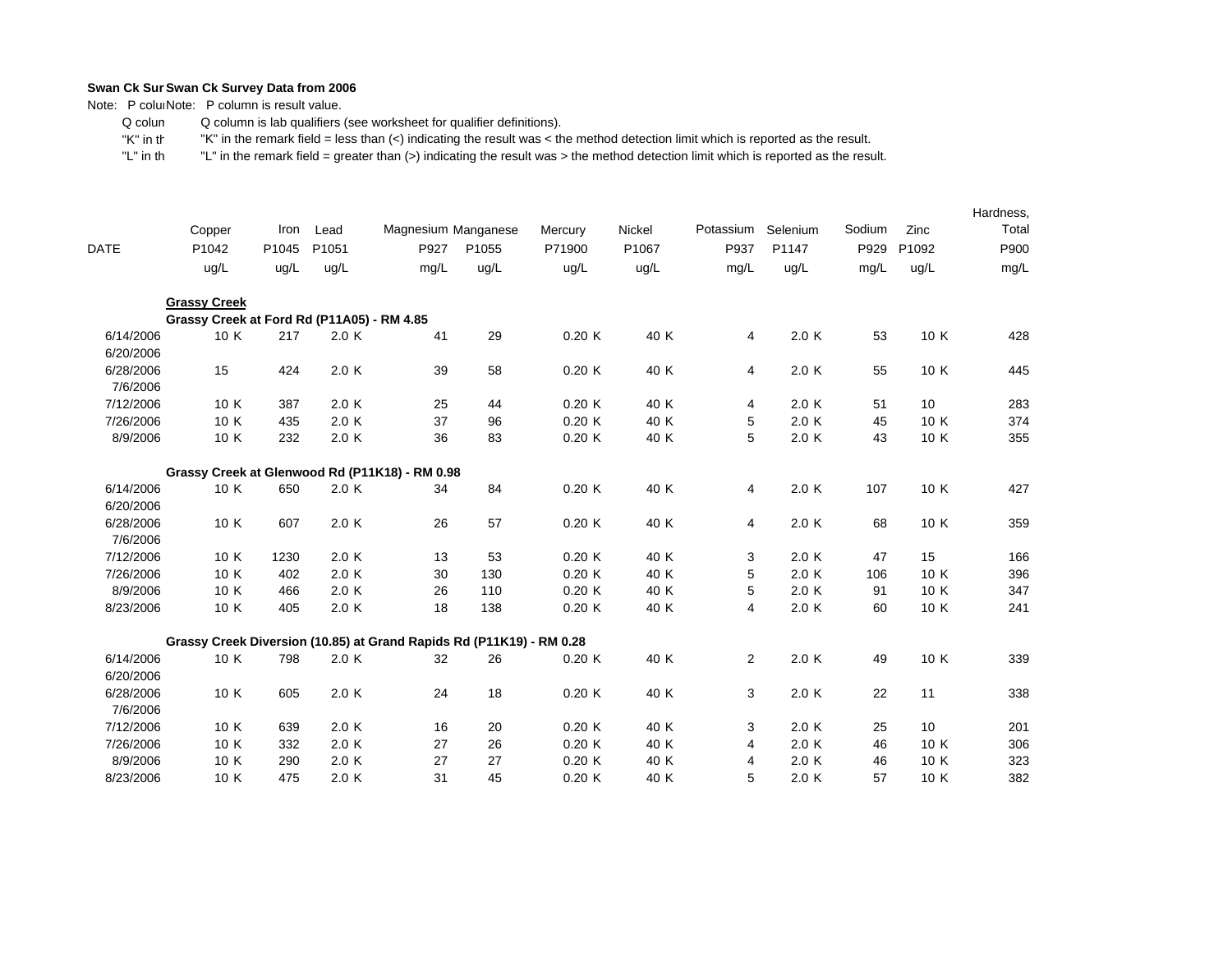Note: P coluiNote: P column is result value.

 Q colum Q column is lab qualifiers (see worksheet for qualifier definitions).

 "K" in th"K" in the remark field = less than (<) indicating the result was < the method detection limit which is reported as the result.

|                        |                                                                      | Iron  |       |                     |       |         |        | Potassium      | Selenium | Sodium | Zinc  | Hardness,<br>Total |
|------------------------|----------------------------------------------------------------------|-------|-------|---------------------|-------|---------|--------|----------------|----------|--------|-------|--------------------|
|                        | Copper                                                               |       | Lead  | Magnesium Manganese |       | Mercury | Nickel |                |          |        |       |                    |
| <b>DATE</b>            | P1042                                                                | P1045 | P1051 | P927                | P1055 | P71900  | P1067  | P937           | P1147    | P929   | P1092 | P900               |
|                        | ug/L                                                                 | ug/L  | ug/L  | mg/L                | ug/L  | ug/L    | ug/L   | mg/L           | ug/L     | mg/L   | ug/L  | mg/L               |
|                        | <b>Grassy Creek</b>                                                  |       |       |                     |       |         |        |                |          |        |       |                    |
|                        | Grassy Creek at Ford Rd (P11A05) - RM 4.85                           |       |       |                     |       |         |        |                |          |        |       |                    |
| 6/14/2006<br>6/20/2006 | 10 K                                                                 | 217   | 2.0 K | 41                  | 29    | 0.20K   | 40 K   | 4              | 2.0 K    | 53     | 10 K  | 428                |
| 6/28/2006              | 15                                                                   | 424   | 2.0 K | 39                  | 58    | 0.20K   | 40 K   | $\overline{4}$ | 2.0K     | 55     | 10 K  | 445                |
| 7/6/2006               |                                                                      |       |       |                     |       |         |        |                |          |        |       |                    |
| 7/12/2006              | 10 K                                                                 | 387   | 2.0 K | 25                  | 44    | 0.20K   | 40 K   | 4              | 2.0 K    | 51     | 10    | 283                |
| 7/26/2006              | 10 K                                                                 | 435   | 2.0K  | 37                  | 96    | 0.20K   | 40 K   | 5              | 2.0 K    | 45     | 10 K  | 374                |
| 8/9/2006               | 10 K                                                                 | 232   | 2.0 K | 36                  | 83    | 0.20K   | 40 K   | 5              | 2.0 K    | 43     | 10 K  | 355                |
|                        | Grassy Creek at Glenwood Rd (P11K18) - RM 0.98                       |       |       |                     |       |         |        |                |          |        |       |                    |
| 6/14/2006              | 10 K                                                                 | 650   | 2.0 K | 34                  | 84    | 0.20K   | 40 K   | 4              | 2.0 K    | 107    | 10 K  | 427                |
| 6/20/2006              |                                                                      |       |       |                     |       |         |        |                |          |        |       |                    |
| 6/28/2006              | 10 K                                                                 | 607   | 2.0K  | 26                  | 57    | 0.20K   | 40 K   | 4              | 2.0 K    | 68     | 10 K  | 359                |
| 7/6/2006               |                                                                      |       |       |                     |       |         |        |                |          |        |       |                    |
| 7/12/2006              | 10 K                                                                 | 1230  | 2.0K  | 13                  | 53    | 0.20K   | 40 K   | 3              | 2.0K     | 47     | 15    | 166                |
| 7/26/2006              | 10 K                                                                 | 402   | 2.0K  | 30                  | 130   | 0.20K   | 40 K   | 5              | 2.0 K    | 106    | 10 K  | 396                |
| 8/9/2006               | 10 K                                                                 | 466   | 2.0K  | 26                  | 110   | 0.20K   | 40 K   | 5              | 2.0 K    | 91     | 10 K  | 347                |
| 8/23/2006              | 10 K                                                                 | 405   | 2.0K  | 18                  | 138   | 0.20K   | 40 K   | 4              | 2.0 K    | 60     | 10 K  | 241                |
|                        | Grassy Creek Diversion (10.85) at Grand Rapids Rd (P11K19) - RM 0.28 |       |       |                     |       |         |        |                |          |        |       |                    |
| 6/14/2006              | 10 K                                                                 | 798   | 2.0K  | 32                  | 26    | 0.20K   | 40 K   | $\overline{2}$ | 2.0 K    | 49     | 10 K  | 339                |
| 6/20/2006              |                                                                      |       |       |                     |       |         |        |                |          |        |       |                    |
| 6/28/2006              | 10 K                                                                 | 605   | 2.0 K | 24                  | 18    | 0.20K   | 40 K   | 3              | 2.0 K    | 22     | 11    | 338                |
| 7/6/2006               |                                                                      |       |       |                     |       |         |        |                |          |        |       |                    |
| 7/12/2006              | 10 K                                                                 | 639   | 2.0K  | 16                  | 20    | 0.20K   | 40 K   | 3              | 2.0 K    | 25     | 10    | 201                |
| 7/26/2006              | 10 K                                                                 | 332   | 2.0K  | 27                  | 26    | 0.20K   | 40 K   | 4              | 2.0 K    | 46     | 10 K  | 306                |
| 8/9/2006               | 10 K                                                                 | 290   | 2.0K  | 27                  | 27    | 0.20K   | 40 K   | 4              | 2.0K     | 46     | 10 K  | 323                |
| 8/23/2006              | 10 K                                                                 | 475   | 2.0K  | 31                  | 45    | 0.20K   | 40 K   | 5              | 2.0 K    | 57     | 10 K  | 382                |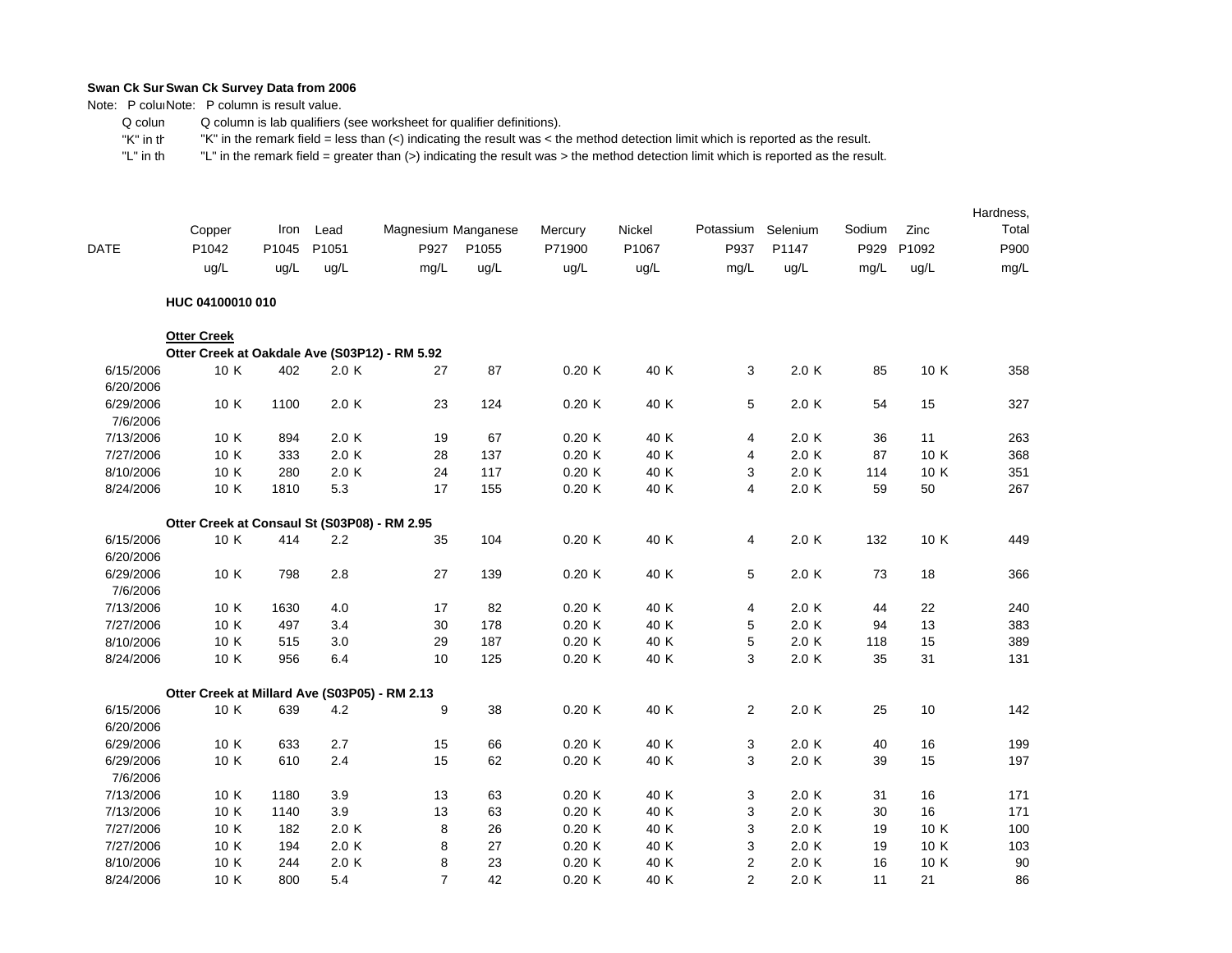Note: P coluiNote: P column is result value.

 Q colum Q column is lab qualifiers (see worksheet for qualifier definitions).

 "K" in th"K" in the remark field = less than (<) indicating the result was < the method detection limit which is reported as the result.

|                        |                                               |       |       |                     |       |         |        |                |           |        |       | Hardness, |
|------------------------|-----------------------------------------------|-------|-------|---------------------|-------|---------|--------|----------------|-----------|--------|-------|-----------|
|                        | Copper                                        | Iron  | Lead  | Magnesium Manganese |       | Mercury | Nickel | Potassium      | Selenium  | Sodium | Zinc  | Total     |
| <b>DATE</b>            | P1042                                         | P1045 | P1051 | P927                | P1055 | P71900  | P1067  | P937           | P1147     | P929   | P1092 | P900      |
|                        | ug/L                                          | ug/L  | ug/L  | mg/L                | ug/L  | uq/L    | ug/L   | mg/L           | uq/L      | mg/L   | ug/L  | mg/L      |
|                        | HUC 04100010 010                              |       |       |                     |       |         |        |                |           |        |       |           |
|                        | <b>Otter Creek</b>                            |       |       |                     |       |         |        |                |           |        |       |           |
|                        | Otter Creek at Oakdale Ave (S03P12) - RM 5.92 |       |       |                     |       |         |        |                |           |        |       |           |
| 6/15/2006<br>6/20/2006 | 10 K                                          | 402   | 2.0 K | 27                  | 87    | 0.20K   | 40 K   | 3              | 2.0 K     | 85     | 10 K  | 358       |
| 6/29/2006              | 10 K                                          | 1100  | 2.0 K | 23                  | 124   | 0.20K   | 40 K   | 5              | 2.0K      | 54     | 15    | 327       |
| 7/6/2006               |                                               |       |       |                     |       |         |        |                |           |        |       |           |
| 7/13/2006              | 10 K                                          | 894   | 2.0 K | 19                  | 67    | 0.20K   | 40 K   | 4              | 2.0 K     | 36     | 11    | 263       |
| 7/27/2006              | 10 K                                          | 333   | 2.0 K | 28                  | 137   | 0.20K   | 40 K   | 4              | 2.0K      | 87     | 10 K  | 368       |
| 8/10/2006              | 10 K                                          | 280   | 2.0 K | 24                  | 117   | 0.20K   | 40 K   | 3              | 2.0K      | 114    | 10 K  | 351       |
| 8/24/2006              | 10 K                                          | 1810  | 5.3   | 17                  | 155   | 0.20K   | 40 K   | $\overline{4}$ | $2.0\,$ K | 59     | 50    | 267       |
|                        | Otter Creek at Consaul St (S03P08) - RM 2.95  |       |       |                     |       |         |        |                |           |        |       |           |
| 6/15/2006              | 10 K                                          | 414   | 2.2   | 35                  | 104   | 0.20K   | 40 K   | 4              | 2.0K      | 132    | 10 K  | 449       |
| 6/20/2006              |                                               |       |       |                     |       |         |        |                |           |        |       |           |
| 6/29/2006              | 10 K                                          | 798   | 2.8   | 27                  | 139   | 0.20K   | 40 K   | 5              | 2.0K      | 73     | 18    | 366       |
| 7/6/2006               |                                               |       |       |                     |       |         |        |                |           |        |       |           |
| 7/13/2006              | 10 K                                          | 1630  | 4.0   | 17                  | 82    | 0.20K   | 40 K   | 4              | 2.0 K     | 44     | 22    | 240       |
| 7/27/2006              | 10 K                                          | 497   | 3.4   | 30                  | 178   | 0.20K   | 40 K   | 5              | 2.0K      | 94     | 13    | 383       |
| 8/10/2006              | 10 K                                          | 515   | 3.0   | 29                  | 187   | 0.20K   | 40 K   | 5              | 2.0K      | 118    | 15    | 389       |
| 8/24/2006              | 10 K                                          | 956   | 6.4   | 10                  | 125   | 0.20K   | 40 K   | 3              | 2.0K      | 35     | 31    | 131       |
|                        | Otter Creek at Millard Ave (S03P05) - RM 2.13 |       |       |                     |       |         |        |                |           |        |       |           |
| 6/15/2006              | 10 K                                          | 639   | 4.2   | 9                   | 38    | 0.20K   | 40 K   | $\overline{2}$ | 2.0K      | 25     | 10    | 142       |
| 6/20/2006              |                                               |       |       |                     |       |         |        |                |           |        |       |           |
| 6/29/2006              | 10 K                                          | 633   | 2.7   | 15                  | 66    | 0.20K   | 40 K   | 3              | 2.0K      | 40     | 16    | 199       |
| 6/29/2006              | 10 K                                          | 610   | 2.4   | 15                  | 62    | 0.20K   | 40 K   | 3              | 2.0 K     | 39     | 15    | 197       |
| 7/6/2006               |                                               |       |       |                     |       |         |        |                |           |        |       |           |
| 7/13/2006              | 10 K                                          | 1180  | 3.9   | 13                  | 63    | 0.20K   | 40 K   | 3              | 2.0K      | 31     | 16    | 171       |
| 7/13/2006              | 10 K                                          | 1140  | 3.9   | 13                  | 63    | 0.20K   | 40 K   | 3              | 2.0K      | 30     | 16    | 171       |
| 7/27/2006              | 10 K                                          | 182   | 2.0 K | 8                   | 26    | 0.20K   | 40 K   | 3              | 2.0K      | 19     | 10 K  | 100       |
| 7/27/2006              | 10 K                                          | 194   | 2.0 K | 8                   | 27    | 0.20K   | 40 K   | 3              | 2.0K      | 19     | 10 K  | 103       |
| 8/10/2006              | 10 K                                          | 244   | 2.0 K | 8                   | 23    | 0.20K   | 40 K   | $\mathbf{2}$   | 2.0K      | 16     | 10 K  | 90        |
| 8/24/2006              | 10 K                                          | 800   | 5.4   | $\overline{7}$      | 42    | 0.20K   | 40 K   | $\overline{2}$ | 2.0K      | 11     | 21    | 86        |
|                        |                                               |       |       |                     |       |         |        |                |           |        |       |           |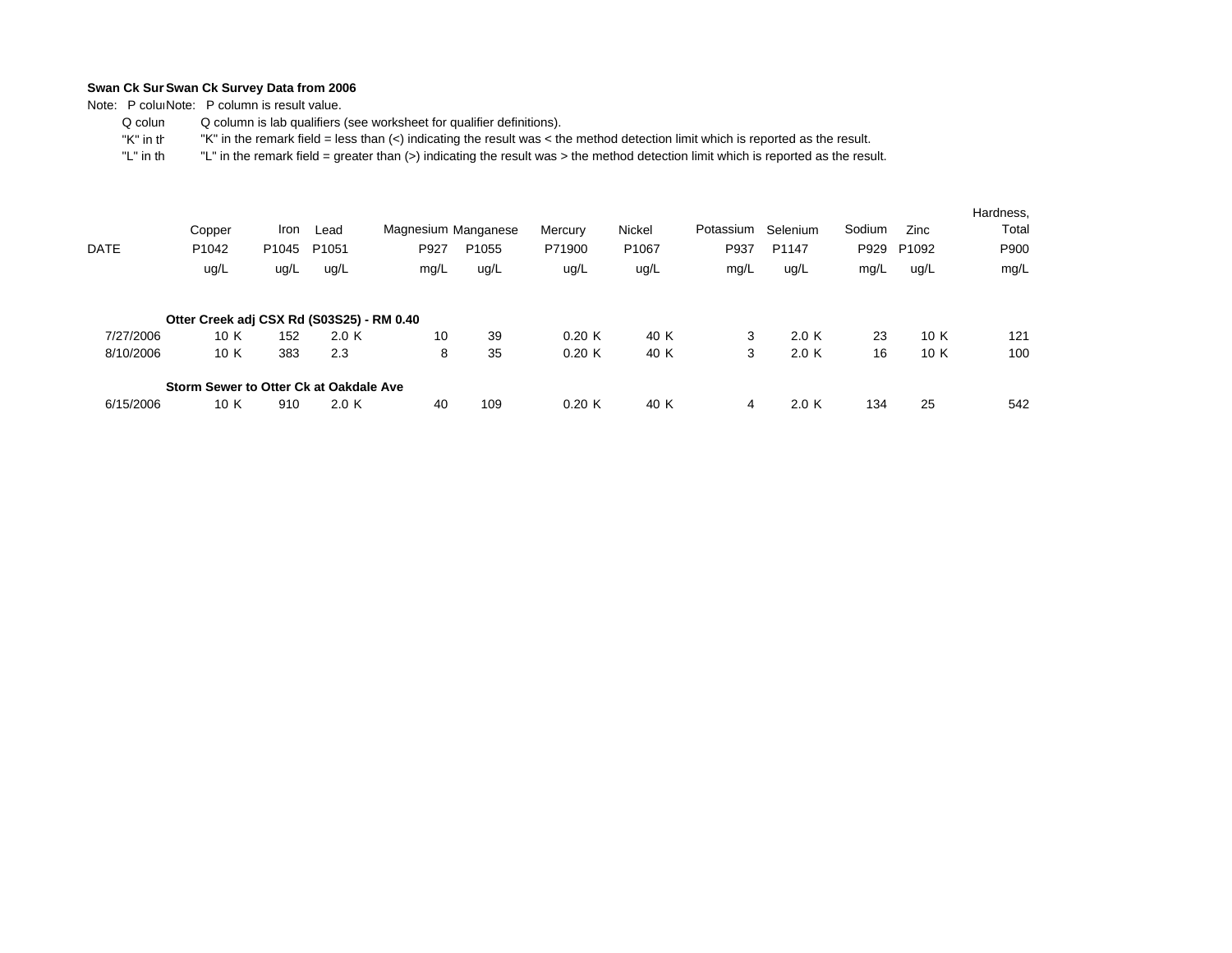Note: P coluiNote: P column is result value.

 Q colum Q column is lab qualifiers (see worksheet for qualifier definitions).

 "K" in th"K" in the remark field = less than (<) indicating the result was < the method detection limit which is reported as the result.

|           | Copper                                    | Iron              | Lead              | Magnesium Manganese |                   | Mercury | Nickel            | Potassium | Selenium | Sodium | Zinc              | Hardness,<br>Total |
|-----------|-------------------------------------------|-------------------|-------------------|---------------------|-------------------|---------|-------------------|-----------|----------|--------|-------------------|--------------------|
| DATE      | P <sub>1042</sub>                         | P <sub>1045</sub> | P <sub>1051</sub> | P927                | P <sub>1055</sub> | P71900  | P <sub>1067</sub> | P937      | P1147    | P929   | P <sub>1092</sub> | P900               |
|           | ug/L                                      | ug/L              | ug/L              | mg/L                | ug/L              | ug/L    | ug/L              | mg/L      | ug/L     | mg/L   | ug/L              | mg/L               |
|           | Otter Creek adj CSX Rd (S03S25) - RM 0.40 |                   |                   |                     |                   |         |                   |           |          |        |                   |                    |
| 7/27/2006 | 10 K                                      | 152               | 2.0 K             | 10                  | 39                | 0.20K   | 40 K              | 3         | 2.0K     | 23     | 10 K              | 121                |
| 8/10/2006 | 10 K                                      | 383               | 2.3               | 8                   | 35                | 0.20K   | 40 K              | 3         | 2.0K     | 16     | 10 K              | 100                |
|           | Storm Sewer to Otter Ck at Oakdale Ave    |                   |                   |                     |                   |         |                   |           |          |        |                   |                    |
| 6/15/2006 | 10 K                                      | 910               | 2.0 K             | 40                  | 109               | 0.20K   | 40 K              | 4         | 2.0K     | 134    | 25                | 542                |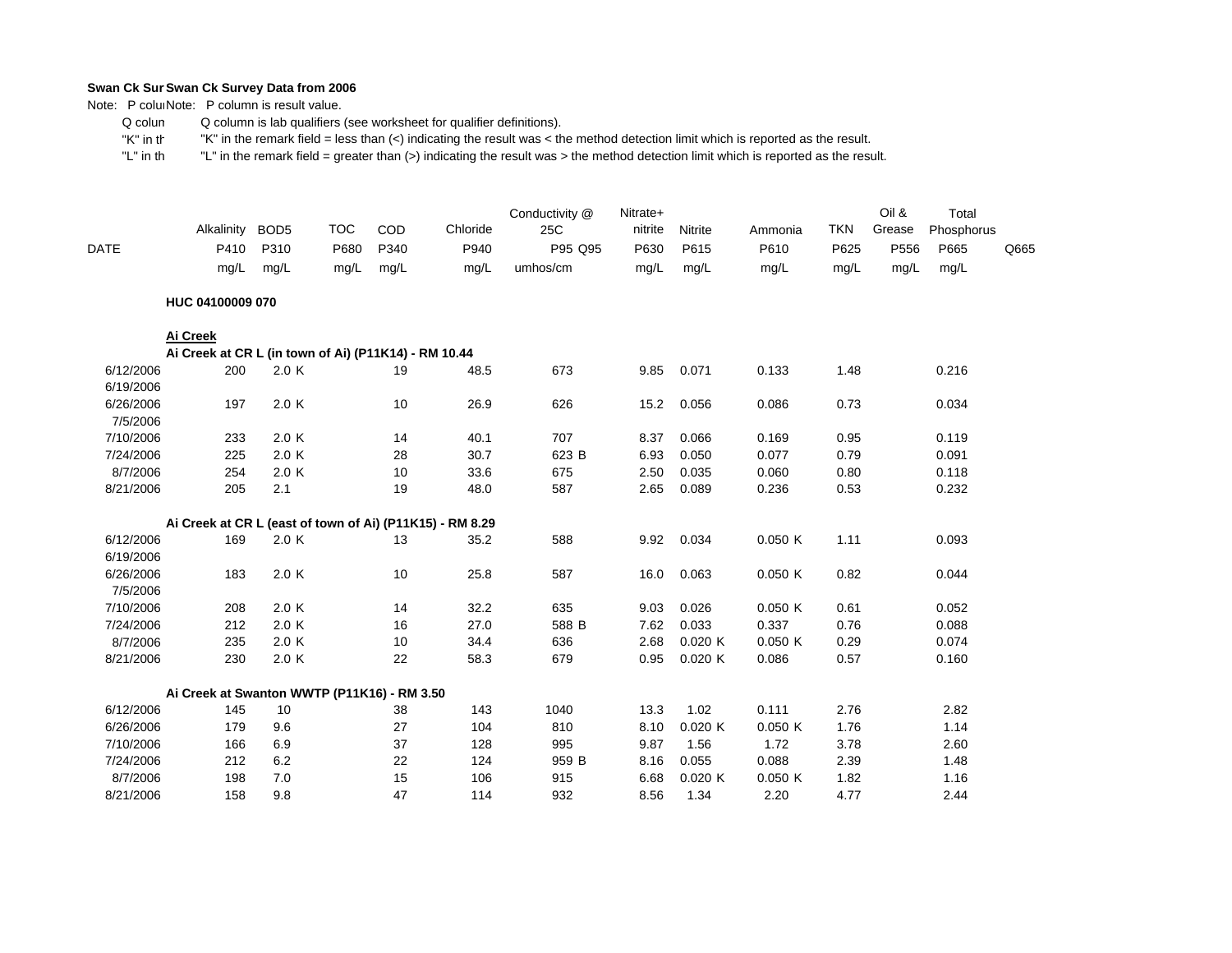Note: P coluiNote: P column is result value.

 Q colum Q column is lab qualifiers (see worksheet for qualifier definitions).

 "K" in th"K" in the remark field = less than (<) indicating the result was < the method detection limit which is reported as the result.

| P95 Q95<br>P556<br><b>DATE</b><br>Q665<br>mg/L<br>mg/L<br>mg/L<br>umhos/cm<br>mg/L<br>mg/L<br>mg/L<br>mg/L<br>mg/L<br>mg/L<br>mg/L<br>mg/L<br>HUC 04100009 070<br>Ai Creek<br>Ai Creek at CR L (in town of Ai) (P11K14) - RM 10.44<br>6/12/2006<br>200<br>2.0 K<br>673<br>9.85<br>0.071<br>0.133<br>1.48<br>0.216<br>19<br>48.5<br>6/19/2006<br>2.0 K<br>10<br>26.9<br>6/26/2006<br>626<br>15.2<br>0.056<br>0.086<br>0.73<br>0.034<br>197<br>7/5/2006<br>7/10/2006<br>2.0 K<br>40.1<br>707<br>0.066<br>0.95<br>233<br>14<br>8.37<br>0.169<br>0.119<br>2.0 K<br>30.7<br>623 B<br>6.93<br>0.050<br>0.077<br>0.79<br>0.091<br>7/24/2006<br>225<br>28<br>8/7/2006<br>254<br>2.0 K<br>10<br>33.6<br>675<br>2.50<br>0.035<br>0.060<br>0.80<br>0.118<br>8/21/2006<br>205<br>2.1<br>19<br>48.0<br>587<br>2.65<br>0.089<br>0.236<br>0.53<br>0.232<br>Ai Creek at CR L (east of town of Ai) (P11K15) - RM 8.29<br>2.0 K<br>588<br>0.050K<br>1.11<br>6/12/2006<br>169<br>13<br>35.2<br>9.92<br>0.034<br>0.093<br>6/19/2006<br>6/26/2006<br>183<br>2.0 K<br>10<br>25.8<br>587<br>16.0<br>0.063<br>0.050K<br>0.82<br>0.044<br>7/5/2006<br>7/10/2006<br>208<br>2.0 K<br>32.2<br>635<br>9.03<br>0.026<br>14<br>0.050K<br>0.61<br>0.052<br>0.033<br>7/24/2006<br>212<br>2.0 K<br>27.0<br>588 B<br>7.62<br>0.337<br>0.76<br>0.088<br>16<br>0.050K<br>8/7/2006<br>235<br>2.0 K<br>10<br>34.4<br>636<br>2.68<br>0.020K<br>0.29<br>0.074<br>8/21/2006<br>230<br>2.0 K<br>22<br>679<br>0.95<br>0.020K<br>0.086<br>0.57<br>0.160<br>58.3<br>Ai Creek at Swanton WWTP (P11K16) - RM 3.50<br>145<br>1.02<br>0.111<br>6/12/2006<br>10<br>38<br>143<br>1040<br>13.3<br>2.76<br>2.82<br>6/26/2006<br>9.6<br>27<br>104<br>810<br>8.10<br>0.020K<br>0.050K<br>1.76<br>1.14<br>179<br>37<br>7/10/2006<br>6.9<br>128<br>995<br>9.87<br>1.56<br>1.72<br>3.78<br>2.60<br>166<br>6.2<br>22<br>959 B<br>0.055<br>0.088<br>2.39<br>7/24/2006<br>212<br>124<br>8.16<br>1.48<br>8/7/2006<br>7.0<br>15<br>106<br>915<br>6.68<br>0.020K<br>0.050K<br>1.82<br>1.16<br>198 |           | Alkalinity<br>P410 | BOD <sub>5</sub><br>P310 | <b>TOC</b><br>P680 | COD<br>P340 | Chloride<br>P940 | Conductivity @<br>25C | Nitrate+<br>nitrite<br>P630 | Nitrite<br>P615 | Ammonia<br>P610 | <b>TKN</b><br>P625 | Oil &<br>Grease | Total<br>Phosphorus<br>P665 |  |
|----------------------------------------------------------------------------------------------------------------------------------------------------------------------------------------------------------------------------------------------------------------------------------------------------------------------------------------------------------------------------------------------------------------------------------------------------------------------------------------------------------------------------------------------------------------------------------------------------------------------------------------------------------------------------------------------------------------------------------------------------------------------------------------------------------------------------------------------------------------------------------------------------------------------------------------------------------------------------------------------------------------------------------------------------------------------------------------------------------------------------------------------------------------------------------------------------------------------------------------------------------------------------------------------------------------------------------------------------------------------------------------------------------------------------------------------------------------------------------------------------------------------------------------------------------------------------------------------------------------------------------------------------------------------------------------------------------------------------------------------------------------------------------------------------------------------------------------------------------------------------------------------------------------------------------------------------------------------------------------------------------------------------------|-----------|--------------------|--------------------------|--------------------|-------------|------------------|-----------------------|-----------------------------|-----------------|-----------------|--------------------|-----------------|-----------------------------|--|
|                                                                                                                                                                                                                                                                                                                                                                                                                                                                                                                                                                                                                                                                                                                                                                                                                                                                                                                                                                                                                                                                                                                                                                                                                                                                                                                                                                                                                                                                                                                                                                                                                                                                                                                                                                                                                                                                                                                                                                                                                                  |           |                    |                          |                    |             |                  |                       |                             |                 |                 |                    |                 |                             |  |
|                                                                                                                                                                                                                                                                                                                                                                                                                                                                                                                                                                                                                                                                                                                                                                                                                                                                                                                                                                                                                                                                                                                                                                                                                                                                                                                                                                                                                                                                                                                                                                                                                                                                                                                                                                                                                                                                                                                                                                                                                                  |           |                    |                          |                    |             |                  |                       |                             |                 |                 |                    |                 |                             |  |
|                                                                                                                                                                                                                                                                                                                                                                                                                                                                                                                                                                                                                                                                                                                                                                                                                                                                                                                                                                                                                                                                                                                                                                                                                                                                                                                                                                                                                                                                                                                                                                                                                                                                                                                                                                                                                                                                                                                                                                                                                                  |           |                    |                          |                    |             |                  |                       |                             |                 |                 |                    |                 |                             |  |
|                                                                                                                                                                                                                                                                                                                                                                                                                                                                                                                                                                                                                                                                                                                                                                                                                                                                                                                                                                                                                                                                                                                                                                                                                                                                                                                                                                                                                                                                                                                                                                                                                                                                                                                                                                                                                                                                                                                                                                                                                                  |           |                    |                          |                    |             |                  |                       |                             |                 |                 |                    |                 |                             |  |
|                                                                                                                                                                                                                                                                                                                                                                                                                                                                                                                                                                                                                                                                                                                                                                                                                                                                                                                                                                                                                                                                                                                                                                                                                                                                                                                                                                                                                                                                                                                                                                                                                                                                                                                                                                                                                                                                                                                                                                                                                                  |           |                    |                          |                    |             |                  |                       |                             |                 |                 |                    |                 |                             |  |
|                                                                                                                                                                                                                                                                                                                                                                                                                                                                                                                                                                                                                                                                                                                                                                                                                                                                                                                                                                                                                                                                                                                                                                                                                                                                                                                                                                                                                                                                                                                                                                                                                                                                                                                                                                                                                                                                                                                                                                                                                                  |           |                    |                          |                    |             |                  |                       |                             |                 |                 |                    |                 |                             |  |
|                                                                                                                                                                                                                                                                                                                                                                                                                                                                                                                                                                                                                                                                                                                                                                                                                                                                                                                                                                                                                                                                                                                                                                                                                                                                                                                                                                                                                                                                                                                                                                                                                                                                                                                                                                                                                                                                                                                                                                                                                                  |           |                    |                          |                    |             |                  |                       |                             |                 |                 |                    |                 |                             |  |
|                                                                                                                                                                                                                                                                                                                                                                                                                                                                                                                                                                                                                                                                                                                                                                                                                                                                                                                                                                                                                                                                                                                                                                                                                                                                                                                                                                                                                                                                                                                                                                                                                                                                                                                                                                                                                                                                                                                                                                                                                                  |           |                    |                          |                    |             |                  |                       |                             |                 |                 |                    |                 |                             |  |
|                                                                                                                                                                                                                                                                                                                                                                                                                                                                                                                                                                                                                                                                                                                                                                                                                                                                                                                                                                                                                                                                                                                                                                                                                                                                                                                                                                                                                                                                                                                                                                                                                                                                                                                                                                                                                                                                                                                                                                                                                                  |           |                    |                          |                    |             |                  |                       |                             |                 |                 |                    |                 |                             |  |
|                                                                                                                                                                                                                                                                                                                                                                                                                                                                                                                                                                                                                                                                                                                                                                                                                                                                                                                                                                                                                                                                                                                                                                                                                                                                                                                                                                                                                                                                                                                                                                                                                                                                                                                                                                                                                                                                                                                                                                                                                                  |           |                    |                          |                    |             |                  |                       |                             |                 |                 |                    |                 |                             |  |
|                                                                                                                                                                                                                                                                                                                                                                                                                                                                                                                                                                                                                                                                                                                                                                                                                                                                                                                                                                                                                                                                                                                                                                                                                                                                                                                                                                                                                                                                                                                                                                                                                                                                                                                                                                                                                                                                                                                                                                                                                                  |           |                    |                          |                    |             |                  |                       |                             |                 |                 |                    |                 |                             |  |
|                                                                                                                                                                                                                                                                                                                                                                                                                                                                                                                                                                                                                                                                                                                                                                                                                                                                                                                                                                                                                                                                                                                                                                                                                                                                                                                                                                                                                                                                                                                                                                                                                                                                                                                                                                                                                                                                                                                                                                                                                                  |           |                    |                          |                    |             |                  |                       |                             |                 |                 |                    |                 |                             |  |
|                                                                                                                                                                                                                                                                                                                                                                                                                                                                                                                                                                                                                                                                                                                                                                                                                                                                                                                                                                                                                                                                                                                                                                                                                                                                                                                                                                                                                                                                                                                                                                                                                                                                                                                                                                                                                                                                                                                                                                                                                                  |           |                    |                          |                    |             |                  |                       |                             |                 |                 |                    |                 |                             |  |
|                                                                                                                                                                                                                                                                                                                                                                                                                                                                                                                                                                                                                                                                                                                                                                                                                                                                                                                                                                                                                                                                                                                                                                                                                                                                                                                                                                                                                                                                                                                                                                                                                                                                                                                                                                                                                                                                                                                                                                                                                                  |           |                    |                          |                    |             |                  |                       |                             |                 |                 |                    |                 |                             |  |
|                                                                                                                                                                                                                                                                                                                                                                                                                                                                                                                                                                                                                                                                                                                                                                                                                                                                                                                                                                                                                                                                                                                                                                                                                                                                                                                                                                                                                                                                                                                                                                                                                                                                                                                                                                                                                                                                                                                                                                                                                                  |           |                    |                          |                    |             |                  |                       |                             |                 |                 |                    |                 |                             |  |
|                                                                                                                                                                                                                                                                                                                                                                                                                                                                                                                                                                                                                                                                                                                                                                                                                                                                                                                                                                                                                                                                                                                                                                                                                                                                                                                                                                                                                                                                                                                                                                                                                                                                                                                                                                                                                                                                                                                                                                                                                                  |           |                    |                          |                    |             |                  |                       |                             |                 |                 |                    |                 |                             |  |
|                                                                                                                                                                                                                                                                                                                                                                                                                                                                                                                                                                                                                                                                                                                                                                                                                                                                                                                                                                                                                                                                                                                                                                                                                                                                                                                                                                                                                                                                                                                                                                                                                                                                                                                                                                                                                                                                                                                                                                                                                                  |           |                    |                          |                    |             |                  |                       |                             |                 |                 |                    |                 |                             |  |
|                                                                                                                                                                                                                                                                                                                                                                                                                                                                                                                                                                                                                                                                                                                                                                                                                                                                                                                                                                                                                                                                                                                                                                                                                                                                                                                                                                                                                                                                                                                                                                                                                                                                                                                                                                                                                                                                                                                                                                                                                                  |           |                    |                          |                    |             |                  |                       |                             |                 |                 |                    |                 |                             |  |
|                                                                                                                                                                                                                                                                                                                                                                                                                                                                                                                                                                                                                                                                                                                                                                                                                                                                                                                                                                                                                                                                                                                                                                                                                                                                                                                                                                                                                                                                                                                                                                                                                                                                                                                                                                                                                                                                                                                                                                                                                                  |           |                    |                          |                    |             |                  |                       |                             |                 |                 |                    |                 |                             |  |
|                                                                                                                                                                                                                                                                                                                                                                                                                                                                                                                                                                                                                                                                                                                                                                                                                                                                                                                                                                                                                                                                                                                                                                                                                                                                                                                                                                                                                                                                                                                                                                                                                                                                                                                                                                                                                                                                                                                                                                                                                                  |           |                    |                          |                    |             |                  |                       |                             |                 |                 |                    |                 |                             |  |
|                                                                                                                                                                                                                                                                                                                                                                                                                                                                                                                                                                                                                                                                                                                                                                                                                                                                                                                                                                                                                                                                                                                                                                                                                                                                                                                                                                                                                                                                                                                                                                                                                                                                                                                                                                                                                                                                                                                                                                                                                                  |           |                    |                          |                    |             |                  |                       |                             |                 |                 |                    |                 |                             |  |
|                                                                                                                                                                                                                                                                                                                                                                                                                                                                                                                                                                                                                                                                                                                                                                                                                                                                                                                                                                                                                                                                                                                                                                                                                                                                                                                                                                                                                                                                                                                                                                                                                                                                                                                                                                                                                                                                                                                                                                                                                                  |           |                    |                          |                    |             |                  |                       |                             |                 |                 |                    |                 |                             |  |
|                                                                                                                                                                                                                                                                                                                                                                                                                                                                                                                                                                                                                                                                                                                                                                                                                                                                                                                                                                                                                                                                                                                                                                                                                                                                                                                                                                                                                                                                                                                                                                                                                                                                                                                                                                                                                                                                                                                                                                                                                                  |           |                    |                          |                    |             |                  |                       |                             |                 |                 |                    |                 |                             |  |
|                                                                                                                                                                                                                                                                                                                                                                                                                                                                                                                                                                                                                                                                                                                                                                                                                                                                                                                                                                                                                                                                                                                                                                                                                                                                                                                                                                                                                                                                                                                                                                                                                                                                                                                                                                                                                                                                                                                                                                                                                                  |           |                    |                          |                    |             |                  |                       |                             |                 |                 |                    |                 |                             |  |
|                                                                                                                                                                                                                                                                                                                                                                                                                                                                                                                                                                                                                                                                                                                                                                                                                                                                                                                                                                                                                                                                                                                                                                                                                                                                                                                                                                                                                                                                                                                                                                                                                                                                                                                                                                                                                                                                                                                                                                                                                                  |           |                    |                          |                    |             |                  |                       |                             |                 |                 |                    |                 |                             |  |
|                                                                                                                                                                                                                                                                                                                                                                                                                                                                                                                                                                                                                                                                                                                                                                                                                                                                                                                                                                                                                                                                                                                                                                                                                                                                                                                                                                                                                                                                                                                                                                                                                                                                                                                                                                                                                                                                                                                                                                                                                                  |           |                    |                          |                    |             |                  |                       |                             |                 |                 |                    |                 |                             |  |
|                                                                                                                                                                                                                                                                                                                                                                                                                                                                                                                                                                                                                                                                                                                                                                                                                                                                                                                                                                                                                                                                                                                                                                                                                                                                                                                                                                                                                                                                                                                                                                                                                                                                                                                                                                                                                                                                                                                                                                                                                                  |           |                    |                          |                    |             |                  |                       |                             |                 |                 |                    |                 |                             |  |
|                                                                                                                                                                                                                                                                                                                                                                                                                                                                                                                                                                                                                                                                                                                                                                                                                                                                                                                                                                                                                                                                                                                                                                                                                                                                                                                                                                                                                                                                                                                                                                                                                                                                                                                                                                                                                                                                                                                                                                                                                                  |           |                    |                          |                    |             |                  |                       |                             |                 |                 |                    |                 |                             |  |
|                                                                                                                                                                                                                                                                                                                                                                                                                                                                                                                                                                                                                                                                                                                                                                                                                                                                                                                                                                                                                                                                                                                                                                                                                                                                                                                                                                                                                                                                                                                                                                                                                                                                                                                                                                                                                                                                                                                                                                                                                                  | 8/21/2006 | 158                | 9.8                      |                    | 47          | 114              | 932                   | 8.56                        | 1.34            | 2.20            | 4.77               |                 | 2.44                        |  |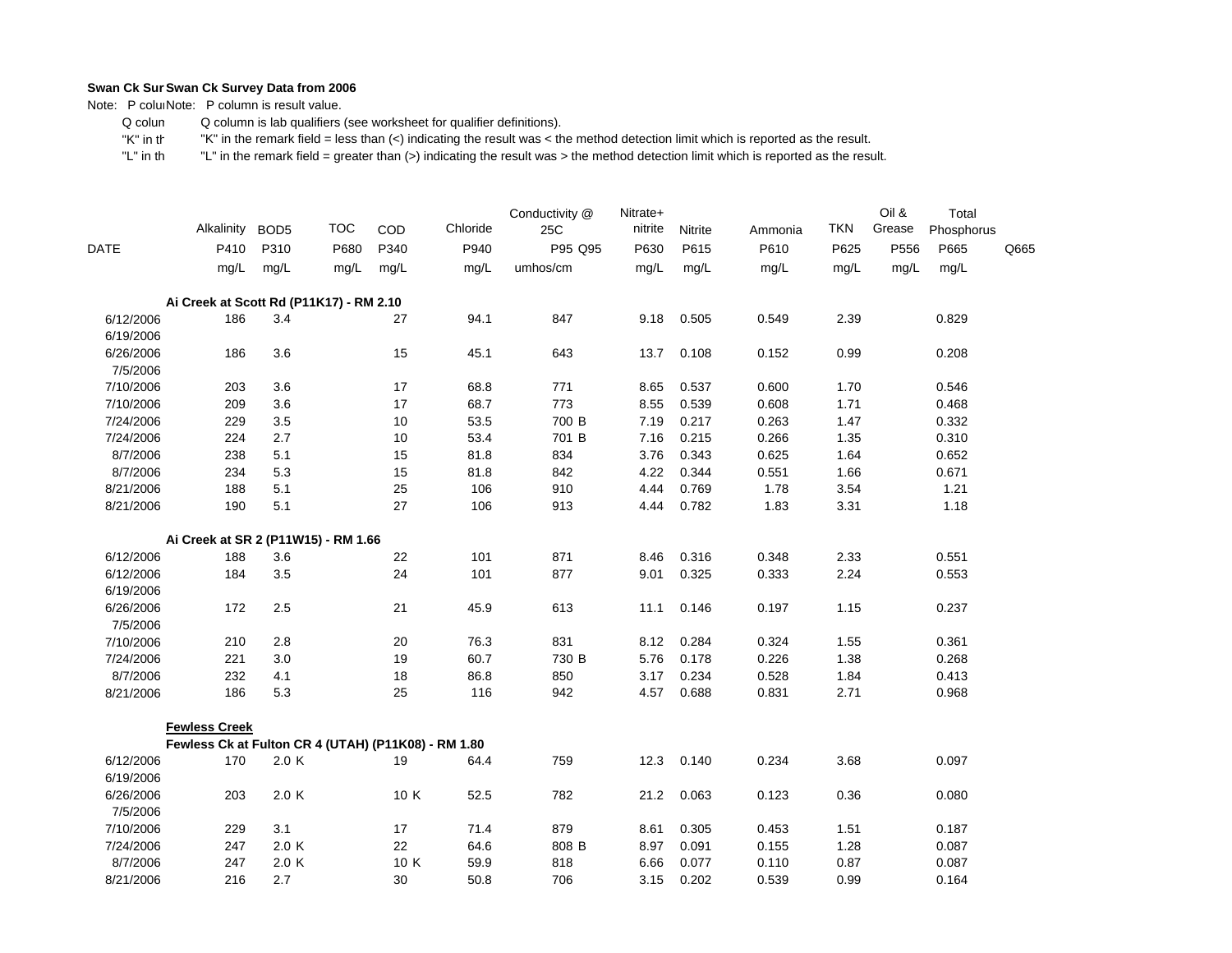Note: P coluiNote: P column is result value.

 Q colum Q column is lab qualifiers (see worksheet for qualifier definitions).

 "K" in th"K" in the remark field = less than (<) indicating the result was < the method detection limit which is reported as the result.

|                        | Alkalinity                                          | BOD <sub>5</sub> | <b>TOC</b> | COD  | Chloride | Conductivity @<br>25C | Nitrate+<br>nitrite | Nitrite | Ammonia | <b>TKN</b> | Oil &<br>Grease | Total<br>Phosphorus |      |
|------------------------|-----------------------------------------------------|------------------|------------|------|----------|-----------------------|---------------------|---------|---------|------------|-----------------|---------------------|------|
| <b>DATE</b>            | P410                                                | P310             | P680       | P340 | P940     | P95 Q95               | P630                | P615    | P610    | P625       | P556            | P665                | Q665 |
|                        | mg/L                                                | mg/L             | mg/L       | mg/L | mg/L     | umhos/cm              | mg/L                | mg/L    | mg/L    | mg/L       | mg/L            | mg/L                |      |
|                        | Ai Creek at Scott Rd (P11K17) - RM 2.10             |                  |            |      |          |                       |                     |         |         |            |                 |                     |      |
| 6/12/2006<br>6/19/2006 | 186                                                 | 3.4              |            | 27   | 94.1     | 847                   | 9.18                | 0.505   | 0.549   | 2.39       |                 | 0.829               |      |
| 6/26/2006<br>7/5/2006  | 186                                                 | 3.6              |            | 15   | 45.1     | 643                   | 13.7                | 0.108   | 0.152   | 0.99       |                 | 0.208               |      |
| 7/10/2006              | 203                                                 | 3.6              |            | 17   | 68.8     | 771                   | 8.65                | 0.537   | 0.600   | 1.70       |                 | 0.546               |      |
| 7/10/2006              | 209                                                 | 3.6              |            | 17   | 68.7     | 773                   | 8.55                | 0.539   | 0.608   | 1.71       |                 | 0.468               |      |
| 7/24/2006              | 229                                                 | 3.5              |            | 10   | 53.5     | 700 B                 | 7.19                | 0.217   | 0.263   | 1.47       |                 | 0.332               |      |
| 7/24/2006              | 224                                                 | 2.7              |            | 10   | 53.4     | 701 B                 | 7.16                | 0.215   | 0.266   | 1.35       |                 | 0.310               |      |
| 8/7/2006               | 238                                                 | 5.1              |            | 15   | 81.8     | 834                   | 3.76                | 0.343   | 0.625   | 1.64       |                 | 0.652               |      |
| 8/7/2006               | 234                                                 | 5.3              |            | 15   | 81.8     | 842                   | 4.22                | 0.344   | 0.551   | 1.66       |                 | 0.671               |      |
| 8/21/2006              | 188                                                 | 5.1              |            | 25   | 106      | 910                   | 4.44                | 0.769   | 1.78    | 3.54       |                 | 1.21                |      |
| 8/21/2006              | 190                                                 | 5.1              |            | 27   | 106      | 913                   | 4.44                | 0.782   | 1.83    | 3.31       |                 | 1.18                |      |
|                        | Ai Creek at SR 2 (P11W15) - RM 1.66                 |                  |            |      |          |                       |                     |         |         |            |                 |                     |      |
| 6/12/2006              | 188                                                 | 3.6              |            | 22   | 101      | 871                   | 8.46                | 0.316   | 0.348   | 2.33       |                 | 0.551               |      |
| 6/12/2006              | 184                                                 | 3.5              |            | 24   | 101      | 877                   | 9.01                | 0.325   | 0.333   | 2.24       |                 | 0.553               |      |
| 6/19/2006              |                                                     |                  |            |      |          |                       |                     |         |         |            |                 |                     |      |
| 6/26/2006<br>7/5/2006  | 172                                                 | 2.5              |            | 21   | 45.9     | 613                   | 11.1                | 0.146   | 0.197   | 1.15       |                 | 0.237               |      |
| 7/10/2006              | 210                                                 | 2.8              |            | 20   | 76.3     | 831                   | 8.12                | 0.284   | 0.324   | 1.55       |                 | 0.361               |      |
| 7/24/2006              | 221                                                 | 3.0              |            | 19   | 60.7     | 730 B                 | 5.76                | 0.178   | 0.226   | 1.38       |                 | 0.268               |      |
| 8/7/2006               | 232                                                 | 4.1              |            | 18   | 86.8     | 850                   | 3.17                | 0.234   | 0.528   | 1.84       |                 | 0.413               |      |
| 8/21/2006              | 186                                                 | 5.3              |            | 25   | 116      | 942                   | 4.57                | 0.688   | 0.831   | 2.71       |                 | 0.968               |      |
|                        | <b>Fewless Creek</b>                                |                  |            |      |          |                       |                     |         |         |            |                 |                     |      |
|                        | Fewless Ck at Fulton CR 4 (UTAH) (P11K08) - RM 1.80 |                  |            |      |          |                       |                     |         |         |            |                 |                     |      |
| 6/12/2006<br>6/19/2006 | 170                                                 | 2.0 K            |            | 19   | 64.4     | 759                   | 12.3                | 0.140   | 0.234   | 3.68       |                 | 0.097               |      |
| 6/26/2006<br>7/5/2006  | 203                                                 | 2.0 K            |            | 10 K | 52.5     | 782                   | 21.2                | 0.063   | 0.123   | 0.36       |                 | 0.080               |      |
| 7/10/2006              | 229                                                 | 3.1              |            | 17   | 71.4     | 879                   | 8.61                | 0.305   | 0.453   | 1.51       |                 | 0.187               |      |
| 7/24/2006              | 247                                                 | 2.0 K            |            | 22   | 64.6     | 808 B                 | 8.97                | 0.091   | 0.155   | 1.28       |                 | 0.087               |      |
| 8/7/2006               | 247                                                 | 2.0K             |            | 10 K | 59.9     | 818                   | 6.66                | 0.077   | 0.110   | 0.87       |                 | 0.087               |      |
| 8/21/2006              | 216                                                 | 2.7              |            | 30   | 50.8     | 706                   | 3.15                | 0.202   | 0.539   | 0.99       |                 | 0.164               |      |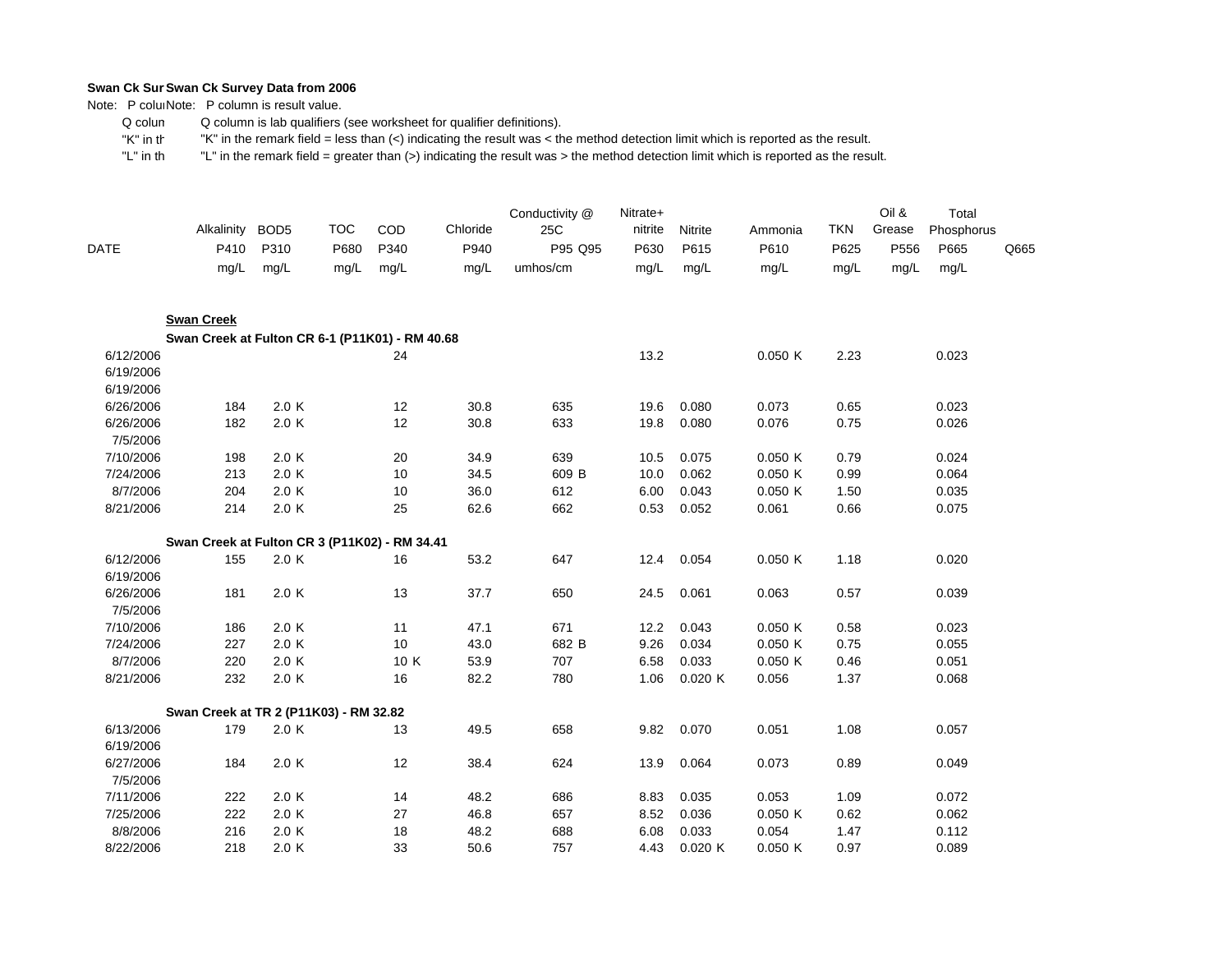Note: P coluiNote: P column is result value.

 Q colum Q column is lab qualifiers (see worksheet for qualifier definitions).

 "K" in th"K" in the remark field = less than (<) indicating the result was < the method detection limit which is reported as the result.

| DATE                                | Alkalinity<br>P410                              | BOD <sub>5</sub><br>P310 | <b>TOC</b><br>P680 | COD<br>P340 | Chloride<br>P940 | Conductivity @<br>25C<br>P95 Q95 | Nitrate+<br>nitrite<br>P630 | Nitrite<br>P615 | Ammonia<br>P610 | <b>TKN</b><br>P625 | Oil &<br>Grease<br>P556 | Total<br>Phosphorus<br>P665 | Q665 |
|-------------------------------------|-------------------------------------------------|--------------------------|--------------------|-------------|------------------|----------------------------------|-----------------------------|-----------------|-----------------|--------------------|-------------------------|-----------------------------|------|
|                                     | mg/L                                            | mg/L                     | mg/L               | mg/L        | mg/L             | umhos/cm                         | mg/L                        | mg/L            | mg/L            | mg/L               | mg/L                    | mg/L                        |      |
|                                     | <b>Swan Creek</b>                               |                          |                    |             |                  |                                  |                             |                 |                 |                    |                         |                             |      |
|                                     | Swan Creek at Fulton CR 6-1 (P11K01) - RM 40.68 |                          |                    |             |                  |                                  |                             |                 |                 |                    |                         |                             |      |
| 6/12/2006<br>6/19/2006<br>6/19/2006 |                                                 |                          |                    | 24          |                  |                                  | 13.2                        |                 | 0.050K          | 2.23               |                         | 0.023                       |      |
| 6/26/2006                           | 184                                             | 2.0 K                    |                    | 12          | 30.8             | 635                              | 19.6                        | 0.080           | 0.073           | 0.65               |                         | 0.023                       |      |
| 6/26/2006<br>7/5/2006               | 182                                             | 2.0 K                    |                    | 12          | 30.8             | 633                              | 19.8                        | 0.080           | 0.076           | 0.75               |                         | 0.026                       |      |
| 7/10/2006                           | 198                                             | 2.0 K                    |                    | 20          | 34.9             | 639                              | 10.5                        | 0.075           | 0.050K          | 0.79               |                         | 0.024                       |      |
| 7/24/2006                           | 213                                             | 2.0 K                    |                    | 10          | 34.5             | 609 B                            | 10.0                        | 0.062           | 0.050K          | 0.99               |                         | 0.064                       |      |
| 8/7/2006                            | 204                                             | 2.0 K                    |                    | 10          | 36.0             | 612                              | 6.00                        | 0.043           | 0.050K          | 1.50               |                         | 0.035                       |      |
| 8/21/2006                           | 214                                             | 2.0 K                    |                    | 25          | 62.6             | 662                              | 0.53                        | 0.052           | 0.061           | 0.66               |                         | 0.075                       |      |
|                                     | Swan Creek at Fulton CR 3 (P11K02) - RM 34.41   |                          |                    |             |                  |                                  |                             |                 |                 |                    |                         |                             |      |
| 6/12/2006<br>6/19/2006              | 155                                             | 2.0 K                    |                    | 16          | 53.2             | 647                              | 12.4                        | 0.054           | 0.050K          | 1.18               |                         | 0.020                       |      |
| 6/26/2006<br>7/5/2006               | 181                                             | 2.0 K                    |                    | 13          | 37.7             | 650                              | 24.5                        | 0.061           | 0.063           | 0.57               |                         | 0.039                       |      |
| 7/10/2006                           | 186                                             | 2.0 K                    |                    | 11          | 47.1             | 671                              | 12.2                        | 0.043           | 0.050K          | 0.58               |                         | 0.023                       |      |
| 7/24/2006                           | 227                                             | 2.0 K                    |                    | 10          | 43.0             | 682 B                            | 9.26                        | 0.034           | 0.050K          | 0.75               |                         | 0.055                       |      |
| 8/7/2006                            | 220                                             | 2.0 K                    |                    | 10 K        | 53.9             | 707                              | 6.58                        | 0.033           | 0.050K          | 0.46               |                         | 0.051                       |      |
| 8/21/2006                           | 232                                             | 2.0 K                    |                    | 16          | 82.2             | 780                              | 1.06                        | 0.020K          | 0.056           | 1.37               |                         | 0.068                       |      |
|                                     | Swan Creek at TR 2 (P11K03) - RM 32.82          |                          |                    |             |                  |                                  |                             |                 |                 |                    |                         |                             |      |
| 6/13/2006<br>6/19/2006              | 179                                             | 2.0 K                    |                    | 13          | 49.5             | 658                              | 9.82                        | 0.070           | 0.051           | 1.08               |                         | 0.057                       |      |
| 6/27/2006<br>7/5/2006               | 184                                             | 2.0 K                    |                    | 12          | 38.4             | 624                              | 13.9                        | 0.064           | 0.073           | 0.89               |                         | 0.049                       |      |
| 7/11/2006                           | 222                                             | 2.0 K                    |                    | 14          | 48.2             | 686                              | 8.83                        | 0.035           | 0.053           | 1.09               |                         | 0.072                       |      |
| 7/25/2006                           | 222                                             | 2.0 K                    |                    | 27          | 46.8             | 657                              | 8.52                        | 0.036           | 0.050K          | 0.62               |                         | 0.062                       |      |
| 8/8/2006                            | 216                                             | 2.0 K                    |                    | 18          | 48.2             | 688                              | 6.08                        | 0.033           | 0.054           | 1.47               |                         | 0.112                       |      |
| 8/22/2006                           | 218                                             | 2.0 K                    |                    | 33          | 50.6             | 757                              | 4.43                        | 0.020K          | 0.050K          | 0.97               |                         | 0.089                       |      |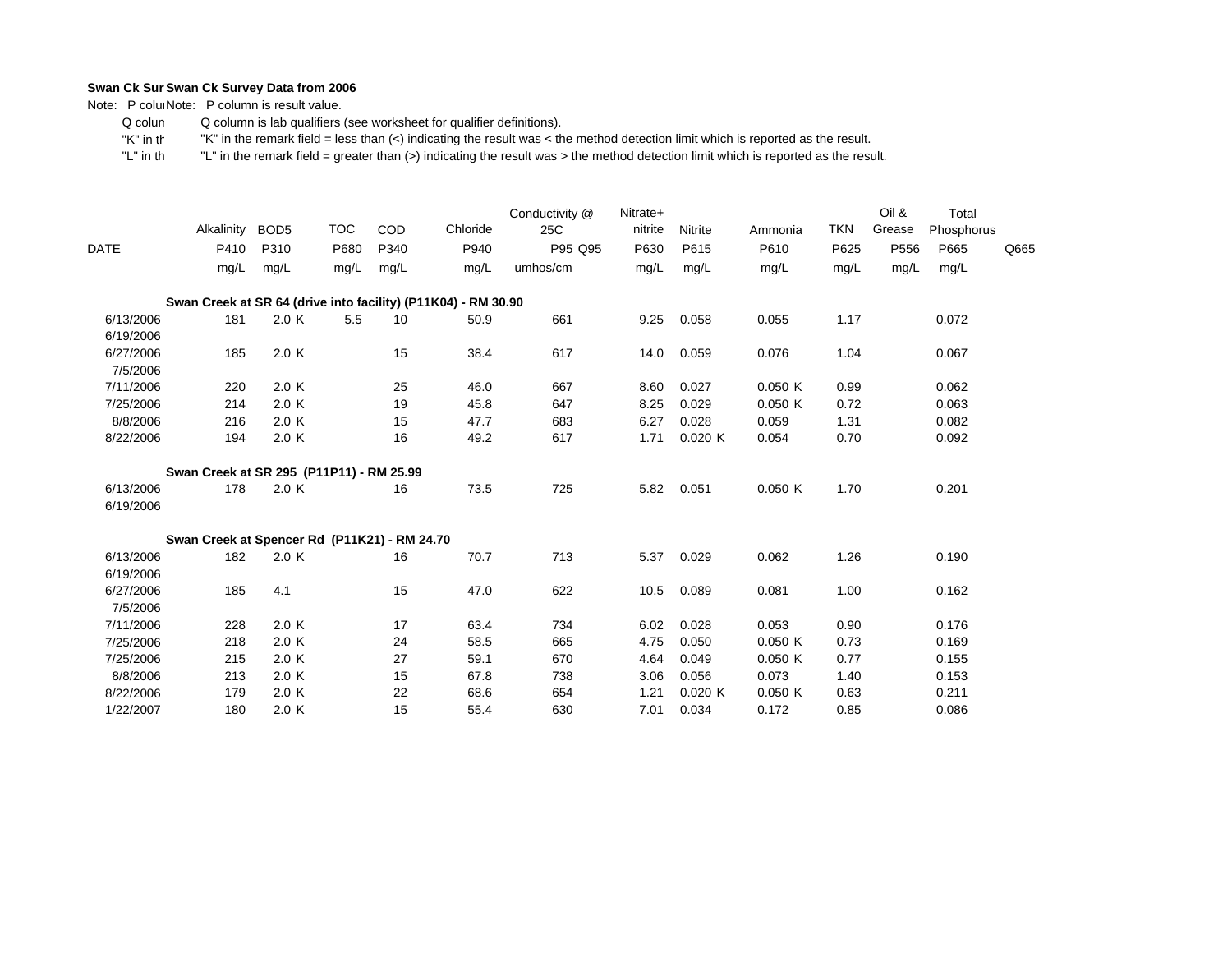Note: P coluiNote: P column is result value.

 Q colum Q column is lab qualifiers (see worksheet for qualifier definitions).

 "K" in th"K" in the remark field = less than (<) indicating the result was < the method detection limit which is reported as the result.

|                        | Alkalinity                                                    | BOD <sub>5</sub> | <b>TOC</b> | COD  | Chloride | Conductivity @<br>25C | Nitrate+<br>nitrite | Nitrite | Ammonia | <b>TKN</b> | Oil &<br>Grease | Total<br>Phosphorus |      |
|------------------------|---------------------------------------------------------------|------------------|------------|------|----------|-----------------------|---------------------|---------|---------|------------|-----------------|---------------------|------|
| <b>DATE</b>            | P410                                                          | P310             | P680       | P340 | P940     | P95 Q95               | P630                | P615    | P610    | P625       | P556            | P665                | Q665 |
|                        | mg/L                                                          | mq/L             | mg/L       | mg/L | mg/L     | umhos/cm              | mg/L                | mg/L    | mg/L    | mg/L       | mg/L            | mg/L                |      |
|                        | Swan Creek at SR 64 (drive into facility) (P11K04) - RM 30.90 |                  |            |      |          |                       |                     |         |         |            |                 |                     |      |
| 6/13/2006<br>6/19/2006 | 181                                                           | 2.0 K            | 5.5        | 10   | 50.9     | 661                   | 9.25                | 0.058   | 0.055   | 1.17       |                 | 0.072               |      |
| 6/27/2006<br>7/5/2006  | 185                                                           | 2.0 K            |            | 15   | 38.4     | 617                   | 14.0                | 0.059   | 0.076   | 1.04       |                 | 0.067               |      |
| 7/11/2006              | 220                                                           | 2.0 K            |            | 25   | 46.0     | 667                   | 8.60                | 0.027   | 0.050K  | 0.99       |                 | 0.062               |      |
| 7/25/2006              | 214                                                           | 2.0 K            |            | 19   | 45.8     | 647                   | 8.25                | 0.029   | 0.050K  | 0.72       |                 | 0.063               |      |
| 8/8/2006               | 216                                                           | 2.0K             |            | 15   | 47.7     | 683                   | 6.27                | 0.028   | 0.059   | 1.31       |                 | 0.082               |      |
| 8/22/2006              | 194                                                           | 2.0K             |            | 16   | 49.2     | 617                   | 1.71                | 0.020K  | 0.054   | 0.70       |                 | 0.092               |      |
|                        | Swan Creek at SR 295 (P11P11) - RM 25.99                      |                  |            |      |          |                       |                     |         |         |            |                 |                     |      |
| 6/13/2006<br>6/19/2006 | 178                                                           | 2.0K             |            | 16   | 73.5     | 725                   | 5.82                | 0.051   | 0.050K  | 1.70       |                 | 0.201               |      |
|                        | Swan Creek at Spencer Rd (P11K21) - RM 24.70                  |                  |            |      |          |                       |                     |         |         |            |                 |                     |      |
| 6/13/2006<br>6/19/2006 | 182                                                           | 2.0 K            |            | 16   | 70.7     | 713                   | 5.37                | 0.029   | 0.062   | 1.26       |                 | 0.190               |      |
| 6/27/2006<br>7/5/2006  | 185                                                           | 4.1              |            | 15   | 47.0     | 622                   | 10.5                | 0.089   | 0.081   | 1.00       |                 | 0.162               |      |
| 7/11/2006              | 228                                                           | 2.0 K            |            | 17   | 63.4     | 734                   | 6.02                | 0.028   | 0.053   | 0.90       |                 | 0.176               |      |
| 7/25/2006              | 218                                                           | 2.0 K            |            | 24   | 58.5     | 665                   | 4.75                | 0.050   | 0.050K  | 0.73       |                 | 0.169               |      |
| 7/25/2006              | 215                                                           | 2.0 K            |            | 27   | 59.1     | 670                   | 4.64                | 0.049   | 0.050K  | 0.77       |                 | 0.155               |      |
| 8/8/2006               | 213                                                           | 2.0 K            |            | 15   | 67.8     | 738                   | 3.06                | 0.056   | 0.073   | 1.40       |                 | 0.153               |      |
| 8/22/2006              | 179                                                           | 2.0K             |            | 22   | 68.6     | 654                   | 1.21                | 0.020K  | 0.050K  | 0.63       |                 | 0.211               |      |
| 1/22/2007              | 180                                                           | 2.0K             |            | 15   | 55.4     | 630                   | 7.01                | 0.034   | 0.172   | 0.85       |                 | 0.086               |      |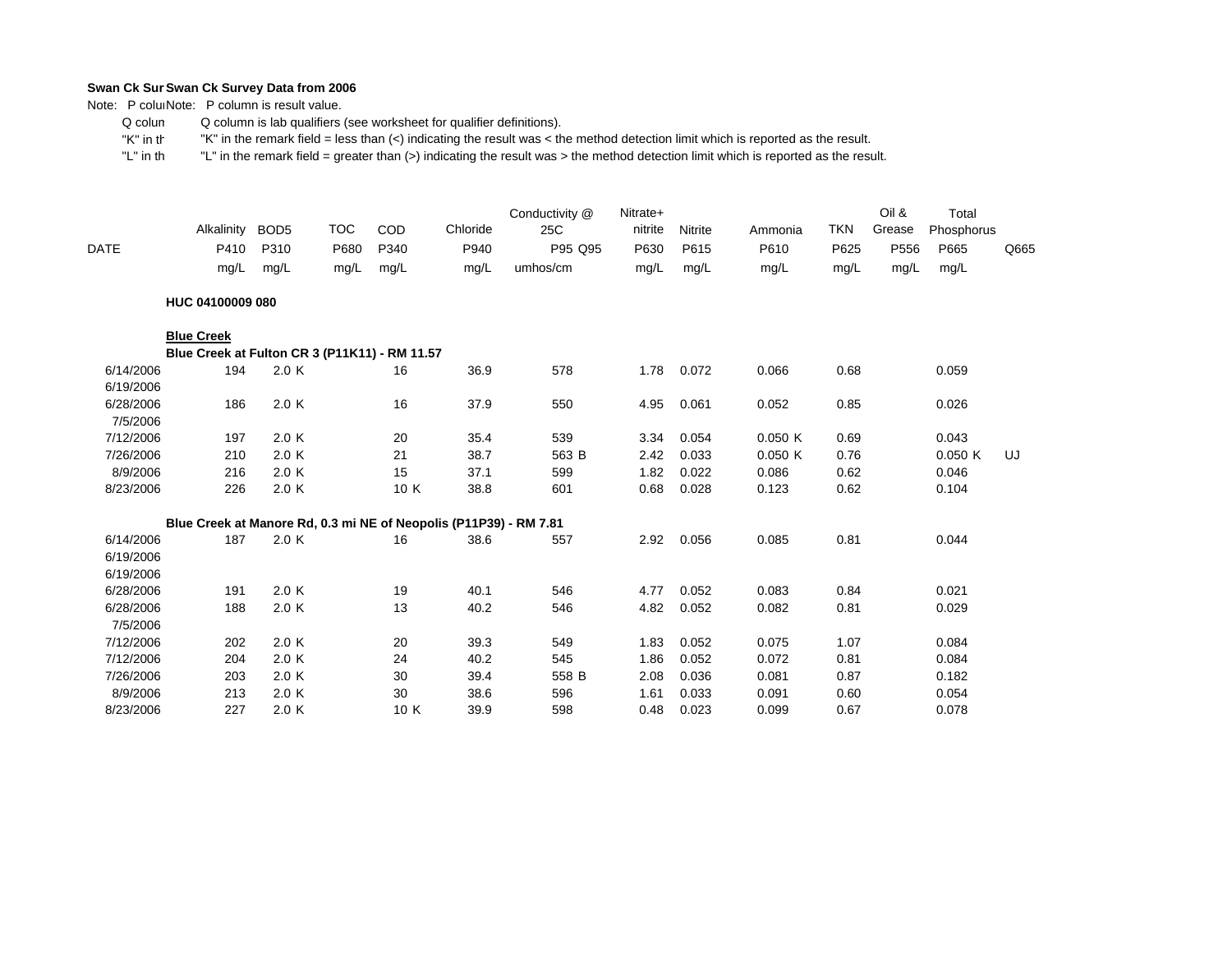Note: P coluiNote: P column is result value.

 Q colum Q column is lab qualifiers (see worksheet for qualifier definitions).

 "K" in th"K" in the remark field = less than (<) indicating the result was < the method detection limit which is reported as the result.

|                                    | Alkalinity                                                        | BOD <sub>5</sub> | <b>TOC</b> | COD  | Chloride | Conductivity @<br>25C | Nitrate+<br>nitrite | Nitrite | Ammonia | <b>TKN</b> | Oil &<br>Grease | Total<br>Phosphorus |      |
|------------------------------------|-------------------------------------------------------------------|------------------|------------|------|----------|-----------------------|---------------------|---------|---------|------------|-----------------|---------------------|------|
| DATE                               | P410                                                              | P310             | P680       | P340 | P940     | P95 Q95               | P630                | P615    | P610    | P625       | P556            | P665                | Q665 |
|                                    | mg/L                                                              | mg/L             | mg/L       | mg/L | mg/L     | umhos/cm              | mg/L                | mg/L    | mg/L    | mg/L       | mg/L            | mg/L                |      |
|                                    | HUC 04100009 080                                                  |                  |            |      |          |                       |                     |         |         |            |                 |                     |      |
|                                    | <b>Blue Creek</b>                                                 |                  |            |      |          |                       |                     |         |         |            |                 |                     |      |
|                                    | Blue Creek at Fulton CR 3 (P11K11) - RM 11.57                     |                  |            |      |          |                       |                     |         |         |            |                 |                     |      |
| 6/14/2006                          | 194                                                               | 2.0 K            |            | 16   | 36.9     | 578                   | 1.78                | 0.072   | 0.066   | 0.68       |                 | 0.059               |      |
| 6/19/2006<br>6/28/2006<br>7/5/2006 | 186                                                               | 2.0 K            |            | 16   | 37.9     | 550                   | 4.95                | 0.061   | 0.052   | 0.85       |                 | 0.026               |      |
| 7/12/2006                          | 197                                                               | 2.0 K            |            | 20   | 35.4     | 539                   | 3.34                | 0.054   | 0.050K  | 0.69       |                 | 0.043               |      |
| 7/26/2006                          | 210                                                               | 2.0 K            |            | 21   | 38.7     | 563 B                 | 2.42                | 0.033   | 0.050K  | 0.76       |                 | 0.050K              | UJ   |
| 8/9/2006                           | 216                                                               | 2.0 K            |            | 15   | 37.1     | 599                   | 1.82                | 0.022   | 0.086   | 0.62       |                 | 0.046               |      |
| 8/23/2006                          | 226                                                               | 2.0 K            |            | 10 K | 38.8     | 601                   | 0.68                | 0.028   | 0.123   | 0.62       |                 | 0.104               |      |
|                                    | Blue Creek at Manore Rd, 0.3 mi NE of Neopolis (P11P39) - RM 7.81 |                  |            |      |          |                       |                     |         |         |            |                 |                     |      |
| 6/14/2006                          | 187                                                               | 2.0 K            |            | 16   | 38.6     | 557                   | 2.92                | 0.056   | 0.085   | 0.81       |                 | 0.044               |      |
| 6/19/2006                          |                                                                   |                  |            |      |          |                       |                     |         |         |            |                 |                     |      |
| 6/19/2006                          |                                                                   |                  |            |      |          |                       |                     |         |         |            |                 |                     |      |
| 6/28/2006                          | 191                                                               | 2.0 K            |            | 19   | 40.1     | 546                   | 4.77                | 0.052   | 0.083   | 0.84       |                 | 0.021               |      |
| 6/28/2006                          | 188                                                               | 2.0 K            |            | 13   | 40.2     | 546                   | 4.82                | 0.052   | 0.082   | 0.81       |                 | 0.029               |      |
| 7/5/2006                           |                                                                   |                  |            |      |          |                       |                     |         |         |            |                 |                     |      |
| 7/12/2006                          | 202                                                               | 2.0 K            |            | 20   | 39.3     | 549                   | 1.83                | 0.052   | 0.075   | 1.07       |                 | 0.084               |      |
| 7/12/2006                          | 204                                                               | 2.0 K            |            | 24   | 40.2     | 545                   | 1.86                | 0.052   | 0.072   | 0.81       |                 | 0.084               |      |
| 7/26/2006                          | 203                                                               | 2.0 K            |            | 30   | 39.4     | 558 B                 | 2.08                | 0.036   | 0.081   | 0.87       |                 | 0.182               |      |
| 8/9/2006                           | 213                                                               | 2.0 K            |            | 30   | 38.6     | 596                   | 1.61                | 0.033   | 0.091   | 0.60       |                 | 0.054               |      |
| 8/23/2006                          | 227                                                               | 2.0K             |            | 10 K | 39.9     | 598                   | 0.48                | 0.023   | 0.099   | 0.67       |                 | 0.078               |      |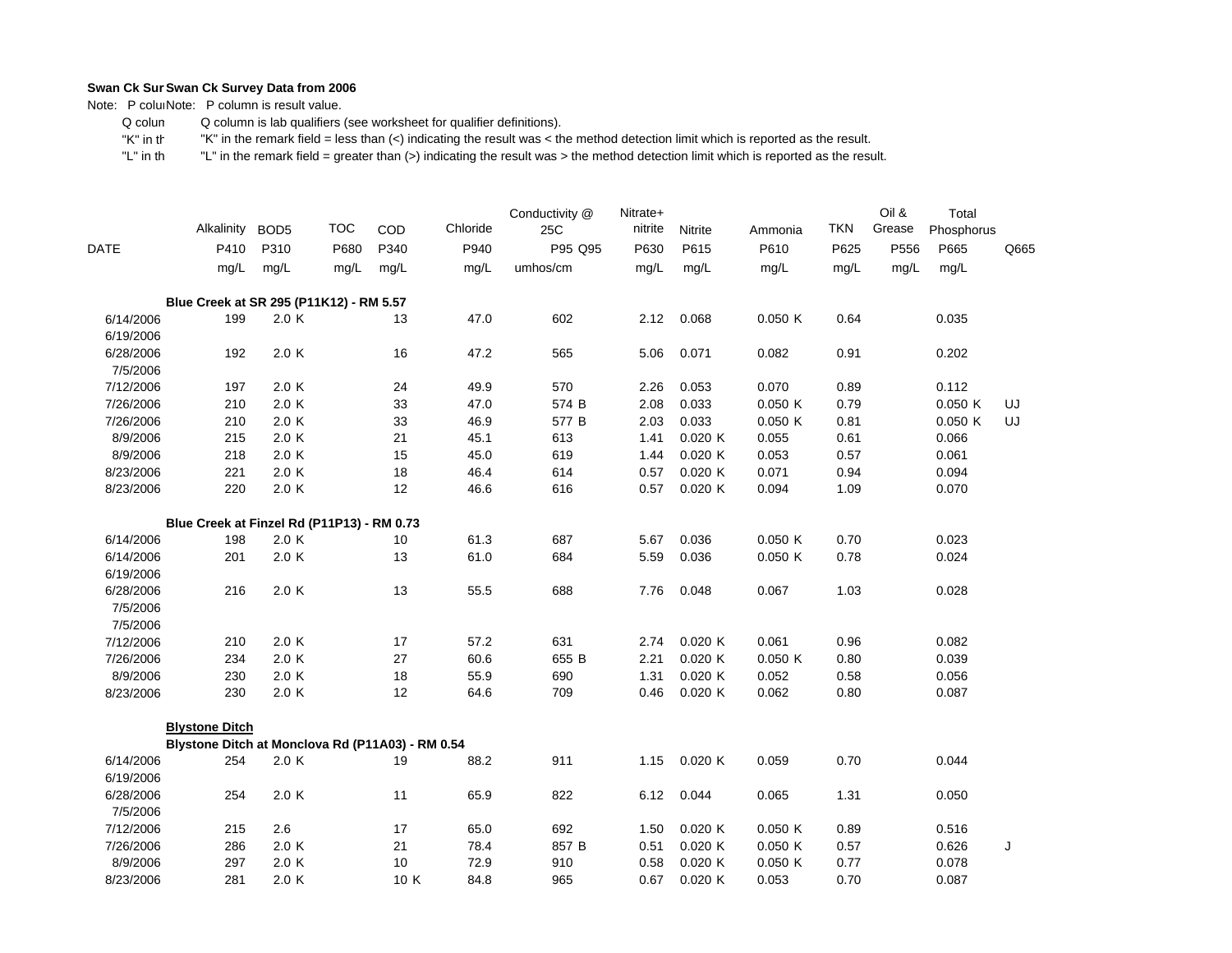Note: P coluiNote: P column is result value.

 Q colum Q column is lab qualifiers (see worksheet for qualifier definitions).

 "K" in th"K" in the remark field = less than (<) indicating the result was < the method detection limit which is reported as the result.

|                                   | Alkalinity BOD5                                  |       | <b>TOC</b> | COD  | Chloride | Conductivity @<br>25C | Nitrate+<br>nitrite | Nitrite | Ammonia | <b>TKN</b> | Oil &<br>Grease | Total<br>Phosphorus |      |
|-----------------------------------|--------------------------------------------------|-------|------------|------|----------|-----------------------|---------------------|---------|---------|------------|-----------------|---------------------|------|
| <b>DATE</b>                       | P410                                             | P310  | P680       | P340 | P940     | P95 Q95               | P630                | P615    | P610    | P625       | P556            | P665                | Q665 |
|                                   | mg/L                                             | mg/L  | mg/L       | mg/L | mg/L     | umhos/cm              | mg/L                | mg/L    | mg/L    | mg/L       | mg/L            | mg/L                |      |
|                                   | Blue Creek at SR 295 (P11K12) - RM 5.57          |       |            |      |          |                       |                     |         |         |            |                 |                     |      |
| 6/14/2006<br>6/19/2006            | 199                                              | 2.0K  |            | 13   | 47.0     | 602                   | 2.12                | 0.068   | 0.050K  | 0.64       |                 | 0.035               |      |
| 6/28/2006<br>7/5/2006             | 192                                              | 2.0 K |            | 16   | 47.2     | 565                   | 5.06                | 0.071   | 0.082   | 0.91       |                 | 0.202               |      |
| 7/12/2006                         | 197                                              | 2.0 K |            | 24   | 49.9     | 570                   | 2.26                | 0.053   | 0.070   | 0.89       |                 | 0.112               |      |
| 7/26/2006                         | 210                                              | 2.0K  |            | 33   | 47.0     | 574 B                 | 2.08                | 0.033   | 0.050K  | 0.79       |                 | 0.050K              | UJ   |
| 7/26/2006                         | 210                                              | 2.0K  |            | 33   | 46.9     | 577 B                 | 2.03                | 0.033   | 0.050K  | 0.81       |                 | 0.050K              | UJ   |
| 8/9/2006                          | 215                                              | 2.0 K |            | 21   | 45.1     | 613                   | 1.41                | 0.020 K | 0.055   | 0.61       |                 | 0.066               |      |
| 8/9/2006                          | 218                                              | 2.0 K |            | 15   | 45.0     | 619                   | 1.44                | 0.020 K | 0.053   | 0.57       |                 | 0.061               |      |
| 8/23/2006                         | 221                                              | 2.0 K |            | 18   | 46.4     | 614                   | 0.57                | 0.020 K | 0.071   | 0.94       |                 | 0.094               |      |
| 8/23/2006                         | 220                                              | 2.0 K |            | 12   | 46.6     | 616                   | 0.57                | 0.020 K | 0.094   | 1.09       |                 | 0.070               |      |
|                                   | Blue Creek at Finzel Rd (P11P13) - RM 0.73       |       |            |      |          |                       |                     |         |         |            |                 |                     |      |
| 6/14/2006                         | 198                                              | 2.0 K |            | 10   | 61.3     | 687                   | 5.67                | 0.036   | 0.050 K | 0.70       |                 | 0.023               |      |
| 6/14/2006                         | 201                                              | 2.0 K |            | 13   | 61.0     | 684                   | 5.59                | 0.036   | 0.050K  | 0.78       |                 | 0.024               |      |
| 6/19/2006                         |                                                  |       |            |      |          |                       |                     |         |         |            |                 |                     |      |
| 6/28/2006<br>7/5/2006<br>7/5/2006 | 216                                              | 2.0K  |            | 13   | 55.5     | 688                   | 7.76                | 0.048   | 0.067   | 1.03       |                 | 0.028               |      |
| 7/12/2006                         | 210                                              | 2.0 K |            | 17   | 57.2     | 631                   | 2.74                | 0.020 K | 0.061   | 0.96       |                 | 0.082               |      |
| 7/26/2006                         | 234                                              | 2.0K  |            | 27   | 60.6     | 655 B                 | 2.21                | 0.020K  | 0.050K  | 0.80       |                 | 0.039               |      |
| 8/9/2006                          | 230                                              | 2.0K  |            | 18   | 55.9     | 690                   | 1.31                | 0.020 K | 0.052   | 0.58       |                 | 0.056               |      |
| 8/23/2006                         | 230                                              | 2.0 K |            | 12   | 64.6     | 709                   | 0.46                | 0.020K  | 0.062   | 0.80       |                 | 0.087               |      |
|                                   | <b>Blystone Ditch</b>                            |       |            |      |          |                       |                     |         |         |            |                 |                     |      |
|                                   | Blystone Ditch at Monclova Rd (P11A03) - RM 0.54 |       |            |      |          |                       |                     |         |         |            |                 |                     |      |
| 6/14/2006<br>6/19/2006            | 254                                              | 2.0K  |            | 19   | 88.2     | 911                   | 1.15                | 0.020K  | 0.059   | 0.70       |                 | 0.044               |      |
| 6/28/2006<br>7/5/2006             | 254                                              | 2.0 K |            | 11   | 65.9     | 822                   | 6.12                | 0.044   | 0.065   | 1.31       |                 | 0.050               |      |
| 7/12/2006                         | 215                                              | 2.6   |            | 17   | 65.0     | 692                   | 1.50                | 0.020K  | 0.050K  | 0.89       |                 | 0.516               |      |
| 7/26/2006                         | 286                                              | 2.0 K |            | 21   | 78.4     | 857 B                 | 0.51                | 0.020 K | 0.050 K | 0.57       |                 | 0.626               | J    |
| 8/9/2006                          | 297                                              | 2.0K  |            | 10   | 72.9     | 910                   | 0.58                | 0.020 K | 0.050K  | 0.77       |                 | 0.078               |      |
| 8/23/2006                         | 281                                              | 2.0 K |            | 10 K | 84.8     | 965                   | 0.67                | 0.020 K | 0.053   | 0.70       |                 | 0.087               |      |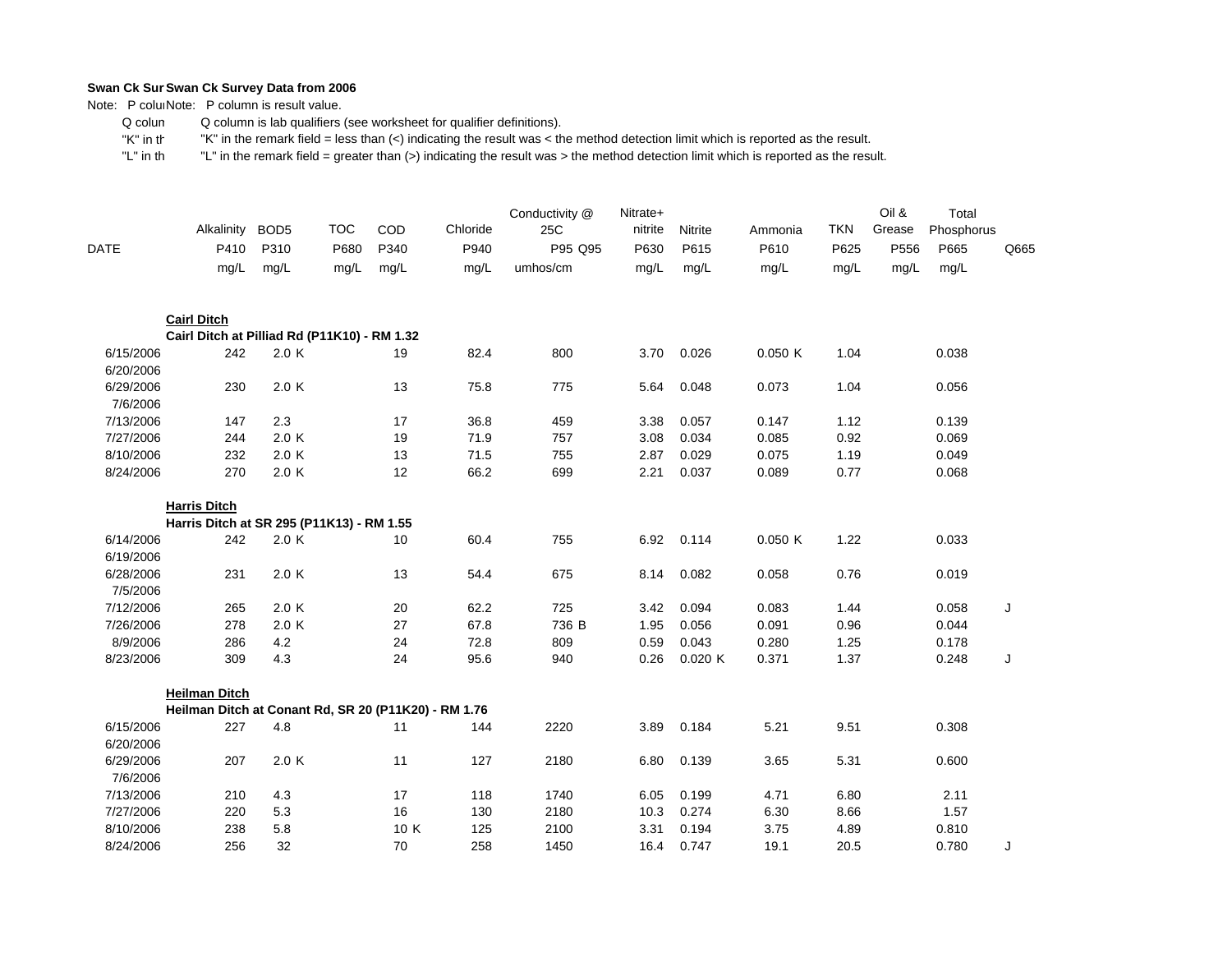Note: P coluiNote: P column is result value.

 Q colum Q column is lab qualifiers (see worksheet for qualifier definitions).

 "K" in th"K" in the remark field = less than (<) indicating the result was < the method detection limit which is reported as the result.

| DATE                   | Alkalinity<br>P410                                   | BOD <sub>5</sub><br>P310 | <b>TOC</b><br>P680 | COD<br>P340 | Chloride<br>P940 | Conductivity @<br>25C<br>P95 Q95 | Nitrate+<br>nitrite<br>P630 | Nitrite<br>P615 | Ammonia<br>P610 | <b>TKN</b><br>P625 | Oil &<br>Grease<br>P556 | Total<br>Phosphorus<br>P665 | Q665 |
|------------------------|------------------------------------------------------|--------------------------|--------------------|-------------|------------------|----------------------------------|-----------------------------|-----------------|-----------------|--------------------|-------------------------|-----------------------------|------|
|                        | mg/L                                                 | mg/L                     | mg/L               | mg/L        | mg/L             | umhos/cm                         | mg/L                        | mg/L            | mg/L            | mg/L               | mg/L                    | mg/L                        |      |
|                        | <b>Cairl Ditch</b>                                   |                          |                    |             |                  |                                  |                             |                 |                 |                    |                         |                             |      |
|                        | Cairl Ditch at Pilliad Rd (P11K10) - RM 1.32         |                          |                    |             |                  |                                  |                             |                 |                 |                    |                         |                             |      |
| 6/15/2006<br>6/20/2006 | 242                                                  | 2.0 K                    |                    | 19          | 82.4             | 800                              | 3.70                        | 0.026           | 0.050K          | 1.04               |                         | 0.038                       |      |
| 6/29/2006<br>7/6/2006  | 230                                                  | 2.0 K                    |                    | 13          | 75.8             | 775                              | 5.64                        | 0.048           | 0.073           | 1.04               |                         | 0.056                       |      |
| 7/13/2006              | 147                                                  | 2.3                      |                    | 17          | 36.8             | 459                              | 3.38                        | 0.057           | 0.147           | 1.12               |                         | 0.139                       |      |
| 7/27/2006              | 244                                                  | 2.0 K                    |                    | 19          | 71.9             | 757                              | 3.08                        | 0.034           | 0.085           | 0.92               |                         | 0.069                       |      |
| 8/10/2006              | 232                                                  | 2.0 K                    |                    | 13          | 71.5             | 755                              | 2.87                        | 0.029           | 0.075           | 1.19               |                         | 0.049                       |      |
| 8/24/2006              | 270                                                  | 2.0 K                    |                    | 12          | 66.2             | 699                              | 2.21                        | 0.037           | 0.089           | 0.77               |                         | 0.068                       |      |
|                        | <b>Harris Ditch</b>                                  |                          |                    |             |                  |                                  |                             |                 |                 |                    |                         |                             |      |
|                        | Harris Ditch at SR 295 (P11K13) - RM 1.55            |                          |                    |             |                  |                                  |                             |                 |                 |                    |                         |                             |      |
| 6/14/2006<br>6/19/2006 | 242                                                  | 2.0 K                    |                    | 10          | 60.4             | 755                              | 6.92                        | 0.114           | 0.050K          | 1.22               |                         | 0.033                       |      |
| 6/28/2006              | 231                                                  | 2.0K                     |                    | 13          | 54.4             | 675                              | 8.14                        | 0.082           | 0.058           | 0.76               |                         | 0.019                       |      |
| 7/5/2006               |                                                      |                          |                    |             |                  |                                  |                             |                 |                 |                    |                         |                             |      |
| 7/12/2006              | 265                                                  | 2.0 K                    |                    | 20          | 62.2             | 725                              | 3.42                        | 0.094           | 0.083           | 1.44               |                         | 0.058                       | J    |
| 7/26/2006              | 278                                                  | 2.0 K                    |                    | 27          | 67.8             | 736 B                            | 1.95                        | 0.056           | 0.091           | 0.96               |                         | 0.044                       |      |
| 8/9/2006               | 286                                                  | 4.2                      |                    | 24          | 72.8             | 809                              | 0.59                        | 0.043           | 0.280           | 1.25               |                         | 0.178                       |      |
| 8/23/2006              | 309                                                  | 4.3                      |                    | 24          | 95.6             | 940                              | 0.26                        | 0.020K          | 0.371           | 1.37               |                         | 0.248                       | J    |
|                        | <b>Heilman Ditch</b>                                 |                          |                    |             |                  |                                  |                             |                 |                 |                    |                         |                             |      |
|                        | Heilman Ditch at Conant Rd, SR 20 (P11K20) - RM 1.76 |                          |                    |             |                  |                                  |                             |                 |                 |                    |                         |                             |      |
| 6/15/2006<br>6/20/2006 | 227                                                  | 4.8                      |                    | 11          | 144              | 2220                             | 3.89                        | 0.184           | 5.21            | 9.51               |                         | 0.308                       |      |
| 6/29/2006              | 207                                                  | 2.0 K                    |                    | 11          | 127              | 2180                             | 6.80                        | 0.139           | 3.65            | 5.31               |                         | 0.600                       |      |
| 7/6/2006               |                                                      |                          |                    |             |                  |                                  |                             |                 |                 |                    |                         |                             |      |
| 7/13/2006              | 210                                                  | 4.3                      |                    | 17          | 118              | 1740                             | 6.05                        | 0.199           | 4.71            | 6.80               |                         | 2.11                        |      |
| 7/27/2006              | 220                                                  | 5.3                      |                    | 16          | 130              | 2180                             | 10.3                        | 0.274           | 6.30            | 8.66               |                         | 1.57                        |      |
| 8/10/2006              | 238                                                  | 5.8                      |                    | 10 K        | 125              | 2100                             | 3.31                        | 0.194           | 3.75            | 4.89               |                         | 0.810                       |      |
| 8/24/2006              | 256                                                  | 32                       |                    | 70          | 258              | 1450                             | 16.4                        | 0.747           | 19.1            | 20.5               |                         | 0.780                       | J    |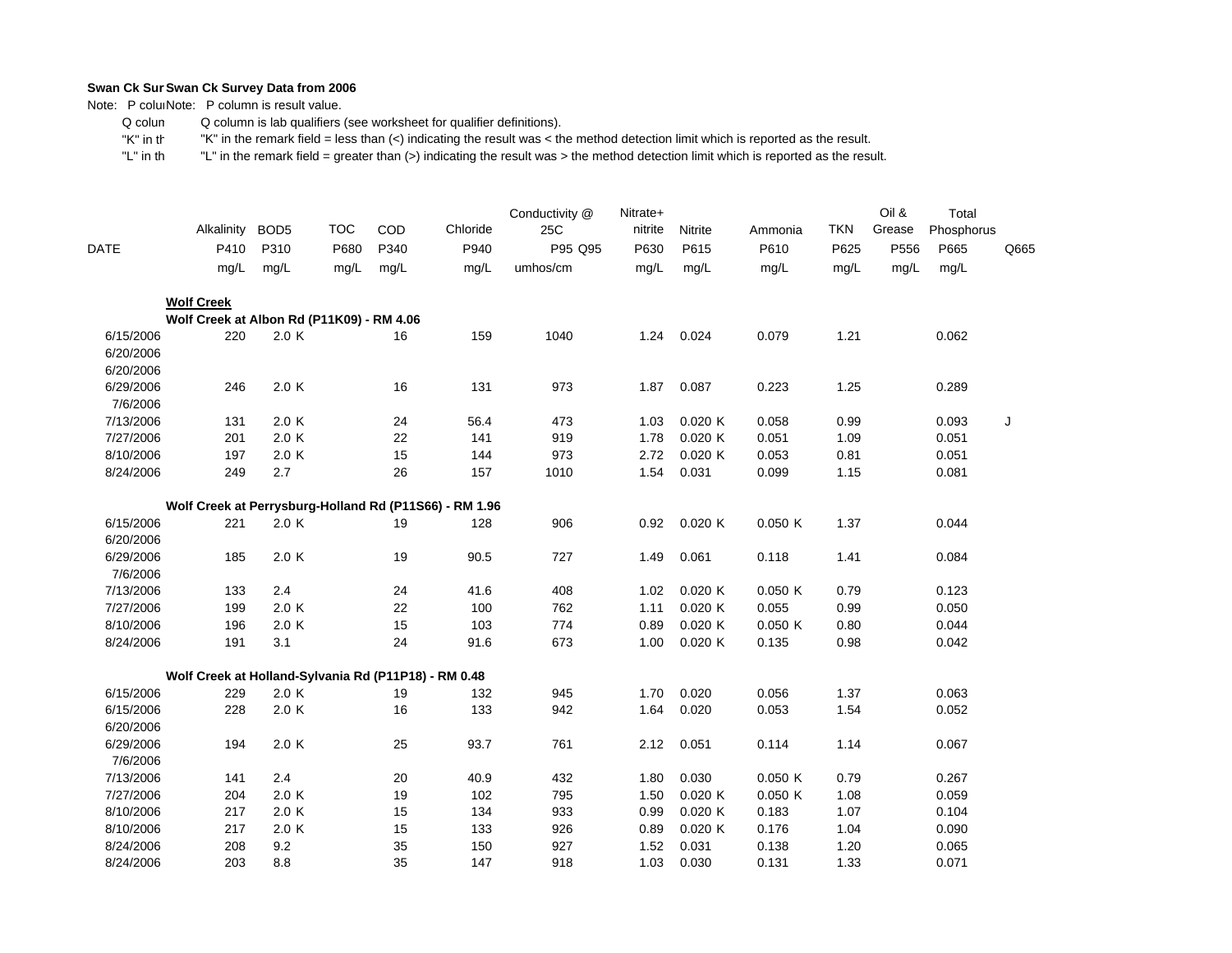Note: P coluiNote: P column is result value.

 Q colum Q column is lab qualifiers (see worksheet for qualifier definitions).

 "K" in th"K" in the remark field = less than (<) indicating the result was < the method detection limit which is reported as the result.

| <b>DATE</b> | Alkalinity<br>P410                                   | BOD <sub>5</sub><br>P310 | <b>TOC</b><br>P680 | COD<br>P340 | Chloride<br>P940                                       | Conductivity @<br>25C<br>P95 Q95 | Nitrate+<br>nitrite<br>P630 | Nitrite<br>P615 | Ammonia<br>P610 | <b>TKN</b><br>P625 | Oil &<br>Grease<br>P556 | Total<br>Phosphorus<br>P665 | Q665 |
|-------------|------------------------------------------------------|--------------------------|--------------------|-------------|--------------------------------------------------------|----------------------------------|-----------------------------|-----------------|-----------------|--------------------|-------------------------|-----------------------------|------|
|             | mg/L                                                 | mg/L                     | mg/L               | mg/L        | mg/L                                                   | umhos/cm                         | mg/L                        | mg/L            | mg/L            | mg/L               | mg/L                    | mg/L                        |      |
|             | <b>Wolf Creek</b>                                    |                          |                    |             |                                                        |                                  |                             |                 |                 |                    |                         |                             |      |
|             | Wolf Creek at Albon Rd (P11K09) - RM 4.06            |                          |                    |             |                                                        |                                  |                             |                 |                 |                    |                         |                             |      |
| 6/15/2006   | 220                                                  | 2.0 K                    |                    | 16          | 159                                                    | 1040                             | 1.24                        | 0.024           | 0.079           | 1.21               |                         | 0.062                       |      |
| 6/20/2006   |                                                      |                          |                    |             |                                                        |                                  |                             |                 |                 |                    |                         |                             |      |
| 6/20/2006   |                                                      |                          |                    |             |                                                        |                                  |                             |                 |                 |                    |                         |                             |      |
| 6/29/2006   | 246                                                  | 2.0 K                    |                    | 16          | 131                                                    | 973                              | 1.87                        | 0.087           | 0.223           | 1.25               |                         | 0.289                       |      |
| 7/6/2006    |                                                      |                          |                    |             |                                                        |                                  |                             |                 |                 |                    |                         |                             |      |
| 7/13/2006   | 131                                                  | 2.0 K                    |                    | 24          | 56.4                                                   | 473                              | 1.03                        | 0.020K          | 0.058           | 0.99               |                         | 0.093                       | J    |
| 7/27/2006   | 201                                                  | 2.0K                     |                    | 22          | 141                                                    | 919                              | 1.78                        | 0.020K          | 0.051           | 1.09               |                         | 0.051                       |      |
| 8/10/2006   | 197                                                  | 2.0 K                    |                    | 15          | 144                                                    | 973                              | 2.72                        | 0.020K          | 0.053           | 0.81               |                         | 0.051                       |      |
| 8/24/2006   | 249                                                  | 2.7                      |                    | 26          | 157                                                    | 1010                             | 1.54                        | 0.031           | 0.099           | 1.15               |                         | 0.081                       |      |
|             |                                                      |                          |                    |             | Wolf Creek at Perrysburg-Holland Rd (P11S66) - RM 1.96 |                                  |                             |                 |                 |                    |                         |                             |      |
| 6/15/2006   | 221                                                  | 2.0K                     |                    | 19          | 128                                                    | 906                              | 0.92                        | 0.020K          | 0.050K          | 1.37               |                         | 0.044                       |      |
| 6/20/2006   |                                                      |                          |                    |             |                                                        |                                  |                             |                 |                 |                    |                         |                             |      |
| 6/29/2006   | 185                                                  | 2.0 K                    |                    | 19          | 90.5                                                   | 727                              | 1.49                        | 0.061           | 0.118           | 1.41               |                         | 0.084                       |      |
| 7/6/2006    |                                                      |                          |                    |             |                                                        |                                  |                             |                 |                 |                    |                         |                             |      |
| 7/13/2006   | 133                                                  | 2.4                      |                    | 24          | 41.6                                                   | 408                              | 1.02                        | 0.020K          | 0.050K          | 0.79               |                         | 0.123                       |      |
| 7/27/2006   | 199                                                  | 2.0 K                    |                    | 22          | 100                                                    | 762                              | 1.11                        | 0.020K          | 0.055           | 0.99               |                         | 0.050                       |      |
| 8/10/2006   | 196                                                  | 2.0K                     |                    | 15          | 103                                                    | 774                              | 0.89                        | 0.020K          | 0.050K          | 0.80               |                         | 0.044                       |      |
| 8/24/2006   | 191                                                  | 3.1                      |                    | 24          | 91.6                                                   | 673                              | 1.00                        | 0.020K          | 0.135           | 0.98               |                         | 0.042                       |      |
|             | Wolf Creek at Holland-Sylvania Rd (P11P18) - RM 0.48 |                          |                    |             |                                                        |                                  |                             |                 |                 |                    |                         |                             |      |
| 6/15/2006   | 229                                                  | 2.0K                     |                    | 19          | 132                                                    | 945                              | 1.70                        | 0.020           | 0.056           | 1.37               |                         | 0.063                       |      |
| 6/15/2006   | 228                                                  | 2.0 K                    |                    | 16          | 133                                                    | 942                              | 1.64                        | 0.020           | 0.053           | 1.54               |                         | 0.052                       |      |
| 6/20/2006   |                                                      |                          |                    |             |                                                        |                                  |                             |                 |                 |                    |                         |                             |      |
| 6/29/2006   | 194                                                  | 2.0K                     |                    | 25          | 93.7                                                   | 761                              | 2.12                        | 0.051           | 0.114           | 1.14               |                         | 0.067                       |      |
| 7/6/2006    |                                                      |                          |                    |             |                                                        |                                  |                             |                 |                 |                    |                         |                             |      |
| 7/13/2006   | 141                                                  | 2.4                      |                    | 20          | 40.9                                                   | 432                              | 1.80                        | 0.030           | 0.050K          | 0.79               |                         | 0.267                       |      |
| 7/27/2006   | 204                                                  | 2.0K                     |                    | 19          | 102                                                    | 795                              | 1.50                        | 0.020K          | 0.050K          | 1.08               |                         | 0.059                       |      |
| 8/10/2006   | 217                                                  | 2.0 K                    |                    | 15          | 134                                                    | 933                              | 0.99                        | 0.020K          | 0.183           | 1.07               |                         | 0.104                       |      |
| 8/10/2006   | 217                                                  | 2.0 K                    |                    | 15          | 133                                                    | 926                              | 0.89                        | 0.020K          | 0.176           | 1.04               |                         | 0.090                       |      |
| 8/24/2006   | 208                                                  | 9.2                      |                    | 35          | 150                                                    | 927                              | 1.52                        | 0.031           | 0.138           | 1.20               |                         | 0.065                       |      |
| 8/24/2006   | 203                                                  | 8.8                      |                    | 35          | 147                                                    | 918                              | 1.03                        | 0.030           | 0.131           | 1.33               |                         | 0.071                       |      |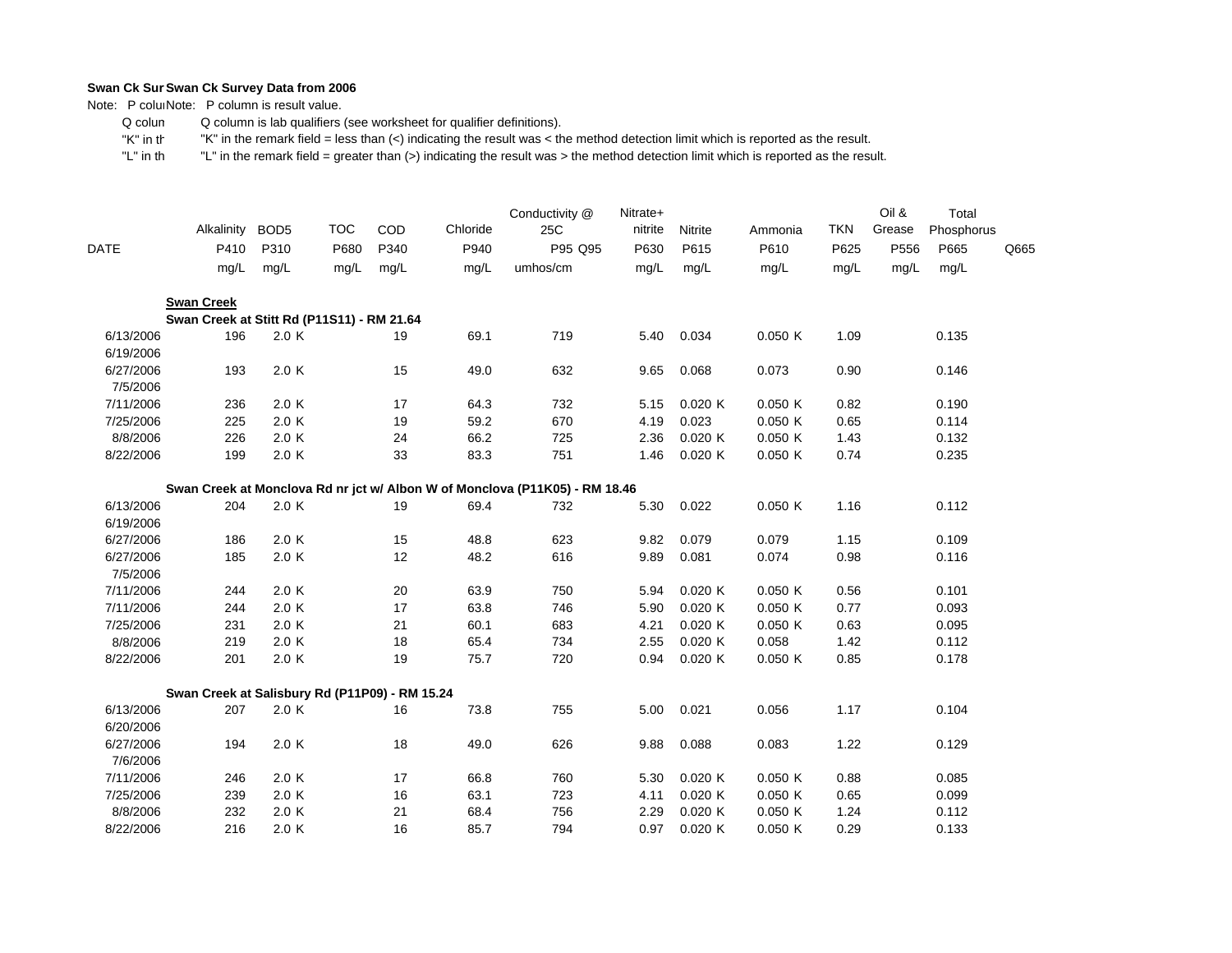Note: P coluiNote: P column is result value.

 Q colum Q column is lab qualifiers (see worksheet for qualifier definitions).

 "K" in th"K" in the remark field = less than (<) indicating the result was < the method detection limit which is reported as the result.

|                        | Alkalinity                                     | BOD <sub>5</sub> | <b>TOC</b>   | COD          | Chloride     | Conductivity @<br>25C                                                       | Nitrate+<br>nitrite | Nitrite      | Ammonia      | <b>TKN</b>   | Oil &<br>Grease | Total<br>Phosphorus |      |
|------------------------|------------------------------------------------|------------------|--------------|--------------|--------------|-----------------------------------------------------------------------------|---------------------|--------------|--------------|--------------|-----------------|---------------------|------|
| <b>DATE</b>            | P410<br>mg/L                                   | P310<br>mg/L     | P680<br>mg/L | P340<br>mg/L | P940<br>mg/L | P95 Q95<br>umhos/cm                                                         | P630<br>mg/L        | P615<br>mg/L | P610<br>mg/L | P625<br>mg/L | P556<br>mg/L    | P665<br>mg/L        | Q665 |
|                        |                                                |                  |              |              |              |                                                                             |                     |              |              |              |                 |                     |      |
|                        | <b>Swan Creek</b>                              |                  |              |              |              |                                                                             |                     |              |              |              |                 |                     |      |
|                        | Swan Creek at Stitt Rd (P11S11) - RM 21.64     |                  |              |              |              |                                                                             |                     |              |              |              |                 |                     |      |
| 6/13/2006<br>6/19/2006 | 196                                            | 2.0 K            |              | 19           | 69.1         | 719                                                                         | 5.40                | 0.034        | 0.050K       | 1.09         |                 | 0.135               |      |
| 6/27/2006<br>7/5/2006  | 193                                            | 2.0 K            |              | 15           | 49.0         | 632                                                                         | 9.65                | 0.068        | 0.073        | 0.90         |                 | 0.146               |      |
| 7/11/2006              | 236                                            | 2.0 K            |              | 17           | 64.3         | 732                                                                         | 5.15                | 0.020K       | 0.050K       | 0.82         |                 | 0.190               |      |
| 7/25/2006              | 225                                            | 2.0 K            |              | 19           | 59.2         | 670                                                                         | 4.19                | 0.023        | 0.050K       | 0.65         |                 | 0.114               |      |
| 8/8/2006               | 226                                            | 2.0 K            |              | 24           | 66.2         | 725                                                                         | 2.36                | 0.020K       | 0.050K       | 1.43         |                 | 0.132               |      |
| 8/22/2006              | 199                                            | 2.0 K            |              | 33           | 83.3         | 751                                                                         | 1.46                | 0.020K       | 0.050K       | 0.74         |                 | 0.235               |      |
|                        |                                                |                  |              |              |              | Swan Creek at Monclova Rd nr jct w/ Albon W of Monclova (P11K05) - RM 18.46 |                     |              |              |              |                 |                     |      |
| 6/13/2006              | 204                                            | 2.0 K            |              | 19           | 69.4         | 732                                                                         | 5.30                | 0.022        | 0.050K       | 1.16         |                 | 0.112               |      |
| 6/19/2006              |                                                |                  |              |              |              |                                                                             |                     |              |              |              |                 |                     |      |
| 6/27/2006              | 186                                            | 2.0 K            |              | 15           | 48.8         | 623                                                                         | 9.82                | 0.079        | 0.079        | 1.15         |                 | 0.109               |      |
| 6/27/2006              | 185                                            | 2.0 K            |              | 12           | 48.2         | 616                                                                         | 9.89                | 0.081        | 0.074        | 0.98         |                 | 0.116               |      |
| 7/5/2006               |                                                |                  |              |              |              |                                                                             |                     |              |              |              |                 |                     |      |
| 7/11/2006              | 244                                            | 2.0 K            |              | 20           | 63.9         | 750                                                                         | 5.94                | 0.020K       | 0.050K       | 0.56         |                 | 0.101               |      |
| 7/11/2006              | 244                                            | 2.0 K            |              | 17           | 63.8         | 746                                                                         | 5.90                | 0.020K       | 0.050K       | 0.77         |                 | 0.093               |      |
| 7/25/2006              | 231                                            | 2.0 K            |              | 21           | 60.1         | 683                                                                         | 4.21                | 0.020 K      | 0.050K       | 0.63         |                 | 0.095               |      |
| 8/8/2006               | 219                                            | 2.0 K            |              | 18           | 65.4         | 734                                                                         | 2.55                | 0.020K       | 0.058        | 1.42         |                 | 0.112               |      |
| 8/22/2006              | 201                                            | 2.0 K            |              | 19           | 75.7         | 720                                                                         | 0.94                | 0.020K       | 0.050K       | 0.85         |                 | 0.178               |      |
|                        | Swan Creek at Salisbury Rd (P11P09) - RM 15.24 |                  |              |              |              |                                                                             |                     |              |              |              |                 |                     |      |
| 6/13/2006              | 207                                            | 2.0 K            |              | 16           | 73.8         | 755                                                                         | 5.00                | 0.021        | 0.056        | 1.17         |                 | 0.104               |      |
| 6/20/2006              |                                                |                  |              |              |              |                                                                             |                     |              |              |              |                 |                     |      |
| 6/27/2006              | 194                                            | 2.0 K            |              | 18           | 49.0         | 626                                                                         | 9.88                | 0.088        | 0.083        | 1.22         |                 | 0.129               |      |
| 7/6/2006               |                                                |                  |              |              |              |                                                                             |                     |              |              |              |                 |                     |      |
| 7/11/2006              | 246                                            | 2.0 K            |              | 17           | 66.8         | 760                                                                         | 5.30                | 0.020K       | 0.050K       | 0.88         |                 | 0.085               |      |
| 7/25/2006              | 239                                            | 2.0 K            |              | 16           | 63.1         | 723                                                                         | 4.11                | 0.020K       | 0.050K       | 0.65         |                 | 0.099               |      |
| 8/8/2006               | 232                                            | 2.0 K            |              | 21           | 68.4         | 756                                                                         | 2.29                | 0.020K       | 0.050K       | 1.24         |                 | 0.112               |      |
| 8/22/2006              | 216                                            | 2.0 K            |              | 16           | 85.7         | 794                                                                         | 0.97                | 0.020K       | 0.050K       | 0.29         |                 | 0.133               |      |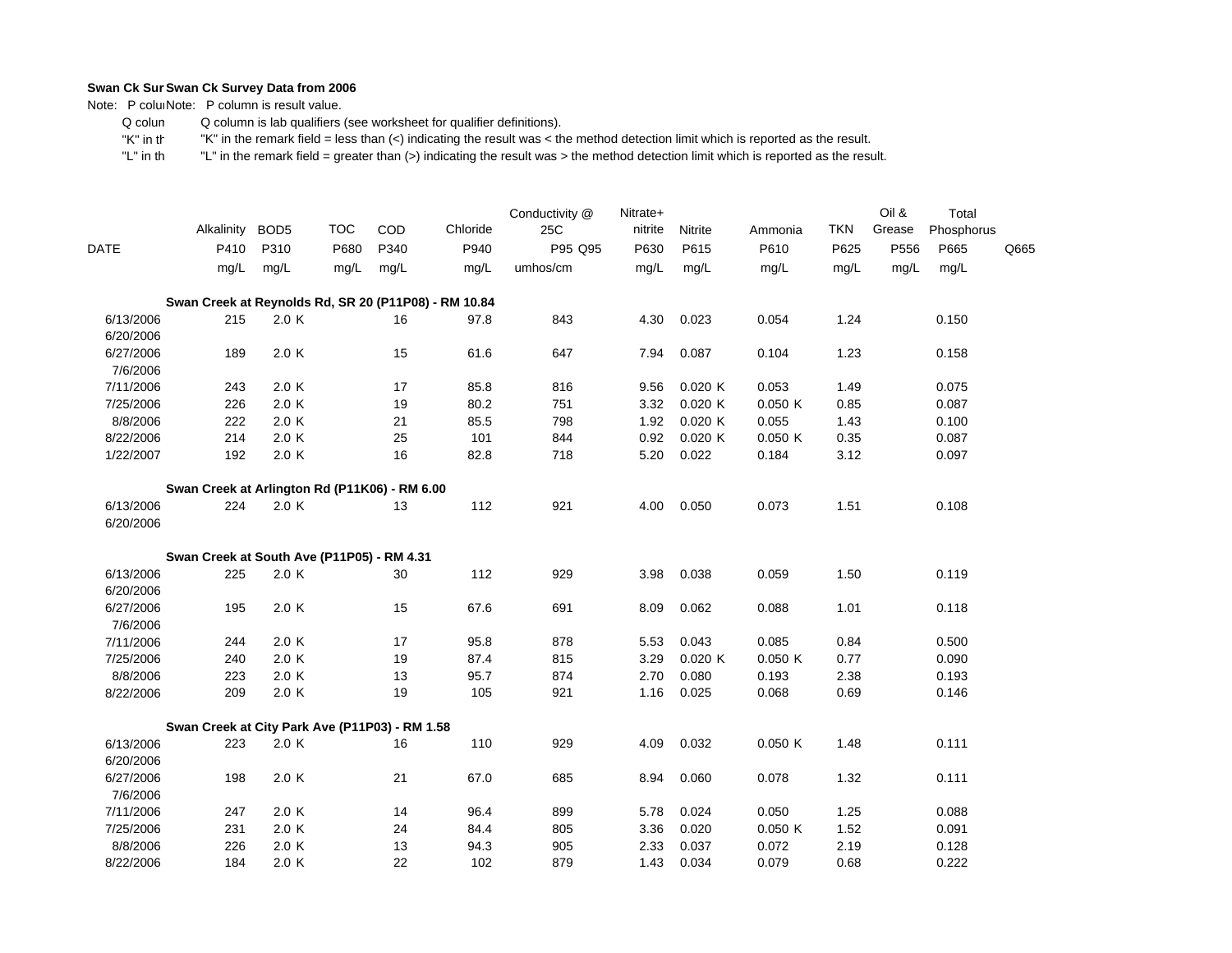Note: P coluiNote: P column is result value.

 Q colum Q column is lab qualifiers (see worksheet for qualifier definitions).

 "K" in th"K" in the remark field = less than (<) indicating the result was < the method detection limit which is reported as the result.

|             | Alkalinity BOD5                                      |       | <b>TOC</b> | COD  | Chloride | Conductivity @<br>25C | Nitrate+<br>nitrite | Nitrite | Ammonia | <b>TKN</b> | Oil &<br>Grease | Total<br>Phosphorus |      |
|-------------|------------------------------------------------------|-------|------------|------|----------|-----------------------|---------------------|---------|---------|------------|-----------------|---------------------|------|
| <b>DATE</b> | P410                                                 | P310  | P680       | P340 | P940     | P95 Q95               | P630                | P615    | P610    | P625       | P556            | P665                | Q665 |
|             | mg/L                                                 | mg/L  | mg/L       | mg/L | mg/L     | umhos/cm              | mg/L                | mg/L    | mg/L    | mg/L       | mg/L            | mg/L                |      |
|             | Swan Creek at Reynolds Rd, SR 20 (P11P08) - RM 10.84 |       |            |      |          |                       |                     |         |         |            |                 |                     |      |
| 6/13/2006   | 215                                                  | 2.0K  |            | 16   | 97.8     | 843                   | 4.30                | 0.023   | 0.054   | 1.24       |                 | 0.150               |      |
| 6/20/2006   |                                                      |       |            |      |          |                       |                     |         |         |            |                 |                     |      |
| 6/27/2006   | 189                                                  | 2.0K  |            | 15   | 61.6     | 647                   | 7.94                | 0.087   | 0.104   | 1.23       |                 | 0.158               |      |
| 7/6/2006    |                                                      |       |            |      |          |                       |                     |         |         |            |                 |                     |      |
| 7/11/2006   | 243                                                  | 2.0K  |            | 17   | 85.8     | 816                   | 9.56                | 0.020K  | 0.053   | 1.49       |                 | 0.075               |      |
| 7/25/2006   | 226                                                  | 2.0 K |            | 19   | 80.2     | 751                   | 3.32                | 0.020K  | 0.050K  | 0.85       |                 | 0.087               |      |
| 8/8/2006    | 222                                                  | 2.0 K |            | 21   | 85.5     | 798                   | 1.92                | 0.020K  | 0.055   | 1.43       |                 | 0.100               |      |
| 8/22/2006   | 214                                                  | 2.0 K |            | 25   | 101      | 844                   | 0.92                | 0.020K  | 0.050K  | 0.35       |                 | 0.087               |      |
| 1/22/2007   | 192                                                  | 2.0K  |            | 16   | 82.8     | 718                   | 5.20                | 0.022   | 0.184   | 3.12       |                 | 0.097               |      |
|             | Swan Creek at Arlington Rd (P11K06) - RM 6.00        |       |            |      |          |                       |                     |         |         |            |                 |                     |      |
| 6/13/2006   | 224                                                  | 2.0 K |            | 13   | 112      | 921                   | 4.00                | 0.050   | 0.073   | 1.51       |                 | 0.108               |      |
| 6/20/2006   |                                                      |       |            |      |          |                       |                     |         |         |            |                 |                     |      |
|             | Swan Creek at South Ave (P11P05) - RM 4.31           |       |            |      |          |                       |                     |         |         |            |                 |                     |      |
| 6/13/2006   | 225                                                  | 2.0K  |            | 30   | 112      | 929                   | 3.98                | 0.038   | 0.059   | 1.50       |                 | 0.119               |      |
| 6/20/2006   |                                                      |       |            |      |          |                       |                     |         |         |            |                 |                     |      |
| 6/27/2006   | 195                                                  | 2.0K  |            | 15   | 67.6     | 691                   | 8.09                | 0.062   | 0.088   | 1.01       |                 | 0.118               |      |
| 7/6/2006    |                                                      |       |            |      |          |                       |                     |         |         |            |                 |                     |      |
| 7/11/2006   | 244                                                  | 2.0K  |            | 17   | 95.8     | 878                   | 5.53                | 0.043   | 0.085   | 0.84       |                 | 0.500               |      |
| 7/25/2006   | 240                                                  | 2.0 K |            | 19   | 87.4     | 815                   | 3.29                | 0.020K  | 0.050K  | 0.77       |                 | 0.090               |      |
| 8/8/2006    | 223                                                  | 2.0 K |            | 13   | 95.7     | 874                   | 2.70                | 0.080   | 0.193   | 2.38       |                 | 0.193               |      |
| 8/22/2006   | 209                                                  | 2.0 K |            | 19   | 105      | 921                   | 1.16                | 0.025   | 0.068   | 0.69       |                 | 0.146               |      |
|             | Swan Creek at City Park Ave (P11P03) - RM 1.58       |       |            |      |          |                       |                     |         |         |            |                 |                     |      |
| 6/13/2006   | 223                                                  | 2.0K  |            | 16   | 110      | 929                   | 4.09                | 0.032   | 0.050K  | 1.48       |                 | 0.111               |      |
| 6/20/2006   |                                                      |       |            |      |          |                       |                     |         |         |            |                 |                     |      |
| 6/27/2006   | 198                                                  | 2.0K  |            | 21   | 67.0     | 685                   | 8.94                | 0.060   | 0.078   | 1.32       |                 | 0.111               |      |
| 7/6/2006    |                                                      |       |            |      |          |                       |                     |         |         |            |                 |                     |      |
| 7/11/2006   | 247                                                  | 2.0K  |            | 14   | 96.4     | 899                   | 5.78                | 0.024   | 0.050   | 1.25       |                 | 0.088               |      |
| 7/25/2006   | 231                                                  | 2.0K  |            | 24   | 84.4     | 805                   | 3.36                | 0.020   | 0.050K  | 1.52       |                 | 0.091               |      |
| 8/8/2006    | 226                                                  | 2.0K  |            | 13   | 94.3     | 905                   | 2.33                | 0.037   | 0.072   | 2.19       |                 | 0.128               |      |
| 8/22/2006   | 184                                                  | 2.0K  |            | 22   | 102      | 879                   | 1.43                | 0.034   | 0.079   | 0.68       |                 | 0.222               |      |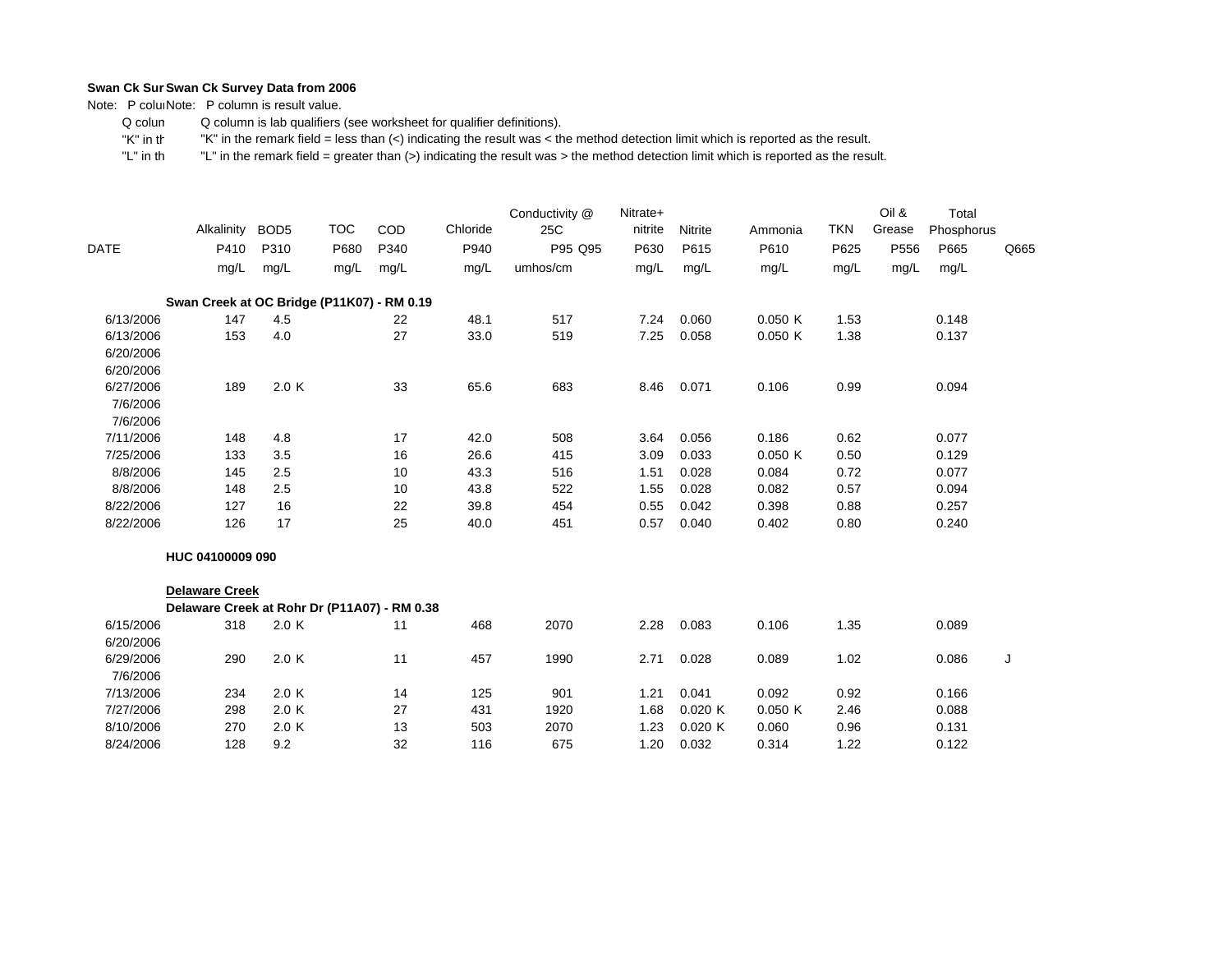Note: P coluiNote: P column is result value.

 Q colum Q column is lab qualifiers (see worksheet for qualifier definitions).

 "K" in th"K" in the remark field = less than (<) indicating the result was < the method detection limit which is reported as the result.

|             | Alkalinity                                   | BOD <sub>5</sub> | <b>TOC</b> | COD  | Chloride | Conductivity @<br>25C | Nitrate+<br>nitrite | Nitrite | Ammonia | <b>TKN</b> | Oil &<br>Grease | Total<br>Phosphorus |      |
|-------------|----------------------------------------------|------------------|------------|------|----------|-----------------------|---------------------|---------|---------|------------|-----------------|---------------------|------|
| <b>DATE</b> | P410                                         | P310             | P680       | P340 | P940     | P95 Q95               | P630                | P615    | P610    | P625       | P556            | P665                | Q665 |
|             | mg/L                                         | mg/L             | mg/L       | mg/L | mg/L     | umhos/cm              | mg/L                | mg/L    | mg/L    | mg/L       | mg/L            | mg/L                |      |
|             | Swan Creek at OC Bridge (P11K07) - RM 0.19   |                  |            |      |          |                       |                     |         |         |            |                 |                     |      |
| 6/13/2006   | 147                                          | 4.5              |            | 22   | 48.1     | 517                   | 7.24                | 0.060   | 0.050K  | 1.53       |                 | 0.148               |      |
| 6/13/2006   | 153                                          | 4.0              |            | 27   | 33.0     | 519                   | 7.25                | 0.058   | 0.050K  | 1.38       |                 | 0.137               |      |
| 6/20/2006   |                                              |                  |            |      |          |                       |                     |         |         |            |                 |                     |      |
| 6/20/2006   |                                              |                  |            |      |          |                       |                     |         |         |            |                 |                     |      |
| 6/27/2006   | 189                                          | 2.0K             |            | 33   | 65.6     | 683                   | 8.46                | 0.071   | 0.106   | 0.99       |                 | 0.094               |      |
| 7/6/2006    |                                              |                  |            |      |          |                       |                     |         |         |            |                 |                     |      |
| 7/6/2006    |                                              |                  |            |      |          |                       |                     |         |         |            |                 |                     |      |
| 7/11/2006   | 148                                          | 4.8              |            | 17   | 42.0     | 508                   | 3.64                | 0.056   | 0.186   | 0.62       |                 | 0.077               |      |
| 7/25/2006   | 133                                          | 3.5              |            | 16   | 26.6     | 415                   | 3.09                | 0.033   | 0.050K  | 0.50       |                 | 0.129               |      |
| 8/8/2006    | 145                                          | 2.5              |            | 10   | 43.3     | 516                   | 1.51                | 0.028   | 0.084   | 0.72       |                 | 0.077               |      |
| 8/8/2006    | 148                                          | 2.5              |            | 10   | 43.8     | 522                   | 1.55                | 0.028   | 0.082   | 0.57       |                 | 0.094               |      |
| 8/22/2006   | 127                                          | 16               |            | 22   | 39.8     | 454                   | 0.55                | 0.042   | 0.398   | 0.88       |                 | 0.257               |      |
| 8/22/2006   | 126                                          | 17               |            | 25   | 40.0     | 451                   | 0.57                | 0.040   | 0.402   | 0.80       |                 | 0.240               |      |
|             | HUC 04100009 090                             |                  |            |      |          |                       |                     |         |         |            |                 |                     |      |
|             | <b>Delaware Creek</b>                        |                  |            |      |          |                       |                     |         |         |            |                 |                     |      |
|             | Delaware Creek at Rohr Dr (P11A07) - RM 0.38 |                  |            |      |          |                       |                     |         |         |            |                 |                     |      |
| 6/15/2006   | 318                                          | 2.0 K            |            | 11   | 468      | 2070                  | 2.28                | 0.083   | 0.106   | 1.35       |                 | 0.089               |      |
| 6/20/2006   |                                              |                  |            |      |          |                       |                     |         |         |            |                 |                     |      |
| 6/29/2006   | 290                                          | 2.0 K            |            | 11   | 457      | 1990                  | 2.71                | 0.028   | 0.089   | 1.02       |                 | 0.086               | J    |
| 7/6/2006    |                                              |                  |            |      |          |                       |                     |         |         |            |                 |                     |      |
| 7/13/2006   | 234                                          | 2.0 K            |            | 14   | 125      | 901                   | 1.21                | 0.041   | 0.092   | 0.92       |                 | 0.166               |      |
| 7/27/2006   | 298                                          | 2.0 K            |            | 27   | 431      | 1920                  | 1.68                | 0.020K  | 0.050K  | 2.46       |                 | 0.088               |      |
| 8/10/2006   | 270                                          | 2.0 K            |            | 13   | 503      | 2070                  | 1.23                | 0.020K  | 0.060   | 0.96       |                 | 0.131               |      |
| 8/24/2006   | 128                                          | 9.2              |            | 32   | 116      | 675                   | 1.20                | 0.032   | 0.314   | 1.22       |                 | 0.122               |      |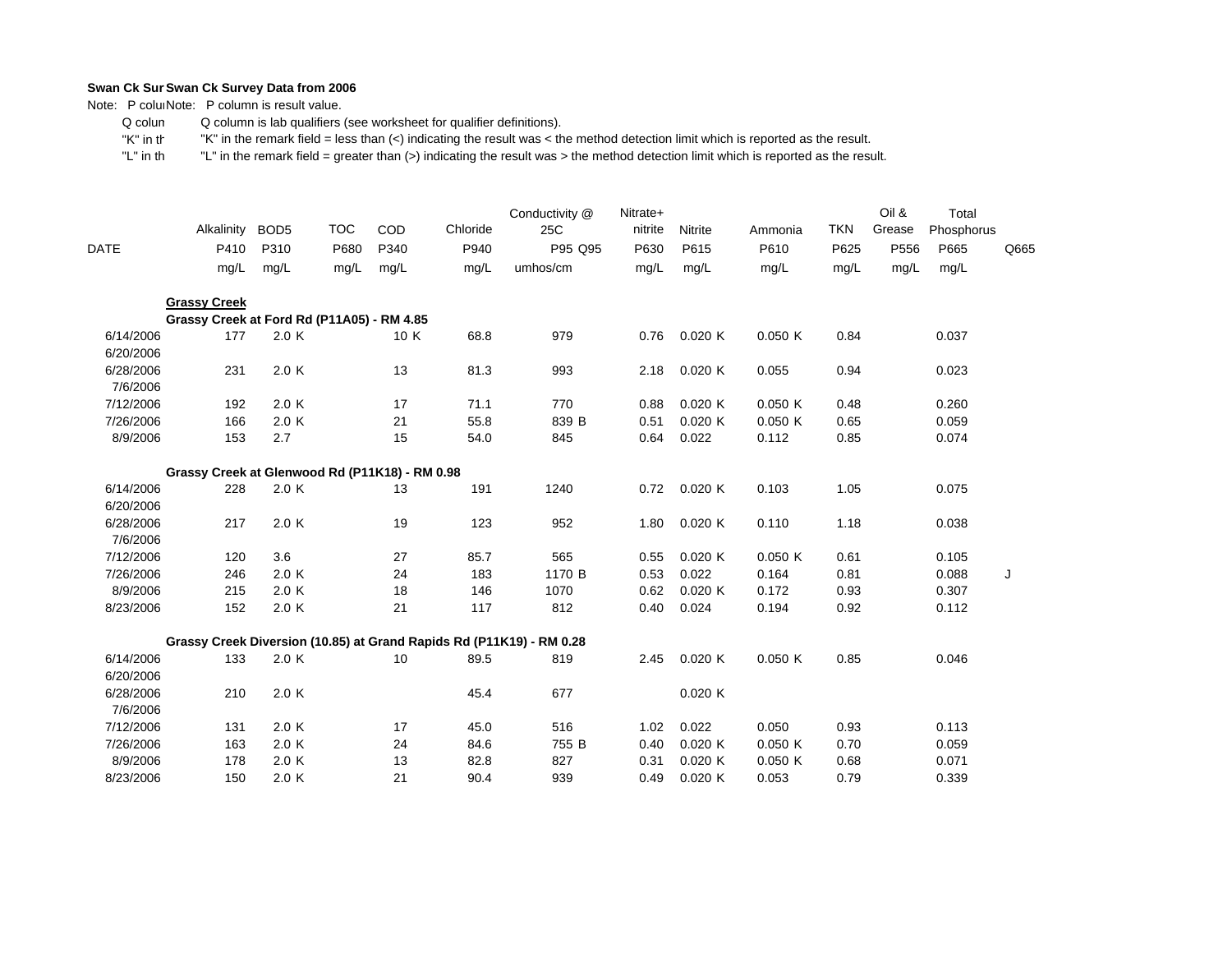Note: P coluiNote: P column is result value.

 Q colum Q column is lab qualifiers (see worksheet for qualifier definitions).

 "K" in th"K" in the remark field = less than (<) indicating the result was < the method detection limit which is reported as the result.

|                        | Alkalinity                                     | BOD <sub>5</sub> | <b>TOC</b> | COD  | Chloride | Conductivity @<br>25C                                                | Nitrate+<br>nitrite | Nitrite | Ammonia | <b>TKN</b> | Oil &<br>Grease | Total<br>Phosphorus |      |
|------------------------|------------------------------------------------|------------------|------------|------|----------|----------------------------------------------------------------------|---------------------|---------|---------|------------|-----------------|---------------------|------|
| DATE                   | P410                                           | P310             | P680       | P340 | P940     | P95 Q95                                                              | P630                | P615    | P610    | P625       | P556            | P665                | Q665 |
|                        | mg/L                                           | mg/L             | mg/L       | mg/L | mg/L     | umhos/cm                                                             | mg/L                | mg/L    | mg/L    | mg/L       | mg/L            | mg/L                |      |
|                        | <b>Grassy Creek</b>                            |                  |            |      |          |                                                                      |                     |         |         |            |                 |                     |      |
|                        | Grassy Creek at Ford Rd (P11A05) - RM 4.85     |                  |            |      |          |                                                                      |                     |         |         |            |                 |                     |      |
| 6/14/2006<br>6/20/2006 | 177                                            | 2.0 K            |            | 10 K | 68.8     | 979                                                                  | 0.76                | 0.020K  | 0.050K  | 0.84       |                 | 0.037               |      |
| 6/28/2006<br>7/6/2006  | 231                                            | 2.0 K            |            | 13   | 81.3     | 993                                                                  | 2.18                | 0.020K  | 0.055   | 0.94       |                 | 0.023               |      |
| 7/12/2006              | 192                                            | 2.0 K            |            | 17   | 71.1     | 770                                                                  | 0.88                | 0.020K  | 0.050K  | 0.48       |                 | 0.260               |      |
| 7/26/2006              | 166                                            | 2.0 K            |            | 21   | 55.8     | 839 B                                                                | 0.51                | 0.020K  | 0.050K  | 0.65       |                 | 0.059               |      |
| 8/9/2006               | 153                                            | 2.7              |            | 15   | 54.0     | 845                                                                  | 0.64                | 0.022   | 0.112   | 0.85       |                 | 0.074               |      |
|                        | Grassy Creek at Glenwood Rd (P11K18) - RM 0.98 |                  |            |      |          |                                                                      |                     |         |         |            |                 |                     |      |
| 6/14/2006<br>6/20/2006 | 228                                            | 2.0 K            |            | 13   | 191      | 1240                                                                 | 0.72                | 0.020K  | 0.103   | 1.05       |                 | 0.075               |      |
| 6/28/2006<br>7/6/2006  | 217                                            | 2.0 K            |            | 19   | 123      | 952                                                                  | 1.80                | 0.020K  | 0.110   | 1.18       |                 | 0.038               |      |
| 7/12/2006              | 120                                            | 3.6              |            | 27   | 85.7     | 565                                                                  | 0.55                | 0.020K  | 0.050K  | 0.61       |                 | 0.105               |      |
| 7/26/2006              | 246                                            | 2.0K             |            | 24   | 183      | 1170 B                                                               | 0.53                | 0.022   | 0.164   | 0.81       |                 | 0.088               | J    |
| 8/9/2006               | 215                                            | 2.0 K            |            | 18   | 146      | 1070                                                                 | 0.62                | 0.020K  | 0.172   | 0.93       |                 | 0.307               |      |
| 8/23/2006              | 152                                            | 2.0 K            |            | 21   | 117      | 812                                                                  | 0.40                | 0.024   | 0.194   | 0.92       |                 | 0.112               |      |
|                        |                                                |                  |            |      |          | Grassy Creek Diversion (10.85) at Grand Rapids Rd (P11K19) - RM 0.28 |                     |         |         |            |                 |                     |      |
| 6/14/2006<br>6/20/2006 | 133                                            | 2.0 K            |            | 10   | 89.5     | 819                                                                  | 2.45                | 0.020K  | 0.050K  | 0.85       |                 | 0.046               |      |
| 6/28/2006<br>7/6/2006  | 210                                            | 2.0K             |            |      | 45.4     | 677                                                                  |                     | 0.020K  |         |            |                 |                     |      |
| 7/12/2006              | 131                                            | 2.0K             |            | 17   | 45.0     | 516                                                                  | 1.02                | 0.022   | 0.050   | 0.93       |                 | 0.113               |      |
| 7/26/2006              | 163                                            | 2.0 K            |            | 24   | 84.6     | 755 B                                                                | 0.40                | 0.020K  | 0.050K  | 0.70       |                 | 0.059               |      |
| 8/9/2006               | 178                                            | 2.0 K            |            | 13   | 82.8     | 827                                                                  | 0.31                | 0.020K  | 0.050K  | 0.68       |                 | 0.071               |      |
| 8/23/2006              | 150                                            | 2.0K             |            | 21   | 90.4     | 939                                                                  | 0.49                | 0.020K  | 0.053   | 0.79       |                 | 0.339               |      |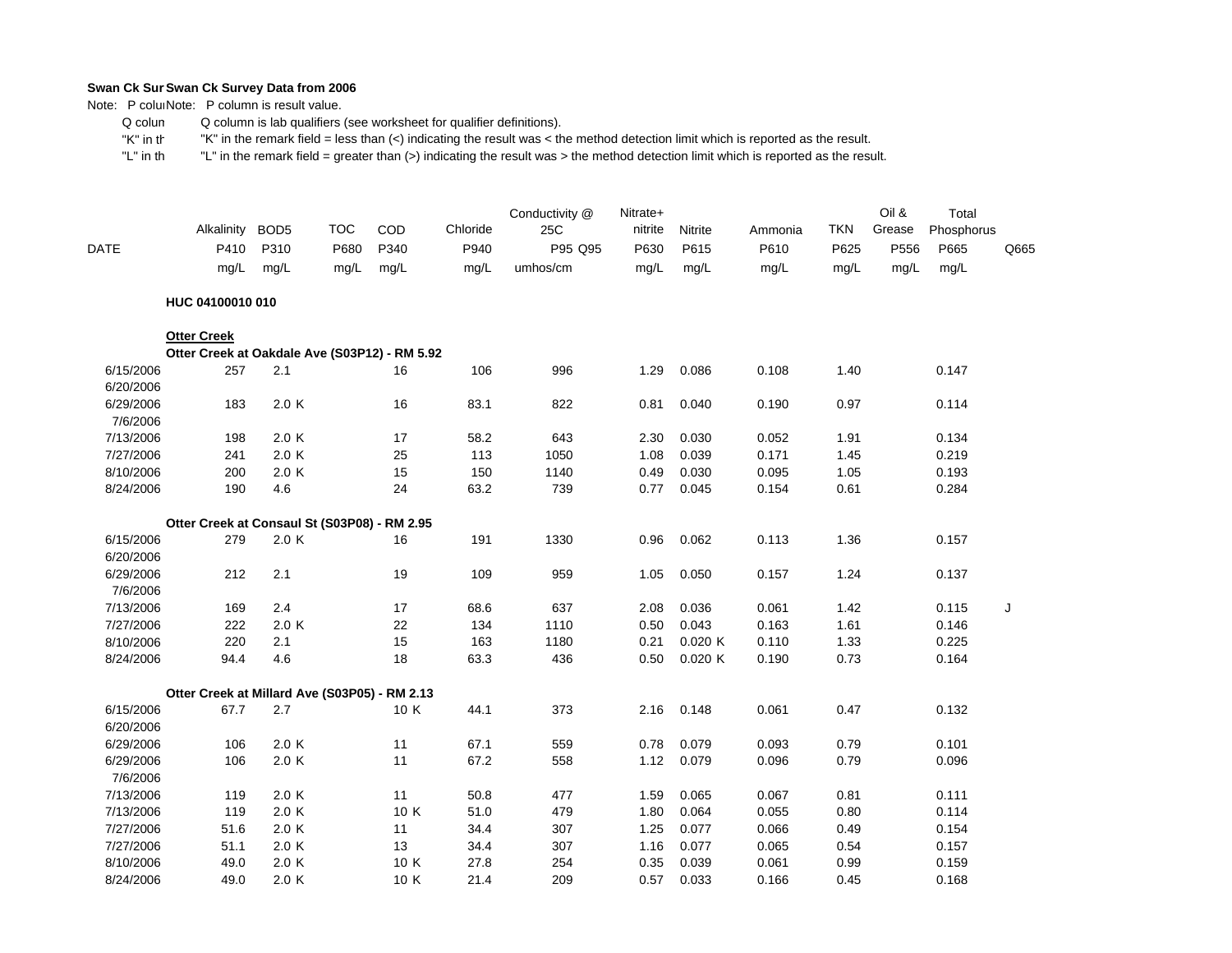Note: P coluiNote: P column is result value.

 Q colum Q column is lab qualifiers (see worksheet for qualifier definitions).

 "K" in th"K" in the remark field = less than (<) indicating the result was < the method detection limit which is reported as the result.

| DATE      | Alkalinity<br>P410                            | BOD <sub>5</sub><br>P310 | <b>TOC</b><br>P680 | COD<br>P340 | Chloride<br>P940 | Conductivity @<br>25C<br>P95 Q95 | Nitrate+<br>nitrite<br>P630 | Nitrite<br>P615 | Ammonia<br>P610 | <b>TKN</b><br>P625 | Oil &<br>Grease<br>P556 | Total<br>Phosphorus<br>P665 | Q665 |
|-----------|-----------------------------------------------|--------------------------|--------------------|-------------|------------------|----------------------------------|-----------------------------|-----------------|-----------------|--------------------|-------------------------|-----------------------------|------|
|           | mg/L                                          | mg/L                     | mg/L               | mg/L        | mg/L             | umhos/cm                         | mg/L                        | mg/L            | mg/L            | mq/L               | mg/L                    | mg/L                        |      |
|           | HUC 04100010 010                              |                          |                    |             |                  |                                  |                             |                 |                 |                    |                         |                             |      |
|           | <b>Otter Creek</b>                            |                          |                    |             |                  |                                  |                             |                 |                 |                    |                         |                             |      |
|           | Otter Creek at Oakdale Ave (S03P12) - RM 5.92 |                          |                    |             |                  |                                  |                             |                 |                 |                    |                         |                             |      |
| 6/15/2006 | 257                                           | 2.1                      |                    | 16          | 106              | 996                              | 1.29                        | 0.086           | 0.108           | 1.40               |                         | 0.147                       |      |
| 6/20/2006 |                                               |                          |                    |             |                  |                                  |                             |                 |                 |                    |                         |                             |      |
| 6/29/2006 | 183                                           | 2.0 K                    |                    | 16          | 83.1             | 822                              | 0.81                        | 0.040           | 0.190           | 0.97               |                         | 0.114                       |      |
| 7/6/2006  |                                               |                          |                    |             |                  |                                  |                             |                 |                 |                    |                         |                             |      |
| 7/13/2006 | 198                                           | 2.0 K                    |                    | 17          | 58.2             | 643                              | 2.30                        | 0.030           | 0.052           | 1.91               |                         | 0.134                       |      |
| 7/27/2006 | 241                                           | 2.0 K                    |                    | 25          | 113              | 1050                             | 1.08                        | 0.039           | 0.171           | 1.45               |                         | 0.219                       |      |
| 8/10/2006 | 200                                           | 2.0 K                    |                    | 15          | 150              | 1140                             | 0.49                        | 0.030           | 0.095           | 1.05               |                         | 0.193                       |      |
| 8/24/2006 | 190                                           | 4.6                      |                    | 24          | 63.2             | 739                              | 0.77                        | 0.045           | 0.154           | 0.61               |                         | 0.284                       |      |
|           | Otter Creek at Consaul St (S03P08) - RM 2.95  |                          |                    |             |                  |                                  |                             |                 |                 |                    |                         |                             |      |
| 6/15/2006 | 279                                           | 2.0K                     |                    | 16          | 191              | 1330                             | 0.96                        | 0.062           | 0.113           | 1.36               |                         | 0.157                       |      |
| 6/20/2006 |                                               |                          |                    |             |                  |                                  |                             |                 |                 |                    |                         |                             |      |
| 6/29/2006 | 212                                           | 2.1                      |                    | 19          | 109              | 959                              | 1.05                        | 0.050           | 0.157           | 1.24               |                         | 0.137                       |      |
| 7/6/2006  |                                               |                          |                    |             |                  |                                  |                             |                 |                 |                    |                         |                             |      |
| 7/13/2006 | 169                                           | 2.4                      |                    | 17          | 68.6             | 637                              | 2.08                        | 0.036           | 0.061           | 1.42               |                         | 0.115                       | J    |
| 7/27/2006 | 222                                           | 2.0 K                    |                    | 22          | 134              | 1110                             | 0.50                        | 0.043           | 0.163           | 1.61               |                         | 0.146                       |      |
| 8/10/2006 | 220                                           | 2.1                      |                    | 15          | 163              | 1180                             | 0.21                        | 0.020 K         | 0.110           | 1.33               |                         | 0.225                       |      |
| 8/24/2006 | 94.4                                          | 4.6                      |                    | 18          | 63.3             | 436                              | 0.50                        | 0.020 K         | 0.190           | 0.73               |                         | 0.164                       |      |
|           | Otter Creek at Millard Ave (S03P05) - RM 2.13 |                          |                    |             |                  |                                  |                             |                 |                 |                    |                         |                             |      |
| 6/15/2006 | 67.7                                          | 2.7                      |                    | 10 K        | 44.1             | 373                              | 2.16                        | 0.148           | 0.061           | 0.47               |                         | 0.132                       |      |
| 6/20/2006 |                                               |                          |                    |             |                  |                                  |                             |                 |                 |                    |                         |                             |      |
| 6/29/2006 | 106                                           | 2.0 K                    |                    | 11          | 67.1             | 559                              | 0.78                        | 0.079           | 0.093           | 0.79               |                         | 0.101                       |      |
| 6/29/2006 | 106                                           | 2.0 K                    |                    | 11          | 67.2             | 558                              | 1.12                        | 0.079           | 0.096           | 0.79               |                         | 0.096                       |      |
| 7/6/2006  |                                               |                          |                    |             |                  |                                  |                             |                 |                 |                    |                         |                             |      |
| 7/13/2006 | 119                                           | 2.0 K                    |                    | 11          | 50.8             | 477                              | 1.59                        | 0.065           | 0.067           | 0.81               |                         | 0.111                       |      |
| 7/13/2006 | 119                                           | 2.0K                     |                    | 10 K        | 51.0             | 479                              | 1.80                        | 0.064           | 0.055           | 0.80               |                         | 0.114                       |      |
| 7/27/2006 | 51.6                                          | 2.0 K                    |                    | 11          | 34.4             | 307                              | 1.25                        | 0.077           | 0.066           | 0.49               |                         | 0.154                       |      |
| 7/27/2006 | 51.1                                          | 2.0 K                    |                    | 13          | 34.4             | 307                              | 1.16                        | 0.077           | 0.065           | 0.54               |                         | 0.157                       |      |
| 8/10/2006 | 49.0                                          | 2.0 K                    |                    | 10 K        | 27.8             | 254                              | 0.35                        | 0.039           | 0.061           | 0.99               |                         | 0.159                       |      |
| 8/24/2006 | 49.0                                          | 2.0 K                    |                    | 10 K        | 21.4             | 209                              | 0.57                        | 0.033           | 0.166           | 0.45               |                         | 0.168                       |      |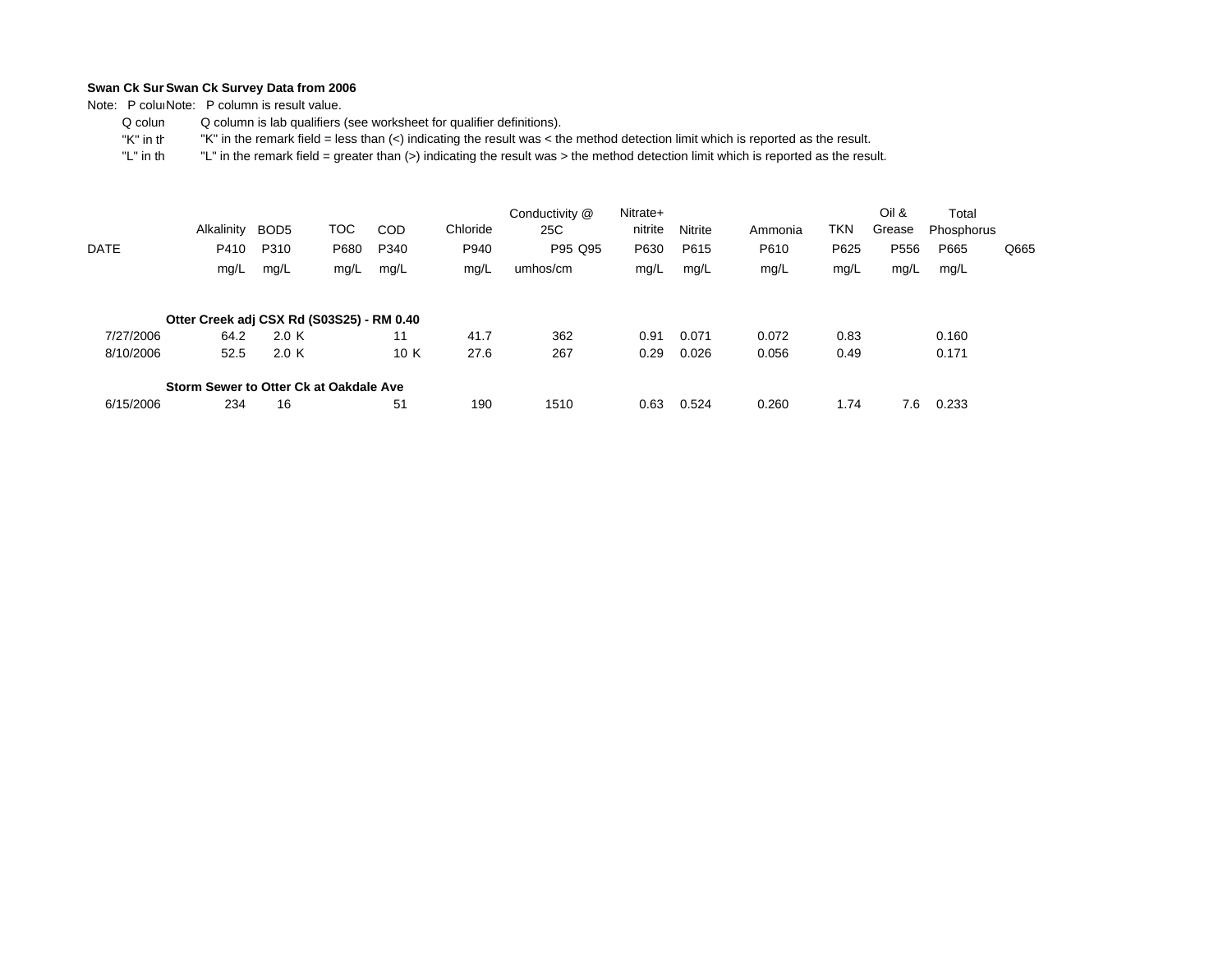Note: P coluiNote: P column is result value.

 Q colum Q column is lab qualifiers (see worksheet for qualifier definitions).

 "K" in th"K" in the remark field = less than (<) indicating the result was < the method detection limit which is reported as the result.

| DATE      | Alkalinity<br>P410<br>mg/L                | BOD <sub>5</sub><br>P310<br>mg/L | тос<br>P680<br>mg/L | <b>COD</b><br>P340<br>mg/L | Chloride<br>P940<br>mg/L | Conductivity @<br>25C<br>P95 Q95<br>umhos/cm | Nitrate+<br>nitrite<br>P630<br>mg/L | <b>Nitrite</b><br>P615<br>mg/L | Ammonia<br>P610<br>mg/L | TKN<br>P625<br>mg/L | Oil &<br>Grease<br>P556<br>mg/L | Total<br>Phosphorus<br>P665<br>mg/L | Q665 |
|-----------|-------------------------------------------|----------------------------------|---------------------|----------------------------|--------------------------|----------------------------------------------|-------------------------------------|--------------------------------|-------------------------|---------------------|---------------------------------|-------------------------------------|------|
|           | Otter Creek adj CSX Rd (S03S25) - RM 0.40 |                                  |                     |                            |                          |                                              |                                     |                                |                         |                     |                                 |                                     |      |
| 7/27/2006 | 64.2                                      | 2.0 K                            |                     | 11                         | 41.7                     | 362                                          | 0.91                                | 0.071                          | 0.072                   | 0.83                |                                 | 0.160                               |      |
| 8/10/2006 | 52.5                                      | 2.0 K                            |                     | 10 K                       | 27.6                     | 267                                          | 0.29                                | 0.026                          | 0.056                   | 0.49                |                                 | 0.171                               |      |
|           | Storm Sewer to Otter Ck at Oakdale Ave    |                                  |                     |                            |                          |                                              |                                     |                                |                         |                     |                                 |                                     |      |
| 6/15/2006 | 234                                       | 16                               |                     | 51                         | 190                      | 1510                                         | 0.63                                | 0.524                          | 0.260                   | 1.74                | 7.6                             | 0.233                               |      |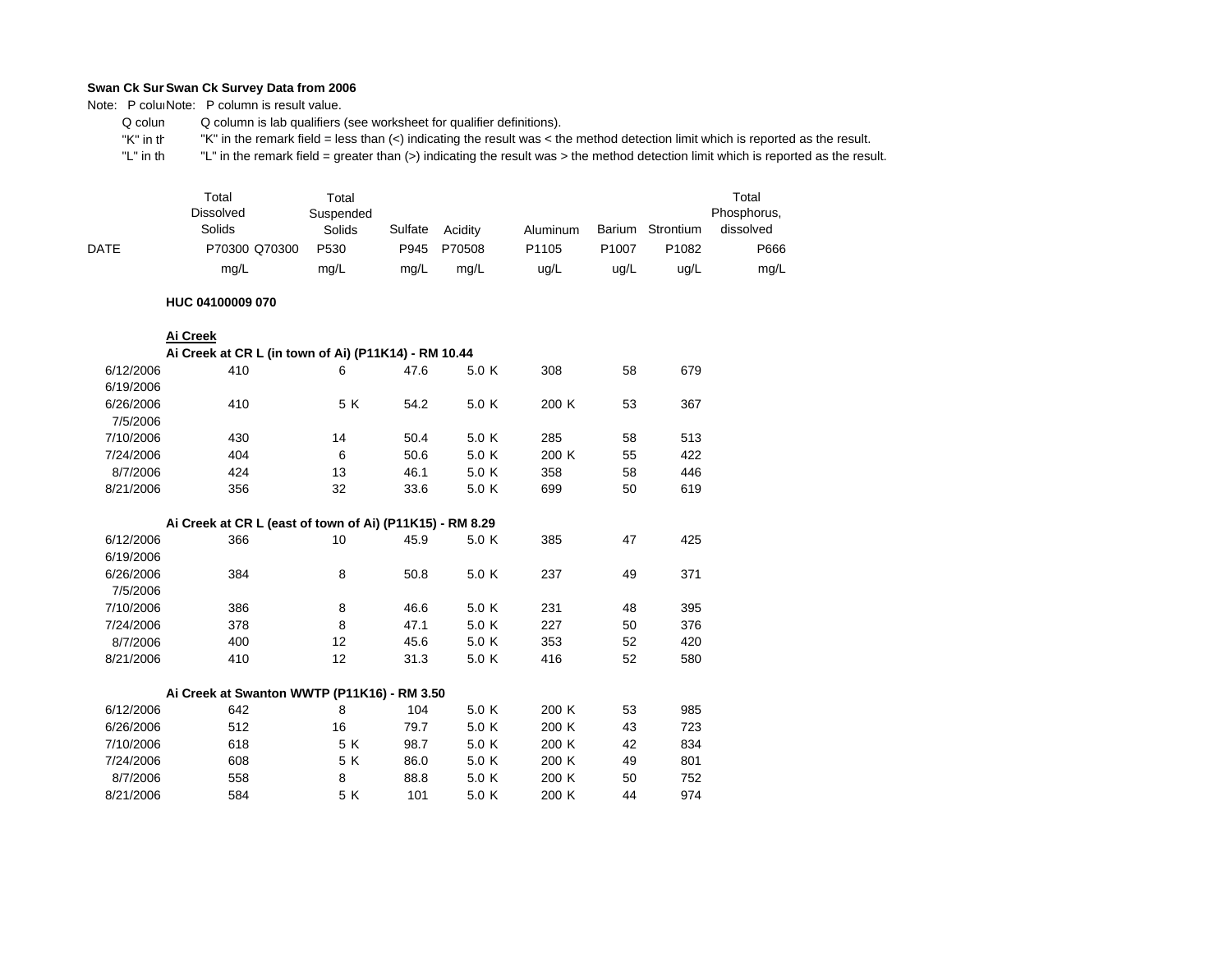Note: P coluiNote: P column is result value.

 Q colum Q column is lab qualifiers (see worksheet for qualifier definitions).

 "K" in th"K" in the remark field = less than (<) indicating the result was < the method detection limit which is reported as the result.

 "L" in th "L" in the remark field = greater than (>) indicating the result was > the method detection limit which is reported as the result.

|             | Total<br><b>Dissolved</b><br>Solids | Total<br>Suspended<br>Solids | Sulfate | Acidity | Aluminum          |                   | Barium Strontium  | Total<br>Phosphorus,<br>dissolved |
|-------------|-------------------------------------|------------------------------|---------|---------|-------------------|-------------------|-------------------|-----------------------------------|
| <b>DATE</b> | P70300 Q70300                       | P <sub>530</sub>             | P945    | P70508  | P <sub>1105</sub> | P <sub>1007</sub> | P <sub>1082</sub> | P666                              |
|             | mg/L                                | mg/L                         | mg/L    | mg/L    | uq/L              | ug/L              | ug/L              | mg/L                              |

#### **HUC 04100009 070**

|  | Ai Creek |  |
|--|----------|--|
|  |          |  |

8/21/2006

|           | Ai Creek at CR L (in town of Ai) (P11K14) - RM 10.44     |     |      |       |       |    |     |
|-----------|----------------------------------------------------------|-----|------|-------|-------|----|-----|
| 6/12/2006 | 410                                                      | 6   | 47.6 | 5.0 K | 308   | 58 | 679 |
| 6/19/2006 |                                                          |     |      |       |       |    |     |
| 6/26/2006 | 410                                                      | 5 K | 54.2 | 5.0 K | 200 K | 53 | 367 |
| 7/5/2006  |                                                          |     |      |       |       |    |     |
| 7/10/2006 | 430                                                      | 14  | 50.4 | 5.0 K | 285   | 58 | 513 |
| 7/24/2006 | 404                                                      | 6   | 50.6 | 5.0 K | 200 K | 55 | 422 |
| 8/7/2006  | 424                                                      | 13  | 46.1 | 5.0 K | 358   | 58 | 446 |
| 8/21/2006 | 356                                                      | 32  | 33.6 | 5.0 K | 699   | 50 | 619 |
|           |                                                          |     |      |       |       |    |     |
|           | Ai Creek at CR L (east of town of Ai) (P11K15) - RM 8.29 |     |      |       |       |    |     |
| 6/12/2006 | 366                                                      | 10  | 45.9 | 5.0 K | 385   | 47 | 425 |
| 6/19/2006 |                                                          |     |      |       |       |    |     |
| 6/26/2006 | 384                                                      | 8   | 50.8 | 5.0 K | 237   | 49 | 371 |
| 7/5/2006  |                                                          |     |      |       |       |    |     |
| 7/10/2006 | 386                                                      | 8   | 46.6 | 5.0 K | 231   | 48 | 395 |
| 7/24/2006 | 378                                                      | 8   | 47.1 | 5.0 K | 227   | 50 | 376 |
| 8/7/2006  | 400                                                      | 12  | 45.6 | 5.0 K | 353   | 52 | 420 |
| 8/21/2006 | 410                                                      | 12  | 31.3 | 5.0 K | 416   | 52 | 580 |
|           |                                                          |     |      |       |       |    |     |
|           | Ai Creek at Swanton WWTP (P11K16) - RM 3.50              |     |      |       |       |    |     |
| 6/12/2006 | 642                                                      | 8   | 104  | 5.0 K | 200 K | 53 | 985 |
| 6/26/2006 | 512                                                      | 16  | 79.7 | 5.0 K | 200 K | 43 | 723 |
| 7/10/2006 | 618                                                      | 5 K | 98.7 | 5.0 K | 200 K | 42 | 834 |
| 7/24/2006 | 608                                                      | 5 K | 86.0 | 5.0 K | 200 K | 49 | 801 |
| 8/7/2006  | 558                                                      | 8   | 88.8 | 5.0 K | 200 K | 50 | 752 |
| 8/21/2006 | 584                                                      | 5 K | 101  | 5.0 K | 200 K | 44 | 974 |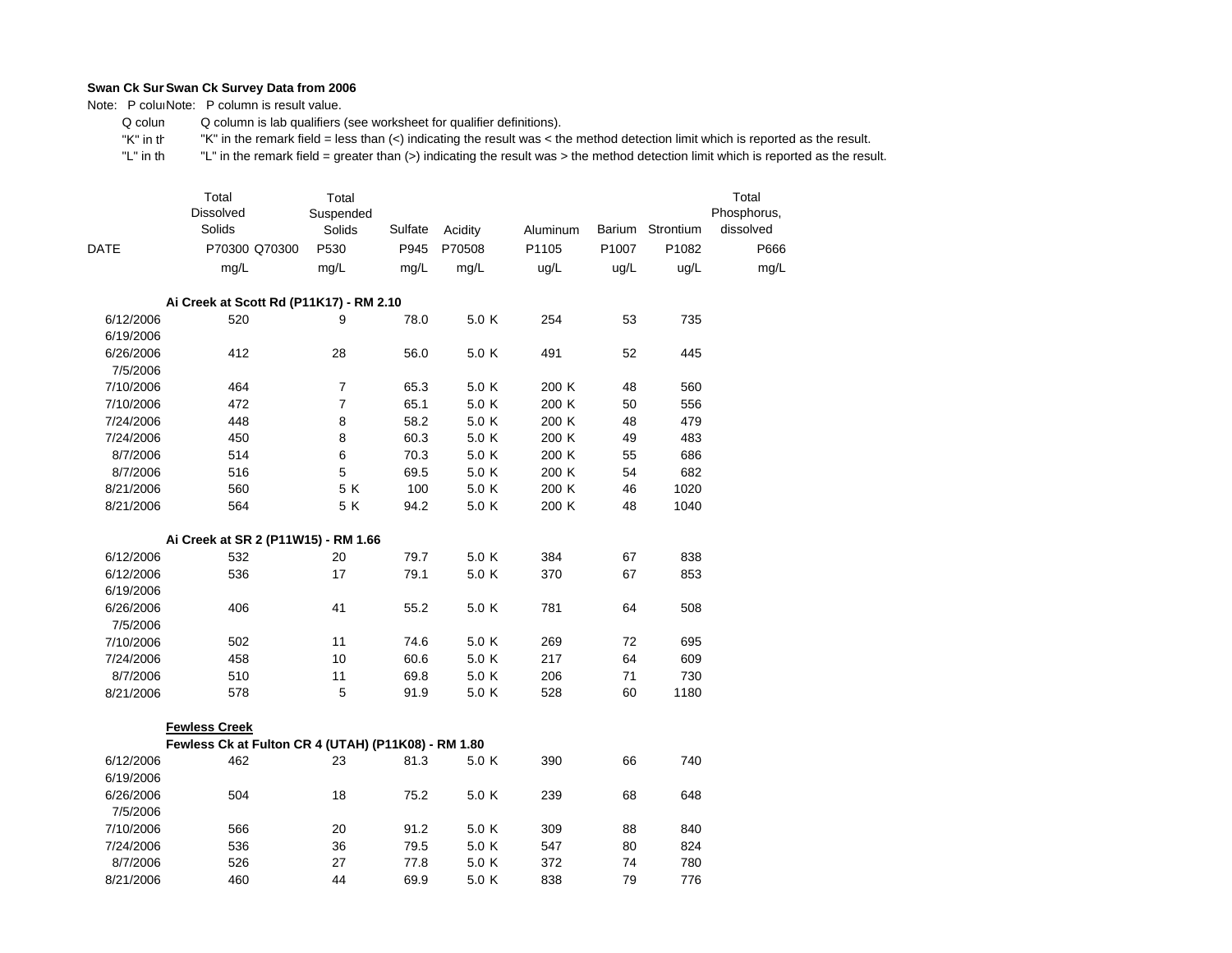Note: P coluiNote: P column is result value.

 Q colum Q column is lab qualifiers (see worksheet for qualifier definitions).

 "K" in th"K" in the remark field = less than (<) indicating the result was < the method detection limit which is reported as the result.

|             | Total<br>Dissolved<br>Solids                        | Total<br>Suspended<br>Solids | Sulfate | Acidity | Aluminum |       | Barium Strontium | Total<br>Phosphorus,<br>dissolved |
|-------------|-----------------------------------------------------|------------------------------|---------|---------|----------|-------|------------------|-----------------------------------|
| <b>DATE</b> | P70300 Q70300                                       | P530                         | P945    | P70508  | P1105    | P1007 | P1082            | P666                              |
|             | mg/L                                                | mg/L                         | mg/L    | mg/L    | ug/L     | ug/L  | ug/L             | mg/L                              |
|             |                                                     |                              |         |         |          |       |                  |                                   |
|             | Ai Creek at Scott Rd (P11K17) - RM 2.10             |                              |         |         |          |       |                  |                                   |
| 6/12/2006   | 520                                                 | 9                            | 78.0    | 5.0 K   | 254      | 53    | 735              |                                   |
| 6/19/2006   |                                                     |                              |         |         |          |       |                  |                                   |
| 6/26/2006   | 412                                                 | 28                           | 56.0    | 5.0 K   | 491      | 52    | 445              |                                   |
| 7/5/2006    |                                                     |                              |         |         |          |       |                  |                                   |
| 7/10/2006   | 464                                                 | $\overline{7}$               | 65.3    | 5.0 K   | 200 K    | 48    | 560              |                                   |
| 7/10/2006   | 472                                                 | 7                            | 65.1    | 5.0 K   | 200 K    | 50    | 556              |                                   |
| 7/24/2006   | 448                                                 | 8                            | 58.2    | 5.0 K   | 200 K    | 48    | 479              |                                   |
| 7/24/2006   | 450                                                 | 8                            | 60.3    | 5.0 K   | 200 K    | 49    | 483              |                                   |
| 8/7/2006    | 514                                                 | 6                            | 70.3    | 5.0 K   | 200 K    | 55    | 686              |                                   |
| 8/7/2006    | 516                                                 | 5                            | 69.5    | 5.0 K   | 200 K    | 54    | 682              |                                   |
| 8/21/2006   | 560                                                 | 5 K                          | 100     | 5.0 K   | 200 K    | 46    | 1020             |                                   |
| 8/21/2006   | 564                                                 | 5K                           | 94.2    | 5.0 K   | 200 K    | 48    | 1040             |                                   |
|             |                                                     |                              |         |         |          |       |                  |                                   |
|             | Ai Creek at SR 2 (P11W15) - RM 1.66                 |                              |         |         |          |       |                  |                                   |
| 6/12/2006   | 532                                                 | 20                           | 79.7    | 5.0 K   | 384      | 67    | 838              |                                   |
| 6/12/2006   | 536                                                 | 17                           | 79.1    | 5.0 K   | 370      | 67    | 853              |                                   |
| 6/19/2006   |                                                     |                              |         |         |          |       |                  |                                   |
| 6/26/2006   | 406                                                 | 41                           | 55.2    | 5.0 K   | 781      | 64    | 508              |                                   |
| 7/5/2006    |                                                     |                              |         |         |          |       |                  |                                   |
| 7/10/2006   | 502                                                 | 11                           | 74.6    | 5.0 K   | 269      | 72    | 695              |                                   |
| 7/24/2006   | 458                                                 | 10                           | 60.6    | 5.0 K   | 217      | 64    | 609              |                                   |
| 8/7/2006    | 510                                                 | 11                           | 69.8    | 5.0 K   | 206      | 71    | 730              |                                   |
| 8/21/2006   | 578                                                 | 5                            | 91.9    | 5.0 K   | 528      | 60    | 1180             |                                   |
|             | <b>Fewless Creek</b>                                |                              |         |         |          |       |                  |                                   |
|             | Fewless Ck at Fulton CR 4 (UTAH) (P11K08) - RM 1.80 |                              |         |         |          |       |                  |                                   |
| 6/12/2006   | 462                                                 | 23                           | 81.3    | 5.0 K   | 390      | 66    | 740              |                                   |
| 6/19/2006   |                                                     |                              |         |         |          |       |                  |                                   |
| 6/26/2006   | 504                                                 | 18                           | 75.2    | 5.0 K   | 239      | 68    | 648              |                                   |
| 7/5/2006    |                                                     |                              |         |         |          |       |                  |                                   |
| 7/10/2006   | 566                                                 | 20                           | 91.2    | 5.0 K   | 309      | 88    | 840              |                                   |
| 7/24/2006   | 536                                                 | 36                           | 79.5    | 5.0 K   | 547      | 80    | 824              |                                   |
| 8/7/2006    | 526                                                 | 27                           | 77.8    | 5.0 K   | 372      | 74    | 780              |                                   |
| 8/21/2006   | 460                                                 | 44                           | 69.9    | 5.0 K   | 838      | 79    | 776              |                                   |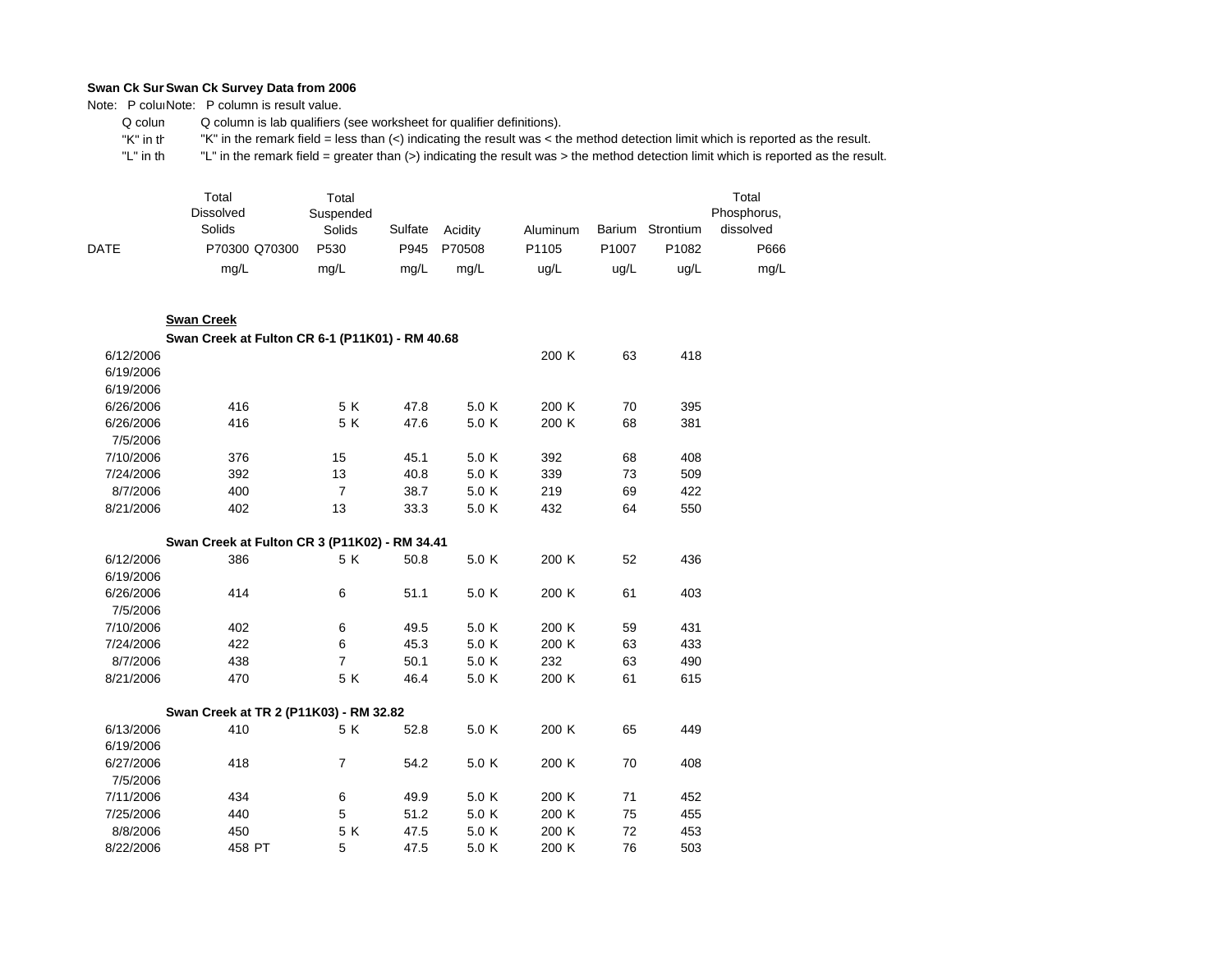Note: P coluiNote: P column is result value.

 Q colum Q column is lab qualifiers (see worksheet for qualifier definitions).

 "K" in th"K" in the remark field = less than (<) indicating the result was < the method detection limit which is reported as the result.

 "L" in th "L" in the remark field = greater than (>) indicating the result was > the method detection limit which is reported as the result.

|             | Total<br><b>Dissolved</b><br>Solids | Total<br>Suspended<br>Solids | Sulfate | Acidity | Aluminum | Barium | Strontium | Total<br>Phosphorus,<br>dissolved |
|-------------|-------------------------------------|------------------------------|---------|---------|----------|--------|-----------|-----------------------------------|
| <b>DATE</b> | P70300 Q70300                       | P <sub>530</sub>             | P945    | P70508  | P1105    | P1007  | P1082     | P666                              |
|             | mg/L                                | mg/L                         | mg/L    | mg/L    | ug/L     | uq/L   | ug/L      | mg/L                              |

#### **Swan Creek**

|           | Swan Creek at Fulton CR 6-1 (P11K01) - RM 40.68 |                |      |       |       |    |     |
|-----------|-------------------------------------------------|----------------|------|-------|-------|----|-----|
| 6/12/2006 |                                                 |                |      |       | 200 K | 63 | 418 |
| 6/19/2006 |                                                 |                |      |       |       |    |     |
| 6/19/2006 |                                                 |                |      |       |       |    |     |
| 6/26/2006 | 416                                             | 5 K            | 47.8 | 5.0 K | 200 K | 70 | 395 |
| 6/26/2006 | 416                                             | 5 K            | 47.6 | 5.0 K | 200 K | 68 | 381 |
| 7/5/2006  |                                                 |                |      |       |       |    |     |
| 7/10/2006 | 376                                             | 15             | 45.1 | 5.0 K | 392   | 68 | 408 |
| 7/24/2006 | 392                                             | 13             | 40.8 | 5.0 K | 339   | 73 | 509 |
| 8/7/2006  | 400                                             | $\overline{7}$ | 38.7 | 5.0 K | 219   | 69 | 422 |
| 8/21/2006 | 402                                             | 13             | 33.3 | 5.0 K | 432   | 64 | 550 |
|           |                                                 |                |      |       |       |    |     |
|           | Swan Creek at Fulton CR 3 (P11K02) - RM 34.41   |                |      |       |       |    |     |
| 6/12/2006 | 386                                             | 5 K            | 50.8 | 5.0 K | 200 K | 52 | 436 |
| 6/19/2006 |                                                 |                |      |       |       |    |     |
| 6/26/2006 | 414                                             | 6              | 51.1 | 5.0 K | 200 K | 61 | 403 |
| 7/5/2006  |                                                 |                |      |       |       |    |     |
| 7/10/2006 | 402                                             | 6              | 49.5 | 5.0 K | 200 K | 59 | 431 |
| 7/24/2006 | 422                                             | 6              | 45.3 | 5.0 K | 200 K | 63 | 433 |
| 8/7/2006  | 438                                             | 7              | 50.1 | 5.0 K | 232   | 63 | 490 |
| 8/21/2006 | 470                                             | 5 K            | 46.4 | 5.0 K | 200 K | 61 | 615 |
|           |                                                 |                |      |       |       |    |     |

|           | Swan Creek at TR 2 (P11K03) - RM 32.82 |     |      |       |       |    |     |
|-----------|----------------------------------------|-----|------|-------|-------|----|-----|
| 6/13/2006 | 410                                    | 5 K | 52.8 | 5.0 K | 200 K | 65 | 449 |
| 6/19/2006 |                                        |     |      |       |       |    |     |
| 6/27/2006 | 418                                    | 7   | 54.2 | 5.0 K | 200 K | 70 | 408 |
| 7/5/2006  |                                        |     |      |       |       |    |     |
| 7/11/2006 | 434                                    | 6   | 49.9 | 5.0 K | 200 K | 71 | 452 |
| 7/25/2006 | 440                                    | 5   | 51.2 | 5.0 K | 200 K | 75 | 455 |
| 8/8/2006  | 450                                    | 5 K | 47.5 | 5.0 K | 200K  | 72 | 453 |
| 8/22/2006 | 458 PT                                 | 5   | 47.5 | 5.0 K | 200 K | 76 | 503 |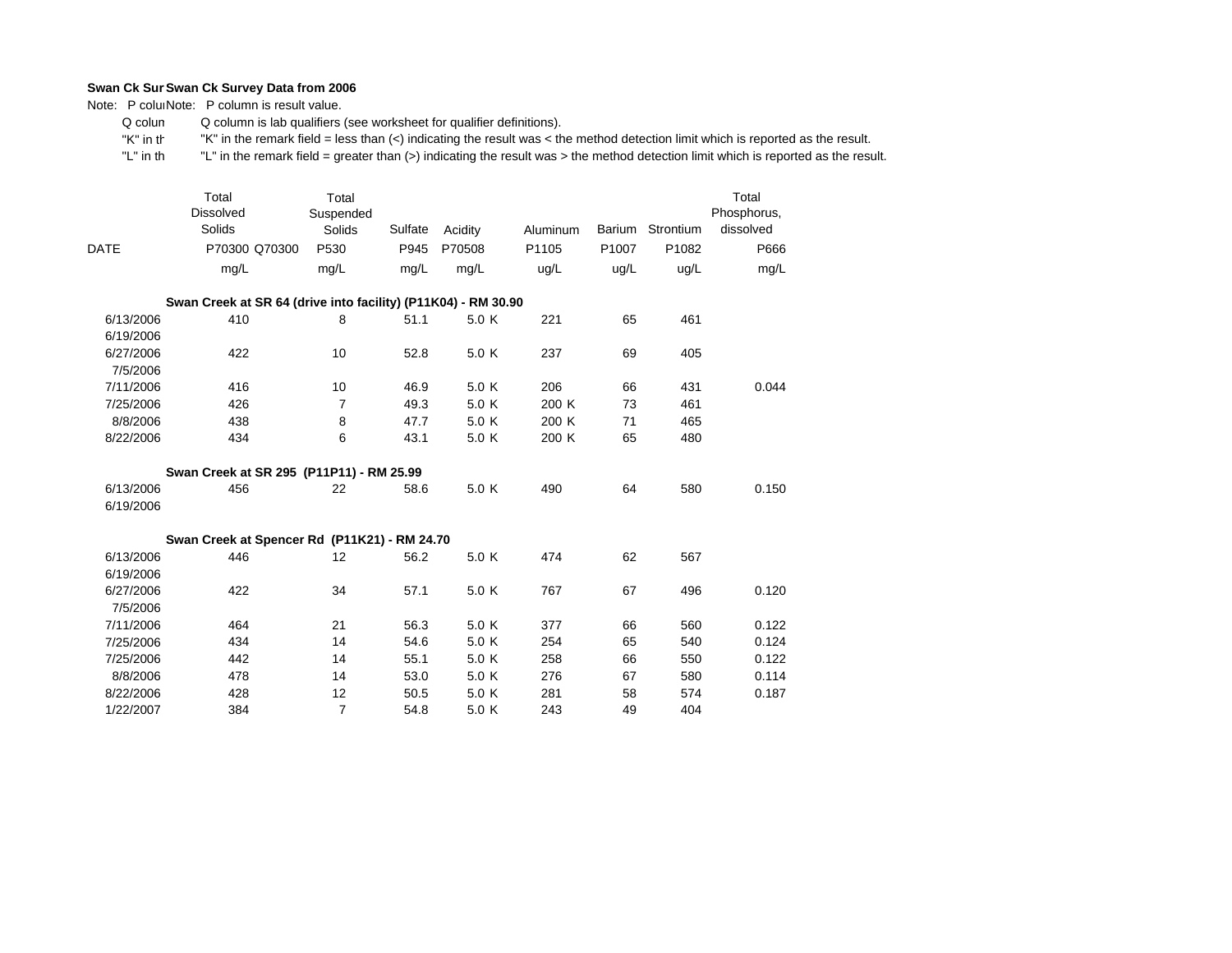Note: P coluiNote: P column is result value.

 Q colum Q column is lab qualifiers (see worksheet for qualifier definitions).

 "K" in th"K" in the remark field = less than (<) indicating the result was < the method detection limit which is reported as the result.

| DATE      | Total<br><b>Dissolved</b><br>Solids<br>P70300 Q70300          | Total<br>Suspended<br>Solids<br>P530 | Sulfate<br>P945 | Acidity<br>P70508 | Aluminum<br>P1105 | P1007 | Barium Strontium<br>P1082 | Total<br>Phosphorus,<br>dissolved<br>P666 |
|-----------|---------------------------------------------------------------|--------------------------------------|-----------------|-------------------|-------------------|-------|---------------------------|-------------------------------------------|
|           | mg/L                                                          | mg/L                                 | mq/L            | mq/L              | uq/L              | ug/L  | ug/L                      | mg/L                                      |
|           |                                                               |                                      |                 |                   |                   |       |                           |                                           |
|           | Swan Creek at SR 64 (drive into facility) (P11K04) - RM 30.90 |                                      |                 |                   |                   |       |                           |                                           |
| 6/13/2006 | 410                                                           | 8                                    | 51.1            | 5.0K              | 221               | 65    | 461                       |                                           |
| 6/19/2006 |                                                               |                                      |                 |                   |                   |       |                           |                                           |
| 6/27/2006 | 422                                                           | 10                                   | 52.8            | 5.0 K             | 237               | 69    | 405                       |                                           |
| 7/5/2006  |                                                               |                                      |                 |                   |                   |       |                           |                                           |
| 7/11/2006 | 416                                                           | 10                                   | 46.9            | 5.0 K             | 206               | 66    | 431                       | 0.044                                     |
| 7/25/2006 | 426                                                           | 7                                    | 49.3            | 5.0 K             | 200 K             | 73    | 461                       |                                           |
| 8/8/2006  | 438                                                           | 8                                    | 47.7            | 5.0 K             | 200 K             | 71    | 465                       |                                           |
| 8/22/2006 | 434                                                           | 6                                    | 43.1            | 5.0 K             | 200 K             | 65    | 480                       |                                           |
|           | Swan Creek at SR 295 (P11P11) - RM 25.99                      |                                      |                 |                   |                   |       |                           |                                           |
| 6/13/2006 | 456                                                           | 22                                   | 58.6            | 5.0 K             | 490               | 64    | 580                       | 0.150                                     |
| 6/19/2006 |                                                               |                                      |                 |                   |                   |       |                           |                                           |
|           | Swan Creek at Spencer Rd (P11K21) - RM 24.70                  |                                      |                 |                   |                   |       |                           |                                           |
| 6/13/2006 | 446                                                           | 12                                   | 56.2            | 5.0 K             | 474               | 62    | 567                       |                                           |
| 6/19/2006 |                                                               |                                      |                 |                   |                   |       |                           |                                           |
| 6/27/2006 | 422                                                           | 34                                   | 57.1            | 5.0 K             | 767               | 67    | 496                       | 0.120                                     |
| 7/5/2006  |                                                               |                                      |                 |                   |                   |       |                           |                                           |
| 7/11/2006 | 464                                                           | 21                                   | 56.3            | 5.0 K             | 377               | 66    | 560                       | 0.122                                     |
| 7/25/2006 | 434                                                           | 14                                   | 54.6            | 5.0 K             | 254               | 65    | 540                       | 0.124                                     |
| 7/25/2006 | 442                                                           | 14                                   | 55.1            | 5.0 K             | 258               | 66    | 550                       | 0.122                                     |
| 8/8/2006  | 478                                                           | 14                                   | 53.0            | 5.0 K             | 276               | 67    | 580                       | 0.114                                     |
| 8/22/2006 | 428                                                           | 12                                   | 50.5            | 5.0 K             | 281               | 58    | 574                       | 0.187                                     |
| 1/22/2007 | 384                                                           | 7                                    | 54.8            | 5.0 K             | 243               | 49    | 404                       |                                           |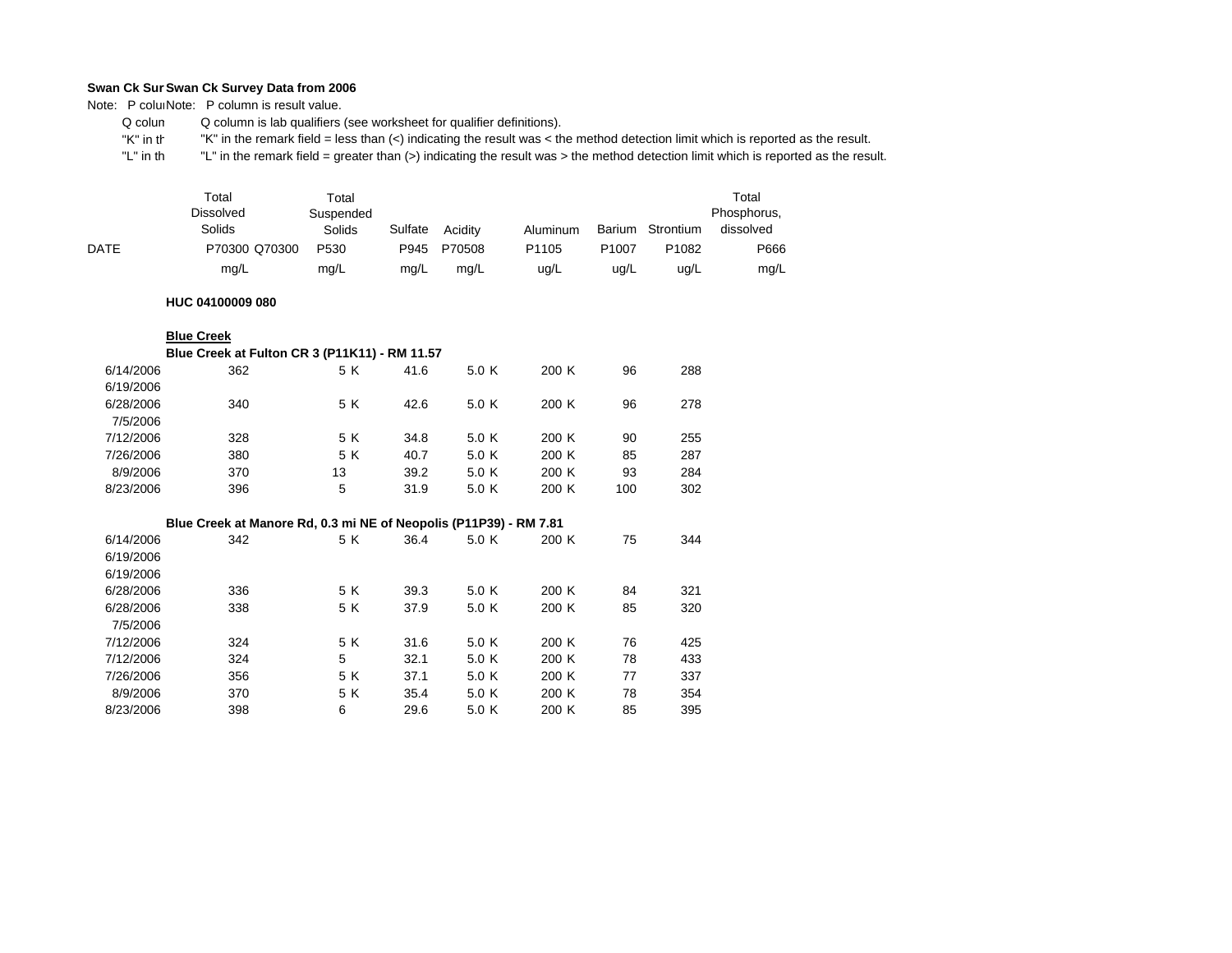Note: P coluiNote: P column is result value.

 Q colum Q column is lab qualifiers (see worksheet for qualifier definitions).

 "K" in th"K" in the remark field = less than (<) indicating the result was < the method detection limit which is reported as the result.

 "L" in th "L" in the remark field = greater than (>) indicating the result was > the method detection limit which is reported as the result.

|      | Total<br><b>Dissolved</b><br>Solids | Total<br>Suspended<br>Solids | Sulfate | Acidity | Aluminum          |                   | Barium Strontium  | Total<br>Phosphorus,<br>dissolved |
|------|-------------------------------------|------------------------------|---------|---------|-------------------|-------------------|-------------------|-----------------------------------|
| DATE | P70300 Q70300                       | P530                         | P945    | P70508  | P <sub>1105</sub> | P <sub>1007</sub> | P <sub>1082</sub> | P666                              |
|      | mg/L                                | mg/L                         | mg/L    | mg/L    | ug/L              | ug/L              | ug/L              | mg/L                              |

## **HUC 04100009 080**

#### **Blue Creek**

|           | Blue Creek at Fulton CR 3 (P11K11) - RM 11.57 |     |      |       |       |     |     |
|-----------|-----------------------------------------------|-----|------|-------|-------|-----|-----|
| 6/14/2006 | 362                                           | 5 K | 41.6 | 5.0 K | 200 K | 96  | 288 |
| 6/19/2006 |                                               |     |      |       |       |     |     |
| 6/28/2006 | 340                                           | 5 K | 42.6 | 5.0 K | 200 K | 96  | 278 |
| 7/5/2006  |                                               |     |      |       |       |     |     |
| 7/12/2006 | 328                                           | 5 K | 34.8 | 5.0 K | 200 K | 90  | 255 |
| 7/26/2006 | 380                                           | 5 K | 40.7 | 5.0 K | 200 K | 85  | 287 |
| 8/9/2006  | 370                                           | 13  | 39.2 | 5.0 K | 200 K | 93  | 284 |
| 8/23/2006 | 396                                           | 5   | 31.9 | 5.0 K | 200 K | 100 | 302 |

## **Blue Creek at Manore Rd, 0.3 mi NE of Neopolis (P11P39) - RM 7.81**

| 6/14/2006 | 342 | 5 K | 36.4 | 5.0 K | 200 K | 75 | 344 |
|-----------|-----|-----|------|-------|-------|----|-----|
| 6/19/2006 |     |     |      |       |       |    |     |
| 6/19/2006 |     |     |      |       |       |    |     |
| 6/28/2006 | 336 | 5 K | 39.3 | 5.0 K | 200 K | 84 | 321 |
| 6/28/2006 | 338 | 5 K | 37.9 | 5.0 K | 200 K | 85 | 320 |
| 7/5/2006  |     |     |      |       |       |    |     |
| 7/12/2006 | 324 | 5 K | 31.6 | 5.0 K | 200 K | 76 | 425 |
| 7/12/2006 | 324 | 5   | 32.1 | 5.0 K | 200 K | 78 | 433 |
| 7/26/2006 | 356 | 5 K | 37.1 | 5.0 K | 200 K | 77 | 337 |
| 8/9/2006  | 370 | 5 K | 35.4 | 5.0 K | 200 K | 78 | 354 |
| 8/23/2006 | 398 | 6   | 29.6 | 5.0 K | 200 K | 85 | 395 |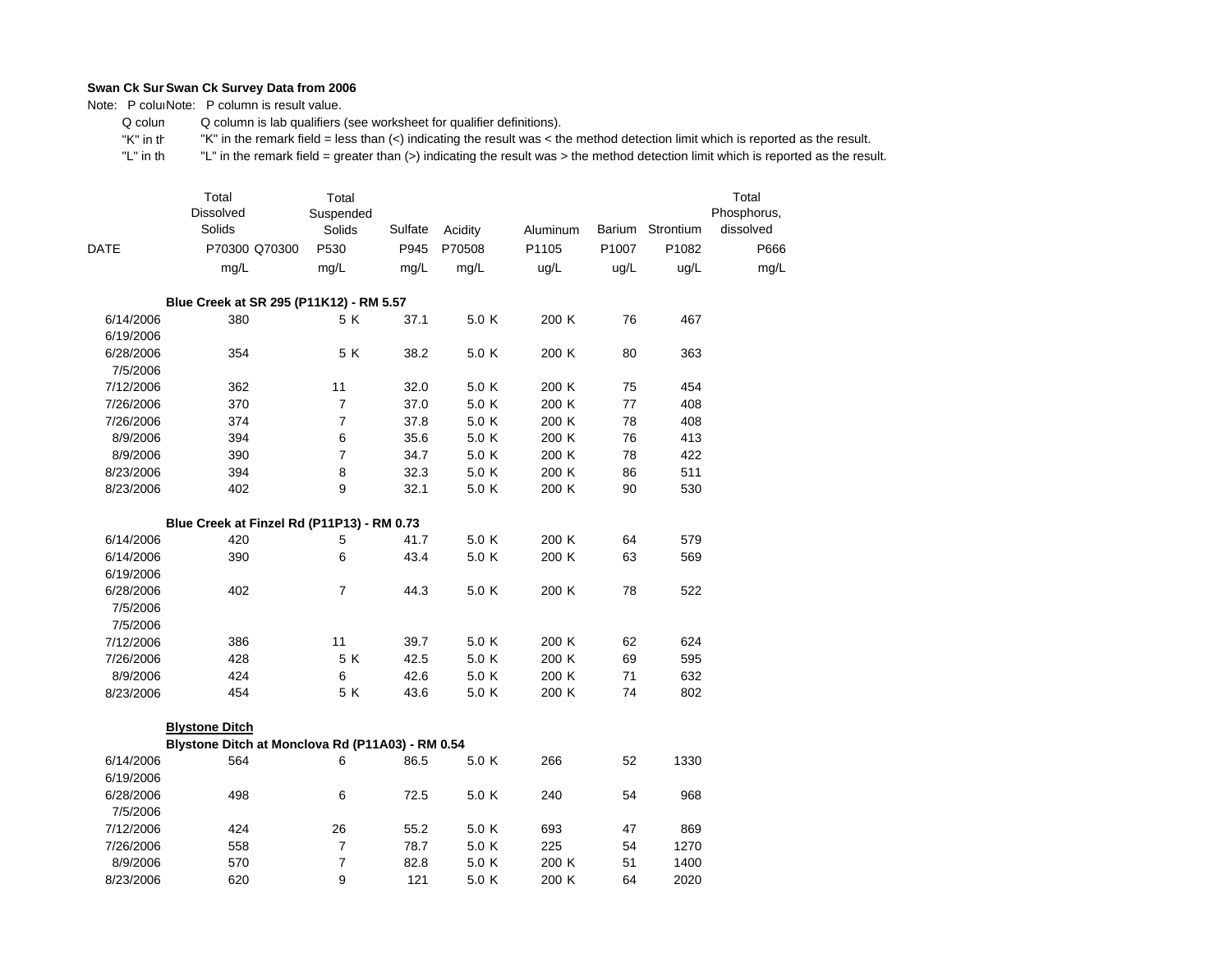Note: P coluiNote: P column is result value.

 Q colum Q column is lab qualifiers (see worksheet for qualifier definitions).

 "K" in th"K" in the remark field = less than (<) indicating the result was < the method detection limit which is reported as the result.

|           | Total<br>Dissolved<br>Solids                     | Total<br>Suspended<br>Solids | Sulfate | Acidity | Aluminum |       | Barium Strontium | Total<br>Phosphorus,<br>dissolved |
|-----------|--------------------------------------------------|------------------------------|---------|---------|----------|-------|------------------|-----------------------------------|
| DATE      | P70300 Q70300                                    | P530                         | P945    | P70508  | P1105    | P1007 | P1082            | P666                              |
|           | mg/L                                             | mg/L                         | mg/L    | mg/L    | ug/L     | ug/L  | ug/L             | mg/L                              |
|           | Blue Creek at SR 295 (P11K12) - RM 5.57          |                              |         |         |          |       |                  |                                   |
| 6/14/2006 | 380                                              | 5 K                          | 37.1    | 5.0 K   | 200 K    | 76    | 467              |                                   |
| 6/19/2006 |                                                  |                              |         |         |          |       |                  |                                   |
| 6/28/2006 | 354                                              | 5 K                          | 38.2    | 5.0 K   | 200 K    | 80    | 363              |                                   |
| 7/5/2006  |                                                  |                              |         |         |          |       |                  |                                   |
| 7/12/2006 | 362                                              | 11                           | 32.0    | 5.0 K   | 200 K    | 75    | 454              |                                   |
| 7/26/2006 | 370                                              | $\overline{7}$               | 37.0    | 5.0 K   | 200 K    | 77    | 408              |                                   |
| 7/26/2006 | 374                                              | $\overline{7}$               | 37.8    | 5.0 K   | 200 K    | 78    | 408              |                                   |
| 8/9/2006  | 394                                              | 6                            | 35.6    | 5.0 K   | 200 K    | 76    | 413              |                                   |
| 8/9/2006  | 390                                              | $\overline{7}$               | 34.7    | 5.0 K   | 200 K    | 78    | 422              |                                   |
| 8/23/2006 | 394                                              | 8                            | 32.3    | 5.0 K   | 200 K    | 86    | 511              |                                   |
| 8/23/2006 | 402                                              | 9                            | 32.1    | 5.0 K   | 200 K    | 90    | 530              |                                   |
|           | Blue Creek at Finzel Rd (P11P13) - RM 0.73       |                              |         |         |          |       |                  |                                   |
| 6/14/2006 | 420                                              | 5                            | 41.7    | 5.0 K   | 200 K    | 64    | 579              |                                   |
| 6/14/2006 | 390                                              | 6                            | 43.4    | 5.0 K   | 200 K    | 63    | 569              |                                   |
| 6/19/2006 |                                                  |                              |         |         |          |       |                  |                                   |
| 6/28/2006 | 402                                              | $\overline{7}$               | 44.3    | 5.0 K   | 200 K    | 78    | 522              |                                   |
| 7/5/2006  |                                                  |                              |         |         |          |       |                  |                                   |
| 7/5/2006  |                                                  |                              |         |         |          |       |                  |                                   |
| 7/12/2006 | 386                                              | 11                           | 39.7    | 5.0 K   | 200 K    | 62    | 624              |                                   |
| 7/26/2006 | 428                                              | 5 K                          | 42.5    | 5.0 K   | 200 K    | 69    | 595              |                                   |
| 8/9/2006  | 424                                              | 6                            | 42.6    | 5.0 K   | 200 K    | 71    | 632              |                                   |
| 8/23/2006 | 454                                              | 5 K                          | 43.6    | 5.0 K   | 200 K    | 74    | 802              |                                   |
|           | <b>Blystone Ditch</b>                            |                              |         |         |          |       |                  |                                   |
|           | Blystone Ditch at Monclova Rd (P11A03) - RM 0.54 |                              |         |         |          |       |                  |                                   |
| 6/14/2006 | 564                                              | 6                            | 86.5    | 5.0 K   | 266      | 52    | 1330             |                                   |
| 6/19/2006 |                                                  |                              |         |         |          |       |                  |                                   |
| 6/28/2006 | 498                                              | 6                            | 72.5    | 5.0 K   | 240      | 54    | 968              |                                   |
| 7/5/2006  |                                                  |                              |         |         |          |       |                  |                                   |
| 7/12/2006 | 424                                              | 26                           | 55.2    | 5.0 K   | 693      | 47    | 869              |                                   |
| 7/26/2006 | 558                                              | 7                            | 78.7    | 5.0 K   | 225      | 54    | 1270             |                                   |
| 8/9/2006  | 570                                              | 7                            | 82.8    | 5.0 K   | 200 K    | 51    | 1400             |                                   |
| 8/23/2006 | 620                                              | 9                            | 121     | 5.0 K   | 200 K    | 64    | 2020             |                                   |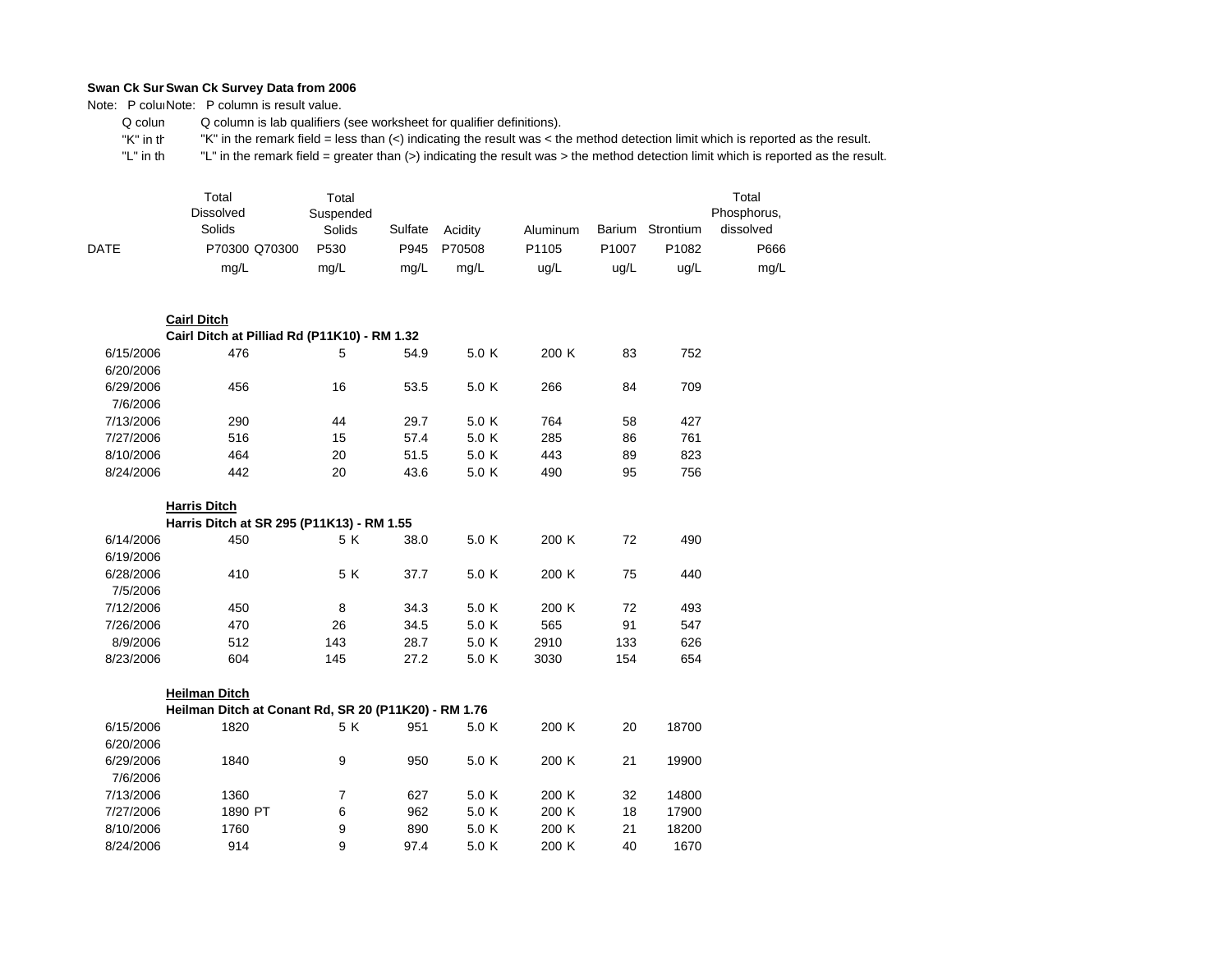Note: P coluiNote: P column is result value.

 Q colum Q column is lab qualifiers (see worksheet for qualifier definitions).

 "K" in th"K" in the remark field = less than (<) indicating the result was < the method detection limit which is reported as the result.

|      | Total<br><b>Dissolved</b><br>Solids | Total<br>Suspended<br>Solids | Sulfate | Acidity | Aluminum          | Barium            | Strontium | Total<br>Phosphorus,<br>dissolved |
|------|-------------------------------------|------------------------------|---------|---------|-------------------|-------------------|-----------|-----------------------------------|
| DATE | P70300 Q70300                       | P <sub>530</sub>             | P945    | P70508  | P <sub>1105</sub> | P <sub>1007</sub> | P1082     | P666                              |
|      | mg/L                                | mg/L                         | mg/L    | mg/L    | ug/L              | ug/L              | ug/L      | mg/L                              |

|           | <b>Cairl Ditch</b>                           |     |      |       |       |    |     |
|-----------|----------------------------------------------|-----|------|-------|-------|----|-----|
|           | Cairl Ditch at Pilliad Rd (P11K10) - RM 1.32 |     |      |       |       |    |     |
| 6/15/2006 | 476                                          | 5   | 54.9 | 5.0 K | 200K  | 83 | 752 |
| 6/20/2006 |                                              |     |      |       |       |    |     |
| 6/29/2006 | 456                                          | 16  | 53.5 | 5.0 K | 266   | 84 | 709 |
| 7/6/2006  |                                              |     |      |       |       |    |     |
| 7/13/2006 | 290                                          | 44  | 29.7 | 5.0 K | 764   | 58 | 427 |
| 7/27/2006 | 516                                          | 15  | 57.4 | 5.0 K | 285   | 86 | 761 |
| 8/10/2006 | 464                                          | 20  | 51.5 | 5.0 K | 443   | 89 | 823 |
| 8/24/2006 | 442                                          | 20  | 43.6 | 5.0 K | 490   | 95 | 756 |
|           |                                              |     |      |       |       |    |     |
|           | <b>Harris Ditch</b>                          |     |      |       |       |    |     |
|           | Harris Ditch at SR 295 (P11K13) - RM 1.55    |     |      |       |       |    |     |
| 6/14/2006 | 450                                          | 5 K | 38.0 | 5.0 K | 200 K | 72 | 490 |
| 6/19/2006 |                                              |     |      |       |       |    |     |
| 6/28/2006 | 410                                          | 5 K | 37.7 | 5.0 K | 200 K | 75 | 440 |
| 7/5/2006  |                                              |     |      |       |       |    |     |

| 7/12/2006 | 450 |     | 34.3 | 5.0 K | 200 K |     | 493 |
|-----------|-----|-----|------|-------|-------|-----|-----|
| 7/26/2006 | 470 | 26  | 34.5 | 5.0 K | 565   | 91  | 547 |
| 8/9/2006  | 512 | 143 | 28.7 | 5.0 K | 2910  | 133 | 626 |
| 8/23/2006 | 604 | 145 | 27.2 | 5.0 K | 3030  | 154 | 654 |

|           | Heilman Ditch                                        |     |      |       |       |    |       |
|-----------|------------------------------------------------------|-----|------|-------|-------|----|-------|
|           | Heilman Ditch at Conant Rd, SR 20 (P11K20) - RM 1.76 |     |      |       |       |    |       |
| 6/15/2006 | 1820                                                 | 5 K | 951  | 5.0 K | 200K  | 20 | 18700 |
| 6/20/2006 |                                                      |     |      |       |       |    |       |
| 6/29/2006 | 1840                                                 | 9   | 950  | 5.0 K | 200K  | 21 | 19900 |
| 7/6/2006  |                                                      |     |      |       |       |    |       |
| 7/13/2006 | 1360                                                 |     | 627  | 5.0 K | 200 K | 32 | 14800 |
| 7/27/2006 | 1890 PT                                              | 6   | 962  | 5.0 K | 200 K | 18 | 17900 |
| 8/10/2006 | 1760                                                 | 9   | 890  | 5.0 K | 200K  | 21 | 18200 |
| 8/24/2006 | 914                                                  | 9   | 97.4 | 5.0 K | 200K  | 40 | 1670  |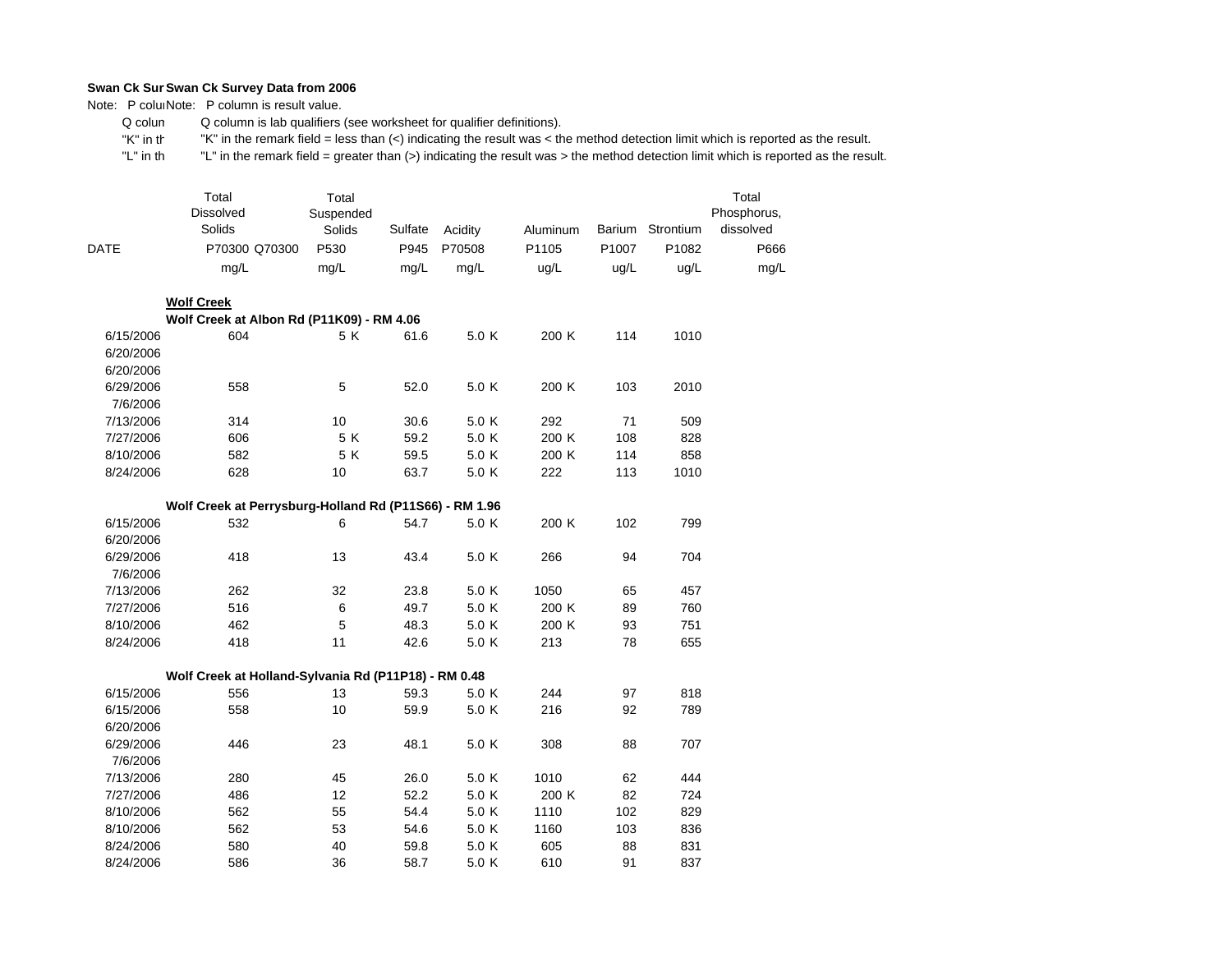Note: P coluiNote: P column is result value.

7/13/2006 7/27/2006 8/10/2006 8/10/2006 8/24/2006 8/24/2006

 Q colum Q column is lab qualifiers (see worksheet for qualifier definitions).

 "K" in th"K" in the remark field = less than (<) indicating the result was < the method detection limit which is reported as the result.

 "L" in th "L" in the remark field = greater than (>) indicating the result was > the method detection limit which is reported as the result.

| <b>DATE</b> | Total<br><b>Dissolved</b><br>Solids<br>P70300 Q70300<br>mg/L | Total<br>Suspended<br>Solids<br>P530<br>mg/L | Sulfate<br>P945<br>mg/L | Acidity<br>P70508<br>mg/L | <b>Aluminum</b><br>P1105<br>ug/L | P1007<br>ug/L | Barium Strontium<br>P1082<br>ug/L | Total<br>Phosphorus,<br>dissolved<br>P666<br>mg/L |
|-------------|--------------------------------------------------------------|----------------------------------------------|-------------------------|---------------------------|----------------------------------|---------------|-----------------------------------|---------------------------------------------------|
|             | <b>Wolf Creek</b>                                            |                                              |                         |                           |                                  |               |                                   |                                                   |
|             | Wolf Creek at Albon Rd (P11K09) - RM 4.06                    |                                              |                         |                           |                                  |               |                                   |                                                   |
| 6/15/2006   | 604                                                          | 5K                                           | 61.6                    | 5.0 K                     | 200 K                            | 114           | 1010                              |                                                   |
| 6/20/2006   |                                                              |                                              |                         |                           |                                  |               |                                   |                                                   |
| 6/20/2006   |                                                              |                                              |                         |                           |                                  |               |                                   |                                                   |
| 6/29/2006   | 558                                                          | 5                                            | 52.0                    | 5.0 K                     | 200 K                            | 103           | 2010                              |                                                   |
| 7/6/2006    |                                                              |                                              |                         |                           |                                  |               |                                   |                                                   |
| 7/13/2006   | 314                                                          | 10                                           | 30.6                    | 5.0 K                     | 292                              | 71            | 509                               |                                                   |
| 7/27/2006   | 606                                                          | 5 K                                          | 59.2                    | 5.0 K                     | 200 K                            | 108           | 828                               |                                                   |
| 8/10/2006   | 582                                                          | 5 K                                          | 59.5                    | 5.0 K                     | 200 K                            | 114           | 858                               |                                                   |
| 8/24/2006   | 628                                                          | 10                                           | 63.7                    | 5.0 K                     | 222                              | 113           | 1010                              |                                                   |
|             | Wolf Creek at Perrysburg-Holland Rd (P11S66) - RM 1.96       |                                              |                         |                           |                                  |               |                                   |                                                   |
| 6/15/2006   | 532                                                          | 6                                            | 54.7                    | 5.0 K                     | 200 K                            | 102           | 799                               |                                                   |
| 6/20/2006   |                                                              |                                              |                         |                           |                                  |               |                                   |                                                   |
| 6/29/2006   | 418                                                          | 13                                           | 43.4                    | 5.0 K                     | 266                              | 94            | 704                               |                                                   |
| 7/6/2006    |                                                              |                                              |                         |                           |                                  |               |                                   |                                                   |
| 7/13/2006   | 262                                                          | 32                                           | 23.8                    | 5.0 K                     | 1050                             | 65            | 457                               |                                                   |
| 7/27/2006   | 516                                                          | 6                                            | 49.7                    | 5.0 K                     | 200 K                            | 89            | 760                               |                                                   |
| 8/10/2006   | 462                                                          | 5                                            | 48.3                    | 5.0 K                     | 200 K                            | 93            | 751                               |                                                   |
| 8/24/2006   | 418                                                          | 11                                           | 42.6                    | 5.0 K                     | 213                              | 78            | 655                               |                                                   |
|             |                                                              |                                              |                         |                           |                                  |               |                                   |                                                   |
|             | Wolf Creek at Holland-Sylvania Rd (P11P18) - RM 0.48<br>556  | 13                                           | 59.3                    | 5.0 K                     | 244                              |               | 818                               |                                                   |
| 6/15/2006   |                                                              |                                              |                         |                           |                                  | 97            |                                   |                                                   |
| 6/15/2006   | 558                                                          | 10                                           | 59.9                    | 5.0 K                     | 216                              | 92            | 789                               |                                                   |
| 6/20/2006   |                                                              |                                              |                         |                           |                                  |               |                                   |                                                   |
| 6/29/2006   | 446                                                          | 23                                           | 48.1                    | 5.0 K                     | 308                              | 88            | 707                               |                                                   |
| 7/6/2006    |                                                              |                                              |                         |                           |                                  |               |                                   |                                                   |
| 7/13/2006   | 280                                                          | 45                                           | 26.0                    | 5.0 K                     | 1010                             | 62            | 444                               |                                                   |

486 12 52.2 5.0 K 200 K 82 724

562 55 54.4 5.0 K 1110 102 829

562 53 54.6 5.0 K 1160 103 836

580 40 59.8 5.0 K 605 88 831

586 36 58.7 5.0 K 610 91 837

724

829

836

831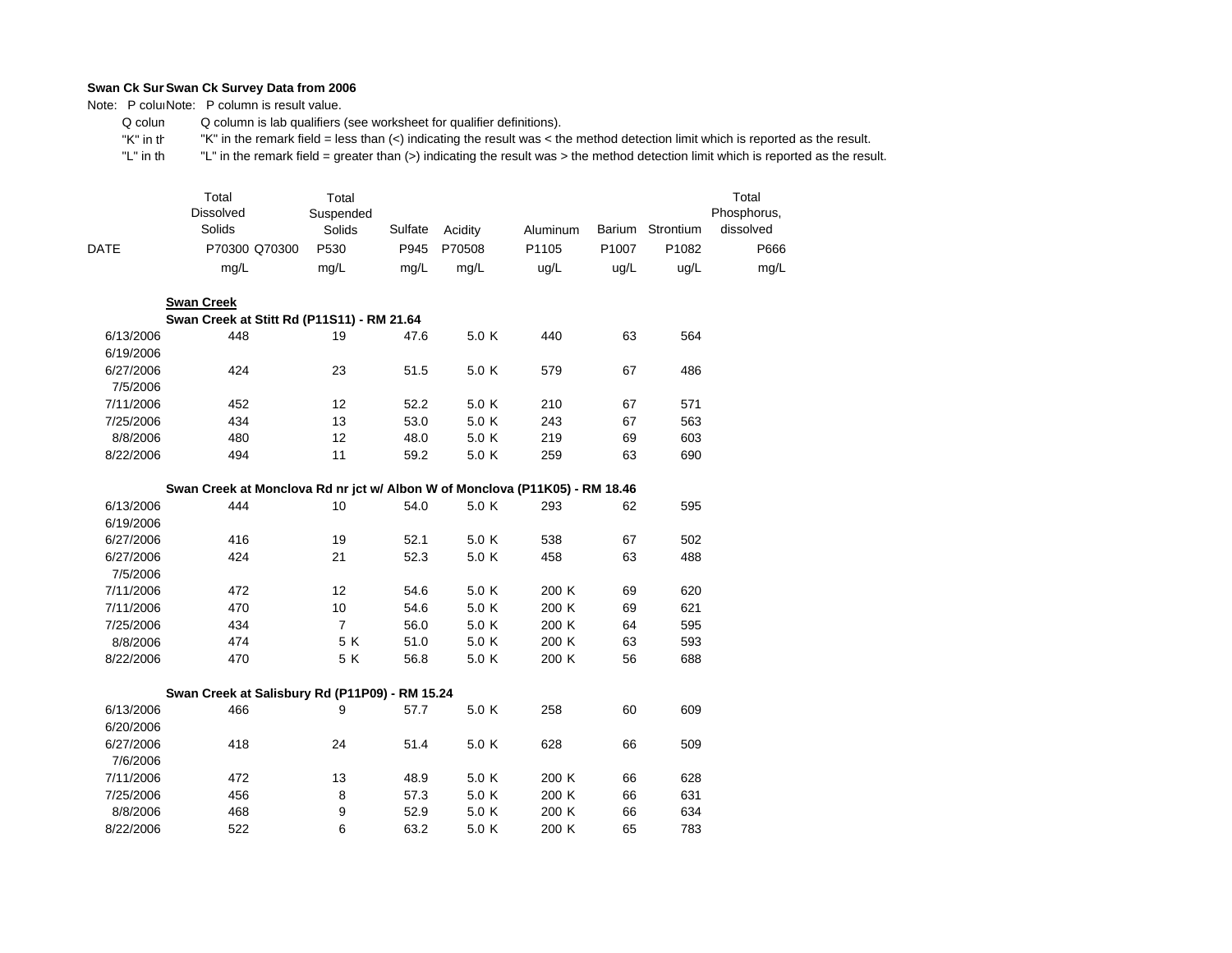Note: P coluiNote: P column is result value.

 Q colum Q column is lab qualifiers (see worksheet for qualifier definitions).

 "K" in th"K" in the remark field = less than (<) indicating the result was < the method detection limit which is reported as the result.

 "L" in th "L" in the remark field = greater than (>) indicating the result was > the method detection limit which is reported as the result.

|             | Total<br><b>Dissolved</b><br>Solids | Total<br>Suspended<br>Solids | Sulfate | Acidity | <b>Aluminum</b> | Barium            | Strontium         | Total<br>Phosphorus,<br>dissolved |
|-------------|-------------------------------------|------------------------------|---------|---------|-----------------|-------------------|-------------------|-----------------------------------|
| <b>DATE</b> | P70300 Q70300                       | P <sub>530</sub>             | P945    | P70508  | P1105           | P <sub>1007</sub> | P <sub>1082</sub> | P666                              |
|             | mq/L                                | mq/L                         | ma/L    | mq/L    | uq/L            | ug/L              | ug/L              | mg/L                              |

|           | <b>Swan Creek</b>                          |    |      |       |     |    |     |
|-----------|--------------------------------------------|----|------|-------|-----|----|-----|
|           | Swan Creek at Stitt Rd (P11S11) - RM 21.64 |    |      |       |     |    |     |
| 6/13/2006 | 448                                        | 19 | 47.6 | 5.0K  | 440 | 63 | 564 |
| 6/19/2006 |                                            |    |      |       |     |    |     |
| 6/27/2006 | 424                                        | 23 | 51.5 | 5.0 K | 579 | 67 | 486 |
| 7/5/2006  |                                            |    |      |       |     |    |     |
| 7/11/2006 | 452                                        | 12 | 52.2 | 5.0 K | 210 | 67 | 571 |
| 7/25/2006 | 434                                        | 13 | 53.0 | 5.0 K | 243 | 67 | 563 |
| 8/8/2006  | 480                                        | 12 | 48.0 | 5.0 K | 219 | 69 | 603 |
| 8/22/2006 | 494                                        | 11 | 59.2 | 5.0 K | 259 | 63 | 690 |

## **Swan Creek at Monclova Rd nr jct w/ Albon W of Monclova (P11K05) - RM 18.46**

| 6/13/2006 | 444 | 10  | 54.0 | 5.0 K | 293   | 62 | 595 |
|-----------|-----|-----|------|-------|-------|----|-----|
| 6/19/2006 |     |     |      |       |       |    |     |
| 6/27/2006 | 416 | 19  | 52.1 | 5.0 K | 538   | 67 | 502 |
| 6/27/2006 | 424 | 21  | 52.3 | 5.0 K | 458   | 63 | 488 |
| 7/5/2006  |     |     |      |       |       |    |     |
| 7/11/2006 | 472 | 12  | 54.6 | 5.0 K | 200K  | 69 | 620 |
| 7/11/2006 | 470 | 10  | 54.6 | 5.0 K | 200 K | 69 | 621 |
| 7/25/2006 | 434 | 7   | 56.0 | 5.0 K | 200 K | 64 | 595 |
| 8/8/2006  | 474 | 5 K | 51.0 | 5.0 K | 200 K | 63 | 593 |
| 8/22/2006 | 470 | 5 K | 56.8 | 5.0 K | 200 K | 56 | 688 |

|           |     | Swan Creek at Salisbury Rd (P11P09) - RM 15.24 |      |       |       |    |     |
|-----------|-----|------------------------------------------------|------|-------|-------|----|-----|
| 6/13/2006 | 466 | 9                                              | 57.7 | 5.0 K | 258   | 60 | 609 |
| 6/20/2006 |     |                                                |      |       |       |    |     |
| 6/27/2006 | 418 | 24                                             | 51.4 | 5.0 K | 628   | 66 | 509 |
| 7/6/2006  |     |                                                |      |       |       |    |     |
| 7/11/2006 | 472 | 13                                             | 48.9 | 5.0 K | 200 K | 66 | 628 |
| 7/25/2006 | 456 | 8                                              | 57.3 | 5.0 K | 200K  | 66 | 631 |
| 8/8/2006  | 468 | 9                                              | 52.9 | 5.0 K | 200K  | 66 | 634 |
| 8/22/2006 | 522 | 6                                              | 63.2 | 5.0 K | 200K  | 65 | 783 |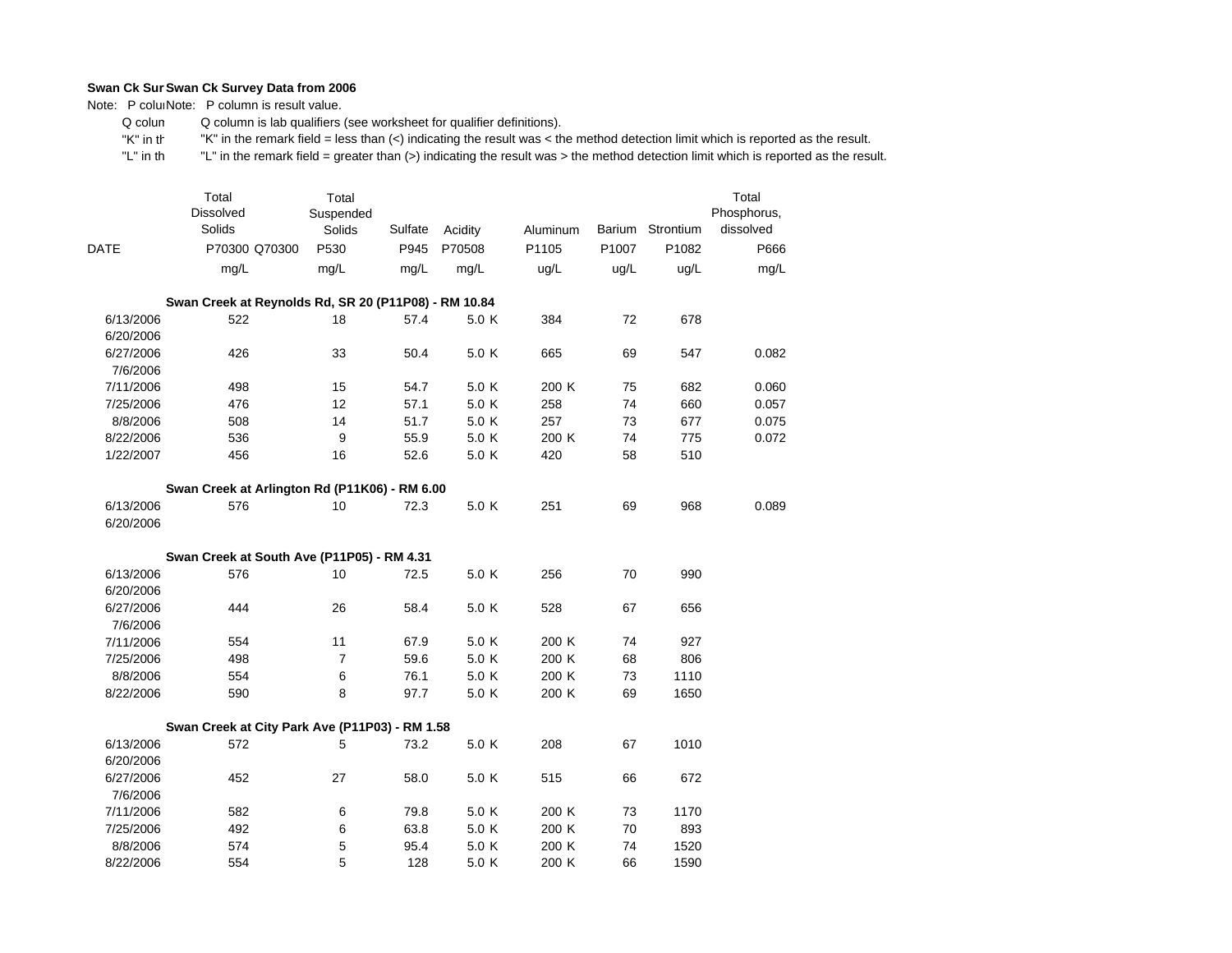Note: P coluiNote: P column is result value.

 Q colum Q column is lab qualifiers (see worksheet for qualifier definitions).

 "K" in th"K" in the remark field = less than (<) indicating the result was < the method detection limit which is reported as the result.

|                        | Total<br><b>Dissolved</b><br>Solids                  | Total<br>Suspended<br>Solids | Sulfate | Acidity | Aluminum |       | Barium Strontium | Total<br>Phosphorus,<br>dissolved |
|------------------------|------------------------------------------------------|------------------------------|---------|---------|----------|-------|------------------|-----------------------------------|
| <b>DATE</b>            | P70300 Q70300                                        | P530                         | P945    | P70508  | P1105    | P1007 | P1082            | P666                              |
|                        | mg/L                                                 | mg/L                         | mg/L    | mg/L    | ug/L     | ug/L  | ug/L             | mg/L                              |
|                        |                                                      |                              |         |         |          |       |                  |                                   |
|                        | Swan Creek at Reynolds Rd, SR 20 (P11P08) - RM 10.84 |                              |         |         |          |       |                  |                                   |
| 6/13/2006              | 522                                                  | 18                           | 57.4    | 5.0 K   | 384      | 72    | 678              |                                   |
| 6/20/2006              |                                                      |                              |         |         |          |       |                  |                                   |
| 6/27/2006              | 426                                                  | 33                           | 50.4    | 5.0 K   | 665      | 69    | 547              | 0.082                             |
| 7/6/2006               |                                                      |                              |         |         |          |       |                  |                                   |
| 7/11/2006              | 498                                                  | 15                           | 54.7    | 5.0 K   | 200 K    | 75    | 682              | 0.060                             |
| 7/25/2006              | 476                                                  | 12                           | 57.1    | 5.0 K   | 258      | 74    | 660              | 0.057                             |
| 8/8/2006               | 508                                                  | 14                           | 51.7    | 5.0 K   | 257      | 73    | 677              | 0.075                             |
| 8/22/2006              | 536                                                  | 9                            | 55.9    | 5.0 K   | 200 K    | 74    | 775              | 0.072                             |
| 1/22/2007              | 456                                                  | 16                           | 52.6    | 5.0 K   | 420      | 58    | 510              |                                   |
|                        |                                                      |                              |         |         |          |       |                  |                                   |
|                        | Swan Creek at Arlington Rd (P11K06) - RM 6.00        |                              |         |         |          |       |                  |                                   |
| 6/13/2006<br>6/20/2006 | 576                                                  | 10                           | 72.3    | 5.0 K   | 251      | 69    | 968              | 0.089                             |
|                        | Swan Creek at South Ave (P11P05) - RM 4.31           |                              |         |         |          |       |                  |                                   |
| 6/13/2006              | 576                                                  | 10                           | 72.5    | 5.0 K   | 256      | 70    | 990              |                                   |
| 6/20/2006              |                                                      |                              |         |         |          |       |                  |                                   |
| 6/27/2006              | 444                                                  | 26                           | 58.4    | 5.0 K   | 528      | 67    | 656              |                                   |
| 7/6/2006               |                                                      |                              |         |         |          |       |                  |                                   |
| 7/11/2006              | 554                                                  | 11                           | 67.9    | 5.0 K   | 200 K    | 74    | 927              |                                   |
| 7/25/2006              | 498                                                  | $\overline{7}$               | 59.6    | 5.0 K   | 200 K    | 68    | 806              |                                   |
| 8/8/2006               | 554                                                  | 6                            | 76.1    | 5.0 K   | 200 K    | 73    | 1110             |                                   |
| 8/22/2006              | 590                                                  | 8                            | 97.7    | 5.0 K   | 200 K    | 69    | 1650             |                                   |
|                        | Swan Creek at City Park Ave (P11P03) - RM 1.58       |                              |         |         |          |       |                  |                                   |
| 6/13/2006              | 572                                                  | 5                            | 73.2    | 5.0 K   | 208      | 67    | 1010             |                                   |
| 6/20/2006              |                                                      |                              |         |         |          |       |                  |                                   |
| 6/27/2006              | 452                                                  | 27                           | 58.0    | 5.0 K   | 515      | 66    | 672              |                                   |
| 7/6/2006               |                                                      |                              |         |         |          |       |                  |                                   |
| 7/11/2006              | 582                                                  | 6                            | 79.8    | 5.0 K   | 200 K    | 73    | 1170             |                                   |
| 7/25/2006              | 492                                                  | 6                            | 63.8    | 5.0 K   | 200 K    | 70    | 893              |                                   |
| 8/8/2006               | 574                                                  | 5                            | 95.4    | 5.0 K   | 200 K    | 74    | 1520             |                                   |
| 8/22/2006              | 554                                                  | 5                            | 128     | 5.0 K   | 200 K    | 66    | 1590             |                                   |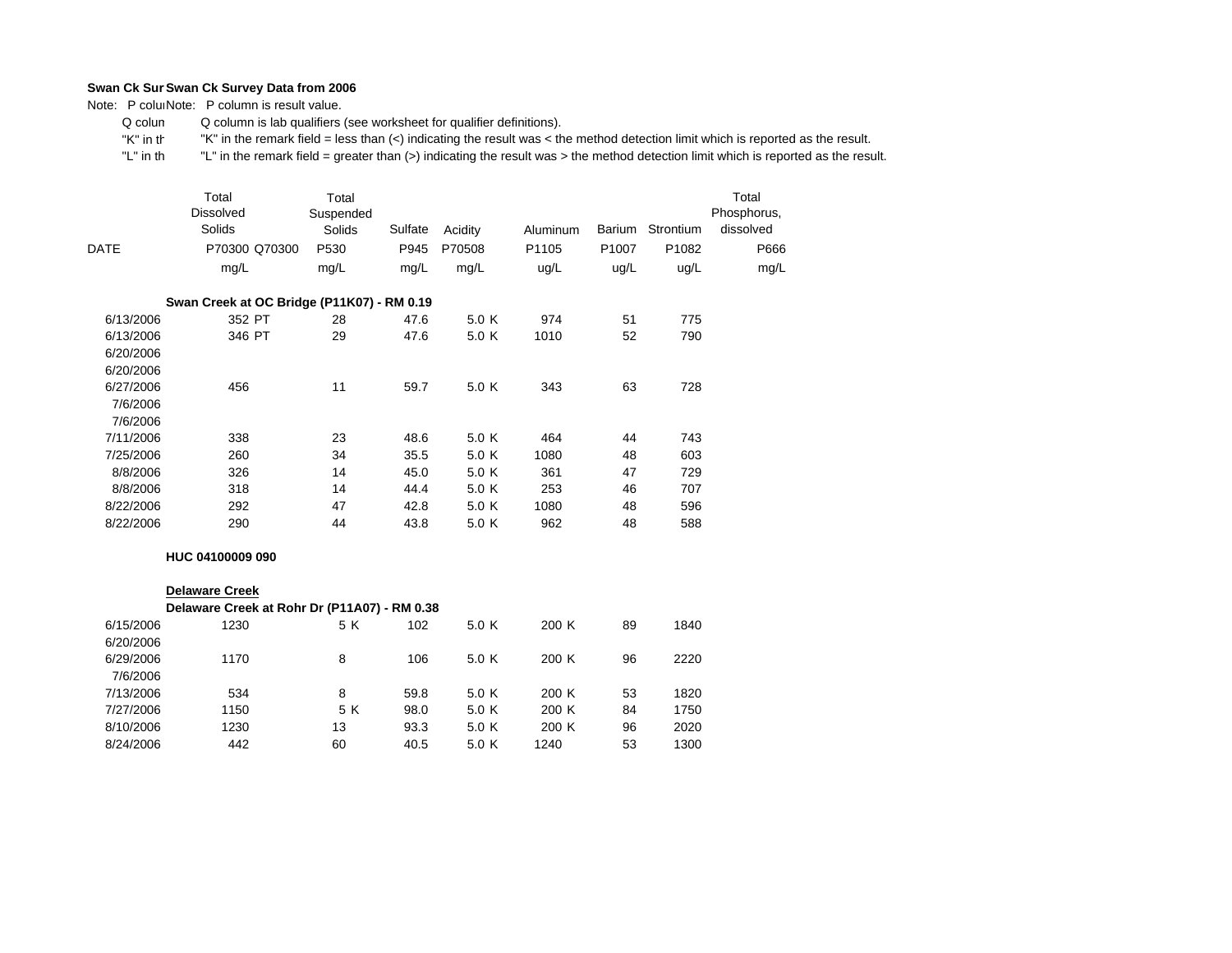Note: P coluiNote: P column is result value.

 Q colum Q column is lab qualifiers (see worksheet for qualifier definitions).

 "K" in th"K" in the remark field = less than (<) indicating the result was < the method detection limit which is reported as the result.

 "L" in th "L" in the remark field = greater than (>) indicating the result was > the method detection limit which is reported as the result.

|             | Total<br><b>Dissolved</b><br>Solids        | Total<br>Suspended<br>Solids | Sulfate | Acidity | Aluminum          | Barium            | Strontium | Total<br>Phosphorus,<br>dissolved |
|-------------|--------------------------------------------|------------------------------|---------|---------|-------------------|-------------------|-----------|-----------------------------------|
| <b>DATE</b> | P70300 Q70300                              | P <sub>530</sub>             | P945    | P70508  | P <sub>1105</sub> | P <sub>1007</sub> | P1082     | P666                              |
|             | mg/L                                       | mg/L                         | mg/L    | mg/L    | ug/L              | ug/L              | ug/L      | mg/L                              |
|             | Swan Creek at OC Bridge (P11K07) - RM 0.19 |                              |         |         |                   |                   |           |                                   |
| 6/13/2006   | 352 PT                                     | 28                           | 47.6    | 5.0 K   | 974               | 51                | 775       |                                   |
| 6/13/2006   | 346 PT                                     | 29                           | 47.6    | 5.0 K   | 1010              | 52                | 790       |                                   |
| 6/20/2006   |                                            |                              |         |         |                   |                   |           |                                   |
| 6/20/2006   |                                            |                              |         |         |                   |                   |           |                                   |
| 6/27/2006   | 456                                        | 11                           | 59.7    | 5.0 K   | 343               | 63                | 728       |                                   |
| 7/6/2006    |                                            |                              |         |         |                   |                   |           |                                   |
| 7/6/2006    |                                            |                              |         |         |                   |                   |           |                                   |
| 7/11/2006   | 338                                        | 23                           | 48.6    | 5.0 K   | 464               | 44                | 743       |                                   |
| 7/25/2006   | 260                                        | 34                           | 35.5    | 5.0 K   | 1080              | 48                | 603       |                                   |
| 8/8/2006    | 326                                        | 14                           | 45.0    | 5.0 K   | 361               | 47                | 729       |                                   |
| 8/8/2006    | 318                                        | 14                           | 44.4    | 5.0 K   | 253               | 46                | 707       |                                   |
| 8/22/2006   | 292                                        | 47                           | 42.8    | 5.0 K   | 1080              | 48                | 596       |                                   |
| 8/22/2006   | 290                                        | 44                           | 43.8    | 5.0 K   | 962               | 48                | 588       |                                   |

## **HUC 04100009 090**

#### 6/15/20066/20/2006 6/29/20067/6/20067/13/2006 7/27/20068/10/2006 8/24/2006**Delaware Creek Delaware Creek at Rohr Dr (P11A07) - RM 0.38** 1230 5 K 102 5.0 K 200 K 89 18401840 1170 8 106 5.0 K 200 K 96 22202220 534 8 59.8 5.0 K 200 K 53 18201820 1150 5 K 98.0 5.0 K 200 K 84 17501230 13 93.3 5.0 K 200 K 96 20202020 442 60 40.5 5.0 K 1240 53 1300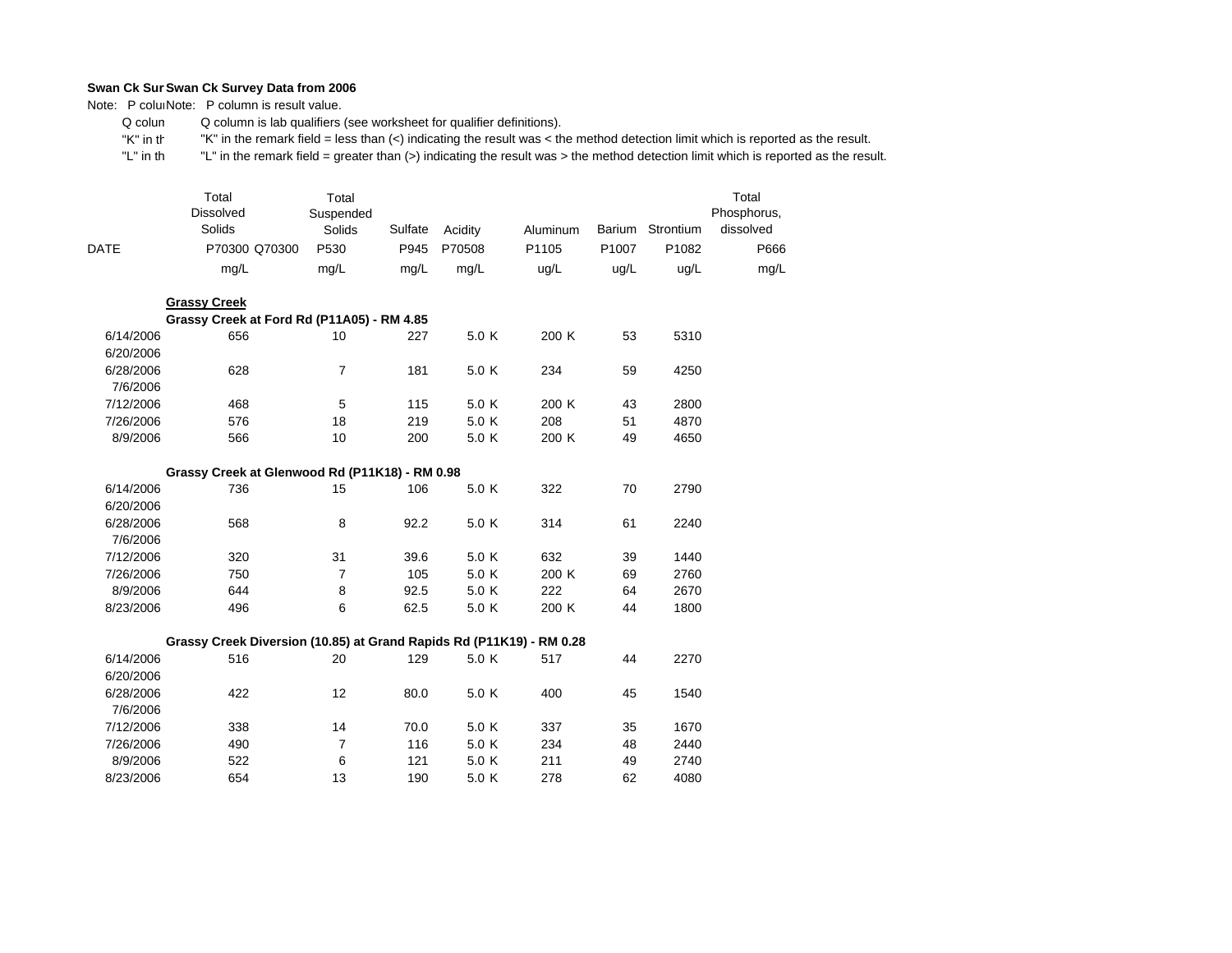Note: P coluiNote: P column is result value.

 Q colum Q column is lab qualifiers (see worksheet for qualifier definitions).

 "K" in th"K" in the remark field = less than (<) indicating the result was < the method detection limit which is reported as the result.

 "L" in th "L" in the remark field = greater than (>) indicating the result was > the method detection limit which is reported as the result.

|             | Total<br><b>Dissolved</b><br>Solids | Total<br>Suspended<br>Solids | Sulfate | Acidity | Aluminum | <b>Barium</b>     | Strontium | Total<br>Phosphorus,<br>dissolved |
|-------------|-------------------------------------|------------------------------|---------|---------|----------|-------------------|-----------|-----------------------------------|
| <b>DATE</b> | P70300 Q70300                       | P <sub>530</sub>             | P945    | P70508  | P1105    | P <sub>1007</sub> | P1082     | P666                              |
|             | mg/L                                | mg/L                         | mg/L    | mg/L    | ug/L     | ug/L              | ug/L      | mg/L                              |

|           | <b>Grassy Creek</b>                        |    |     |       |       |    |      |
|-----------|--------------------------------------------|----|-----|-------|-------|----|------|
|           | Grassy Creek at Ford Rd (P11A05) - RM 4.85 |    |     |       |       |    |      |
| 6/14/2006 | 656                                        | 10 | 227 | 5.0K  | 200K  | 53 | 5310 |
| 6/20/2006 |                                            |    |     |       |       |    |      |
| 6/28/2006 | 628                                        |    | 181 | 5.0 K | 234   | 59 | 4250 |
| 7/6/2006  |                                            |    |     |       |       |    |      |
| 7/12/2006 | 468                                        | 5  | 115 | 5.0 K | 200K  | 43 | 2800 |
| 7/26/2006 | 576                                        | 18 | 219 | 5.0 K | 208   | 51 | 4870 |
| 8/9/2006  | 566                                        | 10 | 200 | 5.0 K | 200 K | 49 | 4650 |

|                       | Grassy Creek at Glenwood Rd (P11K18) - RM 0.98 |  |            |
|-----------------------|------------------------------------------------|--|------------|
| $\tilde{\phantom{a}}$ | ラヘヘ                                            |  | $\sqrt{2}$ |

| 6/14/2006 | 736 | 15 | 106  | 5.0 K | 322   | 70 | 2790 |
|-----------|-----|----|------|-------|-------|----|------|
| 6/20/2006 |     |    |      |       |       |    |      |
| 6/28/2006 | 568 | 8  | 92.2 | 5.0 K | 314   | 61 | 2240 |
| 7/6/2006  |     |    |      |       |       |    |      |
| 7/12/2006 | 320 | 31 | 39.6 | 5.0 K | 632   | 39 | 1440 |
| 7/26/2006 | 750 |    | 105  | 5.0 K | 200 K | 69 | 2760 |
| 8/9/2006  | 644 | 8  | 92.5 | 5.0 K | 222   | 64 | 2670 |
| 8/23/2006 | 496 | 6  | 62.5 | 5.0 K | 200 K | 44 | 1800 |

## **Grassy Creek Diversion (10.85) at Grand Rapids Rd (P11K19) - RM 0.28**

| 6/14/2006 | 516 | 20 | 129  | 5.0 K | 517 | 44 | 2270 |
|-----------|-----|----|------|-------|-----|----|------|
| 6/20/2006 |     |    |      |       |     |    |      |
| 6/28/2006 | 422 | 12 | 80.0 | 5.0 K | 400 | 45 | 1540 |
| 7/6/2006  |     |    |      |       |     |    |      |
| 7/12/2006 | 338 | 14 | 70.0 | 5.0 K | 337 | 35 | 1670 |
| 7/26/2006 | 490 |    | 116  | 5.0 K | 234 | 48 | 2440 |
| 8/9/2006  | 522 | 6  | 121  | 5.0 K | 211 | 49 | 2740 |
| 8/23/2006 | 654 | 13 | 190  | 5.0 K | 278 | 62 | 4080 |
|           |     |    |      |       |     |    |      |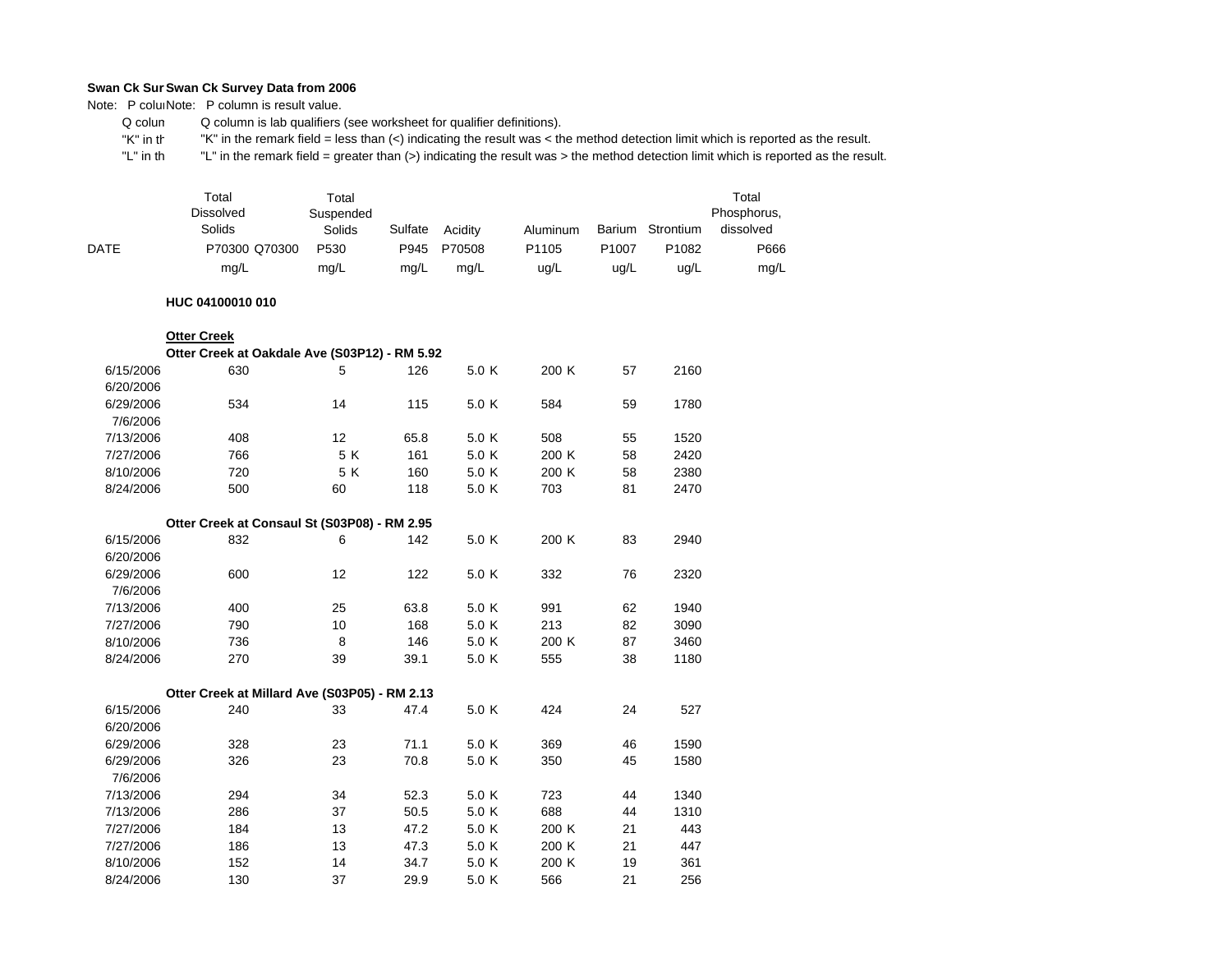Note: P coluiNote: P column is result value.

 Q colum Q column is lab qualifiers (see worksheet for qualifier definitions).

 "K" in th"K" in the remark field = less than (<) indicating the result was < the method detection limit which is reported as the result.

 "L" in th "L" in the remark field = greater than (>) indicating the result was > the method detection limit which is reported as the result.

|      | Total<br><b>Dissolved</b><br>Solids | Total<br>Suspended<br>Solids | Sulfate | Acidity | Aluminum          | Barium            | Strontium         | Total<br>Phosphorus,<br>dissolved |
|------|-------------------------------------|------------------------------|---------|---------|-------------------|-------------------|-------------------|-----------------------------------|
| DATE | P70300 Q70300                       | P <sub>530</sub>             | P945    | P70508  | P <sub>1105</sub> | P <sub>1007</sub> | P <sub>1082</sub> | P666                              |
|      | mg/L                                | mg/L                         | mg/L    | mg/L    | ug/L              | ug/L              | ug/L              | mg/L                              |

#### **HUC 04100010 010**

|           | <b>Otter Creek</b><br>Otter Creek at Oakdale Ave (S03P12) - RM 5.92 |     |      |       |       |    |      |
|-----------|---------------------------------------------------------------------|-----|------|-------|-------|----|------|
| 6/15/2006 | 630                                                                 | 5   | 126  | 5.0 K | 200 K | 57 | 2160 |
| 6/20/2006 |                                                                     |     |      |       |       |    |      |
| 6/29/2006 | 534                                                                 | 14  | 115  | 5.0 K | 584   | 59 | 1780 |
| 7/6/2006  |                                                                     |     |      |       |       |    |      |
| 7/13/2006 | 408                                                                 | 12  | 65.8 | 5.0 K | 508   | 55 | 1520 |
| 7/27/2006 | 766                                                                 | 5 K | 161  | 5.0 K | 200 K | 58 | 2420 |
| 8/10/2006 | 720                                                                 | 5 K | 160  | 5.0 K | 200 K | 58 | 2380 |
| 8/24/2006 | 500                                                                 | 60  | 118  | 5.0 K | 703   | 81 | 2470 |
|           |                                                                     |     |      |       |       |    |      |
|           | Otter Creek at Consaul St (S03P08) - RM 2.95                        |     |      |       |       |    |      |
| 6/15/2006 | 832                                                                 | 6   | 142  | 5.0 K | 200 K | 83 | 2940 |
| 6/20/2006 |                                                                     |     |      |       |       |    |      |
| 6/29/2006 | 600                                                                 | 12  | 122  | 5.0 K | 332   | 76 | 2320 |
| 7/6/2006  |                                                                     |     |      |       |       |    |      |
| 7/13/2006 | 400                                                                 | 25  | 63.8 | 5.0 K | 991   | 62 | 1940 |
| 7/27/2006 | 790                                                                 | 10  | 168  | 5.0 K | 213   | 82 | 3090 |
| 8/10/2006 | 736                                                                 | 8   | 146  | 5.0 K | 200 K | 87 | 3460 |
| 8/24/2006 | 270                                                                 | 39  | 39.1 | 5.0 K | 555   | 38 | 1180 |
|           |                                                                     |     |      |       |       |    |      |
|           | Otter Creek at Millard Ave (S03P05) - RM 2.13                       |     |      |       |       |    |      |
| 6/15/2006 | 240                                                                 | 33  | 47.4 | 5.0 K | 424   | 24 | 527  |
| 6/20/2006 |                                                                     |     |      |       |       |    |      |
| 6/29/2006 | 328                                                                 | 23  | 71.1 | 5.0 K | 369   | 46 | 1590 |
| 6/29/2006 | 326                                                                 | 23  | 70.8 | 5.0 K | 350   | 45 | 1580 |

| 6/20/2006 |     |    |      |       |       |    |      |
|-----------|-----|----|------|-------|-------|----|------|
| 6/29/2006 | 328 | 23 | 71.1 | 5.0 K | 369   | 46 | 1590 |
| 6/29/2006 | 326 | 23 | 70.8 | 5.0 K | 350   | 45 | 1580 |
| 7/6/2006  |     |    |      |       |       |    |      |
| 7/13/2006 | 294 | 34 | 52.3 | 5.0 K | 723   | 44 | 1340 |
| 7/13/2006 | 286 | 37 | 50.5 | 5.0 K | 688   | 44 | 1310 |
| 7/27/2006 | 184 | 13 | 47.2 | 5.0 K | 200 K | 21 | 443  |
| 7/27/2006 | 186 | 13 | 47.3 | 5.0 K | 200 K | 21 | 447  |
| 8/10/2006 | 152 | 14 | 34.7 | 5.0 K | 200 K | 19 | 361  |
| 8/24/2006 | 130 | 37 | 29.9 | 5.0 K | 566   | 21 | 256  |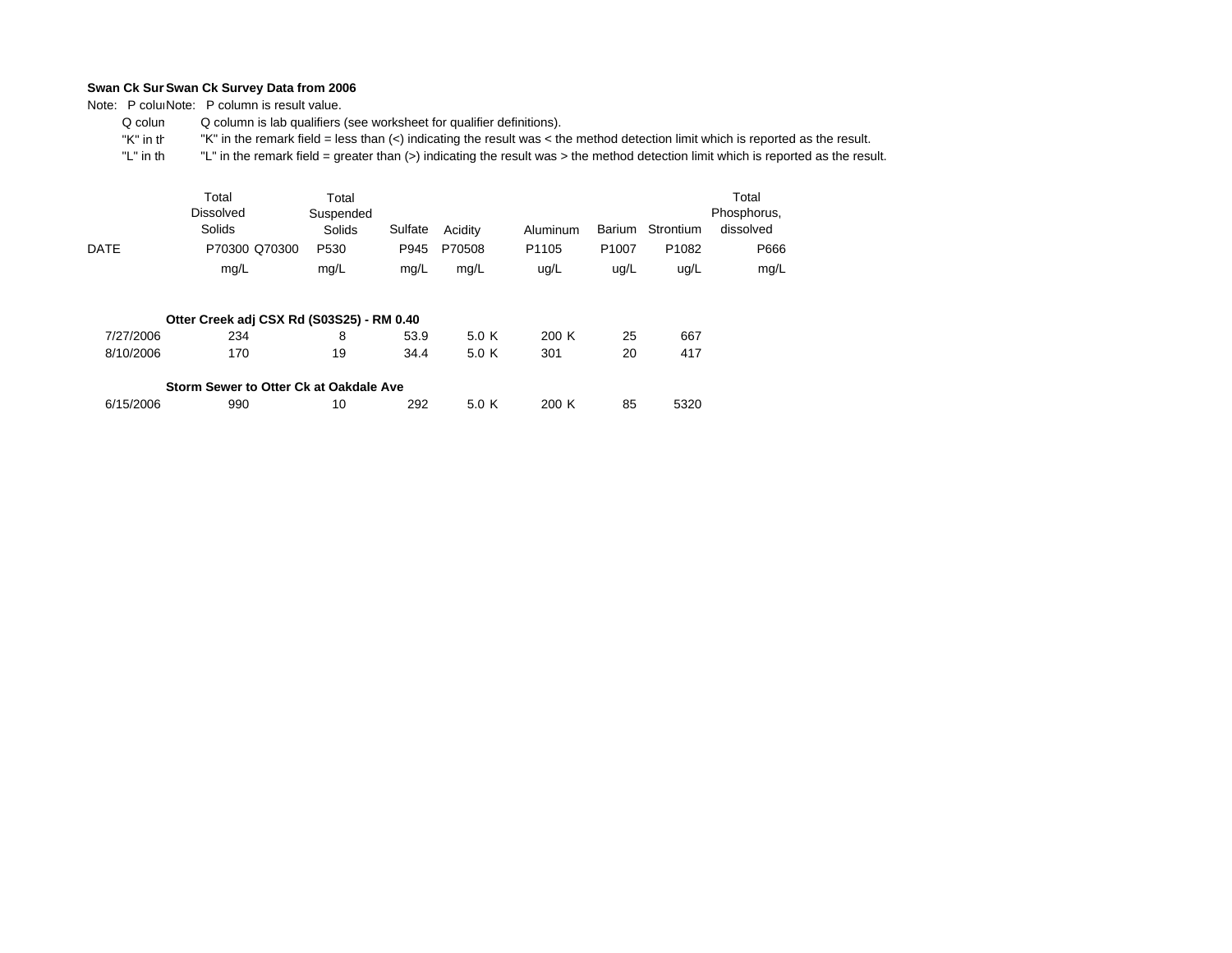Note: P coluiNote: P column is result value.

 Q colum Q column is lab qualifiers (see worksheet for qualifier definitions).

 "K" in th"K" in the remark field = less than (<) indicating the result was < the method detection limit which is reported as the result.

|             | Total<br><b>Dissolved</b><br>Solids       | Total<br>Suspended<br>Solids | Sulfate | Acidity | Aluminum          | Barium            | Strontium         | Total<br>Phosphorus,<br>dissolved |
|-------------|-------------------------------------------|------------------------------|---------|---------|-------------------|-------------------|-------------------|-----------------------------------|
| <b>DATE</b> | P70300 Q70300                             | P <sub>530</sub>             | P945    | P70508  | P <sub>1105</sub> | P <sub>1007</sub> | P <sub>1082</sub> | P666                              |
|             | mg/L                                      | mg/L                         | mg/L    | mg/L    | ug/L              | ug/L              | ug/L              | mg/L                              |
|             | Otter Creek adj CSX Rd (S03S25) - RM 0.40 |                              |         |         |                   |                   |                   |                                   |
| 7/27/2006   | 234                                       | 8                            | 53.9    | 5.0 K   | 200K              | 25                | 667               |                                   |
| 8/10/2006   | 170                                       | 19                           | 34.4    | 5.0 K   | 301               | 20                | 417               |                                   |
|             | Storm Sewer to Otter Ck at Oakdale Ave    |                              |         |         |                   |                   |                   |                                   |

| 6/15/2006 | 990 | 292 | 200 K | 85 | 5320 |
|-----------|-----|-----|-------|----|------|
|           |     |     |       |    |      |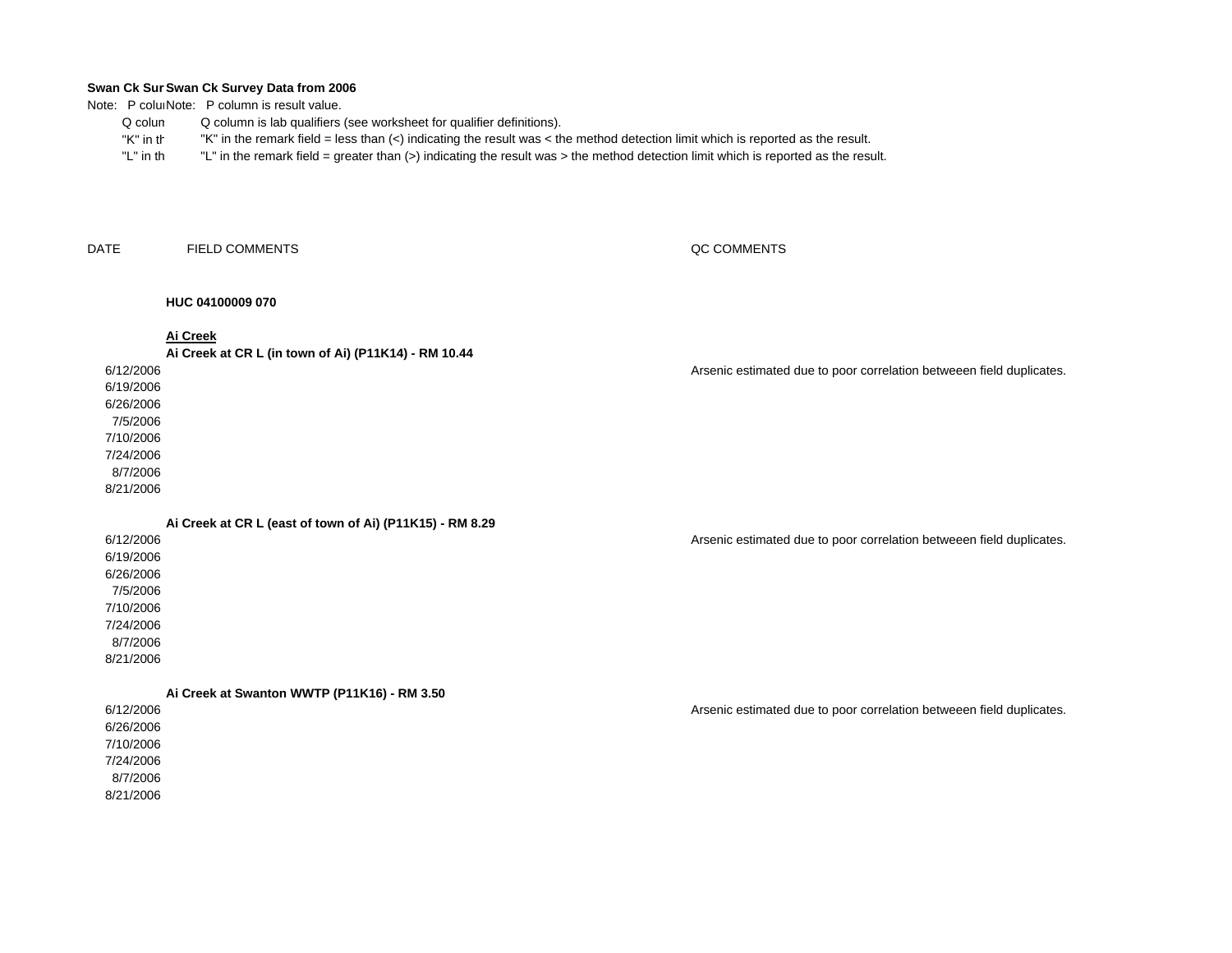Note: P coluiNote: P column is result value.

- Q columQ column is lab qualifiers (see worksheet for qualifier definitions).
- "K" in th"K" in the remark field = less than (<) indicating the result was < the method detection limit which is reported as the result.
- "L" in th"L" in the remark field = greater than (>) indicating the result was > the method detection limit which is reported as the result.

DATEFIELD COMMENTS

## QC COMMENTS

## **HUC 04100009 070**

**Ai Creek**

**Ai Creek at CR L (in town of Ai) (P11K14) - RM 10.44**

## 6/12/2006

6/19/20066/26/20067/5/20067/10/20067/24/20068/7/2006

8/21/2006

**Ai Creek at CR L (east of town of Ai) (P11K15) - RM 8.29**

| 6/12/2006 |  |
|-----------|--|
| 6/19/2006 |  |
| 6/26/2006 |  |
| 7/5/2006  |  |
| 7/10/2006 |  |
| 7/24/2006 |  |
| 8/7/2006  |  |
| $\cdots$  |  |

8/21/2006

**Ai Creek at Swanton WWTP (P11K16) - RM 3.50**

6/12/20066/26/20067/10/20067/24/20068/7/20068/21/2006

Arsenic estimated due to poor correlation betweeen field duplicates.

Arsenic estimated due to poor correlation betweeen field duplicates.

Arsenic estimated due to poor correlation betweeen field duplicates.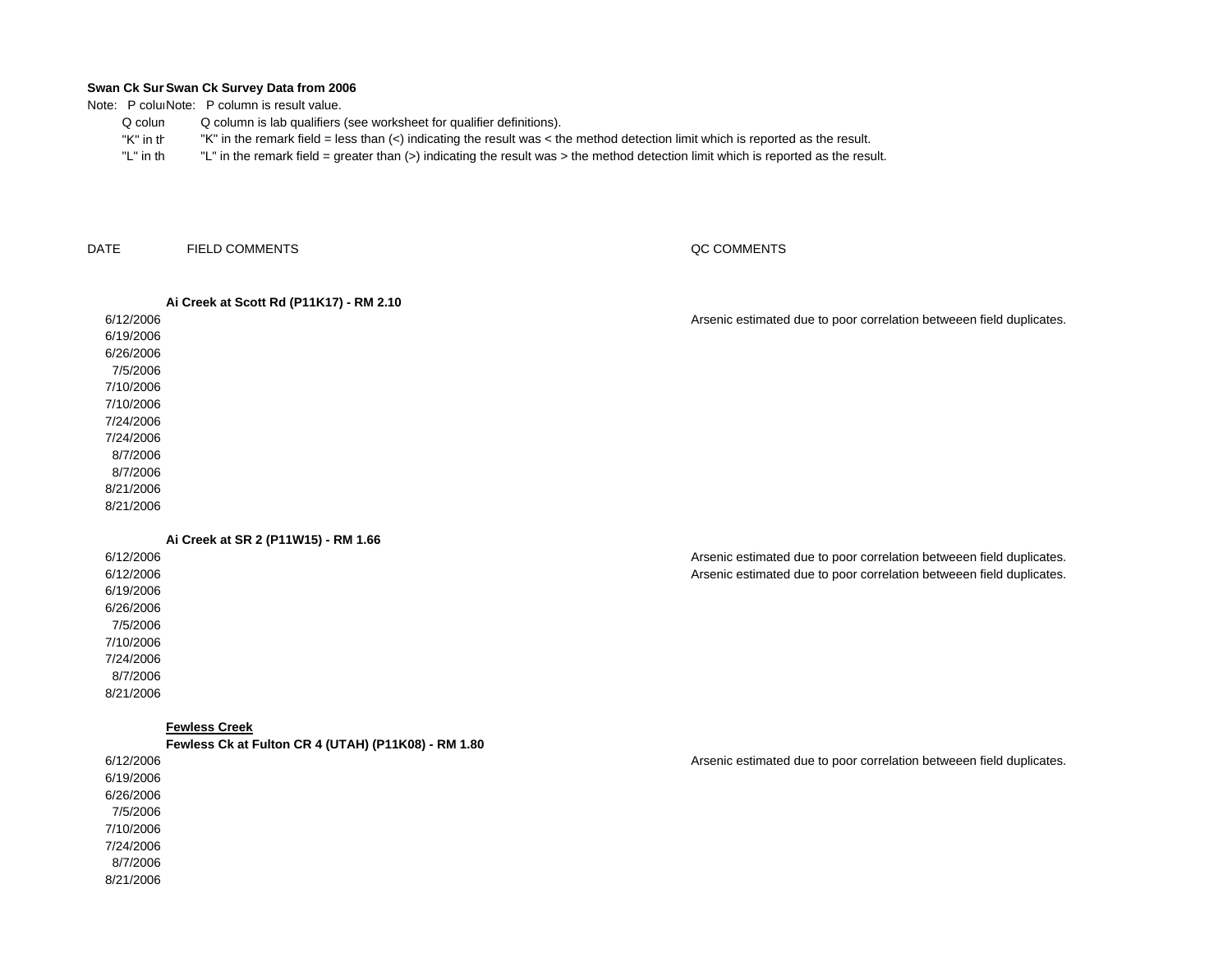Note: P coluiNote: P column is result value.

- Q colum Q column is lab qualifiers (see worksheet for qualifier definitions).
	- "K" in th"K" in the remark field = less than (<) indicating the result was < the method detection limit which is reported as the result.
- "L" in th "L" in the remark field = greater than (>) indicating the result was > the method detection limit which is reported as the result.

DATEFIELD COMMENTS

## QC COMMENTS

| Ai Creek at Scott Rd (P11K17) - RM 2.10 |                                                                      |
|-----------------------------------------|----------------------------------------------------------------------|
| 6/12/2006                               | Arsenic estimated due to poor correlation betweeen field duplicates. |
| 6/19/2006                               |                                                                      |
| 6/26/2006                               |                                                                      |
| 7/5/2006                                |                                                                      |
| 7/10/2006                               |                                                                      |
| 7/10/2006                               |                                                                      |
| 7/24/2006                               |                                                                      |
| 7/24/2006                               |                                                                      |
| 8/7/2006                                |                                                                      |
| 8/7/2006                                |                                                                      |
| 8/21/2006                               |                                                                      |
| 8/21/2006                               |                                                                      |
|                                         |                                                                      |
| Ai Creek at SR 2 (P11W15) - RM 1.66     |                                                                      |
| 6/12/2006                               | Arsenic estimated due to poor correlation betweeen field duplicates. |

| 6/12/2006 | Arsenic estimated due to poor correlation betweeen field duplicates. |
|-----------|----------------------------------------------------------------------|
| 6/12/2006 | Arsenic estimated due to poor correlation betweeen field duplicates. |
| 6/19/2006 |                                                                      |
| 6/26/2006 |                                                                      |
| 7/5/2006  |                                                                      |
| 7/10/2006 |                                                                      |
| 7/24/2006 |                                                                      |
| 8/7/2006  |                                                                      |
| 8/21/2006 |                                                                      |
|           |                                                                      |

**Fewless Creek**

|           | Fewless Ck at Fulton CR 4 (UTAH) (P11K08) - RM 1.80 |                                                                      |
|-----------|-----------------------------------------------------|----------------------------------------------------------------------|
| 6/12/2006 |                                                     | Arsenic estimated due to poor correlation betweeen field duplicates. |
| 6/19/2006 |                                                     |                                                                      |
| 6/26/2006 |                                                     |                                                                      |
| 7/5/2006  |                                                     |                                                                      |
| 7/10/2006 |                                                     |                                                                      |
| 7/24/2006 |                                                     |                                                                      |
| 8/7/2006  |                                                     |                                                                      |
| 8/21/2006 |                                                     |                                                                      |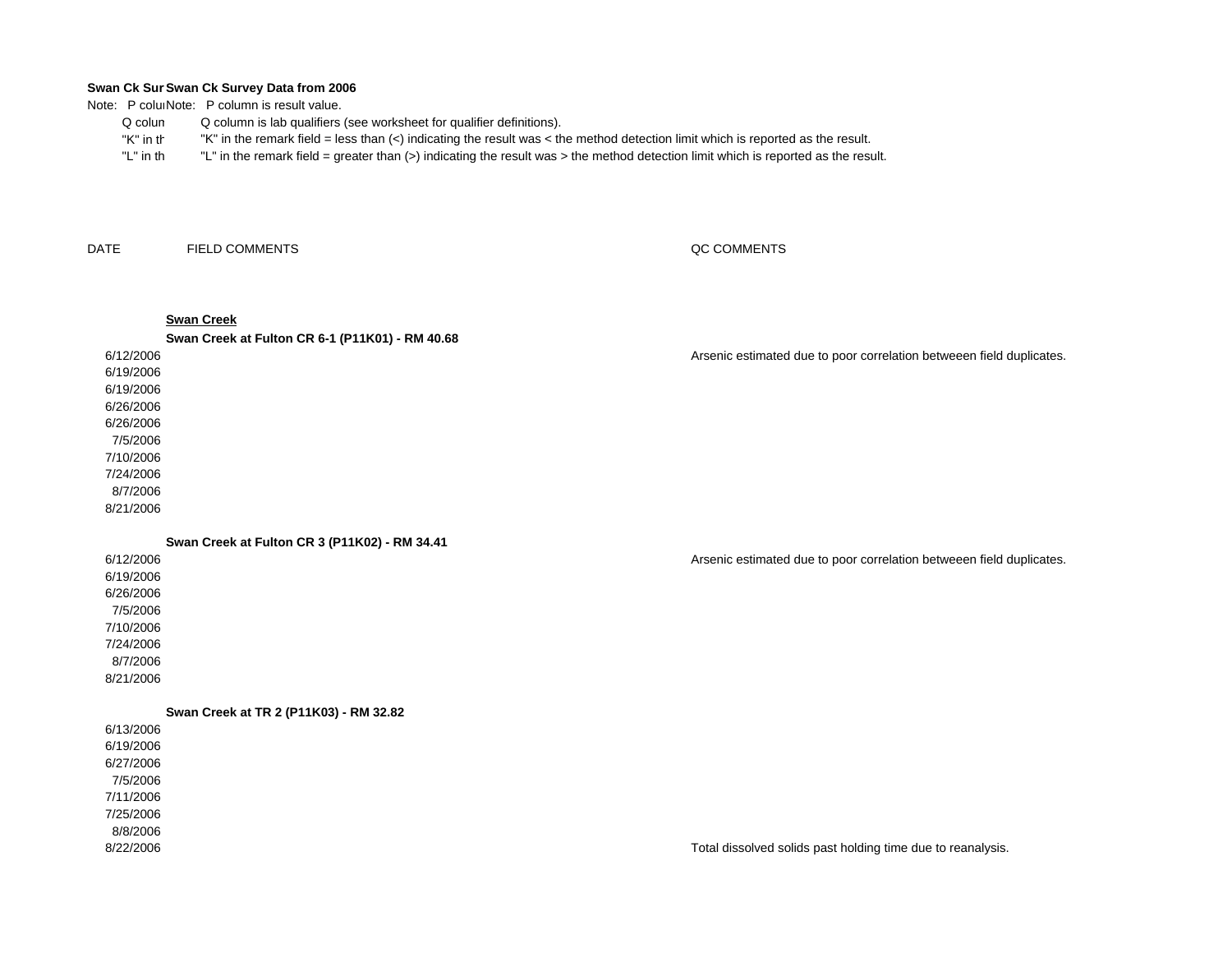Note: P coluiNote: P column is result value.

- Q columQ column is lab qualifiers (see worksheet for qualifier definitions).
- "K" in th"K" in the remark field = less than (<) indicating the result was < the method detection limit which is reported as the result.
- "L" in th"L" in the remark field = greater than (>) indicating the result was > the method detection limit which is reported as the result.

DATEFIELD COMMENTS

## QC COMMENTS

## **Swan Creek**

6/27/20067/5/20067/11/20067/25/20068/8/20068/22/2006

6/12/20066/19/20066/19/20066/26/20066/26/20067/5/20067/10/20067/24/20068/7/20068/21/2006**Swan Creek at Fulton CR 6-1 (P11K01) - RM 40.68** Arsenic estimated due to poor correlation betweeen field duplicates. **Swan Creek at Fulton CR 3 (P11K02) - RM 34.41**

6/12/20066/19/20066/26/20067/5/20067/10/20067/24/20068/7/20068/21/20066/13/20066/19/2006Arsenic estimated due to poor correlation betweeen field duplicates. **Swan Creek at TR 2 (P11K03) - RM 32.82**

Total dissolved solids past holding time due to reanalysis.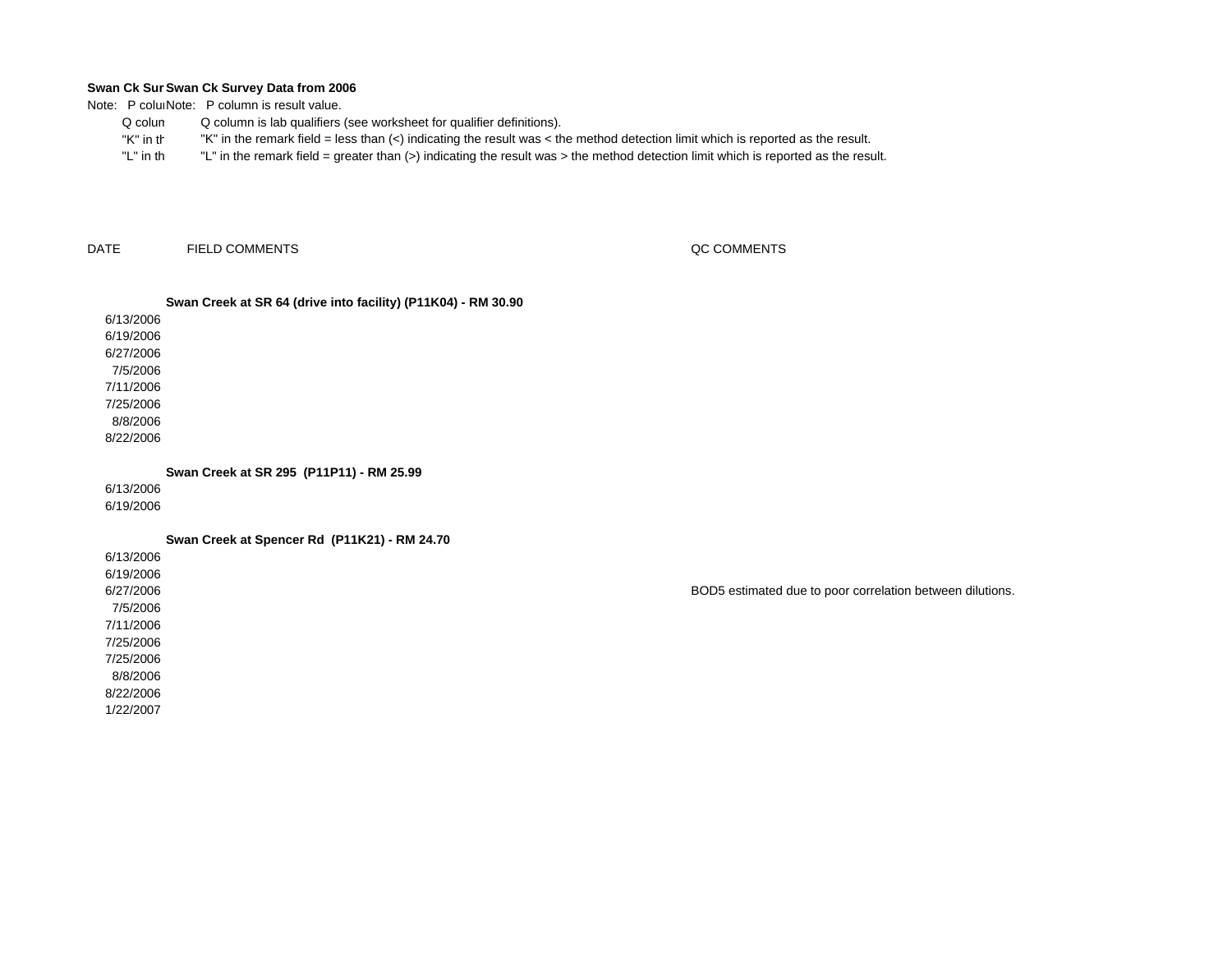Note: P coluiNote: P column is result value.

- Q columQ column is lab qualifiers (see worksheet for qualifier definitions).
- "K" in th"K" in the remark field = less than (<) indicating the result was < the method detection limit which is reported as the result.
- "L" in th"L" in the remark field = greater than (>) indicating the result was > the method detection limit which is reported as the result.

DATEFIELD COMMENTS QC COMMENTS

## **Swan Creek at SR 64 (drive into facility) (P11K04) - RM 30.90**

6/13/20066/19/2006 6/27/2006 7/5/2006 7/11/20067/25/20068/8/20068/22/2006

**Swan Creek at SR 295 (P11P11) - RM 25.99**

6/13/2006

6/19/2006

**Swan Creek at Spencer Rd (P11K21) - RM 24.70**

6/13/20066/19/20066/27/20067/5/2006 7/11/20067/25/20067/25/20068/8/20068/22/2006 1/22/2007

BOD5 estimated due to poor correlation between dilutions.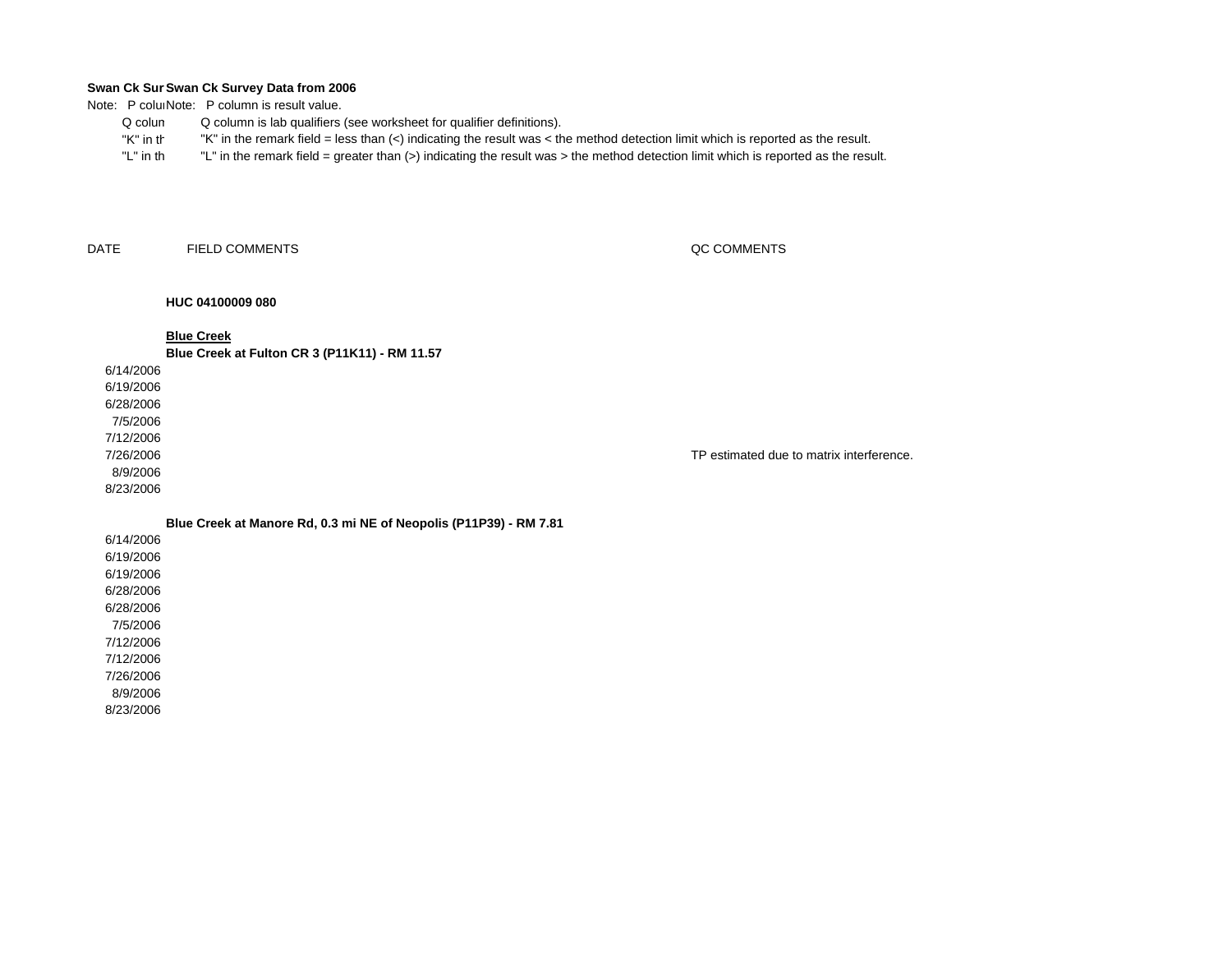Note: P coluiNote: P column is result value.

- Q columQ column is lab qualifiers (see worksheet for qualifier definitions).
- "K" in th"K" in the remark field = less than (<) indicating the result was < the method detection limit which is reported as the result.
- "L" in th"L" in the remark field = greater than (>) indicating the result was > the method detection limit which is reported as the result.

DATEFIELD COMMENTS QC COMMENTS

## **HUC 04100009 080**

**Blue Creek**

**Blue Creek at Fulton CR 3 (P11K11) - RM 11.57**

6/14/2006

6/19/20066/28/20067/5/20067/12/20067/26/2006 8/9/2006

8/23/2006

TP estimated due to matrix interference.

**Blue Creek at Manore Rd, 0.3 mi NE of Neopolis (P11P39) - RM 7.81**

6/14/20066/19/20066/19/20066/28/20066/28/2006 7/5/20067/12/20067/12/20067/26/20068/9/2006 8/23/2006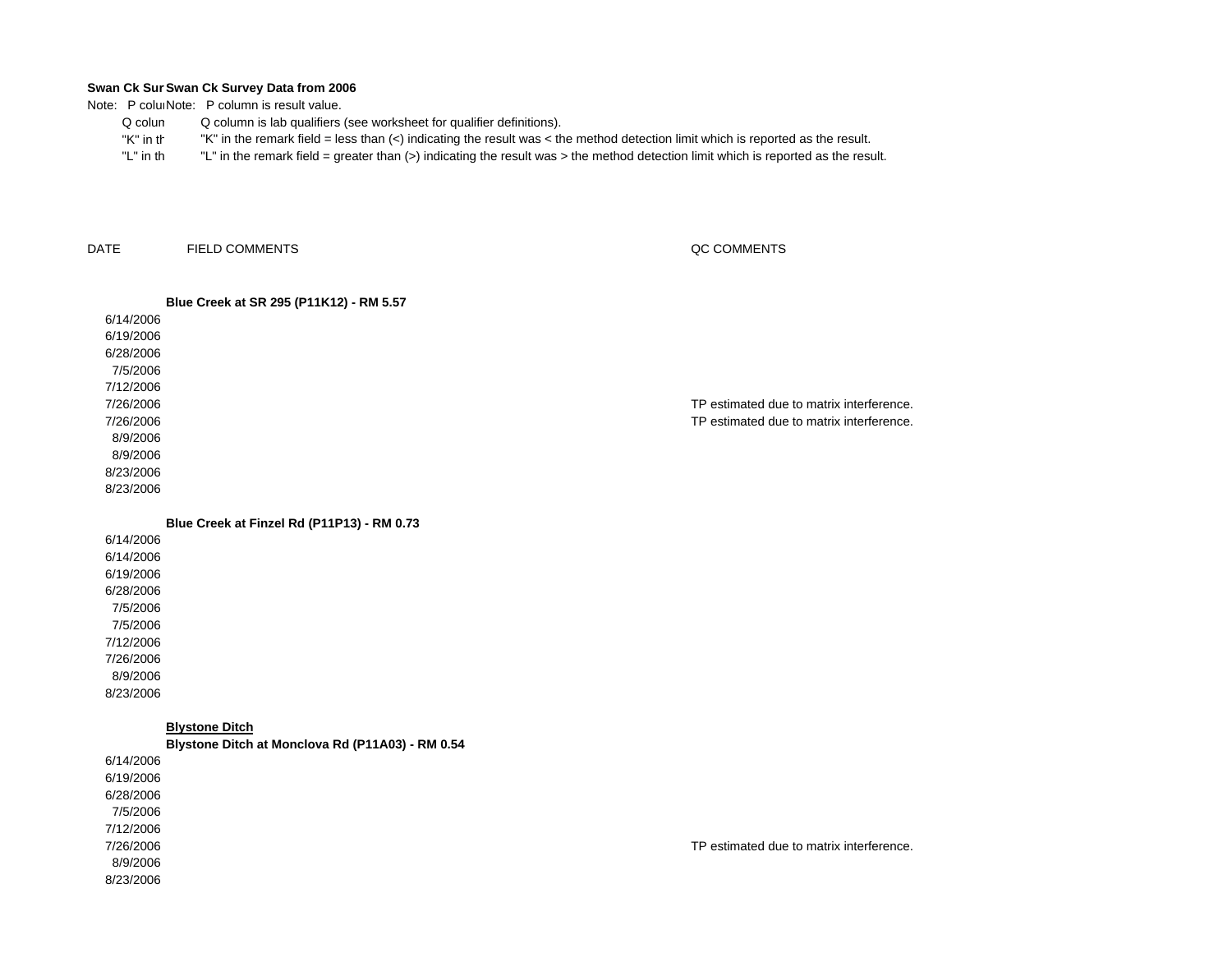Note: P coluiNote: P column is result value.

- Q columQ column is lab qualifiers (see worksheet for qualifier definitions).
- "K" in th"K" in the remark field = less than (<) indicating the result was < the method detection limit which is reported as the result.
- "L" in th"L" in the remark field = greater than (>) indicating the result was > the method detection limit which is reported as the result.

DATEFIELD COMMENTS QC COMMENTS

|           | Blue Creek at SR 295 (P11K12) - RM 5.57    |                                          |
|-----------|--------------------------------------------|------------------------------------------|
| 6/14/2006 |                                            |                                          |
| 6/19/2006 |                                            |                                          |
| 6/28/2006 |                                            |                                          |
| 7/5/2006  |                                            |                                          |
| 7/12/2006 |                                            |                                          |
| 7/26/2006 |                                            | TP estimated due to matrix interference. |
| 7/26/2006 |                                            | TP estimated due to matrix interference. |
| 8/9/2006  |                                            |                                          |
| 8/9/2006  |                                            |                                          |
| 8/23/2006 |                                            |                                          |
| 8/23/2006 |                                            |                                          |
|           |                                            |                                          |
|           | Blue Creek at Finzel Rd (P11P13) - RM 0.73 |                                          |

6/14/20066/14/20066/19/20066/28/20067/5/2006 7/5/20067/12/20067/26/20068/9/20068/23/2006

**Blystone Ditch**

6/14/20066/19/20066/28/2006 7/5/20067/12/20067/26/2006 8/9/20068/23/2006**Blystone Ditch at Monclova Rd (P11A03) - RM 0.54**

TP estimated due to matrix interference.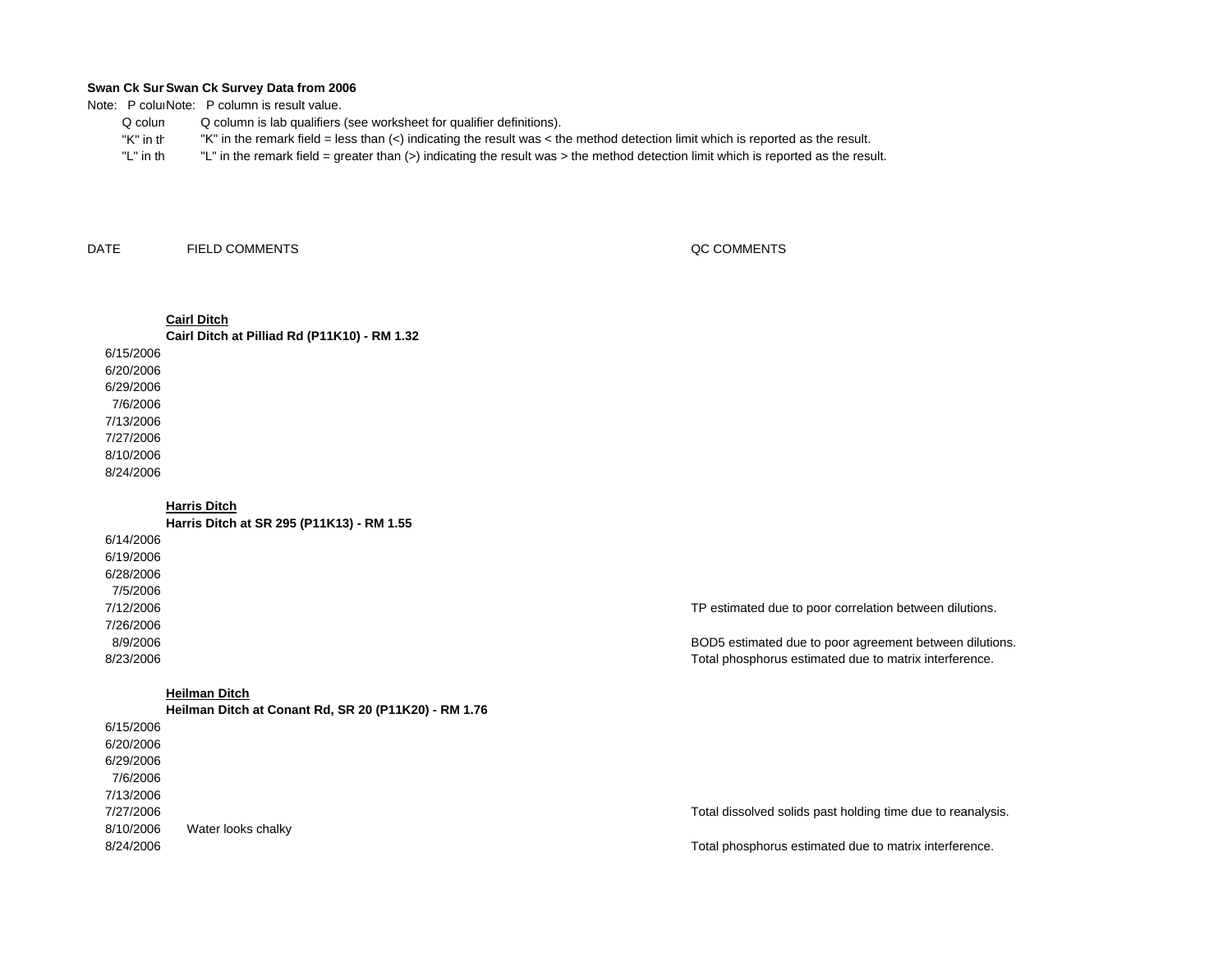Note: P coluiNote: P column is result value.

- Q columQ column is lab qualifiers (see worksheet for qualifier definitions).
- "K" in th"K" in the remark field = less than (<) indicating the result was < the method detection limit which is reported as the result.
- "L" in th"L" in the remark field = greater than (>) indicating the result was > the method detection limit which is reported as the result.

DATEFIELD COMMENTS QC COMMENTS

## **Cairl Ditch**

6/15/20066/20/2006**Cairl Ditch at Pilliad Rd (P11K10) - RM 1.32**

6/29/20067/6/20067/13/20067/27/20068/10/20068/24/2006

## **Harris Ditch**

**Harris Ditch at SR 295 (P11K13) - RM 1.55**

6/14/20066/19/20066/28/20067/5/20067/12/20067/26/20068/9/20068/23/2006

## **Heilman Ditch**

6/15/20066/20/20066/29/20067/6/20067/13/20067/27/20068/10/20068/24/2006**Heilman Ditch at Conant Rd, SR 20 (P11K20) - RM 1.76** Water looks chalky

TP estimated due to poor correlation between dilutions.

BOD5 estimated due to poor agreement between dilutions. Total phosphorus estimated due to matrix interference.

Total dissolved solids past holding time due to reanalysis.

Total phosphorus estimated due to matrix interference.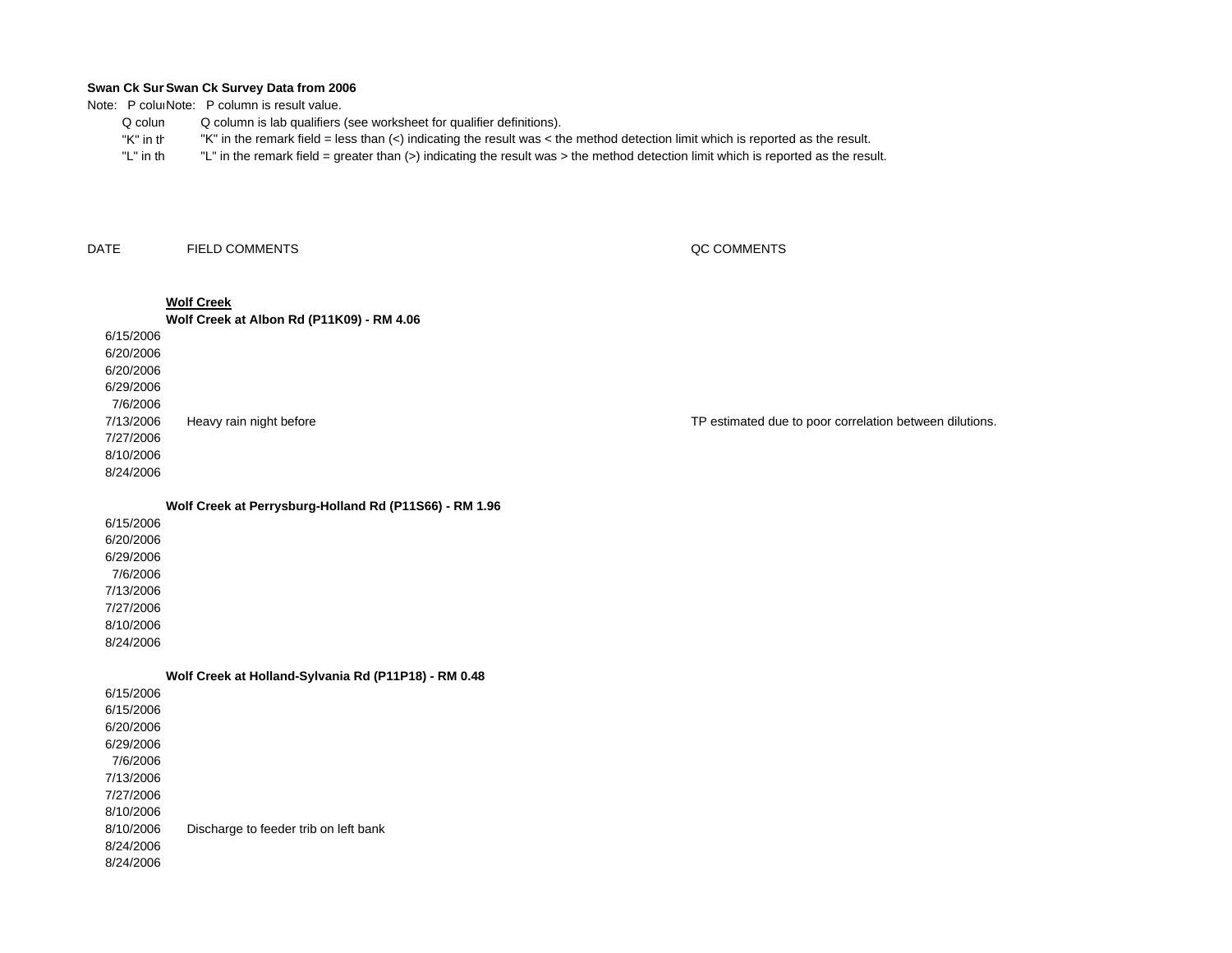Note: P colum Note: P column is result value.

- Q colum Q column is lab qualifiers (see worksheet for qualifier definitions).
	- "K" in th"K" in the remark field = less than (<) indicating the result was < the method detection limit which is reported as the result.
- "L" in th "L" in the remark field = greater than (>) indicating the result was > the method detection limit which is reported as the result.

DATEFIELD COMMENTS QC COMMENTS

|                        | <b>Wolf Creek</b><br>Wolf Creek at Albon Rd (P11K09) - RM 4.06 |                                                         |
|------------------------|----------------------------------------------------------------|---------------------------------------------------------|
|                        |                                                                |                                                         |
| 6/15/2006<br>6/20/2006 |                                                                |                                                         |
| 6/20/2006              |                                                                |                                                         |
| 6/29/2006              |                                                                |                                                         |
| 7/6/2006               |                                                                |                                                         |
| 7/13/2006              | Heavy rain night before                                        | TP estimated due to poor correlation between dilutions. |
| 7/27/2006              |                                                                |                                                         |
| 8/10/2006              |                                                                |                                                         |
| 8/24/2006              |                                                                |                                                         |
|                        |                                                                |                                                         |
|                        | Wolf Creek at Perrysburg-Holland Rd (P11S66) - RM 1.96         |                                                         |
| 6/15/2006              |                                                                |                                                         |
| 6/20/2006              |                                                                |                                                         |
| 6/29/2006              |                                                                |                                                         |
| 7/6/2006               |                                                                |                                                         |
| 7/13/2006              |                                                                |                                                         |
| 7/27/2006              |                                                                |                                                         |
| 8/10/2006              |                                                                |                                                         |
| 8/24/2006              |                                                                |                                                         |
|                        | Wolf Creek at Holland-Sylvania Rd (P11P18) - RM 0.48           |                                                         |
| 6/15/2006              |                                                                |                                                         |
| 6/15/2006              |                                                                |                                                         |
| 6/20/2006              |                                                                |                                                         |
| 6/29/2006              |                                                                |                                                         |
| 7/6/2006               |                                                                |                                                         |
| 7/13/2006              |                                                                |                                                         |
| 7/27/2006              |                                                                |                                                         |
| 8/10/2006              |                                                                |                                                         |
| 8/10/2006              | Discharge to feeder trib on left bank                          |                                                         |
|                        |                                                                |                                                         |

8/24/2006 8/24/2006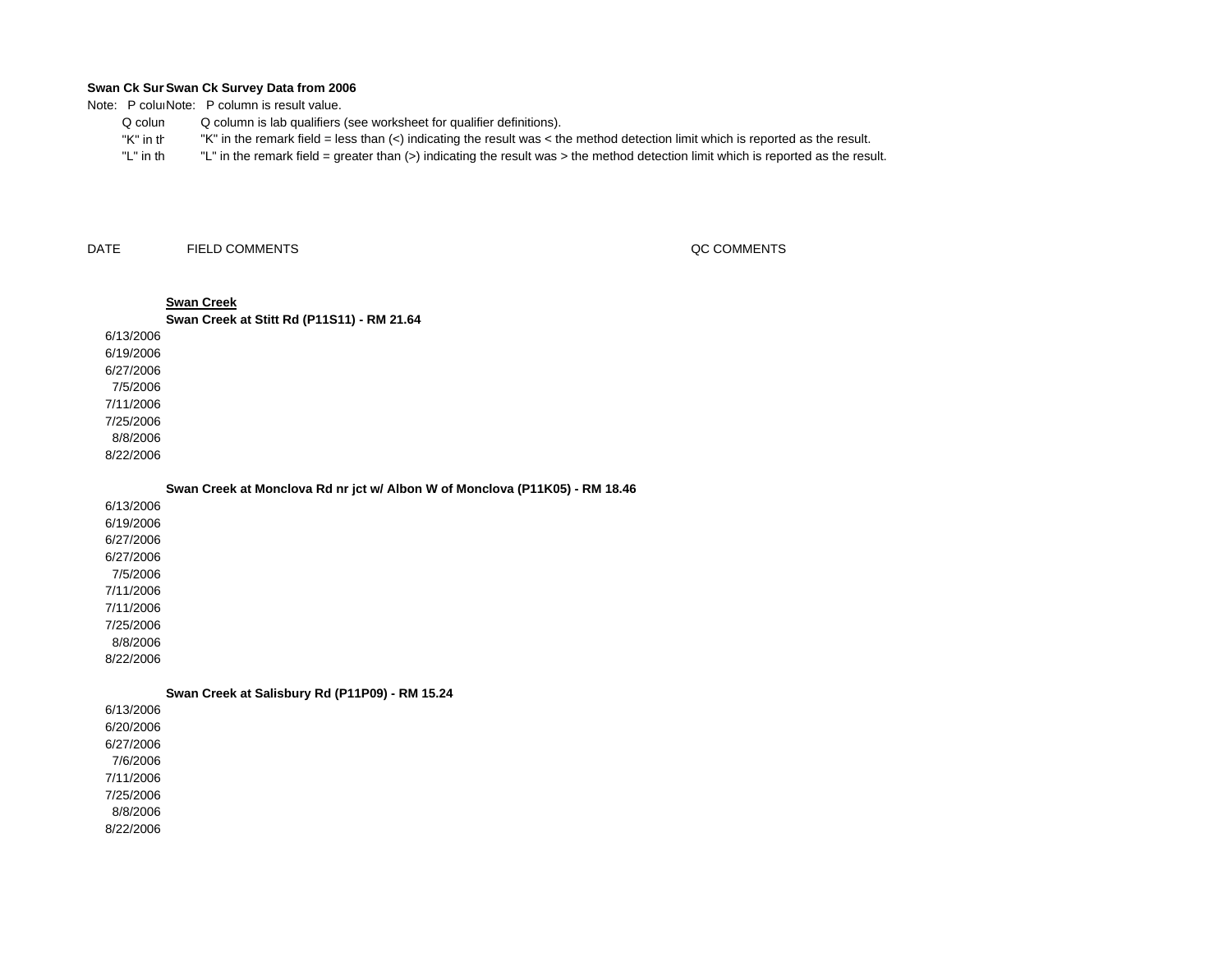Note: P coluiNote: P column is result value.

- Q columQ column is lab qualifiers (see worksheet for qualifier definitions).
- "K" in th"K" in the remark field = less than (<) indicating the result was < the method detection limit which is reported as the result.
- "L" in th"L" in the remark field = greater than (>) indicating the result was > the method detection limit which is reported as the result.

DATEFIELD COMMENTS QC COMMENTS

## 6/13/20066/19/2006 6/27/2006 7/5/20067/11/20067/25/20068/8/2006**Swan Creek Swan Creek at Stitt Rd (P11S11) - RM 21.64**

**Swan Creek at Monclova Rd nr jct w/ Albon W of Monclova (P11K05) - RM 18.46**

6/13/2006 6/19/20066/27/20066/27/20067/5/20067/11/20067/11/20067/25/20068/8/20068/22/2006

8/22/2006

**Swan Creek at Salisbury Rd (P11P09) - RM 15.24**

6/13/20066/20/20066/27/20067/6/20067/11/20067/25/2006 8/8/20068/22/2006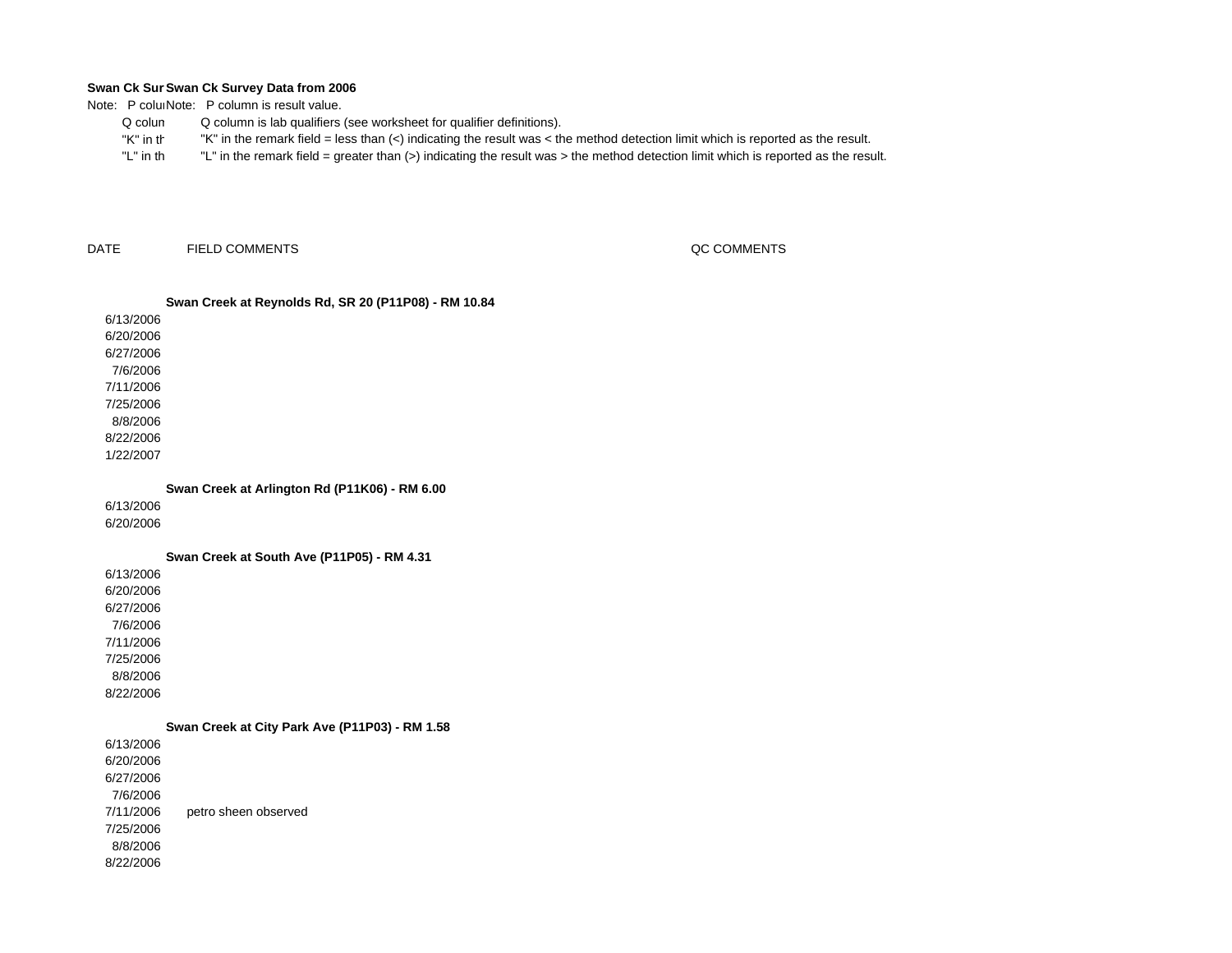Note: P coluiNote: P column is result value.

- Q columQ column is lab qualifiers (see worksheet for qualifier definitions).
- "K" in th"K" in the remark field = less than (<) indicating the result was < the method detection limit which is reported as the result.
- "L" in th"L" in the remark field = greater than (>) indicating the result was > the method detection limit which is reported as the result.

DATEFIELD COMMENTS QC COMMENTS

## **Swan Creek at Reynolds Rd, SR 20 (P11P08) - RM 10.84**

6/13/20066/20/20066/27/2006 7/6/20067/11/20067/25/20068/8/20068/22/20061/22/2007

**Swan Creek at Arlington Rd (P11K06) - RM 6.00**

6/13/2006

6/20/2006

**Swan Creek at South Ave (P11P05) - RM 4.31**

6/13/20066/20/20066/27/2006

7/6/20067/11/20067/25/2006

8/8/2006

8/22/2006

6/13/20066/20/20066/27/20067/6/2006 7/11/20067/25/20068/8/20068/22/2006**Swan Creek at City Park Ave (P11P03) - RM 1.58** petro sheen observed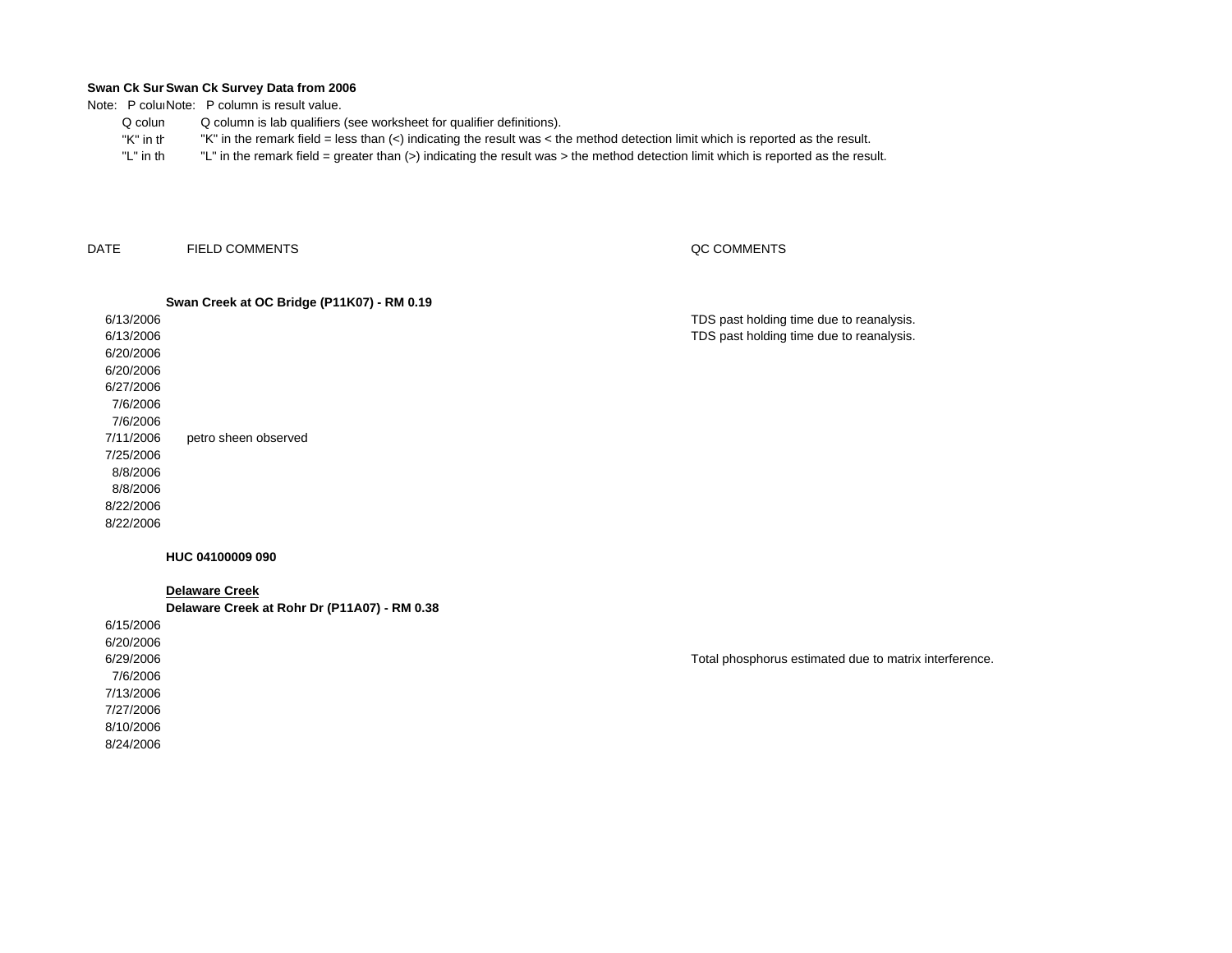Note: P coluiNote: P column is result value.

- Q columQ column is lab qualifiers (see worksheet for qualifier definitions).
- "K" in th"K" in the remark field = less than (<) indicating the result was < the method detection limit which is reported as the result.
- "L" in th"L" in the remark field = greater than (>) indicating the result was > the method detection limit which is reported as the result.

DATEFIELD COMMENTS

## QC COMMENTS

to matrix interference.

## 6/13/20066/13/2006 6/20/2006 6/20/2006 6/27/20067/6/20067/6/20067/11/20067/25/2006 8/8/20068/8/20068/22/2006 8/22/2006**Swan Creek at OC Bridge (P11K07) - RM 0.19** TDS past holding time due to reanalysis. TDS past holding time due to reanalysis. petro sheen observed

## **HUC 04100009 090**

**Delaware Creek**

**Delaware Creek at Rohr Dr (P11A07) - RM 0.38**

| - -<br>.                                    |  |
|---------------------------------------------|--|
| 6/15/2006                                   |  |
| 6/20/2006                                   |  |
| 6/29/2006<br>Total phosphorus estimated due |  |
| 7/6/2006                                    |  |
| 7/13/2006                                   |  |
| 7/27/2006                                   |  |
| 8/10/2006                                   |  |
| 8/24/2006                                   |  |
|                                             |  |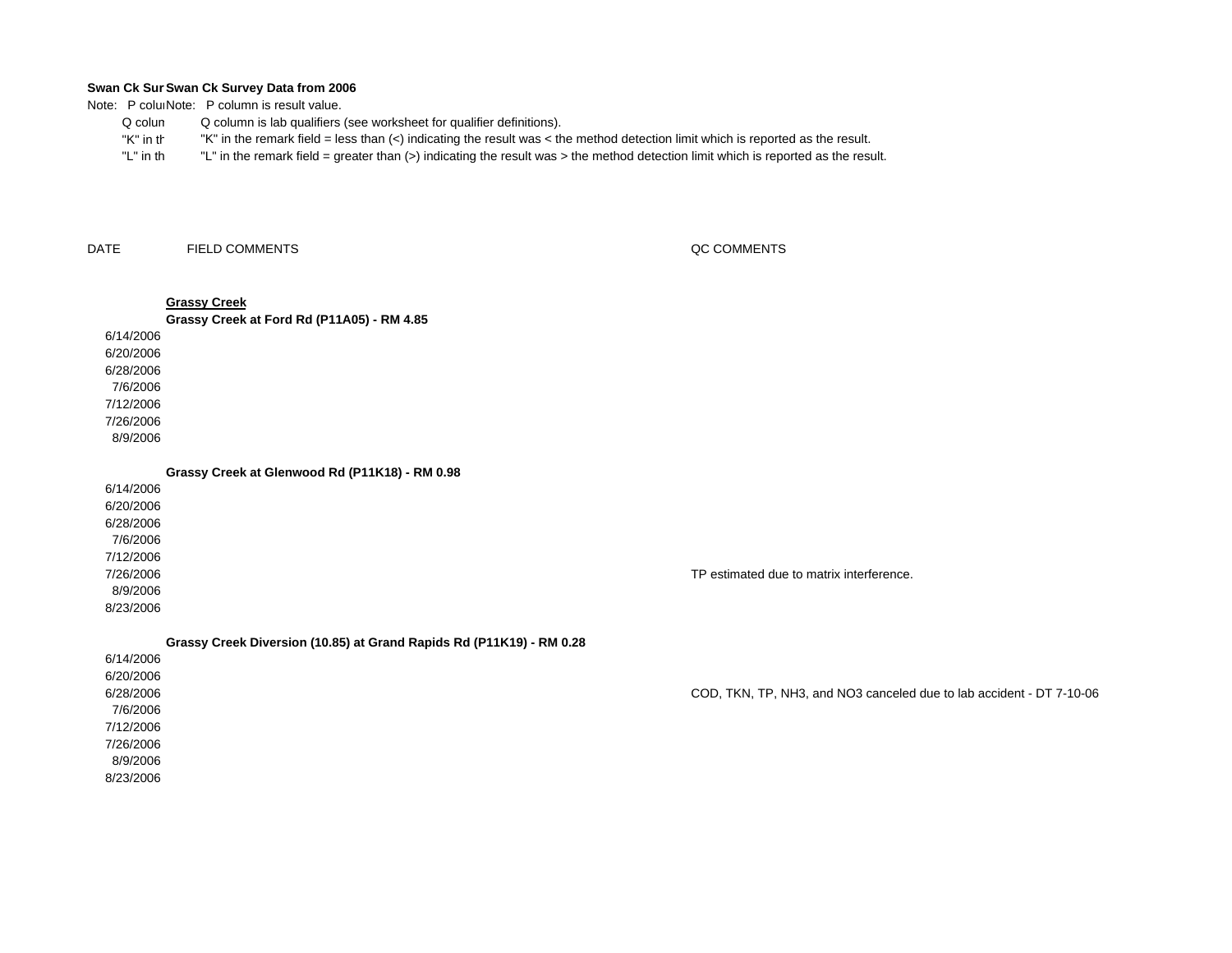Note: P coluiNote: P column is result value.

- Q columQ column is lab qualifiers (see worksheet for qualifier definitions).
- "K" in th"K" in the remark field = less than (<) indicating the result was < the method detection limit which is reported as the result.
- "L" in th"L" in the remark field = greater than (>) indicating the result was > the method detection limit which is reported as the result.

DATEFIELD COMMENTS QC COMMENTS

## 6/14/2006 6/20/2006 6/28/2006 7/6/20067/12/20067/26/20068/9/2006**Grassy Creek Grassy Creek at Ford Rd (P11A05) - RM 4.85**

**Grassy Creek at Glenwood Rd (P11K18) - RM 0.98**

6/14/20066/20/2006 6/28/20067/6/20067/12/20067/26/20068/9/20068/23/2006

TP estimated due to matrix interference.

**Grassy Creek Diversion (10.85) at Grand Rapids Rd (P11K19) - RM 0.28**

| 6/14/2006 |                                                                      |
|-----------|----------------------------------------------------------------------|
| 6/20/2006 |                                                                      |
| 6/28/2006 | COD, TKN, TP, NH3, and NO3 canceled due to lab accident - DT 7-10-06 |
| 7/6/2006  |                                                                      |
| 7/12/2006 |                                                                      |
| 7/26/2006 |                                                                      |
| 8/9/2006  |                                                                      |
| 8/23/2006 |                                                                      |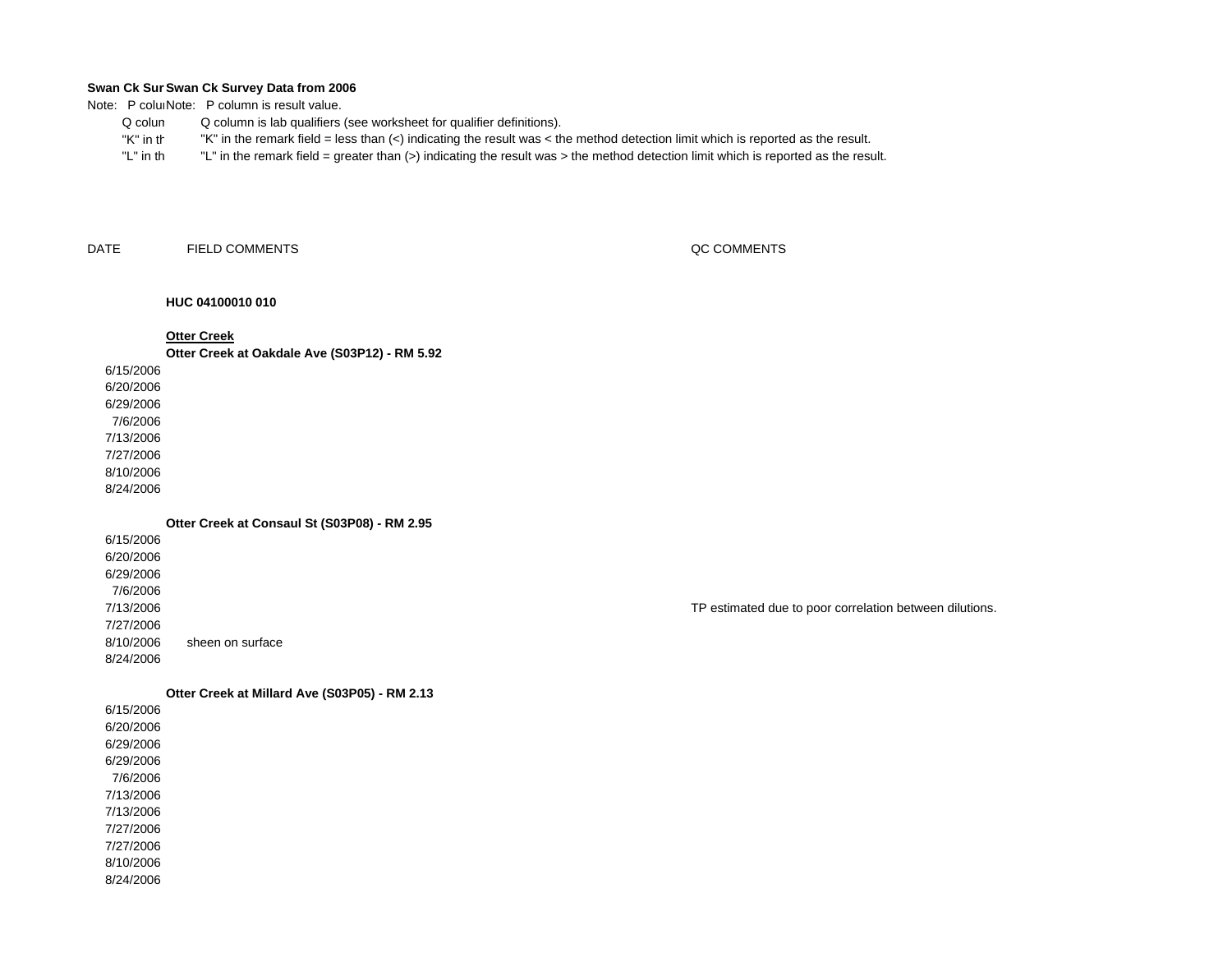Note: P coluiNote: P column is result value.

- Q columQ column is lab qualifiers (see worksheet for qualifier definitions).
- "K" in th"K" in the remark field = less than (<) indicating the result was < the method detection limit which is reported as the result.
- "L" in th"L" in the remark field = greater than (>) indicating the result was > the method detection limit which is reported as the result.

DATEFIELD COMMENTS QC COMMENTS

## **HUC 04100010 010**

## **Otter Creek**

**Otter Creek at Oakdale Ave (S03P12) - RM 5.92**

## 6/15/2006

6/20/20066/29/20067/6/20067/13/20067/27/20068/10/20068/24/2006

## **Otter Creek at Consaul St (S03P08) - RM 2.95**

6/15/20066/20/20066/29/20067/6/20067/13/20067/27/20068/10/20068/24/2006sheen on surface

## **Otter Creek at Millard Ave (S03P05) - RM 2.13**

6/15/20066/20/20066/29/20066/29/20067/6/20067/13/2006 7/13/20067/27/20067/27/20068/10/2006

8/24/2006

## TP estimated due to poor correlation between dilutions.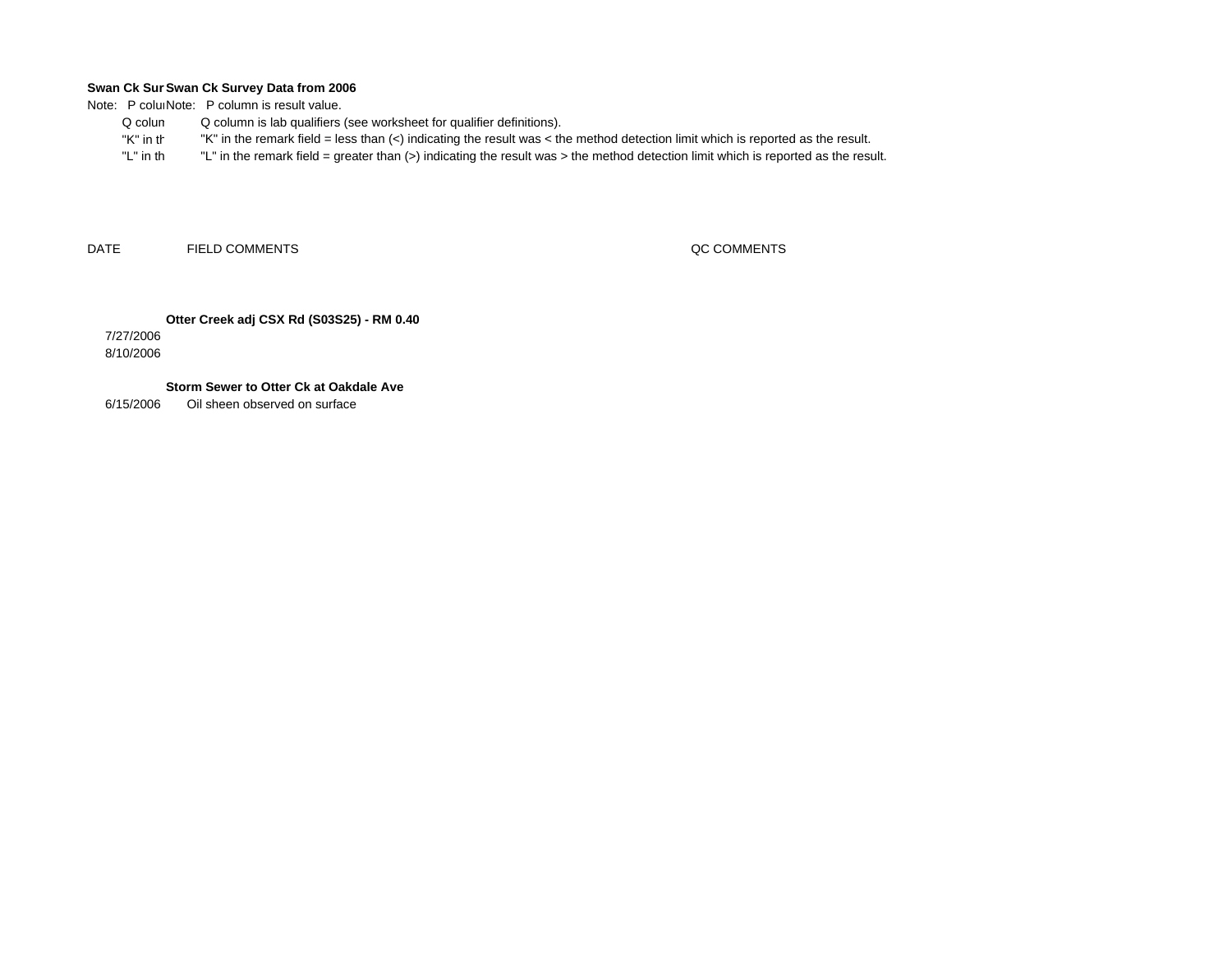Note: P coluiNote: P column is result value.

- Q colum Q column is lab qualifiers (see worksheet for qualifier definitions).
	- "K" in th"K" in the remark field = less than (<) indicating the result was < the method detection limit which is reported as the result.
- "L" in th "L" in the remark field = greater than (>) indicating the result was > the method detection limit which is reported as the result.

DATEFIELD COMMENTS QC COMMENTS

**Otter Creek adj CSX Rd (S03S25) - RM 0.40**

7/27/2006 8/10/2006

**Storm Sewer to Otter Ck at Oakdale Ave**

6/15/2006Oil sheen observed on surface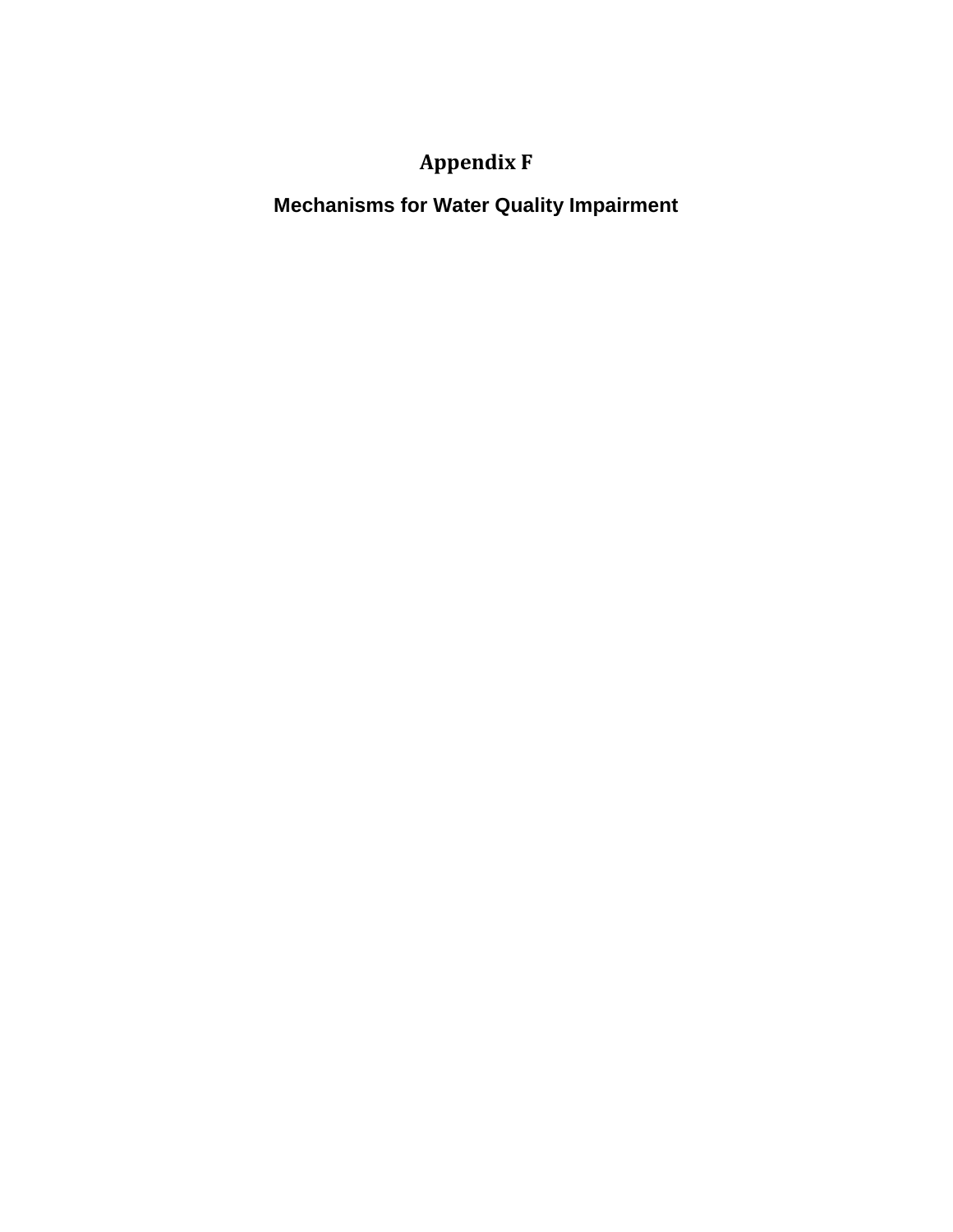# **Appendix F**

**Mechanisms for Water Quality Impairment**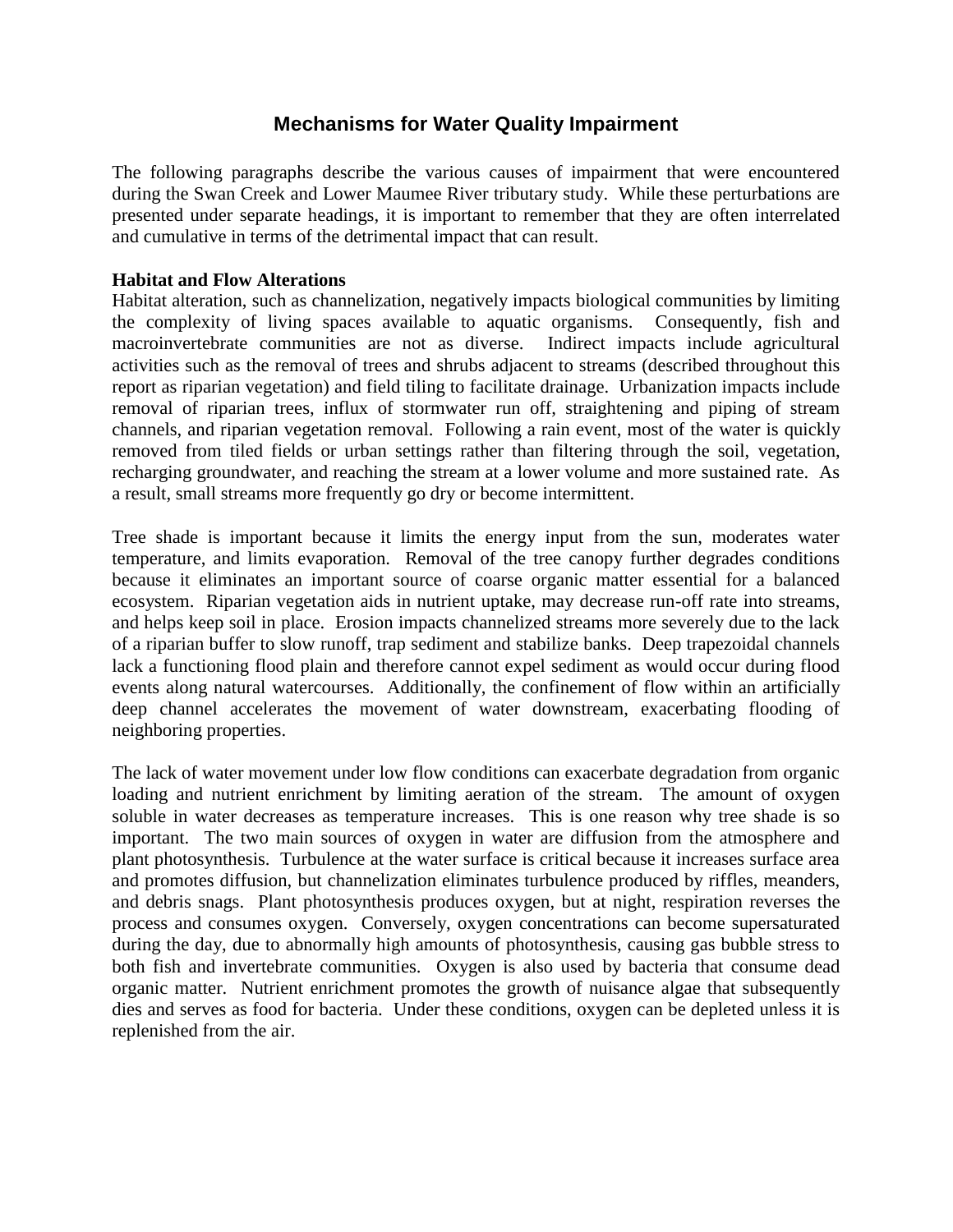## **Mechanisms for Water Quality Impairment**

The following paragraphs describe the various causes of impairment that were encountered during the Swan Creek and Lower Maumee River tributary study. While these perturbations are presented under separate headings, it is important to remember that they are often interrelated and cumulative in terms of the detrimental impact that can result.

## **Habitat and Flow Alterations**

Habitat alteration, such as channelization, negatively impacts biological communities by limiting the complexity of living spaces available to aquatic organisms. Consequently, fish and macroinvertebrate communities are not as diverse. Indirect impacts include agricultural activities such as the removal of trees and shrubs adjacent to streams (described throughout this report as riparian vegetation) and field tiling to facilitate drainage. Urbanization impacts include removal of riparian trees, influx of stormwater run off, straightening and piping of stream channels, and riparian vegetation removal. Following a rain event, most of the water is quickly removed from tiled fields or urban settings rather than filtering through the soil, vegetation, recharging groundwater, and reaching the stream at a lower volume and more sustained rate. As a result, small streams more frequently go dry or become intermittent.

Tree shade is important because it limits the energy input from the sun, moderates water temperature, and limits evaporation. Removal of the tree canopy further degrades conditions because it eliminates an important source of coarse organic matter essential for a balanced ecosystem. Riparian vegetation aids in nutrient uptake, may decrease run-off rate into streams, and helps keep soil in place. Erosion impacts channelized streams more severely due to the lack of a riparian buffer to slow runoff, trap sediment and stabilize banks. Deep trapezoidal channels lack a functioning flood plain and therefore cannot expel sediment as would occur during flood events along natural watercourses. Additionally, the confinement of flow within an artificially deep channel accelerates the movement of water downstream, exacerbating flooding of neighboring properties.

The lack of water movement under low flow conditions can exacerbate degradation from organic loading and nutrient enrichment by limiting aeration of the stream. The amount of oxygen soluble in water decreases as temperature increases. This is one reason why tree shade is so important. The two main sources of oxygen in water are diffusion from the atmosphere and plant photosynthesis. Turbulence at the water surface is critical because it increases surface area and promotes diffusion, but channelization eliminates turbulence produced by riffles, meanders, and debris snags. Plant photosynthesis produces oxygen, but at night, respiration reverses the process and consumes oxygen. Conversely, oxygen concentrations can become supersaturated during the day, due to abnormally high amounts of photosynthesis, causing gas bubble stress to both fish and invertebrate communities. Oxygen is also used by bacteria that consume dead organic matter. Nutrient enrichment promotes the growth of nuisance algae that subsequently dies and serves as food for bacteria. Under these conditions, oxygen can be depleted unless it is replenished from the air.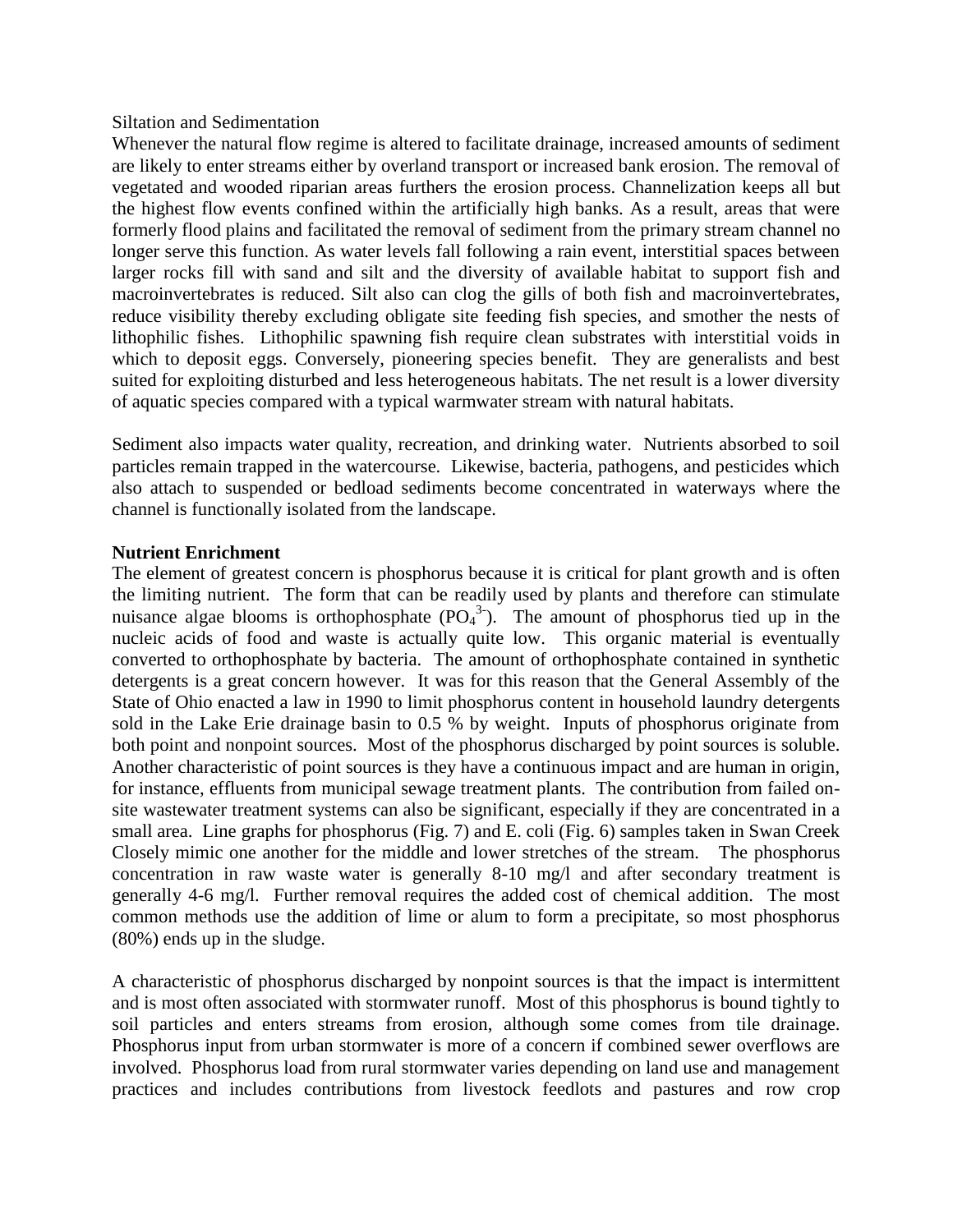## Siltation and Sedimentation

Whenever the natural flow regime is altered to facilitate drainage, increased amounts of sediment are likely to enter streams either by overland transport or increased bank erosion. The removal of vegetated and wooded riparian areas furthers the erosion process. Channelization keeps all but the highest flow events confined within the artificially high banks. As a result, areas that were formerly flood plains and facilitated the removal of sediment from the primary stream channel no longer serve this function. As water levels fall following a rain event, interstitial spaces between larger rocks fill with sand and silt and the diversity of available habitat to support fish and macroinvertebrates is reduced. Silt also can clog the gills of both fish and macroinvertebrates, reduce visibility thereby excluding obligate site feeding fish species, and smother the nests of lithophilic fishes. Lithophilic spawning fish require clean substrates with interstitial voids in which to deposit eggs. Conversely, pioneering species benefit. They are generalists and best suited for exploiting disturbed and less heterogeneous habitats. The net result is a lower diversity of aquatic species compared with a typical warmwater stream with natural habitats.

Sediment also impacts water quality, recreation, and drinking water. Nutrients absorbed to soil particles remain trapped in the watercourse. Likewise, bacteria, pathogens, and pesticides which also attach to suspended or bedload sediments become concentrated in waterways where the channel is functionally isolated from the landscape.

## **Nutrient Enrichment**

The element of greatest concern is phosphorus because it is critical for plant growth and is often the limiting nutrient. The form that can be readily used by plants and therefore can stimulate nuisance algae blooms is orthophosphate  $(PO<sub>4</sub><sup>3</sup>)$ . The amount of phosphorus tied up in the nucleic acids of food and waste is actually quite low. This organic material is eventually converted to orthophosphate by bacteria. The amount of orthophosphate contained in synthetic detergents is a great concern however. It was for this reason that the General Assembly of the State of Ohio enacted a law in 1990 to limit phosphorus content in household laundry detergents sold in the Lake Erie drainage basin to 0.5 % by weight. Inputs of phosphorus originate from both point and nonpoint sources. Most of the phosphorus discharged by point sources is soluble. Another characteristic of point sources is they have a continuous impact and are human in origin, for instance, effluents from municipal sewage treatment plants. The contribution from failed onsite wastewater treatment systems can also be significant, especially if they are concentrated in a small area. Line graphs for phosphorus (Fig. 7) and E. coli (Fig. 6) samples taken in Swan Creek Closely mimic one another for the middle and lower stretches of the stream. The phosphorus concentration in raw waste water is generally 8-10 mg/l and after secondary treatment is generally 4-6 mg/l. Further removal requires the added cost of chemical addition. The most common methods use the addition of lime or alum to form a precipitate, so most phosphorus (80%) ends up in the sludge.

A characteristic of phosphorus discharged by nonpoint sources is that the impact is intermittent and is most often associated with stormwater runoff. Most of this phosphorus is bound tightly to soil particles and enters streams from erosion, although some comes from tile drainage. Phosphorus input from urban stormwater is more of a concern if combined sewer overflows are involved. Phosphorus load from rural stormwater varies depending on land use and management practices and includes contributions from livestock feedlots and pastures and row crop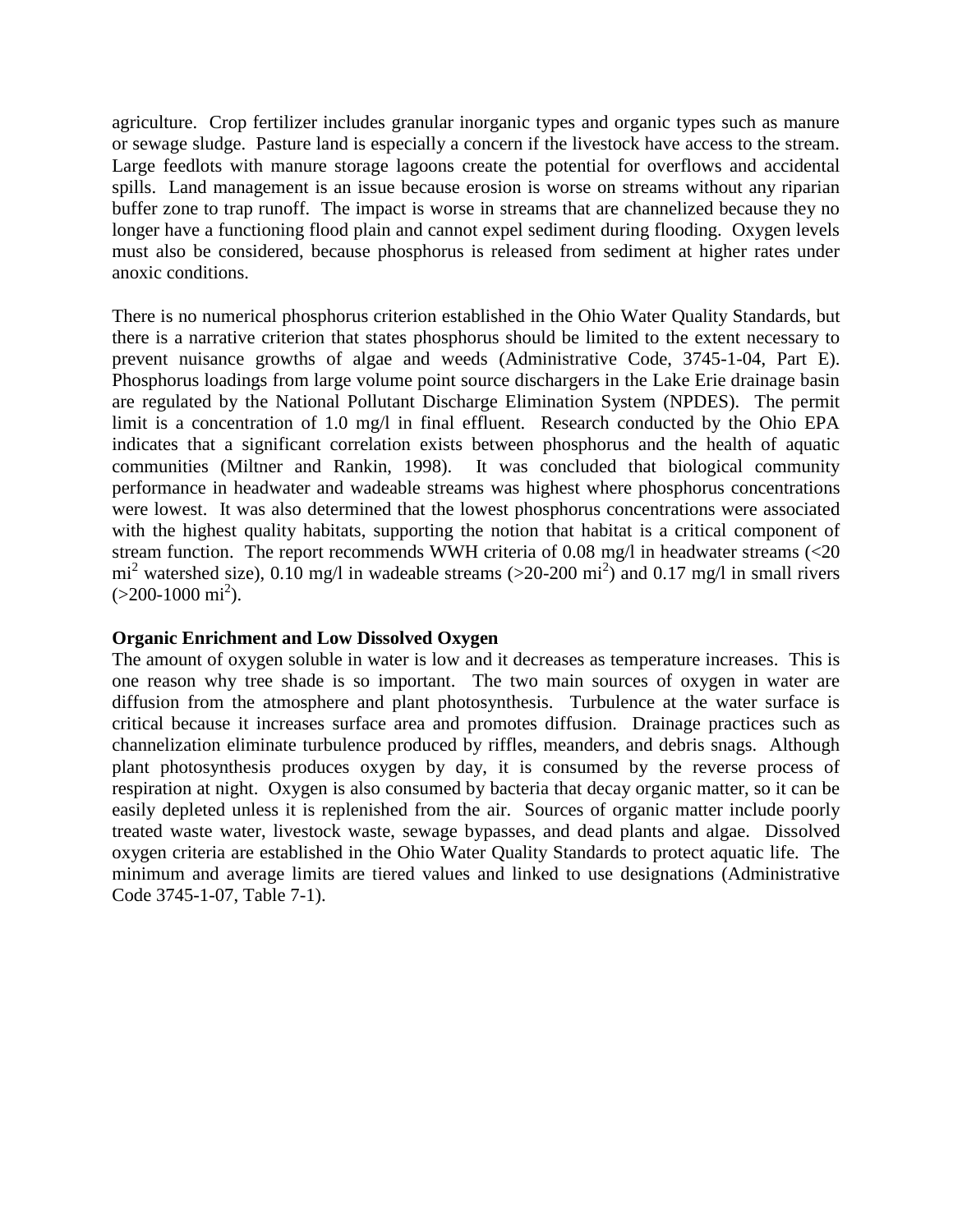agriculture. Crop fertilizer includes granular inorganic types and organic types such as manure or sewage sludge. Pasture land is especially a concern if the livestock have access to the stream. Large feedlots with manure storage lagoons create the potential for overflows and accidental spills. Land management is an issue because erosion is worse on streams without any riparian buffer zone to trap runoff. The impact is worse in streams that are channelized because they no longer have a functioning flood plain and cannot expel sediment during flooding. Oxygen levels must also be considered, because phosphorus is released from sediment at higher rates under anoxic conditions.

There is no numerical phosphorus criterion established in the Ohio Water Quality Standards, but there is a narrative criterion that states phosphorus should be limited to the extent necessary to prevent nuisance growths of algae and weeds (Administrative Code, 3745-1-04, Part E). Phosphorus loadings from large volume point source dischargers in the Lake Erie drainage basin are regulated by the National Pollutant Discharge Elimination System (NPDES). The permit limit is a concentration of 1.0 mg/l in final effluent. Research conducted by the Ohio EPA indicates that a significant correlation exists between phosphorus and the health of aquatic communities (Miltner and Rankin, 1998). It was concluded that biological community performance in headwater and wadeable streams was highest where phosphorus concentrations were lowest. It was also determined that the lowest phosphorus concentrations were associated with the highest quality habitats, supporting the notion that habitat is a critical component of stream function. The report recommends WWH criteria of 0.08 mg/l in headwater streams (<20  $mi^2$  watershed size), 0.10 mg/l in wadeable streams (>20-200 mi<sup>2</sup>) and 0.17 mg/l in small rivers  $(>200-1000 \text{ mi}^2).$ 

## **Organic Enrichment and Low Dissolved Oxygen**

The amount of oxygen soluble in water is low and it decreases as temperature increases. This is one reason why tree shade is so important. The two main sources of oxygen in water are diffusion from the atmosphere and plant photosynthesis. Turbulence at the water surface is critical because it increases surface area and promotes diffusion. Drainage practices such as channelization eliminate turbulence produced by riffles, meanders, and debris snags. Although plant photosynthesis produces oxygen by day, it is consumed by the reverse process of respiration at night. Oxygen is also consumed by bacteria that decay organic matter, so it can be easily depleted unless it is replenished from the air. Sources of organic matter include poorly treated waste water, livestock waste, sewage bypasses, and dead plants and algae. Dissolved oxygen criteria are established in the Ohio Water Quality Standards to protect aquatic life. The minimum and average limits are tiered values and linked to use designations (Administrative Code 3745-1-07, Table 7-1).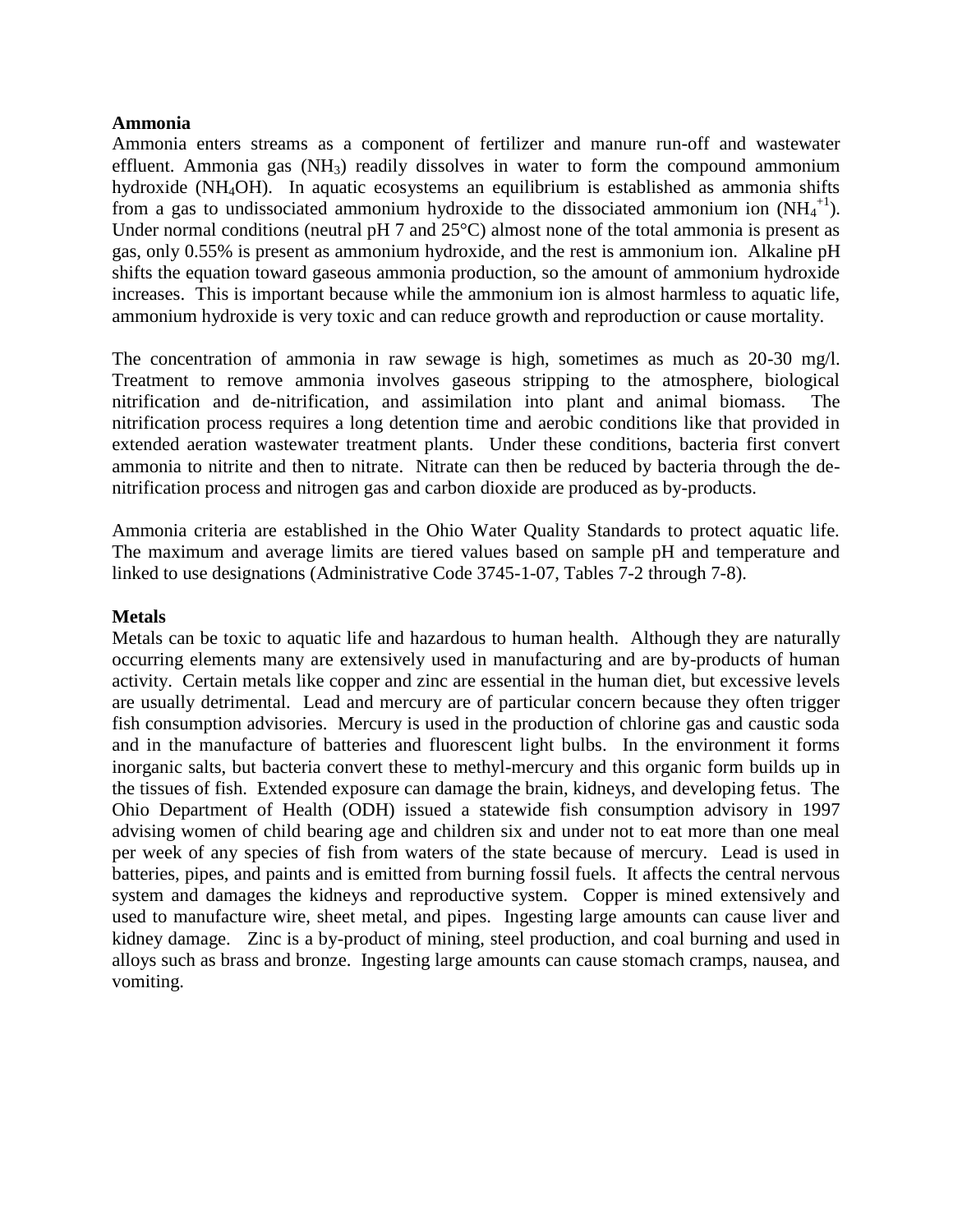## **Ammonia**

Ammonia enters streams as a component of fertilizer and manure run-off and wastewater effluent. Ammonia gas  $(NH_3)$  readily dissolves in water to form the compound ammonium hydroxide (NH4OH). In aquatic ecosystems an equilibrium is established as ammonia shifts from a gas to undissociated ammonium hydroxide to the dissociated ammonium ion  $(NH_4^{\{+1\}})$ . Under normal conditions (neutral pH 7 and 25<sup>o</sup>C) almost none of the total ammonia is present as gas, only 0.55% is present as ammonium hydroxide, and the rest is ammonium ion. Alkaline pH shifts the equation toward gaseous ammonia production, so the amount of ammonium hydroxide increases. This is important because while the ammonium ion is almost harmless to aquatic life, ammonium hydroxide is very toxic and can reduce growth and reproduction or cause mortality.

The concentration of ammonia in raw sewage is high, sometimes as much as 20-30 mg/l. Treatment to remove ammonia involves gaseous stripping to the atmosphere, biological nitrification and de-nitrification, and assimilation into plant and animal biomass. The nitrification process requires a long detention time and aerobic conditions like that provided in extended aeration wastewater treatment plants. Under these conditions, bacteria first convert ammonia to nitrite and then to nitrate. Nitrate can then be reduced by bacteria through the denitrification process and nitrogen gas and carbon dioxide are produced as by-products.

Ammonia criteria are established in the Ohio Water Quality Standards to protect aquatic life. The maximum and average limits are tiered values based on sample pH and temperature and linked to use designations (Administrative Code 3745-1-07, Tables 7-2 through 7-8).

## **Metals**

Metals can be toxic to aquatic life and hazardous to human health. Although they are naturally occurring elements many are extensively used in manufacturing and are by-products of human activity. Certain metals like copper and zinc are essential in the human diet, but excessive levels are usually detrimental. Lead and mercury are of particular concern because they often trigger fish consumption advisories. Mercury is used in the production of chlorine gas and caustic soda and in the manufacture of batteries and fluorescent light bulbs. In the environment it forms inorganic salts, but bacteria convert these to methyl-mercury and this organic form builds up in the tissues of fish. Extended exposure can damage the brain, kidneys, and developing fetus. The Ohio Department of Health (ODH) issued a statewide fish consumption advisory in 1997 advising women of child bearing age and children six and under not to eat more than one meal per week of any species of fish from waters of the state because of mercury. Lead is used in batteries, pipes, and paints and is emitted from burning fossil fuels. It affects the central nervous system and damages the kidneys and reproductive system. Copper is mined extensively and used to manufacture wire, sheet metal, and pipes. Ingesting large amounts can cause liver and kidney damage. Zinc is a by-product of mining, steel production, and coal burning and used in alloys such as brass and bronze. Ingesting large amounts can cause stomach cramps, nausea, and vomiting.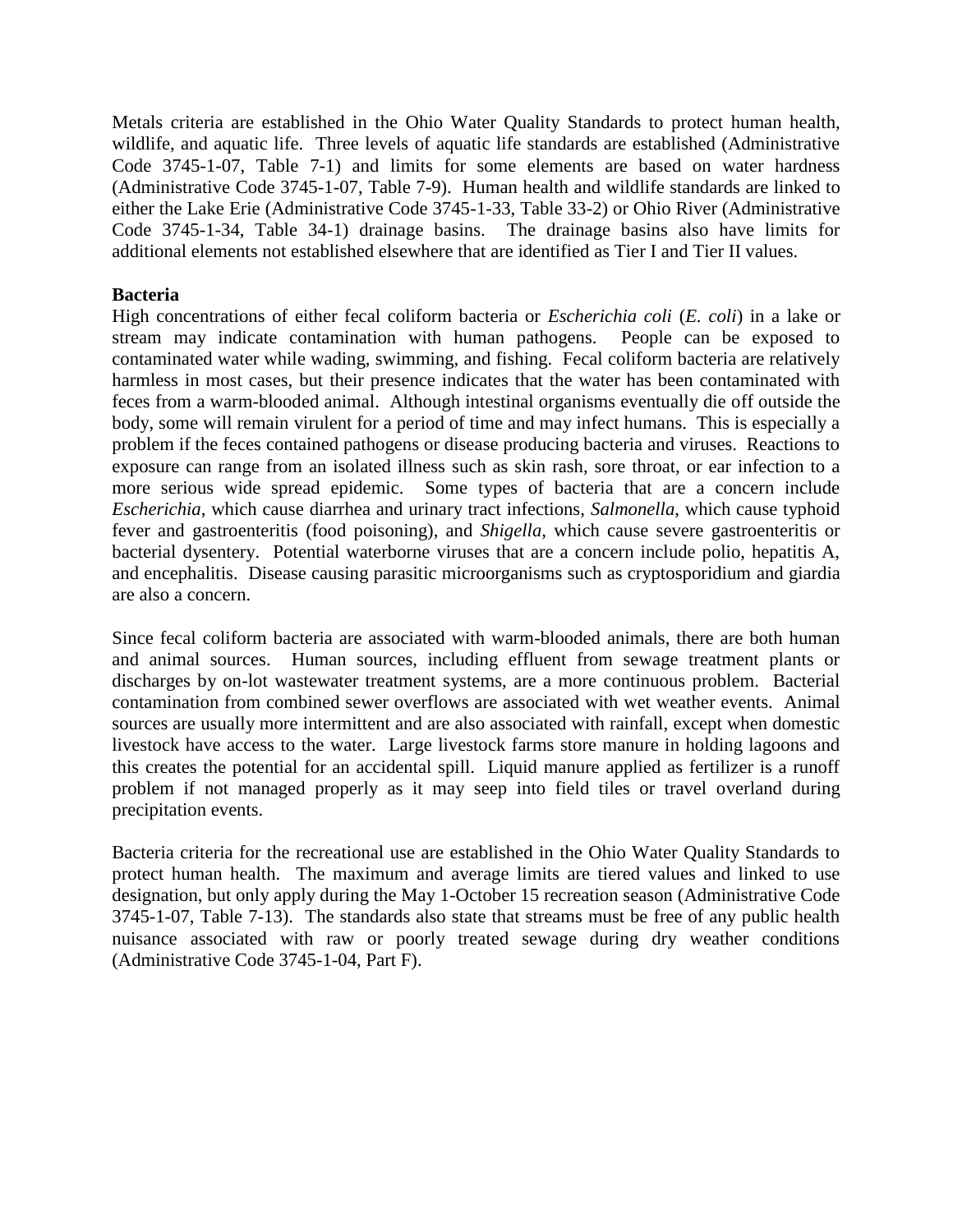Metals criteria are established in the Ohio Water Quality Standards to protect human health, wildlife, and aquatic life. Three levels of aquatic life standards are established (Administrative Code 3745-1-07, Table 7-1) and limits for some elements are based on water hardness (Administrative Code 3745-1-07, Table 7-9). Human health and wildlife standards are linked to either the Lake Erie (Administrative Code 3745-1-33, Table 33-2) or Ohio River (Administrative Code 3745-1-34, Table 34-1) drainage basins. The drainage basins also have limits for additional elements not established elsewhere that are identified as Tier I and Tier II values.

## **Bacteria**

High concentrations of either fecal coliform bacteria or *Escherichia coli* (*E. coli*) in a lake or stream may indicate contamination with human pathogens. People can be exposed to contaminated water while wading, swimming, and fishing. Fecal coliform bacteria are relatively harmless in most cases, but their presence indicates that the water has been contaminated with feces from a warm-blooded animal. Although intestinal organisms eventually die off outside the body, some will remain virulent for a period of time and may infect humans. This is especially a problem if the feces contained pathogens or disease producing bacteria and viruses. Reactions to exposure can range from an isolated illness such as skin rash, sore throat, or ear infection to a more serious wide spread epidemic. Some types of bacteria that are a concern include *Escherichia*, which cause diarrhea and urinary tract infections, *Salmonella*, which cause typhoid fever and gastroenteritis (food poisoning), and *Shigella*, which cause severe gastroenteritis or bacterial dysentery. Potential waterborne viruses that are a concern include polio, hepatitis A, and encephalitis. Disease causing parasitic microorganisms such as cryptosporidium and giardia are also a concern.

Since fecal coliform bacteria are associated with warm-blooded animals, there are both human and animal sources. Human sources, including effluent from sewage treatment plants or discharges by on-lot wastewater treatment systems, are a more continuous problem. Bacterial contamination from combined sewer overflows are associated with wet weather events. Animal sources are usually more intermittent and are also associated with rainfall, except when domestic livestock have access to the water. Large livestock farms store manure in holding lagoons and this creates the potential for an accidental spill. Liquid manure applied as fertilizer is a runoff problem if not managed properly as it may seep into field tiles or travel overland during precipitation events.

Bacteria criteria for the recreational use are established in the Ohio Water Quality Standards to protect human health. The maximum and average limits are tiered values and linked to use designation, but only apply during the May 1-October 15 recreation season (Administrative Code 3745-1-07, Table 7-13). The standards also state that streams must be free of any public health nuisance associated with raw or poorly treated sewage during dry weather conditions (Administrative Code 3745-1-04, Part F).